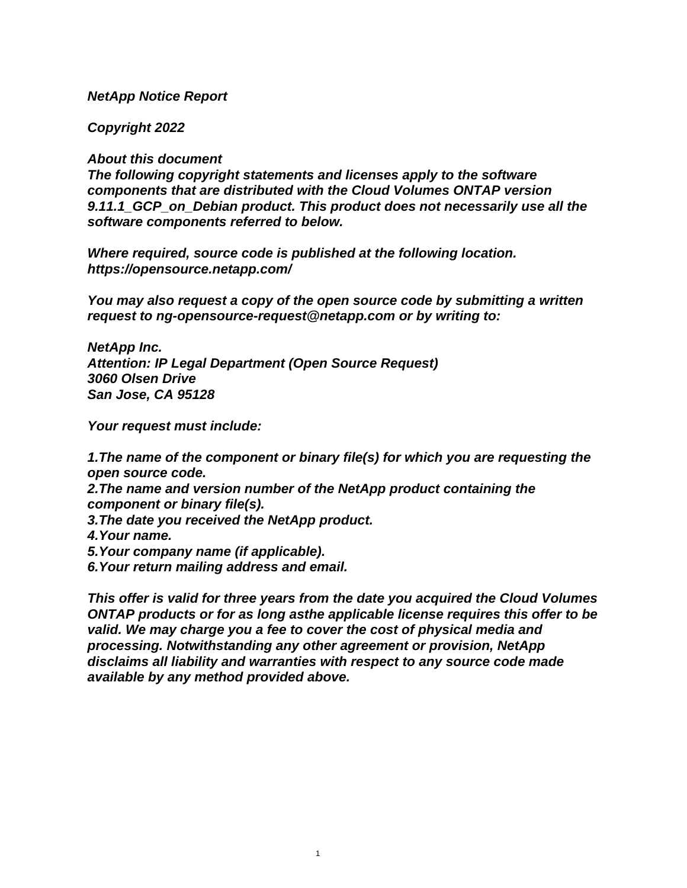# **NetApp Notice Report**

# **Copyright 2022**

# **About this document**

**The following copyright statements and licenses apply to the software components that are distributed with the Cloud Volumes ONTAP version 9.11.1\_GCP\_on\_Debian product. This product does not necessarily use all the software components referred to below.**

**Where required, source code is published at the following location. <https://opensource.netapp.com/>**

**You may also request a copy of the open source code by submitting a written request to ng-opensource-request@netapp.com or by writing to:**

**NetApp Inc. Attention: IP Legal Department (Open Source Request) 3060 Olsen Drive San Jose, CA 95128**

**Your request must include:**

**1.The name of the component or binary file(s) for which you are requesting the open source code.**

**2.The name and version number of the NetApp product containing the component or binary file(s).**

**3.The date you received the NetApp product.**

**4.Your name.**

**5.Your company name (if applicable).**

**6.Your return mailing address and email.**

**This offer is valid for three years from the date you acquired the Cloud Volumes ONTAP products or for as long asthe applicable license requires this offer to be valid. We may charge you a fee to cover the cost of physical media and processing. Notwithstanding any other agreement or provision, NetApp disclaims all liability and warranties with respect to any source code made available by any method provided above.**

1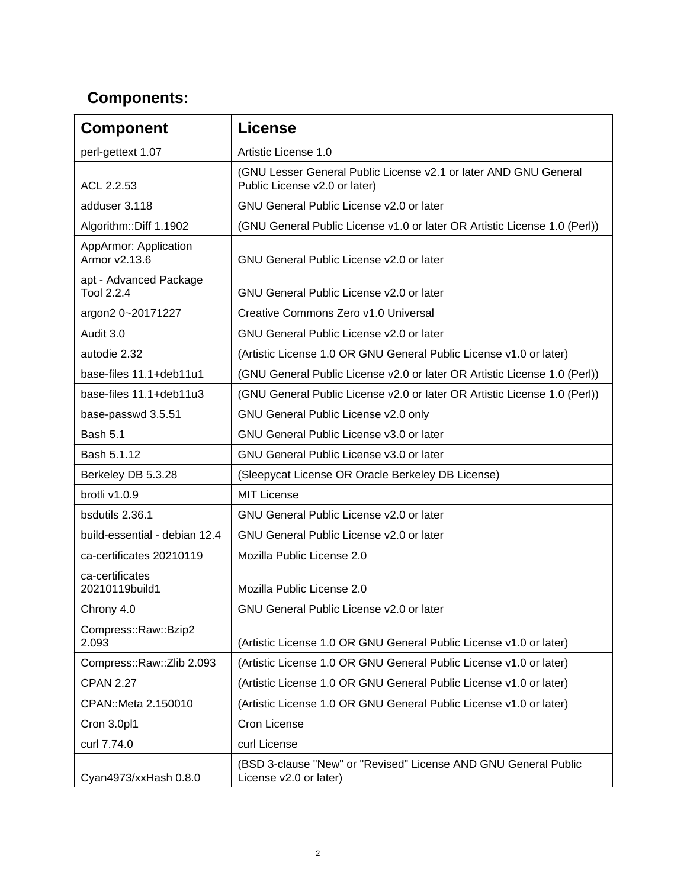# **Components:**

| <b>Component</b>                              | <b>License</b>                                                                                    |
|-----------------------------------------------|---------------------------------------------------------------------------------------------------|
| perl-gettext 1.07                             | Artistic License 1.0                                                                              |
| ACL 2.2.53                                    | (GNU Lesser General Public License v2.1 or later AND GNU General<br>Public License v2.0 or later) |
| adduser 3.118                                 | GNU General Public License v2.0 or later                                                          |
| Algorithm::Diff 1.1902                        | (GNU General Public License v1.0 or later OR Artistic License 1.0 (Perl))                         |
| <b>AppArmor: Application</b><br>Armor v2.13.6 | <b>GNU General Public License v2.0 or later</b>                                                   |
| apt - Advanced Package<br><b>Tool 2.2.4</b>   | <b>GNU General Public License v2.0 or later</b>                                                   |
| argon2 0~20171227                             | Creative Commons Zero v1.0 Universal                                                              |
| Audit 3.0                                     | GNU General Public License v2.0 or later                                                          |
| autodie 2.32                                  | (Artistic License 1.0 OR GNU General Public License v1.0 or later)                                |
| base-files 11.1+deb11u1                       | (GNU General Public License v2.0 or later OR Artistic License 1.0 (Perl))                         |
| base-files 11.1+deb11u3                       | (GNU General Public License v2.0 or later OR Artistic License 1.0 (Perl))                         |
| base-passwd 3.5.51                            | GNU General Public License v2.0 only                                                              |
| <b>Bash 5.1</b>                               | GNU General Public License v3.0 or later                                                          |
| Bash 5.1.12                                   | GNU General Public License v3.0 or later                                                          |
| Berkeley DB 5.3.28                            | (Sleepycat License OR Oracle Berkeley DB License)                                                 |
| brotli v1.0.9                                 | <b>MIT License</b>                                                                                |
| bsdutils 2.36.1                               | GNU General Public License v2.0 or later                                                          |
| build-essential - debian 12.4                 | <b>GNU General Public License v2.0 or later</b>                                                   |
| ca-certificates 20210119                      | Mozilla Public License 2.0                                                                        |
| ca-certificates<br>20210119build1             | Mozilla Public License 2.0                                                                        |
| Chrony 4.0                                    | GNU General Public License v2.0 or later                                                          |
| Compress::Raw::Bzip2<br>2.093                 | (Artistic License 1.0 OR GNU General Public License v1.0 or later)                                |
| Compress::Raw::Zlib 2.093                     | (Artistic License 1.0 OR GNU General Public License v1.0 or later)                                |
| <b>CPAN 2.27</b>                              | (Artistic License 1.0 OR GNU General Public License v1.0 or later)                                |
| CPAN:: Meta 2.150010                          | (Artistic License 1.0 OR GNU General Public License v1.0 or later)                                |
| Cron 3.0pl1                                   | Cron License                                                                                      |
| curl 7.74.0                                   | curl License                                                                                      |
| Cyan4973/xxHash 0.8.0                         | (BSD 3-clause "New" or "Revised" License AND GNU General Public<br>License v2.0 or later)         |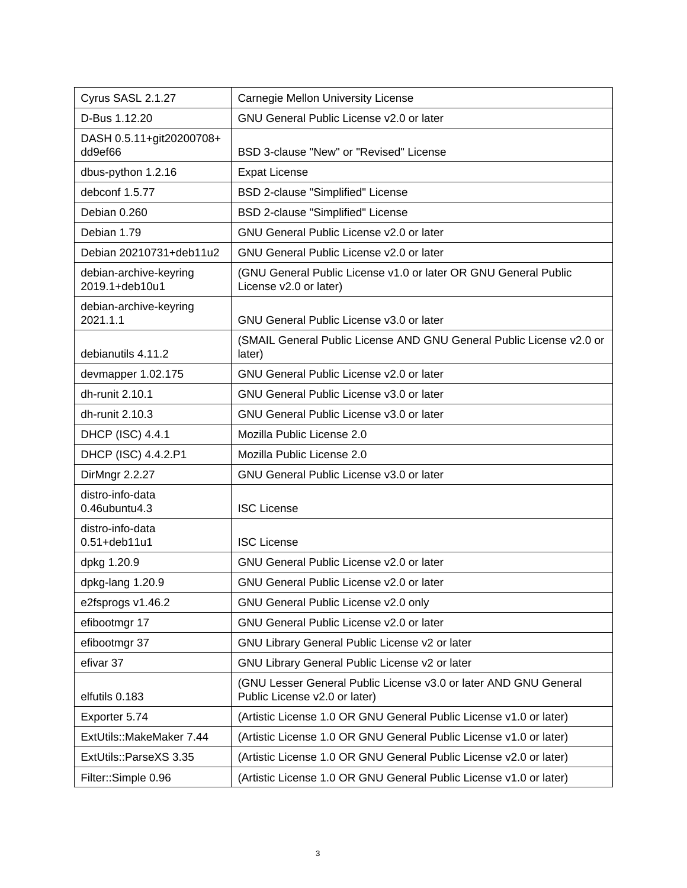| Cyrus SASL 2.1.27                        | <b>Carnegie Mellon University License</b>                                                         |
|------------------------------------------|---------------------------------------------------------------------------------------------------|
| D-Bus 1.12.20                            | GNU General Public License v2.0 or later                                                          |
| DASH 0.5.11+git20200708+<br>dd9ef66      | BSD 3-clause "New" or "Revised" License                                                           |
| dbus-python 1.2.16                       | <b>Expat License</b>                                                                              |
| debconf 1.5.77                           | BSD 2-clause "Simplified" License                                                                 |
| Debian 0.260                             | BSD 2-clause "Simplified" License                                                                 |
| Debian 1.79                              | GNU General Public License v2.0 or later                                                          |
| Debian 20210731+deb11u2                  | GNU General Public License v2.0 or later                                                          |
| debian-archive-keyring<br>2019.1+deb10u1 | (GNU General Public License v1.0 or later OR GNU General Public<br>License v2.0 or later)         |
| debian-archive-keyring<br>2021.1.1       | GNU General Public License v3.0 or later                                                          |
| debianutils 4.11.2                       | (SMAIL General Public License AND GNU General Public License v2.0 or<br>later)                    |
| devmapper 1.02.175                       | GNU General Public License v2.0 or later                                                          |
| dh-runit 2.10.1                          | GNU General Public License v3.0 or later                                                          |
| dh-runit 2.10.3                          | GNU General Public License v3.0 or later                                                          |
| <b>DHCP (ISC) 4.4.1</b>                  | Mozilla Public License 2.0                                                                        |
| DHCP (ISC) 4.4.2.P1                      | Mozilla Public License 2.0                                                                        |
| DirMngr 2.2.27                           | GNU General Public License v3.0 or later                                                          |
| distro-info-data<br>0.46ubuntu4.3        | <b>ISC License</b>                                                                                |
| distro-info-data<br>0.51+deb11u1         | <b>ISC License</b>                                                                                |
| dpkg 1.20.9                              | GNU General Public License v2.0 or later                                                          |
| dpkg-lang 1.20.9                         | GNU General Public License v2.0 or later                                                          |
| e2fsprogs v1.46.2                        | GNU General Public License v2.0 only                                                              |
| efibootmgr 17                            | GNU General Public License v2.0 or later                                                          |
| efibootmgr 37                            | GNU Library General Public License v2 or later                                                    |
| efivar 37                                | GNU Library General Public License v2 or later                                                    |
| elfutils 0.183                           | (GNU Lesser General Public License v3.0 or later AND GNU General<br>Public License v2.0 or later) |
| Exporter 5.74                            | (Artistic License 1.0 OR GNU General Public License v1.0 or later)                                |
| ExtUtils:: MakeMaker 7.44                | (Artistic License 1.0 OR GNU General Public License v1.0 or later)                                |
| ExtUtils::ParseXS 3.35                   | (Artistic License 1.0 OR GNU General Public License v2.0 or later)                                |
| Filter::Simple 0.96                      | (Artistic License 1.0 OR GNU General Public License v1.0 or later)                                |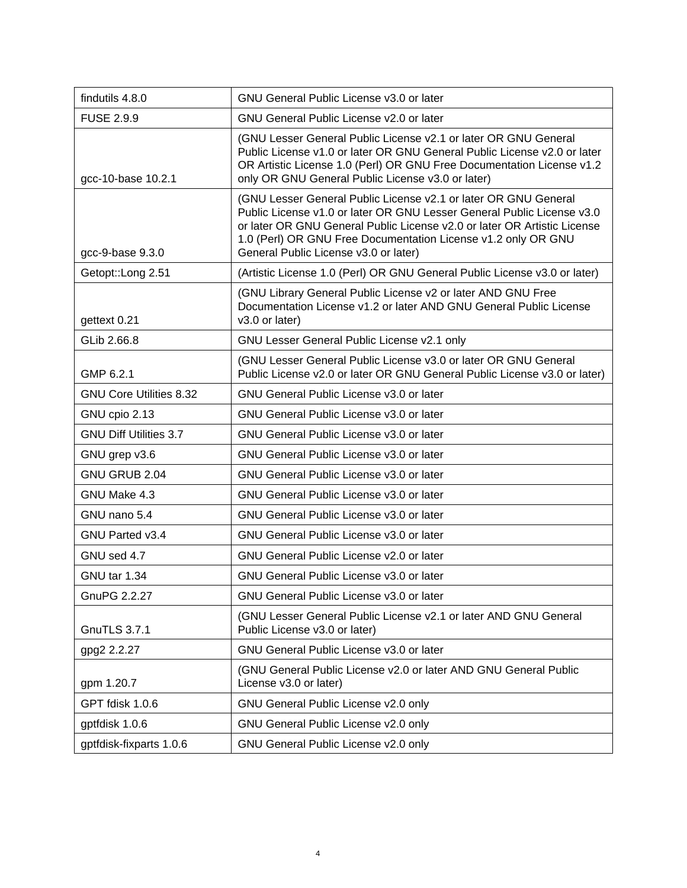| findutils 4.8.0                | <b>GNU General Public License v3.0 or later</b>                                                                                                                                                                                                                                                                                 |
|--------------------------------|---------------------------------------------------------------------------------------------------------------------------------------------------------------------------------------------------------------------------------------------------------------------------------------------------------------------------------|
| <b>FUSE 2.9.9</b>              | GNU General Public License v2.0 or later                                                                                                                                                                                                                                                                                        |
| gcc-10-base 10.2.1             | (GNU Lesser General Public License v2.1 or later OR GNU General<br>Public License v1.0 or later OR GNU General Public License v2.0 or later<br>OR Artistic License 1.0 (Perl) OR GNU Free Documentation License v1.2<br>only OR GNU General Public License v3.0 or later)                                                       |
| gcc-9-base 9.3.0               | (GNU Lesser General Public License v2.1 or later OR GNU General<br>Public License v1.0 or later OR GNU Lesser General Public License v3.0<br>or later OR GNU General Public License v2.0 or later OR Artistic License<br>1.0 (Perl) OR GNU Free Documentation License v1.2 only OR GNU<br>General Public License v3.0 or later) |
| Getopt::Long 2.51              | (Artistic License 1.0 (Perl) OR GNU General Public License v3.0 or later)                                                                                                                                                                                                                                                       |
| gettext 0.21                   | (GNU Library General Public License v2 or later AND GNU Free<br>Documentation License v1.2 or later AND GNU General Public License<br>v3.0 or later)                                                                                                                                                                            |
| GLib 2.66.8                    | GNU Lesser General Public License v2.1 only                                                                                                                                                                                                                                                                                     |
| GMP 6.2.1                      | (GNU Lesser General Public License v3.0 or later OR GNU General<br>Public License v2.0 or later OR GNU General Public License v3.0 or later)                                                                                                                                                                                    |
| <b>GNU Core Utilities 8.32</b> | <b>GNU General Public License v3.0 or later</b>                                                                                                                                                                                                                                                                                 |
| GNU cpio 2.13                  | GNU General Public License v3.0 or later                                                                                                                                                                                                                                                                                        |
| <b>GNU Diff Utilities 3.7</b>  | GNU General Public License v3.0 or later                                                                                                                                                                                                                                                                                        |
| GNU grep v3.6                  | GNU General Public License v3.0 or later                                                                                                                                                                                                                                                                                        |
| GNU GRUB 2.04                  | <b>GNU General Public License v3.0 or later</b>                                                                                                                                                                                                                                                                                 |
| GNU Make 4.3                   | <b>GNU General Public License v3.0 or later</b>                                                                                                                                                                                                                                                                                 |
| GNU nano 5.4                   | <b>GNU General Public License v3.0 or later</b>                                                                                                                                                                                                                                                                                 |
| GNU Parted v3.4                | GNU General Public License v3.0 or later                                                                                                                                                                                                                                                                                        |
| GNU sed 4.7                    | <b>GNU General Public License v2.0 or later</b>                                                                                                                                                                                                                                                                                 |
| GNU tar 1.34                   | GNU General Public License v3.0 or later                                                                                                                                                                                                                                                                                        |
| GnuPG 2.2.27                   | GNU General Public License v3.0 or later                                                                                                                                                                                                                                                                                        |
| <b>GnuTLS 3.7.1</b>            | (GNU Lesser General Public License v2.1 or later AND GNU General<br>Public License v3.0 or later)                                                                                                                                                                                                                               |
| gpg2 2.2.27                    | GNU General Public License v3.0 or later                                                                                                                                                                                                                                                                                        |
| gpm 1.20.7                     | (GNU General Public License v2.0 or later AND GNU General Public<br>License v3.0 or later)                                                                                                                                                                                                                                      |
| GPT fdisk 1.0.6                | GNU General Public License v2.0 only                                                                                                                                                                                                                                                                                            |
| gptfdisk 1.0.6                 | GNU General Public License v2.0 only                                                                                                                                                                                                                                                                                            |
| gptfdisk-fixparts 1.0.6        | GNU General Public License v2.0 only                                                                                                                                                                                                                                                                                            |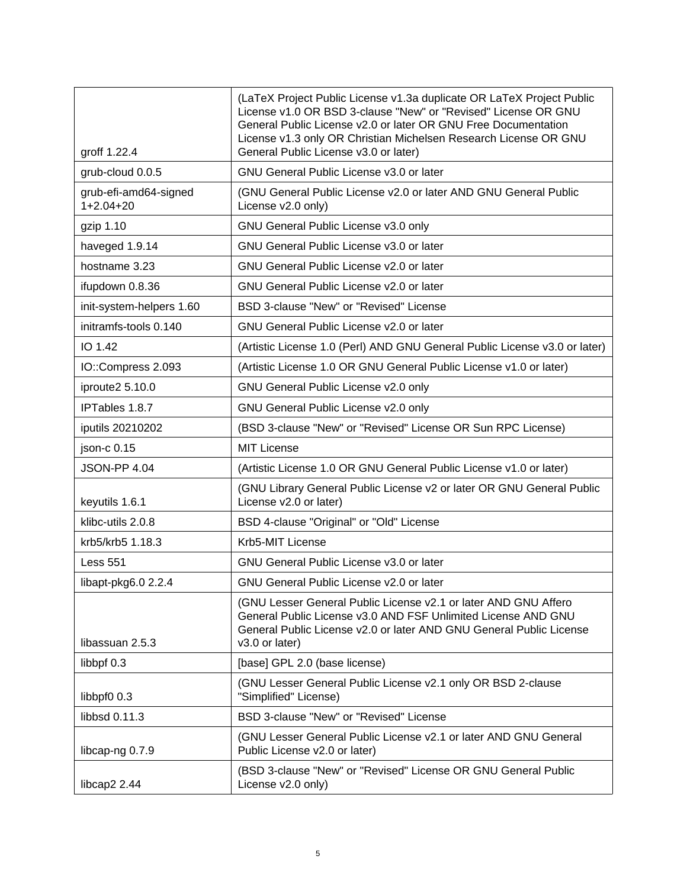| groff 1.22.4                         | (LaTeX Project Public License v1.3a duplicate OR LaTeX Project Public<br>License v1.0 OR BSD 3-clause "New" or "Revised" License OR GNU<br>General Public License v2.0 or later OR GNU Free Documentation<br>License v1.3 only OR Christian Michelsen Research License OR GNU<br>General Public License v3.0 or later) |
|--------------------------------------|------------------------------------------------------------------------------------------------------------------------------------------------------------------------------------------------------------------------------------------------------------------------------------------------------------------------|
| grub-cloud 0.0.5                     | GNU General Public License v3.0 or later                                                                                                                                                                                                                                                                               |
| grub-efi-amd64-signed<br>$1+2.04+20$ | (GNU General Public License v2.0 or later AND GNU General Public<br>License v2.0 only)                                                                                                                                                                                                                                 |
| gzip 1.10                            | GNU General Public License v3.0 only                                                                                                                                                                                                                                                                                   |
| haveged 1.9.14                       | GNU General Public License v3.0 or later                                                                                                                                                                                                                                                                               |
| hostname 3.23                        | <b>GNU General Public License v2.0 or later</b>                                                                                                                                                                                                                                                                        |
| ifupdown 0.8.36                      | <b>GNU General Public License v2.0 or later</b>                                                                                                                                                                                                                                                                        |
| init-system-helpers 1.60             | BSD 3-clause "New" or "Revised" License                                                                                                                                                                                                                                                                                |
| initramfs-tools 0.140                | <b>GNU General Public License v2.0 or later</b>                                                                                                                                                                                                                                                                        |
| IO 1.42                              | (Artistic License 1.0 (Perl) AND GNU General Public License v3.0 or later)                                                                                                                                                                                                                                             |
| IO::Compress 2.093                   | (Artistic License 1.0 OR GNU General Public License v1.0 or later)                                                                                                                                                                                                                                                     |
| iproute2 5.10.0                      | GNU General Public License v2.0 only                                                                                                                                                                                                                                                                                   |
| IPTables 1.8.7                       | GNU General Public License v2.0 only                                                                                                                                                                                                                                                                                   |
| iputils 20210202                     | (BSD 3-clause "New" or "Revised" License OR Sun RPC License)                                                                                                                                                                                                                                                           |
| json-c $0.15$                        | <b>MIT License</b>                                                                                                                                                                                                                                                                                                     |
| <b>JSON-PP 4.04</b>                  | (Artistic License 1.0 OR GNU General Public License v1.0 or later)                                                                                                                                                                                                                                                     |
| keyutils 1.6.1                       | (GNU Library General Public License v2 or later OR GNU General Public<br>License v2.0 or later)                                                                                                                                                                                                                        |
| klibc-utils 2.0.8                    | BSD 4-clause "Original" or "Old" License                                                                                                                                                                                                                                                                               |
| krb5/krb5 1.18.3                     | Krb5-MIT License                                                                                                                                                                                                                                                                                                       |
| <b>Less 551</b>                      | <b>GNU General Public License v3.0 or later</b>                                                                                                                                                                                                                                                                        |
| libapt-pkg6.0 2.2.4                  | GNU General Public License v2.0 or later                                                                                                                                                                                                                                                                               |
| libassuan 2.5.3                      | (GNU Lesser General Public License v2.1 or later AND GNU Affero<br>General Public License v3.0 AND FSF Unlimited License AND GNU<br>General Public License v2.0 or later AND GNU General Public License<br>v3.0 or later)                                                                                              |
| libbpf 0.3                           | [base] GPL 2.0 (base license)                                                                                                                                                                                                                                                                                          |
| libbpf0 0.3                          | (GNU Lesser General Public License v2.1 only OR BSD 2-clause<br>"Simplified" License)                                                                                                                                                                                                                                  |
| libbsd 0.11.3                        | BSD 3-clause "New" or "Revised" License                                                                                                                                                                                                                                                                                |
| libcap-ng 0.7.9                      | (GNU Lesser General Public License v2.1 or later AND GNU General<br>Public License v2.0 or later)                                                                                                                                                                                                                      |
| libcap2 2.44                         | (BSD 3-clause "New" or "Revised" License OR GNU General Public<br>License v2.0 only)                                                                                                                                                                                                                                   |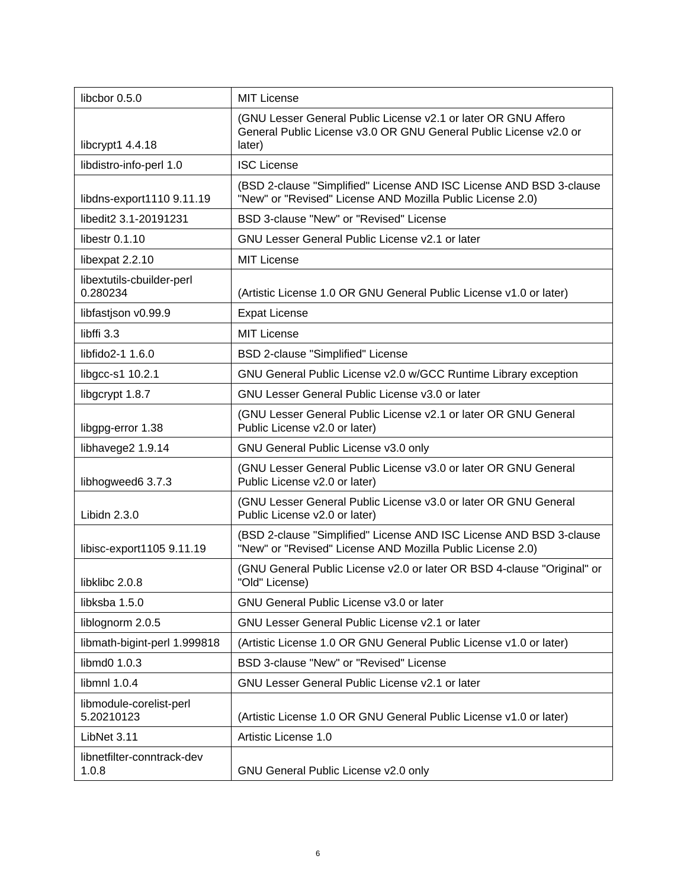| libcbor 0.5.0                         | <b>MIT License</b>                                                                                                                            |
|---------------------------------------|-----------------------------------------------------------------------------------------------------------------------------------------------|
| libcrypt1 4.4.18                      | (GNU Lesser General Public License v2.1 or later OR GNU Affero<br>General Public License v3.0 OR GNU General Public License v2.0 or<br>later) |
| libdistro-info-perl 1.0               | <b>ISC License</b>                                                                                                                            |
| libdns-export1110 9.11.19             | (BSD 2-clause "Simplified" License AND ISC License AND BSD 3-clause<br>"New" or "Revised" License AND Mozilla Public License 2.0)             |
| libedit2 3.1-20191231                 | BSD 3-clause "New" or "Revised" License                                                                                                       |
| libestr 0.1.10                        | GNU Lesser General Public License v2.1 or later                                                                                               |
| libexpat 2.2.10                       | <b>MIT License</b>                                                                                                                            |
| libextutils-cbuilder-perl<br>0.280234 | (Artistic License 1.0 OR GNU General Public License v1.0 or later)                                                                            |
| libfastjson v0.99.9                   | <b>Expat License</b>                                                                                                                          |
| libffi 3.3                            | <b>MIT License</b>                                                                                                                            |
| libfido2-1 1.6.0                      | <b>BSD 2-clause "Simplified" License</b>                                                                                                      |
| libgcc-s1 10.2.1                      | GNU General Public License v2.0 w/GCC Runtime Library exception                                                                               |
| libgcrypt 1.8.7                       | GNU Lesser General Public License v3.0 or later                                                                                               |
| libgpg-error 1.38                     | (GNU Lesser General Public License v2.1 or later OR GNU General<br>Public License v2.0 or later)                                              |
| libhavege2 1.9.14                     | GNU General Public License v3.0 only                                                                                                          |
| libhogweed6 3.7.3                     | (GNU Lesser General Public License v3.0 or later OR GNU General<br>Public License v2.0 or later)                                              |
| Libidn 2.3.0                          | (GNU Lesser General Public License v3.0 or later OR GNU General<br>Public License v2.0 or later)                                              |
| libisc-export1105 9.11.19             | (BSD 2-clause "Simplified" License AND ISC License AND BSD 3-clause<br>"New" or "Revised" License AND Mozilla Public License 2.0)             |
| libklibc 2.0.8                        | (GNU General Public License v2.0 or later OR BSD 4-clause "Original" or<br>"Old" License)                                                     |
| libksba 1.5.0                         | GNU General Public License v3.0 or later                                                                                                      |
| liblognorm 2.0.5                      | GNU Lesser General Public License v2.1 or later                                                                                               |
| libmath-bigint-perl 1.999818          | (Artistic License 1.0 OR GNU General Public License v1.0 or later)                                                                            |
| libmd0 1.0.3                          | BSD 3-clause "New" or "Revised" License                                                                                                       |
| libmnl 1.0.4                          | GNU Lesser General Public License v2.1 or later                                                                                               |
| libmodule-corelist-perl<br>5.20210123 | (Artistic License 1.0 OR GNU General Public License v1.0 or later)                                                                            |
| LibNet 3.11                           | Artistic License 1.0                                                                                                                          |
| libnetfilter-conntrack-dev<br>1.0.8   | GNU General Public License v2.0 only                                                                                                          |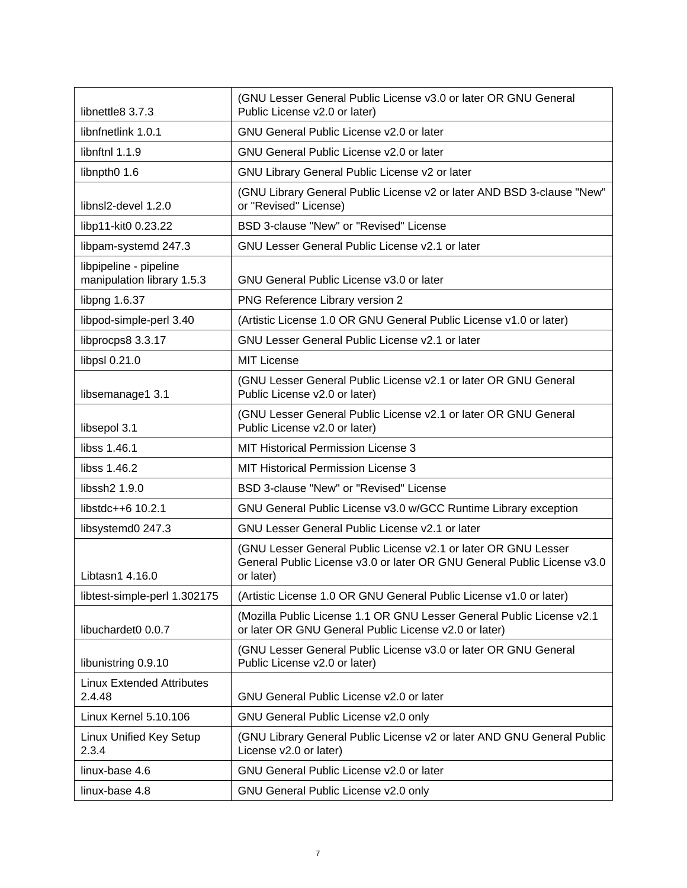| libnettle8 3.7.3                                     | (GNU Lesser General Public License v3.0 or later OR GNU General<br>Public License v2.0 or later)                                                       |
|------------------------------------------------------|--------------------------------------------------------------------------------------------------------------------------------------------------------|
| libnfnetlink 1.0.1                                   | GNU General Public License v2.0 or later                                                                                                               |
| libnftnl 1.1.9                                       | GNU General Public License v2.0 or later                                                                                                               |
| libnpth0 1.6                                         | GNU Library General Public License v2 or later                                                                                                         |
| libnsl2-devel 1.2.0                                  | (GNU Library General Public License v2 or later AND BSD 3-clause "New"<br>or "Revised" License)                                                        |
| libp11-kit0 0.23.22                                  | BSD 3-clause "New" or "Revised" License                                                                                                                |
| libpam-systemd 247.3                                 | GNU Lesser General Public License v2.1 or later                                                                                                        |
| libpipeline - pipeline<br>manipulation library 1.5.3 | GNU General Public License v3.0 or later                                                                                                               |
| libpng 1.6.37                                        | PNG Reference Library version 2                                                                                                                        |
| libpod-simple-perl 3.40                              | (Artistic License 1.0 OR GNU General Public License v1.0 or later)                                                                                     |
| libprocps8 3.3.17                                    | <b>GNU Lesser General Public License v2.1 or later</b>                                                                                                 |
| libpsl 0.21.0                                        | <b>MIT License</b>                                                                                                                                     |
| libsemanage1 3.1                                     | (GNU Lesser General Public License v2.1 or later OR GNU General<br>Public License v2.0 or later)                                                       |
| libsepol 3.1                                         | (GNU Lesser General Public License v2.1 or later OR GNU General<br>Public License v2.0 or later)                                                       |
| libss 1.46.1                                         | MIT Historical Permission License 3                                                                                                                    |
| libss 1.46.2                                         | MIT Historical Permission License 3                                                                                                                    |
| libssh2 1.9.0                                        | BSD 3-clause "New" or "Revised" License                                                                                                                |
| libstdc++6 10.2.1                                    | GNU General Public License v3.0 w/GCC Runtime Library exception                                                                                        |
| libsystemd0 247.3                                    | GNU Lesser General Public License v2.1 or later                                                                                                        |
| Libtasn1 4.16.0                                      | (GNU Lesser General Public License v2.1 or later OR GNU Lesser<br>General Public License v3.0 or later OR GNU General Public License v3.0<br>or later) |
| libtest-simple-perl 1.302175                         | (Artistic License 1.0 OR GNU General Public License v1.0 or later)                                                                                     |
| libuchardet0 0.0.7                                   | (Mozilla Public License 1.1 OR GNU Lesser General Public License v2.1<br>or later OR GNU General Public License v2.0 or later)                         |
| libunistring 0.9.10                                  | (GNU Lesser General Public License v3.0 or later OR GNU General<br>Public License v2.0 or later)                                                       |
| <b>Linux Extended Attributes</b><br>2.4.48           | GNU General Public License v2.0 or later                                                                                                               |
| Linux Kernel 5.10.106                                | GNU General Public License v2.0 only                                                                                                                   |
| Linux Unified Key Setup<br>2.3.4                     | (GNU Library General Public License v2 or later AND GNU General Public<br>License v2.0 or later)                                                       |
| linux-base 4.6                                       | GNU General Public License v2.0 or later                                                                                                               |
| linux-base 4.8                                       | GNU General Public License v2.0 only                                                                                                                   |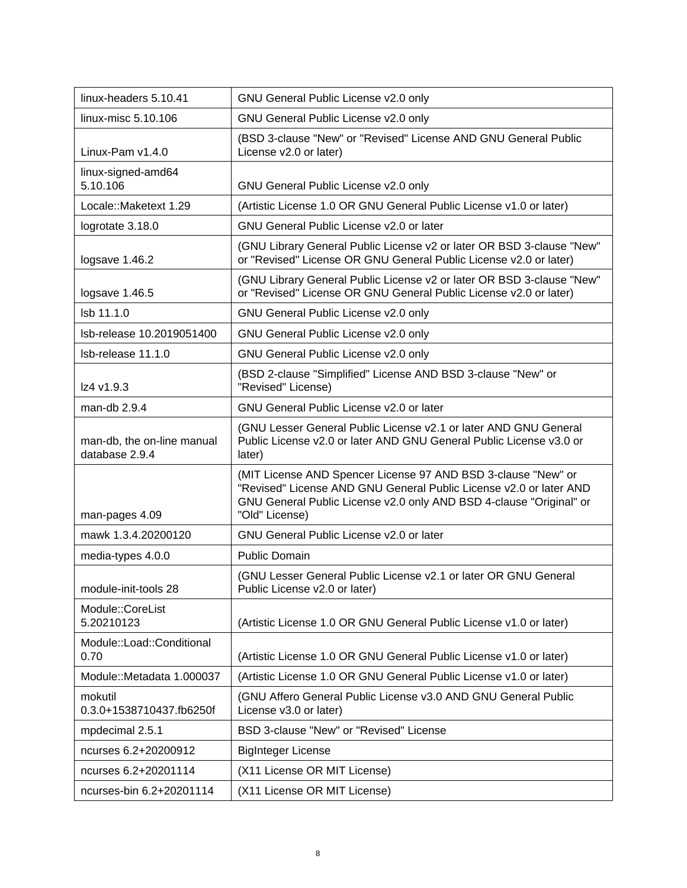| linux-headers 5.10.41                        | GNU General Public License v2.0 only                                                                                                                                                                                         |
|----------------------------------------------|------------------------------------------------------------------------------------------------------------------------------------------------------------------------------------------------------------------------------|
| linux-misc 5.10.106                          | GNU General Public License v2.0 only                                                                                                                                                                                         |
| Linux-Pam v1.4.0                             | (BSD 3-clause "New" or "Revised" License AND GNU General Public<br>License v2.0 or later)                                                                                                                                    |
| linux-signed-amd64<br>5.10.106               | GNU General Public License v2.0 only                                                                                                                                                                                         |
| Locale:: Maketext 1.29                       | (Artistic License 1.0 OR GNU General Public License v1.0 or later)                                                                                                                                                           |
| logrotate 3.18.0                             | GNU General Public License v2.0 or later                                                                                                                                                                                     |
| logsave 1.46.2                               | (GNU Library General Public License v2 or later OR BSD 3-clause "New"<br>or "Revised" License OR GNU General Public License v2.0 or later)                                                                                   |
| logsave 1.46.5                               | (GNU Library General Public License v2 or later OR BSD 3-clause "New"<br>or "Revised" License OR GNU General Public License v2.0 or later)                                                                                   |
| Isb 11.1.0                                   | GNU General Public License v2.0 only                                                                                                                                                                                         |
| Isb-release 10.2019051400                    | GNU General Public License v2.0 only                                                                                                                                                                                         |
| Isb-release 11.1.0                           | GNU General Public License v2.0 only                                                                                                                                                                                         |
| Iz4 v1.9.3                                   | (BSD 2-clause "Simplified" License AND BSD 3-clause "New" or<br>"Revised" License)                                                                                                                                           |
| man-db 2.9.4                                 | GNU General Public License v2.0 or later                                                                                                                                                                                     |
| man-db, the on-line manual<br>database 2.9.4 | (GNU Lesser General Public License v2.1 or later AND GNU General<br>Public License v2.0 or later AND GNU General Public License v3.0 or<br>later)                                                                            |
| man-pages 4.09                               | (MIT License AND Spencer License 97 AND BSD 3-clause "New" or<br>"Revised" License AND GNU General Public License v2.0 or later AND<br>GNU General Public License v2.0 only AND BSD 4-clause "Original" or<br>"Old" License) |
| mawk 1.3.4.20200120                          | GNU General Public License v2.0 or later                                                                                                                                                                                     |
| media-types 4.0.0                            | <b>Public Domain</b>                                                                                                                                                                                                         |
| module-init-tools 28                         | (GNU Lesser General Public License v2.1 or later OR GNU General<br>Public License v2.0 or later)                                                                                                                             |
| Module::CoreList<br>5.20210123               | (Artistic License 1.0 OR GNU General Public License v1.0 or later)                                                                                                                                                           |
| Module::Load::Conditional<br>0.70            | (Artistic License 1.0 OR GNU General Public License v1.0 or later)                                                                                                                                                           |
| Module::Metadata 1.000037                    | (Artistic License 1.0 OR GNU General Public License v1.0 or later)                                                                                                                                                           |
| mokutil<br>0.3.0+1538710437.fb6250f          | (GNU Affero General Public License v3.0 AND GNU General Public<br>License v3.0 or later)                                                                                                                                     |
| mpdecimal 2.5.1                              | BSD 3-clause "New" or "Revised" License                                                                                                                                                                                      |
| ncurses 6.2+20200912                         | <b>BigInteger License</b>                                                                                                                                                                                                    |
| ncurses 6.2+20201114                         | (X11 License OR MIT License)                                                                                                                                                                                                 |
| ncurses-bin 6.2+20201114                     | (X11 License OR MIT License)                                                                                                                                                                                                 |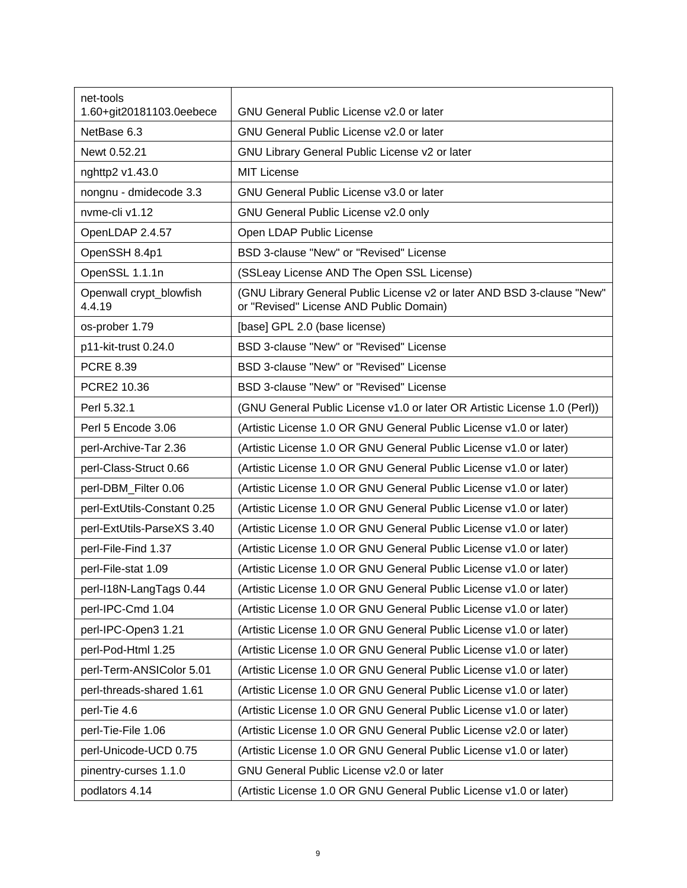| net-tools                         |                                                                                                                   |
|-----------------------------------|-------------------------------------------------------------------------------------------------------------------|
| 1.60+git20181103.0eebece          | <b>GNU General Public License v2.0 or later</b>                                                                   |
| NetBase 6.3                       | <b>GNU General Public License v2.0 or later</b>                                                                   |
| Newt 0.52.21                      | GNU Library General Public License v2 or later                                                                    |
| nghttp2 v1.43.0                   | <b>MIT License</b>                                                                                                |
| nongnu - dmidecode 3.3            | <b>GNU General Public License v3.0 or later</b>                                                                   |
| nvme-cli v1.12                    | GNU General Public License v2.0 only                                                                              |
| OpenLDAP 2.4.57                   | Open LDAP Public License                                                                                          |
| OpenSSH 8.4p1                     | BSD 3-clause "New" or "Revised" License                                                                           |
| OpenSSL 1.1.1n                    | (SSLeay License AND The Open SSL License)                                                                         |
| Openwall crypt_blowfish<br>4.4.19 | (GNU Library General Public License v2 or later AND BSD 3-clause "New"<br>or "Revised" License AND Public Domain) |
| os-prober 1.79                    | [base] GPL 2.0 (base license)                                                                                     |
| p11-kit-trust 0.24.0              | BSD 3-clause "New" or "Revised" License                                                                           |
| <b>PCRE 8.39</b>                  | BSD 3-clause "New" or "Revised" License                                                                           |
| PCRE2 10.36                       | BSD 3-clause "New" or "Revised" License                                                                           |
| Perl 5.32.1                       | (GNU General Public License v1.0 or later OR Artistic License 1.0 (Perl))                                         |
| Perl 5 Encode 3.06                | (Artistic License 1.0 OR GNU General Public License v1.0 or later)                                                |
| perl-Archive-Tar 2.36             | (Artistic License 1.0 OR GNU General Public License v1.0 or later)                                                |
| perl-Class-Struct 0.66            | (Artistic License 1.0 OR GNU General Public License v1.0 or later)                                                |
| perl-DBM_Filter 0.06              | (Artistic License 1.0 OR GNU General Public License v1.0 or later)                                                |
| perl-ExtUtils-Constant 0.25       | (Artistic License 1.0 OR GNU General Public License v1.0 or later)                                                |
| perl-ExtUtils-ParseXS 3.40        | (Artistic License 1.0 OR GNU General Public License v1.0 or later)                                                |
| perl-File-Find 1.37               | (Artistic License 1.0 OR GNU General Public License v1.0 or later)                                                |
| perl-File-stat 1.09               | (Artistic License 1.0 OR GNU General Public License v1.0 or later)                                                |
| perl-I18N-LangTags 0.44           | (Artistic License 1.0 OR GNU General Public License v1.0 or later)                                                |
| perl-IPC-Cmd 1.04                 | (Artistic License 1.0 OR GNU General Public License v1.0 or later)                                                |
| perl-IPC-Open3 1.21               | (Artistic License 1.0 OR GNU General Public License v1.0 or later)                                                |
| perl-Pod-Html 1.25                | (Artistic License 1.0 OR GNU General Public License v1.0 or later)                                                |
| perl-Term-ANSIColor 5.01          | (Artistic License 1.0 OR GNU General Public License v1.0 or later)                                                |
| perl-threads-shared 1.61          | (Artistic License 1.0 OR GNU General Public License v1.0 or later)                                                |
| perl-Tie 4.6                      | (Artistic License 1.0 OR GNU General Public License v1.0 or later)                                                |
| perl-Tie-File 1.06                | (Artistic License 1.0 OR GNU General Public License v2.0 or later)                                                |
| perl-Unicode-UCD 0.75             | (Artistic License 1.0 OR GNU General Public License v1.0 or later)                                                |
| pinentry-curses 1.1.0             | GNU General Public License v2.0 or later                                                                          |
| podlators 4.14                    | (Artistic License 1.0 OR GNU General Public License v1.0 or later)                                                |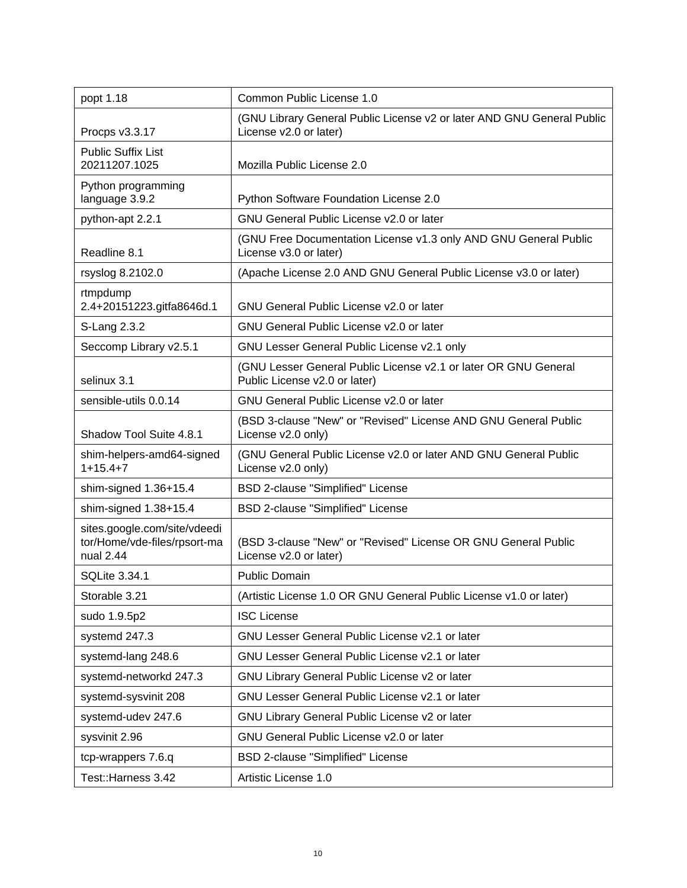| popt 1.18                                                                 | Common Public License 1.0                                                                        |
|---------------------------------------------------------------------------|--------------------------------------------------------------------------------------------------|
| Procps v3.3.17                                                            | (GNU Library General Public License v2 or later AND GNU General Public<br>License v2.0 or later) |
| <b>Public Suffix List</b><br>20211207.1025                                | Mozilla Public License 2.0                                                                       |
| Python programming<br>language 3.9.2                                      | Python Software Foundation License 2.0                                                           |
| python-apt 2.2.1                                                          | GNU General Public License v2.0 or later                                                         |
| Readline 8.1                                                              | (GNU Free Documentation License v1.3 only AND GNU General Public<br>License v3.0 or later)       |
| rsyslog 8.2102.0                                                          | (Apache License 2.0 AND GNU General Public License v3.0 or later)                                |
| rtmpdump<br>2.4+20151223.gitfa8646d.1                                     | GNU General Public License v2.0 or later                                                         |
| S-Lang 2.3.2                                                              | <b>GNU General Public License v2.0 or later</b>                                                  |
| Seccomp Library v2.5.1                                                    | GNU Lesser General Public License v2.1 only                                                      |
| selinux 3.1                                                               | (GNU Lesser General Public License v2.1 or later OR GNU General<br>Public License v2.0 or later) |
| sensible-utils 0.0.14                                                     | GNU General Public License v2.0 or later                                                         |
| Shadow Tool Suite 4.8.1                                                   | (BSD 3-clause "New" or "Revised" License AND GNU General Public<br>License v2.0 only)            |
| shim-helpers-amd64-signed<br>$1+15.4+7$                                   | (GNU General Public License v2.0 or later AND GNU General Public<br>License v2.0 only)           |
| shim-signed 1.36+15.4                                                     | BSD 2-clause "Simplified" License                                                                |
| shim-signed 1.38+15.4                                                     | BSD 2-clause "Simplified" License                                                                |
| sites.google.com/site/vdeedi<br>tor/Home/vde-files/rpsort-ma<br>nual 2.44 | (BSD 3-clause "New" or "Revised" License OR GNU General Public<br>License v2.0 or later)         |
| <b>SQLite 3.34.1</b>                                                      | <b>Public Domain</b>                                                                             |
| Storable 3.21                                                             | (Artistic License 1.0 OR GNU General Public License v1.0 or later)                               |
| sudo 1.9.5p2                                                              | <b>ISC License</b>                                                                               |
| systemd 247.3                                                             | GNU Lesser General Public License v2.1 or later                                                  |
| systemd-lang 248.6                                                        | GNU Lesser General Public License v2.1 or later                                                  |
| systemd-networkd 247.3                                                    | GNU Library General Public License v2 or later                                                   |
| systemd-sysvinit 208                                                      | GNU Lesser General Public License v2.1 or later                                                  |
| systemd-udev 247.6                                                        | GNU Library General Public License v2 or later                                                   |
| sysvinit 2.96                                                             | GNU General Public License v2.0 or later                                                         |
| tcp-wrappers 7.6.q                                                        | BSD 2-clause "Simplified" License                                                                |
| Test:: Harness 3.42                                                       | Artistic License 1.0                                                                             |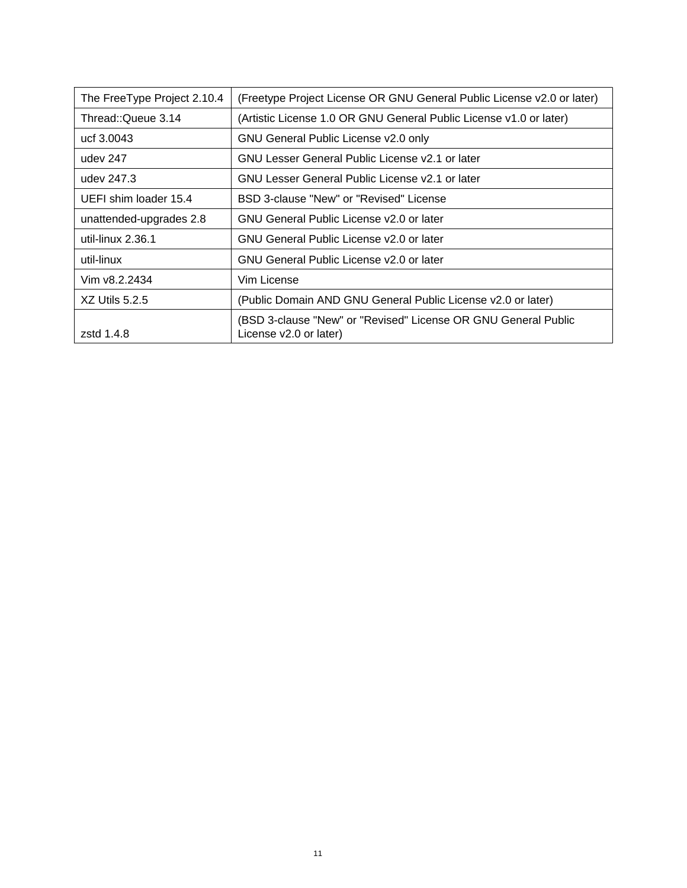| The FreeType Project 2.10.4 | (Freetype Project License OR GNU General Public License v2.0 or later)                   |
|-----------------------------|------------------------------------------------------------------------------------------|
| Thread::Queue 3.14          | (Artistic License 1.0 OR GNU General Public License v1.0 or later)                       |
| ucf 3.0043                  | GNU General Public License v2.0 only                                                     |
| udev 247                    | GNU Lesser General Public License v2.1 or later                                          |
| udev 247.3                  | GNU Lesser General Public License v2.1 or later                                          |
| UEFI shim loader 15.4       | BSD 3-clause "New" or "Revised" License                                                  |
| unattended-upgrades 2.8     | GNU General Public License v2.0 or later                                                 |
| util-linux 2.36.1           | GNU General Public License v2.0 or later                                                 |
| util-linux                  | GNU General Public License v2.0 or later                                                 |
| Vim v8.2.2434               | Vim License                                                                              |
| XZ Utils 5.2.5              | (Public Domain AND GNU General Public License v2.0 or later)                             |
| zstd 1.4.8                  | (BSD 3-clause "New" or "Revised" License OR GNU General Public<br>License v2.0 or later) |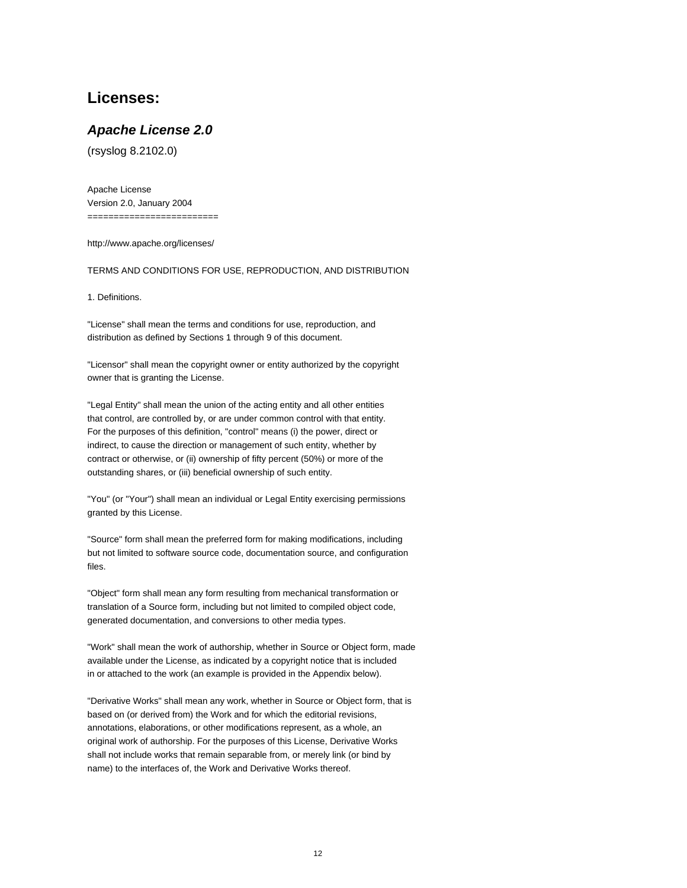# **Licenses:**

### **Apache License 2.0**

(rsyslog 8.2102.0)

Apache License Version 2.0, January 2004 =========================

http://www.apache.org/licenses/

TERMS AND CONDITIONS FOR USE, REPRODUCTION, AND DISTRIBUTION

1. Definitions.

"License" shall mean the terms and conditions for use, reproduction, and distribution as defined by Sections 1 through 9 of this document.

"Licensor" shall mean the copyright owner or entity authorized by the copyright owner that is granting the License.

"Legal Entity" shall mean the union of the acting entity and all other entities that control, are controlled by, or are under common control with that entity. For the purposes of this definition, "control" means (i) the power, direct or indirect, to cause the direction or management of such entity, whether by contract or otherwise, or (ii) ownership of fifty percent (50%) or more of the outstanding shares, or (iii) beneficial ownership of such entity.

"You" (or "Your") shall mean an individual or Legal Entity exercising permissions granted by this License.

"Source" form shall mean the preferred form for making modifications, including but not limited to software source code, documentation source, and configuration files.

"Object" form shall mean any form resulting from mechanical transformation or translation of a Source form, including but not limited to compiled object code, generated documentation, and conversions to other media types.

"Work" shall mean the work of authorship, whether in Source or Object form, made available under the License, as indicated by a copyright notice that is included in or attached to the work (an example is provided in the Appendix below).

"Derivative Works" shall mean any work, whether in Source or Object form, that is based on (or derived from) the Work and for which the editorial revisions, annotations, elaborations, or other modifications represent, as a whole, an original work of authorship. For the purposes of this License, Derivative Works shall not include works that remain separable from, or merely link (or bind by name) to the interfaces of, the Work and Derivative Works thereof.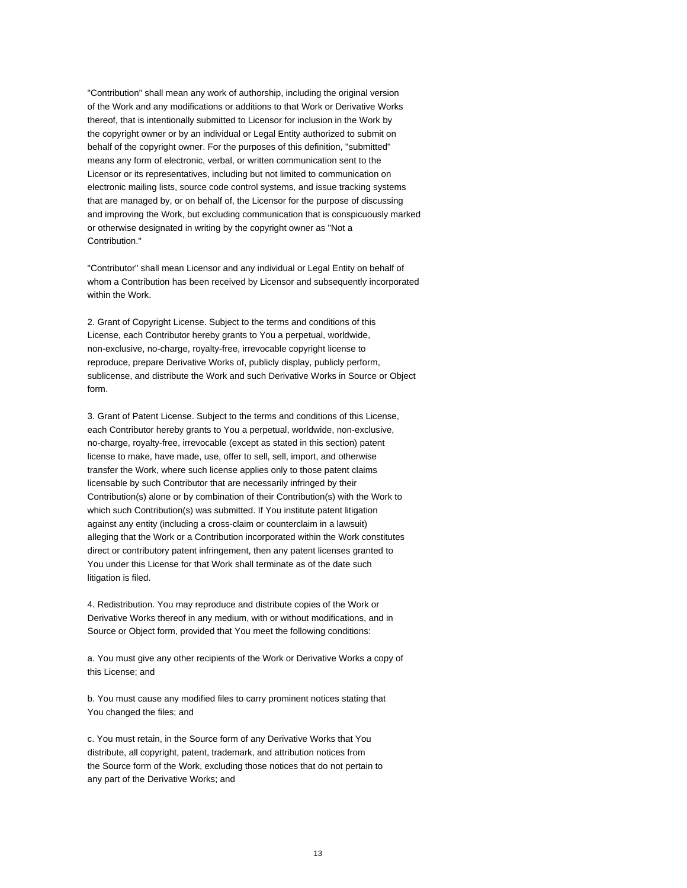"Contribution" shall mean any work of authorship, including the original version of the Work and any modifications or additions to that Work or Derivative Works thereof, that is intentionally submitted to Licensor for inclusion in the Work by the copyright owner or by an individual or Legal Entity authorized to submit on behalf of the copyright owner. For the purposes of this definition, "submitted" means any form of electronic, verbal, or written communication sent to the Licensor or its representatives, including but not limited to communication on electronic mailing lists, source code control systems, and issue tracking systems that are managed by, or on behalf of, the Licensor for the purpose of discussing and improving the Work, but excluding communication that is conspicuously marked or otherwise designated in writing by the copyright owner as "Not a Contribution."

"Contributor" shall mean Licensor and any individual or Legal Entity on behalf of whom a Contribution has been received by Licensor and subsequently incorporated within the Work.

2. Grant of Copyright License. Subject to the terms and conditions of this License, each Contributor hereby grants to You a perpetual, worldwide, non-exclusive, no-charge, royalty-free, irrevocable copyright license to reproduce, prepare Derivative Works of, publicly display, publicly perform, sublicense, and distribute the Work and such Derivative Works in Source or Object form.

3. Grant of Patent License. Subject to the terms and conditions of this License, each Contributor hereby grants to You a perpetual, worldwide, non-exclusive, no-charge, royalty-free, irrevocable (except as stated in this section) patent license to make, have made, use, offer to sell, sell, import, and otherwise transfer the Work, where such license applies only to those patent claims licensable by such Contributor that are necessarily infringed by their Contribution(s) alone or by combination of their Contribution(s) with the Work to which such Contribution(s) was submitted. If You institute patent litigation against any entity (including a cross-claim or counterclaim in a lawsuit) alleging that the Work or a Contribution incorporated within the Work constitutes direct or contributory patent infringement, then any patent licenses granted to You under this License for that Work shall terminate as of the date such litigation is filed.

4. Redistribution. You may reproduce and distribute copies of the Work or Derivative Works thereof in any medium, with or without modifications, and in Source or Object form, provided that You meet the following conditions:

a. You must give any other recipients of the Work or Derivative Works a copy of this License; and

b. You must cause any modified files to carry prominent notices stating that You changed the files; and

c. You must retain, in the Source form of any Derivative Works that You distribute, all copyright, patent, trademark, and attribution notices from the Source form of the Work, excluding those notices that do not pertain to any part of the Derivative Works; and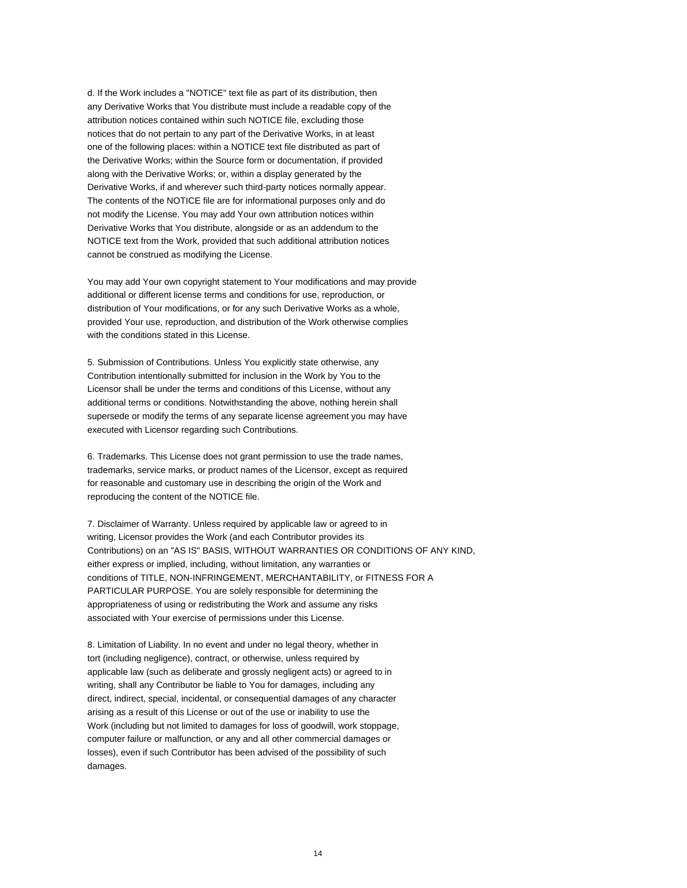d. If the Work includes a "NOTICE" text file as part of its distribution, then any Derivative Works that You distribute must include a readable copy of the attribution notices contained within such NOTICE file, excluding those notices that do not pertain to any part of the Derivative Works, in at least one of the following places: within a NOTICE text file distributed as part of the Derivative Works; within the Source form or documentation, if provided along with the Derivative Works; or, within a display generated by the Derivative Works, if and wherever such third-party notices normally appear. The contents of the NOTICE file are for informational purposes only and do not modify the License. You may add Your own attribution notices within Derivative Works that You distribute, alongside or as an addendum to the NOTICE text from the Work, provided that such additional attribution notices cannot be construed as modifying the License.

You may add Your own copyright statement to Your modifications and may provide additional or different license terms and conditions for use, reproduction, or distribution of Your modifications, or for any such Derivative Works as a whole, provided Your use, reproduction, and distribution of the Work otherwise complies with the conditions stated in this License.

5. Submission of Contributions. Unless You explicitly state otherwise, any Contribution intentionally submitted for inclusion in the Work by You to the Licensor shall be under the terms and conditions of this License, without any additional terms or conditions. Notwithstanding the above, nothing herein shall supersede or modify the terms of any separate license agreement you may have executed with Licensor regarding such Contributions.

6. Trademarks. This License does not grant permission to use the trade names, trademarks, service marks, or product names of the Licensor, except as required for reasonable and customary use in describing the origin of the Work and reproducing the content of the NOTICE file.

7. Disclaimer of Warranty. Unless required by applicable law or agreed to in writing, Licensor provides the Work (and each Contributor provides its Contributions) on an "AS IS" BASIS, WITHOUT WARRANTIES OR CONDITIONS OF ANY KIND, either express or implied, including, without limitation, any warranties or conditions of TITLE, NON-INFRINGEMENT, MERCHANTABILITY, or FITNESS FOR A PARTICULAR PURPOSE. You are solely responsible for determining the appropriateness of using or redistributing the Work and assume any risks associated with Your exercise of permissions under this License.

8. Limitation of Liability. In no event and under no legal theory, whether in tort (including negligence), contract, or otherwise, unless required by applicable law (such as deliberate and grossly negligent acts) or agreed to in writing, shall any Contributor be liable to You for damages, including any direct, indirect, special, incidental, or consequential damages of any character arising as a result of this License or out of the use or inability to use the Work (including but not limited to damages for loss of goodwill, work stoppage, computer failure or malfunction, or any and all other commercial damages or losses), even if such Contributor has been advised of the possibility of such damages.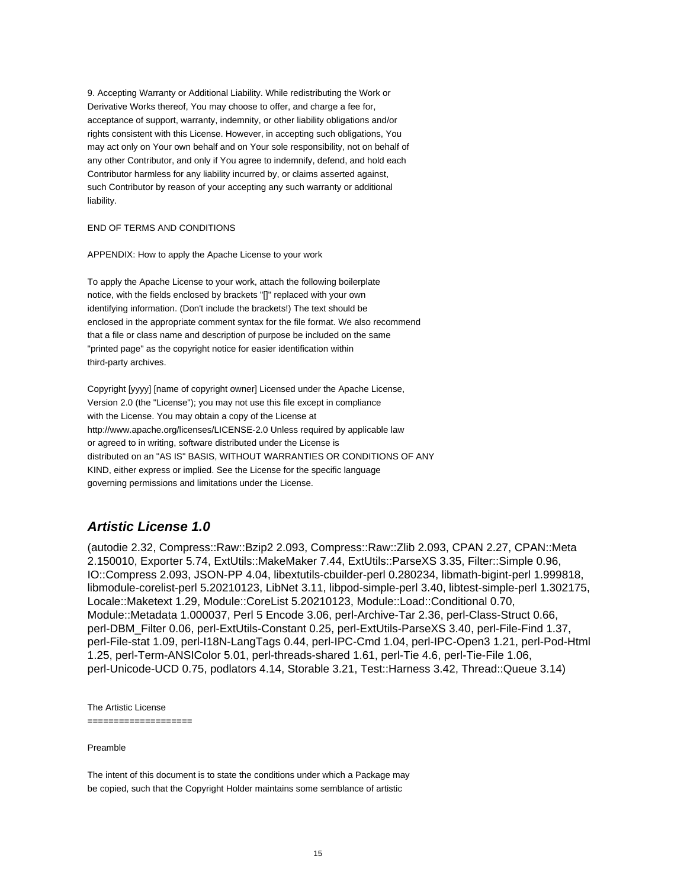9. Accepting Warranty or Additional Liability. While redistributing the Work or Derivative Works thereof, You may choose to offer, and charge a fee for, acceptance of support, warranty, indemnity, or other liability obligations and/or rights consistent with this License. However, in accepting such obligations, You may act only on Your own behalf and on Your sole responsibility, not on behalf of any other Contributor, and only if You agree to indemnify, defend, and hold each Contributor harmless for any liability incurred by, or claims asserted against, such Contributor by reason of your accepting any such warranty or additional liability.

#### END OF TERMS AND CONDITIONS

APPENDIX: How to apply the Apache License to your work

To apply the Apache License to your work, attach the following boilerplate notice, with the fields enclosed by brackets "[]" replaced with your own identifying information. (Don't include the brackets!) The text should be enclosed in the appropriate comment syntax for the file format. We also recommend that a file or class name and description of purpose be included on the same "printed page" as the copyright notice for easier identification within third-party archives.

Copyright [yyyy] [name of copyright owner] Licensed under the Apache License, Version 2.0 (the "License"); you may not use this file except in compliance with the License. You may obtain a copy of the License at http://www.apache.org/licenses/LICENSE-2.0 Unless required by applicable law or agreed to in writing, software distributed under the License is distributed on an "AS IS" BASIS, WITHOUT WARRANTIES OR CONDITIONS OF ANY KIND, either express or implied. See the License for the specific language governing permissions and limitations under the License.

### **Artistic License 1.0**

(autodie 2.32, Compress::Raw::Bzip2 2.093, Compress::Raw::Zlib 2.093, CPAN 2.27, CPAN::Meta 2.150010, Exporter 5.74, ExtUtils::MakeMaker 7.44, ExtUtils::ParseXS 3.35, Filter::Simple 0.96, IO::Compress 2.093, JSON-PP 4.04, libextutils-cbuilder-perl 0.280234, libmath-bigint-perl 1.999818, libmodule-corelist-perl 5.20210123, LibNet 3.11, libpod-simple-perl 3.40, libtest-simple-perl 1.302175, Locale::Maketext 1.29, Module::CoreList 5.20210123, Module::Load::Conditional 0.70, Module::Metadata 1.000037, Perl 5 Encode 3.06, perl-Archive-Tar 2.36, perl-Class-Struct 0.66, perl-DBM\_Filter 0.06, perl-ExtUtils-Constant 0.25, perl-ExtUtils-ParseXS 3.40, perl-File-Find 1.37, perl-File-stat 1.09, perl-I18N-LangTags 0.44, perl-IPC-Cmd 1.04, perl-IPC-Open3 1.21, perl-Pod-Html 1.25, perl-Term-ANSIColor 5.01, perl-threads-shared 1.61, perl-Tie 4.6, perl-Tie-File 1.06, perl-Unicode-UCD 0.75, podlators 4.14, Storable 3.21, Test::Harness 3.42, Thread::Queue 3.14)

The Artistic License

====================

#### Preamble

The intent of this document is to state the conditions under which a Package may be copied, such that the Copyright Holder maintains some semblance of artistic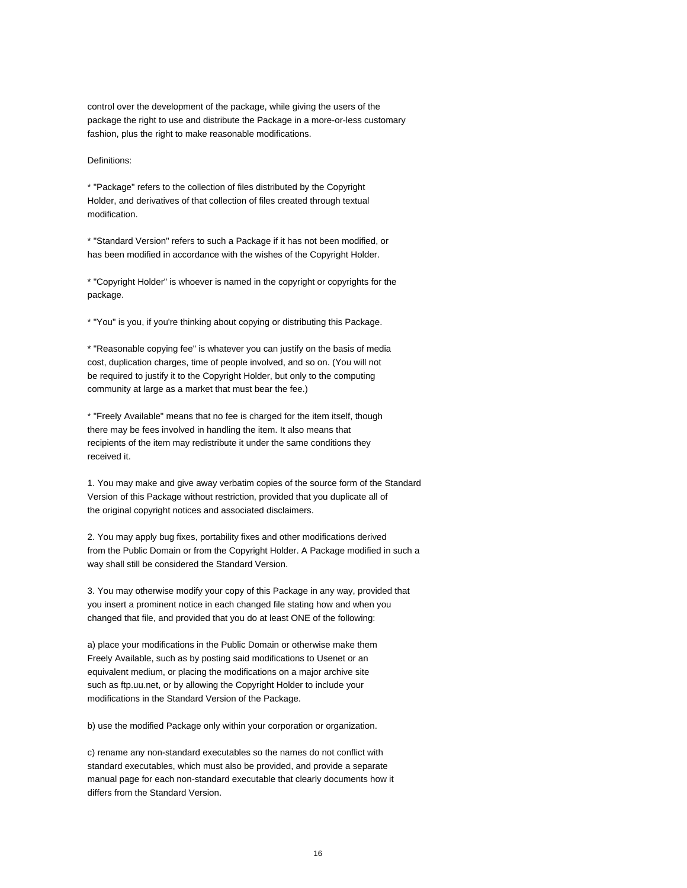control over the development of the package, while giving the users of the package the right to use and distribute the Package in a more-or-less customary fashion, plus the right to make reasonable modifications.

Definitions:

\* "Package" refers to the collection of files distributed by the Copyright Holder, and derivatives of that collection of files created through textual modification.

\* "Standard Version" refers to such a Package if it has not been modified, or has been modified in accordance with the wishes of the Copyright Holder.

\* "Copyright Holder" is whoever is named in the copyright or copyrights for the package.

\* "You" is you, if you're thinking about copying or distributing this Package.

\* "Reasonable copying fee" is whatever you can justify on the basis of media cost, duplication charges, time of people involved, and so on. (You will not be required to justify it to the Copyright Holder, but only to the computing community at large as a market that must bear the fee.)

\* "Freely Available" means that no fee is charged for the item itself, though there may be fees involved in handling the item. It also means that recipients of the item may redistribute it under the same conditions they received it.

1. You may make and give away verbatim copies of the source form of the Standard Version of this Package without restriction, provided that you duplicate all of the original copyright notices and associated disclaimers.

2. You may apply bug fixes, portability fixes and other modifications derived from the Public Domain or from the Copyright Holder. A Package modified in such a way shall still be considered the Standard Version.

3. You may otherwise modify your copy of this Package in any way, provided that you insert a prominent notice in each changed file stating how and when you changed that file, and provided that you do at least ONE of the following:

a) place your modifications in the Public Domain or otherwise make them Freely Available, such as by posting said modifications to Usenet or an equivalent medium, or placing the modifications on a major archive site such as ftp.uu.net, or by allowing the Copyright Holder to include your modifications in the Standard Version of the Package.

b) use the modified Package only within your corporation or organization.

c) rename any non-standard executables so the names do not conflict with standard executables, which must also be provided, and provide a separate manual page for each non-standard executable that clearly documents how it differs from the Standard Version.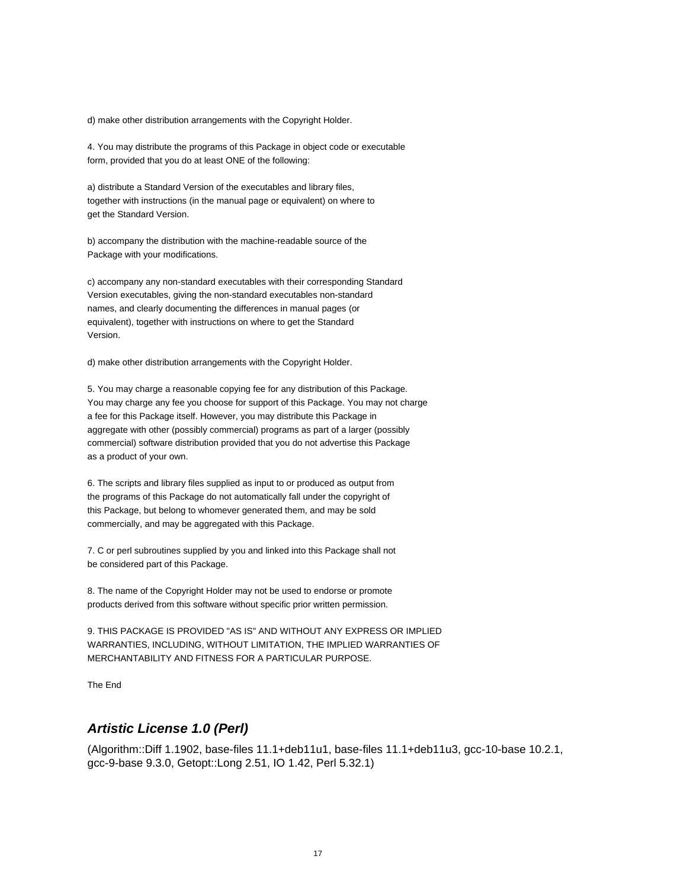d) make other distribution arrangements with the Copyright Holder.

4. You may distribute the programs of this Package in object code or executable form, provided that you do at least ONE of the following:

a) distribute a Standard Version of the executables and library files, together with instructions (in the manual page or equivalent) on where to get the Standard Version.

b) accompany the distribution with the machine-readable source of the Package with your modifications.

c) accompany any non-standard executables with their corresponding Standard Version executables, giving the non-standard executables non-standard names, and clearly documenting the differences in manual pages (or equivalent), together with instructions on where to get the Standard Version.

d) make other distribution arrangements with the Copyright Holder.

5. You may charge a reasonable copying fee for any distribution of this Package. You may charge any fee you choose for support of this Package. You may not charge a fee for this Package itself. However, you may distribute this Package in aggregate with other (possibly commercial) programs as part of a larger (possibly commercial) software distribution provided that you do not advertise this Package as a product of your own.

6. The scripts and library files supplied as input to or produced as output from the programs of this Package do not automatically fall under the copyright of this Package, but belong to whomever generated them, and may be sold commercially, and may be aggregated with this Package.

7. C or perl subroutines supplied by you and linked into this Package shall not be considered part of this Package.

8. The name of the Copyright Holder may not be used to endorse or promote products derived from this software without specific prior written permission.

9. THIS PACKAGE IS PROVIDED "AS IS" AND WITHOUT ANY EXPRESS OR IMPLIED WARRANTIES, INCLUDING, WITHOUT LIMITATION, THE IMPLIED WARRANTIES OF MERCHANTABILITY AND FITNESS FOR A PARTICULAR PURPOSE.

The End

### **Artistic License 1.0 (Perl)**

(Algorithm::Diff 1.1902, base-files 11.1+deb11u1, base-files 11.1+deb11u3, gcc-10-base 10.2.1, gcc-9-base 9.3.0, Getopt::Long 2.51, IO 1.42, Perl 5.32.1)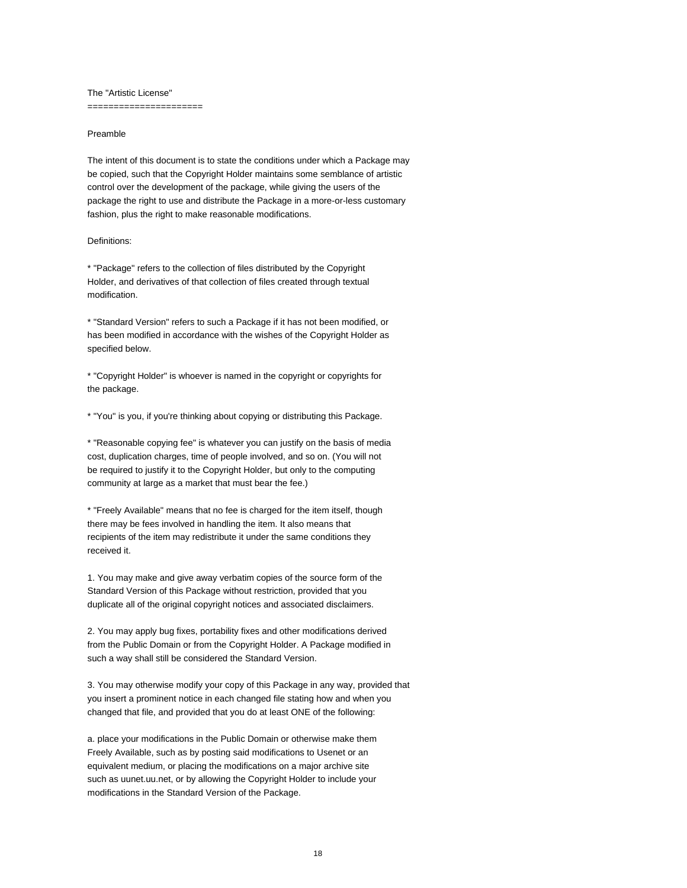#### The "Artistic License"

======================

#### Preamble

The intent of this document is to state the conditions under which a Package may be copied, such that the Copyright Holder maintains some semblance of artistic control over the development of the package, while giving the users of the package the right to use and distribute the Package in a more-or-less customary fashion, plus the right to make reasonable modifications.

#### Definitions:

\* "Package" refers to the collection of files distributed by the Copyright Holder, and derivatives of that collection of files created through textual modification.

\* "Standard Version" refers to such a Package if it has not been modified, or has been modified in accordance with the wishes of the Copyright Holder as specified below.

\* "Copyright Holder" is whoever is named in the copyright or copyrights for the package.

\* "You" is you, if you're thinking about copying or distributing this Package.

\* "Reasonable copying fee" is whatever you can justify on the basis of media cost, duplication charges, time of people involved, and so on. (You will not be required to justify it to the Copyright Holder, but only to the computing community at large as a market that must bear the fee.)

\* "Freely Available" means that no fee is charged for the item itself, though there may be fees involved in handling the item. It also means that recipients of the item may redistribute it under the same conditions they received it.

1. You may make and give away verbatim copies of the source form of the Standard Version of this Package without restriction, provided that you duplicate all of the original copyright notices and associated disclaimers.

2. You may apply bug fixes, portability fixes and other modifications derived from the Public Domain or from the Copyright Holder. A Package modified in such a way shall still be considered the Standard Version.

3. You may otherwise modify your copy of this Package in any way, provided that you insert a prominent notice in each changed file stating how and when you changed that file, and provided that you do at least ONE of the following:

a. place your modifications in the Public Domain or otherwise make them Freely Available, such as by posting said modifications to Usenet or an equivalent medium, or placing the modifications on a major archive site such as uunet.uu.net, or by allowing the Copyright Holder to include your modifications in the Standard Version of the Package.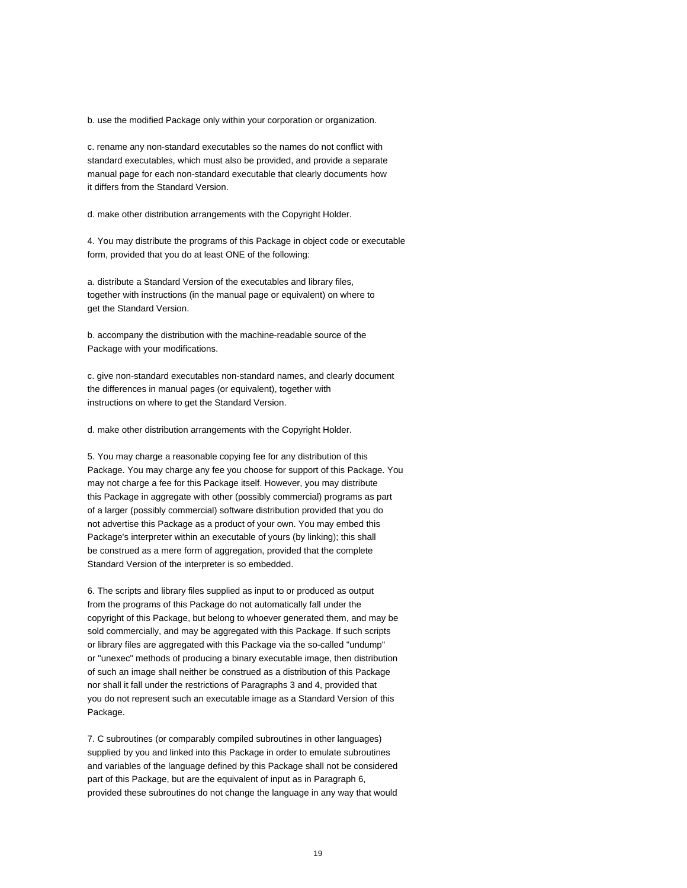b. use the modified Package only within your corporation or organization.

c. rename any non-standard executables so the names do not conflict with standard executables, which must also be provided, and provide a separate manual page for each non-standard executable that clearly documents how it differs from the Standard Version.

d. make other distribution arrangements with the Copyright Holder.

4. You may distribute the programs of this Package in object code or executable form, provided that you do at least ONE of the following:

a. distribute a Standard Version of the executables and library files, together with instructions (in the manual page or equivalent) on where to get the Standard Version.

b. accompany the distribution with the machine-readable source of the Package with your modifications.

c. give non-standard executables non-standard names, and clearly document the differences in manual pages (or equivalent), together with instructions on where to get the Standard Version.

d. make other distribution arrangements with the Copyright Holder.

5. You may charge a reasonable copying fee for any distribution of this Package. You may charge any fee you choose for support of this Package. You may not charge a fee for this Package itself. However, you may distribute this Package in aggregate with other (possibly commercial) programs as part of a larger (possibly commercial) software distribution provided that you do not advertise this Package as a product of your own. You may embed this Package's interpreter within an executable of yours (by linking); this shall be construed as a mere form of aggregation, provided that the complete Standard Version of the interpreter is so embedded.

6. The scripts and library files supplied as input to or produced as output from the programs of this Package do not automatically fall under the copyright of this Package, but belong to whoever generated them, and may be sold commercially, and may be aggregated with this Package. If such scripts or library files are aggregated with this Package via the so-called "undump" or "unexec" methods of producing a binary executable image, then distribution of such an image shall neither be construed as a distribution of this Package nor shall it fall under the restrictions of Paragraphs 3 and 4, provided that you do not represent such an executable image as a Standard Version of this Package.

7. C subroutines (or comparably compiled subroutines in other languages) supplied by you and linked into this Package in order to emulate subroutines and variables of the language defined by this Package shall not be considered part of this Package, but are the equivalent of input as in Paragraph 6, provided these subroutines do not change the language in any way that would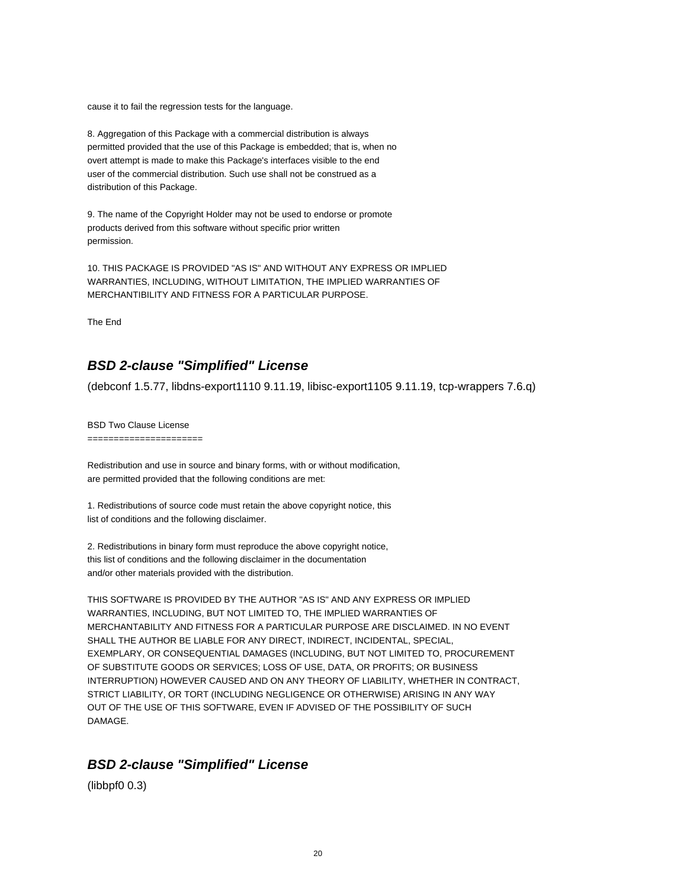cause it to fail the regression tests for the language.

8. Aggregation of this Package with a commercial distribution is always permitted provided that the use of this Package is embedded; that is, when no overt attempt is made to make this Package's interfaces visible to the end user of the commercial distribution. Such use shall not be construed as a distribution of this Package.

9. The name of the Copyright Holder may not be used to endorse or promote products derived from this software without specific prior written permission.

10. THIS PACKAGE IS PROVIDED "AS IS" AND WITHOUT ANY EXPRESS OR IMPLIED WARRANTIES, INCLUDING, WITHOUT LIMITATION, THE IMPLIED WARRANTIES OF MERCHANTIBILITY AND FITNESS FOR A PARTICULAR PURPOSE.

The End

# **BSD 2-clause "Simplified" License**

(debconf 1.5.77, libdns-export1110 9.11.19, libisc-export1105 9.11.19, tcp-wrappers 7.6.q)

BSD Two Clause License

======================

Redistribution and use in source and binary forms, with or without modification, are permitted provided that the following conditions are met:

1. Redistributions of source code must retain the above copyright notice, this list of conditions and the following disclaimer.

2. Redistributions in binary form must reproduce the above copyright notice, this list of conditions and the following disclaimer in the documentation and/or other materials provided with the distribution.

THIS SOFTWARE IS PROVIDED BY THE AUTHOR "AS IS" AND ANY EXPRESS OR IMPLIED WARRANTIES, INCLUDING, BUT NOT LIMITED TO, THE IMPLIED WARRANTIES OF MERCHANTABILITY AND FITNESS FOR A PARTICULAR PURPOSE ARE DISCLAIMED. IN NO EVENT SHALL THE AUTHOR BE LIABLE FOR ANY DIRECT, INDIRECT, INCIDENTAL, SPECIAL, EXEMPLARY, OR CONSEQUENTIAL DAMAGES (INCLUDING, BUT NOT LIMITED TO, PROCUREMENT OF SUBSTITUTE GOODS OR SERVICES; LOSS OF USE, DATA, OR PROFITS; OR BUSINESS INTERRUPTION) HOWEVER CAUSED AND ON ANY THEORY OF LIABILITY, WHETHER IN CONTRACT, STRICT LIABILITY, OR TORT (INCLUDING NEGLIGENCE OR OTHERWISE) ARISING IN ANY WAY OUT OF THE USE OF THIS SOFTWARE, EVEN IF ADVISED OF THE POSSIBILITY OF SUCH DAMAGE.

### **BSD 2-clause "Simplified" License**

(libbpf0 0.3)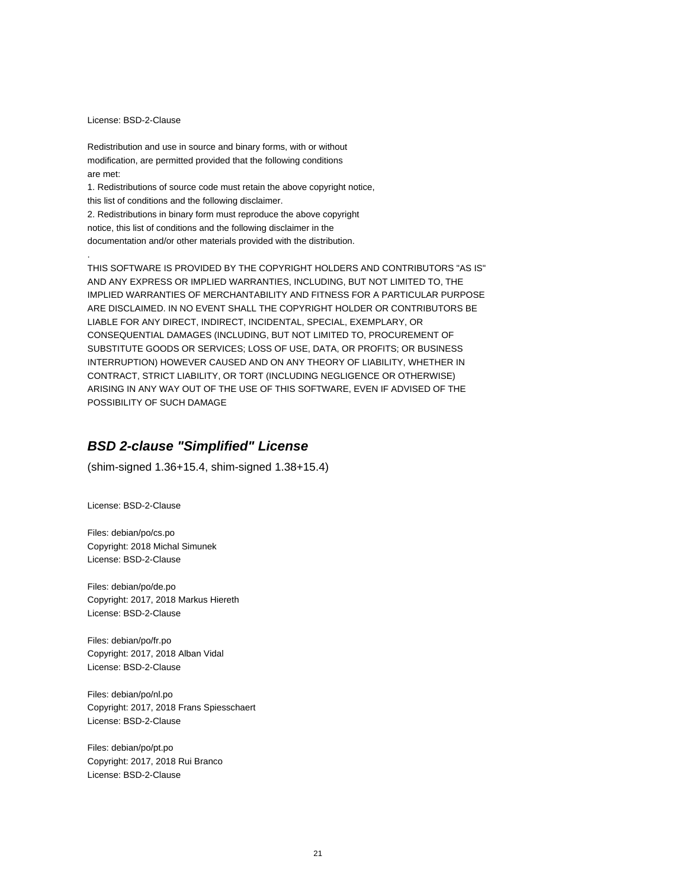License: BSD-2-Clause

.

Redistribution and use in source and binary forms, with or without modification, are permitted provided that the following conditions are met:

1. Redistributions of source code must retain the above copyright notice, this list of conditions and the following disclaimer. 2. Redistributions in binary form must reproduce the above copyright notice, this list of conditions and the following disclaimer in the

documentation and/or other materials provided with the distribution.

THIS SOFTWARE IS PROVIDED BY THE COPYRIGHT HOLDERS AND CONTRIBUTORS "AS IS" AND ANY EXPRESS OR IMPLIED WARRANTIES, INCLUDING, BUT NOT LIMITED TO, THE IMPLIED WARRANTIES OF MERCHANTABILITY AND FITNESS FOR A PARTICULAR PURPOSE ARE DISCLAIMED. IN NO EVENT SHALL THE COPYRIGHT HOLDER OR CONTRIBUTORS BE LIABLE FOR ANY DIRECT, INDIRECT, INCIDENTAL, SPECIAL, EXEMPLARY, OR CONSEQUENTIAL DAMAGES (INCLUDING, BUT NOT LIMITED TO, PROCUREMENT OF SUBSTITUTE GOODS OR SERVICES; LOSS OF USE, DATA, OR PROFITS; OR BUSINESS INTERRUPTION) HOWEVER CAUSED AND ON ANY THEORY OF LIABILITY, WHETHER IN CONTRACT, STRICT LIABILITY, OR TORT (INCLUDING NEGLIGENCE OR OTHERWISE) ARISING IN ANY WAY OUT OF THE USE OF THIS SOFTWARE, EVEN IF ADVISED OF THE POSSIBILITY OF SUCH DAMAGE

### **BSD 2-clause "Simplified" License**

(shim-signed 1.36+15.4, shim-signed 1.38+15.4)

License: BSD-2-Clause

Files: debian/po/cs.po Copyright: 2018 Michal Simunek License: BSD-2-Clause

Files: debian/po/de.po Copyright: 2017, 2018 Markus Hiereth License: BSD-2-Clause

Files: debian/po/fr.po Copyright: 2017, 2018 Alban Vidal License: BSD-2-Clause

Files: debian/po/nl.po Copyright: 2017, 2018 Frans Spiesschaert License: BSD-2-Clause

Files: debian/po/pt.po Copyright: 2017, 2018 Rui Branco License: BSD-2-Clause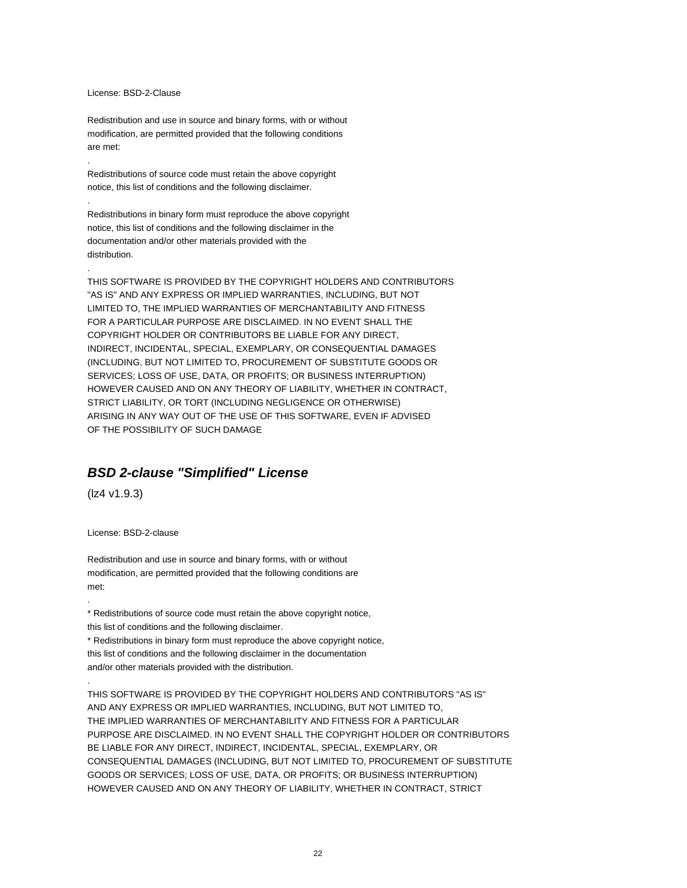License: BSD-2-Clause

.

.

.

Redistribution and use in source and binary forms, with or without modification, are permitted provided that the following conditions are met:

Redistributions of source code must retain the above copyright notice, this list of conditions and the following disclaimer.

Redistributions in binary form must reproduce the above copyright notice, this list of conditions and the following disclaimer in the documentation and/or other materials provided with the distribution.

THIS SOFTWARE IS PROVIDED BY THE COPYRIGHT HOLDERS AND CONTRIBUTORS "AS IS" AND ANY EXPRESS OR IMPLIED WARRANTIES, INCLUDING, BUT NOT LIMITED TO, THE IMPLIED WARRANTIES OF MERCHANTABILITY AND FITNESS FOR A PARTICULAR PURPOSE ARE DISCLAIMED. IN NO EVENT SHALL THE COPYRIGHT HOLDER OR CONTRIBUTORS BE LIABLE FOR ANY DIRECT, INDIRECT, INCIDENTAL, SPECIAL, EXEMPLARY, OR CONSEQUENTIAL DAMAGES (INCLUDING, BUT NOT LIMITED TO, PROCUREMENT OF SUBSTITUTE GOODS OR SERVICES; LOSS OF USE, DATA, OR PROFITS; OR BUSINESS INTERRUPTION) HOWEVER CAUSED AND ON ANY THEORY OF LIABILITY, WHETHER IN CONTRACT, STRICT LIABILITY, OR TORT (INCLUDING NEGLIGENCE OR OTHERWISE) ARISING IN ANY WAY OUT OF THE USE OF THIS SOFTWARE, EVEN IF ADVISED OF THE POSSIBILITY OF SUCH DAMAGE

### **BSD 2-clause "Simplified" License**

(lz4 v1.9.3)

.

.

License: BSD-2-clause

Redistribution and use in source and binary forms, with or without modification, are permitted provided that the following conditions are met:

\* Redistributions of source code must retain the above copyright notice, this list of conditions and the following disclaimer.

\* Redistributions in binary form must reproduce the above copyright notice, this list of conditions and the following disclaimer in the documentation and/or other materials provided with the distribution.

THIS SOFTWARE IS PROVIDED BY THE COPYRIGHT HOLDERS AND CONTRIBUTORS "AS IS" AND ANY EXPRESS OR IMPLIED WARRANTIES, INCLUDING, BUT NOT LIMITED TO, THE IMPLIED WARRANTIES OF MERCHANTABILITY AND FITNESS FOR A PARTICULAR PURPOSE ARE DISCLAIMED. IN NO EVENT SHALL THE COPYRIGHT HOLDER OR CONTRIBUTORS BE LIABLE FOR ANY DIRECT, INDIRECT, INCIDENTAL, SPECIAL, EXEMPLARY, OR CONSEQUENTIAL DAMAGES (INCLUDING, BUT NOT LIMITED TO, PROCUREMENT OF SUBSTITUTE GOODS OR SERVICES; LOSS OF USE, DATA, OR PROFITS; OR BUSINESS INTERRUPTION) HOWEVER CAUSED AND ON ANY THEORY OF LIABILITY, WHETHER IN CONTRACT, STRICT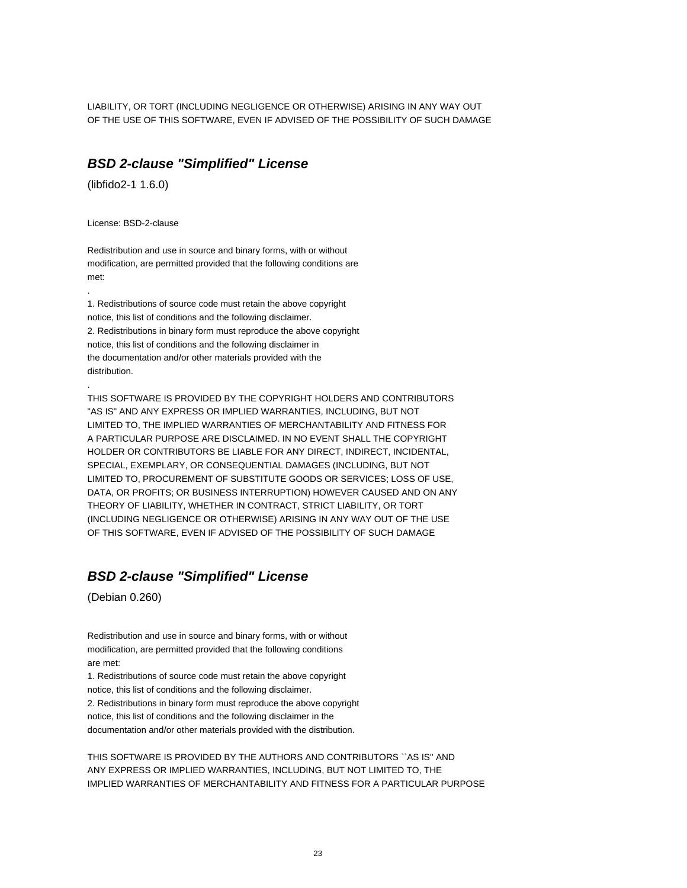LIABILITY, OR TORT (INCLUDING NEGLIGENCE OR OTHERWISE) ARISING IN ANY WAY OUT OF THE USE OF THIS SOFTWARE, EVEN IF ADVISED OF THE POSSIBILITY OF SUCH DAMAGE

### **BSD 2-clause "Simplified" License**

(libfido2-1 1.6.0)

License: BSD-2-clause

.

.

Redistribution and use in source and binary forms, with or without modification, are permitted provided that the following conditions are met:

1. Redistributions of source code must retain the above copyright notice, this list of conditions and the following disclaimer. 2. Redistributions in binary form must reproduce the above copyright notice, this list of conditions and the following disclaimer in the documentation and/or other materials provided with the distribution.

THIS SOFTWARE IS PROVIDED BY THE COPYRIGHT HOLDERS AND CONTRIBUTORS "AS IS" AND ANY EXPRESS OR IMPLIED WARRANTIES, INCLUDING, BUT NOT LIMITED TO, THE IMPLIED WARRANTIES OF MERCHANTABILITY AND FITNESS FOR A PARTICULAR PURPOSE ARE DISCLAIMED. IN NO EVENT SHALL THE COPYRIGHT HOLDER OR CONTRIBUTORS BE LIABLE FOR ANY DIRECT, INDIRECT, INCIDENTAL, SPECIAL, EXEMPLARY, OR CONSEQUENTIAL DAMAGES (INCLUDING, BUT NOT LIMITED TO, PROCUREMENT OF SUBSTITUTE GOODS OR SERVICES; LOSS OF USE, DATA, OR PROFITS; OR BUSINESS INTERRUPTION) HOWEVER CAUSED AND ON ANY THEORY OF LIABILITY, WHETHER IN CONTRACT, STRICT LIABILITY, OR TORT (INCLUDING NEGLIGENCE OR OTHERWISE) ARISING IN ANY WAY OUT OF THE USE OF THIS SOFTWARE, EVEN IF ADVISED OF THE POSSIBILITY OF SUCH DAMAGE

### **BSD 2-clause "Simplified" License**

(Debian 0.260)

Redistribution and use in source and binary forms, with or without modification, are permitted provided that the following conditions are met:

1. Redistributions of source code must retain the above copyright notice, this list of conditions and the following disclaimer. 2. Redistributions in binary form must reproduce the above copyright notice, this list of conditions and the following disclaimer in the

documentation and/or other materials provided with the distribution.

THIS SOFTWARE IS PROVIDED BY THE AUTHORS AND CONTRIBUTORS ``AS IS'' AND ANY EXPRESS OR IMPLIED WARRANTIES, INCLUDING, BUT NOT LIMITED TO, THE IMPLIED WARRANTIES OF MERCHANTABILITY AND FITNESS FOR A PARTICULAR PURPOSE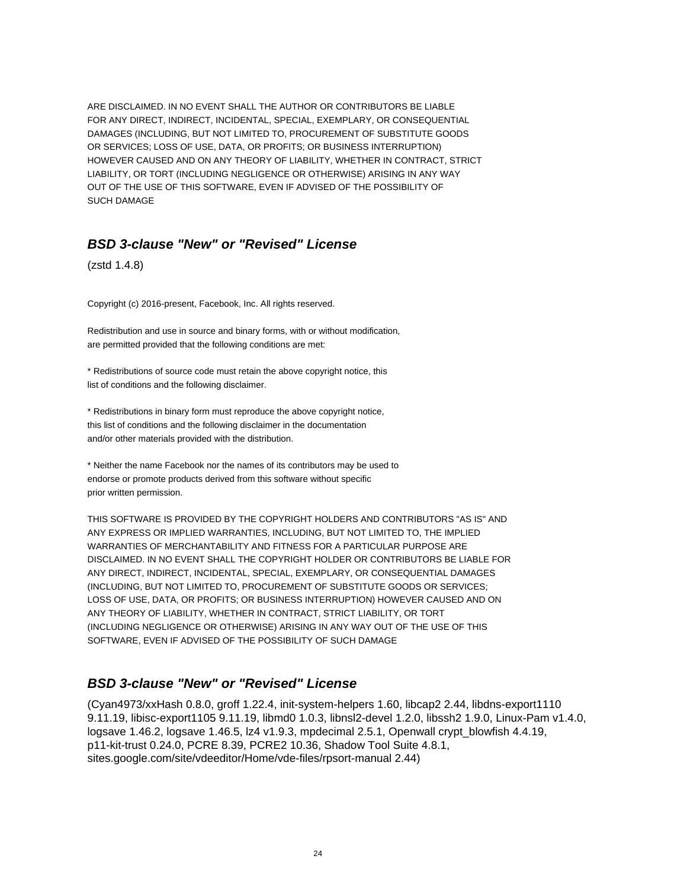ARE DISCLAIMED. IN NO EVENT SHALL THE AUTHOR OR CONTRIBUTORS BE LIABLE FOR ANY DIRECT, INDIRECT, INCIDENTAL, SPECIAL, EXEMPLARY, OR CONSEQUENTIAL DAMAGES (INCLUDING, BUT NOT LIMITED TO, PROCUREMENT OF SUBSTITUTE GOODS OR SERVICES; LOSS OF USE, DATA, OR PROFITS; OR BUSINESS INTERRUPTION) HOWEVER CAUSED AND ON ANY THEORY OF LIABILITY, WHETHER IN CONTRACT, STRICT LIABILITY, OR TORT (INCLUDING NEGLIGENCE OR OTHERWISE) ARISING IN ANY WAY OUT OF THE USE OF THIS SOFTWARE, EVEN IF ADVISED OF THE POSSIBILITY OF SUCH DAMAGE

### **BSD 3-clause "New" or "Revised" License**

(zstd 1.4.8)

Copyright (c) 2016-present, Facebook, Inc. All rights reserved.

Redistribution and use in source and binary forms, with or without modification, are permitted provided that the following conditions are met:

\* Redistributions of source code must retain the above copyright notice, this list of conditions and the following disclaimer.

\* Redistributions in binary form must reproduce the above copyright notice, this list of conditions and the following disclaimer in the documentation and/or other materials provided with the distribution.

\* Neither the name Facebook nor the names of its contributors may be used to endorse or promote products derived from this software without specific prior written permission.

THIS SOFTWARE IS PROVIDED BY THE COPYRIGHT HOLDERS AND CONTRIBUTORS "AS IS" AND ANY EXPRESS OR IMPLIED WARRANTIES, INCLUDING, BUT NOT LIMITED TO, THE IMPLIED WARRANTIES OF MERCHANTABILITY AND FITNESS FOR A PARTICULAR PURPOSE ARE DISCLAIMED. IN NO EVENT SHALL THE COPYRIGHT HOLDER OR CONTRIBUTORS BE LIABLE FOR ANY DIRECT, INDIRECT, INCIDENTAL, SPECIAL, EXEMPLARY, OR CONSEQUENTIAL DAMAGES (INCLUDING, BUT NOT LIMITED TO, PROCUREMENT OF SUBSTITUTE GOODS OR SERVICES; LOSS OF USE, DATA, OR PROFITS; OR BUSINESS INTERRUPTION) HOWEVER CAUSED AND ON ANY THEORY OF LIABILITY, WHETHER IN CONTRACT, STRICT LIABILITY, OR TORT (INCLUDING NEGLIGENCE OR OTHERWISE) ARISING IN ANY WAY OUT OF THE USE OF THIS SOFTWARE, EVEN IF ADVISED OF THE POSSIBILITY OF SUCH DAMAGE

### **BSD 3-clause "New" or "Revised" License**

(Cyan4973/xxHash 0.8.0, groff 1.22.4, init-system-helpers 1.60, libcap2 2.44, libdns-export1110 9.11.19, libisc-export1105 9.11.19, libmd0 1.0.3, libnsl2-devel 1.2.0, libssh2 1.9.0, Linux-Pam v1.4.0, logsave 1.46.2, logsave 1.46.5, lz4 v1.9.3, mpdecimal 2.5.1, Openwall crypt\_blowfish 4.4.19, p11-kit-trust 0.24.0, PCRE 8.39, PCRE2 10.36, Shadow Tool Suite 4.8.1, sites.google.com/site/vdeeditor/Home/vde-files/rpsort-manual 2.44)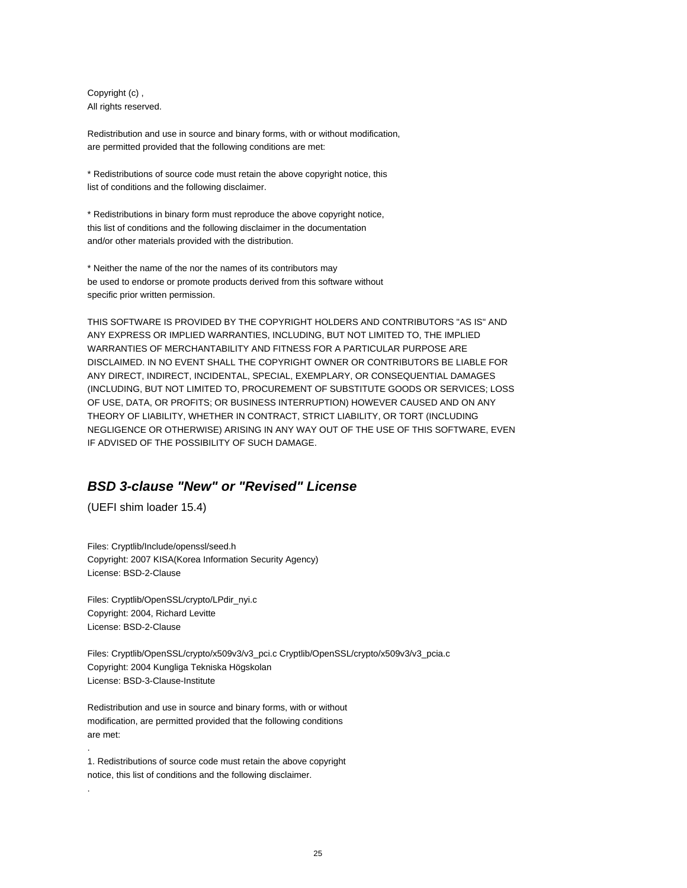Copyright (c) , All rights reserved.

Redistribution and use in source and binary forms, with or without modification, are permitted provided that the following conditions are met:

\* Redistributions of source code must retain the above copyright notice, this list of conditions and the following disclaimer.

\* Redistributions in binary form must reproduce the above copyright notice, this list of conditions and the following disclaimer in the documentation and/or other materials provided with the distribution.

\* Neither the name of the nor the names of its contributors may be used to endorse or promote products derived from this software without specific prior written permission.

THIS SOFTWARE IS PROVIDED BY THE COPYRIGHT HOLDERS AND CONTRIBUTORS "AS IS" AND ANY EXPRESS OR IMPLIED WARRANTIES, INCLUDING, BUT NOT LIMITED TO, THE IMPLIED WARRANTIES OF MERCHANTABILITY AND FITNESS FOR A PARTICULAR PURPOSE ARE DISCLAIMED. IN NO EVENT SHALL THE COPYRIGHT OWNER OR CONTRIBUTORS BE LIABLE FOR ANY DIRECT, INDIRECT, INCIDENTAL, SPECIAL, EXEMPLARY, OR CONSEQUENTIAL DAMAGES (INCLUDING, BUT NOT LIMITED TO, PROCUREMENT OF SUBSTITUTE GOODS OR SERVICES; LOSS OF USE, DATA, OR PROFITS; OR BUSINESS INTERRUPTION) HOWEVER CAUSED AND ON ANY THEORY OF LIABILITY, WHETHER IN CONTRACT, STRICT LIABILITY, OR TORT (INCLUDING NEGLIGENCE OR OTHERWISE) ARISING IN ANY WAY OUT OF THE USE OF THIS SOFTWARE, EVEN IF ADVISED OF THE POSSIBILITY OF SUCH DAMAGE.

### **BSD 3-clause "New" or "Revised" License**

(UEFI shim loader 15.4)

.

.

Files: Cryptlib/Include/openssl/seed.h Copyright: 2007 KISA(Korea Information Security Agency) License: BSD-2-Clause

Files: Cryptlib/OpenSSL/crypto/LPdir\_nyi.c Copyright: 2004, Richard Levitte License: BSD-2-Clause

Files: Cryptlib/OpenSSL/crypto/x509v3/v3\_pci.c Cryptlib/OpenSSL/crypto/x509v3/v3\_pcia.c Copyright: 2004 Kungliga Tekniska Högskolan License: BSD-3-Clause-Institute

Redistribution and use in source and binary forms, with or without modification, are permitted provided that the following conditions are met:

1. Redistributions of source code must retain the above copyright notice, this list of conditions and the following disclaimer.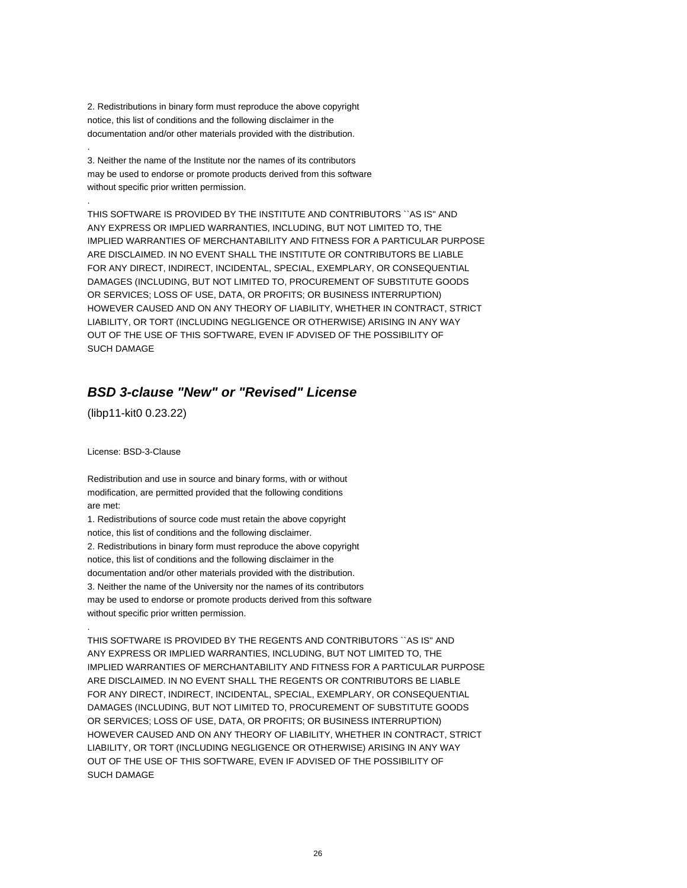2. Redistributions in binary form must reproduce the above copyright notice, this list of conditions and the following disclaimer in the documentation and/or other materials provided with the distribution.

3. Neither the name of the Institute nor the names of its contributors may be used to endorse or promote products derived from this software without specific prior written permission.

THIS SOFTWARE IS PROVIDED BY THE INSTITUTE AND CONTRIBUTORS ``AS IS'' AND ANY EXPRESS OR IMPLIED WARRANTIES, INCLUDING, BUT NOT LIMITED TO, THE IMPLIED WARRANTIES OF MERCHANTABILITY AND FITNESS FOR A PARTICULAR PURPOSE ARE DISCLAIMED. IN NO EVENT SHALL THE INSTITUTE OR CONTRIBUTORS BE LIABLE FOR ANY DIRECT, INDIRECT, INCIDENTAL, SPECIAL, EXEMPLARY, OR CONSEQUENTIAL DAMAGES (INCLUDING, BUT NOT LIMITED TO, PROCUREMENT OF SUBSTITUTE GOODS OR SERVICES; LOSS OF USE, DATA, OR PROFITS; OR BUSINESS INTERRUPTION) HOWEVER CAUSED AND ON ANY THEORY OF LIABILITY, WHETHER IN CONTRACT, STRICT LIABILITY, OR TORT (INCLUDING NEGLIGENCE OR OTHERWISE) ARISING IN ANY WAY OUT OF THE USE OF THIS SOFTWARE, EVEN IF ADVISED OF THE POSSIBILITY OF SUCH DAMAGE

### **BSD 3-clause "New" or "Revised" License**

(libp11-kit0 0.23.22)

.

.

License: BSD-3-Clause

.

Redistribution and use in source and binary forms, with or without modification, are permitted provided that the following conditions are met:

1. Redistributions of source code must retain the above copyright notice, this list of conditions and the following disclaimer. 2. Redistributions in binary form must reproduce the above copyright notice, this list of conditions and the following disclaimer in the documentation and/or other materials provided with the distribution. 3. Neither the name of the University nor the names of its contributors may be used to endorse or promote products derived from this software without specific prior written permission.

THIS SOFTWARE IS PROVIDED BY THE REGENTS AND CONTRIBUTORS ``AS IS'' AND ANY EXPRESS OR IMPLIED WARRANTIES, INCLUDING, BUT NOT LIMITED TO, THE IMPLIED WARRANTIES OF MERCHANTABILITY AND FITNESS FOR A PARTICULAR PURPOSE ARE DISCLAIMED. IN NO EVENT SHALL THE REGENTS OR CONTRIBUTORS BE LIABLE FOR ANY DIRECT, INDIRECT, INCIDENTAL, SPECIAL, EXEMPLARY, OR CONSEQUENTIAL DAMAGES (INCLUDING, BUT NOT LIMITED TO, PROCUREMENT OF SUBSTITUTE GOODS OR SERVICES; LOSS OF USE, DATA, OR PROFITS; OR BUSINESS INTERRUPTION) HOWEVER CAUSED AND ON ANY THEORY OF LIABILITY, WHETHER IN CONTRACT, STRICT LIABILITY, OR TORT (INCLUDING NEGLIGENCE OR OTHERWISE) ARISING IN ANY WAY OUT OF THE USE OF THIS SOFTWARE, EVEN IF ADVISED OF THE POSSIBILITY OF SUCH DAMAGE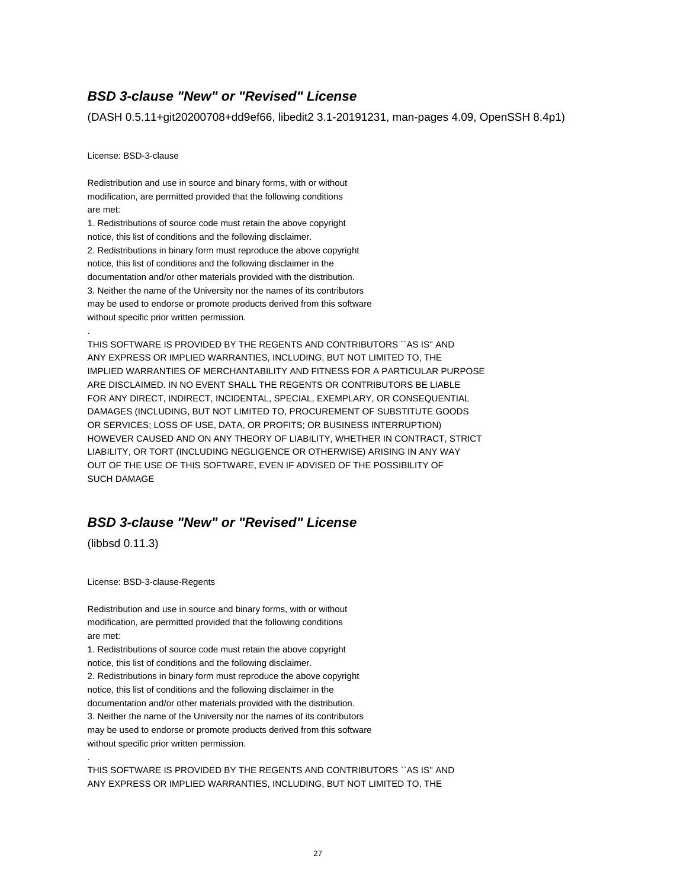# **BSD 3-clause "New" or "Revised" License**

(DASH 0.5.11+git20200708+dd9ef66, libedit2 3.1-20191231, man-pages 4.09, OpenSSH 8.4p1)

License: BSD-3-clause

Redistribution and use in source and binary forms, with or without modification, are permitted provided that the following conditions are met:

1. Redistributions of source code must retain the above copyright notice, this list of conditions and the following disclaimer. 2. Redistributions in binary form must reproduce the above copyright notice, this list of conditions and the following disclaimer in the documentation and/or other materials provided with the distribution. 3. Neither the name of the University nor the names of its contributors may be used to endorse or promote products derived from this software without specific prior written permission.

THIS SOFTWARE IS PROVIDED BY THE REGENTS AND CONTRIBUTORS ``AS IS'' AND ANY EXPRESS OR IMPLIED WARRANTIES, INCLUDING, BUT NOT LIMITED TO, THE IMPLIED WARRANTIES OF MERCHANTABILITY AND FITNESS FOR A PARTICULAR PURPOSE ARE DISCLAIMED. IN NO EVENT SHALL THE REGENTS OR CONTRIBUTORS BE LIABLE FOR ANY DIRECT, INDIRECT, INCIDENTAL, SPECIAL, EXEMPLARY, OR CONSEQUENTIAL DAMAGES (INCLUDING, BUT NOT LIMITED TO, PROCUREMENT OF SUBSTITUTE GOODS OR SERVICES; LOSS OF USE, DATA, OR PROFITS; OR BUSINESS INTERRUPTION) HOWEVER CAUSED AND ON ANY THEORY OF LIABILITY, WHETHER IN CONTRACT, STRICT LIABILITY, OR TORT (INCLUDING NEGLIGENCE OR OTHERWISE) ARISING IN ANY WAY OUT OF THE USE OF THIS SOFTWARE, EVEN IF ADVISED OF THE POSSIBILITY OF SUCH DAMAGE

# **BSD 3-clause "New" or "Revised" License**

(libbsd 0.11.3)

.

.

License: BSD-3-clause-Regents

Redistribution and use in source and binary forms, with or without modification, are permitted provided that the following conditions are met:

1. Redistributions of source code must retain the above copyright notice, this list of conditions and the following disclaimer. 2. Redistributions in binary form must reproduce the above copyright notice, this list of conditions and the following disclaimer in the documentation and/or other materials provided with the distribution. 3. Neither the name of the University nor the names of its contributors may be used to endorse or promote products derived from this software without specific prior written permission.

THIS SOFTWARE IS PROVIDED BY THE REGENTS AND CONTRIBUTORS ``AS IS'' AND ANY EXPRESS OR IMPLIED WARRANTIES, INCLUDING, BUT NOT LIMITED TO, THE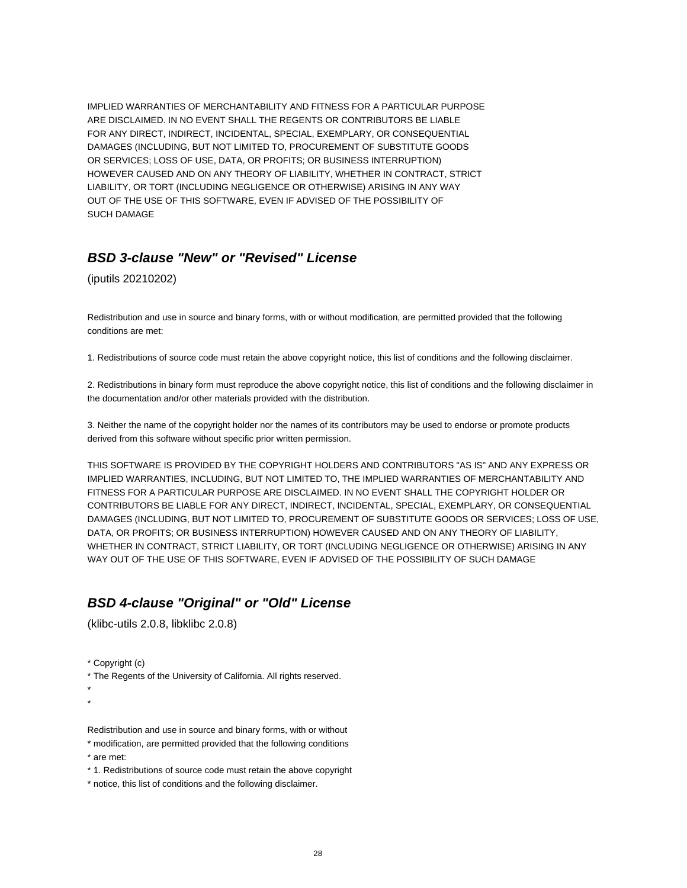IMPLIED WARRANTIES OF MERCHANTABILITY AND FITNESS FOR A PARTICULAR PURPOSE ARE DISCLAIMED. IN NO EVENT SHALL THE REGENTS OR CONTRIBUTORS BE LIABLE FOR ANY DIRECT, INDIRECT, INCIDENTAL, SPECIAL, EXEMPLARY, OR CONSEQUENTIAL DAMAGES (INCLUDING, BUT NOT LIMITED TO, PROCUREMENT OF SUBSTITUTE GOODS OR SERVICES; LOSS OF USE, DATA, OR PROFITS; OR BUSINESS INTERRUPTION) HOWEVER CAUSED AND ON ANY THEORY OF LIABILITY, WHETHER IN CONTRACT, STRICT LIABILITY, OR TORT (INCLUDING NEGLIGENCE OR OTHERWISE) ARISING IN ANY WAY OUT OF THE USE OF THIS SOFTWARE, EVEN IF ADVISED OF THE POSSIBILITY OF SUCH DAMAGE

### **BSD 3-clause "New" or "Revised" License**

(iputils 20210202)

Redistribution and use in source and binary forms, with or without modification, are permitted provided that the following conditions are met:

1. Redistributions of source code must retain the above copyright notice, this list of conditions and the following disclaimer.

2. Redistributions in binary form must reproduce the above copyright notice, this list of conditions and the following disclaimer in the documentation and/or other materials provided with the distribution.

3. Neither the name of the copyright holder nor the names of its contributors may be used to endorse or promote products derived from this software without specific prior written permission.

THIS SOFTWARE IS PROVIDED BY THE COPYRIGHT HOLDERS AND CONTRIBUTORS "AS IS" AND ANY EXPRESS OR IMPLIED WARRANTIES, INCLUDING, BUT NOT LIMITED TO, THE IMPLIED WARRANTIES OF MERCHANTABILITY AND FITNESS FOR A PARTICULAR PURPOSE ARE DISCLAIMED. IN NO EVENT SHALL THE COPYRIGHT HOLDER OR CONTRIBUTORS BE LIABLE FOR ANY DIRECT, INDIRECT, INCIDENTAL, SPECIAL, EXEMPLARY, OR CONSEQUENTIAL DAMAGES (INCLUDING, BUT NOT LIMITED TO, PROCUREMENT OF SUBSTITUTE GOODS OR SERVICES; LOSS OF USE, DATA, OR PROFITS; OR BUSINESS INTERRUPTION) HOWEVER CAUSED AND ON ANY THEORY OF LIABILITY, WHETHER IN CONTRACT, STRICT LIABILITY, OR TORT (INCLUDING NEGLIGENCE OR OTHERWISE) ARISING IN ANY WAY OUT OF THE USE OF THIS SOFTWARE, EVEN IF ADVISED OF THE POSSIBILITY OF SUCH DAMAGE

### **BSD 4-clause "Original" or "Old" License**

(klibc-utils 2.0.8, libklibc 2.0.8)

\* Copyright (c)

\* The Regents of the University of California. All rights reserved.

\*

\*

Redistribution and use in source and binary forms, with or without

\* 1. Redistributions of source code must retain the above copyright

\* notice, this list of conditions and the following disclaimer.

<sup>\*</sup> modification, are permitted provided that the following conditions \* are met: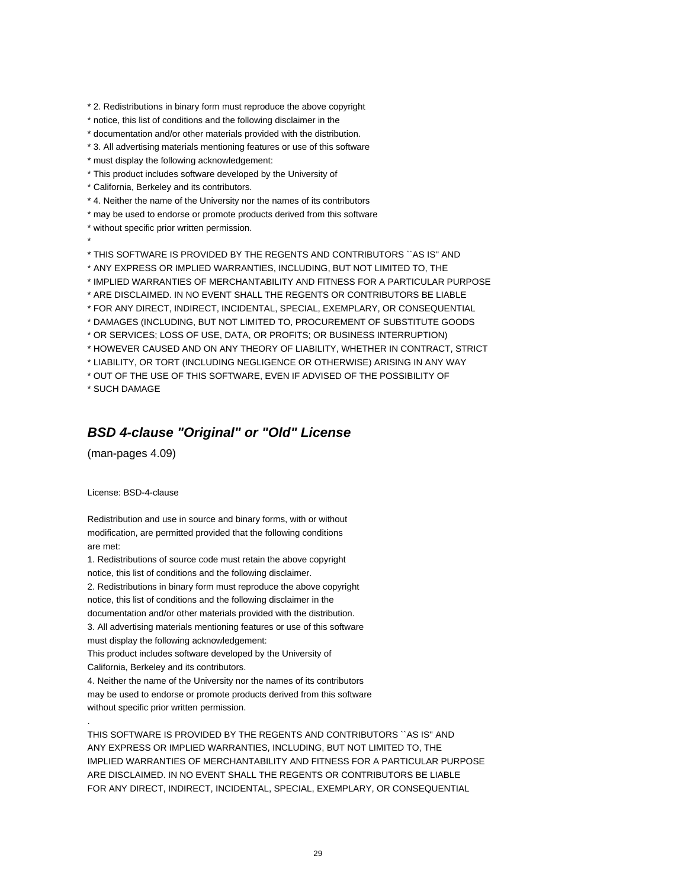\* 2. Redistributions in binary form must reproduce the above copyright

- \* notice, this list of conditions and the following disclaimer in the
- \* documentation and/or other materials provided with the distribution.
- \* 3. All advertising materials mentioning features or use of this software
- \* must display the following acknowledgement:
- \* This product includes software developed by the University of
- \* California, Berkeley and its contributors.
- \* 4. Neither the name of the University nor the names of its contributors
- \* may be used to endorse or promote products derived from this software
- \* without specific prior written permission.
- \*

\* THIS SOFTWARE IS PROVIDED BY THE REGENTS AND CONTRIBUTORS ``AS IS'' AND

\* ANY EXPRESS OR IMPLIED WARRANTIES, INCLUDING, BUT NOT LIMITED TO, THE

\* IMPLIED WARRANTIES OF MERCHANTABILITY AND FITNESS FOR A PARTICULAR PURPOSE

\* ARE DISCLAIMED. IN NO EVENT SHALL THE REGENTS OR CONTRIBUTORS BE LIABLE

\* FOR ANY DIRECT, INDIRECT, INCIDENTAL, SPECIAL, EXEMPLARY, OR CONSEQUENTIAL

\* DAMAGES (INCLUDING, BUT NOT LIMITED TO, PROCUREMENT OF SUBSTITUTE GOODS

\* OR SERVICES; LOSS OF USE, DATA, OR PROFITS; OR BUSINESS INTERRUPTION)

\* HOWEVER CAUSED AND ON ANY THEORY OF LIABILITY, WHETHER IN CONTRACT, STRICT

\* LIABILITY, OR TORT (INCLUDING NEGLIGENCE OR OTHERWISE) ARISING IN ANY WAY

\* OUT OF THE USE OF THIS SOFTWARE, EVEN IF ADVISED OF THE POSSIBILITY OF

\* SUCH DAMAGE

### **BSD 4-clause "Original" or "Old" License**

(man-pages 4.09)

License: BSD-4-clause

Redistribution and use in source and binary forms, with or without modification, are permitted provided that the following conditions are met:

1. Redistributions of source code must retain the above copyright notice, this list of conditions and the following disclaimer.

2. Redistributions in binary form must reproduce the above copyright notice, this list of conditions and the following disclaimer in the documentation and/or other materials provided with the distribution.

3. All advertising materials mentioning features or use of this software must display the following acknowledgement:

This product includes software developed by the University of

California, Berkeley and its contributors.

.

4. Neither the name of the University nor the names of its contributors may be used to endorse or promote products derived from this software without specific prior written permission.

THIS SOFTWARE IS PROVIDED BY THE REGENTS AND CONTRIBUTORS ``AS IS'' AND ANY EXPRESS OR IMPLIED WARRANTIES, INCLUDING, BUT NOT LIMITED TO, THE IMPLIED WARRANTIES OF MERCHANTABILITY AND FITNESS FOR A PARTICULAR PURPOSE ARE DISCLAIMED. IN NO EVENT SHALL THE REGENTS OR CONTRIBUTORS BE LIABLE FOR ANY DIRECT, INDIRECT, INCIDENTAL, SPECIAL, EXEMPLARY, OR CONSEQUENTIAL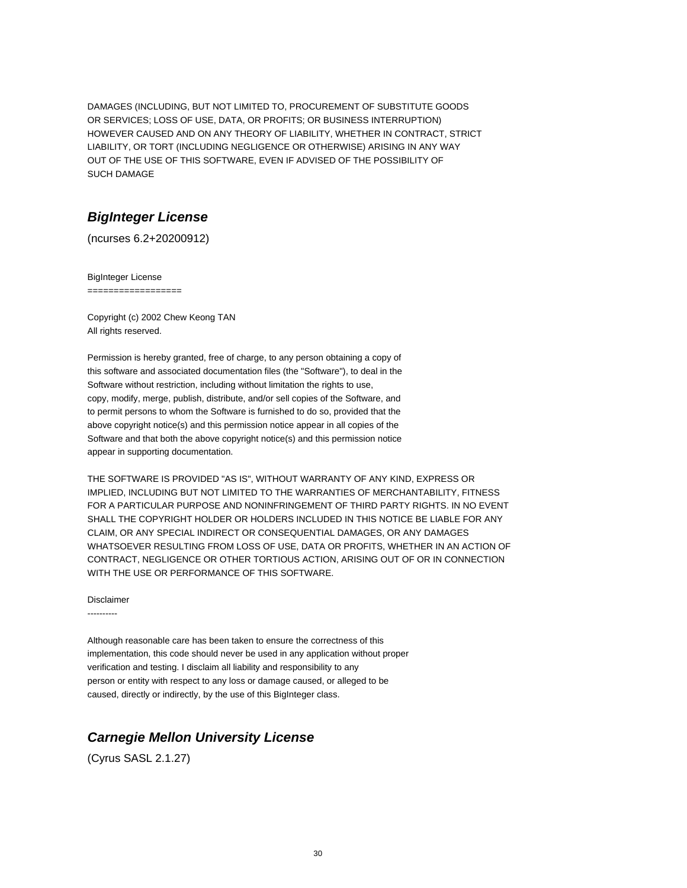DAMAGES (INCLUDING, BUT NOT LIMITED TO, PROCUREMENT OF SUBSTITUTE GOODS OR SERVICES; LOSS OF USE, DATA, OR PROFITS; OR BUSINESS INTERRUPTION) HOWEVER CAUSED AND ON ANY THEORY OF LIABILITY, WHETHER IN CONTRACT, STRICT LIABILITY, OR TORT (INCLUDING NEGLIGENCE OR OTHERWISE) ARISING IN ANY WAY OUT OF THE USE OF THIS SOFTWARE, EVEN IF ADVISED OF THE POSSIBILITY OF SUCH DAMAGE

# **BigInteger License**

(ncurses 6.2+20200912)

BigInteger License

==================

Copyright (c) 2002 Chew Keong TAN All rights reserved.

Permission is hereby granted, free of charge, to any person obtaining a copy of this software and associated documentation files (the "Software"), to deal in the Software without restriction, including without limitation the rights to use, copy, modify, merge, publish, distribute, and/or sell copies of the Software, and to permit persons to whom the Software is furnished to do so, provided that the above copyright notice(s) and this permission notice appear in all copies of the Software and that both the above copyright notice(s) and this permission notice appear in supporting documentation.

THE SOFTWARE IS PROVIDED "AS IS", WITHOUT WARRANTY OF ANY KIND, EXPRESS OR IMPLIED, INCLUDING BUT NOT LIMITED TO THE WARRANTIES OF MERCHANTABILITY, FITNESS FOR A PARTICULAR PURPOSE AND NONINFRINGEMENT OF THIRD PARTY RIGHTS. IN NO EVENT SHALL THE COPYRIGHT HOLDER OR HOLDERS INCLUDED IN THIS NOTICE BE LIABLE FOR ANY CLAIM, OR ANY SPECIAL INDIRECT OR CONSEQUENTIAL DAMAGES, OR ANY DAMAGES WHATSOEVER RESULTING FROM LOSS OF USE, DATA OR PROFITS, WHETHER IN AN ACTION OF CONTRACT, NEGLIGENCE OR OTHER TORTIOUS ACTION, ARISING OUT OF OR IN CONNECTION WITH THE USE OR PERFORMANCE OF THIS SOFTWARE.

Disclaimer

----------

Although reasonable care has been taken to ensure the correctness of this implementation, this code should never be used in any application without proper verification and testing. I disclaim all liability and responsibility to any person or entity with respect to any loss or damage caused, or alleged to be caused, directly or indirectly, by the use of this BigInteger class.

# **Carnegie Mellon University License**

(Cyrus SASL 2.1.27)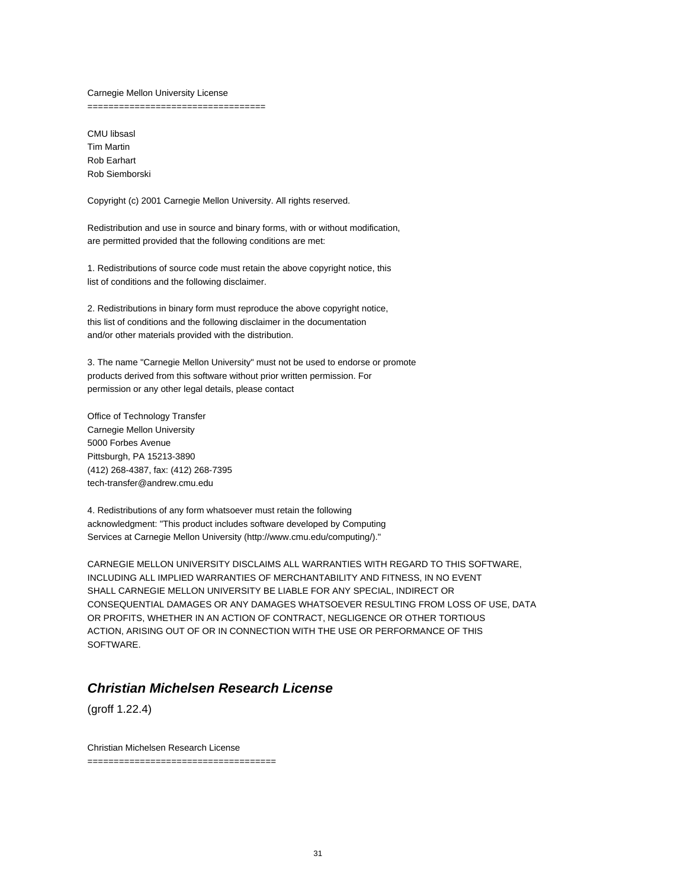#### Carnegie Mellon University License

==================================

CMU libsasl Tim Martin Rob Earhart Rob Siemborski

Copyright (c) 2001 Carnegie Mellon University. All rights reserved.

Redistribution and use in source and binary forms, with or without modification, are permitted provided that the following conditions are met:

1. Redistributions of source code must retain the above copyright notice, this list of conditions and the following disclaimer.

2. Redistributions in binary form must reproduce the above copyright notice, this list of conditions and the following disclaimer in the documentation and/or other materials provided with the distribution.

3. The name "Carnegie Mellon University" must not be used to endorse or promote products derived from this software without prior written permission. For permission or any other legal details, please contact

Office of Technology Transfer Carnegie Mellon University 5000 Forbes Avenue Pittsburgh, PA 15213-3890 (412) 268-4387, fax: (412) 268-7395 tech-transfer@andrew.cmu.edu

4. Redistributions of any form whatsoever must retain the following acknowledgment: "This product includes software developed by Computing Services at Carnegie Mellon University (http://www.cmu.edu/computing/)."

CARNEGIE MELLON UNIVERSITY DISCLAIMS ALL WARRANTIES WITH REGARD TO THIS SOFTWARE, INCLUDING ALL IMPLIED WARRANTIES OF MERCHANTABILITY AND FITNESS, IN NO EVENT SHALL CARNEGIE MELLON UNIVERSITY BE LIABLE FOR ANY SPECIAL, INDIRECT OR CONSEQUENTIAL DAMAGES OR ANY DAMAGES WHATSOEVER RESULTING FROM LOSS OF USE, DATA OR PROFITS, WHETHER IN AN ACTION OF CONTRACT, NEGLIGENCE OR OTHER TORTIOUS ACTION, ARISING OUT OF OR IN CONNECTION WITH THE USE OR PERFORMANCE OF THIS SOFTWARE.

### **Christian Michelsen Research License**

====================================

(groff 1.22.4)

Christian Michelsen Research License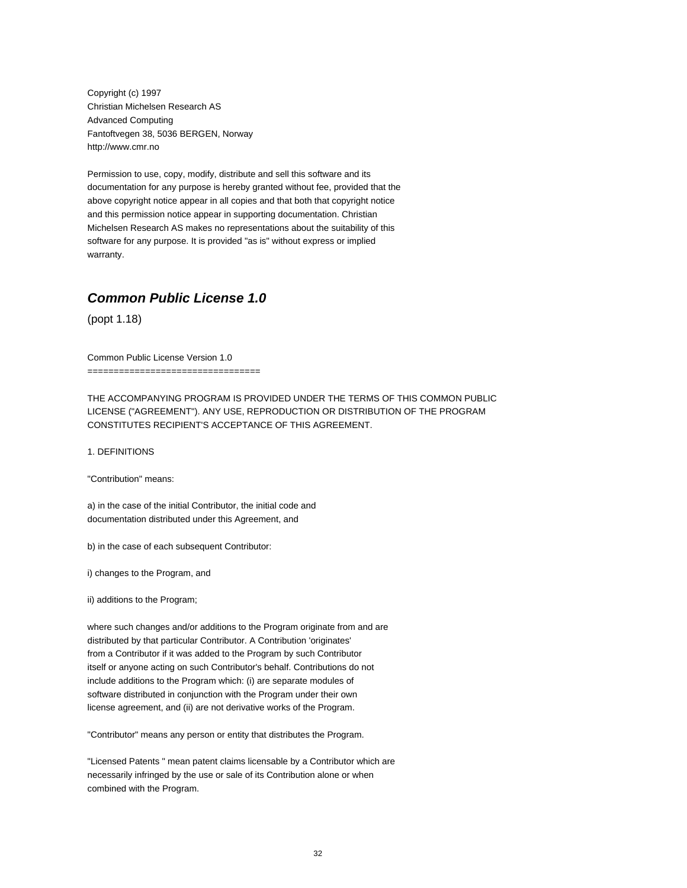Copyright (c) 1997 Christian Michelsen Research AS Advanced Computing Fantoftvegen 38, 5036 BERGEN, Norway http://www.cmr.no

Permission to use, copy, modify, distribute and sell this software and its documentation for any purpose is hereby granted without fee, provided that the above copyright notice appear in all copies and that both that copyright notice and this permission notice appear in supporting documentation. Christian Michelsen Research AS makes no representations about the suitability of this software for any purpose. It is provided "as is" without express or implied warranty.

# **Common Public License 1.0**

(popt 1.18)

Common Public License Version 1.0

====================================

THE ACCOMPANYING PROGRAM IS PROVIDED UNDER THE TERMS OF THIS COMMON PUBLIC LICENSE ("AGREEMENT"). ANY USE, REPRODUCTION OR DISTRIBUTION OF THE PROGRAM CONSTITUTES RECIPIENT'S ACCEPTANCE OF THIS AGREEMENT.

1. DEFINITIONS

"Contribution" means:

a) in the case of the initial Contributor, the initial code and documentation distributed under this Agreement, and

b) in the case of each subsequent Contributor:

i) changes to the Program, and

ii) additions to the Program;

where such changes and/or additions to the Program originate from and are distributed by that particular Contributor. A Contribution 'originates' from a Contributor if it was added to the Program by such Contributor itself or anyone acting on such Contributor's behalf. Contributions do not include additions to the Program which: (i) are separate modules of software distributed in conjunction with the Program under their own license agreement, and (ii) are not derivative works of the Program.

"Contributor" means any person or entity that distributes the Program.

"Licensed Patents " mean patent claims licensable by a Contributor which are necessarily infringed by the use or sale of its Contribution alone or when combined with the Program.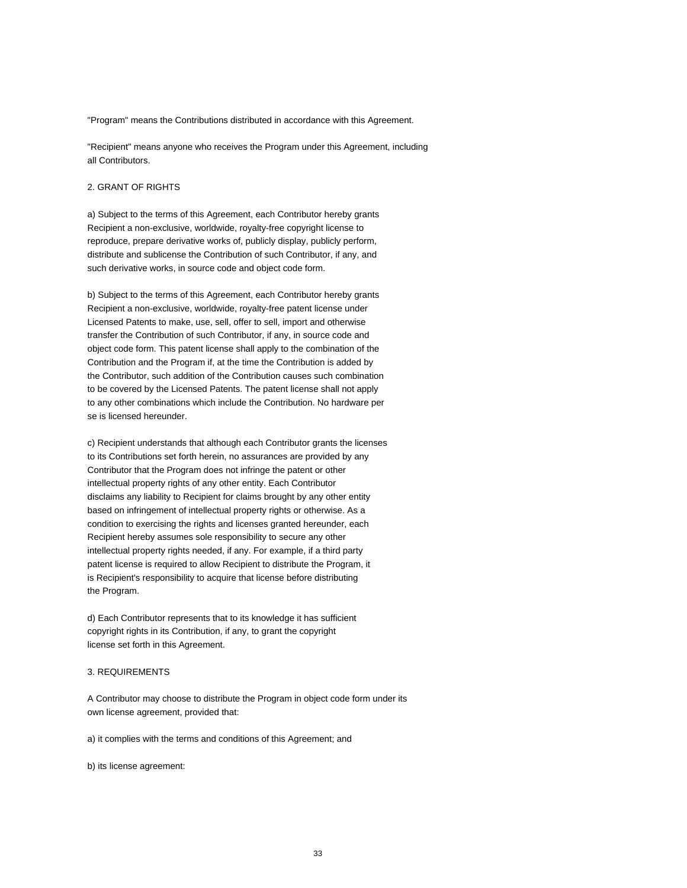"Program" means the Contributions distributed in accordance with this Agreement.

"Recipient" means anyone who receives the Program under this Agreement, including all Contributors.

#### 2. GRANT OF RIGHTS

a) Subject to the terms of this Agreement, each Contributor hereby grants Recipient a non-exclusive, worldwide, royalty-free copyright license to reproduce, prepare derivative works of, publicly display, publicly perform, distribute and sublicense the Contribution of such Contributor, if any, and such derivative works, in source code and object code form.

b) Subject to the terms of this Agreement, each Contributor hereby grants Recipient a non-exclusive, worldwide, royalty-free patent license under Licensed Patents to make, use, sell, offer to sell, import and otherwise transfer the Contribution of such Contributor, if any, in source code and object code form. This patent license shall apply to the combination of the Contribution and the Program if, at the time the Contribution is added by the Contributor, such addition of the Contribution causes such combination to be covered by the Licensed Patents. The patent license shall not apply to any other combinations which include the Contribution. No hardware per se is licensed hereunder.

c) Recipient understands that although each Contributor grants the licenses to its Contributions set forth herein, no assurances are provided by any Contributor that the Program does not infringe the patent or other intellectual property rights of any other entity. Each Contributor disclaims any liability to Recipient for claims brought by any other entity based on infringement of intellectual property rights or otherwise. As a condition to exercising the rights and licenses granted hereunder, each Recipient hereby assumes sole responsibility to secure any other intellectual property rights needed, if any. For example, if a third party patent license is required to allow Recipient to distribute the Program, it is Recipient's responsibility to acquire that license before distributing the Program.

d) Each Contributor represents that to its knowledge it has sufficient copyright rights in its Contribution, if any, to grant the copyright license set forth in this Agreement.

#### 3. REQUIREMENTS

A Contributor may choose to distribute the Program in object code form under its own license agreement, provided that:

a) it complies with the terms and conditions of this Agreement; and

b) its license agreement: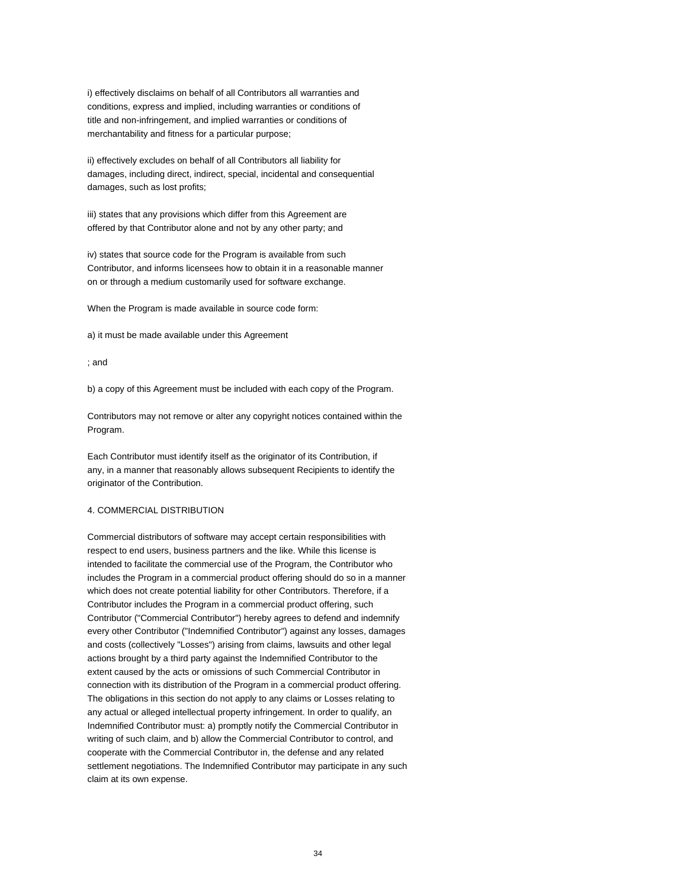i) effectively disclaims on behalf of all Contributors all warranties and conditions, express and implied, including warranties or conditions of title and non-infringement, and implied warranties or conditions of merchantability and fitness for a particular purpose;

ii) effectively excludes on behalf of all Contributors all liability for damages, including direct, indirect, special, incidental and consequential damages, such as lost profits;

iii) states that any provisions which differ from this Agreement are offered by that Contributor alone and not by any other party; and

iv) states that source code for the Program is available from such Contributor, and informs licensees how to obtain it in a reasonable manner on or through a medium customarily used for software exchange.

When the Program is made available in source code form:

a) it must be made available under this Agreement

; and

b) a copy of this Agreement must be included with each copy of the Program.

Contributors may not remove or alter any copyright notices contained within the Program.

Each Contributor must identify itself as the originator of its Contribution, if any, in a manner that reasonably allows subsequent Recipients to identify the originator of the Contribution.

#### 4. COMMERCIAL DISTRIBUTION

Commercial distributors of software may accept certain responsibilities with respect to end users, business partners and the like. While this license is intended to facilitate the commercial use of the Program, the Contributor who includes the Program in a commercial product offering should do so in a manner which does not create potential liability for other Contributors. Therefore, if a Contributor includes the Program in a commercial product offering, such Contributor ("Commercial Contributor") hereby agrees to defend and indemnify every other Contributor ("Indemnified Contributor") against any losses, damages and costs (collectively "Losses") arising from claims, lawsuits and other legal actions brought by a third party against the Indemnified Contributor to the extent caused by the acts or omissions of such Commercial Contributor in connection with its distribution of the Program in a commercial product offering. The obligations in this section do not apply to any claims or Losses relating to any actual or alleged intellectual property infringement. In order to qualify, an Indemnified Contributor must: a) promptly notify the Commercial Contributor in writing of such claim, and b) allow the Commercial Contributor to control, and cooperate with the Commercial Contributor in, the defense and any related settlement negotiations. The Indemnified Contributor may participate in any such claim at its own expense.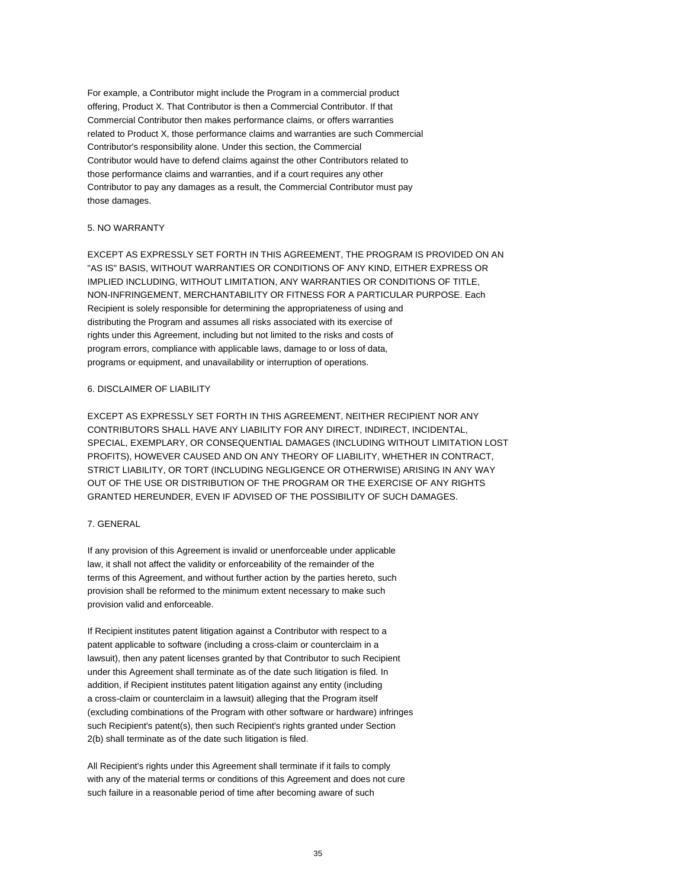For example, a Contributor might include the Program in a commercial product offering, Product X. That Contributor is then a Commercial Contributor. If that Commercial Contributor then makes performance claims, or offers warranties related to Product X, those performance claims and warranties are such Commercial Contributor's responsibility alone. Under this section, the Commercial Contributor would have to defend claims against the other Contributors related to those performance claims and warranties, and if a court requires any other Contributor to pay any damages as a result, the Commercial Contributor must pay those damages.

#### 5. NO WARRANTY

EXCEPT AS EXPRESSLY SET FORTH IN THIS AGREEMENT, THE PROGRAM IS PROVIDED ON AN "AS IS" BASIS, WITHOUT WARRANTIES OR CONDITIONS OF ANY KIND, EITHER EXPRESS OR IMPLIED INCLUDING, WITHOUT LIMITATION, ANY WARRANTIES OR CONDITIONS OF TITLE, NON-INFRINGEMENT, MERCHANTABILITY OR FITNESS FOR A PARTICULAR PURPOSE. Each Recipient is solely responsible for determining the appropriateness of using and distributing the Program and assumes all risks associated with its exercise of rights under this Agreement, including but not limited to the risks and costs of program errors, compliance with applicable laws, damage to or loss of data, programs or equipment, and unavailability or interruption of operations.

#### 6. DISCLAIMER OF LIABILITY

EXCEPT AS EXPRESSLY SET FORTH IN THIS AGREEMENT, NEITHER RECIPIENT NOR ANY CONTRIBUTORS SHALL HAVE ANY LIABILITY FOR ANY DIRECT, INDIRECT, INCIDENTAL, SPECIAL, EXEMPLARY, OR CONSEQUENTIAL DAMAGES (INCLUDING WITHOUT LIMITATION LOST PROFITS), HOWEVER CAUSED AND ON ANY THEORY OF LIABILITY, WHETHER IN CONTRACT, STRICT LIABILITY, OR TORT (INCLUDING NEGLIGENCE OR OTHERWISE) ARISING IN ANY WAY OUT OF THE USE OR DISTRIBUTION OF THE PROGRAM OR THE EXERCISE OF ANY RIGHTS GRANTED HEREUNDER, EVEN IF ADVISED OF THE POSSIBILITY OF SUCH DAMAGES.

#### 7. GENERAL

If any provision of this Agreement is invalid or unenforceable under applicable law, it shall not affect the validity or enforceability of the remainder of the terms of this Agreement, and without further action by the parties hereto, such provision shall be reformed to the minimum extent necessary to make such provision valid and enforceable.

If Recipient institutes patent litigation against a Contributor with respect to a patent applicable to software (including a cross-claim or counterclaim in a lawsuit), then any patent licenses granted by that Contributor to such Recipient under this Agreement shall terminate as of the date such litigation is filed. In addition, if Recipient institutes patent litigation against any entity (including a cross-claim or counterclaim in a lawsuit) alleging that the Program itself (excluding combinations of the Program with other software or hardware) infringes such Recipient's patent(s), then such Recipient's rights granted under Section 2(b) shall terminate as of the date such litigation is filed.

All Recipient's rights under this Agreement shall terminate if it fails to comply with any of the material terms or conditions of this Agreement and does not cure such failure in a reasonable period of time after becoming aware of such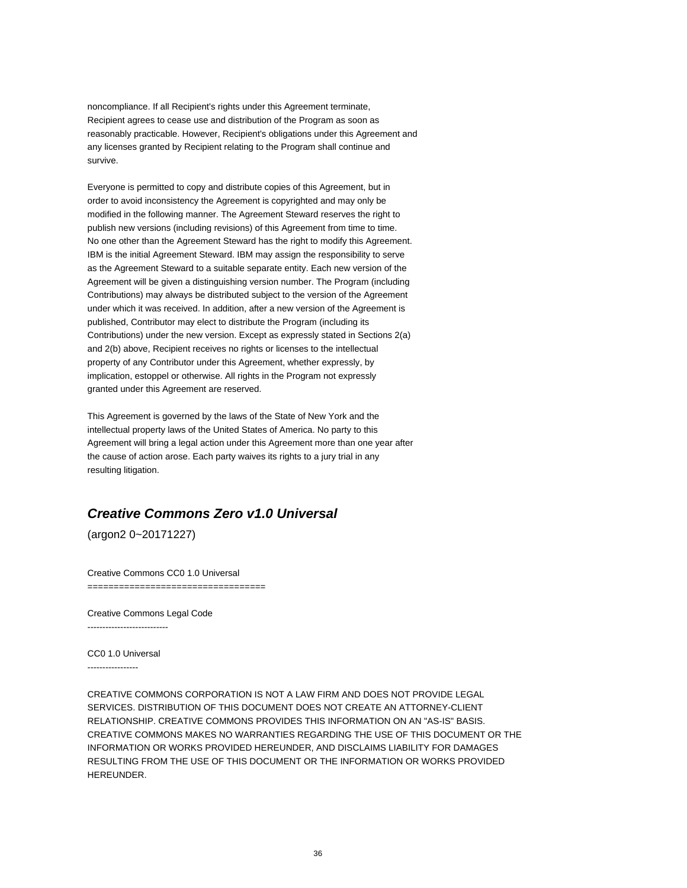noncompliance. If all Recipient's rights under this Agreement terminate, Recipient agrees to cease use and distribution of the Program as soon as reasonably practicable. However, Recipient's obligations under this Agreement and any licenses granted by Recipient relating to the Program shall continue and survive.

Everyone is permitted to copy and distribute copies of this Agreement, but in order to avoid inconsistency the Agreement is copyrighted and may only be modified in the following manner. The Agreement Steward reserves the right to publish new versions (including revisions) of this Agreement from time to time. No one other than the Agreement Steward has the right to modify this Agreement. IBM is the initial Agreement Steward. IBM may assign the responsibility to serve as the Agreement Steward to a suitable separate entity. Each new version of the Agreement will be given a distinguishing version number. The Program (including Contributions) may always be distributed subject to the version of the Agreement under which it was received. In addition, after a new version of the Agreement is published, Contributor may elect to distribute the Program (including its Contributions) under the new version. Except as expressly stated in Sections 2(a) and 2(b) above, Recipient receives no rights or licenses to the intellectual property of any Contributor under this Agreement, whether expressly, by implication, estoppel or otherwise. All rights in the Program not expressly granted under this Agreement are reserved.

This Agreement is governed by the laws of the State of New York and the intellectual property laws of the United States of America. No party to this Agreement will bring a legal action under this Agreement more than one year after the cause of action arose. Each party waives its rights to a jury trial in any resulting litigation.

# **Creative Commons Zero v1.0 Universal**

(argon2 0~20171227)

Creative Commons CC0 1.0 Universal =====================================

Creative Commons Legal Code ---------------------------

CC0 1.0 Universal -----------------

CREATIVE COMMONS CORPORATION IS NOT A LAW FIRM AND DOES NOT PROVIDE LEGAL SERVICES. DISTRIBUTION OF THIS DOCUMENT DOES NOT CREATE AN ATTORNEY-CLIENT RELATIONSHIP. CREATIVE COMMONS PROVIDES THIS INFORMATION ON AN "AS-IS" BASIS. CREATIVE COMMONS MAKES NO WARRANTIES REGARDING THE USE OF THIS DOCUMENT OR THE INFORMATION OR WORKS PROVIDED HEREUNDER, AND DISCLAIMS LIABILITY FOR DAMAGES RESULTING FROM THE USE OF THIS DOCUMENT OR THE INFORMATION OR WORKS PROVIDED HEREUNDER.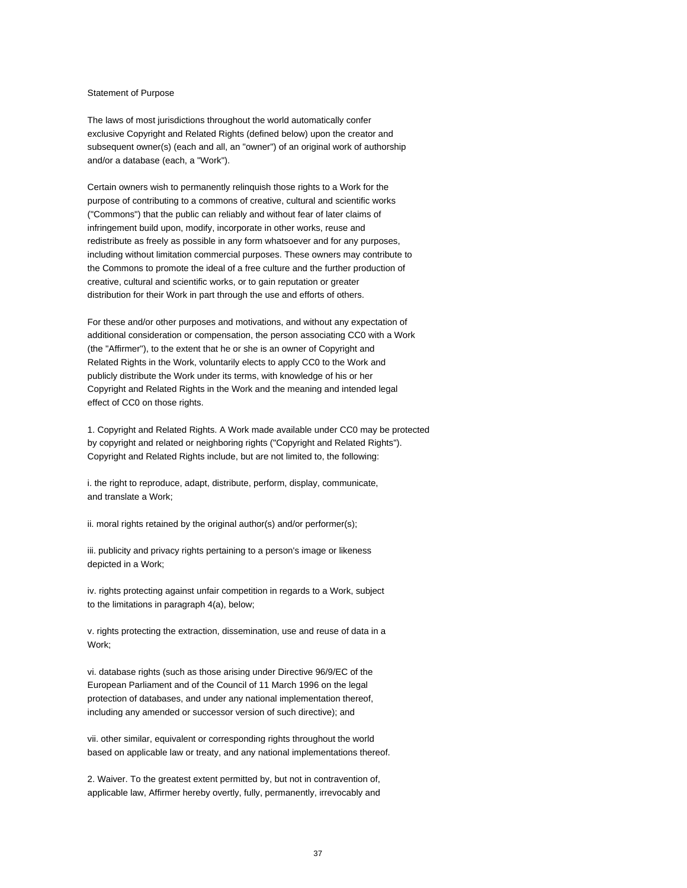#### Statement of Purpose

The laws of most jurisdictions throughout the world automatically confer exclusive Copyright and Related Rights (defined below) upon the creator and subsequent owner(s) (each and all, an "owner") of an original work of authorship and/or a database (each, a "Work").

Certain owners wish to permanently relinquish those rights to a Work for the purpose of contributing to a commons of creative, cultural and scientific works ("Commons") that the public can reliably and without fear of later claims of infringement build upon, modify, incorporate in other works, reuse and redistribute as freely as possible in any form whatsoever and for any purposes, including without limitation commercial purposes. These owners may contribute to the Commons to promote the ideal of a free culture and the further production of creative, cultural and scientific works, or to gain reputation or greater distribution for their Work in part through the use and efforts of others.

For these and/or other purposes and motivations, and without any expectation of additional consideration or compensation, the person associating CC0 with a Work (the "Affirmer"), to the extent that he or she is an owner of Copyright and Related Rights in the Work, voluntarily elects to apply CC0 to the Work and publicly distribute the Work under its terms, with knowledge of his or her Copyright and Related Rights in the Work and the meaning and intended legal effect of CC0 on those rights.

1. Copyright and Related Rights. A Work made available under CC0 may be protected by copyright and related or neighboring rights ("Copyright and Related Rights"). Copyright and Related Rights include, but are not limited to, the following:

i. the right to reproduce, adapt, distribute, perform, display, communicate, and translate a Work;

ii. moral rights retained by the original author(s) and/or performer(s);

iii. publicity and privacy rights pertaining to a person's image or likeness depicted in a Work;

iv. rights protecting against unfair competition in regards to a Work, subject to the limitations in paragraph 4(a), below;

v. rights protecting the extraction, dissemination, use and reuse of data in a Work;

vi. database rights (such as those arising under Directive 96/9/EC of the European Parliament and of the Council of 11 March 1996 on the legal protection of databases, and under any national implementation thereof, including any amended or successor version of such directive); and

vii. other similar, equivalent or corresponding rights throughout the world based on applicable law or treaty, and any national implementations thereof.

2. Waiver. To the greatest extent permitted by, but not in contravention of, applicable law, Affirmer hereby overtly, fully, permanently, irrevocably and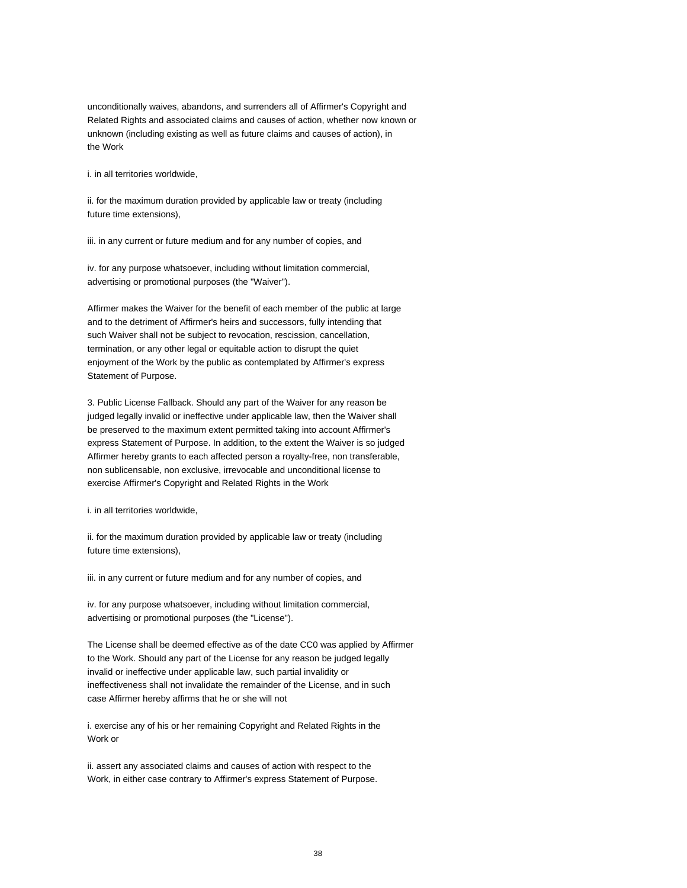unconditionally waives, abandons, and surrenders all of Affirmer's Copyright and Related Rights and associated claims and causes of action, whether now known or unknown (including existing as well as future claims and causes of action), in the Work

i. in all territories worldwide,

ii. for the maximum duration provided by applicable law or treaty (including future time extensions),

iii. in any current or future medium and for any number of copies, and

iv. for any purpose whatsoever, including without limitation commercial, advertising or promotional purposes (the "Waiver").

Affirmer makes the Waiver for the benefit of each member of the public at large and to the detriment of Affirmer's heirs and successors, fully intending that such Waiver shall not be subject to revocation, rescission, cancellation, termination, or any other legal or equitable action to disrupt the quiet enjoyment of the Work by the public as contemplated by Affirmer's express Statement of Purpose.

3. Public License Fallback. Should any part of the Waiver for any reason be judged legally invalid or ineffective under applicable law, then the Waiver shall be preserved to the maximum extent permitted taking into account Affirmer's express Statement of Purpose. In addition, to the extent the Waiver is so judged Affirmer hereby grants to each affected person a royalty-free, non transferable, non sublicensable, non exclusive, irrevocable and unconditional license to exercise Affirmer's Copyright and Related Rights in the Work

i. in all territories worldwide,

ii. for the maximum duration provided by applicable law or treaty (including future time extensions),

iii. in any current or future medium and for any number of copies, and

iv. for any purpose whatsoever, including without limitation commercial, advertising or promotional purposes (the "License").

The License shall be deemed effective as of the date CC0 was applied by Affirmer to the Work. Should any part of the License for any reason be judged legally invalid or ineffective under applicable law, such partial invalidity or ineffectiveness shall not invalidate the remainder of the License, and in such case Affirmer hereby affirms that he or she will not

i. exercise any of his or her remaining Copyright and Related Rights in the Work or

ii. assert any associated claims and causes of action with respect to the Work, in either case contrary to Affirmer's express Statement of Purpose.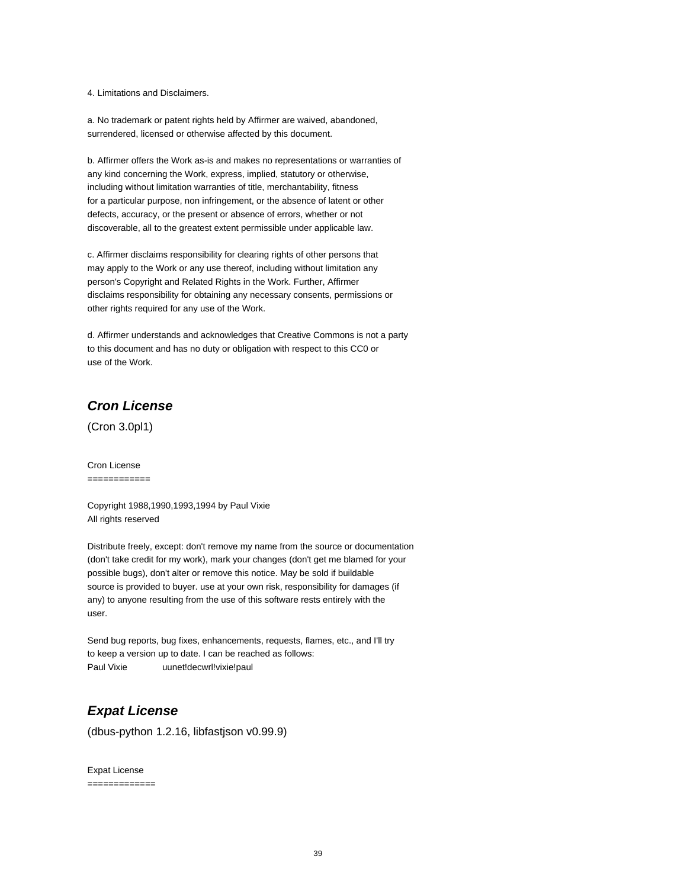4. Limitations and Disclaimers.

a. No trademark or patent rights held by Affirmer are waived, abandoned, surrendered, licensed or otherwise affected by this document.

b. Affirmer offers the Work as-is and makes no representations or warranties of any kind concerning the Work, express, implied, statutory or otherwise, including without limitation warranties of title, merchantability, fitness for a particular purpose, non infringement, or the absence of latent or other defects, accuracy, or the present or absence of errors, whether or not discoverable, all to the greatest extent permissible under applicable law.

c. Affirmer disclaims responsibility for clearing rights of other persons that may apply to the Work or any use thereof, including without limitation any person's Copyright and Related Rights in the Work. Further, Affirmer disclaims responsibility for obtaining any necessary consents, permissions or other rights required for any use of the Work.

d. Affirmer understands and acknowledges that Creative Commons is not a party to this document and has no duty or obligation with respect to this CC0 or use of the Work.

# **Cron License**

(Cron 3.0pl1)

Cron License ============

Copyright 1988,1990,1993,1994 by Paul Vixie All rights reserved

Distribute freely, except: don't remove my name from the source or documentation (don't take credit for my work), mark your changes (don't get me blamed for your possible bugs), don't alter or remove this notice. May be sold if buildable source is provided to buyer. use at your own risk, responsibility for damages (if any) to anyone resulting from the use of this software rests entirely with the user.

Send bug reports, bug fixes, enhancements, requests, flames, etc., and I'll try to keep a version up to date. I can be reached as follows: Paul Vixie uunet!decwrl!vixie!paul

# **Expat License**

(dbus-python 1.2.16, libfastjson v0.99.9)

Expat License =============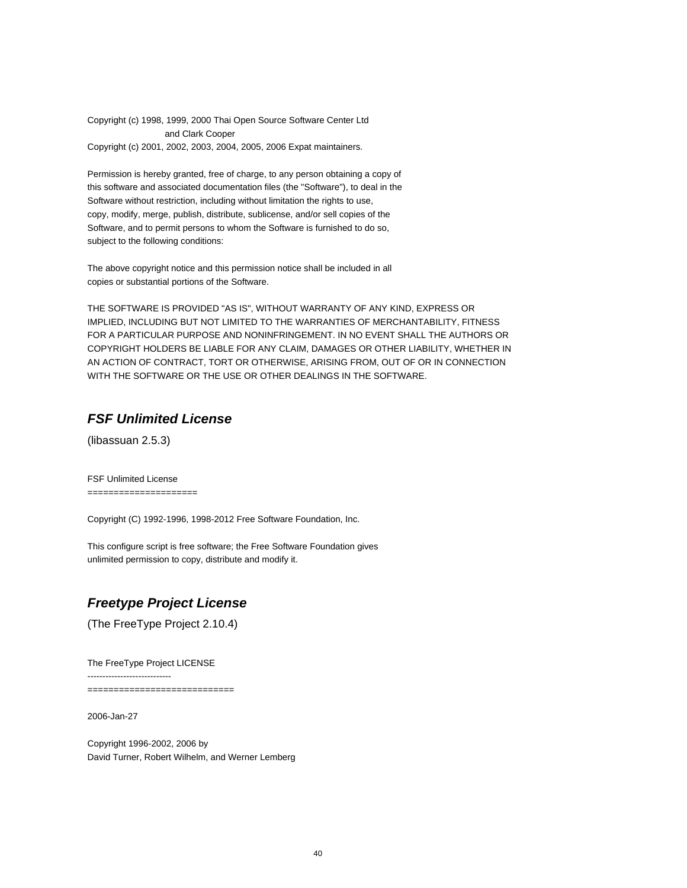Copyright (c) 1998, 1999, 2000 Thai Open Source Software Center Ltd and Clark Cooper Copyright (c) 2001, 2002, 2003, 2004, 2005, 2006 Expat maintainers.

Permission is hereby granted, free of charge, to any person obtaining a copy of this software and associated documentation files (the "Software"), to deal in the Software without restriction, including without limitation the rights to use, copy, modify, merge, publish, distribute, sublicense, and/or sell copies of the Software, and to permit persons to whom the Software is furnished to do so, subject to the following conditions:

The above copyright notice and this permission notice shall be included in all copies or substantial portions of the Software.

THE SOFTWARE IS PROVIDED "AS IS", WITHOUT WARRANTY OF ANY KIND, EXPRESS OR IMPLIED, INCLUDING BUT NOT LIMITED TO THE WARRANTIES OF MERCHANTABILITY, FITNESS FOR A PARTICULAR PURPOSE AND NONINFRINGEMENT. IN NO EVENT SHALL THE AUTHORS OR COPYRIGHT HOLDERS BE LIABLE FOR ANY CLAIM, DAMAGES OR OTHER LIABILITY, WHETHER IN AN ACTION OF CONTRACT, TORT OR OTHERWISE, ARISING FROM, OUT OF OR IN CONNECTION WITH THE SOFTWARE OR THE USE OR OTHER DEALINGS IN THE SOFTWARE.

# **FSF Unlimited License**

(libassuan 2.5.3)

FSF Unlimited License =====================

Copyright (C) 1992-1996, 1998-2012 Free Software Foundation, Inc.

This configure script is free software; the Free Software Foundation gives unlimited permission to copy, distribute and modify it.

# **Freetype Project License**

(The FreeType Project 2.10.4)

The FreeType Project LICENSE ----------------------------

============================

2006-Jan-27

Copyright 1996-2002, 2006 by David Turner, Robert Wilhelm, and Werner Lemberg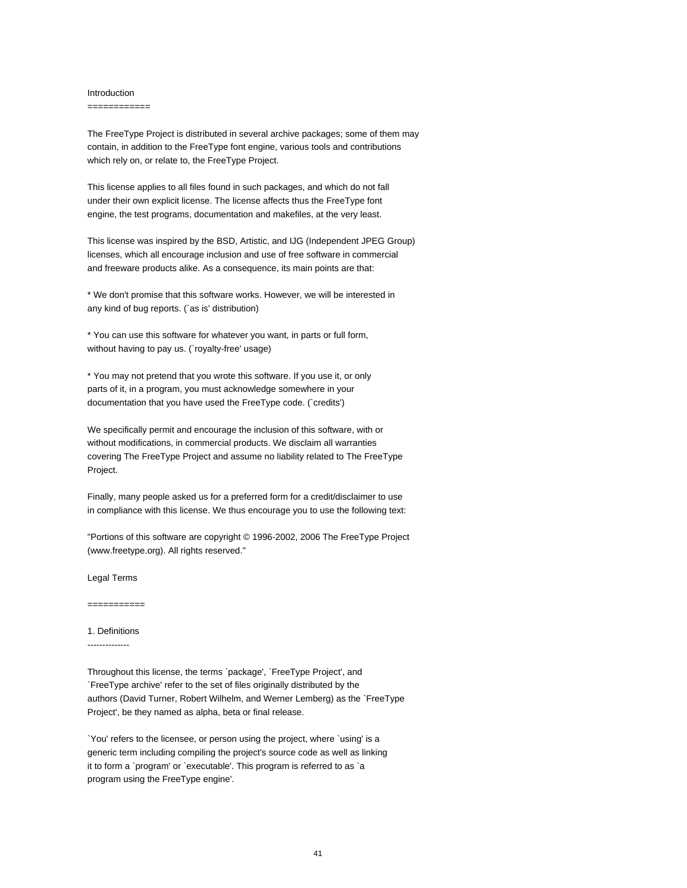#### Introduction

============

The FreeType Project is distributed in several archive packages; some of them may contain, in addition to the FreeType font engine, various tools and contributions which rely on, or relate to, the FreeType Project.

This license applies to all files found in such packages, and which do not fall under their own explicit license. The license affects thus the FreeType font engine, the test programs, documentation and makefiles, at the very least.

This license was inspired by the BSD, Artistic, and IJG (Independent JPEG Group) licenses, which all encourage inclusion and use of free software in commercial and freeware products alike. As a consequence, its main points are that:

\* We don't promise that this software works. However, we will be interested in any kind of bug reports. (`as is' distribution)

\* You can use this software for whatever you want, in parts or full form, without having to pay us. (`royalty-free' usage)

\* You may not pretend that you wrote this software. If you use it, or only parts of it, in a program, you must acknowledge somewhere in your documentation that you have used the FreeType code. (`credits')

We specifically permit and encourage the inclusion of this software, with or without modifications, in commercial products. We disclaim all warranties covering The FreeType Project and assume no liability related to The FreeType Project.

Finally, many people asked us for a preferred form for a credit/disclaimer to use in compliance with this license. We thus encourage you to use the following text:

"Portions of this software are copyright © 1996-2002, 2006 The FreeType Project (www.freetype.org). All rights reserved."

Legal Terms

===========

#### 1. Definitions --------------

Throughout this license, the terms `package', `FreeType Project', and `FreeType archive' refer to the set of files originally distributed by the authors (David Turner, Robert Wilhelm, and Werner Lemberg) as the `FreeType Project', be they named as alpha, beta or final release.

`You' refers to the licensee, or person using the project, where `using' is a generic term including compiling the project's source code as well as linking it to form a `program' or `executable'. This program is referred to as `a program using the FreeType engine'.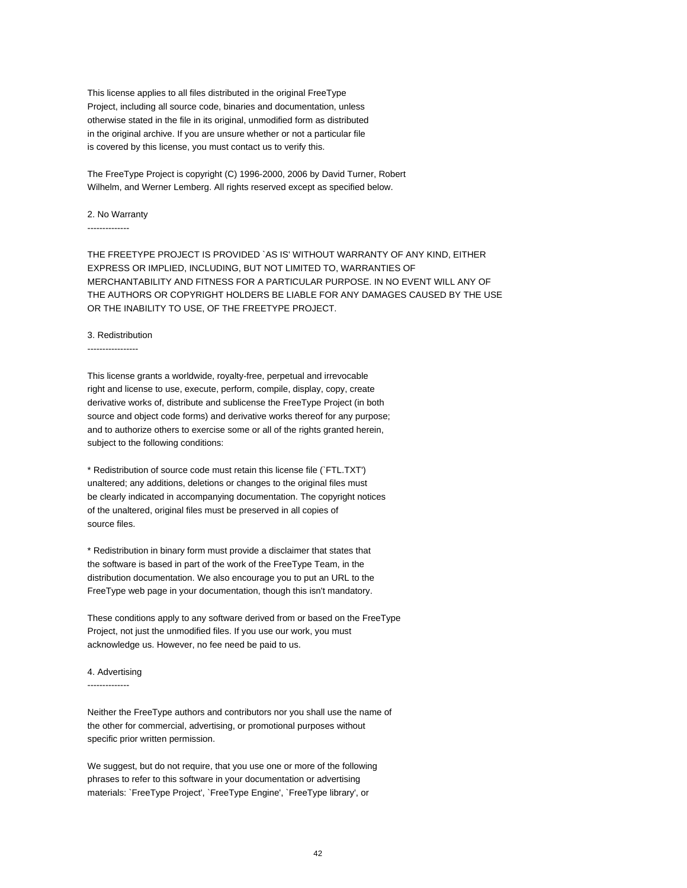This license applies to all files distributed in the original FreeType Project, including all source code, binaries and documentation, unless otherwise stated in the file in its original, unmodified form as distributed in the original archive. If you are unsure whether or not a particular file is covered by this license, you must contact us to verify this.

The FreeType Project is copyright (C) 1996-2000, 2006 by David Turner, Robert Wilhelm, and Werner Lemberg. All rights reserved except as specified below.

#### 2. No Warranty

--------------

THE FREETYPE PROJECT IS PROVIDED `AS IS' WITHOUT WARRANTY OF ANY KIND, EITHER EXPRESS OR IMPLIED, INCLUDING, BUT NOT LIMITED TO, WARRANTIES OF MERCHANTABILITY AND FITNESS FOR A PARTICULAR PURPOSE. IN NO EVENT WILL ANY OF THE AUTHORS OR COPYRIGHT HOLDERS BE LIABLE FOR ANY DAMAGES CAUSED BY THE USE OR THE INABILITY TO USE, OF THE FREETYPE PROJECT.

#### 3. Redistribution

-----------------

This license grants a worldwide, royalty-free, perpetual and irrevocable right and license to use, execute, perform, compile, display, copy, create derivative works of, distribute and sublicense the FreeType Project (in both source and object code forms) and derivative works thereof for any purpose; and to authorize others to exercise some or all of the rights granted herein, subject to the following conditions:

\* Redistribution of source code must retain this license file (`FTL.TXT') unaltered; any additions, deletions or changes to the original files must be clearly indicated in accompanying documentation. The copyright notices of the unaltered, original files must be preserved in all copies of source files.

\* Redistribution in binary form must provide a disclaimer that states that the software is based in part of the work of the FreeType Team, in the distribution documentation. We also encourage you to put an URL to the FreeType web page in your documentation, though this isn't mandatory.

These conditions apply to any software derived from or based on the FreeType Project, not just the unmodified files. If you use our work, you must acknowledge us. However, no fee need be paid to us.

#### 4. Advertising

--------------

Neither the FreeType authors and contributors nor you shall use the name of the other for commercial, advertising, or promotional purposes without specific prior written permission.

We suggest, but do not require, that you use one or more of the following phrases to refer to this software in your documentation or advertising materials: `FreeType Project', `FreeType Engine', `FreeType library', or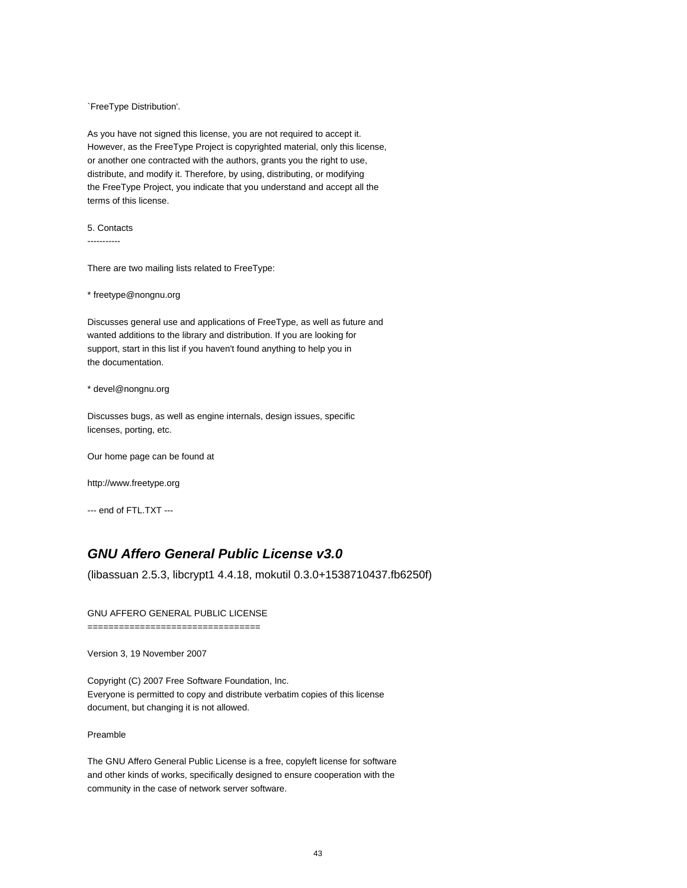`FreeType Distribution'.

As you have not signed this license, you are not required to accept it. However, as the FreeType Project is copyrighted material, only this license, or another one contracted with the authors, grants you the right to use, distribute, and modify it. Therefore, by using, distributing, or modifying the FreeType Project, you indicate that you understand and accept all the terms of this license.

5. Contacts

-----------

There are two mailing lists related to FreeType:

\* freetype@nongnu.org

Discusses general use and applications of FreeType, as well as future and wanted additions to the library and distribution. If you are looking for support, start in this list if you haven't found anything to help you in the documentation.

\* devel@nongnu.org

Discusses bugs, as well as engine internals, design issues, specific licenses, porting, etc.

Our home page can be found at

http://www.freetype.org

--- end of FTL.TXT ---

# **GNU Affero General Public License v3.0**

(libassuan 2.5.3, libcrypt1 4.4.18, mokutil 0.3.0+1538710437.fb6250f)

## GNU AFFERO GENERAL PUBLIC LICENSE

====================================

Version 3, 19 November 2007

Copyright (C) 2007 Free Software Foundation, Inc. Everyone is permitted to copy and distribute verbatim copies of this license document, but changing it is not allowed.

Preamble

The GNU Affero General Public License is a free, copyleft license for software and other kinds of works, specifically designed to ensure cooperation with the community in the case of network server software.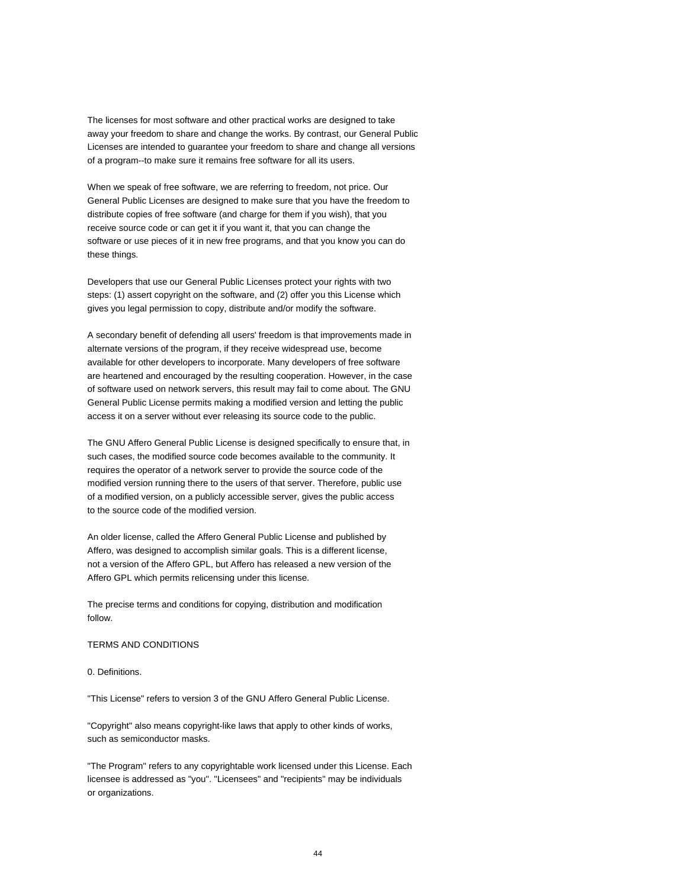The licenses for most software and other practical works are designed to take away your freedom to share and change the works. By contrast, our General Public Licenses are intended to guarantee your freedom to share and change all versions of a program--to make sure it remains free software for all its users.

When we speak of free software, we are referring to freedom, not price. Our General Public Licenses are designed to make sure that you have the freedom to distribute copies of free software (and charge for them if you wish), that you receive source code or can get it if you want it, that you can change the software or use pieces of it in new free programs, and that you know you can do these things.

Developers that use our General Public Licenses protect your rights with two steps: (1) assert copyright on the software, and (2) offer you this License which gives you legal permission to copy, distribute and/or modify the software.

A secondary benefit of defending all users' freedom is that improvements made in alternate versions of the program, if they receive widespread use, become available for other developers to incorporate. Many developers of free software are heartened and encouraged by the resulting cooperation. However, in the case of software used on network servers, this result may fail to come about. The GNU General Public License permits making a modified version and letting the public access it on a server without ever releasing its source code to the public.

The GNU Affero General Public License is designed specifically to ensure that, in such cases, the modified source code becomes available to the community. It requires the operator of a network server to provide the source code of the modified version running there to the users of that server. Therefore, public use of a modified version, on a publicly accessible server, gives the public access to the source code of the modified version.

An older license, called the Affero General Public License and published by Affero, was designed to accomplish similar goals. This is a different license, not a version of the Affero GPL, but Affero has released a new version of the Affero GPL which permits relicensing under this license.

The precise terms and conditions for copying, distribution and modification follow.

#### TERMS AND CONDITIONS

0. Definitions.

"This License" refers to version 3 of the GNU Affero General Public License.

"Copyright" also means copyright-like laws that apply to other kinds of works, such as semiconductor masks.

"The Program" refers to any copyrightable work licensed under this License. Each licensee is addressed as "you". "Licensees" and "recipients" may be individuals or organizations.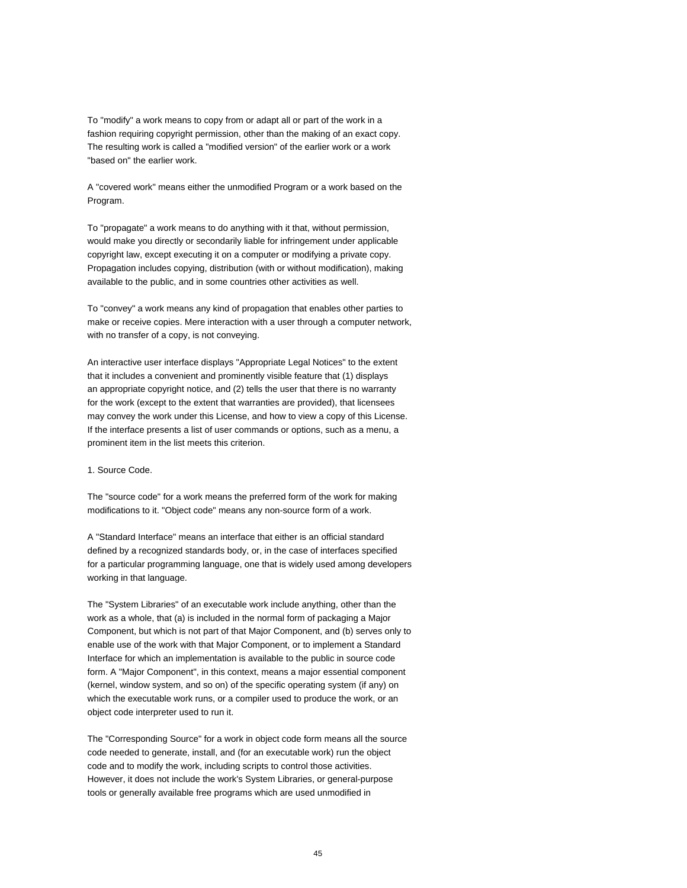To "modify" a work means to copy from or adapt all or part of the work in a fashion requiring copyright permission, other than the making of an exact copy. The resulting work is called a "modified version" of the earlier work or a work "based on" the earlier work.

A "covered work" means either the unmodified Program or a work based on the Program.

To "propagate" a work means to do anything with it that, without permission, would make you directly or secondarily liable for infringement under applicable copyright law, except executing it on a computer or modifying a private copy. Propagation includes copying, distribution (with or without modification), making available to the public, and in some countries other activities as well.

To "convey" a work means any kind of propagation that enables other parties to make or receive copies. Mere interaction with a user through a computer network, with no transfer of a copy, is not conveying.

An interactive user interface displays "Appropriate Legal Notices" to the extent that it includes a convenient and prominently visible feature that (1) displays an appropriate copyright notice, and (2) tells the user that there is no warranty for the work (except to the extent that warranties are provided), that licensees may convey the work under this License, and how to view a copy of this License. If the interface presents a list of user commands or options, such as a menu, a prominent item in the list meets this criterion.

1. Source Code.

The "source code" for a work means the preferred form of the work for making modifications to it. "Object code" means any non-source form of a work.

A "Standard Interface" means an interface that either is an official standard defined by a recognized standards body, or, in the case of interfaces specified for a particular programming language, one that is widely used among developers working in that language.

The "System Libraries" of an executable work include anything, other than the work as a whole, that (a) is included in the normal form of packaging a Major Component, but which is not part of that Major Component, and (b) serves only to enable use of the work with that Major Component, or to implement a Standard Interface for which an implementation is available to the public in source code form. A "Major Component", in this context, means a major essential component (kernel, window system, and so on) of the specific operating system (if any) on which the executable work runs, or a compiler used to produce the work, or an object code interpreter used to run it.

The "Corresponding Source" for a work in object code form means all the source code needed to generate, install, and (for an executable work) run the object code and to modify the work, including scripts to control those activities. However, it does not include the work's System Libraries, or general-purpose tools or generally available free programs which are used unmodified in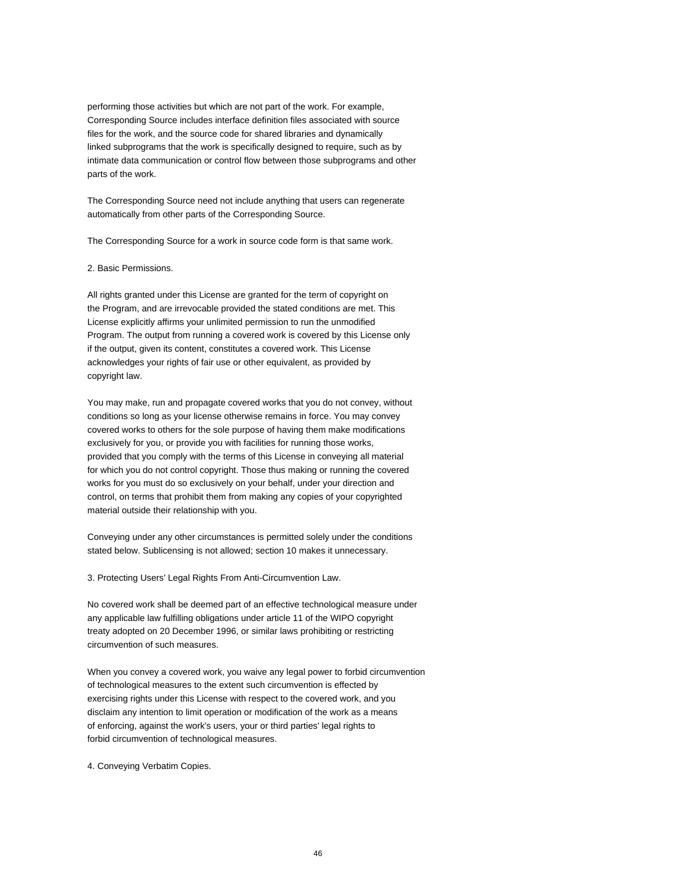performing those activities but which are not part of the work. For example, Corresponding Source includes interface definition files associated with source files for the work, and the source code for shared libraries and dynamically linked subprograms that the work is specifically designed to require, such as by intimate data communication or control flow between those subprograms and other parts of the work.

The Corresponding Source need not include anything that users can regenerate automatically from other parts of the Corresponding Source.

The Corresponding Source for a work in source code form is that same work.

#### 2. Basic Permissions.

All rights granted under this License are granted for the term of copyright on the Program, and are irrevocable provided the stated conditions are met. This License explicitly affirms your unlimited permission to run the unmodified Program. The output from running a covered work is covered by this License only if the output, given its content, constitutes a covered work. This License acknowledges your rights of fair use or other equivalent, as provided by copyright law.

You may make, run and propagate covered works that you do not convey, without conditions so long as your license otherwise remains in force. You may convey covered works to others for the sole purpose of having them make modifications exclusively for you, or provide you with facilities for running those works, provided that you comply with the terms of this License in conveying all material for which you do not control copyright. Those thus making or running the covered works for you must do so exclusively on your behalf, under your direction and control, on terms that prohibit them from making any copies of your copyrighted material outside their relationship with you.

Conveying under any other circumstances is permitted solely under the conditions stated below. Sublicensing is not allowed; section 10 makes it unnecessary.

3. Protecting Users' Legal Rights From Anti-Circumvention Law.

No covered work shall be deemed part of an effective technological measure under any applicable law fulfilling obligations under article 11 of the WIPO copyright treaty adopted on 20 December 1996, or similar laws prohibiting or restricting circumvention of such measures.

When you convey a covered work, you waive any legal power to forbid circumvention of technological measures to the extent such circumvention is effected by exercising rights under this License with respect to the covered work, and you disclaim any intention to limit operation or modification of the work as a means of enforcing, against the work's users, your or third parties' legal rights to forbid circumvention of technological measures.

4. Conveying Verbatim Copies.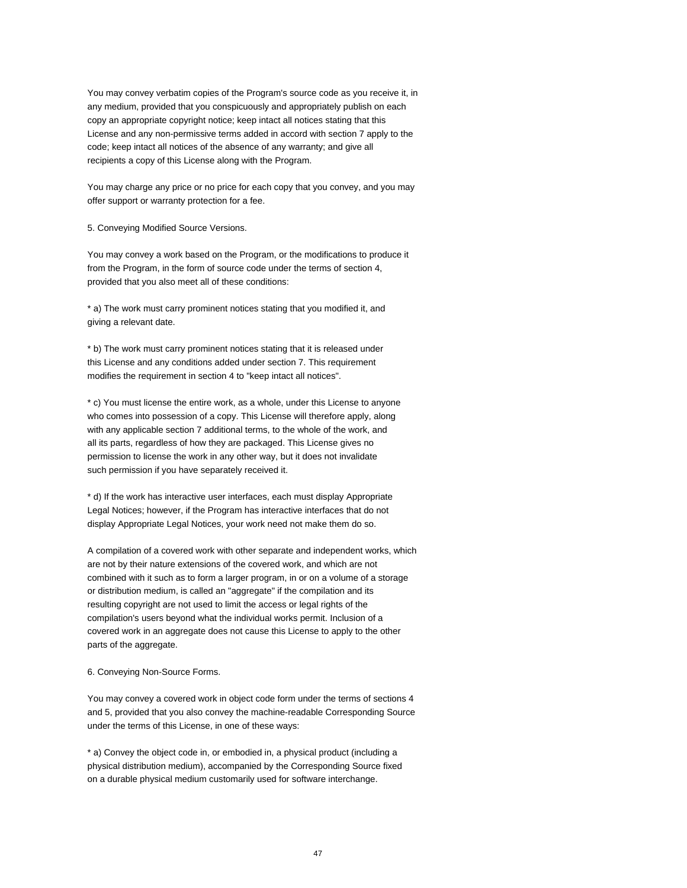You may convey verbatim copies of the Program's source code as you receive it, in any medium, provided that you conspicuously and appropriately publish on each copy an appropriate copyright notice; keep intact all notices stating that this License and any non-permissive terms added in accord with section 7 apply to the code; keep intact all notices of the absence of any warranty; and give all recipients a copy of this License along with the Program.

You may charge any price or no price for each copy that you convey, and you may offer support or warranty protection for a fee.

5. Conveying Modified Source Versions.

You may convey a work based on the Program, or the modifications to produce it from the Program, in the form of source code under the terms of section 4, provided that you also meet all of these conditions:

\* a) The work must carry prominent notices stating that you modified it, and giving a relevant date.

\* b) The work must carry prominent notices stating that it is released under this License and any conditions added under section 7. This requirement modifies the requirement in section 4 to "keep intact all notices".

\* c) You must license the entire work, as a whole, under this License to anyone who comes into possession of a copy. This License will therefore apply, along with any applicable section 7 additional terms, to the whole of the work, and all its parts, regardless of how they are packaged. This License gives no permission to license the work in any other way, but it does not invalidate such permission if you have separately received it.

\* d) If the work has interactive user interfaces, each must display Appropriate Legal Notices; however, if the Program has interactive interfaces that do not display Appropriate Legal Notices, your work need not make them do so.

A compilation of a covered work with other separate and independent works, which are not by their nature extensions of the covered work, and which are not combined with it such as to form a larger program, in or on a volume of a storage or distribution medium, is called an "aggregate" if the compilation and its resulting copyright are not used to limit the access or legal rights of the compilation's users beyond what the individual works permit. Inclusion of a covered work in an aggregate does not cause this License to apply to the other parts of the aggregate.

6. Conveying Non-Source Forms.

You may convey a covered work in object code form under the terms of sections 4 and 5, provided that you also convey the machine-readable Corresponding Source under the terms of this License, in one of these ways:

\* a) Convey the object code in, or embodied in, a physical product (including a physical distribution medium), accompanied by the Corresponding Source fixed on a durable physical medium customarily used for software interchange.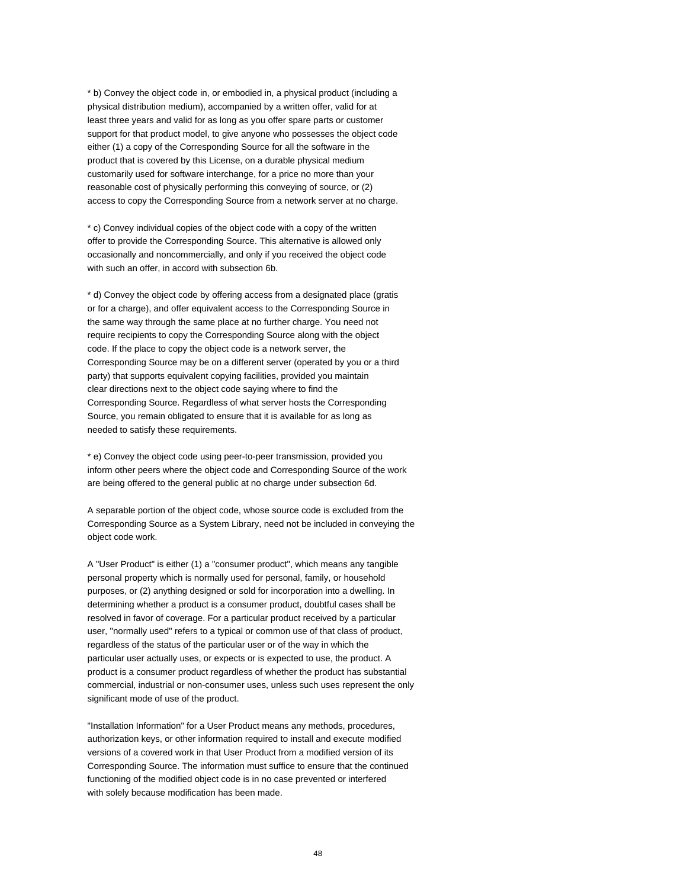\* b) Convey the object code in, or embodied in, a physical product (including a physical distribution medium), accompanied by a written offer, valid for at least three years and valid for as long as you offer spare parts or customer support for that product model, to give anyone who possesses the object code either (1) a copy of the Corresponding Source for all the software in the product that is covered by this License, on a durable physical medium customarily used for software interchange, for a price no more than your reasonable cost of physically performing this conveying of source, or (2) access to copy the Corresponding Source from a network server at no charge.

\* c) Convey individual copies of the object code with a copy of the written offer to provide the Corresponding Source. This alternative is allowed only occasionally and noncommercially, and only if you received the object code with such an offer, in accord with subsection 6b.

\* d) Convey the object code by offering access from a designated place (gratis or for a charge), and offer equivalent access to the Corresponding Source in the same way through the same place at no further charge. You need not require recipients to copy the Corresponding Source along with the object code. If the place to copy the object code is a network server, the Corresponding Source may be on a different server (operated by you or a third party) that supports equivalent copying facilities, provided you maintain clear directions next to the object code saying where to find the Corresponding Source. Regardless of what server hosts the Corresponding Source, you remain obligated to ensure that it is available for as long as needed to satisfy these requirements.

\* e) Convey the object code using peer-to-peer transmission, provided you inform other peers where the object code and Corresponding Source of the work are being offered to the general public at no charge under subsection 6d.

A separable portion of the object code, whose source code is excluded from the Corresponding Source as a System Library, need not be included in conveying the object code work.

A "User Product" is either (1) a "consumer product", which means any tangible personal property which is normally used for personal, family, or household purposes, or (2) anything designed or sold for incorporation into a dwelling. In determining whether a product is a consumer product, doubtful cases shall be resolved in favor of coverage. For a particular product received by a particular user, "normally used" refers to a typical or common use of that class of product, regardless of the status of the particular user or of the way in which the particular user actually uses, or expects or is expected to use, the product. A product is a consumer product regardless of whether the product has substantial commercial, industrial or non-consumer uses, unless such uses represent the only significant mode of use of the product.

"Installation Information" for a User Product means any methods, procedures, authorization keys, or other information required to install and execute modified versions of a covered work in that User Product from a modified version of its Corresponding Source. The information must suffice to ensure that the continued functioning of the modified object code is in no case prevented or interfered with solely because modification has been made.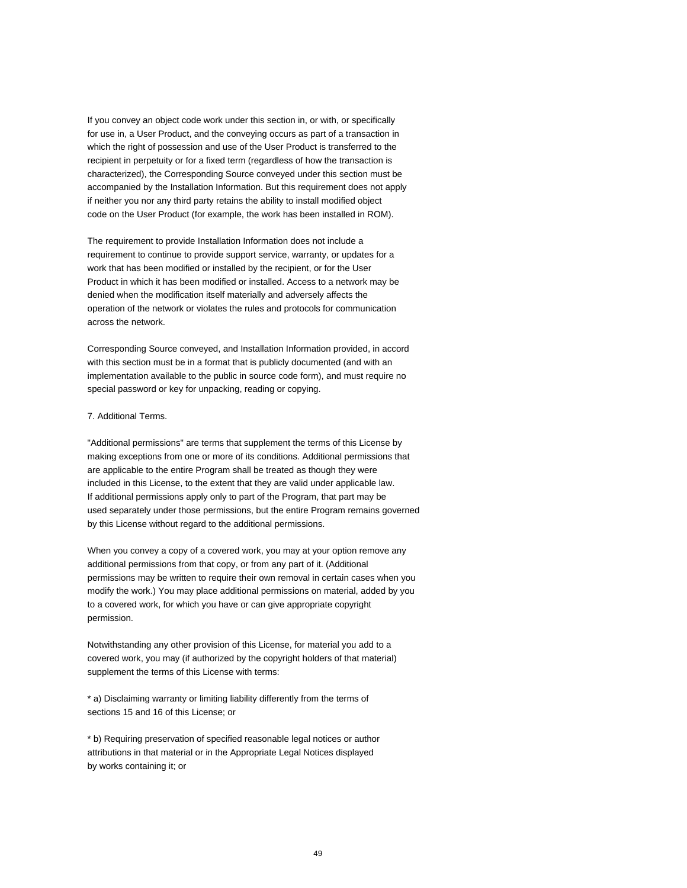If you convey an object code work under this section in, or with, or specifically for use in, a User Product, and the conveying occurs as part of a transaction in which the right of possession and use of the User Product is transferred to the recipient in perpetuity or for a fixed term (regardless of how the transaction is characterized), the Corresponding Source conveyed under this section must be accompanied by the Installation Information. But this requirement does not apply if neither you nor any third party retains the ability to install modified object code on the User Product (for example, the work has been installed in ROM).

The requirement to provide Installation Information does not include a requirement to continue to provide support service, warranty, or updates for a work that has been modified or installed by the recipient, or for the User Product in which it has been modified or installed. Access to a network may be denied when the modification itself materially and adversely affects the operation of the network or violates the rules and protocols for communication across the network.

Corresponding Source conveyed, and Installation Information provided, in accord with this section must be in a format that is publicly documented (and with an implementation available to the public in source code form), and must require no special password or key for unpacking, reading or copying.

#### 7. Additional Terms.

"Additional permissions" are terms that supplement the terms of this License by making exceptions from one or more of its conditions. Additional permissions that are applicable to the entire Program shall be treated as though they were included in this License, to the extent that they are valid under applicable law. If additional permissions apply only to part of the Program, that part may be used separately under those permissions, but the entire Program remains governed by this License without regard to the additional permissions.

When you convey a copy of a covered work, you may at your option remove any additional permissions from that copy, or from any part of it. (Additional permissions may be written to require their own removal in certain cases when you modify the work.) You may place additional permissions on material, added by you to a covered work, for which you have or can give appropriate copyright permission.

Notwithstanding any other provision of this License, for material you add to a covered work, you may (if authorized by the copyright holders of that material) supplement the terms of this License with terms:

\* a) Disclaiming warranty or limiting liability differently from the terms of sections 15 and 16 of this License; or

\* b) Requiring preservation of specified reasonable legal notices or author attributions in that material or in the Appropriate Legal Notices displayed by works containing it; or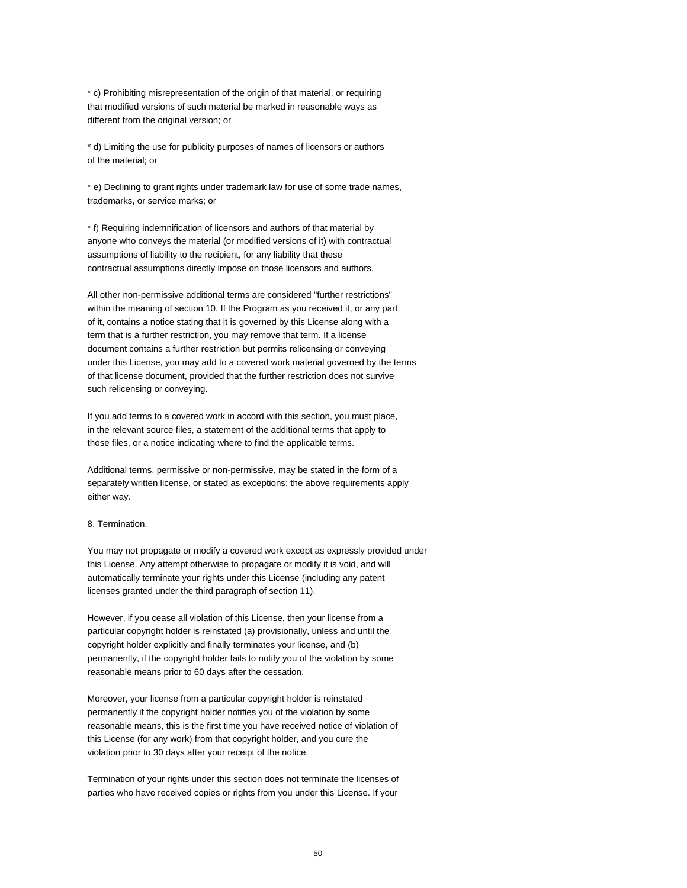\* c) Prohibiting misrepresentation of the origin of that material, or requiring that modified versions of such material be marked in reasonable ways as different from the original version; or

\* d) Limiting the use for publicity purposes of names of licensors or authors of the material; or

\* e) Declining to grant rights under trademark law for use of some trade names, trademarks, or service marks; or

\* f) Requiring indemnification of licensors and authors of that material by anyone who conveys the material (or modified versions of it) with contractual assumptions of liability to the recipient, for any liability that these contractual assumptions directly impose on those licensors and authors.

All other non-permissive additional terms are considered "further restrictions" within the meaning of section 10. If the Program as you received it, or any part of it, contains a notice stating that it is governed by this License along with a term that is a further restriction, you may remove that term. If a license document contains a further restriction but permits relicensing or conveying under this License, you may add to a covered work material governed by the terms of that license document, provided that the further restriction does not survive such relicensing or conveying.

If you add terms to a covered work in accord with this section, you must place, in the relevant source files, a statement of the additional terms that apply to those files, or a notice indicating where to find the applicable terms.

Additional terms, permissive or non-permissive, may be stated in the form of a separately written license, or stated as exceptions; the above requirements apply either way.

## 8. Termination.

You may not propagate or modify a covered work except as expressly provided under this License. Any attempt otherwise to propagate or modify it is void, and will automatically terminate your rights under this License (including any patent licenses granted under the third paragraph of section 11).

However, if you cease all violation of this License, then your license from a particular copyright holder is reinstated (a) provisionally, unless and until the copyright holder explicitly and finally terminates your license, and (b) permanently, if the copyright holder fails to notify you of the violation by some reasonable means prior to 60 days after the cessation.

Moreover, your license from a particular copyright holder is reinstated permanently if the copyright holder notifies you of the violation by some reasonable means, this is the first time you have received notice of violation of this License (for any work) from that copyright holder, and you cure the violation prior to 30 days after your receipt of the notice.

Termination of your rights under this section does not terminate the licenses of parties who have received copies or rights from you under this License. If your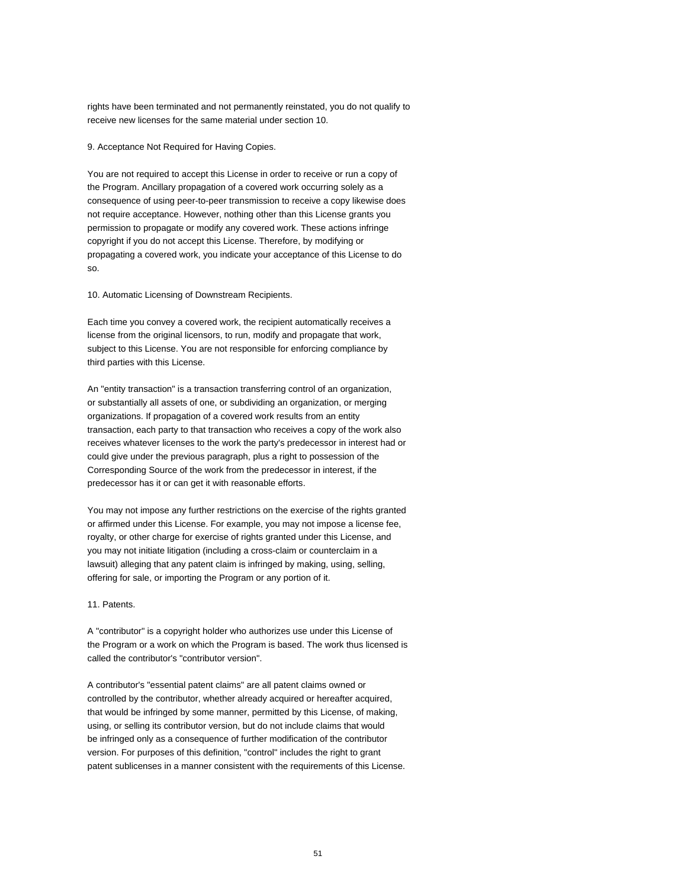rights have been terminated and not permanently reinstated, you do not qualify to receive new licenses for the same material under section 10.

9. Acceptance Not Required for Having Copies.

You are not required to accept this License in order to receive or run a copy of the Program. Ancillary propagation of a covered work occurring solely as a consequence of using peer-to-peer transmission to receive a copy likewise does not require acceptance. However, nothing other than this License grants you permission to propagate or modify any covered work. These actions infringe copyright if you do not accept this License. Therefore, by modifying or propagating a covered work, you indicate your acceptance of this License to do so.

10. Automatic Licensing of Downstream Recipients.

Each time you convey a covered work, the recipient automatically receives a license from the original licensors, to run, modify and propagate that work, subject to this License. You are not responsible for enforcing compliance by third parties with this License.

An "entity transaction" is a transaction transferring control of an organization, or substantially all assets of one, or subdividing an organization, or merging organizations. If propagation of a covered work results from an entity transaction, each party to that transaction who receives a copy of the work also receives whatever licenses to the work the party's predecessor in interest had or could give under the previous paragraph, plus a right to possession of the Corresponding Source of the work from the predecessor in interest, if the predecessor has it or can get it with reasonable efforts.

You may not impose any further restrictions on the exercise of the rights granted or affirmed under this License. For example, you may not impose a license fee, royalty, or other charge for exercise of rights granted under this License, and you may not initiate litigation (including a cross-claim or counterclaim in a lawsuit) alleging that any patent claim is infringed by making, using, selling, offering for sale, or importing the Program or any portion of it.

11. Patents.

A "contributor" is a copyright holder who authorizes use under this License of the Program or a work on which the Program is based. The work thus licensed is called the contributor's "contributor version".

A contributor's "essential patent claims" are all patent claims owned or controlled by the contributor, whether already acquired or hereafter acquired, that would be infringed by some manner, permitted by this License, of making, using, or selling its contributor version, but do not include claims that would be infringed only as a consequence of further modification of the contributor version. For purposes of this definition, "control" includes the right to grant patent sublicenses in a manner consistent with the requirements of this License.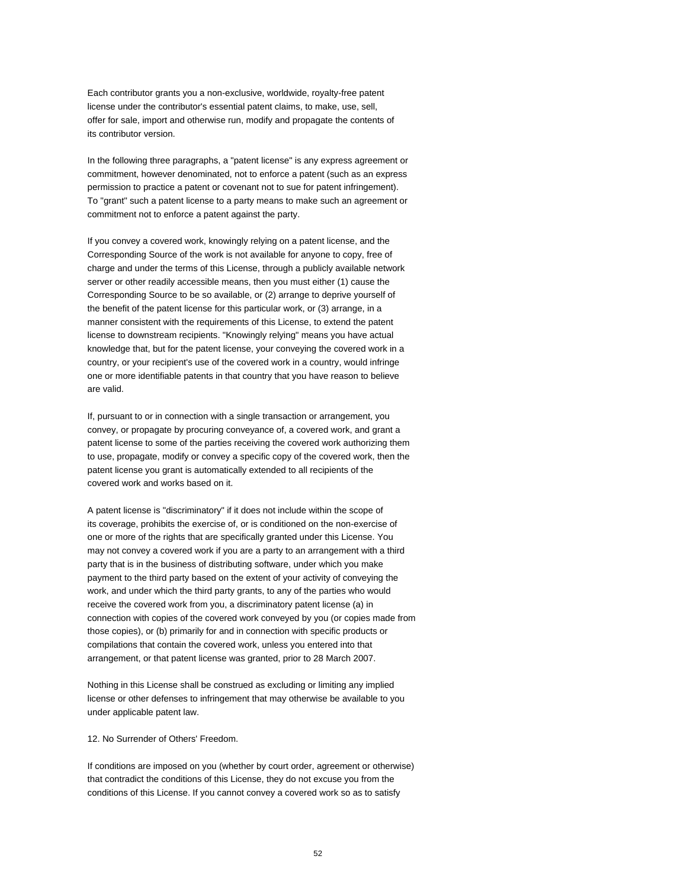Each contributor grants you a non-exclusive, worldwide, royalty-free patent license under the contributor's essential patent claims, to make, use, sell, offer for sale, import and otherwise run, modify and propagate the contents of its contributor version.

In the following three paragraphs, a "patent license" is any express agreement or commitment, however denominated, not to enforce a patent (such as an express permission to practice a patent or covenant not to sue for patent infringement). To "grant" such a patent license to a party means to make such an agreement or commitment not to enforce a patent against the party.

If you convey a covered work, knowingly relying on a patent license, and the Corresponding Source of the work is not available for anyone to copy, free of charge and under the terms of this License, through a publicly available network server or other readily accessible means, then you must either (1) cause the Corresponding Source to be so available, or (2) arrange to deprive yourself of the benefit of the patent license for this particular work, or (3) arrange, in a manner consistent with the requirements of this License, to extend the patent license to downstream recipients. "Knowingly relying" means you have actual knowledge that, but for the patent license, your conveying the covered work in a country, or your recipient's use of the covered work in a country, would infringe one or more identifiable patents in that country that you have reason to believe are valid.

If, pursuant to or in connection with a single transaction or arrangement, you convey, or propagate by procuring conveyance of, a covered work, and grant a patent license to some of the parties receiving the covered work authorizing them to use, propagate, modify or convey a specific copy of the covered work, then the patent license you grant is automatically extended to all recipients of the covered work and works based on it.

A patent license is "discriminatory" if it does not include within the scope of its coverage, prohibits the exercise of, or is conditioned on the non-exercise of one or more of the rights that are specifically granted under this License. You may not convey a covered work if you are a party to an arrangement with a third party that is in the business of distributing software, under which you make payment to the third party based on the extent of your activity of conveying the work, and under which the third party grants, to any of the parties who would receive the covered work from you, a discriminatory patent license (a) in connection with copies of the covered work conveyed by you (or copies made from those copies), or (b) primarily for and in connection with specific products or compilations that contain the covered work, unless you entered into that arrangement, or that patent license was granted, prior to 28 March 2007.

Nothing in this License shall be construed as excluding or limiting any implied license or other defenses to infringement that may otherwise be available to you under applicable patent law.

12. No Surrender of Others' Freedom.

If conditions are imposed on you (whether by court order, agreement or otherwise) that contradict the conditions of this License, they do not excuse you from the conditions of this License. If you cannot convey a covered work so as to satisfy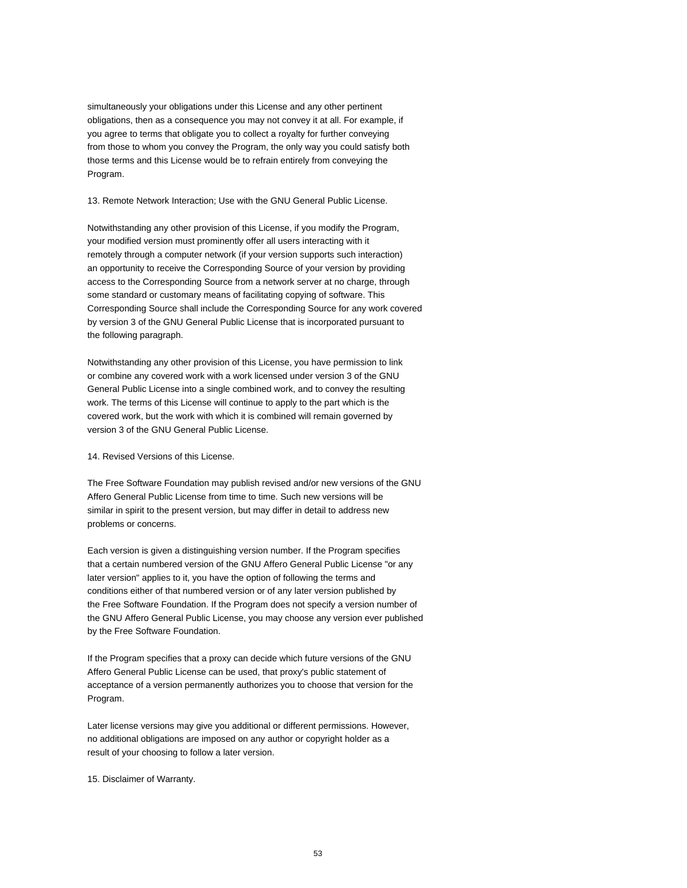simultaneously your obligations under this License and any other pertinent obligations, then as a consequence you may not convey it at all. For example, if you agree to terms that obligate you to collect a royalty for further conveying from those to whom you convey the Program, the only way you could satisfy both those terms and this License would be to refrain entirely from conveying the Program.

13. Remote Network Interaction; Use with the GNU General Public License.

Notwithstanding any other provision of this License, if you modify the Program, your modified version must prominently offer all users interacting with it remotely through a computer network (if your version supports such interaction) an opportunity to receive the Corresponding Source of your version by providing access to the Corresponding Source from a network server at no charge, through some standard or customary means of facilitating copying of software. This Corresponding Source shall include the Corresponding Source for any work covered by version 3 of the GNU General Public License that is incorporated pursuant to the following paragraph.

Notwithstanding any other provision of this License, you have permission to link or combine any covered work with a work licensed under version 3 of the GNU General Public License into a single combined work, and to convey the resulting work. The terms of this License will continue to apply to the part which is the covered work, but the work with which it is combined will remain governed by version 3 of the GNU General Public License.

14. Revised Versions of this License.

The Free Software Foundation may publish revised and/or new versions of the GNU Affero General Public License from time to time. Such new versions will be similar in spirit to the present version, but may differ in detail to address new problems or concerns.

Each version is given a distinguishing version number. If the Program specifies that a certain numbered version of the GNU Affero General Public License "or any later version" applies to it, you have the option of following the terms and conditions either of that numbered version or of any later version published by the Free Software Foundation. If the Program does not specify a version number of the GNU Affero General Public License, you may choose any version ever published by the Free Software Foundation.

If the Program specifies that a proxy can decide which future versions of the GNU Affero General Public License can be used, that proxy's public statement of acceptance of a version permanently authorizes you to choose that version for the Program.

Later license versions may give you additional or different permissions. However, no additional obligations are imposed on any author or copyright holder as a result of your choosing to follow a later version.

15. Disclaimer of Warranty.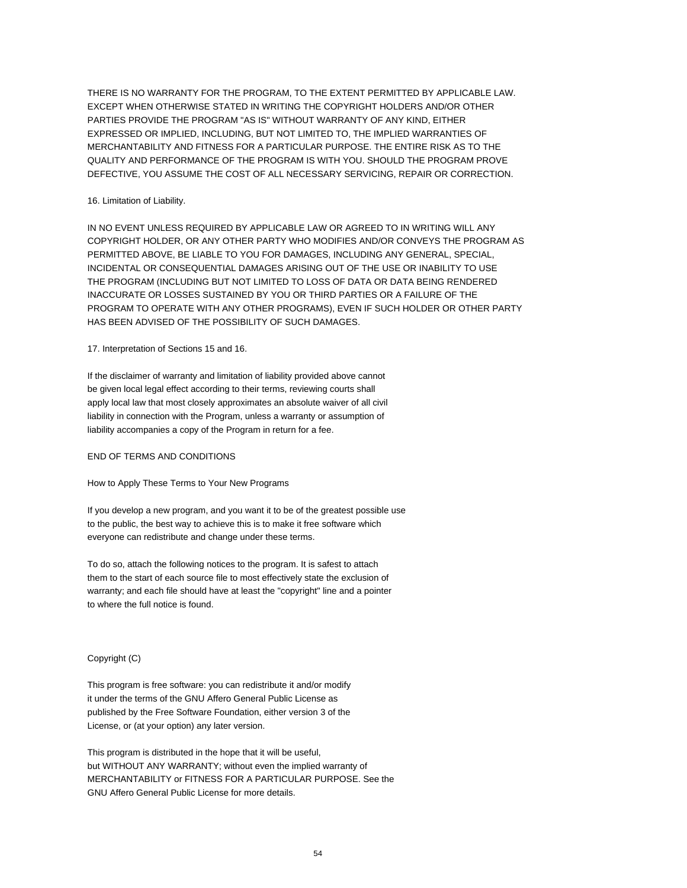THERE IS NO WARRANTY FOR THE PROGRAM, TO THE EXTENT PERMITTED BY APPLICABLE LAW. EXCEPT WHEN OTHERWISE STATED IN WRITING THE COPYRIGHT HOLDERS AND/OR OTHER PARTIES PROVIDE THE PROGRAM "AS IS" WITHOUT WARRANTY OF ANY KIND, EITHER EXPRESSED OR IMPLIED, INCLUDING, BUT NOT LIMITED TO, THE IMPLIED WARRANTIES OF MERCHANTABILITY AND FITNESS FOR A PARTICULAR PURPOSE. THE ENTIRE RISK AS TO THE QUALITY AND PERFORMANCE OF THE PROGRAM IS WITH YOU. SHOULD THE PROGRAM PROVE DEFECTIVE, YOU ASSUME THE COST OF ALL NECESSARY SERVICING, REPAIR OR CORRECTION.

### 16. Limitation of Liability.

IN NO EVENT UNLESS REQUIRED BY APPLICABLE LAW OR AGREED TO IN WRITING WILL ANY COPYRIGHT HOLDER, OR ANY OTHER PARTY WHO MODIFIES AND/OR CONVEYS THE PROGRAM AS PERMITTED ABOVE, BE LIABLE TO YOU FOR DAMAGES, INCLUDING ANY GENERAL, SPECIAL, INCIDENTAL OR CONSEQUENTIAL DAMAGES ARISING OUT OF THE USE OR INABILITY TO USE THE PROGRAM (INCLUDING BUT NOT LIMITED TO LOSS OF DATA OR DATA BEING RENDERED INACCURATE OR LOSSES SUSTAINED BY YOU OR THIRD PARTIES OR A FAILURE OF THE PROGRAM TO OPERATE WITH ANY OTHER PROGRAMS), EVEN IF SUCH HOLDER OR OTHER PARTY HAS BEEN ADVISED OF THE POSSIBILITY OF SUCH DAMAGES.

17. Interpretation of Sections 15 and 16.

If the disclaimer of warranty and limitation of liability provided above cannot be given local legal effect according to their terms, reviewing courts shall apply local law that most closely approximates an absolute waiver of all civil liability in connection with the Program, unless a warranty or assumption of liability accompanies a copy of the Program in return for a fee.

# END OF TERMS AND CONDITIONS

How to Apply These Terms to Your New Programs

If you develop a new program, and you want it to be of the greatest possible use to the public, the best way to achieve this is to make it free software which everyone can redistribute and change under these terms.

To do so, attach the following notices to the program. It is safest to attach them to the start of each source file to most effectively state the exclusion of warranty; and each file should have at least the "copyright" line and a pointer to where the full notice is found.

# Copyright (C)

This program is free software: you can redistribute it and/or modify it under the terms of the GNU Affero General Public License as published by the Free Software Foundation, either version 3 of the License, or (at your option) any later version.

This program is distributed in the hope that it will be useful, but WITHOUT ANY WARRANTY; without even the implied warranty of MERCHANTABILITY or FITNESS FOR A PARTICULAR PURPOSE. See the GNU Affero General Public License for more details.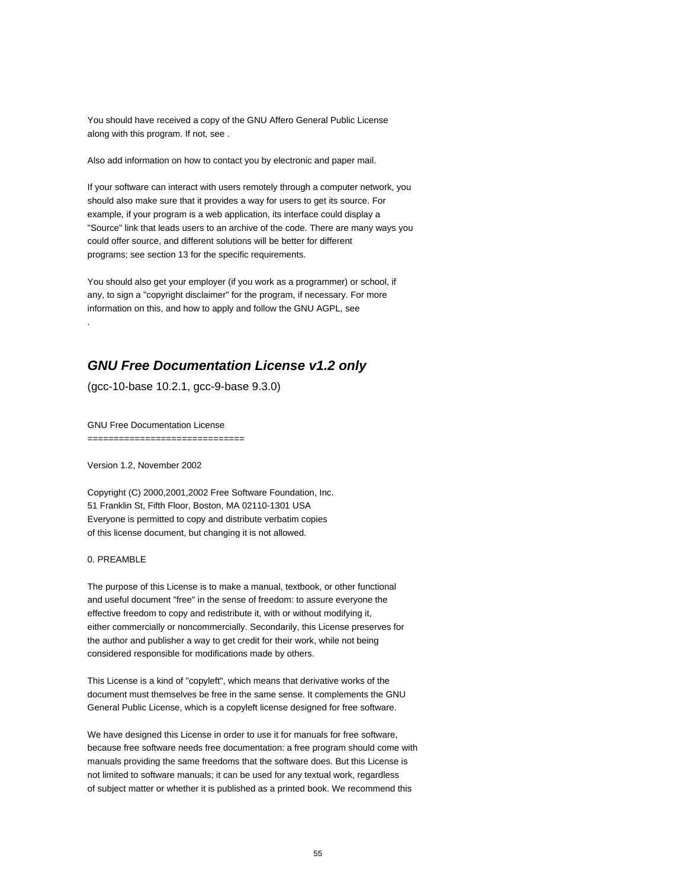You should have received a copy of the GNU Affero General Public License along with this program. If not, see .

Also add information on how to contact you by electronic and paper mail.

If your software can interact with users remotely through a computer network, you should also make sure that it provides a way for users to get its source. For example, if your program is a web application, its interface could display a "Source" link that leads users to an archive of the code. There are many ways you could offer source, and different solutions will be better for different programs; see section 13 for the specific requirements.

You should also get your employer (if you work as a programmer) or school, if any, to sign a "copyright disclaimer" for the program, if necessary. For more information on this, and how to apply and follow the GNU AGPL, see

# **GNU Free Documentation License v1.2 only**

(gcc-10-base 10.2.1, gcc-9-base 9.3.0)

GNU Free Documentation License

===============================

Version 1.2, November 2002

Copyright (C) 2000,2001,2002 Free Software Foundation, Inc. 51 Franklin St, Fifth Floor, Boston, MA 02110-1301 USA Everyone is permitted to copy and distribute verbatim copies of this license document, but changing it is not allowed.

0. PREAMBLE

.

The purpose of this License is to make a manual, textbook, or other functional and useful document "free" in the sense of freedom: to assure everyone the effective freedom to copy and redistribute it, with or without modifying it, either commercially or noncommercially. Secondarily, this License preserves for the author and publisher a way to get credit for their work, while not being considered responsible for modifications made by others.

This License is a kind of "copyleft", which means that derivative works of the document must themselves be free in the same sense. It complements the GNU General Public License, which is a copyleft license designed for free software.

We have designed this License in order to use it for manuals for free software, because free software needs free documentation: a free program should come with manuals providing the same freedoms that the software does. But this License is not limited to software manuals; it can be used for any textual work, regardless of subject matter or whether it is published as a printed book. We recommend this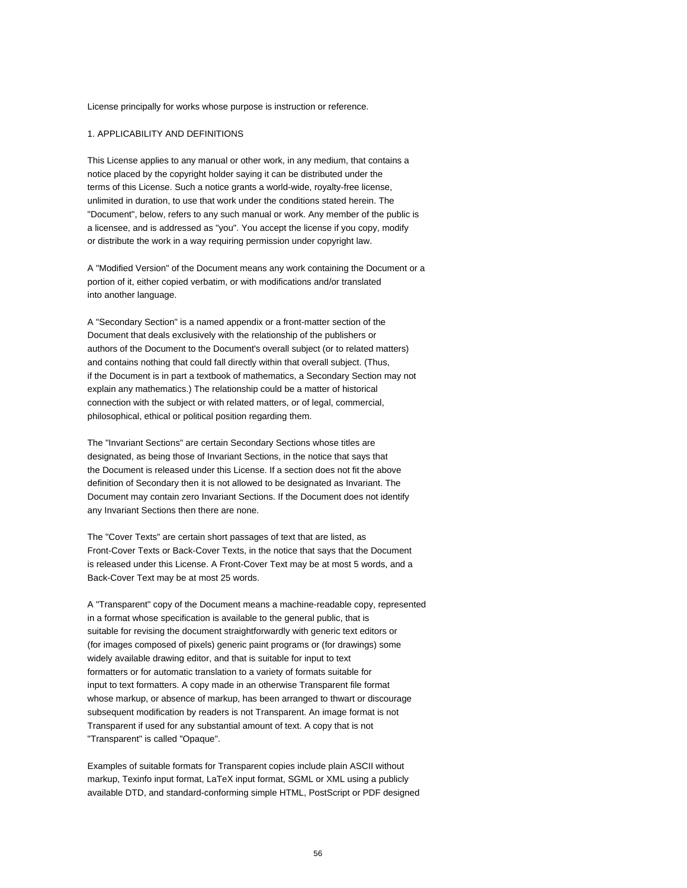License principally for works whose purpose is instruction or reference.

# 1. APPLICABILITY AND DEFINITIONS

This License applies to any manual or other work, in any medium, that contains a notice placed by the copyright holder saying it can be distributed under the terms of this License. Such a notice grants a world-wide, royalty-free license, unlimited in duration, to use that work under the conditions stated herein. The "Document", below, refers to any such manual or work. Any member of the public is a licensee, and is addressed as "you". You accept the license if you copy, modify or distribute the work in a way requiring permission under copyright law.

A "Modified Version" of the Document means any work containing the Document or a portion of it, either copied verbatim, or with modifications and/or translated into another language.

A "Secondary Section" is a named appendix or a front-matter section of the Document that deals exclusively with the relationship of the publishers or authors of the Document to the Document's overall subject (or to related matters) and contains nothing that could fall directly within that overall subject. (Thus, if the Document is in part a textbook of mathematics, a Secondary Section may not explain any mathematics.) The relationship could be a matter of historical connection with the subject or with related matters, or of legal, commercial, philosophical, ethical or political position regarding them.

The "Invariant Sections" are certain Secondary Sections whose titles are designated, as being those of Invariant Sections, in the notice that says that the Document is released under this License. If a section does not fit the above definition of Secondary then it is not allowed to be designated as Invariant. The Document may contain zero Invariant Sections. If the Document does not identify any Invariant Sections then there are none.

The "Cover Texts" are certain short passages of text that are listed, as Front-Cover Texts or Back-Cover Texts, in the notice that says that the Document is released under this License. A Front-Cover Text may be at most 5 words, and a Back-Cover Text may be at most 25 words.

A "Transparent" copy of the Document means a machine-readable copy, represented in a format whose specification is available to the general public, that is suitable for revising the document straightforwardly with generic text editors or (for images composed of pixels) generic paint programs or (for drawings) some widely available drawing editor, and that is suitable for input to text formatters or for automatic translation to a variety of formats suitable for input to text formatters. A copy made in an otherwise Transparent file format whose markup, or absence of markup, has been arranged to thwart or discourage subsequent modification by readers is not Transparent. An image format is not Transparent if used for any substantial amount of text. A copy that is not "Transparent" is called "Opaque".

Examples of suitable formats for Transparent copies include plain ASCII without markup, Texinfo input format, LaTeX input format, SGML or XML using a publicly available DTD, and standard-conforming simple HTML, PostScript or PDF designed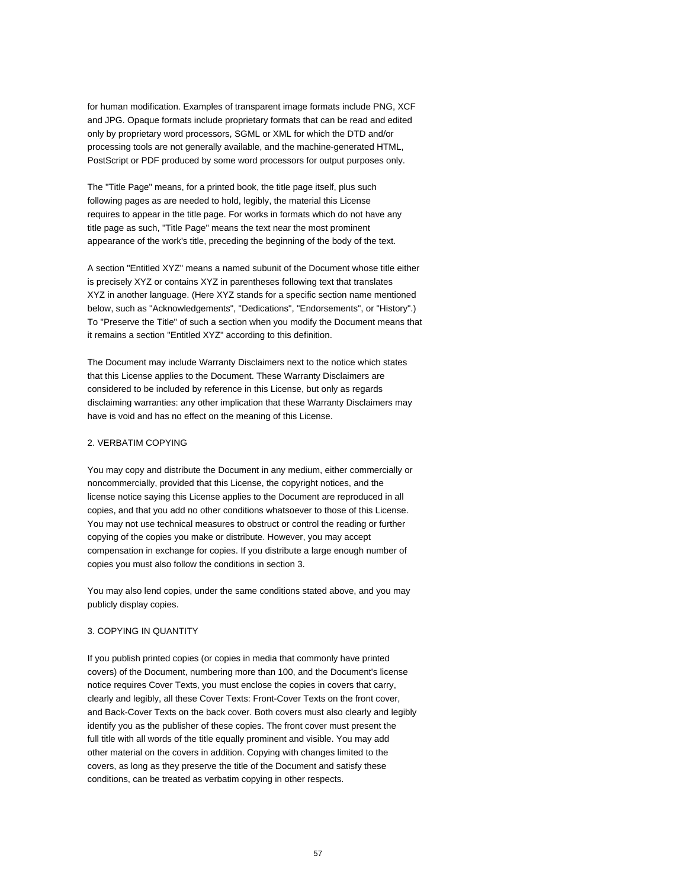for human modification. Examples of transparent image formats include PNG, XCF and JPG. Opaque formats include proprietary formats that can be read and edited only by proprietary word processors, SGML or XML for which the DTD and/or processing tools are not generally available, and the machine-generated HTML, PostScript or PDF produced by some word processors for output purposes only.

The "Title Page" means, for a printed book, the title page itself, plus such following pages as are needed to hold, legibly, the material this License requires to appear in the title page. For works in formats which do not have any title page as such, "Title Page" means the text near the most prominent appearance of the work's title, preceding the beginning of the body of the text.

A section "Entitled XYZ" means a named subunit of the Document whose title either is precisely XYZ or contains XYZ in parentheses following text that translates XYZ in another language. (Here XYZ stands for a specific section name mentioned below, such as "Acknowledgements", "Dedications", "Endorsements", or "History".) To "Preserve the Title" of such a section when you modify the Document means that it remains a section "Entitled XYZ" according to this definition.

The Document may include Warranty Disclaimers next to the notice which states that this License applies to the Document. These Warranty Disclaimers are considered to be included by reference in this License, but only as regards disclaiming warranties: any other implication that these Warranty Disclaimers may have is void and has no effect on the meaning of this License.

## 2. VERBATIM COPYING

You may copy and distribute the Document in any medium, either commercially or noncommercially, provided that this License, the copyright notices, and the license notice saying this License applies to the Document are reproduced in all copies, and that you add no other conditions whatsoever to those of this License. You may not use technical measures to obstruct or control the reading or further copying of the copies you make or distribute. However, you may accept compensation in exchange for copies. If you distribute a large enough number of copies you must also follow the conditions in section 3.

You may also lend copies, under the same conditions stated above, and you may publicly display copies.

#### 3. COPYING IN QUANTITY

If you publish printed copies (or copies in media that commonly have printed covers) of the Document, numbering more than 100, and the Document's license notice requires Cover Texts, you must enclose the copies in covers that carry, clearly and legibly, all these Cover Texts: Front-Cover Texts on the front cover, and Back-Cover Texts on the back cover. Both covers must also clearly and legibly identify you as the publisher of these copies. The front cover must present the full title with all words of the title equally prominent and visible. You may add other material on the covers in addition. Copying with changes limited to the covers, as long as they preserve the title of the Document and satisfy these conditions, can be treated as verbatim copying in other respects.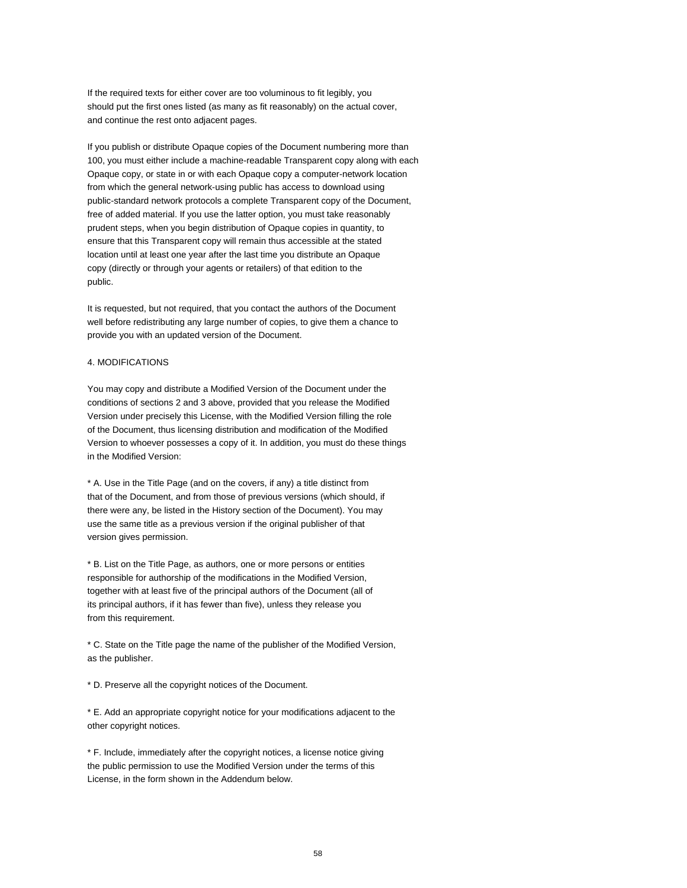If the required texts for either cover are too voluminous to fit legibly, you should put the first ones listed (as many as fit reasonably) on the actual cover, and continue the rest onto adjacent pages.

If you publish or distribute Opaque copies of the Document numbering more than 100, you must either include a machine-readable Transparent copy along with each Opaque copy, or state in or with each Opaque copy a computer-network location from which the general network-using public has access to download using public-standard network protocols a complete Transparent copy of the Document, free of added material. If you use the latter option, you must take reasonably prudent steps, when you begin distribution of Opaque copies in quantity, to ensure that this Transparent copy will remain thus accessible at the stated location until at least one year after the last time you distribute an Opaque copy (directly or through your agents or retailers) of that edition to the public.

It is requested, but not required, that you contact the authors of the Document well before redistributing any large number of copies, to give them a chance to provide you with an updated version of the Document.

# 4. MODIFICATIONS

You may copy and distribute a Modified Version of the Document under the conditions of sections 2 and 3 above, provided that you release the Modified Version under precisely this License, with the Modified Version filling the role of the Document, thus licensing distribution and modification of the Modified Version to whoever possesses a copy of it. In addition, you must do these things in the Modified Version:

\* A. Use in the Title Page (and on the covers, if any) a title distinct from that of the Document, and from those of previous versions (which should, if there were any, be listed in the History section of the Document). You may use the same title as a previous version if the original publisher of that version gives permission.

\* B. List on the Title Page, as authors, one or more persons or entities responsible for authorship of the modifications in the Modified Version, together with at least five of the principal authors of the Document (all of its principal authors, if it has fewer than five), unless they release you from this requirement.

\* C. State on the Title page the name of the publisher of the Modified Version, as the publisher.

\* D. Preserve all the copyright notices of the Document.

\* E. Add an appropriate copyright notice for your modifications adjacent to the other copyright notices.

\* F. Include, immediately after the copyright notices, a license notice giving the public permission to use the Modified Version under the terms of this License, in the form shown in the Addendum below.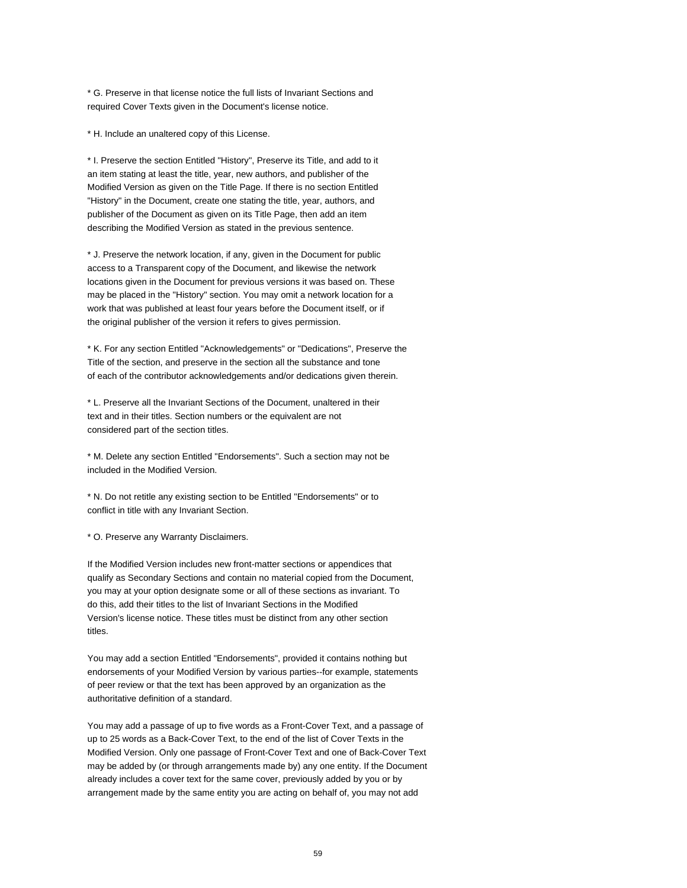\* G. Preserve in that license notice the full lists of Invariant Sections and required Cover Texts given in the Document's license notice.

\* H. Include an unaltered copy of this License.

\* I. Preserve the section Entitled "History", Preserve its Title, and add to it an item stating at least the title, year, new authors, and publisher of the Modified Version as given on the Title Page. If there is no section Entitled "History" in the Document, create one stating the title, year, authors, and publisher of the Document as given on its Title Page, then add an item describing the Modified Version as stated in the previous sentence.

\* J. Preserve the network location, if any, given in the Document for public access to a Transparent copy of the Document, and likewise the network locations given in the Document for previous versions it was based on. These may be placed in the "History" section. You may omit a network location for a work that was published at least four years before the Document itself, or if the original publisher of the version it refers to gives permission.

\* K. For any section Entitled "Acknowledgements" or "Dedications", Preserve the Title of the section, and preserve in the section all the substance and tone of each of the contributor acknowledgements and/or dedications given therein.

\* L. Preserve all the Invariant Sections of the Document, unaltered in their text and in their titles. Section numbers or the equivalent are not considered part of the section titles.

\* M. Delete any section Entitled "Endorsements". Such a section may not be included in the Modified Version.

\* N. Do not retitle any existing section to be Entitled "Endorsements" or to conflict in title with any Invariant Section.

\* O. Preserve any Warranty Disclaimers.

If the Modified Version includes new front-matter sections or appendices that qualify as Secondary Sections and contain no material copied from the Document, you may at your option designate some or all of these sections as invariant. To do this, add their titles to the list of Invariant Sections in the Modified Version's license notice. These titles must be distinct from any other section titles.

You may add a section Entitled "Endorsements", provided it contains nothing but endorsements of your Modified Version by various parties--for example, statements of peer review or that the text has been approved by an organization as the authoritative definition of a standard.

You may add a passage of up to five words as a Front-Cover Text, and a passage of up to 25 words as a Back-Cover Text, to the end of the list of Cover Texts in the Modified Version. Only one passage of Front-Cover Text and one of Back-Cover Text may be added by (or through arrangements made by) any one entity. If the Document already includes a cover text for the same cover, previously added by you or by arrangement made by the same entity you are acting on behalf of, you may not add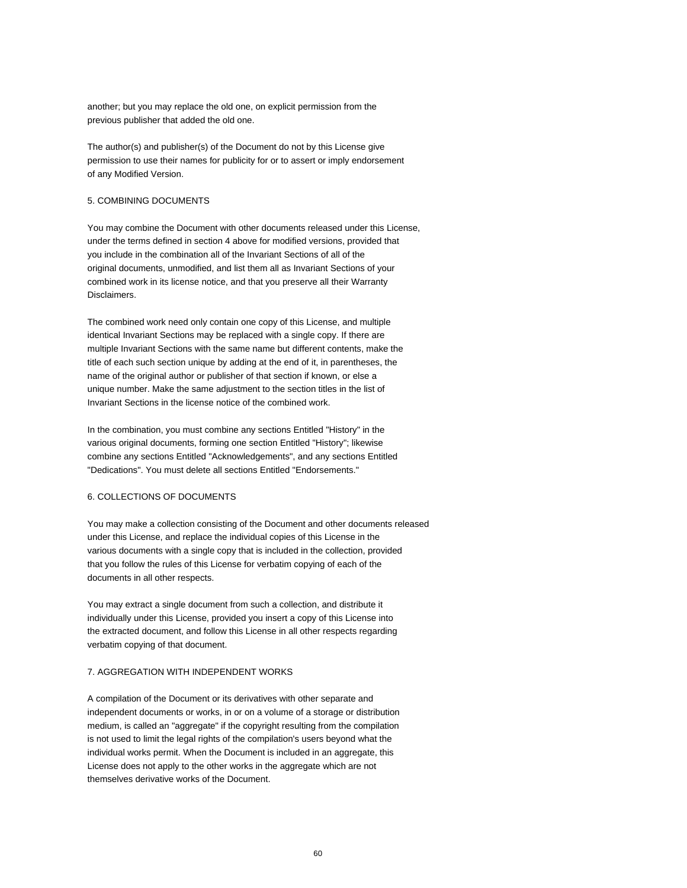another; but you may replace the old one, on explicit permission from the previous publisher that added the old one.

The author(s) and publisher(s) of the Document do not by this License give permission to use their names for publicity for or to assert or imply endorsement of any Modified Version.

### 5. COMBINING DOCUMENTS

You may combine the Document with other documents released under this License, under the terms defined in section 4 above for modified versions, provided that you include in the combination all of the Invariant Sections of all of the original documents, unmodified, and list them all as Invariant Sections of your combined work in its license notice, and that you preserve all their Warranty Disclaimers.

The combined work need only contain one copy of this License, and multiple identical Invariant Sections may be replaced with a single copy. If there are multiple Invariant Sections with the same name but different contents, make the title of each such section unique by adding at the end of it, in parentheses, the name of the original author or publisher of that section if known, or else a unique number. Make the same adjustment to the section titles in the list of Invariant Sections in the license notice of the combined work.

In the combination, you must combine any sections Entitled "History" in the various original documents, forming one section Entitled "History"; likewise combine any sections Entitled "Acknowledgements", and any sections Entitled "Dedications". You must delete all sections Entitled "Endorsements."

#### 6. COLLECTIONS OF DOCUMENTS

You may make a collection consisting of the Document and other documents released under this License, and replace the individual copies of this License in the various documents with a single copy that is included in the collection, provided that you follow the rules of this License for verbatim copying of each of the documents in all other respects.

You may extract a single document from such a collection, and distribute it individually under this License, provided you insert a copy of this License into the extracted document, and follow this License in all other respects regarding verbatim copying of that document.

### 7. AGGREGATION WITH INDEPENDENT WORKS

A compilation of the Document or its derivatives with other separate and independent documents or works, in or on a volume of a storage or distribution medium, is called an "aggregate" if the copyright resulting from the compilation is not used to limit the legal rights of the compilation's users beyond what the individual works permit. When the Document is included in an aggregate, this License does not apply to the other works in the aggregate which are not themselves derivative works of the Document.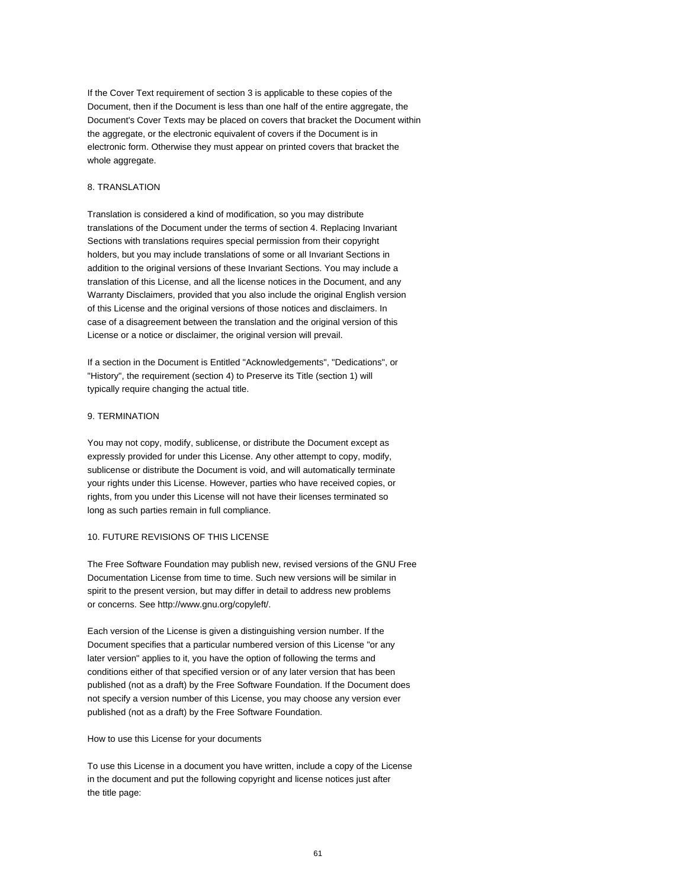If the Cover Text requirement of section 3 is applicable to these copies of the Document, then if the Document is less than one half of the entire aggregate, the Document's Cover Texts may be placed on covers that bracket the Document within the aggregate, or the electronic equivalent of covers if the Document is in electronic form. Otherwise they must appear on printed covers that bracket the whole aggregate.

# 8. TRANSLATION

Translation is considered a kind of modification, so you may distribute translations of the Document under the terms of section 4. Replacing Invariant Sections with translations requires special permission from their copyright holders, but you may include translations of some or all Invariant Sections in addition to the original versions of these Invariant Sections. You may include a translation of this License, and all the license notices in the Document, and any Warranty Disclaimers, provided that you also include the original English version of this License and the original versions of those notices and disclaimers. In case of a disagreement between the translation and the original version of this License or a notice or disclaimer, the original version will prevail.

If a section in the Document is Entitled "Acknowledgements", "Dedications", or "History", the requirement (section 4) to Preserve its Title (section 1) will typically require changing the actual title.

### 9. TERMINATION

You may not copy, modify, sublicense, or distribute the Document except as expressly provided for under this License. Any other attempt to copy, modify, sublicense or distribute the Document is void, and will automatically terminate your rights under this License. However, parties who have received copies, or rights, from you under this License will not have their licenses terminated so long as such parties remain in full compliance.

# 10. FUTURE REVISIONS OF THIS LICENSE

The Free Software Foundation may publish new, revised versions of the GNU Free Documentation License from time to time. Such new versions will be similar in spirit to the present version, but may differ in detail to address new problems or concerns. See http://www.gnu.org/copyleft/.

Each version of the License is given a distinguishing version number. If the Document specifies that a particular numbered version of this License "or any later version" applies to it, you have the option of following the terms and conditions either of that specified version or of any later version that has been published (not as a draft) by the Free Software Foundation. If the Document does not specify a version number of this License, you may choose any version ever published (not as a draft) by the Free Software Foundation.

### How to use this License for your documents

To use this License in a document you have written, include a copy of the License in the document and put the following copyright and license notices just after the title page: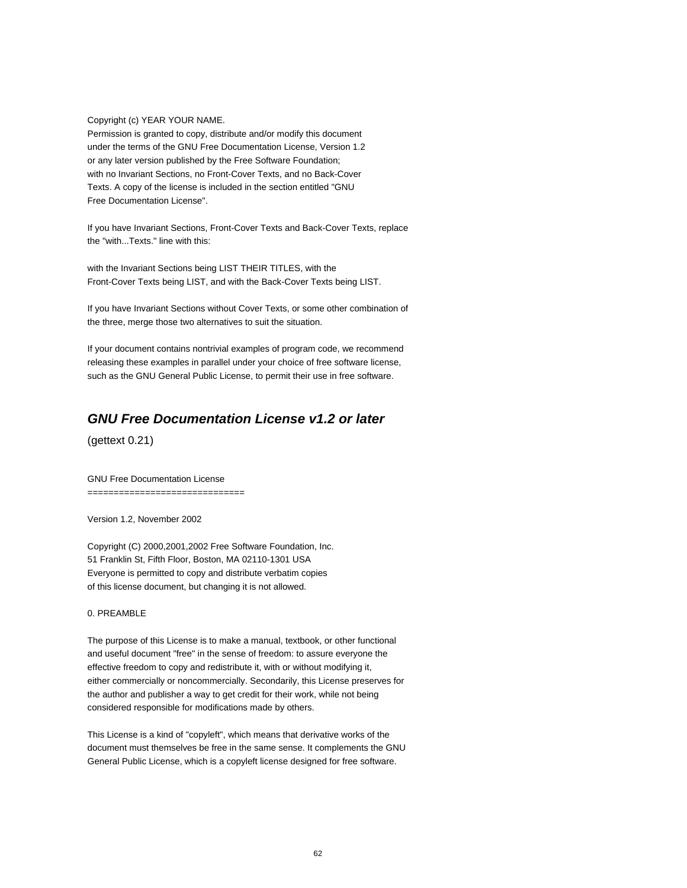#### Copyright (c) YEAR YOUR NAME.

Permission is granted to copy, distribute and/or modify this document under the terms of the GNU Free Documentation License, Version 1.2 or any later version published by the Free Software Foundation; with no Invariant Sections, no Front-Cover Texts, and no Back-Cover Texts. A copy of the license is included in the section entitled "GNU Free Documentation License".

If you have Invariant Sections, Front-Cover Texts and Back-Cover Texts, replace the "with...Texts." line with this:

with the Invariant Sections being LIST THEIR TITLES, with the Front-Cover Texts being LIST, and with the Back-Cover Texts being LIST.

If you have Invariant Sections without Cover Texts, or some other combination of the three, merge those two alternatives to suit the situation.

If your document contains nontrivial examples of program code, we recommend releasing these examples in parallel under your choice of free software license, such as the GNU General Public License, to permit their use in free software.

# **GNU Free Documentation License v1.2 or later**

(gettext 0.21)

## GNU Free Documentation License

==============================

Version 1.2, November 2002

Copyright (C) 2000,2001,2002 Free Software Foundation, Inc. 51 Franklin St, Fifth Floor, Boston, MA 02110-1301 USA Everyone is permitted to copy and distribute verbatim copies of this license document, but changing it is not allowed.

### 0. PREAMBLE

The purpose of this License is to make a manual, textbook, or other functional and useful document "free" in the sense of freedom: to assure everyone the effective freedom to copy and redistribute it, with or without modifying it, either commercially or noncommercially. Secondarily, this License preserves for the author and publisher a way to get credit for their work, while not being considered responsible for modifications made by others.

This License is a kind of "copyleft", which means that derivative works of the document must themselves be free in the same sense. It complements the GNU General Public License, which is a copyleft license designed for free software.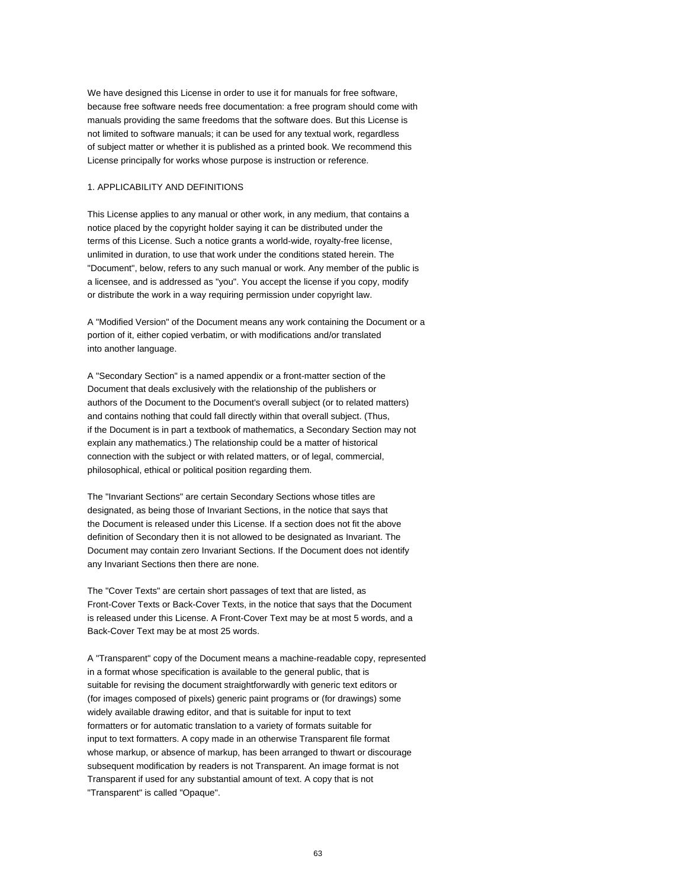We have designed this License in order to use it for manuals for free software, because free software needs free documentation: a free program should come with manuals providing the same freedoms that the software does. But this License is not limited to software manuals; it can be used for any textual work, regardless of subject matter or whether it is published as a printed book. We recommend this License principally for works whose purpose is instruction or reference.

## 1. APPLICABILITY AND DEFINITIONS

This License applies to any manual or other work, in any medium, that contains a notice placed by the copyright holder saying it can be distributed under the terms of this License. Such a notice grants a world-wide, royalty-free license, unlimited in duration, to use that work under the conditions stated herein. The "Document", below, refers to any such manual or work. Any member of the public is a licensee, and is addressed as "you". You accept the license if you copy, modify or distribute the work in a way requiring permission under copyright law.

A "Modified Version" of the Document means any work containing the Document or a portion of it, either copied verbatim, or with modifications and/or translated into another language.

A "Secondary Section" is a named appendix or a front-matter section of the Document that deals exclusively with the relationship of the publishers or authors of the Document to the Document's overall subject (or to related matters) and contains nothing that could fall directly within that overall subject. (Thus, if the Document is in part a textbook of mathematics, a Secondary Section may not explain any mathematics.) The relationship could be a matter of historical connection with the subject or with related matters, or of legal, commercial, philosophical, ethical or political position regarding them.

The "Invariant Sections" are certain Secondary Sections whose titles are designated, as being those of Invariant Sections, in the notice that says that the Document is released under this License. If a section does not fit the above definition of Secondary then it is not allowed to be designated as Invariant. The Document may contain zero Invariant Sections. If the Document does not identify any Invariant Sections then there are none.

The "Cover Texts" are certain short passages of text that are listed, as Front-Cover Texts or Back-Cover Texts, in the notice that says that the Document is released under this License. A Front-Cover Text may be at most 5 words, and a Back-Cover Text may be at most 25 words.

A "Transparent" copy of the Document means a machine-readable copy, represented in a format whose specification is available to the general public, that is suitable for revising the document straightforwardly with generic text editors or (for images composed of pixels) generic paint programs or (for drawings) some widely available drawing editor, and that is suitable for input to text formatters or for automatic translation to a variety of formats suitable for input to text formatters. A copy made in an otherwise Transparent file format whose markup, or absence of markup, has been arranged to thwart or discourage subsequent modification by readers is not Transparent. An image format is not Transparent if used for any substantial amount of text. A copy that is not "Transparent" is called "Opaque".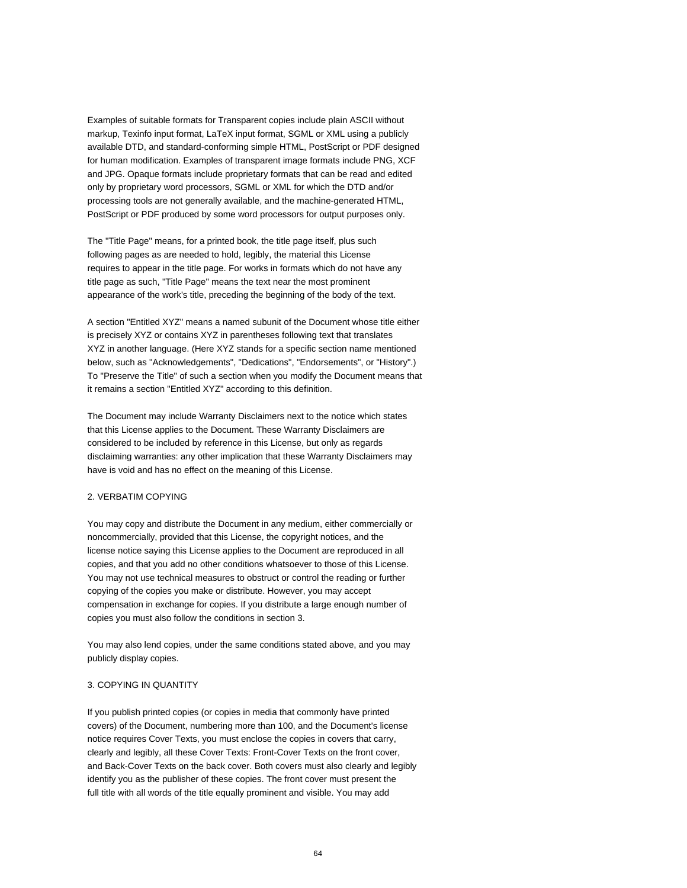Examples of suitable formats for Transparent copies include plain ASCII without markup, Texinfo input format, LaTeX input format, SGML or XML using a publicly available DTD, and standard-conforming simple HTML, PostScript or PDF designed for human modification. Examples of transparent image formats include PNG, XCF and JPG. Opaque formats include proprietary formats that can be read and edited only by proprietary word processors, SGML or XML for which the DTD and/or processing tools are not generally available, and the machine-generated HTML, PostScript or PDF produced by some word processors for output purposes only.

The "Title Page" means, for a printed book, the title page itself, plus such following pages as are needed to hold, legibly, the material this License requires to appear in the title page. For works in formats which do not have any title page as such, "Title Page" means the text near the most prominent appearance of the work's title, preceding the beginning of the body of the text.

A section "Entitled XYZ" means a named subunit of the Document whose title either is precisely XYZ or contains XYZ in parentheses following text that translates XYZ in another language. (Here XYZ stands for a specific section name mentioned below, such as "Acknowledgements", "Dedications", "Endorsements", or "History".) To "Preserve the Title" of such a section when you modify the Document means that it remains a section "Entitled XYZ" according to this definition.

The Document may include Warranty Disclaimers next to the notice which states that this License applies to the Document. These Warranty Disclaimers are considered to be included by reference in this License, but only as regards disclaiming warranties: any other implication that these Warranty Disclaimers may have is void and has no effect on the meaning of this License.

#### 2. VERBATIM COPYING

You may copy and distribute the Document in any medium, either commercially or noncommercially, provided that this License, the copyright notices, and the license notice saying this License applies to the Document are reproduced in all copies, and that you add no other conditions whatsoever to those of this License. You may not use technical measures to obstruct or control the reading or further copying of the copies you make or distribute. However, you may accept compensation in exchange for copies. If you distribute a large enough number of copies you must also follow the conditions in section 3.

You may also lend copies, under the same conditions stated above, and you may publicly display copies.

# 3. COPYING IN QUANTITY

If you publish printed copies (or copies in media that commonly have printed covers) of the Document, numbering more than 100, and the Document's license notice requires Cover Texts, you must enclose the copies in covers that carry, clearly and legibly, all these Cover Texts: Front-Cover Texts on the front cover, and Back-Cover Texts on the back cover. Both covers must also clearly and legibly identify you as the publisher of these copies. The front cover must present the full title with all words of the title equally prominent and visible. You may add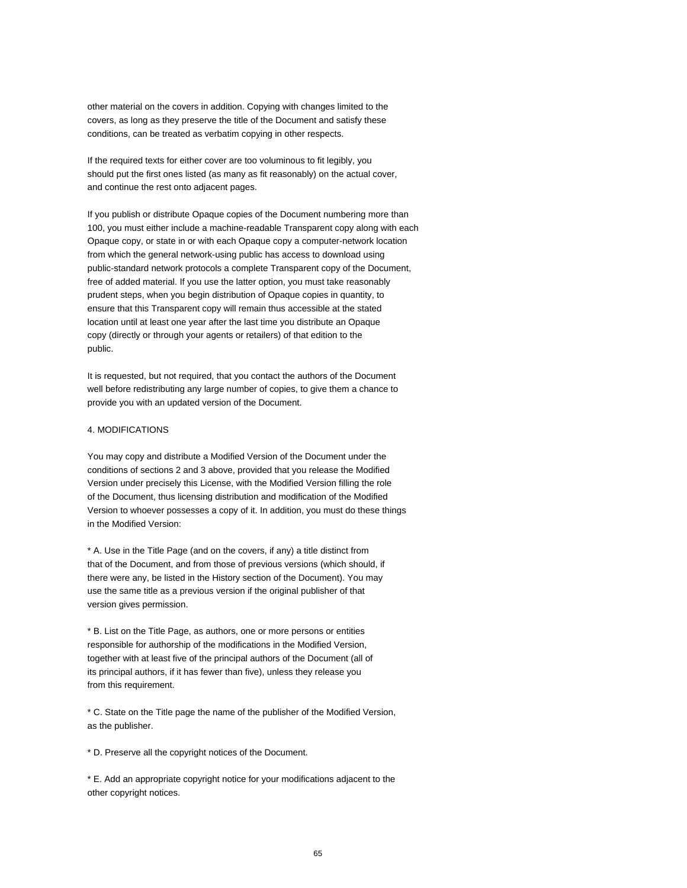other material on the covers in addition. Copying with changes limited to the covers, as long as they preserve the title of the Document and satisfy these conditions, can be treated as verbatim copying in other respects.

If the required texts for either cover are too voluminous to fit legibly, you should put the first ones listed (as many as fit reasonably) on the actual cover, and continue the rest onto adjacent pages.

If you publish or distribute Opaque copies of the Document numbering more than 100, you must either include a machine-readable Transparent copy along with each Opaque copy, or state in or with each Opaque copy a computer-network location from which the general network-using public has access to download using public-standard network protocols a complete Transparent copy of the Document, free of added material. If you use the latter option, you must take reasonably prudent steps, when you begin distribution of Opaque copies in quantity, to ensure that this Transparent copy will remain thus accessible at the stated location until at least one year after the last time you distribute an Opaque copy (directly or through your agents or retailers) of that edition to the public.

It is requested, but not required, that you contact the authors of the Document well before redistributing any large number of copies, to give them a chance to provide you with an updated version of the Document.

# 4. MODIFICATIONS

You may copy and distribute a Modified Version of the Document under the conditions of sections 2 and 3 above, provided that you release the Modified Version under precisely this License, with the Modified Version filling the role of the Document, thus licensing distribution and modification of the Modified Version to whoever possesses a copy of it. In addition, you must do these things in the Modified Version:

\* A. Use in the Title Page (and on the covers, if any) a title distinct from that of the Document, and from those of previous versions (which should, if there were any, be listed in the History section of the Document). You may use the same title as a previous version if the original publisher of that version gives permission.

\* B. List on the Title Page, as authors, one or more persons or entities responsible for authorship of the modifications in the Modified Version, together with at least five of the principal authors of the Document (all of its principal authors, if it has fewer than five), unless they release you from this requirement.

\* C. State on the Title page the name of the publisher of the Modified Version, as the publisher.

\* D. Preserve all the copyright notices of the Document.

\* E. Add an appropriate copyright notice for your modifications adjacent to the other copyright notices.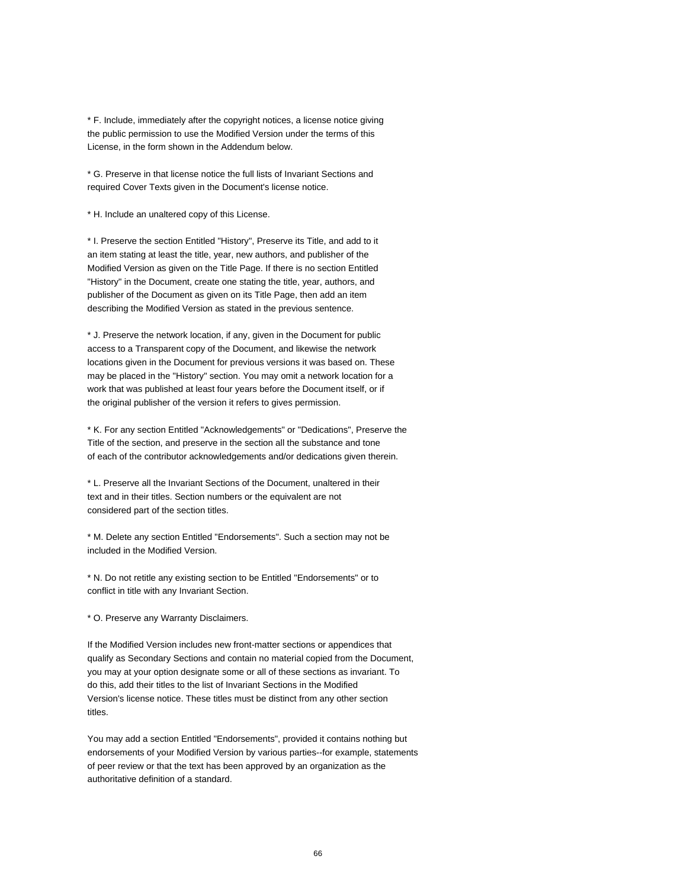\* F. Include, immediately after the copyright notices, a license notice giving the public permission to use the Modified Version under the terms of this License, in the form shown in the Addendum below.

\* G. Preserve in that license notice the full lists of Invariant Sections and required Cover Texts given in the Document's license notice.

\* H. Include an unaltered copy of this License.

\* I. Preserve the section Entitled "History", Preserve its Title, and add to it an item stating at least the title, year, new authors, and publisher of the Modified Version as given on the Title Page. If there is no section Entitled "History" in the Document, create one stating the title, year, authors, and publisher of the Document as given on its Title Page, then add an item describing the Modified Version as stated in the previous sentence.

\* J. Preserve the network location, if any, given in the Document for public access to a Transparent copy of the Document, and likewise the network locations given in the Document for previous versions it was based on. These may be placed in the "History" section. You may omit a network location for a work that was published at least four years before the Document itself, or if the original publisher of the version it refers to gives permission.

\* K. For any section Entitled "Acknowledgements" or "Dedications", Preserve the Title of the section, and preserve in the section all the substance and tone of each of the contributor acknowledgements and/or dedications given therein.

\* L. Preserve all the Invariant Sections of the Document, unaltered in their text and in their titles. Section numbers or the equivalent are not considered part of the section titles.

\* M. Delete any section Entitled "Endorsements". Such a section may not be included in the Modified Version.

\* N. Do not retitle any existing section to be Entitled "Endorsements" or to conflict in title with any Invariant Section.

\* O. Preserve any Warranty Disclaimers.

If the Modified Version includes new front-matter sections or appendices that qualify as Secondary Sections and contain no material copied from the Document, you may at your option designate some or all of these sections as invariant. To do this, add their titles to the list of Invariant Sections in the Modified Version's license notice. These titles must be distinct from any other section titles.

You may add a section Entitled "Endorsements", provided it contains nothing but endorsements of your Modified Version by various parties--for example, statements of peer review or that the text has been approved by an organization as the authoritative definition of a standard.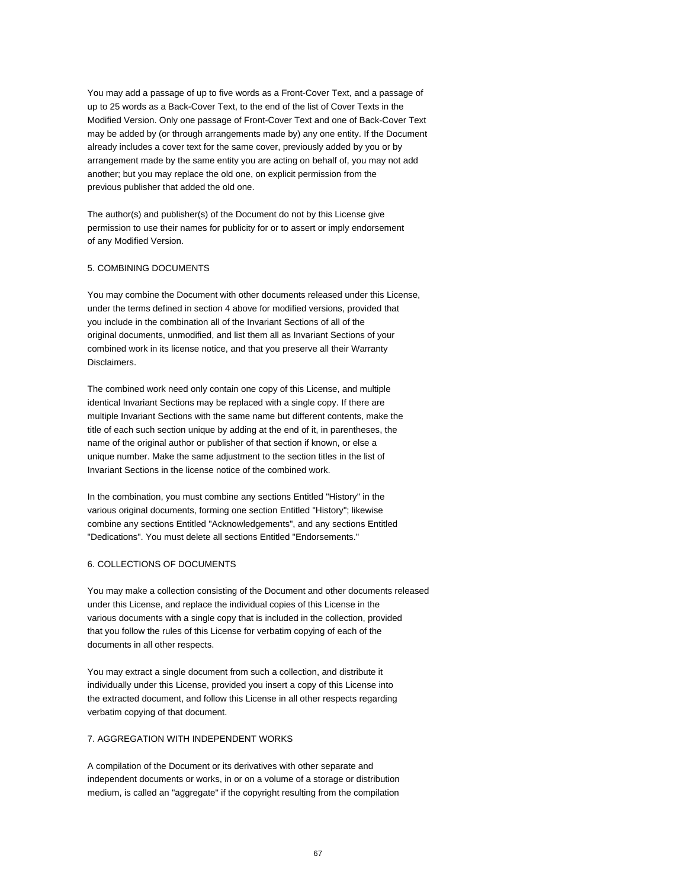You may add a passage of up to five words as a Front-Cover Text, and a passage of up to 25 words as a Back-Cover Text, to the end of the list of Cover Texts in the Modified Version. Only one passage of Front-Cover Text and one of Back-Cover Text may be added by (or through arrangements made by) any one entity. If the Document already includes a cover text for the same cover, previously added by you or by arrangement made by the same entity you are acting on behalf of, you may not add another; but you may replace the old one, on explicit permission from the previous publisher that added the old one.

The author(s) and publisher(s) of the Document do not by this License give permission to use their names for publicity for or to assert or imply endorsement of any Modified Version.

### 5. COMBINING DOCUMENTS

You may combine the Document with other documents released under this License, under the terms defined in section 4 above for modified versions, provided that you include in the combination all of the Invariant Sections of all of the original documents, unmodified, and list them all as Invariant Sections of your combined work in its license notice, and that you preserve all their Warranty Disclaimers.

The combined work need only contain one copy of this License, and multiple identical Invariant Sections may be replaced with a single copy. If there are multiple Invariant Sections with the same name but different contents, make the title of each such section unique by adding at the end of it, in parentheses, the name of the original author or publisher of that section if known, or else a unique number. Make the same adjustment to the section titles in the list of Invariant Sections in the license notice of the combined work.

In the combination, you must combine any sections Entitled "History" in the various original documents, forming one section Entitled "History"; likewise combine any sections Entitled "Acknowledgements", and any sections Entitled "Dedications". You must delete all sections Entitled "Endorsements."

# 6. COLLECTIONS OF DOCUMENTS

You may make a collection consisting of the Document and other documents released under this License, and replace the individual copies of this License in the various documents with a single copy that is included in the collection, provided that you follow the rules of this License for verbatim copying of each of the documents in all other respects.

You may extract a single document from such a collection, and distribute it individually under this License, provided you insert a copy of this License into the extracted document, and follow this License in all other respects regarding verbatim copying of that document.

# 7. AGGREGATION WITH INDEPENDENT WORKS

A compilation of the Document or its derivatives with other separate and independent documents or works, in or on a volume of a storage or distribution medium, is called an "aggregate" if the copyright resulting from the compilation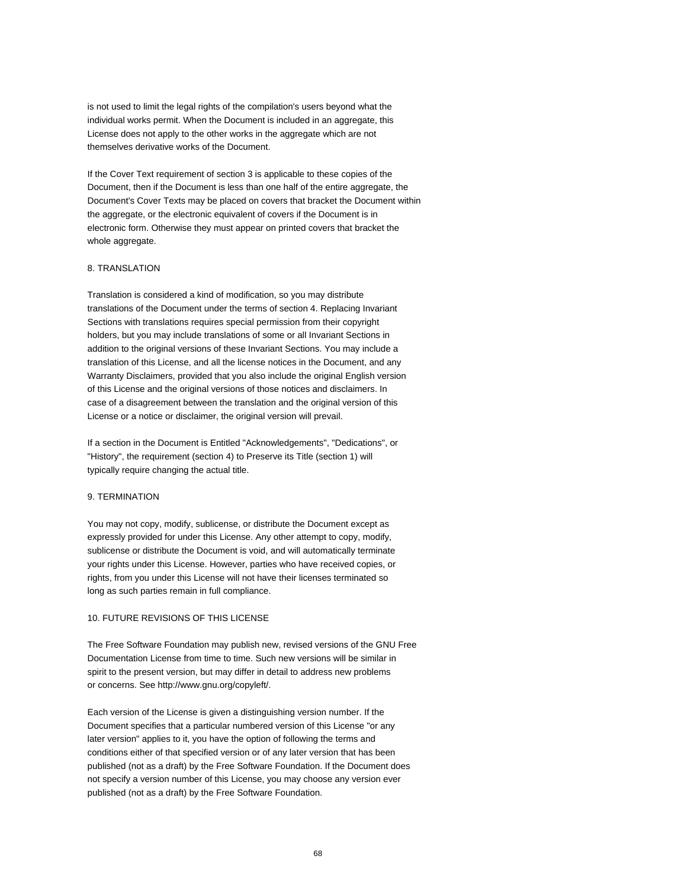is not used to limit the legal rights of the compilation's users beyond what the individual works permit. When the Document is included in an aggregate, this License does not apply to the other works in the aggregate which are not themselves derivative works of the Document.

If the Cover Text requirement of section 3 is applicable to these copies of the Document, then if the Document is less than one half of the entire aggregate, the Document's Cover Texts may be placed on covers that bracket the Document within the aggregate, or the electronic equivalent of covers if the Document is in electronic form. Otherwise they must appear on printed covers that bracket the whole aggregate.

### 8. TRANSLATION

Translation is considered a kind of modification, so you may distribute translations of the Document under the terms of section 4. Replacing Invariant Sections with translations requires special permission from their copyright holders, but you may include translations of some or all Invariant Sections in addition to the original versions of these Invariant Sections. You may include a translation of this License, and all the license notices in the Document, and any Warranty Disclaimers, provided that you also include the original English version of this License and the original versions of those notices and disclaimers. In case of a disagreement between the translation and the original version of this License or a notice or disclaimer, the original version will prevail.

If a section in the Document is Entitled "Acknowledgements", "Dedications", or "History", the requirement (section 4) to Preserve its Title (section 1) will typically require changing the actual title.

#### 9. TERMINATION

You may not copy, modify, sublicense, or distribute the Document except as expressly provided for under this License. Any other attempt to copy, modify, sublicense or distribute the Document is void, and will automatically terminate your rights under this License. However, parties who have received copies, or rights, from you under this License will not have their licenses terminated so long as such parties remain in full compliance.

#### 10. FUTURE REVISIONS OF THIS LICENSE

The Free Software Foundation may publish new, revised versions of the GNU Free Documentation License from time to time. Such new versions will be similar in spirit to the present version, but may differ in detail to address new problems or concerns. See http://www.gnu.org/copyleft/.

Each version of the License is given a distinguishing version number. If the Document specifies that a particular numbered version of this License "or any later version" applies to it, you have the option of following the terms and conditions either of that specified version or of any later version that has been published (not as a draft) by the Free Software Foundation. If the Document does not specify a version number of this License, you may choose any version ever published (not as a draft) by the Free Software Foundation.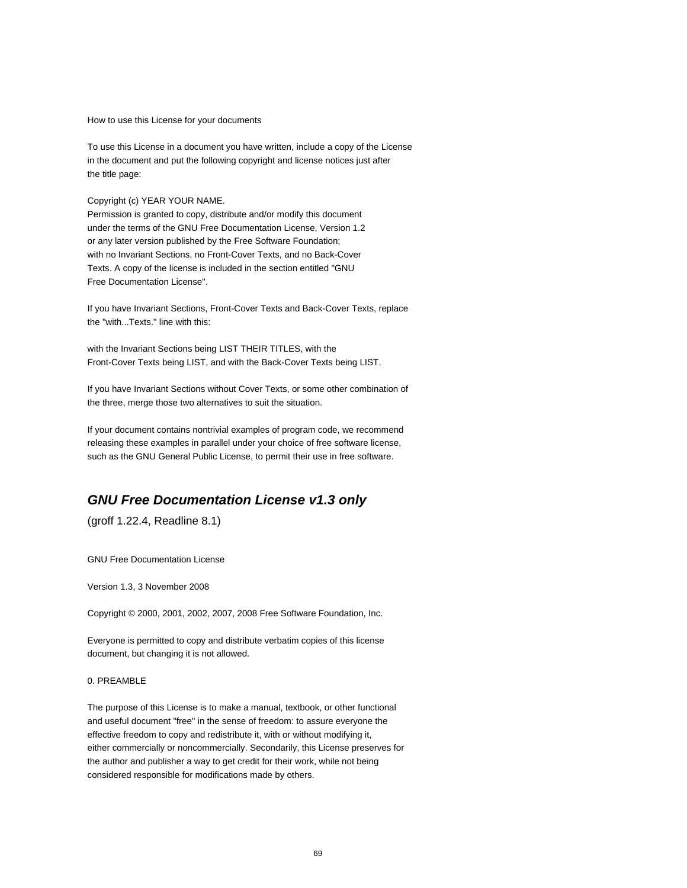How to use this License for your documents

To use this License in a document you have written, include a copy of the License in the document and put the following copyright and license notices just after the title page:

Copyright (c) YEAR YOUR NAME.

Permission is granted to copy, distribute and/or modify this document under the terms of the GNU Free Documentation License, Version 1.2 or any later version published by the Free Software Foundation; with no Invariant Sections, no Front-Cover Texts, and no Back-Cover Texts. A copy of the license is included in the section entitled "GNU Free Documentation License".

If you have Invariant Sections, Front-Cover Texts and Back-Cover Texts, replace the "with...Texts." line with this:

with the Invariant Sections being LIST THEIR TITLES, with the Front-Cover Texts being LIST, and with the Back-Cover Texts being LIST.

If you have Invariant Sections without Cover Texts, or some other combination of the three, merge those two alternatives to suit the situation.

If your document contains nontrivial examples of program code, we recommend releasing these examples in parallel under your choice of free software license, such as the GNU General Public License, to permit their use in free software.

# **GNU Free Documentation License v1.3 only**

(groff 1.22.4, Readline 8.1)

GNU Free Documentation License

Version 1.3, 3 November 2008

Copyright © 2000, 2001, 2002, 2007, 2008 Free Software Foundation, Inc.

Everyone is permitted to copy and distribute verbatim copies of this license document, but changing it is not allowed.

## 0. PREAMBLE

The purpose of this License is to make a manual, textbook, or other functional and useful document "free" in the sense of freedom: to assure everyone the effective freedom to copy and redistribute it, with or without modifying it, either commercially or noncommercially. Secondarily, this License preserves for the author and publisher a way to get credit for their work, while not being considered responsible for modifications made by others.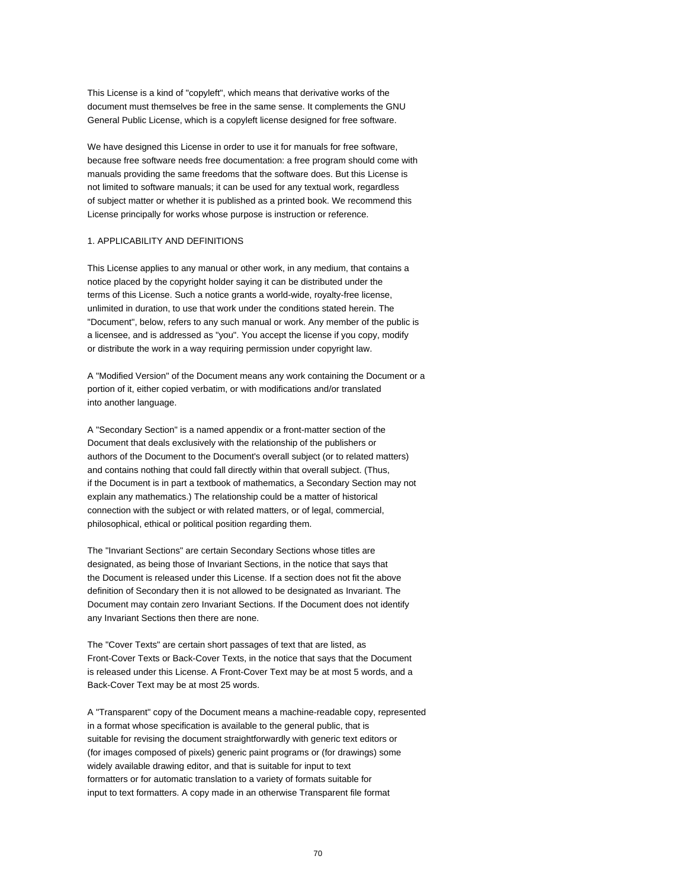This License is a kind of "copyleft", which means that derivative works of the document must themselves be free in the same sense. It complements the GNU General Public License, which is a copyleft license designed for free software.

We have designed this License in order to use it for manuals for free software, because free software needs free documentation: a free program should come with manuals providing the same freedoms that the software does. But this License is not limited to software manuals; it can be used for any textual work, regardless of subject matter or whether it is published as a printed book. We recommend this License principally for works whose purpose is instruction or reference.

## 1. APPLICABILITY AND DEFINITIONS

This License applies to any manual or other work, in any medium, that contains a notice placed by the copyright holder saying it can be distributed under the terms of this License. Such a notice grants a world-wide, royalty-free license, unlimited in duration, to use that work under the conditions stated herein. The "Document", below, refers to any such manual or work. Any member of the public is a licensee, and is addressed as "you". You accept the license if you copy, modify or distribute the work in a way requiring permission under copyright law.

A "Modified Version" of the Document means any work containing the Document or a portion of it, either copied verbatim, or with modifications and/or translated into another language.

A "Secondary Section" is a named appendix or a front-matter section of the Document that deals exclusively with the relationship of the publishers or authors of the Document to the Document's overall subject (or to related matters) and contains nothing that could fall directly within that overall subject. (Thus, if the Document is in part a textbook of mathematics, a Secondary Section may not explain any mathematics.) The relationship could be a matter of historical connection with the subject or with related matters, or of legal, commercial, philosophical, ethical or political position regarding them.

The "Invariant Sections" are certain Secondary Sections whose titles are designated, as being those of Invariant Sections, in the notice that says that the Document is released under this License. If a section does not fit the above definition of Secondary then it is not allowed to be designated as Invariant. The Document may contain zero Invariant Sections. If the Document does not identify any Invariant Sections then there are none.

The "Cover Texts" are certain short passages of text that are listed, as Front-Cover Texts or Back-Cover Texts, in the notice that says that the Document is released under this License. A Front-Cover Text may be at most 5 words, and a Back-Cover Text may be at most 25 words.

A "Transparent" copy of the Document means a machine-readable copy, represented in a format whose specification is available to the general public, that is suitable for revising the document straightforwardly with generic text editors or (for images composed of pixels) generic paint programs or (for drawings) some widely available drawing editor, and that is suitable for input to text formatters or for automatic translation to a variety of formats suitable for input to text formatters. A copy made in an otherwise Transparent file format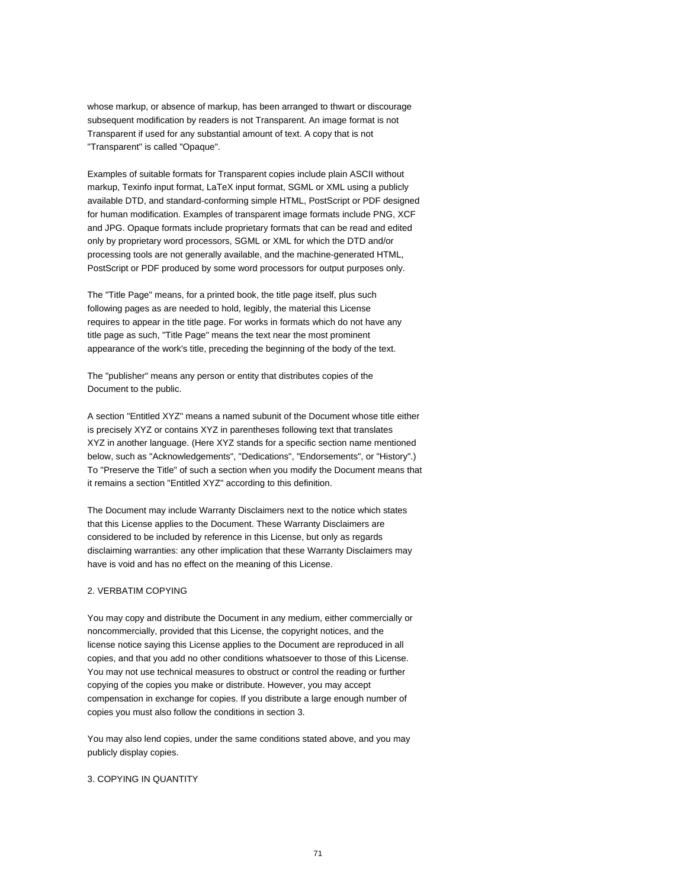whose markup, or absence of markup, has been arranged to thwart or discourage subsequent modification by readers is not Transparent. An image format is not Transparent if used for any substantial amount of text. A copy that is not "Transparent" is called "Opaque".

Examples of suitable formats for Transparent copies include plain ASCII without markup, Texinfo input format, LaTeX input format, SGML or XML using a publicly available DTD, and standard-conforming simple HTML, PostScript or PDF designed for human modification. Examples of transparent image formats include PNG, XCF and JPG. Opaque formats include proprietary formats that can be read and edited only by proprietary word processors, SGML or XML for which the DTD and/or processing tools are not generally available, and the machine-generated HTML, PostScript or PDF produced by some word processors for output purposes only.

The "Title Page" means, for a printed book, the title page itself, plus such following pages as are needed to hold, legibly, the material this License requires to appear in the title page. For works in formats which do not have any title page as such, "Title Page" means the text near the most prominent appearance of the work's title, preceding the beginning of the body of the text.

The "publisher" means any person or entity that distributes copies of the Document to the public.

A section "Entitled XYZ" means a named subunit of the Document whose title either is precisely XYZ or contains XYZ in parentheses following text that translates XYZ in another language. (Here XYZ stands for a specific section name mentioned below, such as "Acknowledgements", "Dedications", "Endorsements", or "History".) To "Preserve the Title" of such a section when you modify the Document means that it remains a section "Entitled XYZ" according to this definition.

The Document may include Warranty Disclaimers next to the notice which states that this License applies to the Document. These Warranty Disclaimers are considered to be included by reference in this License, but only as regards disclaiming warranties: any other implication that these Warranty Disclaimers may have is void and has no effect on the meaning of this License.

# 2. VERBATIM COPYING

You may copy and distribute the Document in any medium, either commercially or noncommercially, provided that this License, the copyright notices, and the license notice saying this License applies to the Document are reproduced in all copies, and that you add no other conditions whatsoever to those of this License. You may not use technical measures to obstruct or control the reading or further copying of the copies you make or distribute. However, you may accept compensation in exchange for copies. If you distribute a large enough number of copies you must also follow the conditions in section 3.

You may also lend copies, under the same conditions stated above, and you may publicly display copies.

#### 3. COPYING IN QUANTITY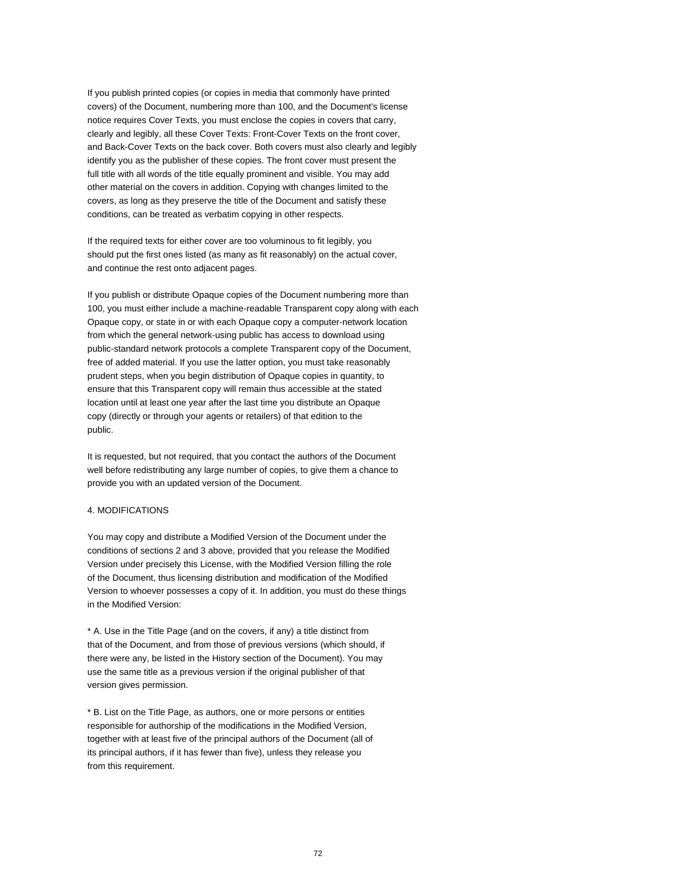If you publish printed copies (or copies in media that commonly have printed covers) of the Document, numbering more than 100, and the Document's license notice requires Cover Texts, you must enclose the copies in covers that carry, clearly and legibly, all these Cover Texts: Front-Cover Texts on the front cover, and Back-Cover Texts on the back cover. Both covers must also clearly and legibly identify you as the publisher of these copies. The front cover must present the full title with all words of the title equally prominent and visible. You may add other material on the covers in addition. Copying with changes limited to the covers, as long as they preserve the title of the Document and satisfy these conditions, can be treated as verbatim copying in other respects.

If the required texts for either cover are too voluminous to fit legibly, you should put the first ones listed (as many as fit reasonably) on the actual cover, and continue the rest onto adjacent pages.

If you publish or distribute Opaque copies of the Document numbering more than 100, you must either include a machine-readable Transparent copy along with each Opaque copy, or state in or with each Opaque copy a computer-network location from which the general network-using public has access to download using public-standard network protocols a complete Transparent copy of the Document, free of added material. If you use the latter option, you must take reasonably prudent steps, when you begin distribution of Opaque copies in quantity, to ensure that this Transparent copy will remain thus accessible at the stated location until at least one year after the last time you distribute an Opaque copy (directly or through your agents or retailers) of that edition to the public.

It is requested, but not required, that you contact the authors of the Document well before redistributing any large number of copies, to give them a chance to provide you with an updated version of the Document.

# 4. MODIFICATIONS

You may copy and distribute a Modified Version of the Document under the conditions of sections 2 and 3 above, provided that you release the Modified Version under precisely this License, with the Modified Version filling the role of the Document, thus licensing distribution and modification of the Modified Version to whoever possesses a copy of it. In addition, you must do these things in the Modified Version:

\* A. Use in the Title Page (and on the covers, if any) a title distinct from that of the Document, and from those of previous versions (which should, if there were any, be listed in the History section of the Document). You may use the same title as a previous version if the original publisher of that version gives permission.

\* B. List on the Title Page, as authors, one or more persons or entities responsible for authorship of the modifications in the Modified Version, together with at least five of the principal authors of the Document (all of its principal authors, if it has fewer than five), unless they release you from this requirement.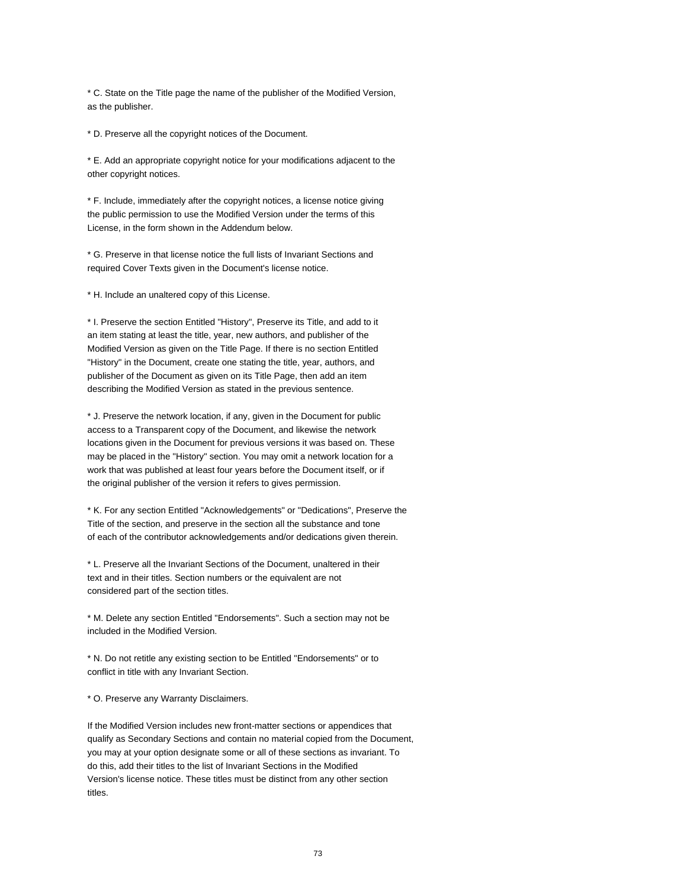\* C. State on the Title page the name of the publisher of the Modified Version, as the publisher.

\* D. Preserve all the copyright notices of the Document.

\* E. Add an appropriate copyright notice for your modifications adjacent to the other copyright notices.

\* F. Include, immediately after the copyright notices, a license notice giving the public permission to use the Modified Version under the terms of this License, in the form shown in the Addendum below.

\* G. Preserve in that license notice the full lists of Invariant Sections and required Cover Texts given in the Document's license notice.

\* H. Include an unaltered copy of this License.

\* I. Preserve the section Entitled "History", Preserve its Title, and add to it an item stating at least the title, year, new authors, and publisher of the Modified Version as given on the Title Page. If there is no section Entitled "History" in the Document, create one stating the title, year, authors, and publisher of the Document as given on its Title Page, then add an item describing the Modified Version as stated in the previous sentence.

\* J. Preserve the network location, if any, given in the Document for public access to a Transparent copy of the Document, and likewise the network locations given in the Document for previous versions it was based on. These may be placed in the "History" section. You may omit a network location for a work that was published at least four years before the Document itself, or if the original publisher of the version it refers to gives permission.

\* K. For any section Entitled "Acknowledgements" or "Dedications", Preserve the Title of the section, and preserve in the section all the substance and tone of each of the contributor acknowledgements and/or dedications given therein.

\* L. Preserve all the Invariant Sections of the Document, unaltered in their text and in their titles. Section numbers or the equivalent are not considered part of the section titles.

\* M. Delete any section Entitled "Endorsements". Such a section may not be included in the Modified Version.

\* N. Do not retitle any existing section to be Entitled "Endorsements" or to conflict in title with any Invariant Section.

\* O. Preserve any Warranty Disclaimers.

If the Modified Version includes new front-matter sections or appendices that qualify as Secondary Sections and contain no material copied from the Document, you may at your option designate some or all of these sections as invariant. To do this, add their titles to the list of Invariant Sections in the Modified Version's license notice. These titles must be distinct from any other section titles.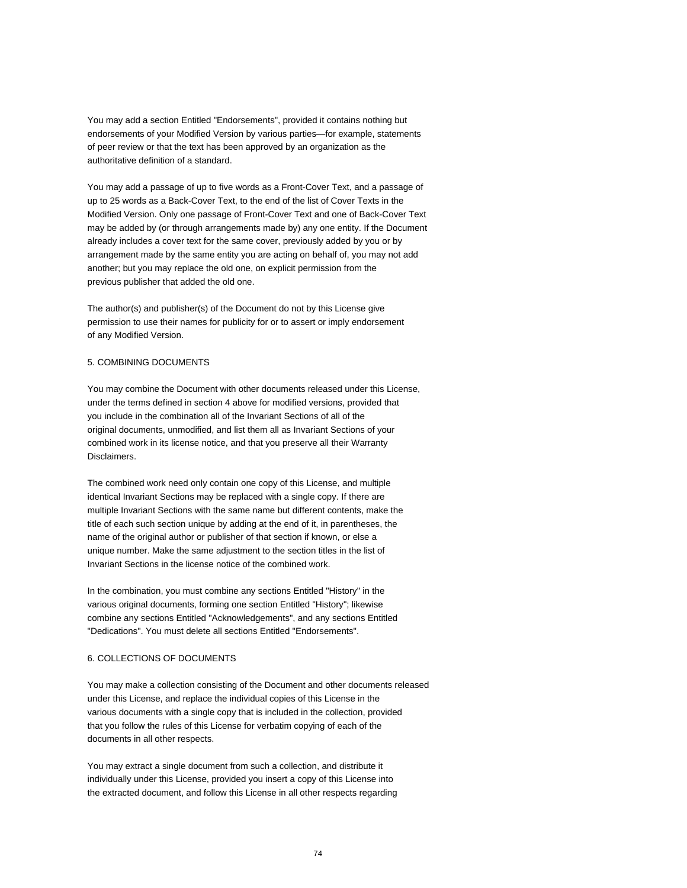You may add a section Entitled "Endorsements", provided it contains nothing but endorsements of your Modified Version by various parties—for example, statements of peer review or that the text has been approved by an organization as the authoritative definition of a standard.

You may add a passage of up to five words as a Front-Cover Text, and a passage of up to 25 words as a Back-Cover Text, to the end of the list of Cover Texts in the Modified Version. Only one passage of Front-Cover Text and one of Back-Cover Text may be added by (or through arrangements made by) any one entity. If the Document already includes a cover text for the same cover, previously added by you or by arrangement made by the same entity you are acting on behalf of, you may not add another; but you may replace the old one, on explicit permission from the previous publisher that added the old one.

The author(s) and publisher(s) of the Document do not by this License give permission to use their names for publicity for or to assert or imply endorsement of any Modified Version.

### 5. COMBINING DOCUMENTS

You may combine the Document with other documents released under this License, under the terms defined in section 4 above for modified versions, provided that you include in the combination all of the Invariant Sections of all of the original documents, unmodified, and list them all as Invariant Sections of your combined work in its license notice, and that you preserve all their Warranty Disclaimers.

The combined work need only contain one copy of this License, and multiple identical Invariant Sections may be replaced with a single copy. If there are multiple Invariant Sections with the same name but different contents, make the title of each such section unique by adding at the end of it, in parentheses, the name of the original author or publisher of that section if known, or else a unique number. Make the same adjustment to the section titles in the list of Invariant Sections in the license notice of the combined work.

In the combination, you must combine any sections Entitled "History" in the various original documents, forming one section Entitled "History"; likewise combine any sections Entitled "Acknowledgements", and any sections Entitled "Dedications". You must delete all sections Entitled "Endorsements".

# 6. COLLECTIONS OF DOCUMENTS

You may make a collection consisting of the Document and other documents released under this License, and replace the individual copies of this License in the various documents with a single copy that is included in the collection, provided that you follow the rules of this License for verbatim copying of each of the documents in all other respects.

You may extract a single document from such a collection, and distribute it individually under this License, provided you insert a copy of this License into the extracted document, and follow this License in all other respects regarding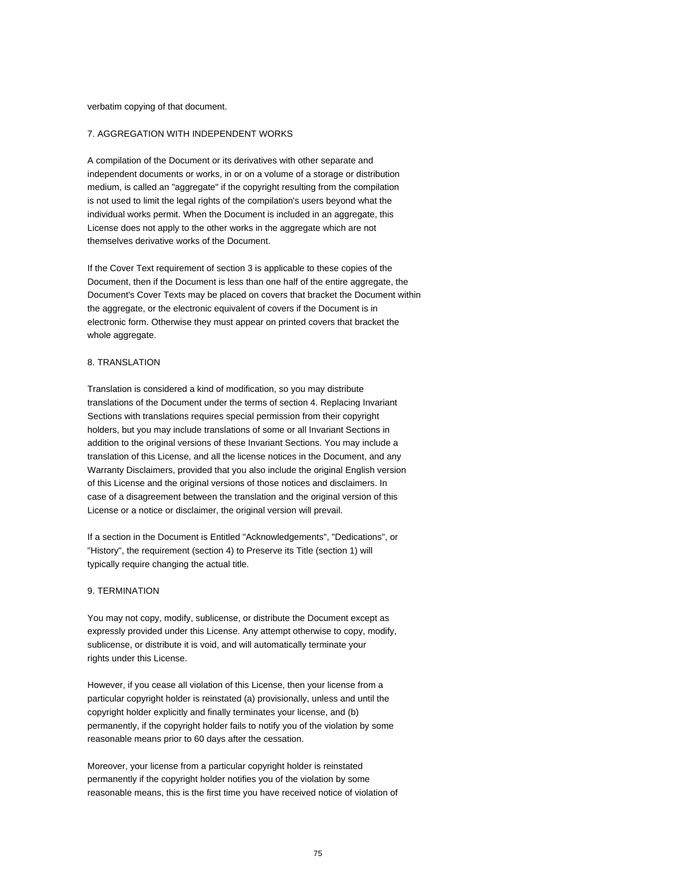verbatim copying of that document.

# 7. AGGREGATION WITH INDEPENDENT WORKS

A compilation of the Document or its derivatives with other separate and independent documents or works, in or on a volume of a storage or distribution medium, is called an "aggregate" if the copyright resulting from the compilation is not used to limit the legal rights of the compilation's users beyond what the individual works permit. When the Document is included in an aggregate, this License does not apply to the other works in the aggregate which are not themselves derivative works of the Document.

If the Cover Text requirement of section 3 is applicable to these copies of the Document, then if the Document is less than one half of the entire aggregate, the Document's Cover Texts may be placed on covers that bracket the Document within the aggregate, or the electronic equivalent of covers if the Document is in electronic form. Otherwise they must appear on printed covers that bracket the whole aggregate.

# 8. TRANSLATION

Translation is considered a kind of modification, so you may distribute translations of the Document under the terms of section 4. Replacing Invariant Sections with translations requires special permission from their copyright holders, but you may include translations of some or all Invariant Sections in addition to the original versions of these Invariant Sections. You may include a translation of this License, and all the license notices in the Document, and any Warranty Disclaimers, provided that you also include the original English version of this License and the original versions of those notices and disclaimers. In case of a disagreement between the translation and the original version of this License or a notice or disclaimer, the original version will prevail.

If a section in the Document is Entitled "Acknowledgements", "Dedications", or "History", the requirement (section 4) to Preserve its Title (section 1) will typically require changing the actual title.

#### 9. TERMINATION

You may not copy, modify, sublicense, or distribute the Document except as expressly provided under this License. Any attempt otherwise to copy, modify, sublicense, or distribute it is void, and will automatically terminate your rights under this License.

However, if you cease all violation of this License, then your license from a particular copyright holder is reinstated (a) provisionally, unless and until the copyright holder explicitly and finally terminates your license, and (b) permanently, if the copyright holder fails to notify you of the violation by some reasonable means prior to 60 days after the cessation.

Moreover, your license from a particular copyright holder is reinstated permanently if the copyright holder notifies you of the violation by some reasonable means, this is the first time you have received notice of violation of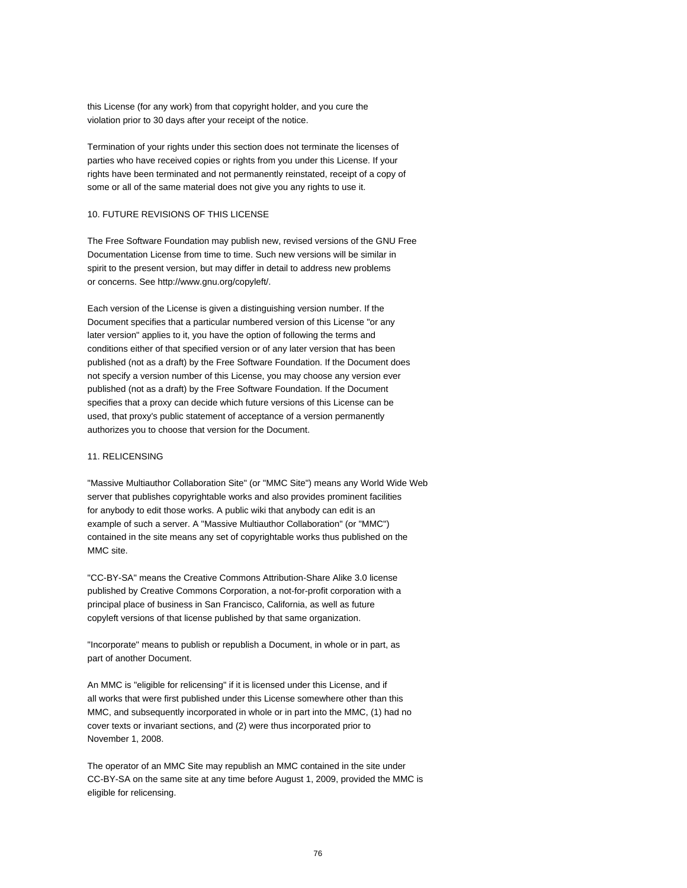this License (for any work) from that copyright holder, and you cure the violation prior to 30 days after your receipt of the notice.

Termination of your rights under this section does not terminate the licenses of parties who have received copies or rights from you under this License. If your rights have been terminated and not permanently reinstated, receipt of a copy of some or all of the same material does not give you any rights to use it.

# 10. FUTURE REVISIONS OF THIS LICENSE

The Free Software Foundation may publish new, revised versions of the GNU Free Documentation License from time to time. Such new versions will be similar in spirit to the present version, but may differ in detail to address new problems or concerns. See http://www.gnu.org/copyleft/.

Each version of the License is given a distinguishing version number. If the Document specifies that a particular numbered version of this License "or any later version" applies to it, you have the option of following the terms and conditions either of that specified version or of any later version that has been published (not as a draft) by the Free Software Foundation. If the Document does not specify a version number of this License, you may choose any version ever published (not as a draft) by the Free Software Foundation. If the Document specifies that a proxy can decide which future versions of this License can be used, that proxy's public statement of acceptance of a version permanently authorizes you to choose that version for the Document.

### 11. RELICENSING

"Massive Multiauthor Collaboration Site" (or "MMC Site") means any World Wide Web server that publishes copyrightable works and also provides prominent facilities for anybody to edit those works. A public wiki that anybody can edit is an example of such a server. A "Massive Multiauthor Collaboration" (or "MMC") contained in the site means any set of copyrightable works thus published on the MMC site.

"CC-BY-SA" means the Creative Commons Attribution-Share Alike 3.0 license published by Creative Commons Corporation, a not-for-profit corporation with a principal place of business in San Francisco, California, as well as future copyleft versions of that license published by that same organization.

"Incorporate" means to publish or republish a Document, in whole or in part, as part of another Document.

An MMC is "eligible for relicensing" if it is licensed under this License, and if all works that were first published under this License somewhere other than this MMC, and subsequently incorporated in whole or in part into the MMC, (1) had no cover texts or invariant sections, and (2) were thus incorporated prior to November 1, 2008.

The operator of an MMC Site may republish an MMC contained in the site under CC-BY-SA on the same site at any time before August 1, 2009, provided the MMC is eligible for relicensing.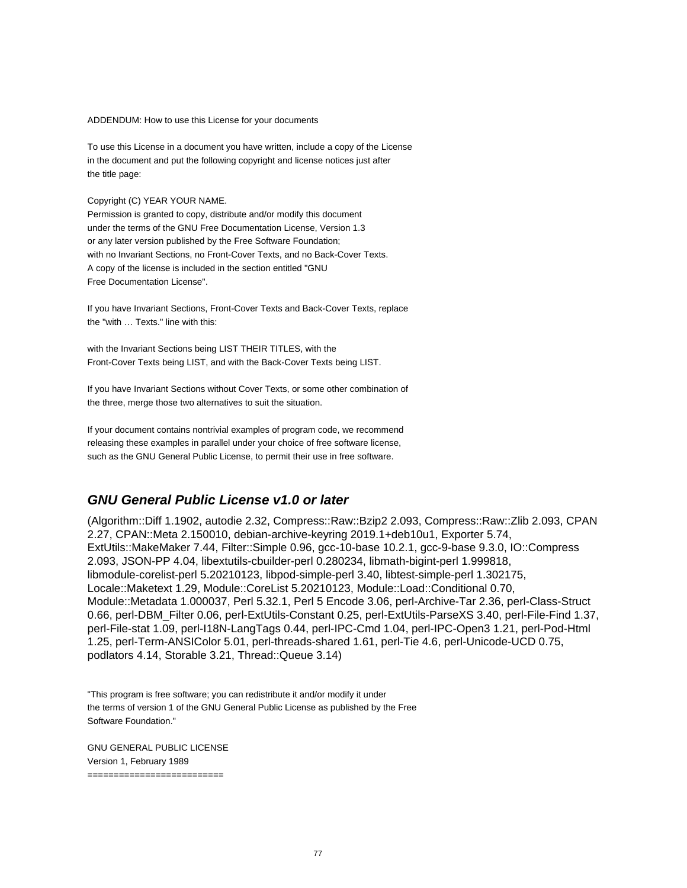ADDENDUM: How to use this License for your documents

To use this License in a document you have written, include a copy of the License in the document and put the following copyright and license notices just after the title page:

Copyright (C) YEAR YOUR NAME.

Permission is granted to copy, distribute and/or modify this document under the terms of the GNU Free Documentation License, Version 1.3 or any later version published by the Free Software Foundation; with no Invariant Sections, no Front-Cover Texts, and no Back-Cover Texts. A copy of the license is included in the section entitled "GNU Free Documentation License".

If you have Invariant Sections, Front-Cover Texts and Back-Cover Texts, replace the "with … Texts." line with this:

with the Invariant Sections being LIST THEIR TITLES, with the Front-Cover Texts being LIST, and with the Back-Cover Texts being LIST.

If you have Invariant Sections without Cover Texts, or some other combination of the three, merge those two alternatives to suit the situation.

If your document contains nontrivial examples of program code, we recommend releasing these examples in parallel under your choice of free software license, such as the GNU General Public License, to permit their use in free software.

# **GNU General Public License v1.0 or later**

(Algorithm::Diff 1.1902, autodie 2.32, Compress::Raw::Bzip2 2.093, Compress::Raw::Zlib 2.093, CPAN 2.27, CPAN::Meta 2.150010, debian-archive-keyring 2019.1+deb10u1, Exporter 5.74, ExtUtils::MakeMaker 7.44, Filter::Simple 0.96, gcc-10-base 10.2.1, gcc-9-base 9.3.0, IO::Compress 2.093, JSON-PP 4.04, libextutils-cbuilder-perl 0.280234, libmath-bigint-perl 1.999818, libmodule-corelist-perl 5.20210123, libpod-simple-perl 3.40, libtest-simple-perl 1.302175, Locale::Maketext 1.29, Module::CoreList 5.20210123, Module::Load::Conditional 0.70, Module::Metadata 1.000037, Perl 5.32.1, Perl 5 Encode 3.06, perl-Archive-Tar 2.36, perl-Class-Struct 0.66, perl-DBM\_Filter 0.06, perl-ExtUtils-Constant 0.25, perl-ExtUtils-ParseXS 3.40, perl-File-Find 1.37, perl-File-stat 1.09, perl-I18N-LangTags 0.44, perl-IPC-Cmd 1.04, perl-IPC-Open3 1.21, perl-Pod-Html 1.25, perl-Term-ANSIColor 5.01, perl-threads-shared 1.61, perl-Tie 4.6, perl-Unicode-UCD 0.75, podlators 4.14, Storable 3.21, Thread::Queue 3.14)

"This program is free software; you can redistribute it and/or modify it under the terms of version 1 of the GNU General Public License as published by the Free Software Foundation."

GNU GENERAL PUBLIC LICENSE Version 1, February 1989 ==========================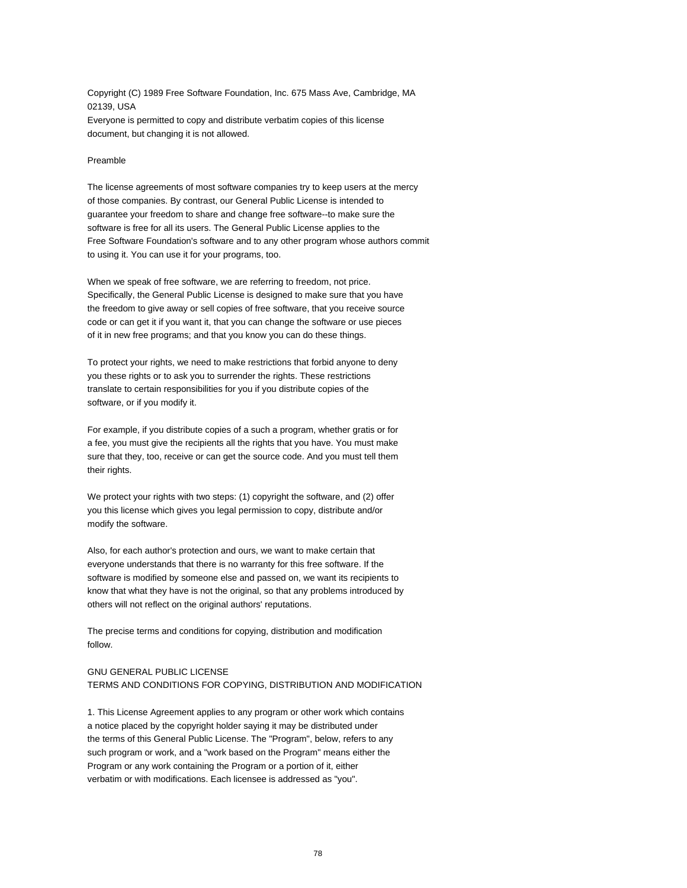Copyright (C) 1989 Free Software Foundation, Inc. 675 Mass Ave, Cambridge, MA 02139, USA Everyone is permitted to copy and distribute verbatim copies of this license document, but changing it is not allowed.

#### Preamble

The license agreements of most software companies try to keep users at the mercy of those companies. By contrast, our General Public License is intended to guarantee your freedom to share and change free software--to make sure the software is free for all its users. The General Public License applies to the Free Software Foundation's software and to any other program whose authors commit to using it. You can use it for your programs, too.

When we speak of free software, we are referring to freedom, not price. Specifically, the General Public License is designed to make sure that you have the freedom to give away or sell copies of free software, that you receive source code or can get it if you want it, that you can change the software or use pieces of it in new free programs; and that you know you can do these things.

To protect your rights, we need to make restrictions that forbid anyone to deny you these rights or to ask you to surrender the rights. These restrictions translate to certain responsibilities for you if you distribute copies of the software, or if you modify it.

For example, if you distribute copies of a such a program, whether gratis or for a fee, you must give the recipients all the rights that you have. You must make sure that they, too, receive or can get the source code. And you must tell them their rights.

We protect your rights with two steps: (1) copyright the software, and (2) offer you this license which gives you legal permission to copy, distribute and/or modify the software.

Also, for each author's protection and ours, we want to make certain that everyone understands that there is no warranty for this free software. If the software is modified by someone else and passed on, we want its recipients to know that what they have is not the original, so that any problems introduced by others will not reflect on the original authors' reputations.

The precise terms and conditions for copying, distribution and modification follow.

# GNU GENERAL PUBLIC LICENSE TERMS AND CONDITIONS FOR COPYING, DISTRIBUTION AND MODIFICATION

1. This License Agreement applies to any program or other work which contains a notice placed by the copyright holder saying it may be distributed under the terms of this General Public License. The "Program", below, refers to any such program or work, and a "work based on the Program" means either the Program or any work containing the Program or a portion of it, either verbatim or with modifications. Each licensee is addressed as "you".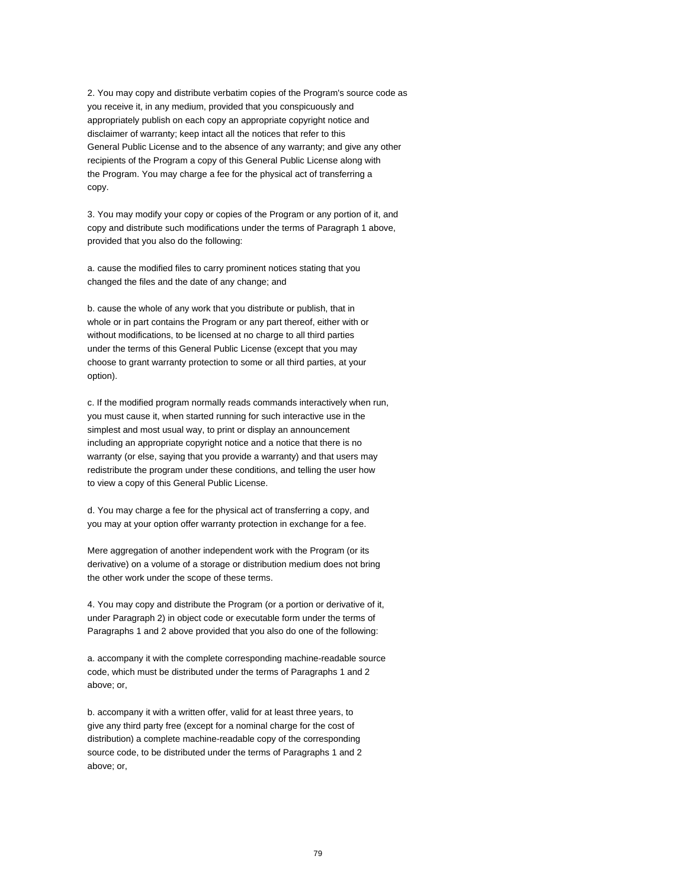2. You may copy and distribute verbatim copies of the Program's source code as you receive it, in any medium, provided that you conspicuously and appropriately publish on each copy an appropriate copyright notice and disclaimer of warranty; keep intact all the notices that refer to this General Public License and to the absence of any warranty; and give any other recipients of the Program a copy of this General Public License along with the Program. You may charge a fee for the physical act of transferring a copy.

3. You may modify your copy or copies of the Program or any portion of it, and copy and distribute such modifications under the terms of Paragraph 1 above, provided that you also do the following:

a. cause the modified files to carry prominent notices stating that you changed the files and the date of any change; and

b. cause the whole of any work that you distribute or publish, that in whole or in part contains the Program or any part thereof, either with or without modifications, to be licensed at no charge to all third parties under the terms of this General Public License (except that you may choose to grant warranty protection to some or all third parties, at your option).

c. If the modified program normally reads commands interactively when run, you must cause it, when started running for such interactive use in the simplest and most usual way, to print or display an announcement including an appropriate copyright notice and a notice that there is no warranty (or else, saying that you provide a warranty) and that users may redistribute the program under these conditions, and telling the user how to view a copy of this General Public License.

d. You may charge a fee for the physical act of transferring a copy, and you may at your option offer warranty protection in exchange for a fee.

Mere aggregation of another independent work with the Program (or its derivative) on a volume of a storage or distribution medium does not bring the other work under the scope of these terms.

4. You may copy and distribute the Program (or a portion or derivative of it, under Paragraph 2) in object code or executable form under the terms of Paragraphs 1 and 2 above provided that you also do one of the following:

a. accompany it with the complete corresponding machine-readable source code, which must be distributed under the terms of Paragraphs 1 and 2 above; or,

b. accompany it with a written offer, valid for at least three years, to give any third party free (except for a nominal charge for the cost of distribution) a complete machine-readable copy of the corresponding source code, to be distributed under the terms of Paragraphs 1 and 2 above; or,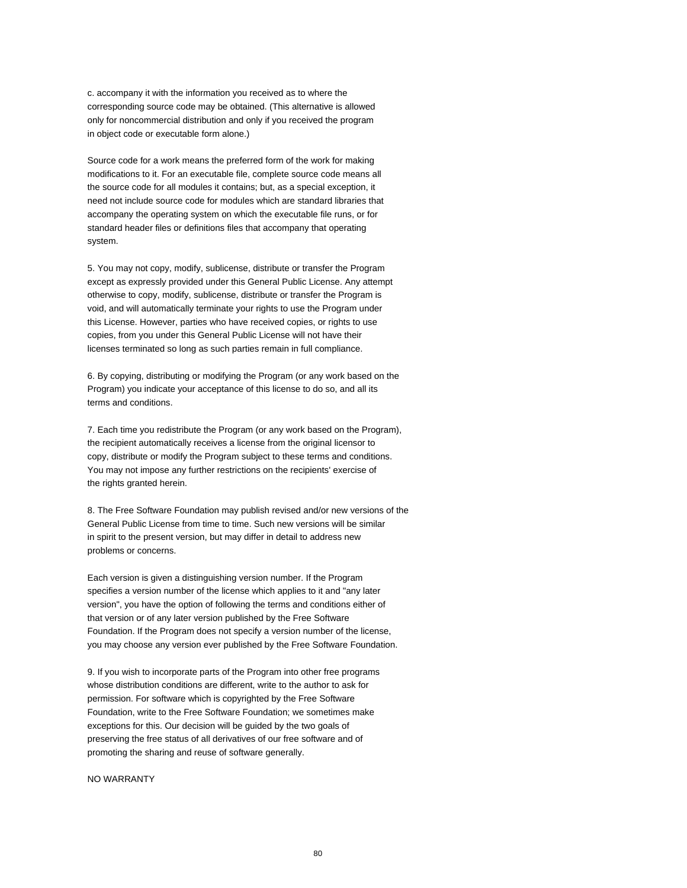c. accompany it with the information you received as to where the corresponding source code may be obtained. (This alternative is allowed only for noncommercial distribution and only if you received the program in object code or executable form alone.)

Source code for a work means the preferred form of the work for making modifications to it. For an executable file, complete source code means all the source code for all modules it contains; but, as a special exception, it need not include source code for modules which are standard libraries that accompany the operating system on which the executable file runs, or for standard header files or definitions files that accompany that operating system.

5. You may not copy, modify, sublicense, distribute or transfer the Program except as expressly provided under this General Public License. Any attempt otherwise to copy, modify, sublicense, distribute or transfer the Program is void, and will automatically terminate your rights to use the Program under this License. However, parties who have received copies, or rights to use copies, from you under this General Public License will not have their licenses terminated so long as such parties remain in full compliance.

6. By copying, distributing or modifying the Program (or any work based on the Program) you indicate your acceptance of this license to do so, and all its terms and conditions.

7. Each time you redistribute the Program (or any work based on the Program), the recipient automatically receives a license from the original licensor to copy, distribute or modify the Program subject to these terms and conditions. You may not impose any further restrictions on the recipients' exercise of the rights granted herein.

8. The Free Software Foundation may publish revised and/or new versions of the General Public License from time to time. Such new versions will be similar in spirit to the present version, but may differ in detail to address new problems or concerns.

Each version is given a distinguishing version number. If the Program specifies a version number of the license which applies to it and "any later version", you have the option of following the terms and conditions either of that version or of any later version published by the Free Software Foundation. If the Program does not specify a version number of the license, you may choose any version ever published by the Free Software Foundation.

9. If you wish to incorporate parts of the Program into other free programs whose distribution conditions are different, write to the author to ask for permission. For software which is copyrighted by the Free Software Foundation, write to the Free Software Foundation; we sometimes make exceptions for this. Our decision will be guided by the two goals of preserving the free status of all derivatives of our free software and of promoting the sharing and reuse of software generally.

NO WARRANTY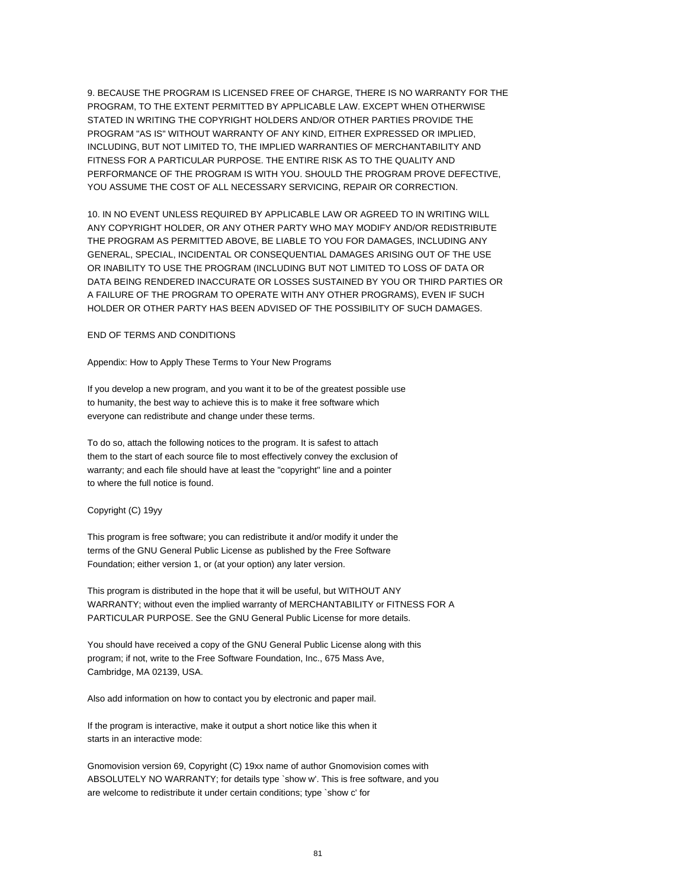9. BECAUSE THE PROGRAM IS LICENSED FREE OF CHARGE, THERE IS NO WARRANTY FOR THE PROGRAM, TO THE EXTENT PERMITTED BY APPLICABLE LAW. EXCEPT WHEN OTHERWISE STATED IN WRITING THE COPYRIGHT HOLDERS AND/OR OTHER PARTIES PROVIDE THE PROGRAM "AS IS" WITHOUT WARRANTY OF ANY KIND, EITHER EXPRESSED OR IMPLIED, INCLUDING, BUT NOT LIMITED TO, THE IMPLIED WARRANTIES OF MERCHANTABILITY AND FITNESS FOR A PARTICULAR PURPOSE. THE ENTIRE RISK AS TO THE QUALITY AND PERFORMANCE OF THE PROGRAM IS WITH YOU. SHOULD THE PROGRAM PROVE DEFECTIVE, YOU ASSUME THE COST OF ALL NECESSARY SERVICING, REPAIR OR CORRECTION.

10. IN NO EVENT UNLESS REQUIRED BY APPLICABLE LAW OR AGREED TO IN WRITING WILL ANY COPYRIGHT HOLDER, OR ANY OTHER PARTY WHO MAY MODIFY AND/OR REDISTRIBUTE THE PROGRAM AS PERMITTED ABOVE, BE LIABLE TO YOU FOR DAMAGES, INCLUDING ANY GENERAL, SPECIAL, INCIDENTAL OR CONSEQUENTIAL DAMAGES ARISING OUT OF THE USE OR INABILITY TO USE THE PROGRAM (INCLUDING BUT NOT LIMITED TO LOSS OF DATA OR DATA BEING RENDERED INACCURATE OR LOSSES SUSTAINED BY YOU OR THIRD PARTIES OR A FAILURE OF THE PROGRAM TO OPERATE WITH ANY OTHER PROGRAMS), EVEN IF SUCH HOLDER OR OTHER PARTY HAS BEEN ADVISED OF THE POSSIBILITY OF SUCH DAMAGES.

# END OF TERMS AND CONDITIONS

Appendix: How to Apply These Terms to Your New Programs

If you develop a new program, and you want it to be of the greatest possible use to humanity, the best way to achieve this is to make it free software which everyone can redistribute and change under these terms.

To do so, attach the following notices to the program. It is safest to attach them to the start of each source file to most effectively convey the exclusion of warranty; and each file should have at least the "copyright" line and a pointer to where the full notice is found.

# Copyright (C) 19yy

This program is free software; you can redistribute it and/or modify it under the terms of the GNU General Public License as published by the Free Software Foundation; either version 1, or (at your option) any later version.

This program is distributed in the hope that it will be useful, but WITHOUT ANY WARRANTY; without even the implied warranty of MERCHANTABILITY or FITNESS FOR A PARTICULAR PURPOSE. See the GNU General Public License for more details.

You should have received a copy of the GNU General Public License along with this program; if not, write to the Free Software Foundation, Inc., 675 Mass Ave, Cambridge, MA 02139, USA.

Also add information on how to contact you by electronic and paper mail.

If the program is interactive, make it output a short notice like this when it starts in an interactive mode:

Gnomovision version 69, Copyright (C) 19xx name of author Gnomovision comes with ABSOLUTELY NO WARRANTY; for details type `show w'. This is free software, and you are welcome to redistribute it under certain conditions; type `show c' for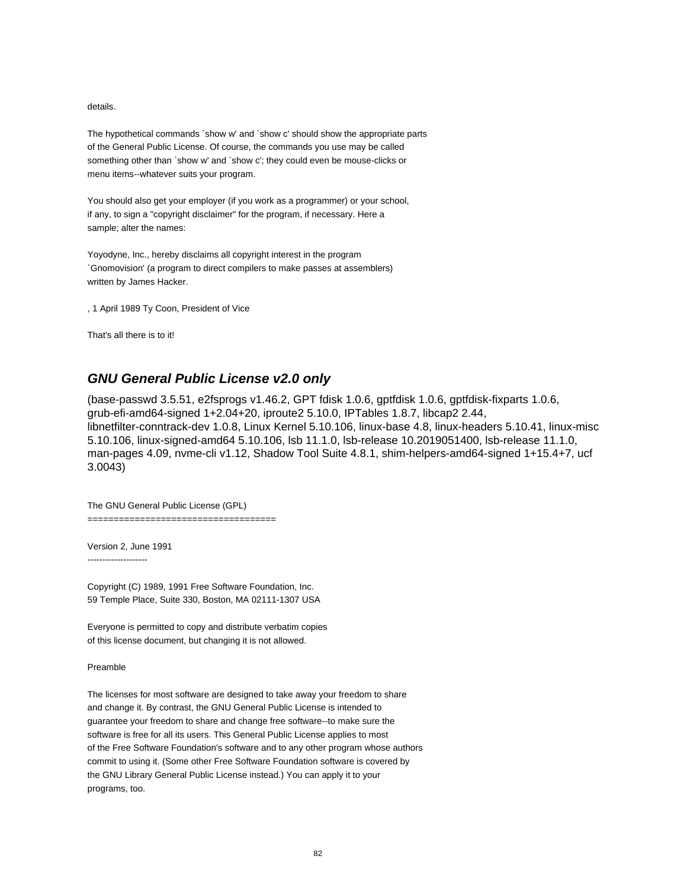details.

The hypothetical commands `show w' and `show c' should show the appropriate parts of the General Public License. Of course, the commands you use may be called something other than `show w' and `show c'; they could even be mouse-clicks or menu items--whatever suits your program.

You should also get your employer (if you work as a programmer) or your school, if any, to sign a "copyright disclaimer" for the program, if necessary. Here a sample; alter the names:

Yoyodyne, Inc., hereby disclaims all copyright interest in the program `Gnomovision' (a program to direct compilers to make passes at assemblers) written by James Hacker.

, 1 April 1989 Ty Coon, President of Vice

That's all there is to it!

# **GNU General Public License v2.0 only**

(base-passwd 3.5.51, e2fsprogs v1.46.2, GPT fdisk 1.0.6, gptfdisk 1.0.6, gptfdisk-fixparts 1.0.6, grub-efi-amd64-signed 1+2.04+20, iproute2 5.10.0, IPTables 1.8.7, libcap2 2.44, libnetfilter-conntrack-dev 1.0.8, Linux Kernel 5.10.106, linux-base 4.8, linux-headers 5.10.41, linux-misc 5.10.106, linux-signed-amd64 5.10.106, lsb 11.1.0, lsb-release 10.2019051400, lsb-release 11.1.0, man-pages 4.09, nvme-cli v1.12, Shadow Tool Suite 4.8.1, shim-helpers-amd64-signed 1+15.4+7, ucf 3.0043)

The GNU General Public License (GPL)

====================================

Version 2, June 1991 --------------------

Copyright (C) 1989, 1991 Free Software Foundation, Inc. 59 Temple Place, Suite 330, Boston, MA 02111-1307 USA

Everyone is permitted to copy and distribute verbatim copies of this license document, but changing it is not allowed.

Preamble

The licenses for most software are designed to take away your freedom to share and change it. By contrast, the GNU General Public License is intended to guarantee your freedom to share and change free software--to make sure the software is free for all its users. This General Public License applies to most of the Free Software Foundation's software and to any other program whose authors commit to using it. (Some other Free Software Foundation software is covered by the GNU Library General Public License instead.) You can apply it to your programs, too.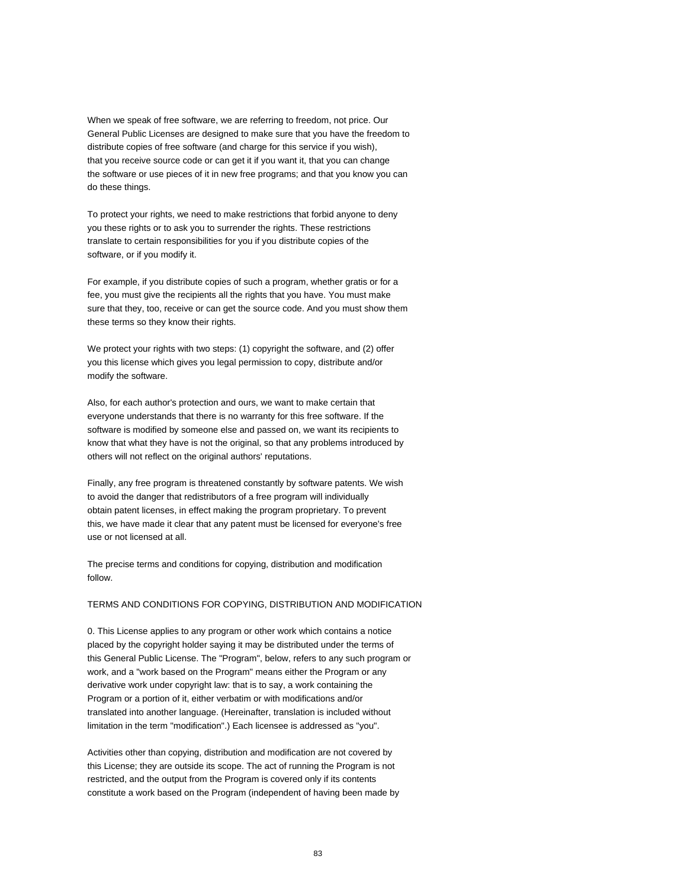When we speak of free software, we are referring to freedom, not price. Our General Public Licenses are designed to make sure that you have the freedom to distribute copies of free software (and charge for this service if you wish), that you receive source code or can get it if you want it, that you can change the software or use pieces of it in new free programs; and that you know you can do these things.

To protect your rights, we need to make restrictions that forbid anyone to deny you these rights or to ask you to surrender the rights. These restrictions translate to certain responsibilities for you if you distribute copies of the software, or if you modify it.

For example, if you distribute copies of such a program, whether gratis or for a fee, you must give the recipients all the rights that you have. You must make sure that they, too, receive or can get the source code. And you must show them these terms so they know their rights.

We protect your rights with two steps: (1) copyright the software, and (2) offer you this license which gives you legal permission to copy, distribute and/or modify the software.

Also, for each author's protection and ours, we want to make certain that everyone understands that there is no warranty for this free software. If the software is modified by someone else and passed on, we want its recipients to know that what they have is not the original, so that any problems introduced by others will not reflect on the original authors' reputations.

Finally, any free program is threatened constantly by software patents. We wish to avoid the danger that redistributors of a free program will individually obtain patent licenses, in effect making the program proprietary. To prevent this, we have made it clear that any patent must be licensed for everyone's free use or not licensed at all.

The precise terms and conditions for copying, distribution and modification follow.

# TERMS AND CONDITIONS FOR COPYING, DISTRIBUTION AND MODIFICATION

0. This License applies to any program or other work which contains a notice placed by the copyright holder saying it may be distributed under the terms of this General Public License. The "Program", below, refers to any such program or work, and a "work based on the Program" means either the Program or any derivative work under copyright law: that is to say, a work containing the Program or a portion of it, either verbatim or with modifications and/or translated into another language. (Hereinafter, translation is included without limitation in the term "modification".) Each licensee is addressed as "you".

Activities other than copying, distribution and modification are not covered by this License; they are outside its scope. The act of running the Program is not restricted, and the output from the Program is covered only if its contents constitute a work based on the Program (independent of having been made by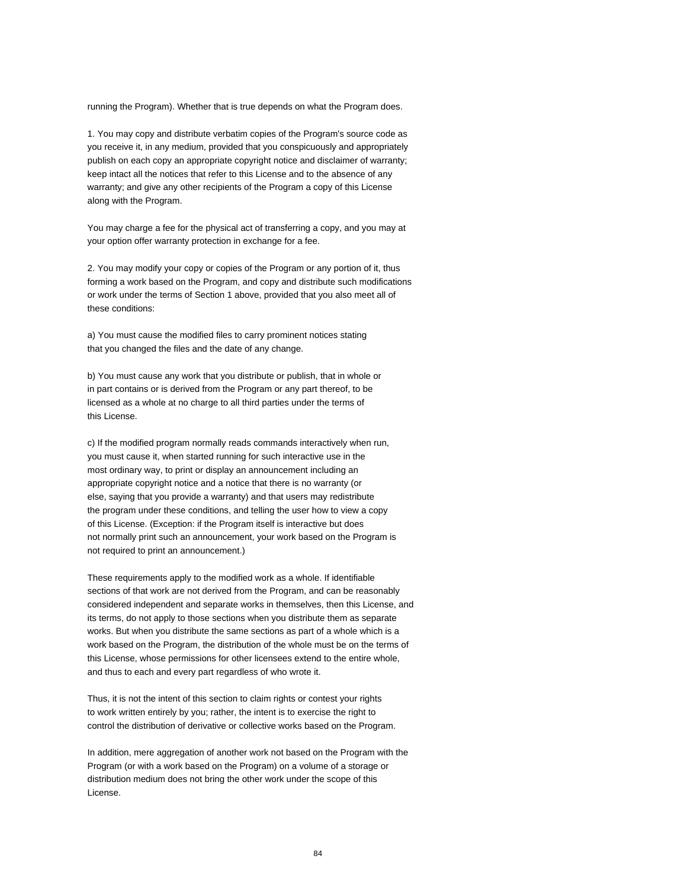running the Program). Whether that is true depends on what the Program does.

1. You may copy and distribute verbatim copies of the Program's source code as you receive it, in any medium, provided that you conspicuously and appropriately publish on each copy an appropriate copyright notice and disclaimer of warranty; keep intact all the notices that refer to this License and to the absence of any warranty; and give any other recipients of the Program a copy of this License along with the Program.

You may charge a fee for the physical act of transferring a copy, and you may at your option offer warranty protection in exchange for a fee.

2. You may modify your copy or copies of the Program or any portion of it, thus forming a work based on the Program, and copy and distribute such modifications or work under the terms of Section 1 above, provided that you also meet all of these conditions:

a) You must cause the modified files to carry prominent notices stating that you changed the files and the date of any change.

b) You must cause any work that you distribute or publish, that in whole or in part contains or is derived from the Program or any part thereof, to be licensed as a whole at no charge to all third parties under the terms of this License.

c) If the modified program normally reads commands interactively when run, you must cause it, when started running for such interactive use in the most ordinary way, to print or display an announcement including an appropriate copyright notice and a notice that there is no warranty (or else, saying that you provide a warranty) and that users may redistribute the program under these conditions, and telling the user how to view a copy of this License. (Exception: if the Program itself is interactive but does not normally print such an announcement, your work based on the Program is not required to print an announcement.)

These requirements apply to the modified work as a whole. If identifiable sections of that work are not derived from the Program, and can be reasonably considered independent and separate works in themselves, then this License, and its terms, do not apply to those sections when you distribute them as separate works. But when you distribute the same sections as part of a whole which is a work based on the Program, the distribution of the whole must be on the terms of this License, whose permissions for other licensees extend to the entire whole, and thus to each and every part regardless of who wrote it.

Thus, it is not the intent of this section to claim rights or contest your rights to work written entirely by you; rather, the intent is to exercise the right to control the distribution of derivative or collective works based on the Program.

In addition, mere aggregation of another work not based on the Program with the Program (or with a work based on the Program) on a volume of a storage or distribution medium does not bring the other work under the scope of this License.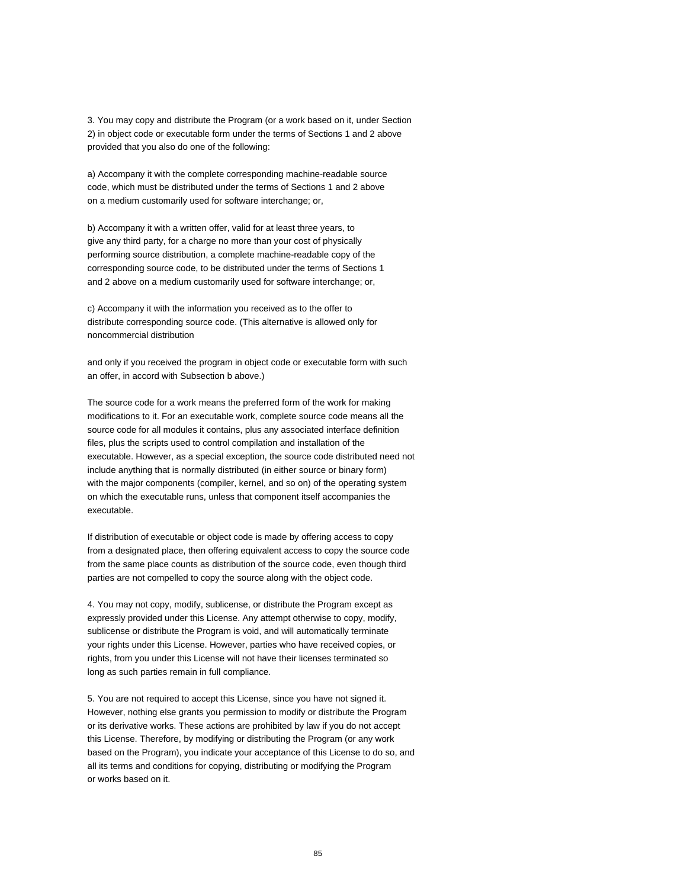3. You may copy and distribute the Program (or a work based on it, under Section 2) in object code or executable form under the terms of Sections 1 and 2 above provided that you also do one of the following:

a) Accompany it with the complete corresponding machine-readable source code, which must be distributed under the terms of Sections 1 and 2 above on a medium customarily used for software interchange; or,

b) Accompany it with a written offer, valid for at least three years, to give any third party, for a charge no more than your cost of physically performing source distribution, a complete machine-readable copy of the corresponding source code, to be distributed under the terms of Sections 1 and 2 above on a medium customarily used for software interchange; or,

c) Accompany it with the information you received as to the offer to distribute corresponding source code. (This alternative is allowed only for noncommercial distribution

and only if you received the program in object code or executable form with such an offer, in accord with Subsection b above.)

The source code for a work means the preferred form of the work for making modifications to it. For an executable work, complete source code means all the source code for all modules it contains, plus any associated interface definition files, plus the scripts used to control compilation and installation of the executable. However, as a special exception, the source code distributed need not include anything that is normally distributed (in either source or binary form) with the major components (compiler, kernel, and so on) of the operating system on which the executable runs, unless that component itself accompanies the executable.

If distribution of executable or object code is made by offering access to copy from a designated place, then offering equivalent access to copy the source code from the same place counts as distribution of the source code, even though third parties are not compelled to copy the source along with the object code.

4. You may not copy, modify, sublicense, or distribute the Program except as expressly provided under this License. Any attempt otherwise to copy, modify, sublicense or distribute the Program is void, and will automatically terminate your rights under this License. However, parties who have received copies, or rights, from you under this License will not have their licenses terminated so long as such parties remain in full compliance.

5. You are not required to accept this License, since you have not signed it. However, nothing else grants you permission to modify or distribute the Program or its derivative works. These actions are prohibited by law if you do not accept this License. Therefore, by modifying or distributing the Program (or any work based on the Program), you indicate your acceptance of this License to do so, and all its terms and conditions for copying, distributing or modifying the Program or works based on it.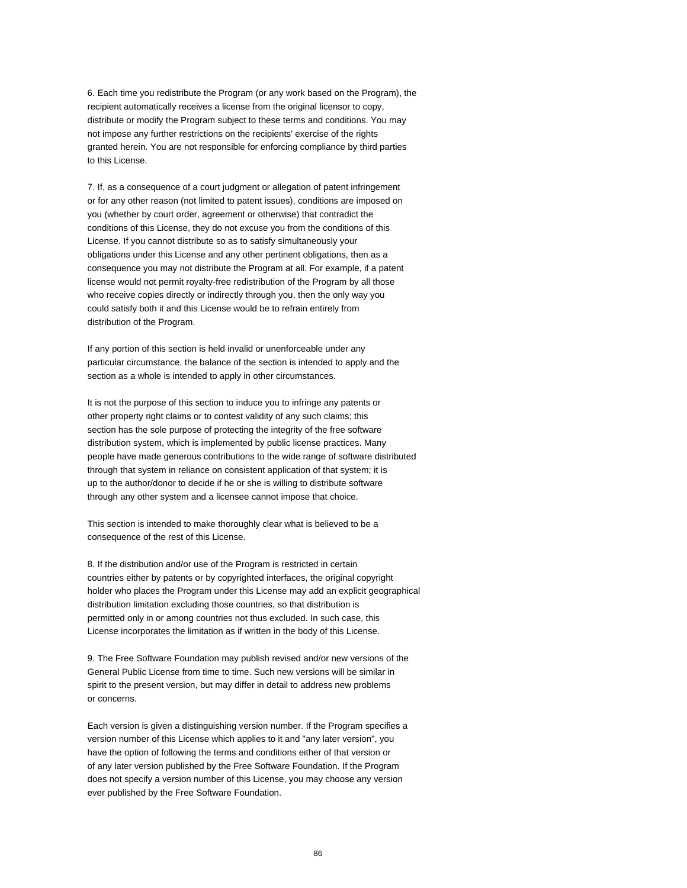6. Each time you redistribute the Program (or any work based on the Program), the recipient automatically receives a license from the original licensor to copy, distribute or modify the Program subject to these terms and conditions. You may not impose any further restrictions on the recipients' exercise of the rights granted herein. You are not responsible for enforcing compliance by third parties to this License.

7. If, as a consequence of a court judgment or allegation of patent infringement or for any other reason (not limited to patent issues), conditions are imposed on you (whether by court order, agreement or otherwise) that contradict the conditions of this License, they do not excuse you from the conditions of this License. If you cannot distribute so as to satisfy simultaneously your obligations under this License and any other pertinent obligations, then as a consequence you may not distribute the Program at all. For example, if a patent license would not permit royalty-free redistribution of the Program by all those who receive copies directly or indirectly through you, then the only way you could satisfy both it and this License would be to refrain entirely from distribution of the Program.

If any portion of this section is held invalid or unenforceable under any particular circumstance, the balance of the section is intended to apply and the section as a whole is intended to apply in other circumstances.

It is not the purpose of this section to induce you to infringe any patents or other property right claims or to contest validity of any such claims; this section has the sole purpose of protecting the integrity of the free software distribution system, which is implemented by public license practices. Many people have made generous contributions to the wide range of software distributed through that system in reliance on consistent application of that system; it is up to the author/donor to decide if he or she is willing to distribute software through any other system and a licensee cannot impose that choice.

This section is intended to make thoroughly clear what is believed to be a consequence of the rest of this License.

8. If the distribution and/or use of the Program is restricted in certain countries either by patents or by copyrighted interfaces, the original copyright holder who places the Program under this License may add an explicit geographical distribution limitation excluding those countries, so that distribution is permitted only in or among countries not thus excluded. In such case, this License incorporates the limitation as if written in the body of this License.

9. The Free Software Foundation may publish revised and/or new versions of the General Public License from time to time. Such new versions will be similar in spirit to the present version, but may differ in detail to address new problems or concerns.

Each version is given a distinguishing version number. If the Program specifies a version number of this License which applies to it and "any later version", you have the option of following the terms and conditions either of that version or of any later version published by the Free Software Foundation. If the Program does not specify a version number of this License, you may choose any version ever published by the Free Software Foundation.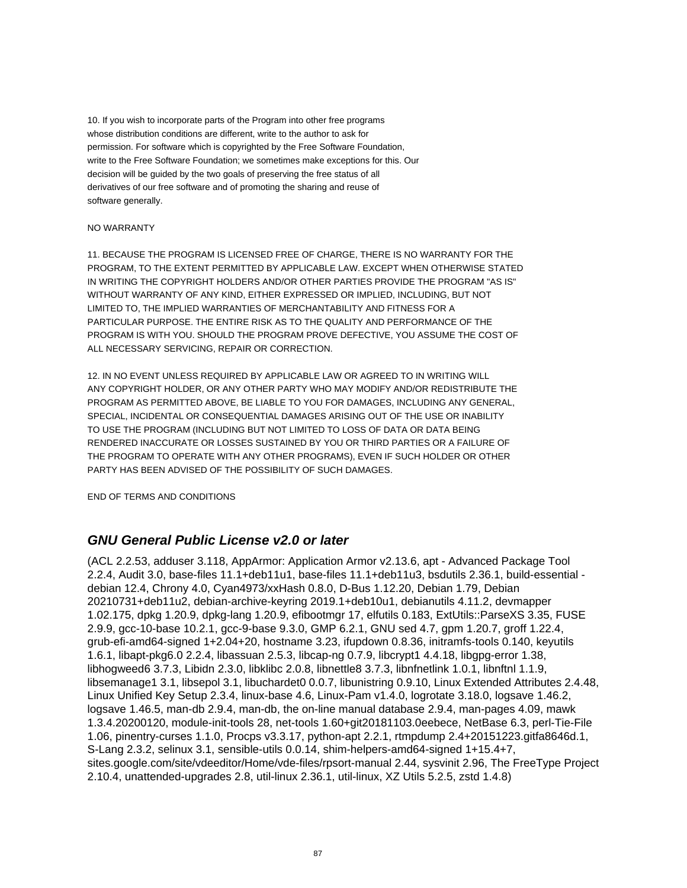10. If you wish to incorporate parts of the Program into other free programs whose distribution conditions are different, write to the author to ask for permission. For software which is copyrighted by the Free Software Foundation, write to the Free Software Foundation; we sometimes make exceptions for this. Our decision will be guided by the two goals of preserving the free status of all derivatives of our free software and of promoting the sharing and reuse of software generally.

# NO WARRANTY

11. BECAUSE THE PROGRAM IS LICENSED FREE OF CHARGE, THERE IS NO WARRANTY FOR THE PROGRAM, TO THE EXTENT PERMITTED BY APPLICABLE LAW. EXCEPT WHEN OTHERWISE STATED IN WRITING THE COPYRIGHT HOLDERS AND/OR OTHER PARTIES PROVIDE THE PROGRAM "AS IS" WITHOUT WARRANTY OF ANY KIND, EITHER EXPRESSED OR IMPLIED, INCLUDING, BUT NOT LIMITED TO, THE IMPLIED WARRANTIES OF MERCHANTABILITY AND FITNESS FOR A PARTICULAR PURPOSE. THE ENTIRE RISK AS TO THE QUALITY AND PERFORMANCE OF THE PROGRAM IS WITH YOU. SHOULD THE PROGRAM PROVE DEFECTIVE, YOU ASSUME THE COST OF ALL NECESSARY SERVICING, REPAIR OR CORRECTION.

12. IN NO EVENT UNLESS REQUIRED BY APPLICABLE LAW OR AGREED TO IN WRITING WILL ANY COPYRIGHT HOLDER, OR ANY OTHER PARTY WHO MAY MODIFY AND/OR REDISTRIBUTE THE PROGRAM AS PERMITTED ABOVE, BE LIABLE TO YOU FOR DAMAGES, INCLUDING ANY GENERAL, SPECIAL, INCIDENTAL OR CONSEQUENTIAL DAMAGES ARISING OUT OF THE USE OR INABILITY TO USE THE PROGRAM (INCLUDING BUT NOT LIMITED TO LOSS OF DATA OR DATA BEING RENDERED INACCURATE OR LOSSES SUSTAINED BY YOU OR THIRD PARTIES OR A FAILURE OF THE PROGRAM TO OPERATE WITH ANY OTHER PROGRAMS), EVEN IF SUCH HOLDER OR OTHER PARTY HAS BEEN ADVISED OF THE POSSIBILITY OF SUCH DAMAGES.

END OF TERMS AND CONDITIONS

# **GNU General Public License v2.0 or later**

(ACL 2.2.53, adduser 3.118, AppArmor: Application Armor v2.13.6, apt - Advanced Package Tool 2.2.4, Audit 3.0, base-files 11.1+deb11u1, base-files 11.1+deb11u3, bsdutils 2.36.1, build-essential debian 12.4, Chrony 4.0, Cyan4973/xxHash 0.8.0, D-Bus 1.12.20, Debian 1.79, Debian 20210731+deb11u2, debian-archive-keyring 2019.1+deb10u1, debianutils 4.11.2, devmapper 1.02.175, dpkg 1.20.9, dpkg-lang 1.20.9, efibootmgr 17, elfutils 0.183, ExtUtils::ParseXS 3.35, FUSE 2.9.9, gcc-10-base 10.2.1, gcc-9-base 9.3.0, GMP 6.2.1, GNU sed 4.7, gpm 1.20.7, groff 1.22.4, grub-efi-amd64-signed 1+2.04+20, hostname 3.23, ifupdown 0.8.36, initramfs-tools 0.140, keyutils 1.6.1, libapt-pkg6.0 2.2.4, libassuan 2.5.3, libcap-ng 0.7.9, libcrypt1 4.4.18, libgpg-error 1.38, libhogweed6 3.7.3, Libidn 2.3.0, libklibc 2.0.8, libnettle8 3.7.3, libnfnetlink 1.0.1, libnftnl 1.1.9, libsemanage1 3.1, libsepol 3.1, libuchardet0 0.0.7, libunistring 0.9.10, Linux Extended Attributes 2.4.48, Linux Unified Key Setup 2.3.4, linux-base 4.6, Linux-Pam v1.4.0, logrotate 3.18.0, logsave 1.46.2, logsave 1.46.5, man-db 2.9.4, man-db, the on-line manual database 2.9.4, man-pages 4.09, mawk 1.3.4.20200120, module-init-tools 28, net-tools 1.60+git20181103.0eebece, NetBase 6.3, perl-Tie-File 1.06, pinentry-curses 1.1.0, Procps v3.3.17, python-apt 2.2.1, rtmpdump 2.4+20151223.gitfa8646d.1, S-Lang 2.3.2, selinux 3.1, sensible-utils 0.0.14, shim-helpers-amd64-signed 1+15.4+7, sites.google.com/site/vdeeditor/Home/vde-files/rpsort-manual 2.44, sysvinit 2.96, The FreeType Project 2.10.4, unattended-upgrades 2.8, util-linux 2.36.1, util-linux, XZ Utils 5.2.5, zstd 1.4.8)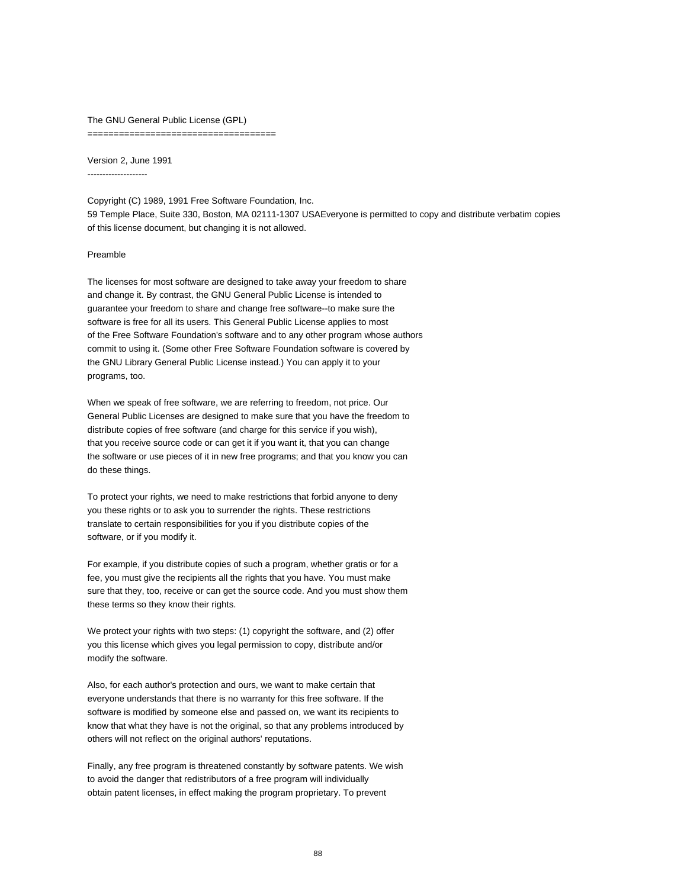The GNU General Public License (GPL) ====================================

Version 2, June 1991 --------------------

Copyright (C) 1989, 1991 Free Software Foundation, Inc. 59 Temple Place, Suite 330, Boston, MA 02111-1307 USAEveryone is permitted to copy and distribute verbatim copies of this license document, but changing it is not allowed.

#### Preamble

The licenses for most software are designed to take away your freedom to share and change it. By contrast, the GNU General Public License is intended to guarantee your freedom to share and change free software--to make sure the software is free for all its users. This General Public License applies to most of the Free Software Foundation's software and to any other program whose authors commit to using it. (Some other Free Software Foundation software is covered by the GNU Library General Public License instead.) You can apply it to your programs, too.

When we speak of free software, we are referring to freedom, not price. Our General Public Licenses are designed to make sure that you have the freedom to distribute copies of free software (and charge for this service if you wish), that you receive source code or can get it if you want it, that you can change the software or use pieces of it in new free programs; and that you know you can do these things.

To protect your rights, we need to make restrictions that forbid anyone to deny you these rights or to ask you to surrender the rights. These restrictions translate to certain responsibilities for you if you distribute copies of the software, or if you modify it.

For example, if you distribute copies of such a program, whether gratis or for a fee, you must give the recipients all the rights that you have. You must make sure that they, too, receive or can get the source code. And you must show them these terms so they know their rights.

We protect your rights with two steps: (1) copyright the software, and (2) offer you this license which gives you legal permission to copy, distribute and/or modify the software.

Also, for each author's protection and ours, we want to make certain that everyone understands that there is no warranty for this free software. If the software is modified by someone else and passed on, we want its recipients to know that what they have is not the original, so that any problems introduced by others will not reflect on the original authors' reputations.

Finally, any free program is threatened constantly by software patents. We wish to avoid the danger that redistributors of a free program will individually obtain patent licenses, in effect making the program proprietary. To prevent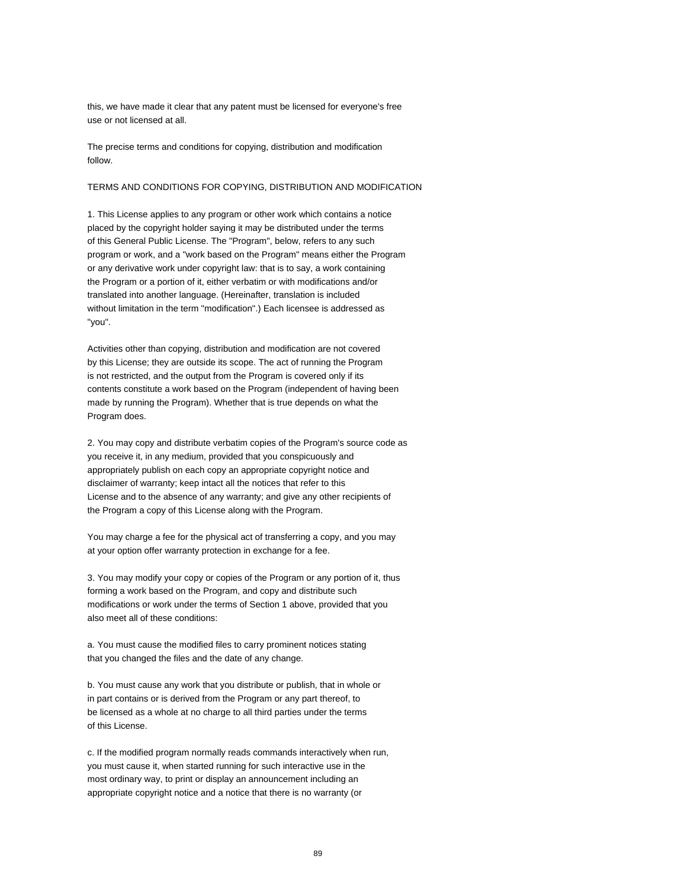this, we have made it clear that any patent must be licensed for everyone's free use or not licensed at all.

The precise terms and conditions for copying, distribution and modification follow.

#### TERMS AND CONDITIONS FOR COPYING, DISTRIBUTION AND MODIFICATION

1. This License applies to any program or other work which contains a notice placed by the copyright holder saying it may be distributed under the terms of this General Public License. The "Program", below, refers to any such program or work, and a "work based on the Program" means either the Program or any derivative work under copyright law: that is to say, a work containing the Program or a portion of it, either verbatim or with modifications and/or translated into another language. (Hereinafter, translation is included without limitation in the term "modification".) Each licensee is addressed as "you".

Activities other than copying, distribution and modification are not covered by this License; they are outside its scope. The act of running the Program is not restricted, and the output from the Program is covered only if its contents constitute a work based on the Program (independent of having been made by running the Program). Whether that is true depends on what the Program does.

2. You may copy and distribute verbatim copies of the Program's source code as you receive it, in any medium, provided that you conspicuously and appropriately publish on each copy an appropriate copyright notice and disclaimer of warranty; keep intact all the notices that refer to this License and to the absence of any warranty; and give any other recipients of the Program a copy of this License along with the Program.

You may charge a fee for the physical act of transferring a copy, and you may at your option offer warranty protection in exchange for a fee.

3. You may modify your copy or copies of the Program or any portion of it, thus forming a work based on the Program, and copy and distribute such modifications or work under the terms of Section 1 above, provided that you also meet all of these conditions:

a. You must cause the modified files to carry prominent notices stating that you changed the files and the date of any change.

b. You must cause any work that you distribute or publish, that in whole or in part contains or is derived from the Program or any part thereof, to be licensed as a whole at no charge to all third parties under the terms of this License.

c. If the modified program normally reads commands interactively when run, you must cause it, when started running for such interactive use in the most ordinary way, to print or display an announcement including an appropriate copyright notice and a notice that there is no warranty (or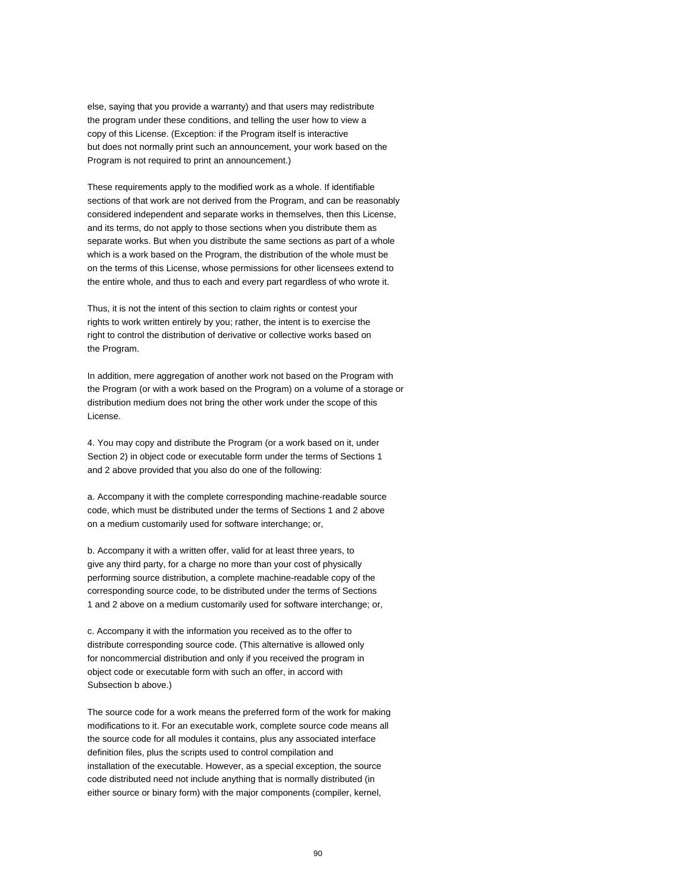else, saying that you provide a warranty) and that users may redistribute the program under these conditions, and telling the user how to view a copy of this License. (Exception: if the Program itself is interactive but does not normally print such an announcement, your work based on the Program is not required to print an announcement.)

These requirements apply to the modified work as a whole. If identifiable sections of that work are not derived from the Program, and can be reasonably considered independent and separate works in themselves, then this License, and its terms, do not apply to those sections when you distribute them as separate works. But when you distribute the same sections as part of a whole which is a work based on the Program, the distribution of the whole must be on the terms of this License, whose permissions for other licensees extend to the entire whole, and thus to each and every part regardless of who wrote it.

Thus, it is not the intent of this section to claim rights or contest your rights to work written entirely by you; rather, the intent is to exercise the right to control the distribution of derivative or collective works based on the Program.

In addition, mere aggregation of another work not based on the Program with the Program (or with a work based on the Program) on a volume of a storage or distribution medium does not bring the other work under the scope of this License.

4. You may copy and distribute the Program (or a work based on it, under Section 2) in object code or executable form under the terms of Sections 1 and 2 above provided that you also do one of the following:

a. Accompany it with the complete corresponding machine-readable source code, which must be distributed under the terms of Sections 1 and 2 above on a medium customarily used for software interchange; or,

b. Accompany it with a written offer, valid for at least three years, to give any third party, for a charge no more than your cost of physically performing source distribution, a complete machine-readable copy of the corresponding source code, to be distributed under the terms of Sections 1 and 2 above on a medium customarily used for software interchange; or,

c. Accompany it with the information you received as to the offer to distribute corresponding source code. (This alternative is allowed only for noncommercial distribution and only if you received the program in object code or executable form with such an offer, in accord with Subsection b above.)

The source code for a work means the preferred form of the work for making modifications to it. For an executable work, complete source code means all the source code for all modules it contains, plus any associated interface definition files, plus the scripts used to control compilation and installation of the executable. However, as a special exception, the source code distributed need not include anything that is normally distributed (in either source or binary form) with the major components (compiler, kernel,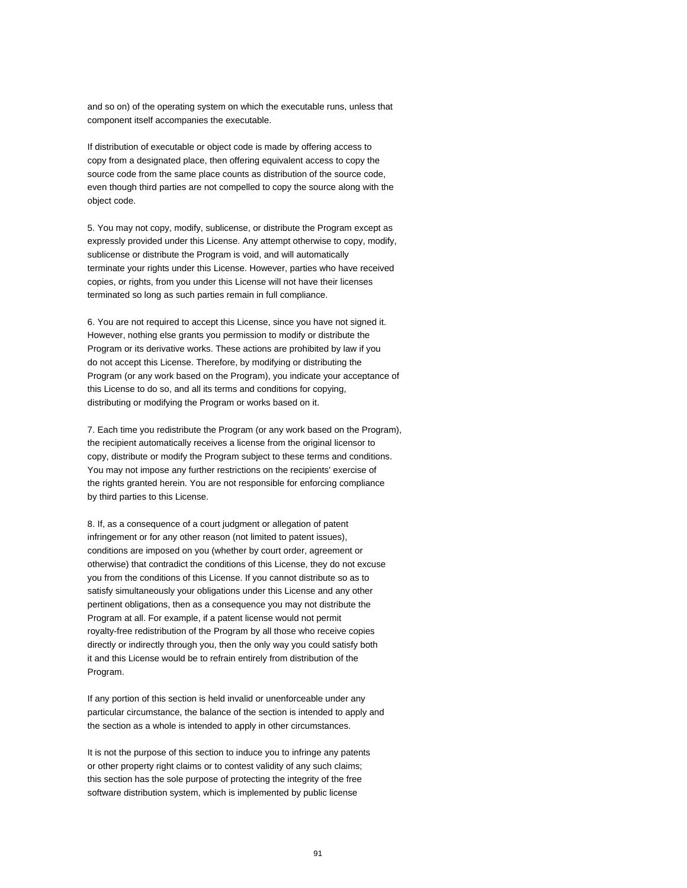and so on) of the operating system on which the executable runs, unless that component itself accompanies the executable.

If distribution of executable or object code is made by offering access to copy from a designated place, then offering equivalent access to copy the source code from the same place counts as distribution of the source code, even though third parties are not compelled to copy the source along with the object code.

5. You may not copy, modify, sublicense, or distribute the Program except as expressly provided under this License. Any attempt otherwise to copy, modify, sublicense or distribute the Program is void, and will automatically terminate your rights under this License. However, parties who have received copies, or rights, from you under this License will not have their licenses terminated so long as such parties remain in full compliance.

6. You are not required to accept this License, since you have not signed it. However, nothing else grants you permission to modify or distribute the Program or its derivative works. These actions are prohibited by law if you do not accept this License. Therefore, by modifying or distributing the Program (or any work based on the Program), you indicate your acceptance of this License to do so, and all its terms and conditions for copying, distributing or modifying the Program or works based on it.

7. Each time you redistribute the Program (or any work based on the Program), the recipient automatically receives a license from the original licensor to copy, distribute or modify the Program subject to these terms and conditions. You may not impose any further restrictions on the recipients' exercise of the rights granted herein. You are not responsible for enforcing compliance by third parties to this License.

8. If, as a consequence of a court judgment or allegation of patent infringement or for any other reason (not limited to patent issues), conditions are imposed on you (whether by court order, agreement or otherwise) that contradict the conditions of this License, they do not excuse you from the conditions of this License. If you cannot distribute so as to satisfy simultaneously your obligations under this License and any other pertinent obligations, then as a consequence you may not distribute the Program at all. For example, if a patent license would not permit royalty-free redistribution of the Program by all those who receive copies directly or indirectly through you, then the only way you could satisfy both it and this License would be to refrain entirely from distribution of the Program.

If any portion of this section is held invalid or unenforceable under any particular circumstance, the balance of the section is intended to apply and the section as a whole is intended to apply in other circumstances.

It is not the purpose of this section to induce you to infringe any patents or other property right claims or to contest validity of any such claims; this section has the sole purpose of protecting the integrity of the free software distribution system, which is implemented by public license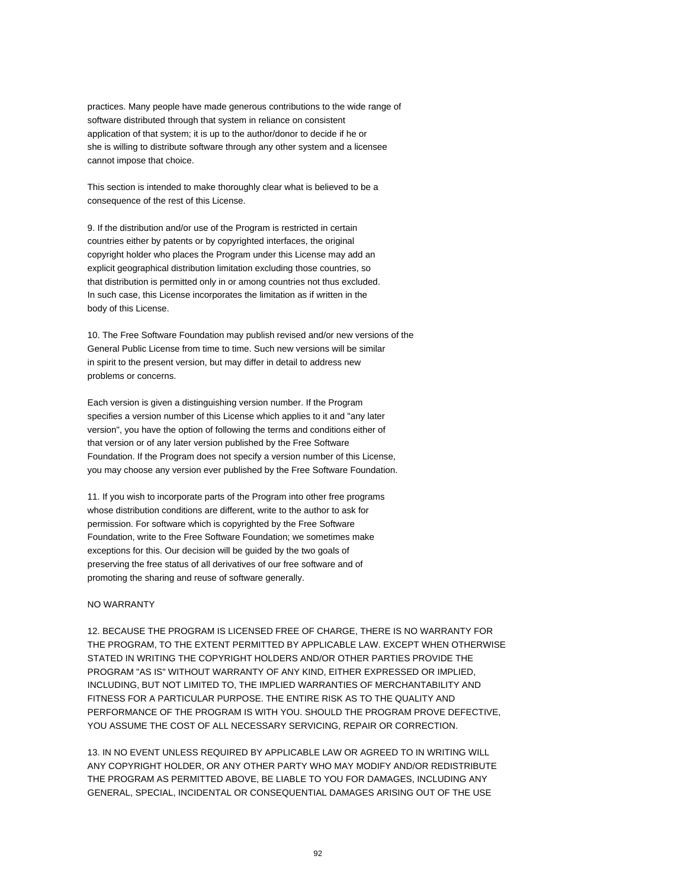practices. Many people have made generous contributions to the wide range of software distributed through that system in reliance on consistent application of that system; it is up to the author/donor to decide if he or she is willing to distribute software through any other system and a licensee cannot impose that choice.

This section is intended to make thoroughly clear what is believed to be a consequence of the rest of this License.

9. If the distribution and/or use of the Program is restricted in certain countries either by patents or by copyrighted interfaces, the original copyright holder who places the Program under this License may add an explicit geographical distribution limitation excluding those countries, so that distribution is permitted only in or among countries not thus excluded. In such case, this License incorporates the limitation as if written in the body of this License.

10. The Free Software Foundation may publish revised and/or new versions of the General Public License from time to time. Such new versions will be similar in spirit to the present version, but may differ in detail to address new problems or concerns.

Each version is given a distinguishing version number. If the Program specifies a version number of this License which applies to it and "any later version", you have the option of following the terms and conditions either of that version or of any later version published by the Free Software Foundation. If the Program does not specify a version number of this License, you may choose any version ever published by the Free Software Foundation.

11. If you wish to incorporate parts of the Program into other free programs whose distribution conditions are different, write to the author to ask for permission. For software which is copyrighted by the Free Software Foundation, write to the Free Software Foundation; we sometimes make exceptions for this. Our decision will be guided by the two goals of preserving the free status of all derivatives of our free software and of promoting the sharing and reuse of software generally.

# NO WARRANTY

12. BECAUSE THE PROGRAM IS LICENSED FREE OF CHARGE, THERE IS NO WARRANTY FOR THE PROGRAM, TO THE EXTENT PERMITTED BY APPLICABLE LAW. EXCEPT WHEN OTHERWISE STATED IN WRITING THE COPYRIGHT HOLDERS AND/OR OTHER PARTIES PROVIDE THE PROGRAM "AS IS" WITHOUT WARRANTY OF ANY KIND, EITHER EXPRESSED OR IMPLIED, INCLUDING, BUT NOT LIMITED TO, THE IMPLIED WARRANTIES OF MERCHANTABILITY AND FITNESS FOR A PARTICULAR PURPOSE. THE ENTIRE RISK AS TO THE QUALITY AND PERFORMANCE OF THE PROGRAM IS WITH YOU. SHOULD THE PROGRAM PROVE DEFECTIVE, YOU ASSUME THE COST OF ALL NECESSARY SERVICING, REPAIR OR CORRECTION.

13. IN NO EVENT UNLESS REQUIRED BY APPLICABLE LAW OR AGREED TO IN WRITING WILL ANY COPYRIGHT HOLDER, OR ANY OTHER PARTY WHO MAY MODIFY AND/OR REDISTRIBUTE THE PROGRAM AS PERMITTED ABOVE, BE LIABLE TO YOU FOR DAMAGES, INCLUDING ANY GENERAL, SPECIAL, INCIDENTAL OR CONSEQUENTIAL DAMAGES ARISING OUT OF THE USE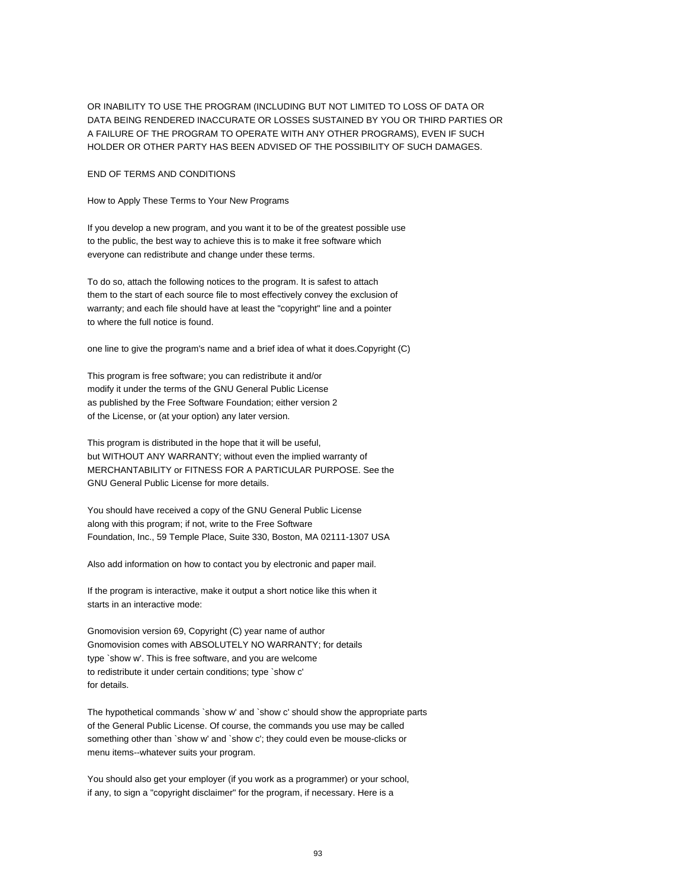OR INABILITY TO USE THE PROGRAM (INCLUDING BUT NOT LIMITED TO LOSS OF DATA OR DATA BEING RENDERED INACCURATE OR LOSSES SUSTAINED BY YOU OR THIRD PARTIES OR A FAILURE OF THE PROGRAM TO OPERATE WITH ANY OTHER PROGRAMS), EVEN IF SUCH HOLDER OR OTHER PARTY HAS BEEN ADVISED OF THE POSSIBILITY OF SUCH DAMAGES.

# END OF TERMS AND CONDITIONS

How to Apply These Terms to Your New Programs

If you develop a new program, and you want it to be of the greatest possible use to the public, the best way to achieve this is to make it free software which everyone can redistribute and change under these terms.

To do so, attach the following notices to the program. It is safest to attach them to the start of each source file to most effectively convey the exclusion of warranty; and each file should have at least the "copyright" line and a pointer to where the full notice is found.

one line to give the program's name and a brief idea of what it does.Copyright (C)

This program is free software; you can redistribute it and/or modify it under the terms of the GNU General Public License as published by the Free Software Foundation; either version 2 of the License, or (at your option) any later version.

This program is distributed in the hope that it will be useful, but WITHOUT ANY WARRANTY; without even the implied warranty of MERCHANTABILITY or FITNESS FOR A PARTICULAR PURPOSE. See the GNU General Public License for more details.

You should have received a copy of the GNU General Public License along with this program; if not, write to the Free Software Foundation, Inc., 59 Temple Place, Suite 330, Boston, MA 02111-1307 USA

Also add information on how to contact you by electronic and paper mail.

If the program is interactive, make it output a short notice like this when it starts in an interactive mode:

Gnomovision version 69, Copyright (C) year name of author Gnomovision comes with ABSOLUTELY NO WARRANTY; for details type `show w'. This is free software, and you are welcome to redistribute it under certain conditions; type `show c' for details.

The hypothetical commands `show w' and `show c' should show the appropriate parts of the General Public License. Of course, the commands you use may be called something other than `show w' and `show c'; they could even be mouse-clicks or menu items--whatever suits your program.

You should also get your employer (if you work as a programmer) or your school, if any, to sign a "copyright disclaimer" for the program, if necessary. Here is a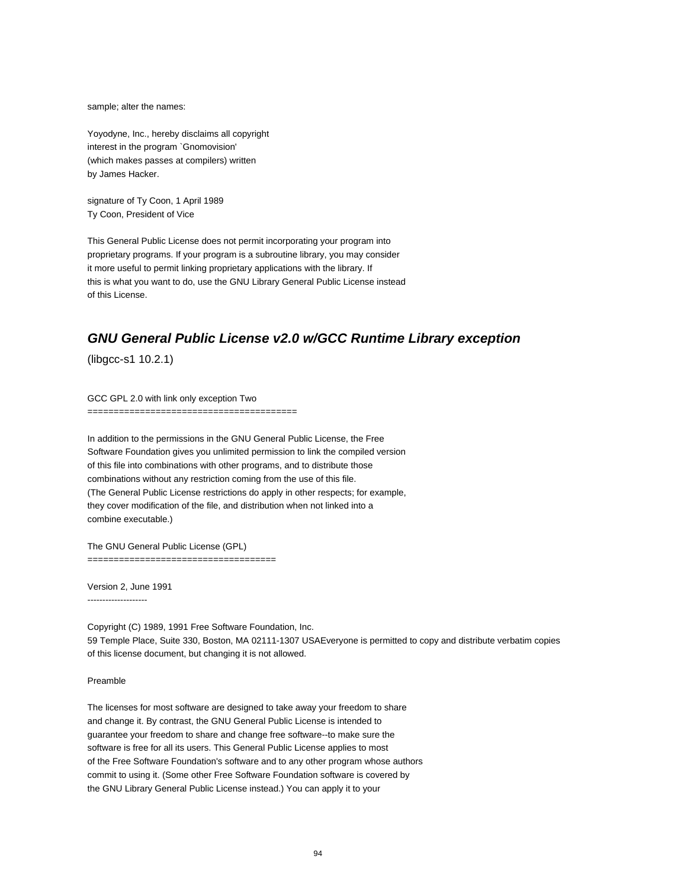sample; alter the names:

Yoyodyne, Inc., hereby disclaims all copyright interest in the program `Gnomovision' (which makes passes at compilers) written by James Hacker.

signature of Ty Coon, 1 April 1989 Ty Coon, President of Vice

This General Public License does not permit incorporating your program into proprietary programs. If your program is a subroutine library, you may consider it more useful to permit linking proprietary applications with the library. If this is what you want to do, use the GNU Library General Public License instead of this License.

# **GNU General Public License v2.0 w/GCC Runtime Library exception**

(libgcc-s1 10.2.1)

GCC GPL 2.0 with link only exception Two ========================================

In addition to the permissions in the GNU General Public License, the Free Software Foundation gives you unlimited permission to link the compiled version of this file into combinations with other programs, and to distribute those combinations without any restriction coming from the use of this file. (The General Public License restrictions do apply in other respects; for example, they cover modification of the file, and distribution when not linked into a combine executable.)

The GNU General Public License (GPL) ====================================

Version 2, June 1991 --------------------

Copyright (C) 1989, 1991 Free Software Foundation, Inc. 59 Temple Place, Suite 330, Boston, MA 02111-1307 USAEveryone is permitted to copy and distribute verbatim copies of this license document, but changing it is not allowed.

#### Preamble

The licenses for most software are designed to take away your freedom to share and change it. By contrast, the GNU General Public License is intended to guarantee your freedom to share and change free software--to make sure the software is free for all its users. This General Public License applies to most of the Free Software Foundation's software and to any other program whose authors commit to using it. (Some other Free Software Foundation software is covered by the GNU Library General Public License instead.) You can apply it to your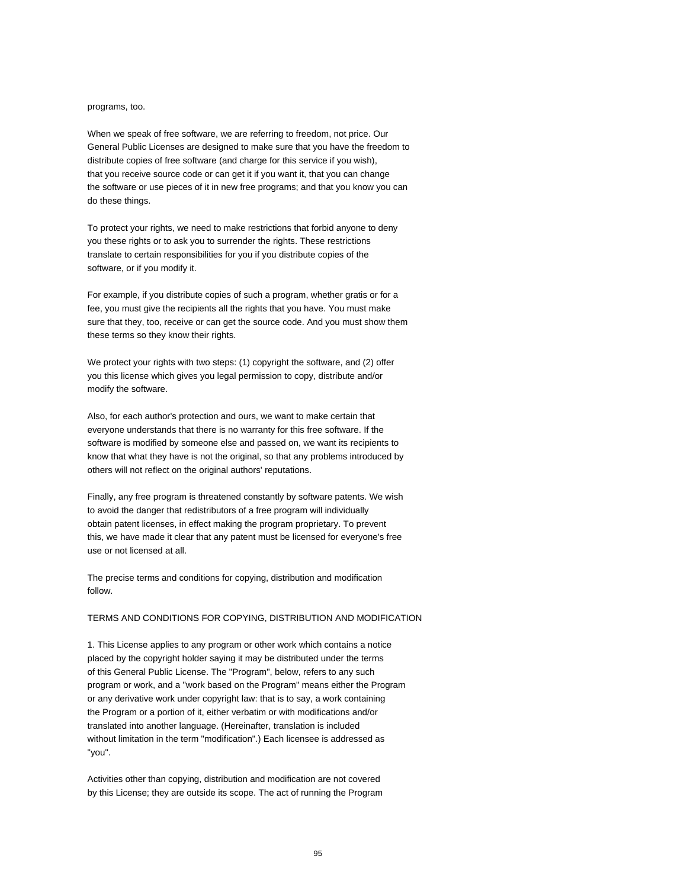programs, too.

When we speak of free software, we are referring to freedom, not price. Our General Public Licenses are designed to make sure that you have the freedom to distribute copies of free software (and charge for this service if you wish), that you receive source code or can get it if you want it, that you can change the software or use pieces of it in new free programs; and that you know you can do these things.

To protect your rights, we need to make restrictions that forbid anyone to deny you these rights or to ask you to surrender the rights. These restrictions translate to certain responsibilities for you if you distribute copies of the software, or if you modify it.

For example, if you distribute copies of such a program, whether gratis or for a fee, you must give the recipients all the rights that you have. You must make sure that they, too, receive or can get the source code. And you must show them these terms so they know their rights.

We protect your rights with two steps: (1) copyright the software, and (2) offer you this license which gives you legal permission to copy, distribute and/or modify the software.

Also, for each author's protection and ours, we want to make certain that everyone understands that there is no warranty for this free software. If the software is modified by someone else and passed on, we want its recipients to know that what they have is not the original, so that any problems introduced by others will not reflect on the original authors' reputations.

Finally, any free program is threatened constantly by software patents. We wish to avoid the danger that redistributors of a free program will individually obtain patent licenses, in effect making the program proprietary. To prevent this, we have made it clear that any patent must be licensed for everyone's free use or not licensed at all.

The precise terms and conditions for copying, distribution and modification follow.

#### TERMS AND CONDITIONS FOR COPYING, DISTRIBUTION AND MODIFICATION

1. This License applies to any program or other work which contains a notice placed by the copyright holder saying it may be distributed under the terms of this General Public License. The "Program", below, refers to any such program or work, and a "work based on the Program" means either the Program or any derivative work under copyright law: that is to say, a work containing the Program or a portion of it, either verbatim or with modifications and/or translated into another language. (Hereinafter, translation is included without limitation in the term "modification".) Each licensee is addressed as "you".

Activities other than copying, distribution and modification are not covered by this License; they are outside its scope. The act of running the Program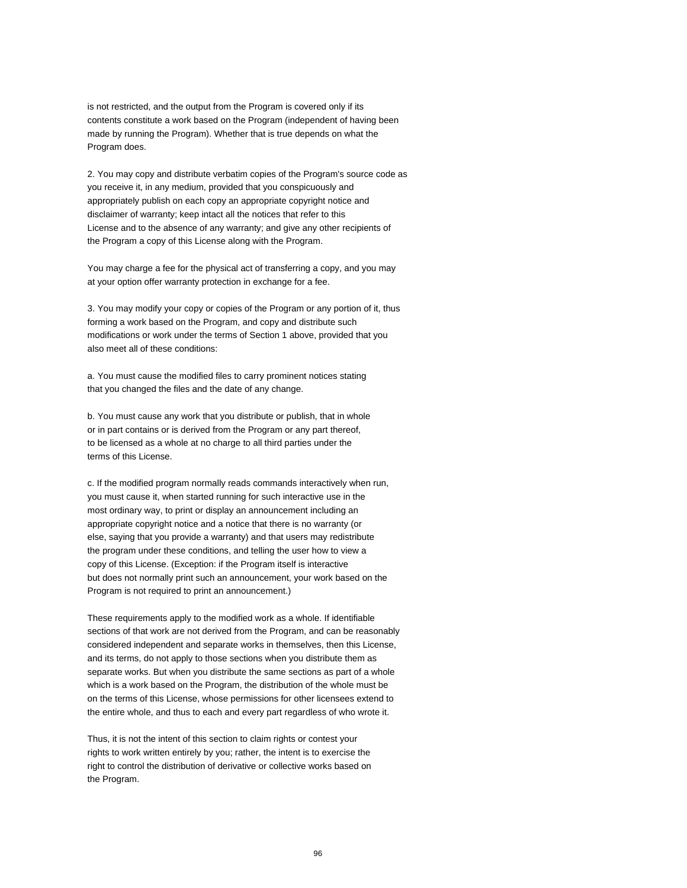is not restricted, and the output from the Program is covered only if its contents constitute a work based on the Program (independent of having been made by running the Program). Whether that is true depends on what the Program does.

2. You may copy and distribute verbatim copies of the Program's source code as you receive it, in any medium, provided that you conspicuously and appropriately publish on each copy an appropriate copyright notice and disclaimer of warranty; keep intact all the notices that refer to this License and to the absence of any warranty; and give any other recipients of the Program a copy of this License along with the Program.

You may charge a fee for the physical act of transferring a copy, and you may at your option offer warranty protection in exchange for a fee.

3. You may modify your copy or copies of the Program or any portion of it, thus forming a work based on the Program, and copy and distribute such modifications or work under the terms of Section 1 above, provided that you also meet all of these conditions:

a. You must cause the modified files to carry prominent notices stating that you changed the files and the date of any change.

b. You must cause any work that you distribute or publish, that in whole or in part contains or is derived from the Program or any part thereof, to be licensed as a whole at no charge to all third parties under the terms of this License.

c. If the modified program normally reads commands interactively when run, you must cause it, when started running for such interactive use in the most ordinary way, to print or display an announcement including an appropriate copyright notice and a notice that there is no warranty (or else, saying that you provide a warranty) and that users may redistribute the program under these conditions, and telling the user how to view a copy of this License. (Exception: if the Program itself is interactive but does not normally print such an announcement, your work based on the Program is not required to print an announcement.)

These requirements apply to the modified work as a whole. If identifiable sections of that work are not derived from the Program, and can be reasonably considered independent and separate works in themselves, then this License, and its terms, do not apply to those sections when you distribute them as separate works. But when you distribute the same sections as part of a whole which is a work based on the Program, the distribution of the whole must be on the terms of this License, whose permissions for other licensees extend to the entire whole, and thus to each and every part regardless of who wrote it.

Thus, it is not the intent of this section to claim rights or contest your rights to work written entirely by you; rather, the intent is to exercise the right to control the distribution of derivative or collective works based on the Program.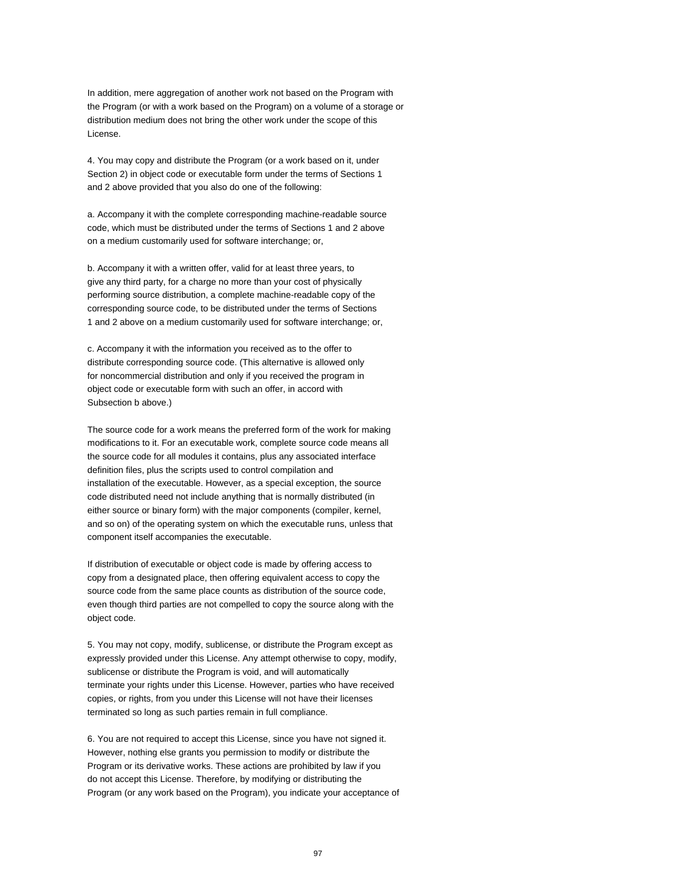In addition, mere aggregation of another work not based on the Program with the Program (or with a work based on the Program) on a volume of a storage or distribution medium does not bring the other work under the scope of this License.

4. You may copy and distribute the Program (or a work based on it, under Section 2) in object code or executable form under the terms of Sections 1 and 2 above provided that you also do one of the following:

a. Accompany it with the complete corresponding machine-readable source code, which must be distributed under the terms of Sections 1 and 2 above on a medium customarily used for software interchange; or,

b. Accompany it with a written offer, valid for at least three years, to give any third party, for a charge no more than your cost of physically performing source distribution, a complete machine-readable copy of the corresponding source code, to be distributed under the terms of Sections 1 and 2 above on a medium customarily used for software interchange; or,

c. Accompany it with the information you received as to the offer to distribute corresponding source code. (This alternative is allowed only for noncommercial distribution and only if you received the program in object code or executable form with such an offer, in accord with Subsection b above.)

The source code for a work means the preferred form of the work for making modifications to it. For an executable work, complete source code means all the source code for all modules it contains, plus any associated interface definition files, plus the scripts used to control compilation and installation of the executable. However, as a special exception, the source code distributed need not include anything that is normally distributed (in either source or binary form) with the major components (compiler, kernel, and so on) of the operating system on which the executable runs, unless that component itself accompanies the executable.

If distribution of executable or object code is made by offering access to copy from a designated place, then offering equivalent access to copy the source code from the same place counts as distribution of the source code, even though third parties are not compelled to copy the source along with the object code.

5. You may not copy, modify, sublicense, or distribute the Program except as expressly provided under this License. Any attempt otherwise to copy, modify, sublicense or distribute the Program is void, and will automatically terminate your rights under this License. However, parties who have received copies, or rights, from you under this License will not have their licenses terminated so long as such parties remain in full compliance.

6. You are not required to accept this License, since you have not signed it. However, nothing else grants you permission to modify or distribute the Program or its derivative works. These actions are prohibited by law if you do not accept this License. Therefore, by modifying or distributing the Program (or any work based on the Program), you indicate your acceptance of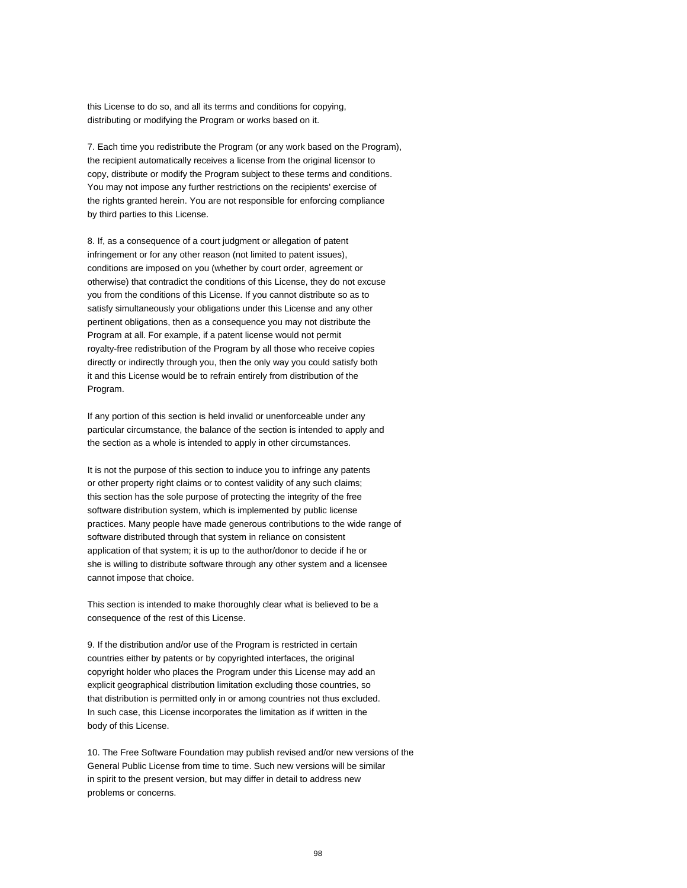this License to do so, and all its terms and conditions for copying, distributing or modifying the Program or works based on it.

7. Each time you redistribute the Program (or any work based on the Program), the recipient automatically receives a license from the original licensor to copy, distribute or modify the Program subject to these terms and conditions. You may not impose any further restrictions on the recipients' exercise of the rights granted herein. You are not responsible for enforcing compliance by third parties to this License.

8. If, as a consequence of a court judgment or allegation of patent infringement or for any other reason (not limited to patent issues), conditions are imposed on you (whether by court order, agreement or otherwise) that contradict the conditions of this License, they do not excuse you from the conditions of this License. If you cannot distribute so as to satisfy simultaneously your obligations under this License and any other pertinent obligations, then as a consequence you may not distribute the Program at all. For example, if a patent license would not permit royalty-free redistribution of the Program by all those who receive copies directly or indirectly through you, then the only way you could satisfy both it and this License would be to refrain entirely from distribution of the Program.

If any portion of this section is held invalid or unenforceable under any particular circumstance, the balance of the section is intended to apply and the section as a whole is intended to apply in other circumstances.

It is not the purpose of this section to induce you to infringe any patents or other property right claims or to contest validity of any such claims; this section has the sole purpose of protecting the integrity of the free software distribution system, which is implemented by public license practices. Many people have made generous contributions to the wide range of software distributed through that system in reliance on consistent application of that system; it is up to the author/donor to decide if he or she is willing to distribute software through any other system and a licensee cannot impose that choice.

This section is intended to make thoroughly clear what is believed to be a consequence of the rest of this License.

9. If the distribution and/or use of the Program is restricted in certain countries either by patents or by copyrighted interfaces, the original copyright holder who places the Program under this License may add an explicit geographical distribution limitation excluding those countries, so that distribution is permitted only in or among countries not thus excluded. In such case, this License incorporates the limitation as if written in the body of this License.

10. The Free Software Foundation may publish revised and/or new versions of the General Public License from time to time. Such new versions will be similar in spirit to the present version, but may differ in detail to address new problems or concerns.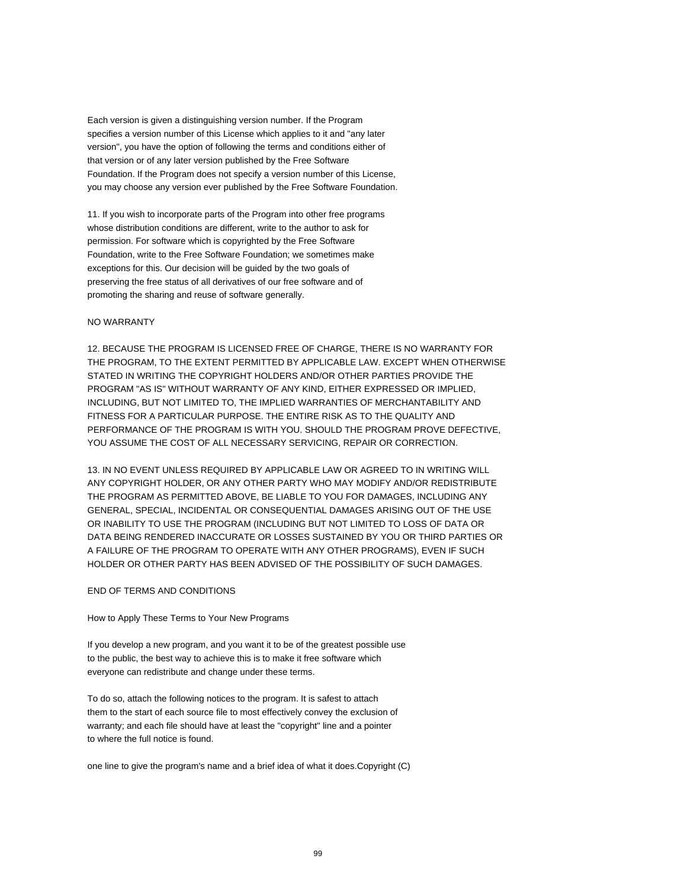Each version is given a distinguishing version number. If the Program specifies a version number of this License which applies to it and "any later version", you have the option of following the terms and conditions either of that version or of any later version published by the Free Software Foundation. If the Program does not specify a version number of this License, you may choose any version ever published by the Free Software Foundation.

11. If you wish to incorporate parts of the Program into other free programs whose distribution conditions are different, write to the author to ask for permission. For software which is copyrighted by the Free Software Foundation, write to the Free Software Foundation; we sometimes make exceptions for this. Our decision will be guided by the two goals of preserving the free status of all derivatives of our free software and of promoting the sharing and reuse of software generally.

# NO WARRANTY

12. BECAUSE THE PROGRAM IS LICENSED FREE OF CHARGE, THERE IS NO WARRANTY FOR THE PROGRAM, TO THE EXTENT PERMITTED BY APPLICABLE LAW. EXCEPT WHEN OTHERWISE STATED IN WRITING THE COPYRIGHT HOLDERS AND/OR OTHER PARTIES PROVIDE THE PROGRAM "AS IS" WITHOUT WARRANTY OF ANY KIND, EITHER EXPRESSED OR IMPLIED, INCLUDING, BUT NOT LIMITED TO, THE IMPLIED WARRANTIES OF MERCHANTABILITY AND FITNESS FOR A PARTICULAR PURPOSE. THE ENTIRE RISK AS TO THE QUALITY AND PERFORMANCE OF THE PROGRAM IS WITH YOU. SHOULD THE PROGRAM PROVE DEFECTIVE, YOU ASSUME THE COST OF ALL NECESSARY SERVICING, REPAIR OR CORRECTION.

13. IN NO EVENT UNLESS REQUIRED BY APPLICABLE LAW OR AGREED TO IN WRITING WILL ANY COPYRIGHT HOLDER, OR ANY OTHER PARTY WHO MAY MODIFY AND/OR REDISTRIBUTE THE PROGRAM AS PERMITTED ABOVE, BE LIABLE TO YOU FOR DAMAGES, INCLUDING ANY GENERAL, SPECIAL, INCIDENTAL OR CONSEQUENTIAL DAMAGES ARISING OUT OF THE USE OR INABILITY TO USE THE PROGRAM (INCLUDING BUT NOT LIMITED TO LOSS OF DATA OR DATA BEING RENDERED INACCURATE OR LOSSES SUSTAINED BY YOU OR THIRD PARTIES OR A FAILURE OF THE PROGRAM TO OPERATE WITH ANY OTHER PROGRAMS), EVEN IF SUCH HOLDER OR OTHER PARTY HAS BEEN ADVISED OF THE POSSIBILITY OF SUCH DAMAGES.

# END OF TERMS AND CONDITIONS

How to Apply These Terms to Your New Programs

If you develop a new program, and you want it to be of the greatest possible use to the public, the best way to achieve this is to make it free software which everyone can redistribute and change under these terms.

To do so, attach the following notices to the program. It is safest to attach them to the start of each source file to most effectively convey the exclusion of warranty; and each file should have at least the "copyright" line and a pointer to where the full notice is found.

one line to give the program's name and a brief idea of what it does.Copyright (C)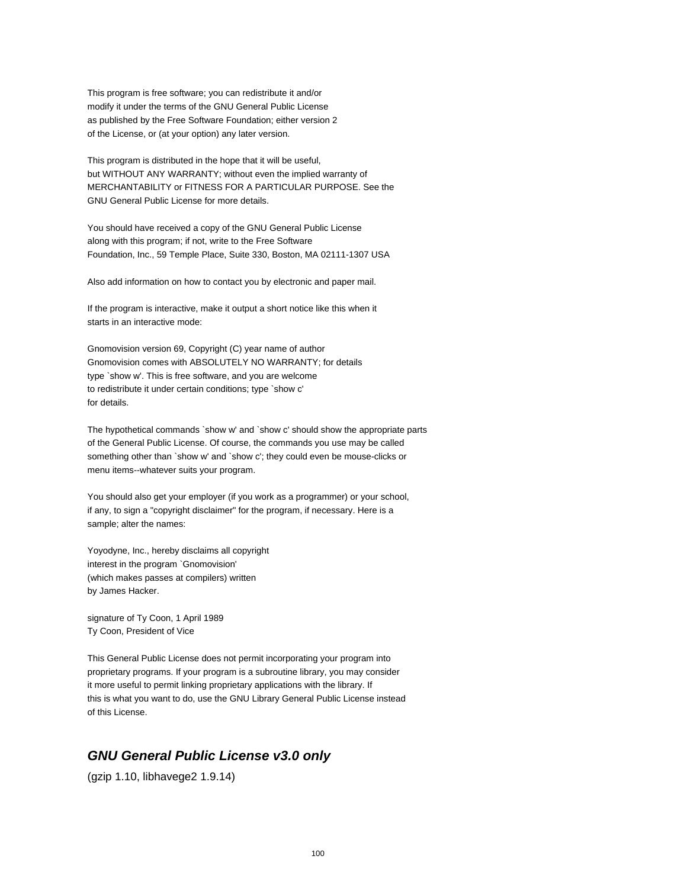This program is free software; you can redistribute it and/or modify it under the terms of the GNU General Public License as published by the Free Software Foundation; either version 2 of the License, or (at your option) any later version.

This program is distributed in the hope that it will be useful, but WITHOUT ANY WARRANTY; without even the implied warranty of MERCHANTABILITY or FITNESS FOR A PARTICULAR PURPOSE. See the GNU General Public License for more details.

You should have received a copy of the GNU General Public License along with this program; if not, write to the Free Software Foundation, Inc., 59 Temple Place, Suite 330, Boston, MA 02111-1307 USA

Also add information on how to contact you by electronic and paper mail.

If the program is interactive, make it output a short notice like this when it starts in an interactive mode:

Gnomovision version 69, Copyright (C) year name of author Gnomovision comes with ABSOLUTELY NO WARRANTY; for details type `show w'. This is free software, and you are welcome to redistribute it under certain conditions; type `show c' for details.

The hypothetical commands `show w' and `show c' should show the appropriate parts of the General Public License. Of course, the commands you use may be called something other than `show w' and `show c'; they could even be mouse-clicks or menu items--whatever suits your program.

You should also get your employer (if you work as a programmer) or your school, if any, to sign a "copyright disclaimer" for the program, if necessary. Here is a sample; alter the names:

Yoyodyne, Inc., hereby disclaims all copyright interest in the program `Gnomovision' (which makes passes at compilers) written by James Hacker.

signature of Ty Coon, 1 April 1989 Ty Coon, President of Vice

This General Public License does not permit incorporating your program into proprietary programs. If your program is a subroutine library, you may consider it more useful to permit linking proprietary applications with the library. If this is what you want to do, use the GNU Library General Public License instead of this License.

# **GNU General Public License v3.0 only**

(gzip 1.10, libhavege2 1.9.14)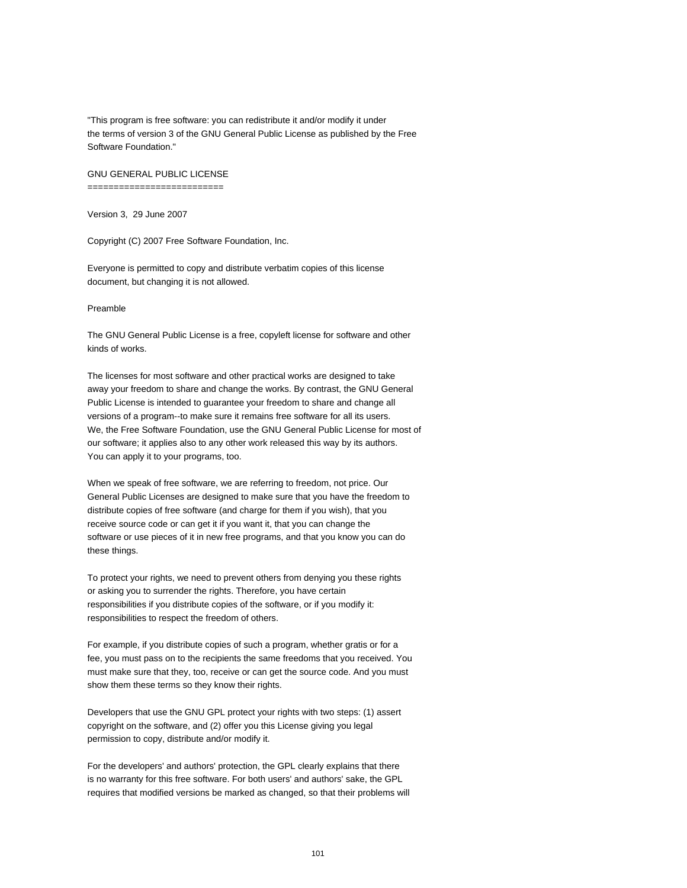"This program is free software: you can redistribute it and/or modify it under the terms of version 3 of the GNU General Public License as published by the Free Software Foundation."

GNU GENERAL PUBLIC LICENSE ==========================

Version 3, 29 June 2007

Copyright (C) 2007 Free Software Foundation, Inc.

Everyone is permitted to copy and distribute verbatim copies of this license document, but changing it is not allowed.

Preamble

The GNU General Public License is a free, copyleft license for software and other kinds of works.

The licenses for most software and other practical works are designed to take away your freedom to share and change the works. By contrast, the GNU General Public License is intended to guarantee your freedom to share and change all versions of a program--to make sure it remains free software for all its users. We, the Free Software Foundation, use the GNU General Public License for most of our software; it applies also to any other work released this way by its authors. You can apply it to your programs, too.

When we speak of free software, we are referring to freedom, not price. Our General Public Licenses are designed to make sure that you have the freedom to distribute copies of free software (and charge for them if you wish), that you receive source code or can get it if you want it, that you can change the software or use pieces of it in new free programs, and that you know you can do these things.

To protect your rights, we need to prevent others from denying you these rights or asking you to surrender the rights. Therefore, you have certain responsibilities if you distribute copies of the software, or if you modify it: responsibilities to respect the freedom of others.

For example, if you distribute copies of such a program, whether gratis or for a fee, you must pass on to the recipients the same freedoms that you received. You must make sure that they, too, receive or can get the source code. And you must show them these terms so they know their rights.

Developers that use the GNU GPL protect your rights with two steps: (1) assert copyright on the software, and (2) offer you this License giving you legal permission to copy, distribute and/or modify it.

For the developers' and authors' protection, the GPL clearly explains that there is no warranty for this free software. For both users' and authors' sake, the GPL requires that modified versions be marked as changed, so that their problems will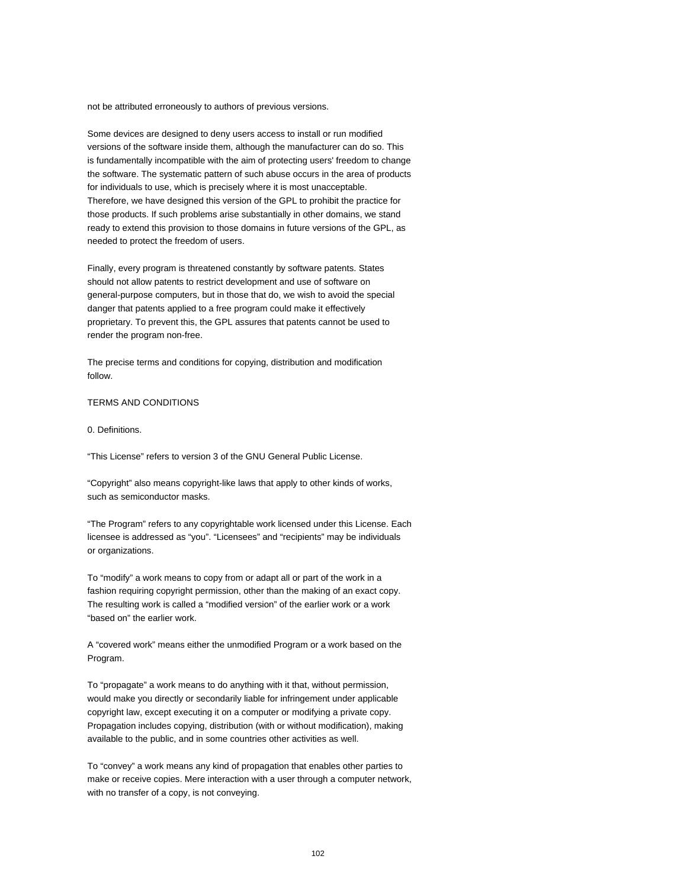not be attributed erroneously to authors of previous versions.

Some devices are designed to deny users access to install or run modified versions of the software inside them, although the manufacturer can do so. This is fundamentally incompatible with the aim of protecting users' freedom to change the software. The systematic pattern of such abuse occurs in the area of products for individuals to use, which is precisely where it is most unacceptable. Therefore, we have designed this version of the GPL to prohibit the practice for those products. If such problems arise substantially in other domains, we stand ready to extend this provision to those domains in future versions of the GPL, as needed to protect the freedom of users.

Finally, every program is threatened constantly by software patents. States should not allow patents to restrict development and use of software on general-purpose computers, but in those that do, we wish to avoid the special danger that patents applied to a free program could make it effectively proprietary. To prevent this, the GPL assures that patents cannot be used to render the program non-free.

The precise terms and conditions for copying, distribution and modification follow.

# TERMS AND CONDITIONS

0. Definitions.

"This License" refers to version 3 of the GNU General Public License.

"Copyright" also means copyright-like laws that apply to other kinds of works, such as semiconductor masks.

"The Program" refers to any copyrightable work licensed under this License. Each licensee is addressed as "you". "Licensees" and "recipients" may be individuals or organizations.

To "modify" a work means to copy from or adapt all or part of the work in a fashion requiring copyright permission, other than the making of an exact copy. The resulting work is called a "modified version" of the earlier work or a work "based on" the earlier work.

A "covered work" means either the unmodified Program or a work based on the Program.

To "propagate" a work means to do anything with it that, without permission, would make you directly or secondarily liable for infringement under applicable copyright law, except executing it on a computer or modifying a private copy. Propagation includes copying, distribution (with or without modification), making available to the public, and in some countries other activities as well.

To "convey" a work means any kind of propagation that enables other parties to make or receive copies. Mere interaction with a user through a computer network, with no transfer of a copy, is not conveying.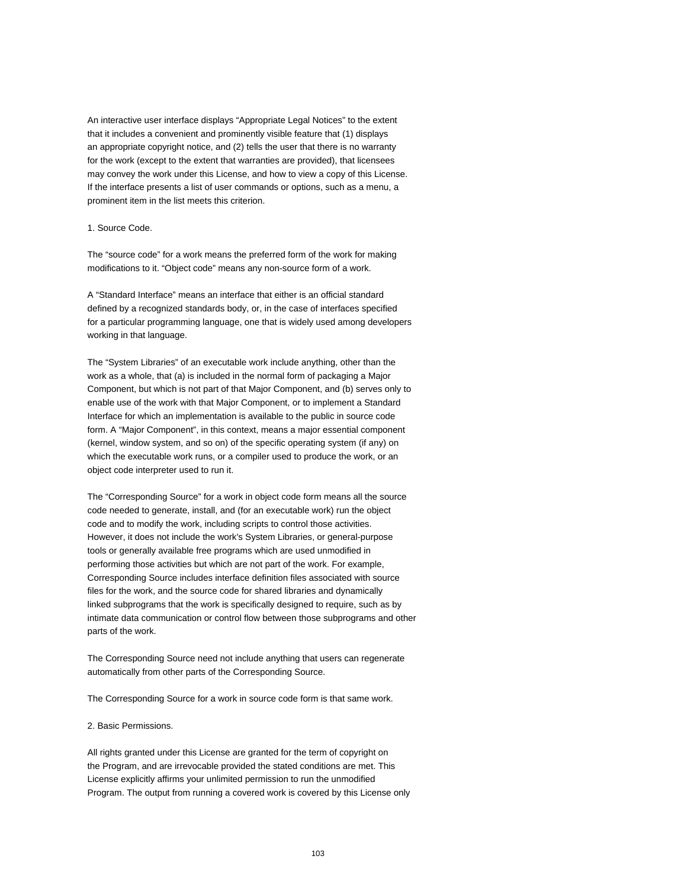An interactive user interface displays "Appropriate Legal Notices" to the extent that it includes a convenient and prominently visible feature that (1) displays an appropriate copyright notice, and (2) tells the user that there is no warranty for the work (except to the extent that warranties are provided), that licensees may convey the work under this License, and how to view a copy of this License. If the interface presents a list of user commands or options, such as a menu, a prominent item in the list meets this criterion.

# 1. Source Code.

The "source code" for a work means the preferred form of the work for making modifications to it. "Object code" means any non-source form of a work.

A "Standard Interface" means an interface that either is an official standard defined by a recognized standards body, or, in the case of interfaces specified for a particular programming language, one that is widely used among developers working in that language.

The "System Libraries" of an executable work include anything, other than the work as a whole, that (a) is included in the normal form of packaging a Major Component, but which is not part of that Major Component, and (b) serves only to enable use of the work with that Major Component, or to implement a Standard Interface for which an implementation is available to the public in source code form. A "Major Component", in this context, means a major essential component (kernel, window system, and so on) of the specific operating system (if any) on which the executable work runs, or a compiler used to produce the work, or an object code interpreter used to run it.

The "Corresponding Source" for a work in object code form means all the source code needed to generate, install, and (for an executable work) run the object code and to modify the work, including scripts to control those activities. However, it does not include the work's System Libraries, or general-purpose tools or generally available free programs which are used unmodified in performing those activities but which are not part of the work. For example, Corresponding Source includes interface definition files associated with source files for the work, and the source code for shared libraries and dynamically linked subprograms that the work is specifically designed to require, such as by intimate data communication or control flow between those subprograms and other parts of the work.

The Corresponding Source need not include anything that users can regenerate automatically from other parts of the Corresponding Source.

The Corresponding Source for a work in source code form is that same work.

2. Basic Permissions.

All rights granted under this License are granted for the term of copyright on the Program, and are irrevocable provided the stated conditions are met. This License explicitly affirms your unlimited permission to run the unmodified Program. The output from running a covered work is covered by this License only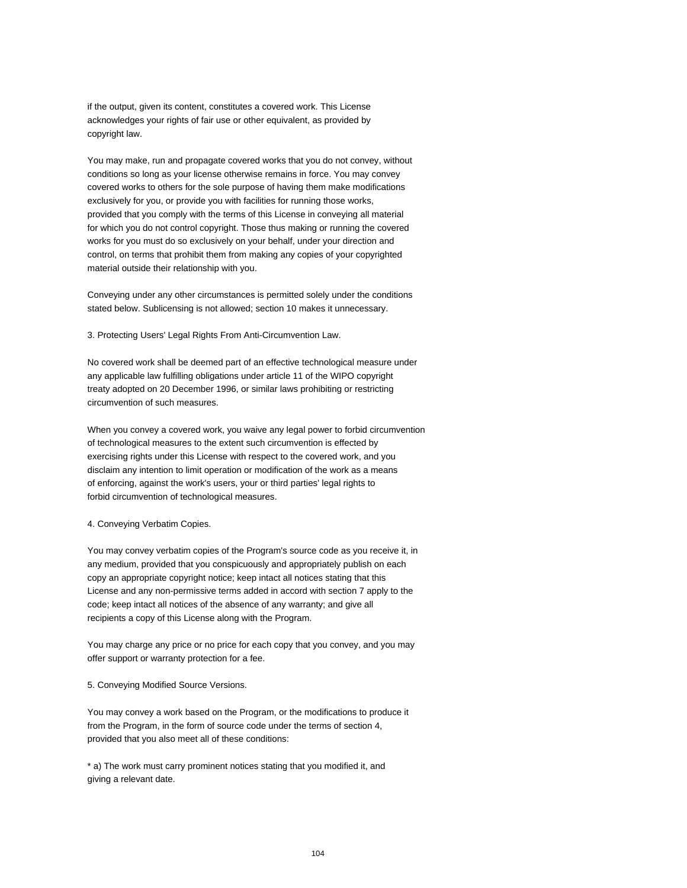if the output, given its content, constitutes a covered work. This License acknowledges your rights of fair use or other equivalent, as provided by copyright law.

You may make, run and propagate covered works that you do not convey, without conditions so long as your license otherwise remains in force. You may convey covered works to others for the sole purpose of having them make modifications exclusively for you, or provide you with facilities for running those works, provided that you comply with the terms of this License in conveying all material for which you do not control copyright. Those thus making or running the covered works for you must do so exclusively on your behalf, under your direction and control, on terms that prohibit them from making any copies of your copyrighted material outside their relationship with you.

Conveying under any other circumstances is permitted solely under the conditions stated below. Sublicensing is not allowed; section 10 makes it unnecessary.

3. Protecting Users' Legal Rights From Anti-Circumvention Law.

No covered work shall be deemed part of an effective technological measure under any applicable law fulfilling obligations under article 11 of the WIPO copyright treaty adopted on 20 December 1996, or similar laws prohibiting or restricting circumvention of such measures.

When you convey a covered work, you waive any legal power to forbid circumvention of technological measures to the extent such circumvention is effected by exercising rights under this License with respect to the covered work, and you disclaim any intention to limit operation or modification of the work as a means of enforcing, against the work's users, your or third parties' legal rights to forbid circumvention of technological measures.

# 4. Conveying Verbatim Copies.

You may convey verbatim copies of the Program's source code as you receive it, in any medium, provided that you conspicuously and appropriately publish on each copy an appropriate copyright notice; keep intact all notices stating that this License and any non-permissive terms added in accord with section 7 apply to the code; keep intact all notices of the absence of any warranty; and give all recipients a copy of this License along with the Program.

You may charge any price or no price for each copy that you convey, and you may offer support or warranty protection for a fee.

5. Conveying Modified Source Versions.

You may convey a work based on the Program, or the modifications to produce it from the Program, in the form of source code under the terms of section 4, provided that you also meet all of these conditions:

\* a) The work must carry prominent notices stating that you modified it, and giving a relevant date.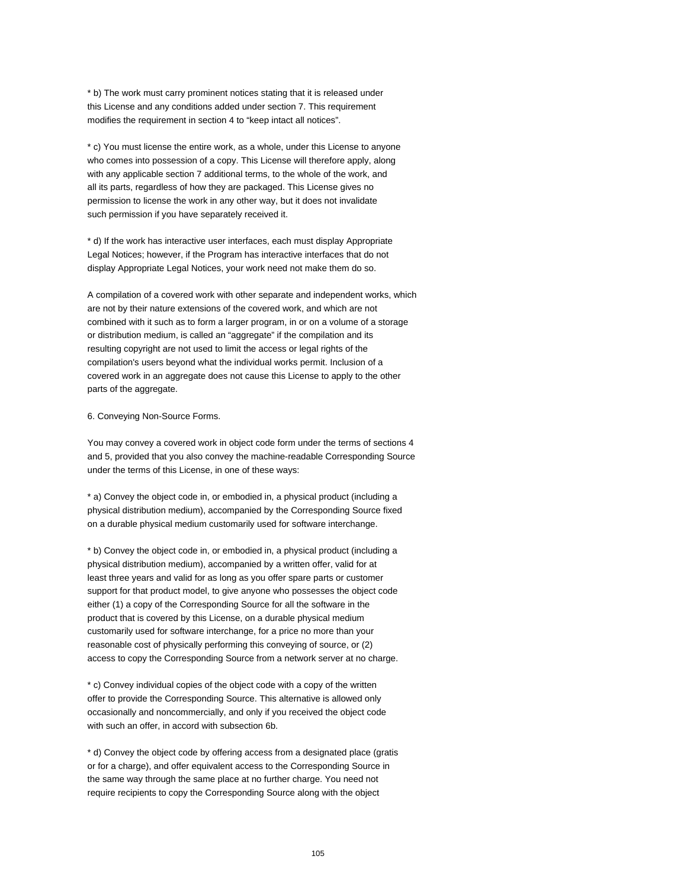\* b) The work must carry prominent notices stating that it is released under this License and any conditions added under section 7. This requirement modifies the requirement in section 4 to "keep intact all notices".

\* c) You must license the entire work, as a whole, under this License to anyone who comes into possession of a copy. This License will therefore apply, along with any applicable section 7 additional terms, to the whole of the work, and all its parts, regardless of how they are packaged. This License gives no permission to license the work in any other way, but it does not invalidate such permission if you have separately received it.

\* d) If the work has interactive user interfaces, each must display Appropriate Legal Notices; however, if the Program has interactive interfaces that do not display Appropriate Legal Notices, your work need not make them do so.

A compilation of a covered work with other separate and independent works, which are not by their nature extensions of the covered work, and which are not combined with it such as to form a larger program, in or on a volume of a storage or distribution medium, is called an "aggregate" if the compilation and its resulting copyright are not used to limit the access or legal rights of the compilation's users beyond what the individual works permit. Inclusion of a covered work in an aggregate does not cause this License to apply to the other parts of the aggregate.

#### 6. Conveying Non-Source Forms.

You may convey a covered work in object code form under the terms of sections 4 and 5, provided that you also convey the machine-readable Corresponding Source under the terms of this License, in one of these ways:

\* a) Convey the object code in, or embodied in, a physical product (including a physical distribution medium), accompanied by the Corresponding Source fixed on a durable physical medium customarily used for software interchange.

\* b) Convey the object code in, or embodied in, a physical product (including a physical distribution medium), accompanied by a written offer, valid for at least three years and valid for as long as you offer spare parts or customer support for that product model, to give anyone who possesses the object code either (1) a copy of the Corresponding Source for all the software in the product that is covered by this License, on a durable physical medium customarily used for software interchange, for a price no more than your reasonable cost of physically performing this conveying of source, or (2) access to copy the Corresponding Source from a network server at no charge.

\* c) Convey individual copies of the object code with a copy of the written offer to provide the Corresponding Source. This alternative is allowed only occasionally and noncommercially, and only if you received the object code with such an offer, in accord with subsection 6b.

\* d) Convey the object code by offering access from a designated place (gratis or for a charge), and offer equivalent access to the Corresponding Source in the same way through the same place at no further charge. You need not require recipients to copy the Corresponding Source along with the object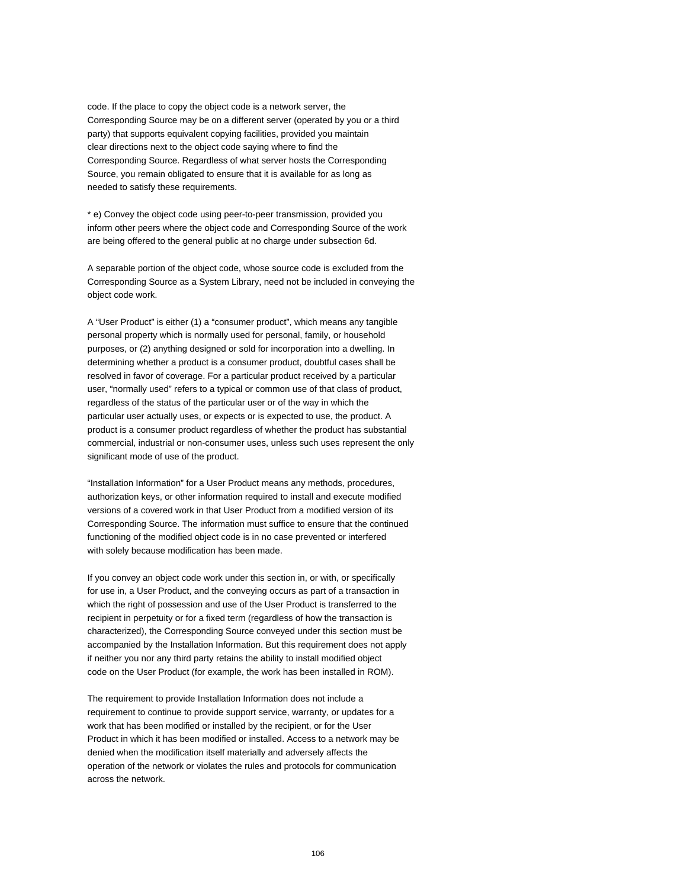code. If the place to copy the object code is a network server, the Corresponding Source may be on a different server (operated by you or a third party) that supports equivalent copying facilities, provided you maintain clear directions next to the object code saying where to find the Corresponding Source. Regardless of what server hosts the Corresponding Source, you remain obligated to ensure that it is available for as long as needed to satisfy these requirements.

\* e) Convey the object code using peer-to-peer transmission, provided you inform other peers where the object code and Corresponding Source of the work are being offered to the general public at no charge under subsection 6d.

A separable portion of the object code, whose source code is excluded from the Corresponding Source as a System Library, need not be included in conveying the object code work.

A "User Product" is either (1) a "consumer product", which means any tangible personal property which is normally used for personal, family, or household purposes, or (2) anything designed or sold for incorporation into a dwelling. In determining whether a product is a consumer product, doubtful cases shall be resolved in favor of coverage. For a particular product received by a particular user, "normally used" refers to a typical or common use of that class of product, regardless of the status of the particular user or of the way in which the particular user actually uses, or expects or is expected to use, the product. A product is a consumer product regardless of whether the product has substantial commercial, industrial or non-consumer uses, unless such uses represent the only significant mode of use of the product.

"Installation Information" for a User Product means any methods, procedures, authorization keys, or other information required to install and execute modified versions of a covered work in that User Product from a modified version of its Corresponding Source. The information must suffice to ensure that the continued functioning of the modified object code is in no case prevented or interfered with solely because modification has been made.

If you convey an object code work under this section in, or with, or specifically for use in, a User Product, and the conveying occurs as part of a transaction in which the right of possession and use of the User Product is transferred to the recipient in perpetuity or for a fixed term (regardless of how the transaction is characterized), the Corresponding Source conveyed under this section must be accompanied by the Installation Information. But this requirement does not apply if neither you nor any third party retains the ability to install modified object code on the User Product (for example, the work has been installed in ROM).

The requirement to provide Installation Information does not include a requirement to continue to provide support service, warranty, or updates for a work that has been modified or installed by the recipient, or for the User Product in which it has been modified or installed. Access to a network may be denied when the modification itself materially and adversely affects the operation of the network or violates the rules and protocols for communication across the network.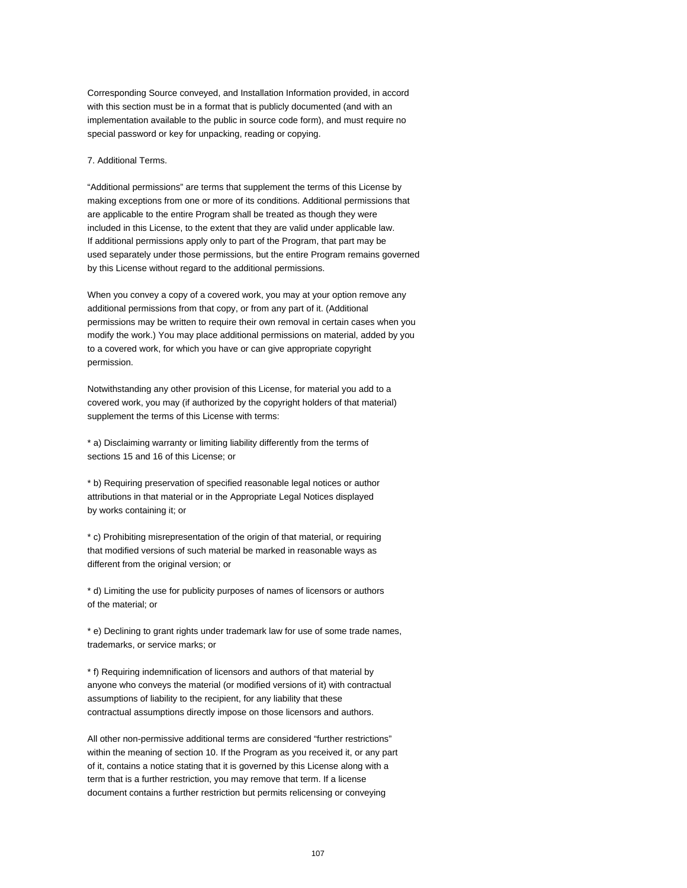Corresponding Source conveyed, and Installation Information provided, in accord with this section must be in a format that is publicly documented (and with an implementation available to the public in source code form), and must require no special password or key for unpacking, reading or copying.

# 7. Additional Terms.

"Additional permissions" are terms that supplement the terms of this License by making exceptions from one or more of its conditions. Additional permissions that are applicable to the entire Program shall be treated as though they were included in this License, to the extent that they are valid under applicable law. If additional permissions apply only to part of the Program, that part may be used separately under those permissions, but the entire Program remains governed by this License without regard to the additional permissions.

When you convey a copy of a covered work, you may at your option remove any additional permissions from that copy, or from any part of it. (Additional permissions may be written to require their own removal in certain cases when you modify the work.) You may place additional permissions on material, added by you to a covered work, for which you have or can give appropriate copyright permission.

Notwithstanding any other provision of this License, for material you add to a covered work, you may (if authorized by the copyright holders of that material) supplement the terms of this License with terms:

\* a) Disclaiming warranty or limiting liability differently from the terms of sections 15 and 16 of this License; or

\* b) Requiring preservation of specified reasonable legal notices or author attributions in that material or in the Appropriate Legal Notices displayed by works containing it; or

\* c) Prohibiting misrepresentation of the origin of that material, or requiring that modified versions of such material be marked in reasonable ways as different from the original version; or

\* d) Limiting the use for publicity purposes of names of licensors or authors of the material; or

\* e) Declining to grant rights under trademark law for use of some trade names, trademarks, or service marks; or

\* f) Requiring indemnification of licensors and authors of that material by anyone who conveys the material (or modified versions of it) with contractual assumptions of liability to the recipient, for any liability that these contractual assumptions directly impose on those licensors and authors.

All other non-permissive additional terms are considered "further restrictions" within the meaning of section 10. If the Program as you received it, or any part of it, contains a notice stating that it is governed by this License along with a term that is a further restriction, you may remove that term. If a license document contains a further restriction but permits relicensing or conveying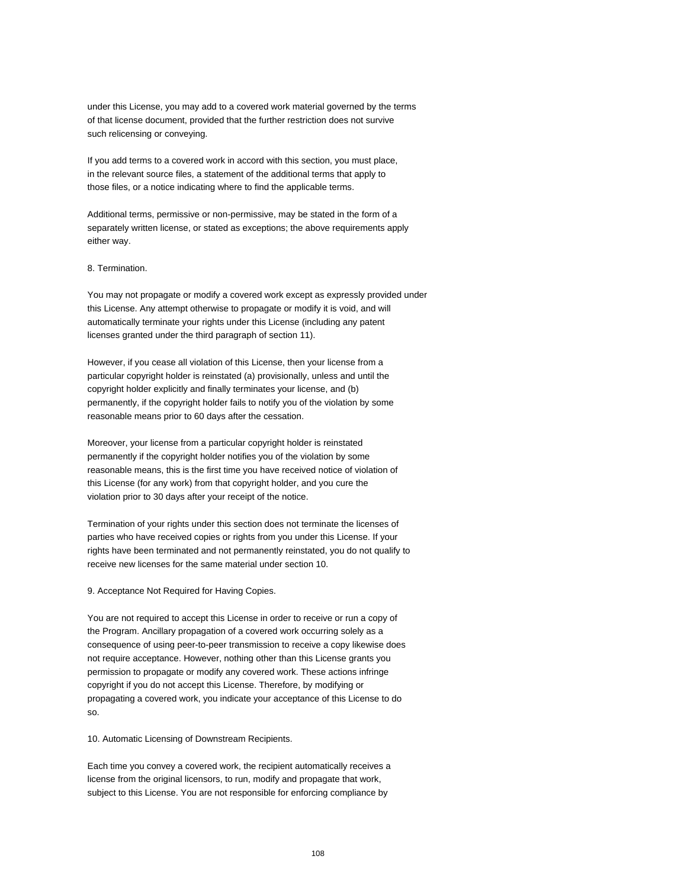under this License, you may add to a covered work material governed by the terms of that license document, provided that the further restriction does not survive such relicensing or conveying.

If you add terms to a covered work in accord with this section, you must place, in the relevant source files, a statement of the additional terms that apply to those files, or a notice indicating where to find the applicable terms.

Additional terms, permissive or non-permissive, may be stated in the form of a separately written license, or stated as exceptions; the above requirements apply either way.

#### 8. Termination.

You may not propagate or modify a covered work except as expressly provided under this License. Any attempt otherwise to propagate or modify it is void, and will automatically terminate your rights under this License (including any patent licenses granted under the third paragraph of section 11).

However, if you cease all violation of this License, then your license from a particular copyright holder is reinstated (a) provisionally, unless and until the copyright holder explicitly and finally terminates your license, and (b) permanently, if the copyright holder fails to notify you of the violation by some reasonable means prior to 60 days after the cessation.

Moreover, your license from a particular copyright holder is reinstated permanently if the copyright holder notifies you of the violation by some reasonable means, this is the first time you have received notice of violation of this License (for any work) from that copyright holder, and you cure the violation prior to 30 days after your receipt of the notice.

Termination of your rights under this section does not terminate the licenses of parties who have received copies or rights from you under this License. If your rights have been terminated and not permanently reinstated, you do not qualify to receive new licenses for the same material under section 10.

9. Acceptance Not Required for Having Copies.

You are not required to accept this License in order to receive or run a copy of the Program. Ancillary propagation of a covered work occurring solely as a consequence of using peer-to-peer transmission to receive a copy likewise does not require acceptance. However, nothing other than this License grants you permission to propagate or modify any covered work. These actions infringe copyright if you do not accept this License. Therefore, by modifying or propagating a covered work, you indicate your acceptance of this License to do so.

10. Automatic Licensing of Downstream Recipients.

Each time you convey a covered work, the recipient automatically receives a license from the original licensors, to run, modify and propagate that work, subject to this License. You are not responsible for enforcing compliance by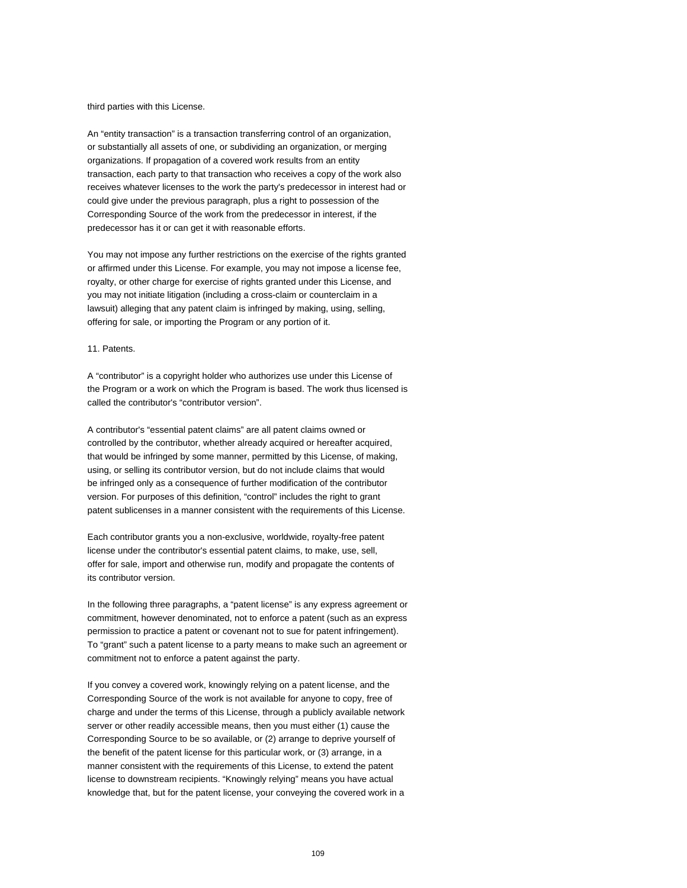third parties with this License.

An "entity transaction" is a transaction transferring control of an organization, or substantially all assets of one, or subdividing an organization, or merging organizations. If propagation of a covered work results from an entity transaction, each party to that transaction who receives a copy of the work also receives whatever licenses to the work the party's predecessor in interest had or could give under the previous paragraph, plus a right to possession of the Corresponding Source of the work from the predecessor in interest, if the predecessor has it or can get it with reasonable efforts.

You may not impose any further restrictions on the exercise of the rights granted or affirmed under this License. For example, you may not impose a license fee, royalty, or other charge for exercise of rights granted under this License, and you may not initiate litigation (including a cross-claim or counterclaim in a lawsuit) alleging that any patent claim is infringed by making, using, selling, offering for sale, or importing the Program or any portion of it.

#### 11. Patents.

A "contributor" is a copyright holder who authorizes use under this License of the Program or a work on which the Program is based. The work thus licensed is called the contributor's "contributor version".

A contributor's "essential patent claims" are all patent claims owned or controlled by the contributor, whether already acquired or hereafter acquired, that would be infringed by some manner, permitted by this License, of making, using, or selling its contributor version, but do not include claims that would be infringed only as a consequence of further modification of the contributor version. For purposes of this definition, "control" includes the right to grant patent sublicenses in a manner consistent with the requirements of this License.

Each contributor grants you a non-exclusive, worldwide, royalty-free patent license under the contributor's essential patent claims, to make, use, sell, offer for sale, import and otherwise run, modify and propagate the contents of its contributor version.

In the following three paragraphs, a "patent license" is any express agreement or commitment, however denominated, not to enforce a patent (such as an express permission to practice a patent or covenant not to sue for patent infringement). To "grant" such a patent license to a party means to make such an agreement or commitment not to enforce a patent against the party.

If you convey a covered work, knowingly relying on a patent license, and the Corresponding Source of the work is not available for anyone to copy, free of charge and under the terms of this License, through a publicly available network server or other readily accessible means, then you must either (1) cause the Corresponding Source to be so available, or (2) arrange to deprive yourself of the benefit of the patent license for this particular work, or (3) arrange, in a manner consistent with the requirements of this License, to extend the patent license to downstream recipients. "Knowingly relying" means you have actual knowledge that, but for the patent license, your conveying the covered work in a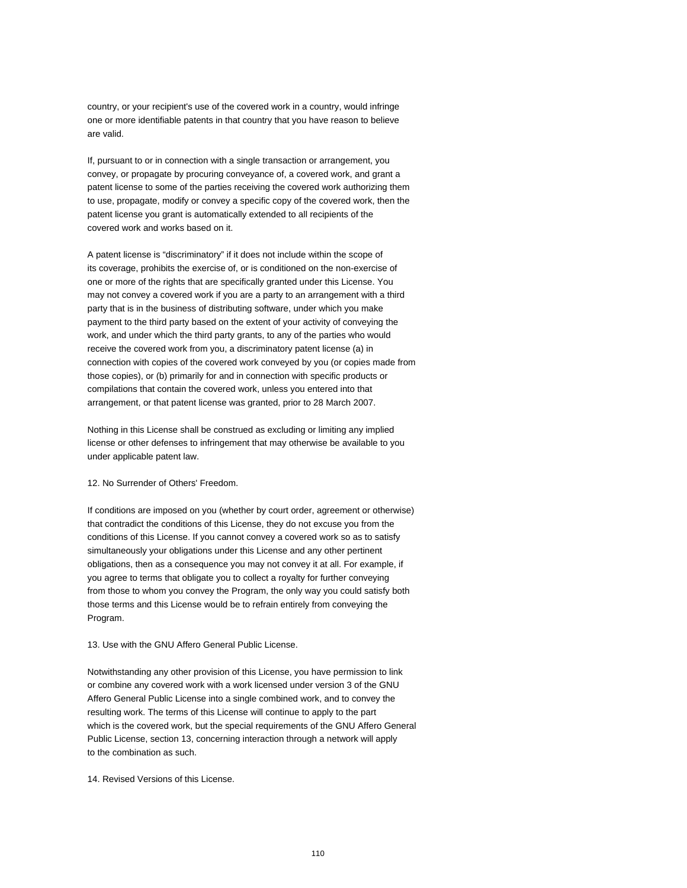country, or your recipient's use of the covered work in a country, would infringe one or more identifiable patents in that country that you have reason to believe are valid.

If, pursuant to or in connection with a single transaction or arrangement, you convey, or propagate by procuring conveyance of, a covered work, and grant a patent license to some of the parties receiving the covered work authorizing them to use, propagate, modify or convey a specific copy of the covered work, then the patent license you grant is automatically extended to all recipients of the covered work and works based on it.

A patent license is "discriminatory" if it does not include within the scope of its coverage, prohibits the exercise of, or is conditioned on the non-exercise of one or more of the rights that are specifically granted under this License. You may not convey a covered work if you are a party to an arrangement with a third party that is in the business of distributing software, under which you make payment to the third party based on the extent of your activity of conveying the work, and under which the third party grants, to any of the parties who would receive the covered work from you, a discriminatory patent license (a) in connection with copies of the covered work conveyed by you (or copies made from those copies), or (b) primarily for and in connection with specific products or compilations that contain the covered work, unless you entered into that arrangement, or that patent license was granted, prior to 28 March 2007.

Nothing in this License shall be construed as excluding or limiting any implied license or other defenses to infringement that may otherwise be available to you under applicable patent law.

## 12. No Surrender of Others' Freedom.

If conditions are imposed on you (whether by court order, agreement or otherwise) that contradict the conditions of this License, they do not excuse you from the conditions of this License. If you cannot convey a covered work so as to satisfy simultaneously your obligations under this License and any other pertinent obligations, then as a consequence you may not convey it at all. For example, if you agree to terms that obligate you to collect a royalty for further conveying from those to whom you convey the Program, the only way you could satisfy both those terms and this License would be to refrain entirely from conveying the Program.

#### 13. Use with the GNU Affero General Public License.

Notwithstanding any other provision of this License, you have permission to link or combine any covered work with a work licensed under version 3 of the GNU Affero General Public License into a single combined work, and to convey the resulting work. The terms of this License will continue to apply to the part which is the covered work, but the special requirements of the GNU Affero General Public License, section 13, concerning interaction through a network will apply to the combination as such.

14. Revised Versions of this License.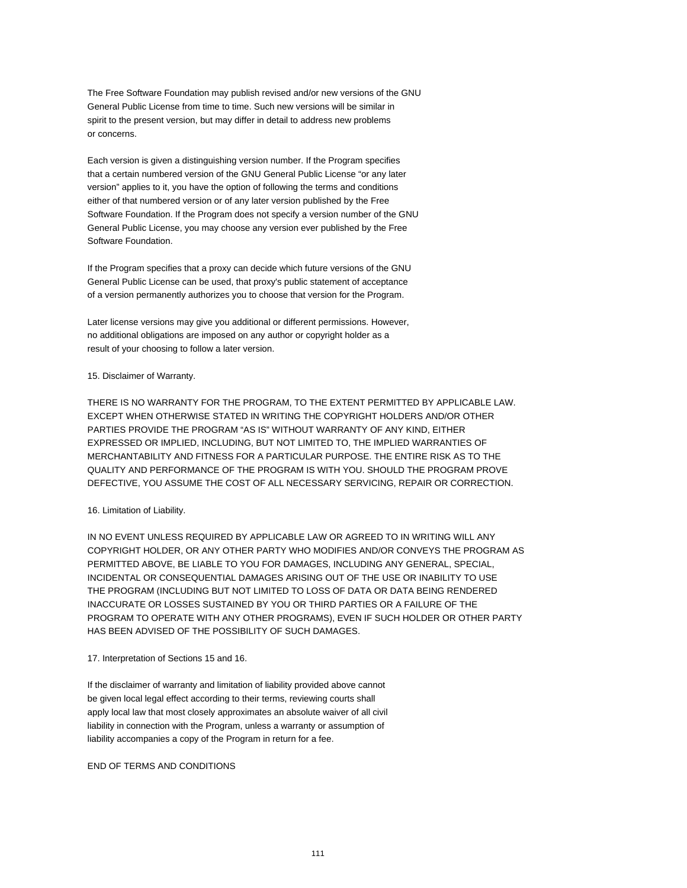The Free Software Foundation may publish revised and/or new versions of the GNU General Public License from time to time. Such new versions will be similar in spirit to the present version, but may differ in detail to address new problems or concerns.

Each version is given a distinguishing version number. If the Program specifies that a certain numbered version of the GNU General Public License "or any later version" applies to it, you have the option of following the terms and conditions either of that numbered version or of any later version published by the Free Software Foundation. If the Program does not specify a version number of the GNU General Public License, you may choose any version ever published by the Free Software Foundation.

If the Program specifies that a proxy can decide which future versions of the GNU General Public License can be used, that proxy's public statement of acceptance of a version permanently authorizes you to choose that version for the Program.

Later license versions may give you additional or different permissions. However, no additional obligations are imposed on any author or copyright holder as a result of your choosing to follow a later version.

## 15. Disclaimer of Warranty.

THERE IS NO WARRANTY FOR THE PROGRAM, TO THE EXTENT PERMITTED BY APPLICABLE LAW. EXCEPT WHEN OTHERWISE STATED IN WRITING THE COPYRIGHT HOLDERS AND/OR OTHER PARTIES PROVIDE THE PROGRAM "AS IS" WITHOUT WARRANTY OF ANY KIND, EITHER EXPRESSED OR IMPLIED, INCLUDING, BUT NOT LIMITED TO, THE IMPLIED WARRANTIES OF MERCHANTABILITY AND FITNESS FOR A PARTICULAR PURPOSE. THE ENTIRE RISK AS TO THE QUALITY AND PERFORMANCE OF THE PROGRAM IS WITH YOU. SHOULD THE PROGRAM PROVE DEFECTIVE, YOU ASSUME THE COST OF ALL NECESSARY SERVICING, REPAIR OR CORRECTION.

## 16. Limitation of Liability.

IN NO EVENT UNLESS REQUIRED BY APPLICABLE LAW OR AGREED TO IN WRITING WILL ANY COPYRIGHT HOLDER, OR ANY OTHER PARTY WHO MODIFIES AND/OR CONVEYS THE PROGRAM AS PERMITTED ABOVE, BE LIABLE TO YOU FOR DAMAGES, INCLUDING ANY GENERAL, SPECIAL, INCIDENTAL OR CONSEQUENTIAL DAMAGES ARISING OUT OF THE USE OR INABILITY TO USE THE PROGRAM (INCLUDING BUT NOT LIMITED TO LOSS OF DATA OR DATA BEING RENDERED INACCURATE OR LOSSES SUSTAINED BY YOU OR THIRD PARTIES OR A FAILURE OF THE PROGRAM TO OPERATE WITH ANY OTHER PROGRAMS), EVEN IF SUCH HOLDER OR OTHER PARTY HAS BEEN ADVISED OF THE POSSIBILITY OF SUCH DAMAGES.

## 17. Interpretation of Sections 15 and 16.

If the disclaimer of warranty and limitation of liability provided above cannot be given local legal effect according to their terms, reviewing courts shall apply local law that most closely approximates an absolute waiver of all civil liability in connection with the Program, unless a warranty or assumption of liability accompanies a copy of the Program in return for a fee.

## END OF TERMS AND CONDITIONS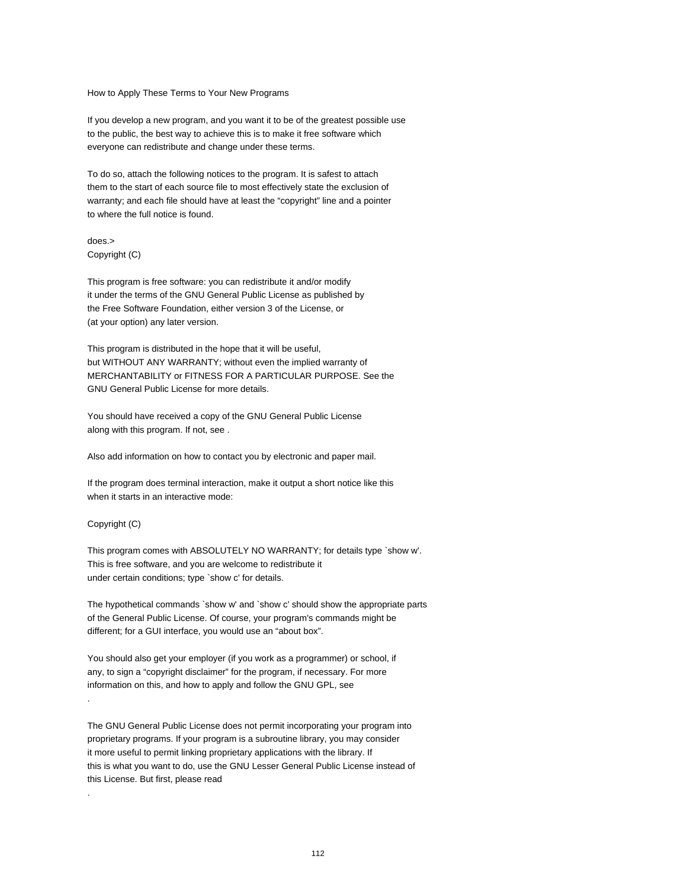How to Apply These Terms to Your New Programs

If you develop a new program, and you want it to be of the greatest possible use to the public, the best way to achieve this is to make it free software which everyone can redistribute and change under these terms.

To do so, attach the following notices to the program. It is safest to attach them to the start of each source file to most effectively state the exclusion of warranty; and each file should have at least the "copyright" line and a pointer to where the full notice is found.

does.> Copyright (C)

This program is free software: you can redistribute it and/or modify it under the terms of the GNU General Public License as published by the Free Software Foundation, either version 3 of the License, or (at your option) any later version.

This program is distributed in the hope that it will be useful, but WITHOUT ANY WARRANTY; without even the implied warranty of MERCHANTABILITY or FITNESS FOR A PARTICULAR PURPOSE. See the GNU General Public License for more details.

You should have received a copy of the GNU General Public License along with this program. If not, see .

Also add information on how to contact you by electronic and paper mail.

If the program does terminal interaction, make it output a short notice like this when it starts in an interactive mode:

## Copyright (C)

.

.

This program comes with ABSOLUTELY NO WARRANTY; for details type `show w'. This is free software, and you are welcome to redistribute it under certain conditions; type `show c' for details.

The hypothetical commands `show w' and `show c' should show the appropriate parts of the General Public License. Of course, your program's commands might be different; for a GUI interface, you would use an "about box".

You should also get your employer (if you work as a programmer) or school, if any, to sign a "copyright disclaimer" for the program, if necessary. For more information on this, and how to apply and follow the GNU GPL, see

The GNU General Public License does not permit incorporating your program into proprietary programs. If your program is a subroutine library, you may consider it more useful to permit linking proprietary applications with the library. If this is what you want to do, use the GNU Lesser General Public License instead of this License. But first, please read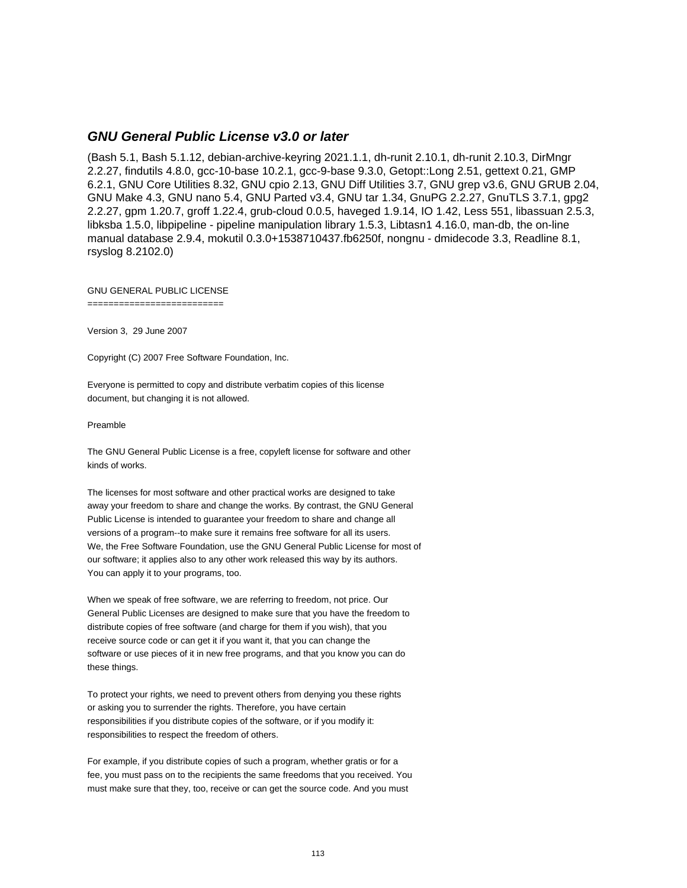# **GNU General Public License v3.0 or later**

(Bash 5.1, Bash 5.1.12, debian-archive-keyring 2021.1.1, dh-runit 2.10.1, dh-runit 2.10.3, DirMngr 2.2.27, findutils 4.8.0, gcc-10-base 10.2.1, gcc-9-base 9.3.0, Getopt::Long 2.51, gettext 0.21, GMP 6.2.1, GNU Core Utilities 8.32, GNU cpio 2.13, GNU Diff Utilities 3.7, GNU grep v3.6, GNU GRUB 2.04, GNU Make 4.3, GNU nano 5.4, GNU Parted v3.4, GNU tar 1.34, GnuPG 2.2.27, GnuTLS 3.7.1, gpg2 2.2.27, gpm 1.20.7, groff 1.22.4, grub-cloud 0.0.5, haveged 1.9.14, IO 1.42, Less 551, libassuan 2.5.3, libksba 1.5.0, libpipeline - pipeline manipulation library 1.5.3, Libtasn1 4.16.0, man-db, the on-line manual database 2.9.4, mokutil 0.3.0+1538710437.fb6250f, nongnu - dmidecode 3.3, Readline 8.1, rsyslog 8.2102.0)

#### GNU GENERAL PUBLIC LICENSE

==========================

Version 3, 29 June 2007

Copyright (C) 2007 Free Software Foundation, Inc.

Everyone is permitted to copy and distribute verbatim copies of this license document, but changing it is not allowed.

#### Preamble

The GNU General Public License is a free, copyleft license for software and other kinds of works.

The licenses for most software and other practical works are designed to take away your freedom to share and change the works. By contrast, the GNU General Public License is intended to guarantee your freedom to share and change all versions of a program--to make sure it remains free software for all its users. We, the Free Software Foundation, use the GNU General Public License for most of our software; it applies also to any other work released this way by its authors. You can apply it to your programs, too.

When we speak of free software, we are referring to freedom, not price. Our General Public Licenses are designed to make sure that you have the freedom to distribute copies of free software (and charge for them if you wish), that you receive source code or can get it if you want it, that you can change the software or use pieces of it in new free programs, and that you know you can do these things.

To protect your rights, we need to prevent others from denying you these rights or asking you to surrender the rights. Therefore, you have certain responsibilities if you distribute copies of the software, or if you modify it: responsibilities to respect the freedom of others.

For example, if you distribute copies of such a program, whether gratis or for a fee, you must pass on to the recipients the same freedoms that you received. You must make sure that they, too, receive or can get the source code. And you must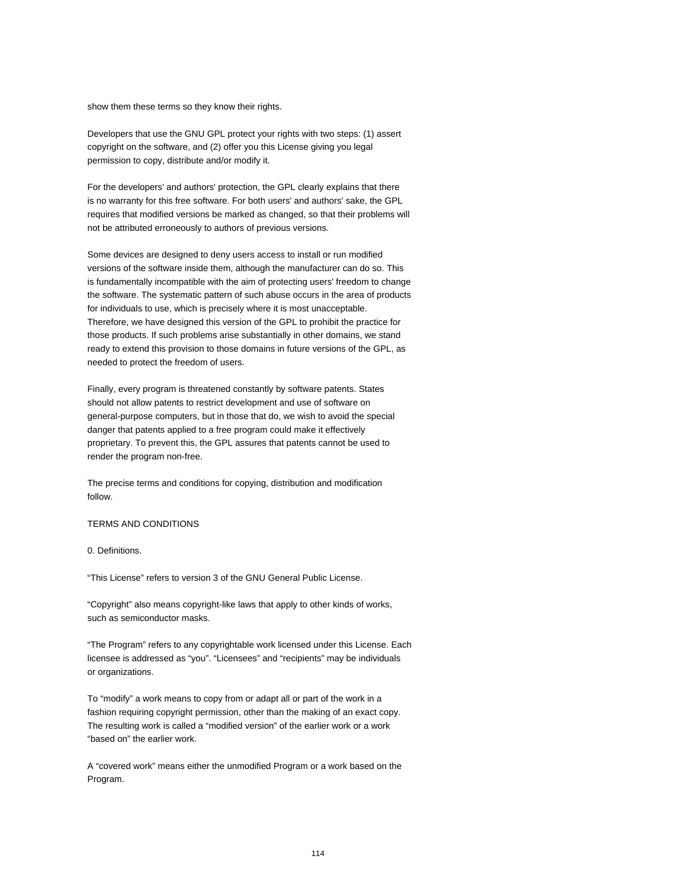show them these terms so they know their rights.

Developers that use the GNU GPL protect your rights with two steps: (1) assert copyright on the software, and (2) offer you this License giving you legal permission to copy, distribute and/or modify it.

For the developers' and authors' protection, the GPL clearly explains that there is no warranty for this free software. For both users' and authors' sake, the GPL requires that modified versions be marked as changed, so that their problems will not be attributed erroneously to authors of previous versions.

Some devices are designed to deny users access to install or run modified versions of the software inside them, although the manufacturer can do so. This is fundamentally incompatible with the aim of protecting users' freedom to change the software. The systematic pattern of such abuse occurs in the area of products for individuals to use, which is precisely where it is most unacceptable. Therefore, we have designed this version of the GPL to prohibit the practice for those products. If such problems arise substantially in other domains, we stand ready to extend this provision to those domains in future versions of the GPL, as needed to protect the freedom of users.

Finally, every program is threatened constantly by software patents. States should not allow patents to restrict development and use of software on general-purpose computers, but in those that do, we wish to avoid the special danger that patents applied to a free program could make it effectively proprietary. To prevent this, the GPL assures that patents cannot be used to render the program non-free.

The precise terms and conditions for copying, distribution and modification follow.

## TERMS AND CONDITIONS

0. Definitions.

"This License" refers to version 3 of the GNU General Public License.

"Copyright" also means copyright-like laws that apply to other kinds of works, such as semiconductor masks.

"The Program" refers to any copyrightable work licensed under this License. Each licensee is addressed as "you". "Licensees" and "recipients" may be individuals or organizations.

To "modify" a work means to copy from or adapt all or part of the work in a fashion requiring copyright permission, other than the making of an exact copy. The resulting work is called a "modified version" of the earlier work or a work "based on" the earlier work.

A "covered work" means either the unmodified Program or a work based on the Program.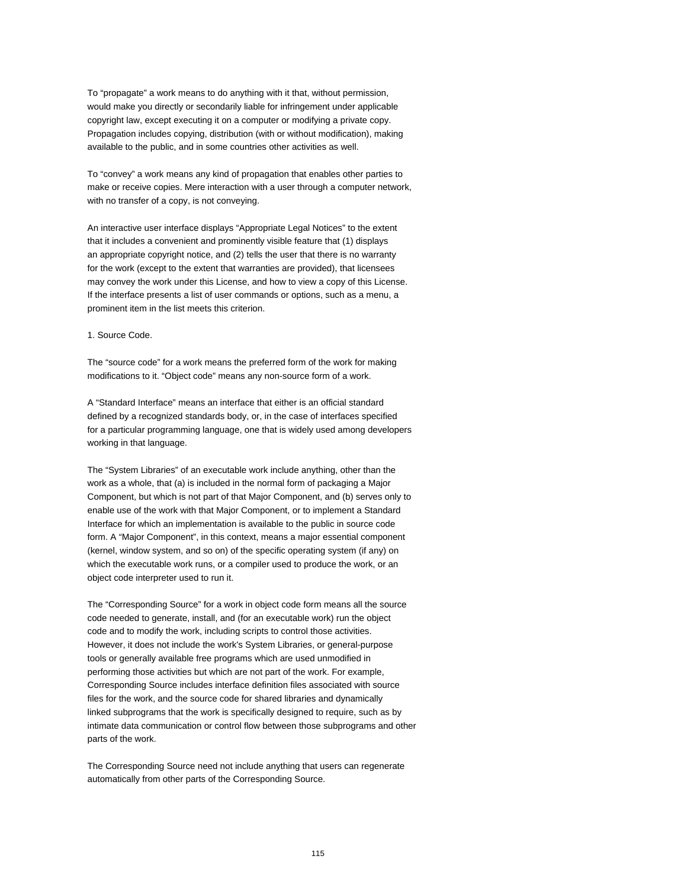To "propagate" a work means to do anything with it that, without permission, would make you directly or secondarily liable for infringement under applicable copyright law, except executing it on a computer or modifying a private copy. Propagation includes copying, distribution (with or without modification), making available to the public, and in some countries other activities as well.

To "convey" a work means any kind of propagation that enables other parties to make or receive copies. Mere interaction with a user through a computer network, with no transfer of a copy, is not conveying.

An interactive user interface displays "Appropriate Legal Notices" to the extent that it includes a convenient and prominently visible feature that (1) displays an appropriate copyright notice, and (2) tells the user that there is no warranty for the work (except to the extent that warranties are provided), that licensees may convey the work under this License, and how to view a copy of this License. If the interface presents a list of user commands or options, such as a menu, a prominent item in the list meets this criterion.

#### 1. Source Code.

The "source code" for a work means the preferred form of the work for making modifications to it. "Object code" means any non-source form of a work.

A "Standard Interface" means an interface that either is an official standard defined by a recognized standards body, or, in the case of interfaces specified for a particular programming language, one that is widely used among developers working in that language.

The "System Libraries" of an executable work include anything, other than the work as a whole, that (a) is included in the normal form of packaging a Major Component, but which is not part of that Major Component, and (b) serves only to enable use of the work with that Major Component, or to implement a Standard Interface for which an implementation is available to the public in source code form. A "Major Component", in this context, means a major essential component (kernel, window system, and so on) of the specific operating system (if any) on which the executable work runs, or a compiler used to produce the work, or an object code interpreter used to run it.

The "Corresponding Source" for a work in object code form means all the source code needed to generate, install, and (for an executable work) run the object code and to modify the work, including scripts to control those activities. However, it does not include the work's System Libraries, or general-purpose tools or generally available free programs which are used unmodified in performing those activities but which are not part of the work. For example, Corresponding Source includes interface definition files associated with source files for the work, and the source code for shared libraries and dynamically linked subprograms that the work is specifically designed to require, such as by intimate data communication or control flow between those subprograms and other parts of the work.

The Corresponding Source need not include anything that users can regenerate automatically from other parts of the Corresponding Source.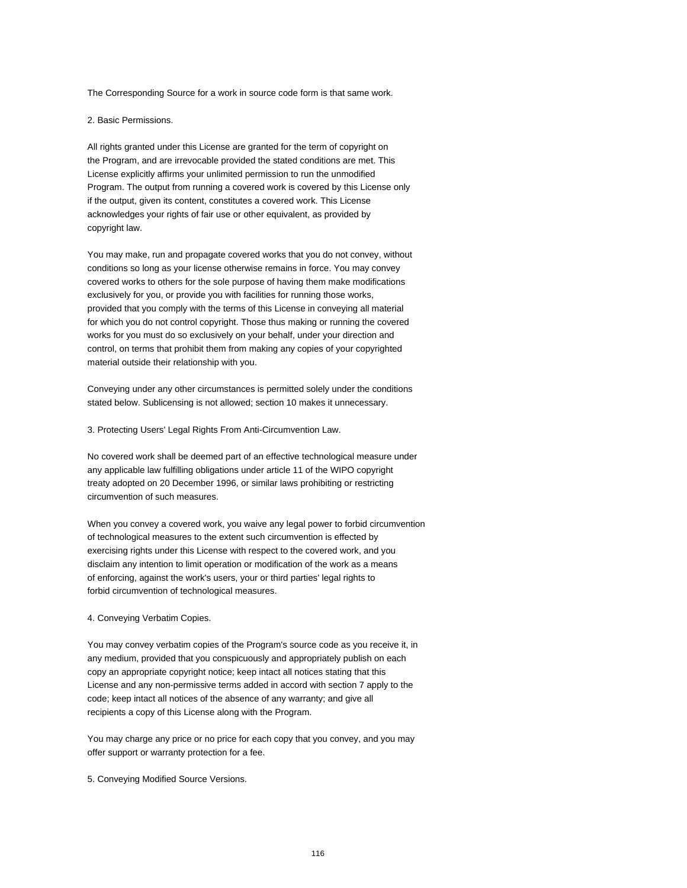The Corresponding Source for a work in source code form is that same work.

2. Basic Permissions.

All rights granted under this License are granted for the term of copyright on the Program, and are irrevocable provided the stated conditions are met. This License explicitly affirms your unlimited permission to run the unmodified Program. The output from running a covered work is covered by this License only if the output, given its content, constitutes a covered work. This License acknowledges your rights of fair use or other equivalent, as provided by copyright law.

You may make, run and propagate covered works that you do not convey, without conditions so long as your license otherwise remains in force. You may convey covered works to others for the sole purpose of having them make modifications exclusively for you, or provide you with facilities for running those works, provided that you comply with the terms of this License in conveying all material for which you do not control copyright. Those thus making or running the covered works for you must do so exclusively on your behalf, under your direction and control, on terms that prohibit them from making any copies of your copyrighted material outside their relationship with you.

Conveying under any other circumstances is permitted solely under the conditions stated below. Sublicensing is not allowed; section 10 makes it unnecessary.

3. Protecting Users' Legal Rights From Anti-Circumvention Law.

No covered work shall be deemed part of an effective technological measure under any applicable law fulfilling obligations under article 11 of the WIPO copyright treaty adopted on 20 December 1996, or similar laws prohibiting or restricting circumvention of such measures.

When you convey a covered work, you waive any legal power to forbid circumvention of technological measures to the extent such circumvention is effected by exercising rights under this License with respect to the covered work, and you disclaim any intention to limit operation or modification of the work as a means of enforcing, against the work's users, your or third parties' legal rights to forbid circumvention of technological measures.

4. Conveying Verbatim Copies.

You may convey verbatim copies of the Program's source code as you receive it, in any medium, provided that you conspicuously and appropriately publish on each copy an appropriate copyright notice; keep intact all notices stating that this License and any non-permissive terms added in accord with section 7 apply to the code; keep intact all notices of the absence of any warranty; and give all recipients a copy of this License along with the Program.

You may charge any price or no price for each copy that you convey, and you may offer support or warranty protection for a fee.

5. Conveying Modified Source Versions.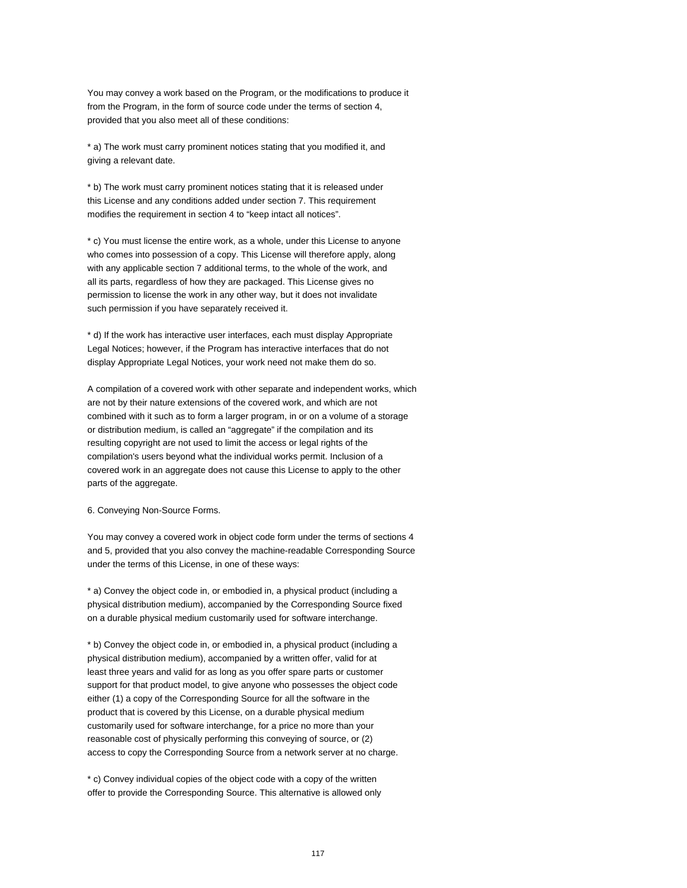You may convey a work based on the Program, or the modifications to produce it from the Program, in the form of source code under the terms of section 4, provided that you also meet all of these conditions:

\* a) The work must carry prominent notices stating that you modified it, and giving a relevant date.

\* b) The work must carry prominent notices stating that it is released under this License and any conditions added under section 7. This requirement modifies the requirement in section 4 to "keep intact all notices".

\* c) You must license the entire work, as a whole, under this License to anyone who comes into possession of a copy. This License will therefore apply, along with any applicable section 7 additional terms, to the whole of the work, and all its parts, regardless of how they are packaged. This License gives no permission to license the work in any other way, but it does not invalidate such permission if you have separately received it.

\* d) If the work has interactive user interfaces, each must display Appropriate Legal Notices; however, if the Program has interactive interfaces that do not display Appropriate Legal Notices, your work need not make them do so.

A compilation of a covered work with other separate and independent works, which are not by their nature extensions of the covered work, and which are not combined with it such as to form a larger program, in or on a volume of a storage or distribution medium, is called an "aggregate" if the compilation and its resulting copyright are not used to limit the access or legal rights of the compilation's users beyond what the individual works permit. Inclusion of a covered work in an aggregate does not cause this License to apply to the other parts of the aggregate.

6. Conveying Non-Source Forms.

You may convey a covered work in object code form under the terms of sections 4 and 5, provided that you also convey the machine-readable Corresponding Source under the terms of this License, in one of these ways:

\* a) Convey the object code in, or embodied in, a physical product (including a physical distribution medium), accompanied by the Corresponding Source fixed on a durable physical medium customarily used for software interchange.

\* b) Convey the object code in, or embodied in, a physical product (including a physical distribution medium), accompanied by a written offer, valid for at least three years and valid for as long as you offer spare parts or customer support for that product model, to give anyone who possesses the object code either (1) a copy of the Corresponding Source for all the software in the product that is covered by this License, on a durable physical medium customarily used for software interchange, for a price no more than your reasonable cost of physically performing this conveying of source, or (2) access to copy the Corresponding Source from a network server at no charge.

\* c) Convey individual copies of the object code with a copy of the written offer to provide the Corresponding Source. This alternative is allowed only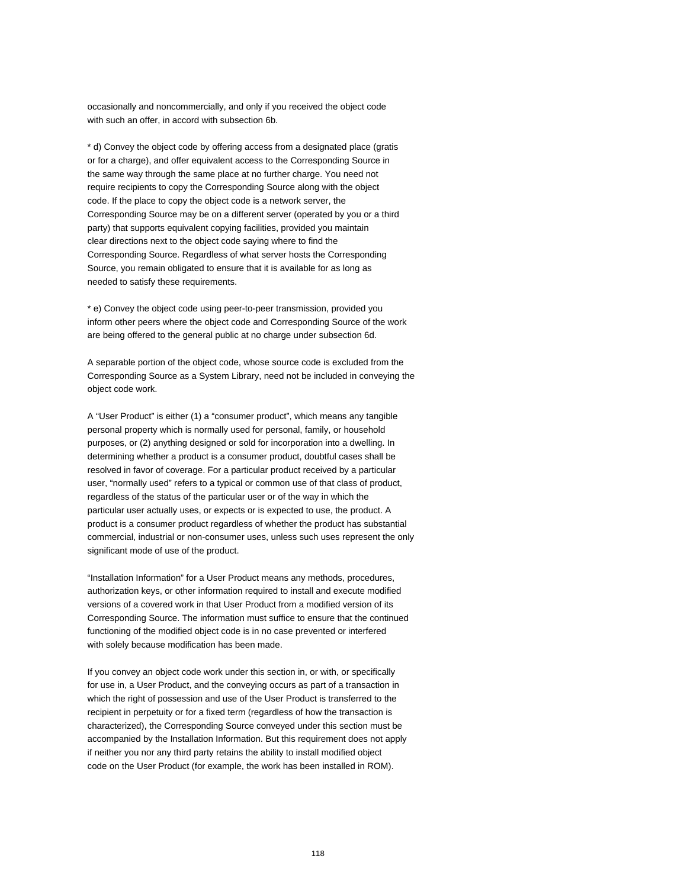occasionally and noncommercially, and only if you received the object code with such an offer, in accord with subsection 6b.

\* d) Convey the object code by offering access from a designated place (gratis or for a charge), and offer equivalent access to the Corresponding Source in the same way through the same place at no further charge. You need not require recipients to copy the Corresponding Source along with the object code. If the place to copy the object code is a network server, the Corresponding Source may be on a different server (operated by you or a third party) that supports equivalent copying facilities, provided you maintain clear directions next to the object code saying where to find the Corresponding Source. Regardless of what server hosts the Corresponding Source, you remain obligated to ensure that it is available for as long as needed to satisfy these requirements.

\* e) Convey the object code using peer-to-peer transmission, provided you inform other peers where the object code and Corresponding Source of the work are being offered to the general public at no charge under subsection 6d.

A separable portion of the object code, whose source code is excluded from the Corresponding Source as a System Library, need not be included in conveying the object code work.

A "User Product" is either (1) a "consumer product", which means any tangible personal property which is normally used for personal, family, or household purposes, or (2) anything designed or sold for incorporation into a dwelling. In determining whether a product is a consumer product, doubtful cases shall be resolved in favor of coverage. For a particular product received by a particular user, "normally used" refers to a typical or common use of that class of product, regardless of the status of the particular user or of the way in which the particular user actually uses, or expects or is expected to use, the product. A product is a consumer product regardless of whether the product has substantial commercial, industrial or non-consumer uses, unless such uses represent the only significant mode of use of the product.

"Installation Information" for a User Product means any methods, procedures, authorization keys, or other information required to install and execute modified versions of a covered work in that User Product from a modified version of its Corresponding Source. The information must suffice to ensure that the continued functioning of the modified object code is in no case prevented or interfered with solely because modification has been made.

If you convey an object code work under this section in, or with, or specifically for use in, a User Product, and the conveying occurs as part of a transaction in which the right of possession and use of the User Product is transferred to the recipient in perpetuity or for a fixed term (regardless of how the transaction is characterized), the Corresponding Source conveyed under this section must be accompanied by the Installation Information. But this requirement does not apply if neither you nor any third party retains the ability to install modified object code on the User Product (for example, the work has been installed in ROM).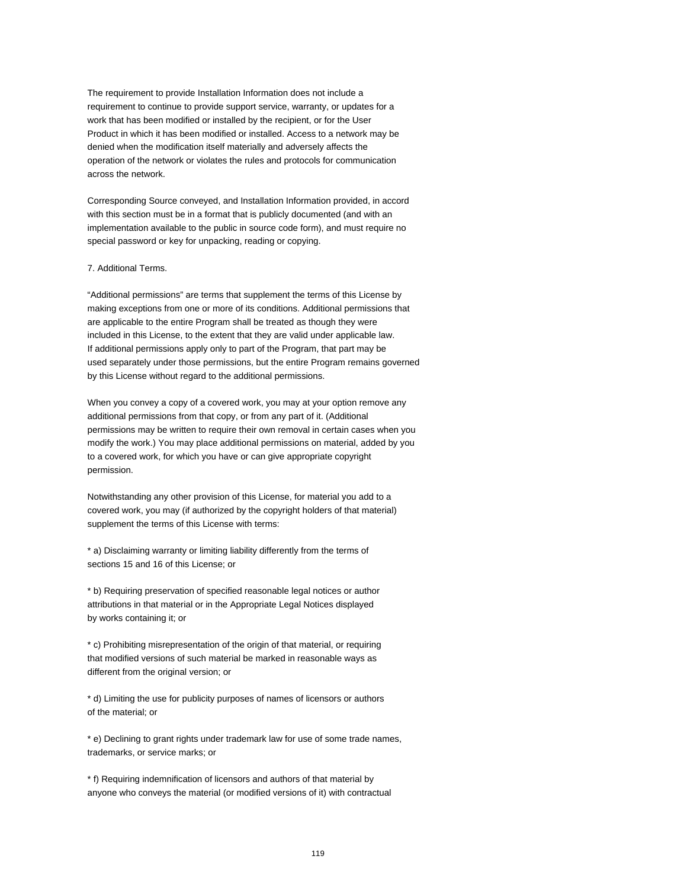The requirement to provide Installation Information does not include a requirement to continue to provide support service, warranty, or updates for a work that has been modified or installed by the recipient, or for the User Product in which it has been modified or installed. Access to a network may be denied when the modification itself materially and adversely affects the operation of the network or violates the rules and protocols for communication across the network.

Corresponding Source conveyed, and Installation Information provided, in accord with this section must be in a format that is publicly documented (and with an implementation available to the public in source code form), and must require no special password or key for unpacking, reading or copying.

#### 7. Additional Terms.

"Additional permissions" are terms that supplement the terms of this License by making exceptions from one or more of its conditions. Additional permissions that are applicable to the entire Program shall be treated as though they were included in this License, to the extent that they are valid under applicable law. If additional permissions apply only to part of the Program, that part may be used separately under those permissions, but the entire Program remains governed by this License without regard to the additional permissions.

When you convey a copy of a covered work, you may at your option remove any additional permissions from that copy, or from any part of it. (Additional permissions may be written to require their own removal in certain cases when you modify the work.) You may place additional permissions on material, added by you to a covered work, for which you have or can give appropriate copyright permission.

Notwithstanding any other provision of this License, for material you add to a covered work, you may (if authorized by the copyright holders of that material) supplement the terms of this License with terms:

\* a) Disclaiming warranty or limiting liability differently from the terms of sections 15 and 16 of this License; or

\* b) Requiring preservation of specified reasonable legal notices or author attributions in that material or in the Appropriate Legal Notices displayed by works containing it; or

\* c) Prohibiting misrepresentation of the origin of that material, or requiring that modified versions of such material be marked in reasonable ways as different from the original version; or

\* d) Limiting the use for publicity purposes of names of licensors or authors of the material; or

\* e) Declining to grant rights under trademark law for use of some trade names, trademarks, or service marks; or

\* f) Requiring indemnification of licensors and authors of that material by anyone who conveys the material (or modified versions of it) with contractual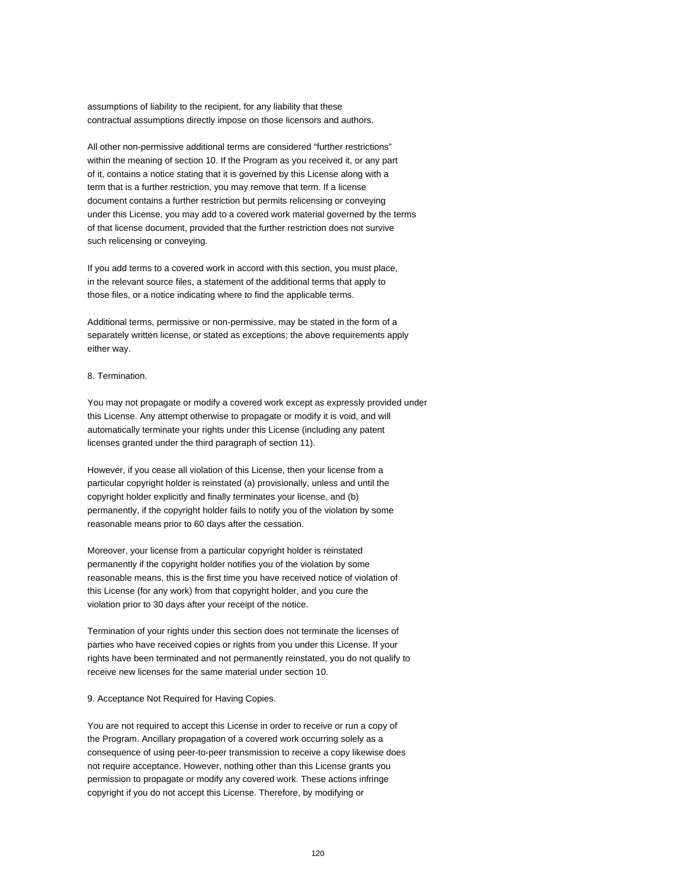assumptions of liability to the recipient, for any liability that these contractual assumptions directly impose on those licensors and authors.

All other non-permissive additional terms are considered "further restrictions" within the meaning of section 10. If the Program as you received it, or any part of it, contains a notice stating that it is governed by this License along with a term that is a further restriction, you may remove that term. If a license document contains a further restriction but permits relicensing or conveying under this License, you may add to a covered work material governed by the terms of that license document, provided that the further restriction does not survive such relicensing or conveying.

If you add terms to a covered work in accord with this section, you must place, in the relevant source files, a statement of the additional terms that apply to those files, or a notice indicating where to find the applicable terms.

Additional terms, permissive or non-permissive, may be stated in the form of a separately written license, or stated as exceptions; the above requirements apply either way.

## 8. Termination.

You may not propagate or modify a covered work except as expressly provided under this License. Any attempt otherwise to propagate or modify it is void, and will automatically terminate your rights under this License (including any patent licenses granted under the third paragraph of section 11).

However, if you cease all violation of this License, then your license from a particular copyright holder is reinstated (a) provisionally, unless and until the copyright holder explicitly and finally terminates your license, and (b) permanently, if the copyright holder fails to notify you of the violation by some reasonable means prior to 60 days after the cessation.

Moreover, your license from a particular copyright holder is reinstated permanently if the copyright holder notifies you of the violation by some reasonable means, this is the first time you have received notice of violation of this License (for any work) from that copyright holder, and you cure the violation prior to 30 days after your receipt of the notice.

Termination of your rights under this section does not terminate the licenses of parties who have received copies or rights from you under this License. If your rights have been terminated and not permanently reinstated, you do not qualify to receive new licenses for the same material under section 10.

#### 9. Acceptance Not Required for Having Copies.

You are not required to accept this License in order to receive or run a copy of the Program. Ancillary propagation of a covered work occurring solely as a consequence of using peer-to-peer transmission to receive a copy likewise does not require acceptance. However, nothing other than this License grants you permission to propagate or modify any covered work. These actions infringe copyright if you do not accept this License. Therefore, by modifying or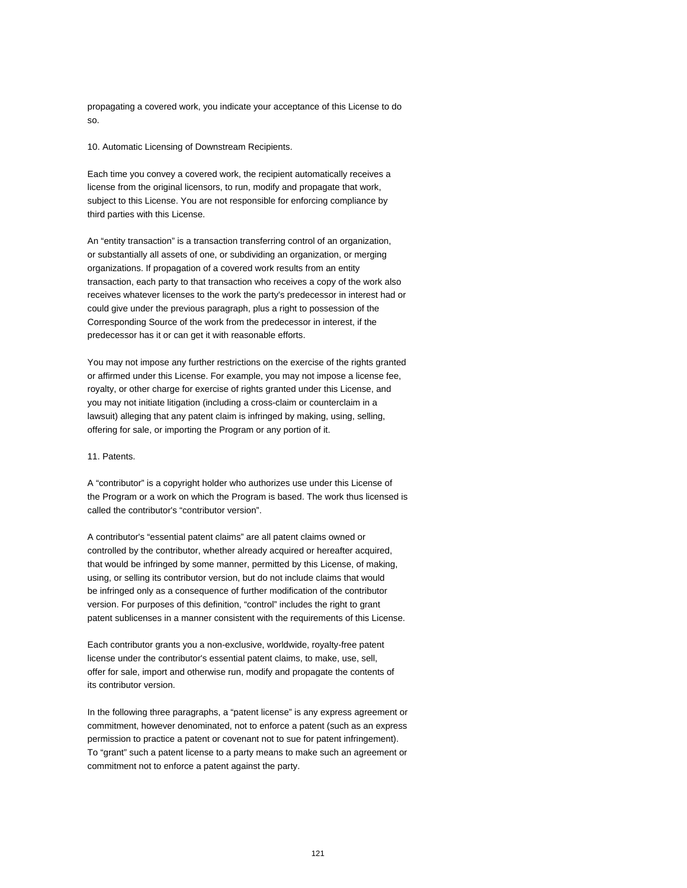propagating a covered work, you indicate your acceptance of this License to do so.

10. Automatic Licensing of Downstream Recipients.

Each time you convey a covered work, the recipient automatically receives a license from the original licensors, to run, modify and propagate that work, subject to this License. You are not responsible for enforcing compliance by third parties with this License.

An "entity transaction" is a transaction transferring control of an organization, or substantially all assets of one, or subdividing an organization, or merging organizations. If propagation of a covered work results from an entity transaction, each party to that transaction who receives a copy of the work also receives whatever licenses to the work the party's predecessor in interest had or could give under the previous paragraph, plus a right to possession of the Corresponding Source of the work from the predecessor in interest, if the predecessor has it or can get it with reasonable efforts.

You may not impose any further restrictions on the exercise of the rights granted or affirmed under this License. For example, you may not impose a license fee, royalty, or other charge for exercise of rights granted under this License, and you may not initiate litigation (including a cross-claim or counterclaim in a lawsuit) alleging that any patent claim is infringed by making, using, selling, offering for sale, or importing the Program or any portion of it.

## 11. Patents.

A "contributor" is a copyright holder who authorizes use under this License of the Program or a work on which the Program is based. The work thus licensed is called the contributor's "contributor version".

A contributor's "essential patent claims" are all patent claims owned or controlled by the contributor, whether already acquired or hereafter acquired, that would be infringed by some manner, permitted by this License, of making, using, or selling its contributor version, but do not include claims that would be infringed only as a consequence of further modification of the contributor version. For purposes of this definition, "control" includes the right to grant patent sublicenses in a manner consistent with the requirements of this License.

Each contributor grants you a non-exclusive, worldwide, royalty-free patent license under the contributor's essential patent claims, to make, use, sell, offer for sale, import and otherwise run, modify and propagate the contents of its contributor version.

In the following three paragraphs, a "patent license" is any express agreement or commitment, however denominated, not to enforce a patent (such as an express permission to practice a patent or covenant not to sue for patent infringement). To "grant" such a patent license to a party means to make such an agreement or commitment not to enforce a patent against the party.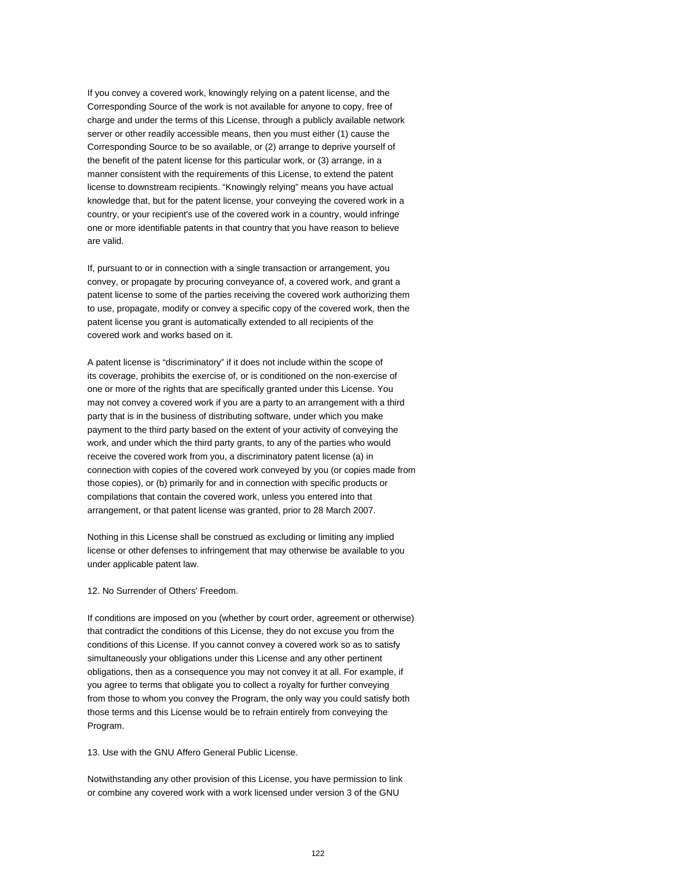If you convey a covered work, knowingly relying on a patent license, and the Corresponding Source of the work is not available for anyone to copy, free of charge and under the terms of this License, through a publicly available network server or other readily accessible means, then you must either (1) cause the Corresponding Source to be so available, or (2) arrange to deprive yourself of the benefit of the patent license for this particular work, or (3) arrange, in a manner consistent with the requirements of this License, to extend the patent license to downstream recipients. "Knowingly relying" means you have actual knowledge that, but for the patent license, your conveying the covered work in a country, or your recipient's use of the covered work in a country, would infringe one or more identifiable patents in that country that you have reason to believe are valid.

If, pursuant to or in connection with a single transaction or arrangement, you convey, or propagate by procuring conveyance of, a covered work, and grant a patent license to some of the parties receiving the covered work authorizing them to use, propagate, modify or convey a specific copy of the covered work, then the patent license you grant is automatically extended to all recipients of the covered work and works based on it.

A patent license is "discriminatory" if it does not include within the scope of its coverage, prohibits the exercise of, or is conditioned on the non-exercise of one or more of the rights that are specifically granted under this License. You may not convey a covered work if you are a party to an arrangement with a third party that is in the business of distributing software, under which you make payment to the third party based on the extent of your activity of conveying the work, and under which the third party grants, to any of the parties who would receive the covered work from you, a discriminatory patent license (a) in connection with copies of the covered work conveyed by you (or copies made from those copies), or (b) primarily for and in connection with specific products or compilations that contain the covered work, unless you entered into that arrangement, or that patent license was granted, prior to 28 March 2007.

Nothing in this License shall be construed as excluding or limiting any implied license or other defenses to infringement that may otherwise be available to you under applicable patent law.

#### 12. No Surrender of Others' Freedom.

If conditions are imposed on you (whether by court order, agreement or otherwise) that contradict the conditions of this License, they do not excuse you from the conditions of this License. If you cannot convey a covered work so as to satisfy simultaneously your obligations under this License and any other pertinent obligations, then as a consequence you may not convey it at all. For example, if you agree to terms that obligate you to collect a royalty for further conveying from those to whom you convey the Program, the only way you could satisfy both those terms and this License would be to refrain entirely from conveying the Program.

13. Use with the GNU Affero General Public License.

Notwithstanding any other provision of this License, you have permission to link or combine any covered work with a work licensed under version 3 of the GNU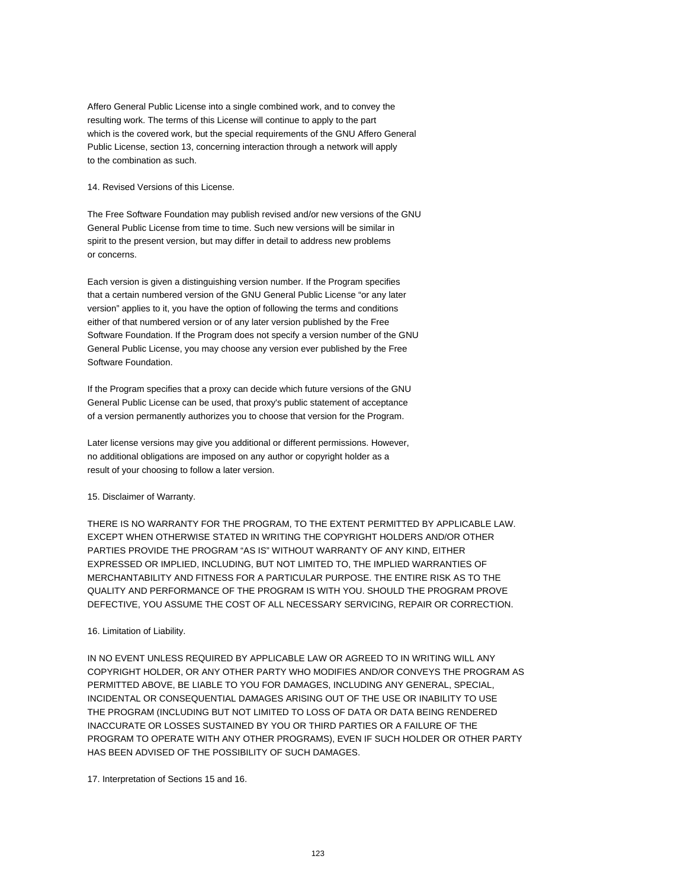Affero General Public License into a single combined work, and to convey the resulting work. The terms of this License will continue to apply to the part which is the covered work, but the special requirements of the GNU Affero General Public License, section 13, concerning interaction through a network will apply to the combination as such.

14. Revised Versions of this License.

The Free Software Foundation may publish revised and/or new versions of the GNU General Public License from time to time. Such new versions will be similar in spirit to the present version, but may differ in detail to address new problems or concerns.

Each version is given a distinguishing version number. If the Program specifies that a certain numbered version of the GNU General Public License "or any later version" applies to it, you have the option of following the terms and conditions either of that numbered version or of any later version published by the Free Software Foundation. If the Program does not specify a version number of the GNU General Public License, you may choose any version ever published by the Free Software Foundation.

If the Program specifies that a proxy can decide which future versions of the GNU General Public License can be used, that proxy's public statement of acceptance of a version permanently authorizes you to choose that version for the Program.

Later license versions may give you additional or different permissions. However, no additional obligations are imposed on any author or copyright holder as a result of your choosing to follow a later version.

## 15. Disclaimer of Warranty.

THERE IS NO WARRANTY FOR THE PROGRAM, TO THE EXTENT PERMITTED BY APPLICABLE LAW. EXCEPT WHEN OTHERWISE STATED IN WRITING THE COPYRIGHT HOLDERS AND/OR OTHER PARTIES PROVIDE THE PROGRAM "AS IS" WITHOUT WARRANTY OF ANY KIND, EITHER EXPRESSED OR IMPLIED, INCLUDING, BUT NOT LIMITED TO, THE IMPLIED WARRANTIES OF MERCHANTABILITY AND FITNESS FOR A PARTICULAR PURPOSE. THE ENTIRE RISK AS TO THE QUALITY AND PERFORMANCE OF THE PROGRAM IS WITH YOU. SHOULD THE PROGRAM PROVE DEFECTIVE, YOU ASSUME THE COST OF ALL NECESSARY SERVICING, REPAIR OR CORRECTION.

## 16. Limitation of Liability.

IN NO EVENT UNLESS REQUIRED BY APPLICABLE LAW OR AGREED TO IN WRITING WILL ANY COPYRIGHT HOLDER, OR ANY OTHER PARTY WHO MODIFIES AND/OR CONVEYS THE PROGRAM AS PERMITTED ABOVE, BE LIABLE TO YOU FOR DAMAGES, INCLUDING ANY GENERAL, SPECIAL, INCIDENTAL OR CONSEQUENTIAL DAMAGES ARISING OUT OF THE USE OR INABILITY TO USE THE PROGRAM (INCLUDING BUT NOT LIMITED TO LOSS OF DATA OR DATA BEING RENDERED INACCURATE OR LOSSES SUSTAINED BY YOU OR THIRD PARTIES OR A FAILURE OF THE PROGRAM TO OPERATE WITH ANY OTHER PROGRAMS), EVEN IF SUCH HOLDER OR OTHER PARTY HAS BEEN ADVISED OF THE POSSIBILITY OF SUCH DAMAGES.

17. Interpretation of Sections 15 and 16.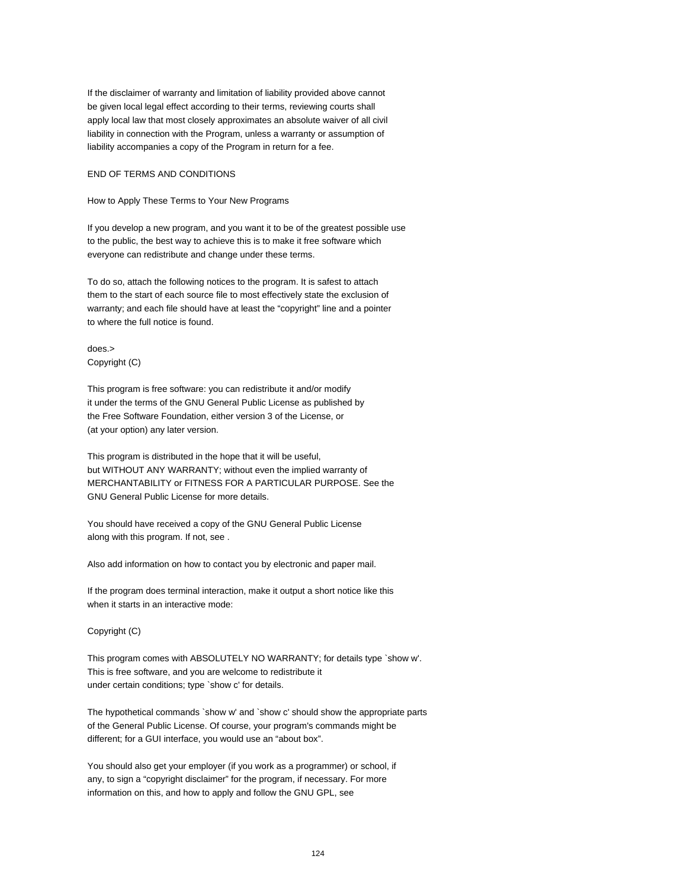If the disclaimer of warranty and limitation of liability provided above cannot be given local legal effect according to their terms, reviewing courts shall apply local law that most closely approximates an absolute waiver of all civil liability in connection with the Program, unless a warranty or assumption of liability accompanies a copy of the Program in return for a fee.

## END OF TERMS AND CONDITIONS

How to Apply These Terms to Your New Programs

If you develop a new program, and you want it to be of the greatest possible use to the public, the best way to achieve this is to make it free software which everyone can redistribute and change under these terms.

To do so, attach the following notices to the program. It is safest to attach them to the start of each source file to most effectively state the exclusion of warranty; and each file should have at least the "copyright" line and a pointer to where the full notice is found.

does.> Copyright (C)

This program is free software: you can redistribute it and/or modify it under the terms of the GNU General Public License as published by the Free Software Foundation, either version 3 of the License, or (at your option) any later version.

This program is distributed in the hope that it will be useful, but WITHOUT ANY WARRANTY; without even the implied warranty of MERCHANTABILITY or FITNESS FOR A PARTICULAR PURPOSE. See the GNU General Public License for more details.

You should have received a copy of the GNU General Public License along with this program. If not, see .

Also add information on how to contact you by electronic and paper mail.

If the program does terminal interaction, make it output a short notice like this when it starts in an interactive mode:

Copyright (C)

This program comes with ABSOLUTELY NO WARRANTY; for details type `show w'. This is free software, and you are welcome to redistribute it under certain conditions; type `show c' for details.

The hypothetical commands `show w' and `show c' should show the appropriate parts of the General Public License. Of course, your program's commands might be different; for a GUI interface, you would use an "about box".

You should also get your employer (if you work as a programmer) or school, if any, to sign a "copyright disclaimer" for the program, if necessary. For more information on this, and how to apply and follow the GNU GPL, see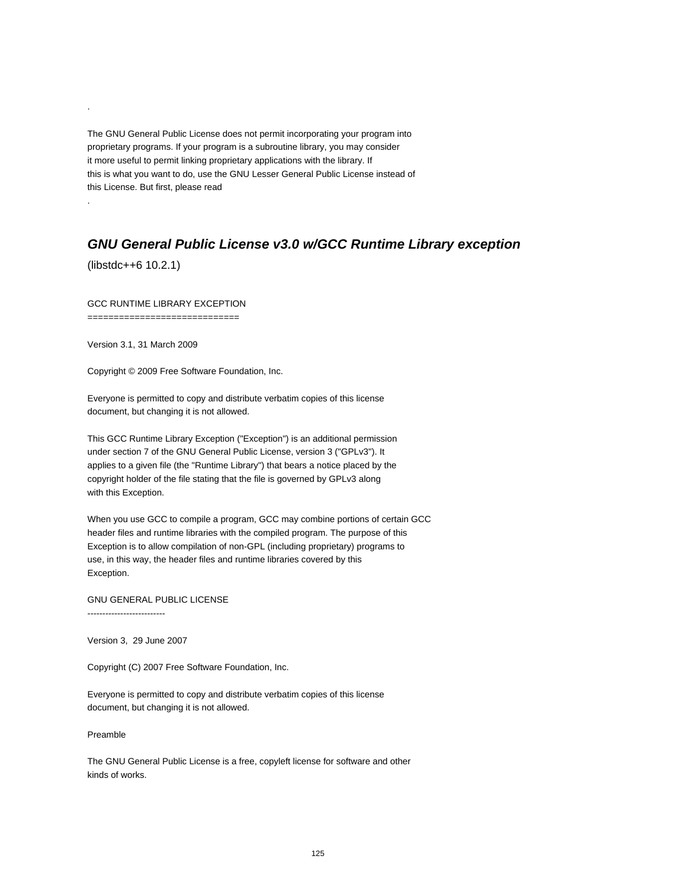The GNU General Public License does not permit incorporating your program into proprietary programs. If your program is a subroutine library, you may consider it more useful to permit linking proprietary applications with the library. If this is what you want to do, use the GNU Lesser General Public License instead of this License. But first, please read

# **GNU General Public License v3.0 w/GCC Runtime Library exception**

(libstdc++6 10.2.1)

.

.

GCC RUNTIME LIBRARY EXCEPTION

================================

Version 3.1, 31 March 2009

Copyright © 2009 Free Software Foundation, Inc.

Everyone is permitted to copy and distribute verbatim copies of this license document, but changing it is not allowed.

This GCC Runtime Library Exception ("Exception") is an additional permission under section 7 of the GNU General Public License, version 3 ("GPLv3"). It applies to a given file (the "Runtime Library") that bears a notice placed by the copyright holder of the file stating that the file is governed by GPLv3 along with this Exception.

When you use GCC to compile a program, GCC may combine portions of certain GCC header files and runtime libraries with the compiled program. The purpose of this Exception is to allow compilation of non-GPL (including proprietary) programs to use, in this way, the header files and runtime libraries covered by this Exception.

GNU GENERAL PUBLIC LICENSE --------------------------

Version 3, 29 June 2007

Copyright (C) 2007 Free Software Foundation, Inc.

Everyone is permitted to copy and distribute verbatim copies of this license document, but changing it is not allowed.

Preamble

The GNU General Public License is a free, copyleft license for software and other kinds of works.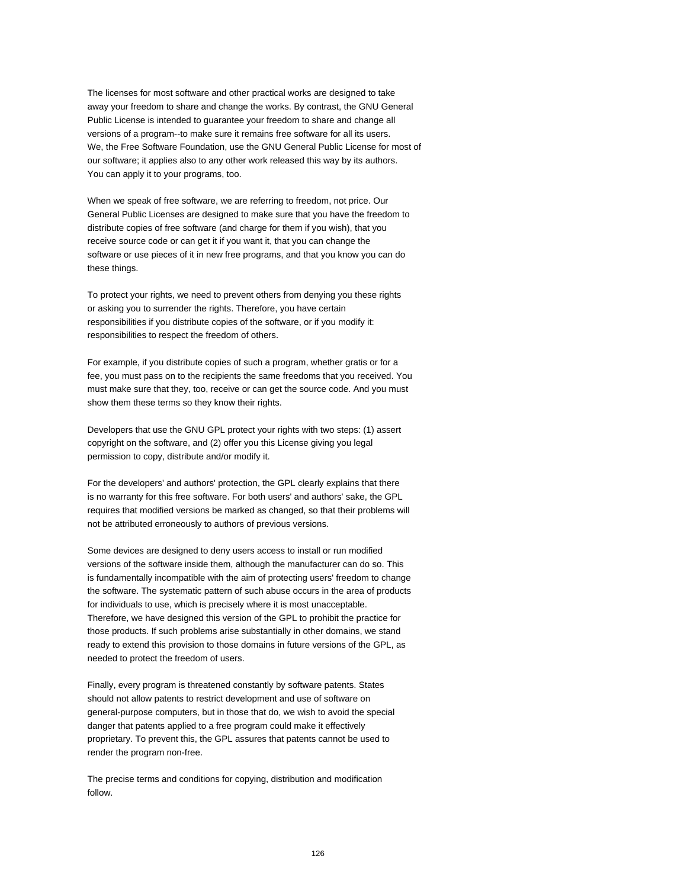The licenses for most software and other practical works are designed to take away your freedom to share and change the works. By contrast, the GNU General Public License is intended to guarantee your freedom to share and change all versions of a program--to make sure it remains free software for all its users. We, the Free Software Foundation, use the GNU General Public License for most of our software; it applies also to any other work released this way by its authors. You can apply it to your programs, too.

When we speak of free software, we are referring to freedom, not price. Our General Public Licenses are designed to make sure that you have the freedom to distribute copies of free software (and charge for them if you wish), that you receive source code or can get it if you want it, that you can change the software or use pieces of it in new free programs, and that you know you can do these things.

To protect your rights, we need to prevent others from denying you these rights or asking you to surrender the rights. Therefore, you have certain responsibilities if you distribute copies of the software, or if you modify it: responsibilities to respect the freedom of others.

For example, if you distribute copies of such a program, whether gratis or for a fee, you must pass on to the recipients the same freedoms that you received. You must make sure that they, too, receive or can get the source code. And you must show them these terms so they know their rights.

Developers that use the GNU GPL protect your rights with two steps: (1) assert copyright on the software, and (2) offer you this License giving you legal permission to copy, distribute and/or modify it.

For the developers' and authors' protection, the GPL clearly explains that there is no warranty for this free software. For both users' and authors' sake, the GPL requires that modified versions be marked as changed, so that their problems will not be attributed erroneously to authors of previous versions.

Some devices are designed to deny users access to install or run modified versions of the software inside them, although the manufacturer can do so. This is fundamentally incompatible with the aim of protecting users' freedom to change the software. The systematic pattern of such abuse occurs in the area of products for individuals to use, which is precisely where it is most unacceptable. Therefore, we have designed this version of the GPL to prohibit the practice for those products. If such problems arise substantially in other domains, we stand ready to extend this provision to those domains in future versions of the GPL, as needed to protect the freedom of users.

Finally, every program is threatened constantly by software patents. States should not allow patents to restrict development and use of software on general-purpose computers, but in those that do, we wish to avoid the special danger that patents applied to a free program could make it effectively proprietary. To prevent this, the GPL assures that patents cannot be used to render the program non-free.

The precise terms and conditions for copying, distribution and modification follow.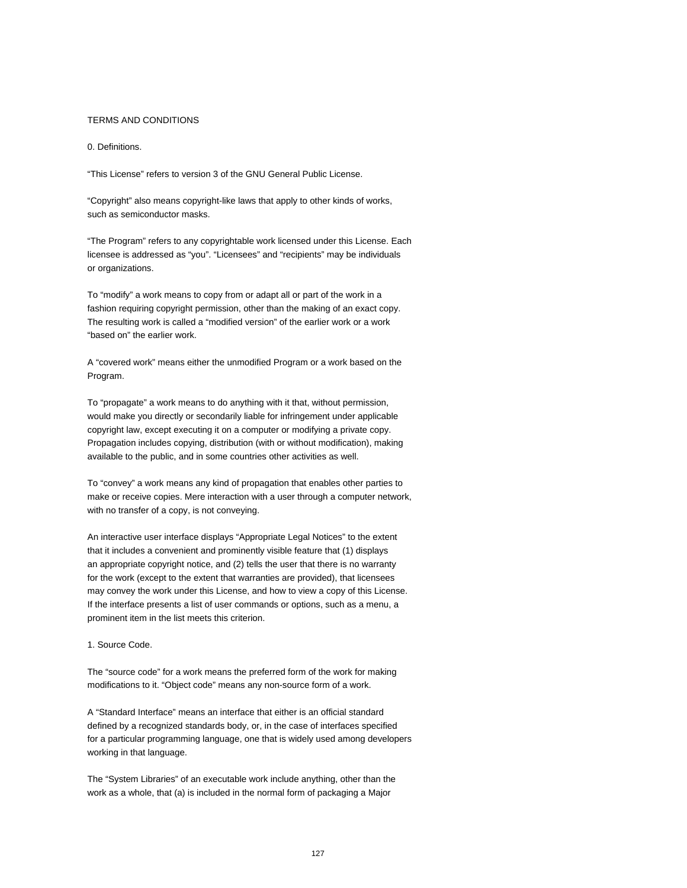## TERMS AND CONDITIONS

#### 0. Definitions.

"This License" refers to version 3 of the GNU General Public License.

"Copyright" also means copyright-like laws that apply to other kinds of works, such as semiconductor masks.

"The Program" refers to any copyrightable work licensed under this License. Each licensee is addressed as "you". "Licensees" and "recipients" may be individuals or organizations.

To "modify" a work means to copy from or adapt all or part of the work in a fashion requiring copyright permission, other than the making of an exact copy. The resulting work is called a "modified version" of the earlier work or a work "based on" the earlier work.

A "covered work" means either the unmodified Program or a work based on the Program.

To "propagate" a work means to do anything with it that, without permission, would make you directly or secondarily liable for infringement under applicable copyright law, except executing it on a computer or modifying a private copy. Propagation includes copying, distribution (with or without modification), making available to the public, and in some countries other activities as well.

To "convey" a work means any kind of propagation that enables other parties to make or receive copies. Mere interaction with a user through a computer network, with no transfer of a copy, is not conveying.

An interactive user interface displays "Appropriate Legal Notices" to the extent that it includes a convenient and prominently visible feature that (1) displays an appropriate copyright notice, and (2) tells the user that there is no warranty for the work (except to the extent that warranties are provided), that licensees may convey the work under this License, and how to view a copy of this License. If the interface presents a list of user commands or options, such as a menu, a prominent item in the list meets this criterion.

#### 1. Source Code.

The "source code" for a work means the preferred form of the work for making modifications to it. "Object code" means any non-source form of a work.

A "Standard Interface" means an interface that either is an official standard defined by a recognized standards body, or, in the case of interfaces specified for a particular programming language, one that is widely used among developers working in that language.

The "System Libraries" of an executable work include anything, other than the work as a whole, that (a) is included in the normal form of packaging a Major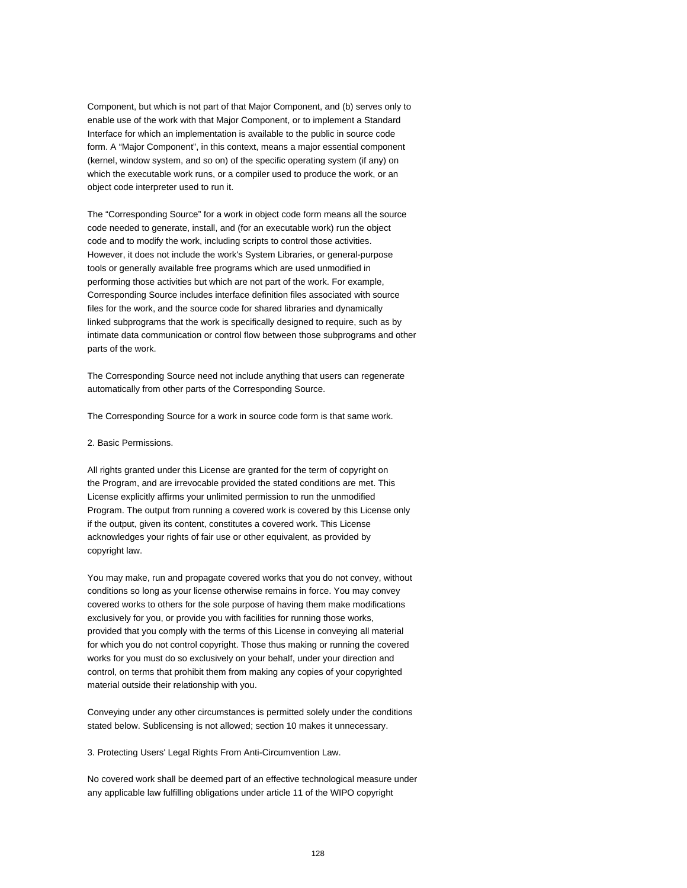Component, but which is not part of that Major Component, and (b) serves only to enable use of the work with that Major Component, or to implement a Standard Interface for which an implementation is available to the public in source code form. A "Major Component", in this context, means a major essential component (kernel, window system, and so on) of the specific operating system (if any) on which the executable work runs, or a compiler used to produce the work, or an object code interpreter used to run it.

The "Corresponding Source" for a work in object code form means all the source code needed to generate, install, and (for an executable work) run the object code and to modify the work, including scripts to control those activities. However, it does not include the work's System Libraries, or general-purpose tools or generally available free programs which are used unmodified in performing those activities but which are not part of the work. For example, Corresponding Source includes interface definition files associated with source files for the work, and the source code for shared libraries and dynamically linked subprograms that the work is specifically designed to require, such as by intimate data communication or control flow between those subprograms and other parts of the work.

The Corresponding Source need not include anything that users can regenerate automatically from other parts of the Corresponding Source.

The Corresponding Source for a work in source code form is that same work.

#### 2. Basic Permissions.

All rights granted under this License are granted for the term of copyright on the Program, and are irrevocable provided the stated conditions are met. This License explicitly affirms your unlimited permission to run the unmodified Program. The output from running a covered work is covered by this License only if the output, given its content, constitutes a covered work. This License acknowledges your rights of fair use or other equivalent, as provided by copyright law.

You may make, run and propagate covered works that you do not convey, without conditions so long as your license otherwise remains in force. You may convey covered works to others for the sole purpose of having them make modifications exclusively for you, or provide you with facilities for running those works, provided that you comply with the terms of this License in conveying all material for which you do not control copyright. Those thus making or running the covered works for you must do so exclusively on your behalf, under your direction and control, on terms that prohibit them from making any copies of your copyrighted material outside their relationship with you.

Conveying under any other circumstances is permitted solely under the conditions stated below. Sublicensing is not allowed; section 10 makes it unnecessary.

3. Protecting Users' Legal Rights From Anti-Circumvention Law.

No covered work shall be deemed part of an effective technological measure under any applicable law fulfilling obligations under article 11 of the WIPO copyright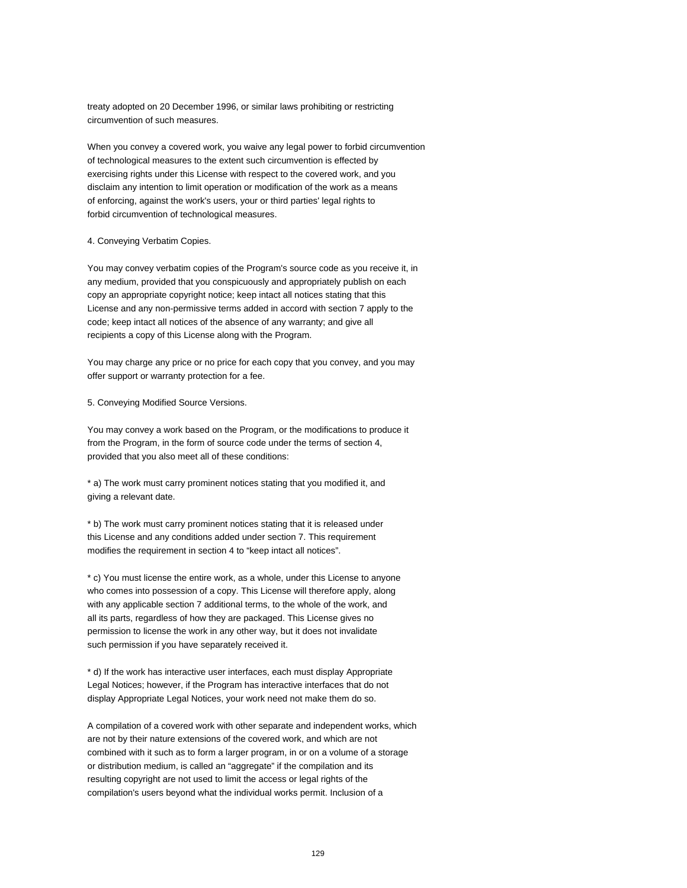treaty adopted on 20 December 1996, or similar laws prohibiting or restricting circumvention of such measures.

When you convey a covered work, you waive any legal power to forbid circumvention of technological measures to the extent such circumvention is effected by exercising rights under this License with respect to the covered work, and you disclaim any intention to limit operation or modification of the work as a means of enforcing, against the work's users, your or third parties' legal rights to forbid circumvention of technological measures.

#### 4. Conveying Verbatim Copies.

You may convey verbatim copies of the Program's source code as you receive it, in any medium, provided that you conspicuously and appropriately publish on each copy an appropriate copyright notice; keep intact all notices stating that this License and any non-permissive terms added in accord with section 7 apply to the code; keep intact all notices of the absence of any warranty; and give all recipients a copy of this License along with the Program.

You may charge any price or no price for each copy that you convey, and you may offer support or warranty protection for a fee.

5. Conveying Modified Source Versions.

You may convey a work based on the Program, or the modifications to produce it from the Program, in the form of source code under the terms of section 4, provided that you also meet all of these conditions:

\* a) The work must carry prominent notices stating that you modified it, and giving a relevant date.

\* b) The work must carry prominent notices stating that it is released under this License and any conditions added under section 7. This requirement modifies the requirement in section 4 to "keep intact all notices".

\* c) You must license the entire work, as a whole, under this License to anyone who comes into possession of a copy. This License will therefore apply, along with any applicable section 7 additional terms, to the whole of the work, and all its parts, regardless of how they are packaged. This License gives no permission to license the work in any other way, but it does not invalidate such permission if you have separately received it.

\* d) If the work has interactive user interfaces, each must display Appropriate Legal Notices; however, if the Program has interactive interfaces that do not display Appropriate Legal Notices, your work need not make them do so.

A compilation of a covered work with other separate and independent works, which are not by their nature extensions of the covered work, and which are not combined with it such as to form a larger program, in or on a volume of a storage or distribution medium, is called an "aggregate" if the compilation and its resulting copyright are not used to limit the access or legal rights of the compilation's users beyond what the individual works permit. Inclusion of a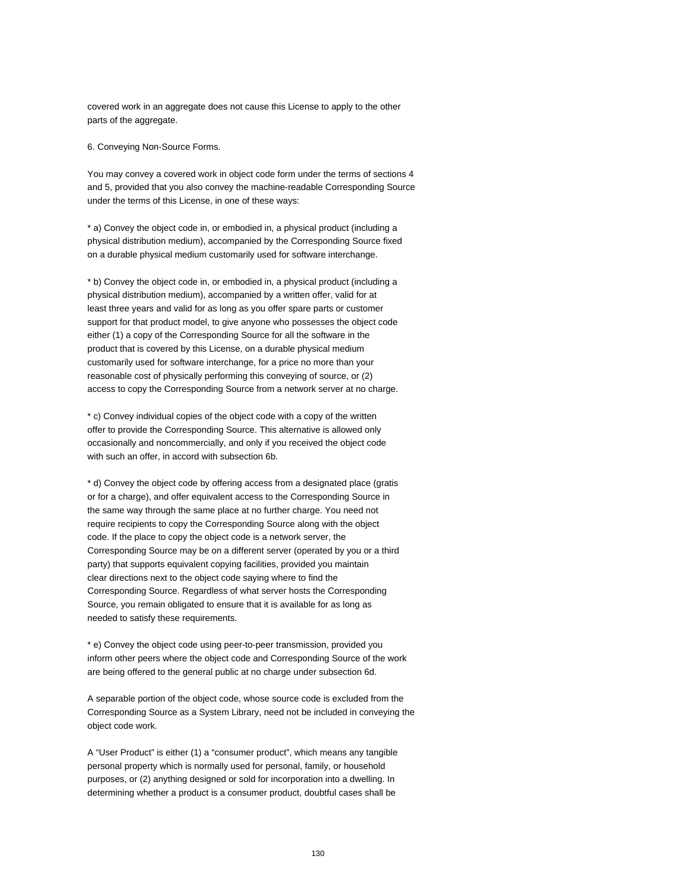covered work in an aggregate does not cause this License to apply to the other parts of the aggregate.

6. Conveying Non-Source Forms.

You may convey a covered work in object code form under the terms of sections 4 and 5, provided that you also convey the machine-readable Corresponding Source under the terms of this License, in one of these ways:

\* a) Convey the object code in, or embodied in, a physical product (including a physical distribution medium), accompanied by the Corresponding Source fixed on a durable physical medium customarily used for software interchange.

\* b) Convey the object code in, or embodied in, a physical product (including a physical distribution medium), accompanied by a written offer, valid for at least three years and valid for as long as you offer spare parts or customer support for that product model, to give anyone who possesses the object code either (1) a copy of the Corresponding Source for all the software in the product that is covered by this License, on a durable physical medium customarily used for software interchange, for a price no more than your reasonable cost of physically performing this conveying of source, or (2) access to copy the Corresponding Source from a network server at no charge.

\* c) Convey individual copies of the object code with a copy of the written offer to provide the Corresponding Source. This alternative is allowed only occasionally and noncommercially, and only if you received the object code with such an offer, in accord with subsection 6b.

\* d) Convey the object code by offering access from a designated place (gratis or for a charge), and offer equivalent access to the Corresponding Source in the same way through the same place at no further charge. You need not require recipients to copy the Corresponding Source along with the object code. If the place to copy the object code is a network server, the Corresponding Source may be on a different server (operated by you or a third party) that supports equivalent copying facilities, provided you maintain clear directions next to the object code saying where to find the Corresponding Source. Regardless of what server hosts the Corresponding Source, you remain obligated to ensure that it is available for as long as needed to satisfy these requirements.

\* e) Convey the object code using peer-to-peer transmission, provided you inform other peers where the object code and Corresponding Source of the work are being offered to the general public at no charge under subsection 6d.

A separable portion of the object code, whose source code is excluded from the Corresponding Source as a System Library, need not be included in conveying the object code work.

A "User Product" is either (1) a "consumer product", which means any tangible personal property which is normally used for personal, family, or household purposes, or (2) anything designed or sold for incorporation into a dwelling. In determining whether a product is a consumer product, doubtful cases shall be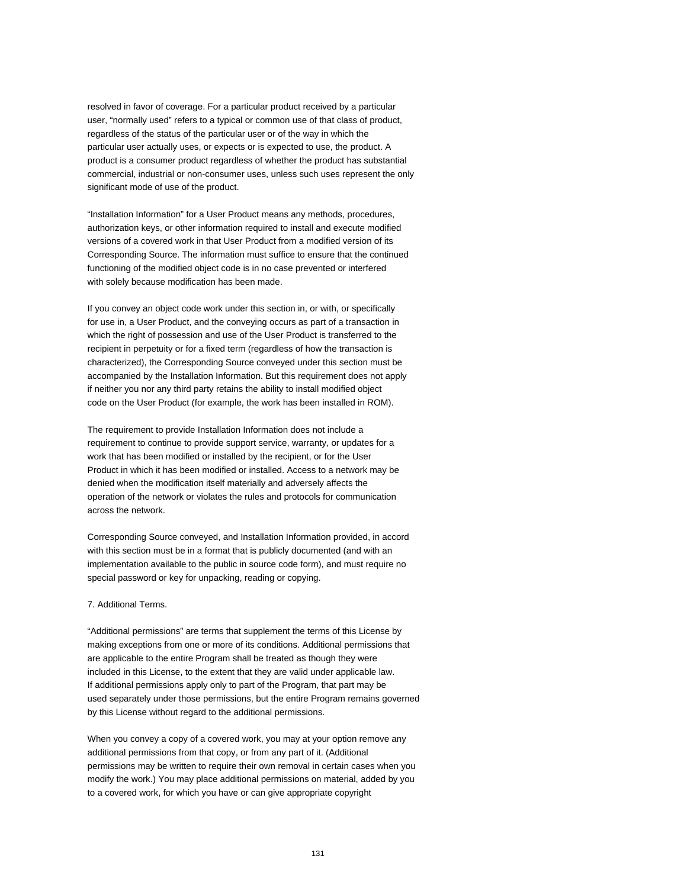resolved in favor of coverage. For a particular product received by a particular user, "normally used" refers to a typical or common use of that class of product, regardless of the status of the particular user or of the way in which the particular user actually uses, or expects or is expected to use, the product. A product is a consumer product regardless of whether the product has substantial commercial, industrial or non-consumer uses, unless such uses represent the only significant mode of use of the product.

"Installation Information" for a User Product means any methods, procedures, authorization keys, or other information required to install and execute modified versions of a covered work in that User Product from a modified version of its Corresponding Source. The information must suffice to ensure that the continued functioning of the modified object code is in no case prevented or interfered with solely because modification has been made.

If you convey an object code work under this section in, or with, or specifically for use in, a User Product, and the conveying occurs as part of a transaction in which the right of possession and use of the User Product is transferred to the recipient in perpetuity or for a fixed term (regardless of how the transaction is characterized), the Corresponding Source conveyed under this section must be accompanied by the Installation Information. But this requirement does not apply if neither you nor any third party retains the ability to install modified object code on the User Product (for example, the work has been installed in ROM).

The requirement to provide Installation Information does not include a requirement to continue to provide support service, warranty, or updates for a work that has been modified or installed by the recipient, or for the User Product in which it has been modified or installed. Access to a network may be denied when the modification itself materially and adversely affects the operation of the network or violates the rules and protocols for communication across the network.

Corresponding Source conveyed, and Installation Information provided, in accord with this section must be in a format that is publicly documented (and with an implementation available to the public in source code form), and must require no special password or key for unpacking, reading or copying.

## 7. Additional Terms.

"Additional permissions" are terms that supplement the terms of this License by making exceptions from one or more of its conditions. Additional permissions that are applicable to the entire Program shall be treated as though they were included in this License, to the extent that they are valid under applicable law. If additional permissions apply only to part of the Program, that part may be used separately under those permissions, but the entire Program remains governed by this License without regard to the additional permissions.

When you convey a copy of a covered work, you may at your option remove any additional permissions from that copy, or from any part of it. (Additional permissions may be written to require their own removal in certain cases when you modify the work.) You may place additional permissions on material, added by you to a covered work, for which you have or can give appropriate copyright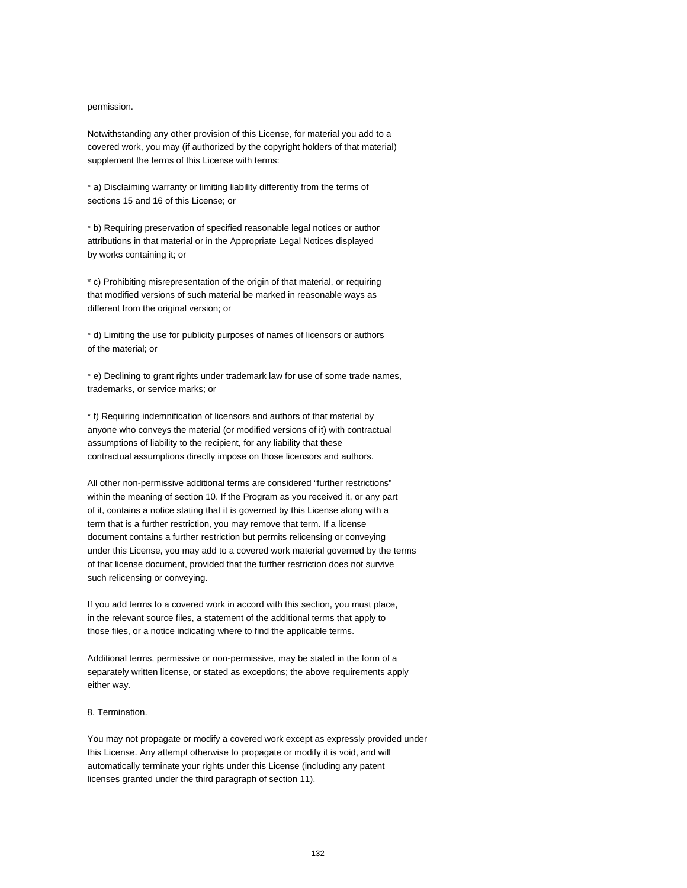#### permission.

Notwithstanding any other provision of this License, for material you add to a covered work, you may (if authorized by the copyright holders of that material) supplement the terms of this License with terms:

\* a) Disclaiming warranty or limiting liability differently from the terms of sections 15 and 16 of this License; or

\* b) Requiring preservation of specified reasonable legal notices or author attributions in that material or in the Appropriate Legal Notices displayed by works containing it; or

\* c) Prohibiting misrepresentation of the origin of that material, or requiring that modified versions of such material be marked in reasonable ways as different from the original version; or

\* d) Limiting the use for publicity purposes of names of licensors or authors of the material; or

\* e) Declining to grant rights under trademark law for use of some trade names, trademarks, or service marks; or

\* f) Requiring indemnification of licensors and authors of that material by anyone who conveys the material (or modified versions of it) with contractual assumptions of liability to the recipient, for any liability that these contractual assumptions directly impose on those licensors and authors.

All other non-permissive additional terms are considered "further restrictions" within the meaning of section 10. If the Program as you received it, or any part of it, contains a notice stating that it is governed by this License along with a term that is a further restriction, you may remove that term. If a license document contains a further restriction but permits relicensing or conveying under this License, you may add to a covered work material governed by the terms of that license document, provided that the further restriction does not survive such relicensing or conveying.

If you add terms to a covered work in accord with this section, you must place, in the relevant source files, a statement of the additional terms that apply to those files, or a notice indicating where to find the applicable terms.

Additional terms, permissive or non-permissive, may be stated in the form of a separately written license, or stated as exceptions; the above requirements apply either way.

8. Termination.

You may not propagate or modify a covered work except as expressly provided under this License. Any attempt otherwise to propagate or modify it is void, and will automatically terminate your rights under this License (including any patent licenses granted under the third paragraph of section 11).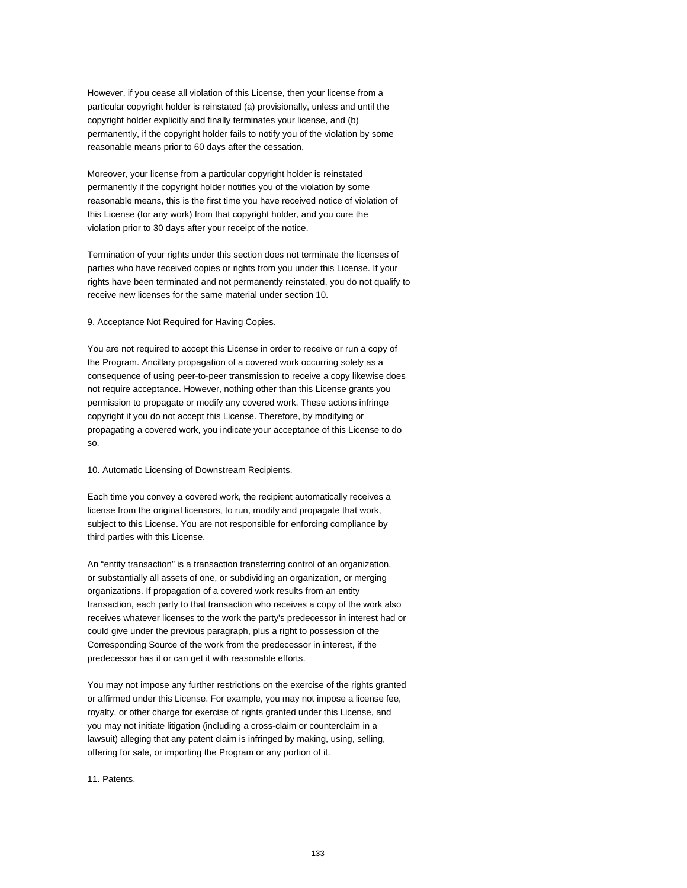However, if you cease all violation of this License, then your license from a particular copyright holder is reinstated (a) provisionally, unless and until the copyright holder explicitly and finally terminates your license, and (b) permanently, if the copyright holder fails to notify you of the violation by some reasonable means prior to 60 days after the cessation.

Moreover, your license from a particular copyright holder is reinstated permanently if the copyright holder notifies you of the violation by some reasonable means, this is the first time you have received notice of violation of this License (for any work) from that copyright holder, and you cure the violation prior to 30 days after your receipt of the notice.

Termination of your rights under this section does not terminate the licenses of parties who have received copies or rights from you under this License. If your rights have been terminated and not permanently reinstated, you do not qualify to receive new licenses for the same material under section 10.

9. Acceptance Not Required for Having Copies.

You are not required to accept this License in order to receive or run a copy of the Program. Ancillary propagation of a covered work occurring solely as a consequence of using peer-to-peer transmission to receive a copy likewise does not require acceptance. However, nothing other than this License grants you permission to propagate or modify any covered work. These actions infringe copyright if you do not accept this License. Therefore, by modifying or propagating a covered work, you indicate your acceptance of this License to do so.

10. Automatic Licensing of Downstream Recipients.

Each time you convey a covered work, the recipient automatically receives a license from the original licensors, to run, modify and propagate that work, subject to this License. You are not responsible for enforcing compliance by third parties with this License.

An "entity transaction" is a transaction transferring control of an organization, or substantially all assets of one, or subdividing an organization, or merging organizations. If propagation of a covered work results from an entity transaction, each party to that transaction who receives a copy of the work also receives whatever licenses to the work the party's predecessor in interest had or could give under the previous paragraph, plus a right to possession of the Corresponding Source of the work from the predecessor in interest, if the predecessor has it or can get it with reasonable efforts.

You may not impose any further restrictions on the exercise of the rights granted or affirmed under this License. For example, you may not impose a license fee, royalty, or other charge for exercise of rights granted under this License, and you may not initiate litigation (including a cross-claim or counterclaim in a lawsuit) alleging that any patent claim is infringed by making, using, selling, offering for sale, or importing the Program or any portion of it.

11. Patents.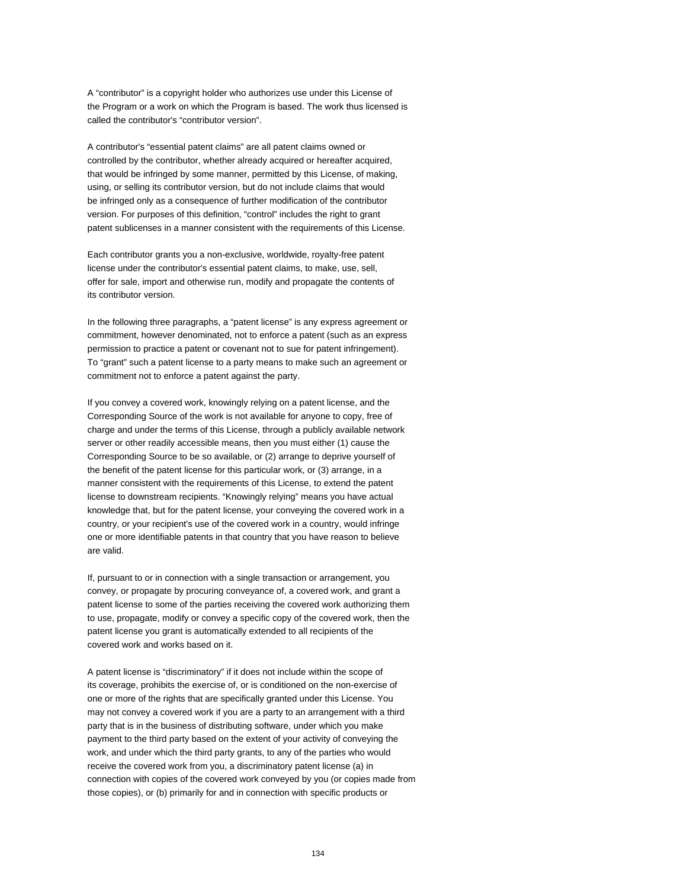A "contributor" is a copyright holder who authorizes use under this License of the Program or a work on which the Program is based. The work thus licensed is called the contributor's "contributor version".

A contributor's "essential patent claims" are all patent claims owned or controlled by the contributor, whether already acquired or hereafter acquired, that would be infringed by some manner, permitted by this License, of making, using, or selling its contributor version, but do not include claims that would be infringed only as a consequence of further modification of the contributor version. For purposes of this definition, "control" includes the right to grant patent sublicenses in a manner consistent with the requirements of this License.

Each contributor grants you a non-exclusive, worldwide, royalty-free patent license under the contributor's essential patent claims, to make, use, sell, offer for sale, import and otherwise run, modify and propagate the contents of its contributor version.

In the following three paragraphs, a "patent license" is any express agreement or commitment, however denominated, not to enforce a patent (such as an express permission to practice a patent or covenant not to sue for patent infringement). To "grant" such a patent license to a party means to make such an agreement or commitment not to enforce a patent against the party.

If you convey a covered work, knowingly relying on a patent license, and the Corresponding Source of the work is not available for anyone to copy, free of charge and under the terms of this License, through a publicly available network server or other readily accessible means, then you must either (1) cause the Corresponding Source to be so available, or (2) arrange to deprive yourself of the benefit of the patent license for this particular work, or (3) arrange, in a manner consistent with the requirements of this License, to extend the patent license to downstream recipients. "Knowingly relying" means you have actual knowledge that, but for the patent license, your conveying the covered work in a country, or your recipient's use of the covered work in a country, would infringe one or more identifiable patents in that country that you have reason to believe are valid.

If, pursuant to or in connection with a single transaction or arrangement, you convey, or propagate by procuring conveyance of, a covered work, and grant a patent license to some of the parties receiving the covered work authorizing them to use, propagate, modify or convey a specific copy of the covered work, then the patent license you grant is automatically extended to all recipients of the covered work and works based on it.

A patent license is "discriminatory" if it does not include within the scope of its coverage, prohibits the exercise of, or is conditioned on the non-exercise of one or more of the rights that are specifically granted under this License. You may not convey a covered work if you are a party to an arrangement with a third party that is in the business of distributing software, under which you make payment to the third party based on the extent of your activity of conveying the work, and under which the third party grants, to any of the parties who would receive the covered work from you, a discriminatory patent license (a) in connection with copies of the covered work conveyed by you (or copies made from those copies), or (b) primarily for and in connection with specific products or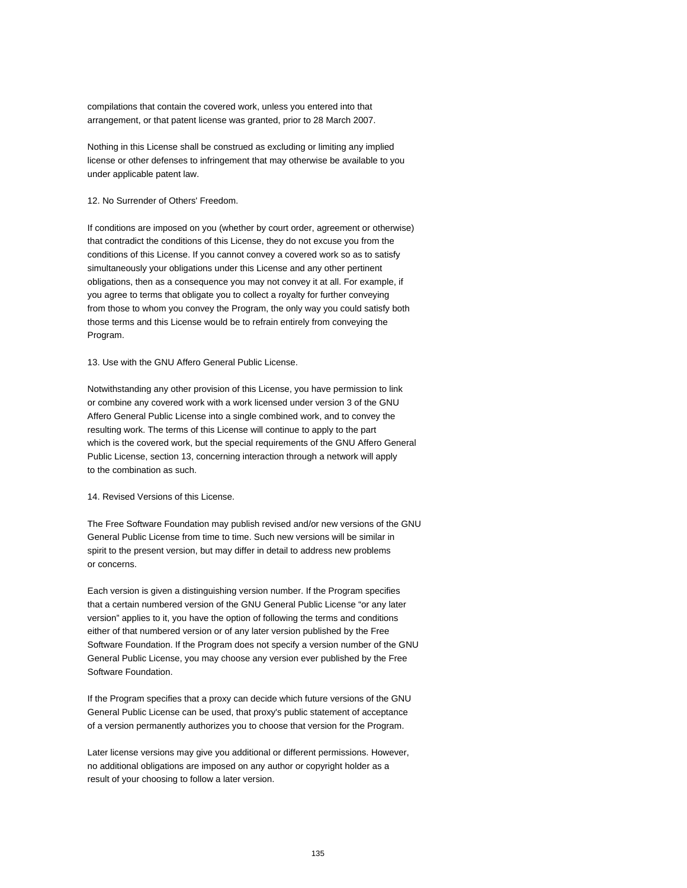compilations that contain the covered work, unless you entered into that arrangement, or that patent license was granted, prior to 28 March 2007.

Nothing in this License shall be construed as excluding or limiting any implied license or other defenses to infringement that may otherwise be available to you under applicable patent law.

#### 12. No Surrender of Others' Freedom.

If conditions are imposed on you (whether by court order, agreement or otherwise) that contradict the conditions of this License, they do not excuse you from the conditions of this License. If you cannot convey a covered work so as to satisfy simultaneously your obligations under this License and any other pertinent obligations, then as a consequence you may not convey it at all. For example, if you agree to terms that obligate you to collect a royalty for further conveying from those to whom you convey the Program, the only way you could satisfy both those terms and this License would be to refrain entirely from conveying the Program.

13. Use with the GNU Affero General Public License.

Notwithstanding any other provision of this License, you have permission to link or combine any covered work with a work licensed under version 3 of the GNU Affero General Public License into a single combined work, and to convey the resulting work. The terms of this License will continue to apply to the part which is the covered work, but the special requirements of the GNU Affero General Public License, section 13, concerning interaction through a network will apply to the combination as such.

14. Revised Versions of this License.

The Free Software Foundation may publish revised and/or new versions of the GNU General Public License from time to time. Such new versions will be similar in spirit to the present version, but may differ in detail to address new problems or concerns.

Each version is given a distinguishing version number. If the Program specifies that a certain numbered version of the GNU General Public License "or any later version" applies to it, you have the option of following the terms and conditions either of that numbered version or of any later version published by the Free Software Foundation. If the Program does not specify a version number of the GNU General Public License, you may choose any version ever published by the Free Software Foundation.

If the Program specifies that a proxy can decide which future versions of the GNU General Public License can be used, that proxy's public statement of acceptance of a version permanently authorizes you to choose that version for the Program.

Later license versions may give you additional or different permissions. However, no additional obligations are imposed on any author or copyright holder as a result of your choosing to follow a later version.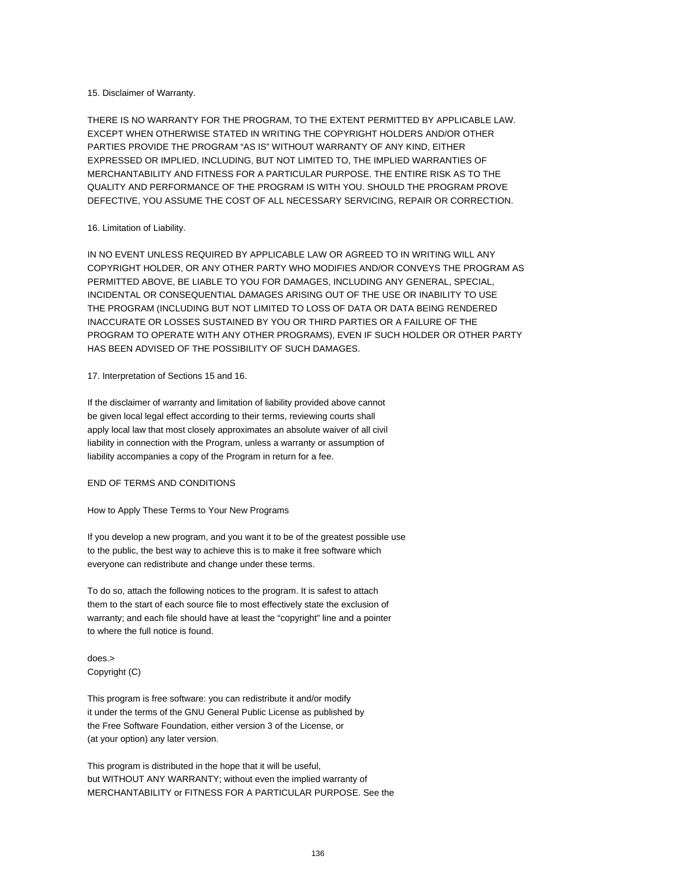### 15. Disclaimer of Warranty.

THERE IS NO WARRANTY FOR THE PROGRAM, TO THE EXTENT PERMITTED BY APPLICABLE LAW. EXCEPT WHEN OTHERWISE STATED IN WRITING THE COPYRIGHT HOLDERS AND/OR OTHER PARTIES PROVIDE THE PROGRAM "AS IS" WITHOUT WARRANTY OF ANY KIND, EITHER EXPRESSED OR IMPLIED, INCLUDING, BUT NOT LIMITED TO, THE IMPLIED WARRANTIES OF MERCHANTABILITY AND FITNESS FOR A PARTICULAR PURPOSE. THE ENTIRE RISK AS TO THE QUALITY AND PERFORMANCE OF THE PROGRAM IS WITH YOU. SHOULD THE PROGRAM PROVE DEFECTIVE, YOU ASSUME THE COST OF ALL NECESSARY SERVICING, REPAIR OR CORRECTION.

## 16. Limitation of Liability.

IN NO EVENT UNLESS REQUIRED BY APPLICABLE LAW OR AGREED TO IN WRITING WILL ANY COPYRIGHT HOLDER, OR ANY OTHER PARTY WHO MODIFIES AND/OR CONVEYS THE PROGRAM AS PERMITTED ABOVE, BE LIABLE TO YOU FOR DAMAGES, INCLUDING ANY GENERAL, SPECIAL, INCIDENTAL OR CONSEQUENTIAL DAMAGES ARISING OUT OF THE USE OR INABILITY TO USE THE PROGRAM (INCLUDING BUT NOT LIMITED TO LOSS OF DATA OR DATA BEING RENDERED INACCURATE OR LOSSES SUSTAINED BY YOU OR THIRD PARTIES OR A FAILURE OF THE PROGRAM TO OPERATE WITH ANY OTHER PROGRAMS), EVEN IF SUCH HOLDER OR OTHER PARTY HAS BEEN ADVISED OF THE POSSIBILITY OF SUCH DAMAGES.

## 17. Interpretation of Sections 15 and 16.

If the disclaimer of warranty and limitation of liability provided above cannot be given local legal effect according to their terms, reviewing courts shall apply local law that most closely approximates an absolute waiver of all civil liability in connection with the Program, unless a warranty or assumption of liability accompanies a copy of the Program in return for a fee.

## END OF TERMS AND CONDITIONS

How to Apply These Terms to Your New Programs

If you develop a new program, and you want it to be of the greatest possible use to the public, the best way to achieve this is to make it free software which everyone can redistribute and change under these terms.

To do so, attach the following notices to the program. It is safest to attach them to the start of each source file to most effectively state the exclusion of warranty; and each file should have at least the "copyright" line and a pointer to where the full notice is found.

does.> Copyright (C)

This program is free software: you can redistribute it and/or modify it under the terms of the GNU General Public License as published by the Free Software Foundation, either version 3 of the License, or (at your option) any later version.

This program is distributed in the hope that it will be useful, but WITHOUT ANY WARRANTY; without even the implied warranty of MERCHANTABILITY or FITNESS FOR A PARTICULAR PURPOSE. See the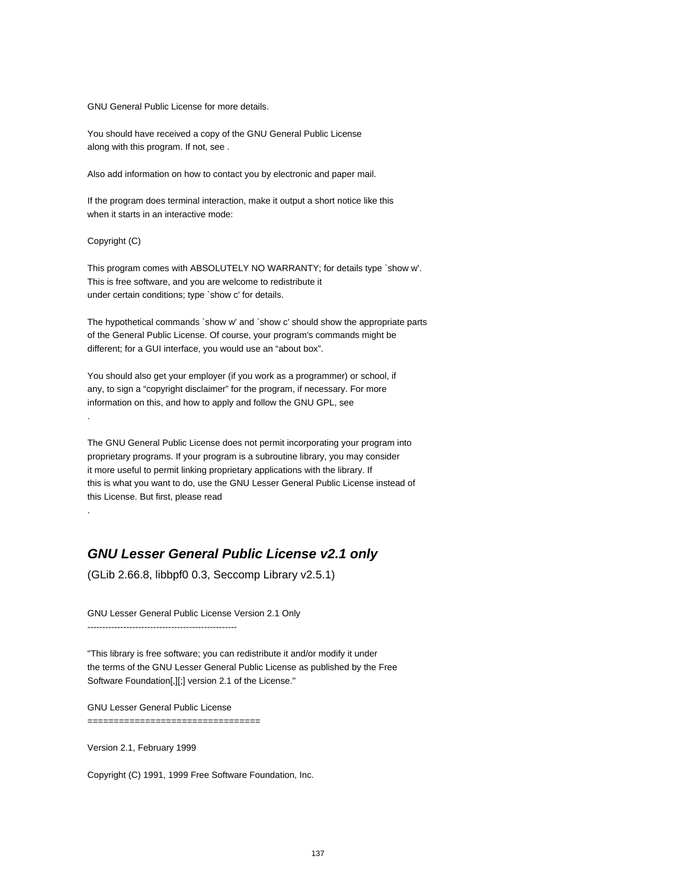GNU General Public License for more details.

You should have received a copy of the GNU General Public License along with this program. If not, see .

Also add information on how to contact you by electronic and paper mail.

If the program does terminal interaction, make it output a short notice like this when it starts in an interactive mode:

#### Copyright (C)

.

.

This program comes with ABSOLUTELY NO WARRANTY; for details type `show w'. This is free software, and you are welcome to redistribute it under certain conditions; type `show c' for details.

The hypothetical commands `show w' and `show c' should show the appropriate parts of the General Public License. Of course, your program's commands might be different; for a GUI interface, you would use an "about box".

You should also get your employer (if you work as a programmer) or school, if any, to sign a "copyright disclaimer" for the program, if necessary. For more information on this, and how to apply and follow the GNU GPL, see

The GNU General Public License does not permit incorporating your program into proprietary programs. If your program is a subroutine library, you may consider it more useful to permit linking proprietary applications with the library. If this is what you want to do, use the GNU Lesser General Public License instead of this License. But first, please read

# **GNU Lesser General Public License v2.1 only**

(GLib 2.66.8, libbpf0 0.3, Seccomp Library v2.5.1)

GNU Lesser General Public License Version 2.1 Only

--------------------------------------------------

"This library is free software; you can redistribute it and/or modify it under the terms of the GNU Lesser General Public License as published by the Free Software Foundation[,][;] version 2.1 of the License."

GNU Lesser General Public License ====================================

Version 2.1, February 1999

Copyright (C) 1991, 1999 Free Software Foundation, Inc.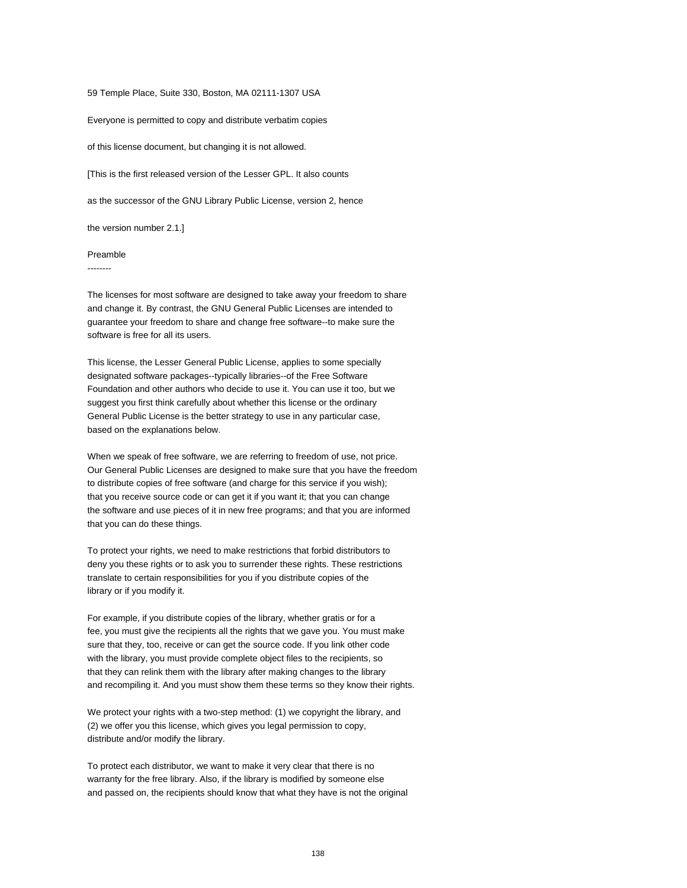59 Temple Place, Suite 330, Boston, MA 02111-1307 USA

Everyone is permitted to copy and distribute verbatim copies

of this license document, but changing it is not allowed.

[This is the first released version of the Lesser GPL. It also counts

as the successor of the GNU Library Public License, version 2, hence

the version number 2.1.]

#### Preamble

--------

The licenses for most software are designed to take away your freedom to share and change it. By contrast, the GNU General Public Licenses are intended to guarantee your freedom to share and change free software--to make sure the software is free for all its users.

This license, the Lesser General Public License, applies to some specially designated software packages--typically libraries--of the Free Software Foundation and other authors who decide to use it. You can use it too, but we suggest you first think carefully about whether this license or the ordinary General Public License is the better strategy to use in any particular case, based on the explanations below.

When we speak of free software, we are referring to freedom of use, not price. Our General Public Licenses are designed to make sure that you have the freedom to distribute copies of free software (and charge for this service if you wish); that you receive source code or can get it if you want it; that you can change the software and use pieces of it in new free programs; and that you are informed that you can do these things.

To protect your rights, we need to make restrictions that forbid distributors to deny you these rights or to ask you to surrender these rights. These restrictions translate to certain responsibilities for you if you distribute copies of the library or if you modify it.

For example, if you distribute copies of the library, whether gratis or for a fee, you must give the recipients all the rights that we gave you. You must make sure that they, too, receive or can get the source code. If you link other code with the library, you must provide complete object files to the recipients, so that they can relink them with the library after making changes to the library and recompiling it. And you must show them these terms so they know their rights.

We protect your rights with a two-step method: (1) we copyright the library, and (2) we offer you this license, which gives you legal permission to copy, distribute and/or modify the library.

To protect each distributor, we want to make it very clear that there is no warranty for the free library. Also, if the library is modified by someone else and passed on, the recipients should know that what they have is not the original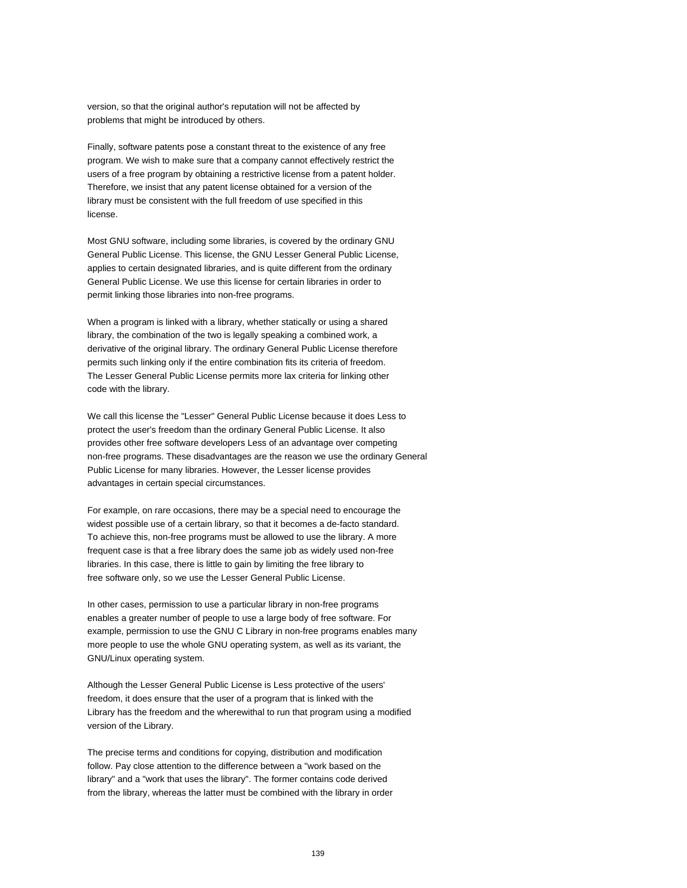version, so that the original author's reputation will not be affected by problems that might be introduced by others.

Finally, software patents pose a constant threat to the existence of any free program. We wish to make sure that a company cannot effectively restrict the users of a free program by obtaining a restrictive license from a patent holder. Therefore, we insist that any patent license obtained for a version of the library must be consistent with the full freedom of use specified in this license.

Most GNU software, including some libraries, is covered by the ordinary GNU General Public License. This license, the GNU Lesser General Public License, applies to certain designated libraries, and is quite different from the ordinary General Public License. We use this license for certain libraries in order to permit linking those libraries into non-free programs.

When a program is linked with a library, whether statically or using a shared library, the combination of the two is legally speaking a combined work, a derivative of the original library. The ordinary General Public License therefore permits such linking only if the entire combination fits its criteria of freedom. The Lesser General Public License permits more lax criteria for linking other code with the library.

We call this license the "Lesser" General Public License because it does Less to protect the user's freedom than the ordinary General Public License. It also provides other free software developers Less of an advantage over competing non-free programs. These disadvantages are the reason we use the ordinary General Public License for many libraries. However, the Lesser license provides advantages in certain special circumstances.

For example, on rare occasions, there may be a special need to encourage the widest possible use of a certain library, so that it becomes a de-facto standard. To achieve this, non-free programs must be allowed to use the library. A more frequent case is that a free library does the same job as widely used non-free libraries. In this case, there is little to gain by limiting the free library to free software only, so we use the Lesser General Public License.

In other cases, permission to use a particular library in non-free programs enables a greater number of people to use a large body of free software. For example, permission to use the GNU C Library in non-free programs enables many more people to use the whole GNU operating system, as well as its variant, the GNU/Linux operating system.

Although the Lesser General Public License is Less protective of the users' freedom, it does ensure that the user of a program that is linked with the Library has the freedom and the wherewithal to run that program using a modified version of the Library.

The precise terms and conditions for copying, distribution and modification follow. Pay close attention to the difference between a "work based on the library" and a "work that uses the library". The former contains code derived from the library, whereas the latter must be combined with the library in order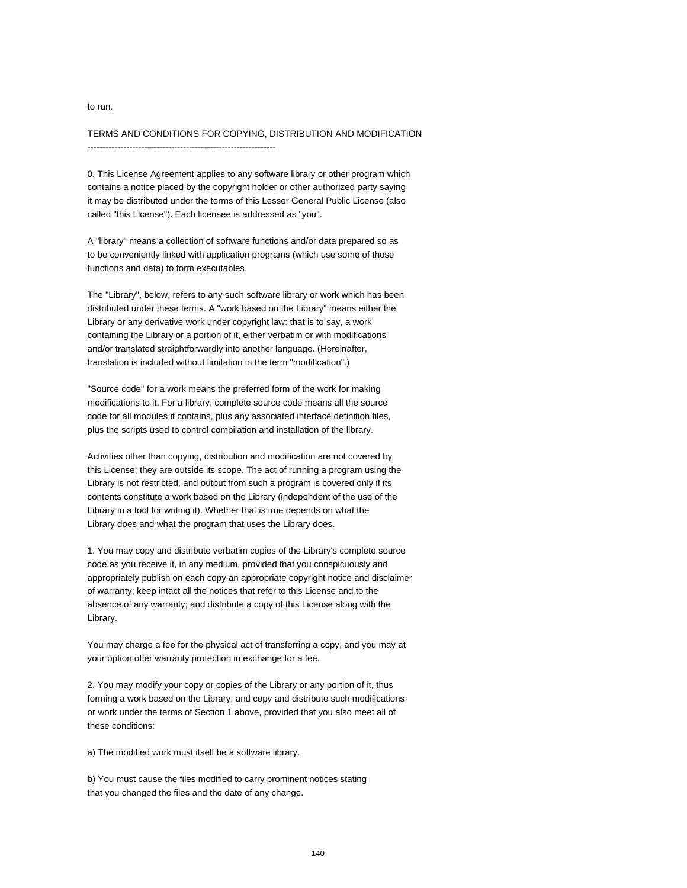to run.

TERMS AND CONDITIONS FOR COPYING, DISTRIBUTION AND MODIFICATION ---------------------------------------------------------------

0. This License Agreement applies to any software library or other program which contains a notice placed by the copyright holder or other authorized party saying it may be distributed under the terms of this Lesser General Public License (also called "this License"). Each licensee is addressed as "you".

A "library" means a collection of software functions and/or data prepared so as to be conveniently linked with application programs (which use some of those functions and data) to form executables.

The "Library", below, refers to any such software library or work which has been distributed under these terms. A "work based on the Library" means either the Library or any derivative work under copyright law: that is to say, a work containing the Library or a portion of it, either verbatim or with modifications and/or translated straightforwardly into another language. (Hereinafter, translation is included without limitation in the term "modification".)

"Source code" for a work means the preferred form of the work for making modifications to it. For a library, complete source code means all the source code for all modules it contains, plus any associated interface definition files, plus the scripts used to control compilation and installation of the library.

Activities other than copying, distribution and modification are not covered by this License; they are outside its scope. The act of running a program using the Library is not restricted, and output from such a program is covered only if its contents constitute a work based on the Library (independent of the use of the Library in a tool for writing it). Whether that is true depends on what the Library does and what the program that uses the Library does.

1. You may copy and distribute verbatim copies of the Library's complete source code as you receive it, in any medium, provided that you conspicuously and appropriately publish on each copy an appropriate copyright notice and disclaimer of warranty; keep intact all the notices that refer to this License and to the absence of any warranty; and distribute a copy of this License along with the Library.

You may charge a fee for the physical act of transferring a copy, and you may at your option offer warranty protection in exchange for a fee.

2. You may modify your copy or copies of the Library or any portion of it, thus forming a work based on the Library, and copy and distribute such modifications or work under the terms of Section 1 above, provided that you also meet all of these conditions:

a) The modified work must itself be a software library.

b) You must cause the files modified to carry prominent notices stating that you changed the files and the date of any change.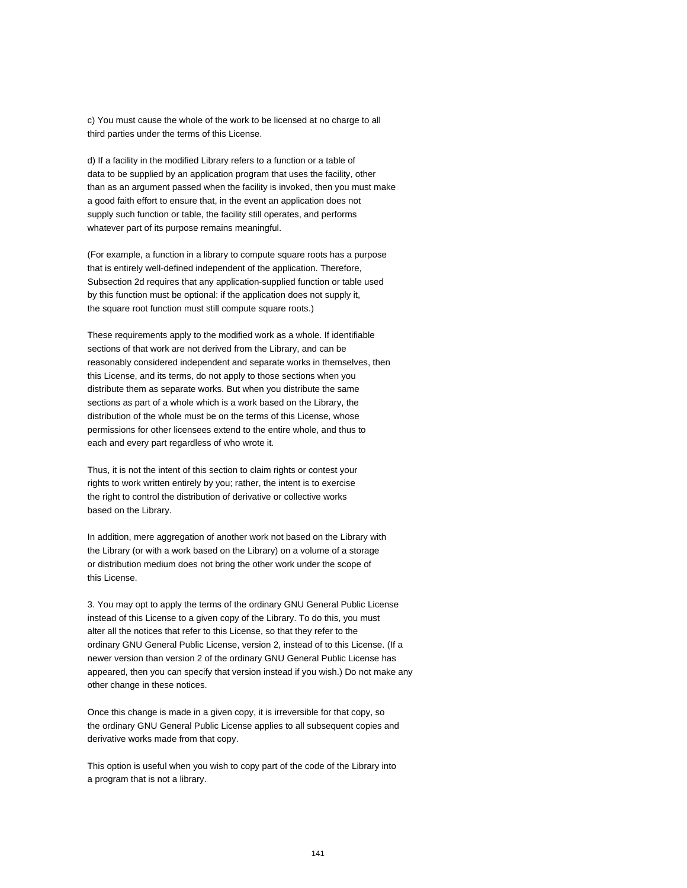c) You must cause the whole of the work to be licensed at no charge to all third parties under the terms of this License.

d) If a facility in the modified Library refers to a function or a table of data to be supplied by an application program that uses the facility, other than as an argument passed when the facility is invoked, then you must make a good faith effort to ensure that, in the event an application does not supply such function or table, the facility still operates, and performs whatever part of its purpose remains meaningful.

(For example, a function in a library to compute square roots has a purpose that is entirely well-defined independent of the application. Therefore, Subsection 2d requires that any application-supplied function or table used by this function must be optional: if the application does not supply it, the square root function must still compute square roots.)

These requirements apply to the modified work as a whole. If identifiable sections of that work are not derived from the Library, and can be reasonably considered independent and separate works in themselves, then this License, and its terms, do not apply to those sections when you distribute them as separate works. But when you distribute the same sections as part of a whole which is a work based on the Library, the distribution of the whole must be on the terms of this License, whose permissions for other licensees extend to the entire whole, and thus to each and every part regardless of who wrote it.

Thus, it is not the intent of this section to claim rights or contest your rights to work written entirely by you; rather, the intent is to exercise the right to control the distribution of derivative or collective works based on the Library.

In addition, mere aggregation of another work not based on the Library with the Library (or with a work based on the Library) on a volume of a storage or distribution medium does not bring the other work under the scope of this License.

3. You may opt to apply the terms of the ordinary GNU General Public License instead of this License to a given copy of the Library. To do this, you must alter all the notices that refer to this License, so that they refer to the ordinary GNU General Public License, version 2, instead of to this License. (If a newer version than version 2 of the ordinary GNU General Public License has appeared, then you can specify that version instead if you wish.) Do not make any other change in these notices.

Once this change is made in a given copy, it is irreversible for that copy, so the ordinary GNU General Public License applies to all subsequent copies and derivative works made from that copy.

This option is useful when you wish to copy part of the code of the Library into a program that is not a library.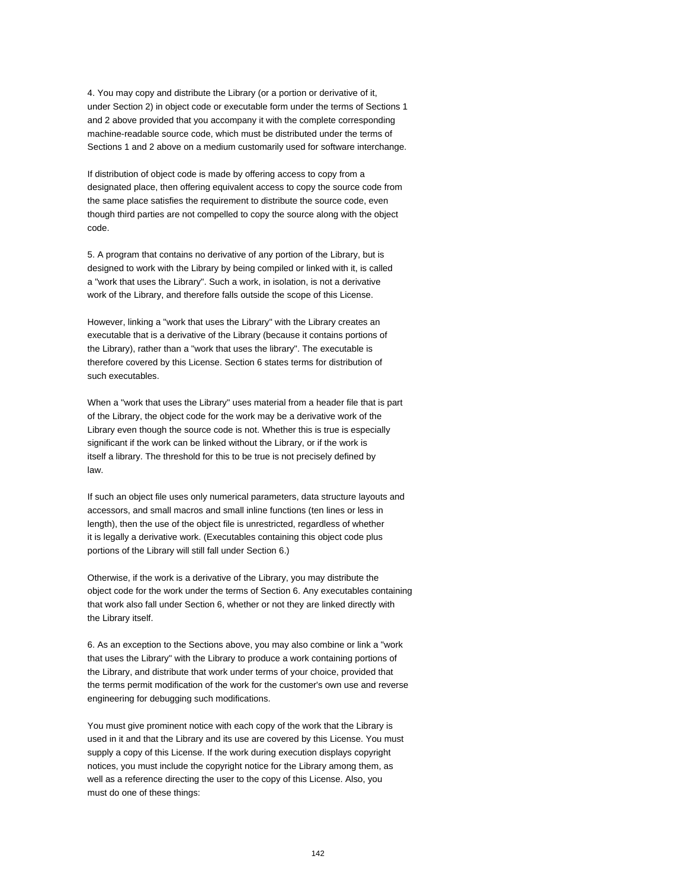4. You may copy and distribute the Library (or a portion or derivative of it, under Section 2) in object code or executable form under the terms of Sections 1 and 2 above provided that you accompany it with the complete corresponding machine-readable source code, which must be distributed under the terms of Sections 1 and 2 above on a medium customarily used for software interchange.

If distribution of object code is made by offering access to copy from a designated place, then offering equivalent access to copy the source code from the same place satisfies the requirement to distribute the source code, even though third parties are not compelled to copy the source along with the object code.

5. A program that contains no derivative of any portion of the Library, but is designed to work with the Library by being compiled or linked with it, is called a "work that uses the Library". Such a work, in isolation, is not a derivative work of the Library, and therefore falls outside the scope of this License.

However, linking a "work that uses the Library" with the Library creates an executable that is a derivative of the Library (because it contains portions of the Library), rather than a "work that uses the library". The executable is therefore covered by this License. Section 6 states terms for distribution of such executables.

When a "work that uses the Library" uses material from a header file that is part of the Library, the object code for the work may be a derivative work of the Library even though the source code is not. Whether this is true is especially significant if the work can be linked without the Library, or if the work is itself a library. The threshold for this to be true is not precisely defined by law.

If such an object file uses only numerical parameters, data structure layouts and accessors, and small macros and small inline functions (ten lines or less in length), then the use of the object file is unrestricted, regardless of whether it is legally a derivative work. (Executables containing this object code plus portions of the Library will still fall under Section 6.)

Otherwise, if the work is a derivative of the Library, you may distribute the object code for the work under the terms of Section 6. Any executables containing that work also fall under Section 6, whether or not they are linked directly with the Library itself.

6. As an exception to the Sections above, you may also combine or link a "work that uses the Library" with the Library to produce a work containing portions of the Library, and distribute that work under terms of your choice, provided that the terms permit modification of the work for the customer's own use and reverse engineering for debugging such modifications.

You must give prominent notice with each copy of the work that the Library is used in it and that the Library and its use are covered by this License. You must supply a copy of this License. If the work during execution displays copyright notices, you must include the copyright notice for the Library among them, as well as a reference directing the user to the copy of this License. Also, you must do one of these things: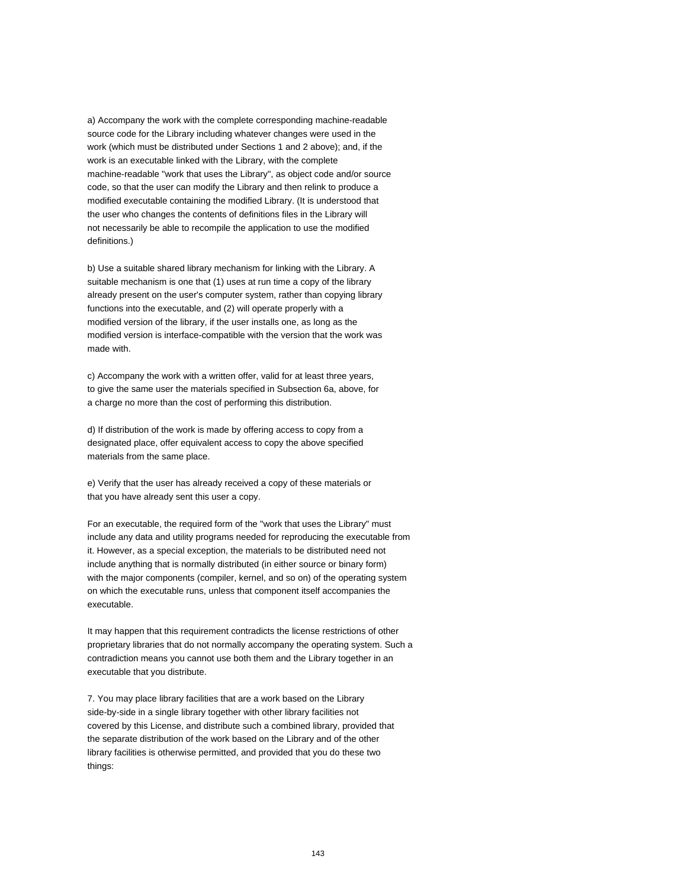a) Accompany the work with the complete corresponding machine-readable source code for the Library including whatever changes were used in the work (which must be distributed under Sections 1 and 2 above); and, if the work is an executable linked with the Library, with the complete machine-readable "work that uses the Library", as object code and/or source code, so that the user can modify the Library and then relink to produce a modified executable containing the modified Library. (It is understood that the user who changes the contents of definitions files in the Library will not necessarily be able to recompile the application to use the modified definitions.)

b) Use a suitable shared library mechanism for linking with the Library. A suitable mechanism is one that (1) uses at run time a copy of the library already present on the user's computer system, rather than copying library functions into the executable, and (2) will operate properly with a modified version of the library, if the user installs one, as long as the modified version is interface-compatible with the version that the work was made with.

c) Accompany the work with a written offer, valid for at least three years, to give the same user the materials specified in Subsection 6a, above, for a charge no more than the cost of performing this distribution.

d) If distribution of the work is made by offering access to copy from a designated place, offer equivalent access to copy the above specified materials from the same place.

e) Verify that the user has already received a copy of these materials or that you have already sent this user a copy.

For an executable, the required form of the "work that uses the Library" must include any data and utility programs needed for reproducing the executable from it. However, as a special exception, the materials to be distributed need not include anything that is normally distributed (in either source or binary form) with the major components (compiler, kernel, and so on) of the operating system on which the executable runs, unless that component itself accompanies the executable.

It may happen that this requirement contradicts the license restrictions of other proprietary libraries that do not normally accompany the operating system. Such a contradiction means you cannot use both them and the Library together in an executable that you distribute.

7. You may place library facilities that are a work based on the Library side-by-side in a single library together with other library facilities not covered by this License, and distribute such a combined library, provided that the separate distribution of the work based on the Library and of the other library facilities is otherwise permitted, and provided that you do these two things: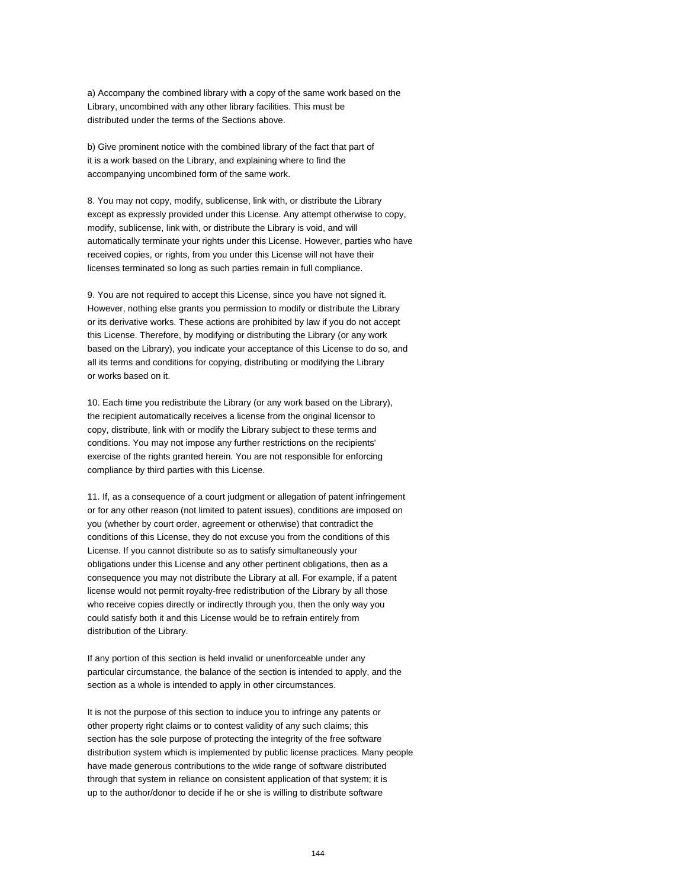a) Accompany the combined library with a copy of the same work based on the Library, uncombined with any other library facilities. This must be distributed under the terms of the Sections above.

b) Give prominent notice with the combined library of the fact that part of it is a work based on the Library, and explaining where to find the accompanying uncombined form of the same work.

8. You may not copy, modify, sublicense, link with, or distribute the Library except as expressly provided under this License. Any attempt otherwise to copy, modify, sublicense, link with, or distribute the Library is void, and will automatically terminate your rights under this License. However, parties who have received copies, or rights, from you under this License will not have their licenses terminated so long as such parties remain in full compliance.

9. You are not required to accept this License, since you have not signed it. However, nothing else grants you permission to modify or distribute the Library or its derivative works. These actions are prohibited by law if you do not accept this License. Therefore, by modifying or distributing the Library (or any work based on the Library), you indicate your acceptance of this License to do so, and all its terms and conditions for copying, distributing or modifying the Library or works based on it.

10. Each time you redistribute the Library (or any work based on the Library), the recipient automatically receives a license from the original licensor to copy, distribute, link with or modify the Library subject to these terms and conditions. You may not impose any further restrictions on the recipients' exercise of the rights granted herein. You are not responsible for enforcing compliance by third parties with this License.

11. If, as a consequence of a court judgment or allegation of patent infringement or for any other reason (not limited to patent issues), conditions are imposed on you (whether by court order, agreement or otherwise) that contradict the conditions of this License, they do not excuse you from the conditions of this License. If you cannot distribute so as to satisfy simultaneously your obligations under this License and any other pertinent obligations, then as a consequence you may not distribute the Library at all. For example, if a patent license would not permit royalty-free redistribution of the Library by all those who receive copies directly or indirectly through you, then the only way you could satisfy both it and this License would be to refrain entirely from distribution of the Library.

If any portion of this section is held invalid or unenforceable under any particular circumstance, the balance of the section is intended to apply, and the section as a whole is intended to apply in other circumstances.

It is not the purpose of this section to induce you to infringe any patents or other property right claims or to contest validity of any such claims; this section has the sole purpose of protecting the integrity of the free software distribution system which is implemented by public license practices. Many people have made generous contributions to the wide range of software distributed through that system in reliance on consistent application of that system; it is up to the author/donor to decide if he or she is willing to distribute software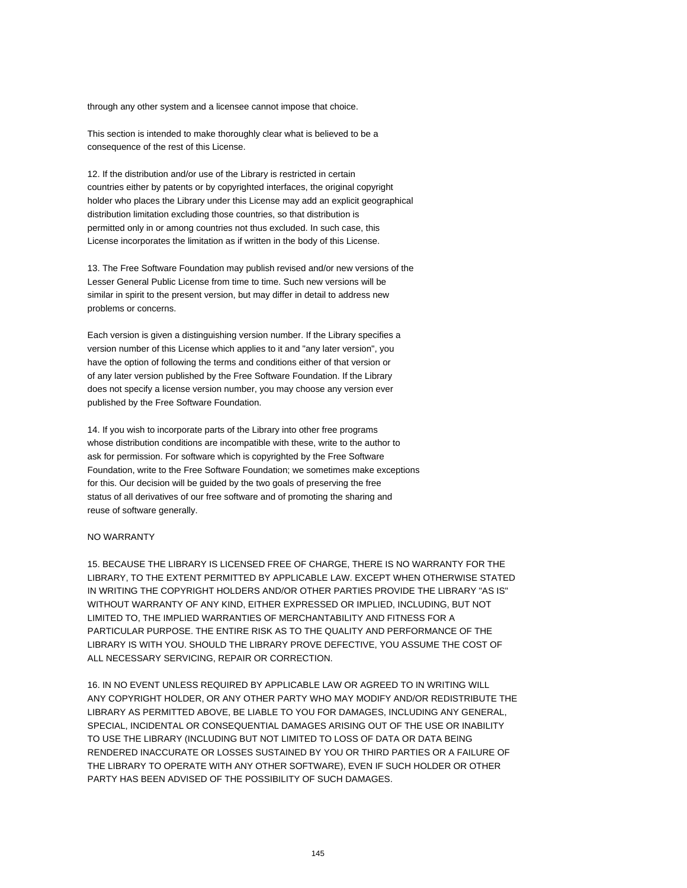through any other system and a licensee cannot impose that choice.

This section is intended to make thoroughly clear what is believed to be a consequence of the rest of this License.

12. If the distribution and/or use of the Library is restricted in certain countries either by patents or by copyrighted interfaces, the original copyright holder who places the Library under this License may add an explicit geographical distribution limitation excluding those countries, so that distribution is permitted only in or among countries not thus excluded. In such case, this License incorporates the limitation as if written in the body of this License.

13. The Free Software Foundation may publish revised and/or new versions of the Lesser General Public License from time to time. Such new versions will be similar in spirit to the present version, but may differ in detail to address new problems or concerns.

Each version is given a distinguishing version number. If the Library specifies a version number of this License which applies to it and "any later version", you have the option of following the terms and conditions either of that version or of any later version published by the Free Software Foundation. If the Library does not specify a license version number, you may choose any version ever published by the Free Software Foundation.

14. If you wish to incorporate parts of the Library into other free programs whose distribution conditions are incompatible with these, write to the author to ask for permission. For software which is copyrighted by the Free Software Foundation, write to the Free Software Foundation; we sometimes make exceptions for this. Our decision will be guided by the two goals of preserving the free status of all derivatives of our free software and of promoting the sharing and reuse of software generally.

## NO WARRANTY

15. BECAUSE THE LIBRARY IS LICENSED FREE OF CHARGE, THERE IS NO WARRANTY FOR THE LIBRARY, TO THE EXTENT PERMITTED BY APPLICABLE LAW. EXCEPT WHEN OTHERWISE STATED IN WRITING THE COPYRIGHT HOLDERS AND/OR OTHER PARTIES PROVIDE THE LIBRARY "AS IS" WITHOUT WARRANTY OF ANY KIND, EITHER EXPRESSED OR IMPLIED, INCLUDING, BUT NOT LIMITED TO, THE IMPLIED WARRANTIES OF MERCHANTABILITY AND FITNESS FOR A PARTICULAR PURPOSE. THE ENTIRE RISK AS TO THE QUALITY AND PERFORMANCE OF THE LIBRARY IS WITH YOU. SHOULD THE LIBRARY PROVE DEFECTIVE, YOU ASSUME THE COST OF ALL NECESSARY SERVICING, REPAIR OR CORRECTION.

16. IN NO EVENT UNLESS REQUIRED BY APPLICABLE LAW OR AGREED TO IN WRITING WILL ANY COPYRIGHT HOLDER, OR ANY OTHER PARTY WHO MAY MODIFY AND/OR REDISTRIBUTE THE LIBRARY AS PERMITTED ABOVE, BE LIABLE TO YOU FOR DAMAGES, INCLUDING ANY GENERAL, SPECIAL, INCIDENTAL OR CONSEQUENTIAL DAMAGES ARISING OUT OF THE USE OR INABILITY TO USE THE LIBRARY (INCLUDING BUT NOT LIMITED TO LOSS OF DATA OR DATA BEING RENDERED INACCURATE OR LOSSES SUSTAINED BY YOU OR THIRD PARTIES OR A FAILURE OF THE LIBRARY TO OPERATE WITH ANY OTHER SOFTWARE), EVEN IF SUCH HOLDER OR OTHER PARTY HAS BEEN ADVISED OF THE POSSIBILITY OF SUCH DAMAGES.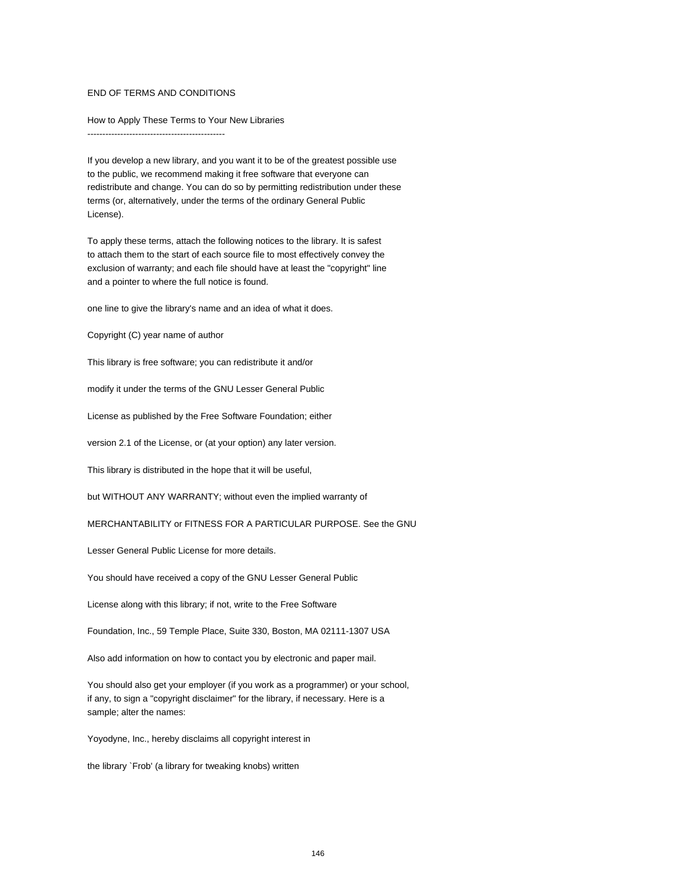## END OF TERMS AND CONDITIONS

How to Apply These Terms to Your New Libraries ----------------------------------------------

If you develop a new library, and you want it to be of the greatest possible use to the public, we recommend making it free software that everyone can redistribute and change. You can do so by permitting redistribution under these terms (or, alternatively, under the terms of the ordinary General Public License).

To apply these terms, attach the following notices to the library. It is safest to attach them to the start of each source file to most effectively convey the exclusion of warranty; and each file should have at least the "copyright" line and a pointer to where the full notice is found.

one line to give the library's name and an idea of what it does.

Copyright (C) year name of author

This library is free software; you can redistribute it and/or

modify it under the terms of the GNU Lesser General Public

License as published by the Free Software Foundation; either

version 2.1 of the License, or (at your option) any later version.

This library is distributed in the hope that it will be useful,

but WITHOUT ANY WARRANTY; without even the implied warranty of

MERCHANTABILITY or FITNESS FOR A PARTICULAR PURPOSE. See the GNU

Lesser General Public License for more details.

You should have received a copy of the GNU Lesser General Public

License along with this library; if not, write to the Free Software

Foundation, Inc., 59 Temple Place, Suite 330, Boston, MA 02111-1307 USA

Also add information on how to contact you by electronic and paper mail.

You should also get your employer (if you work as a programmer) or your school, if any, to sign a "copyright disclaimer" for the library, if necessary. Here is a sample; alter the names:

Yoyodyne, Inc., hereby disclaims all copyright interest in

the library `Frob' (a library for tweaking knobs) written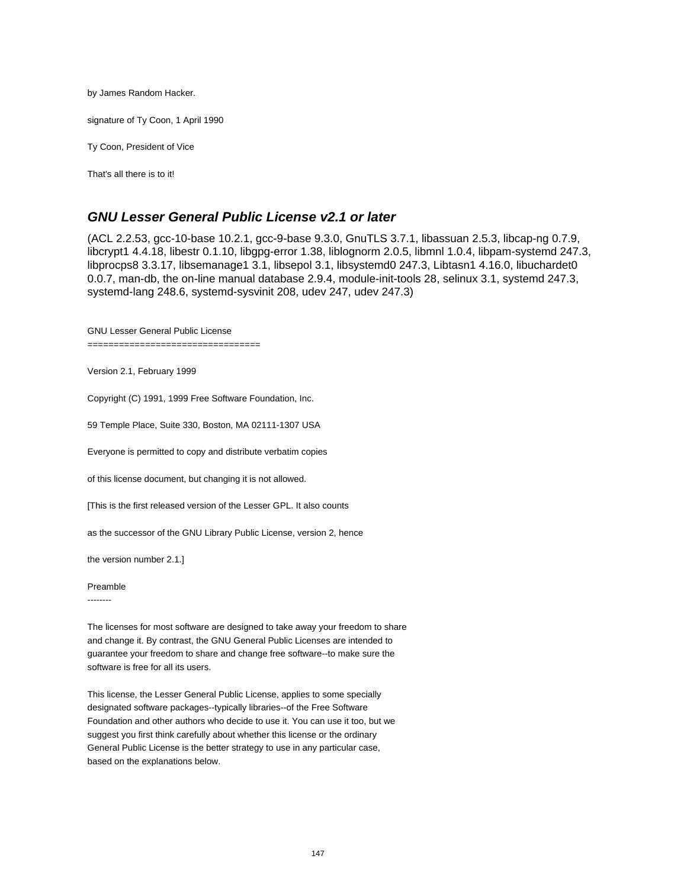by James Random Hacker.

signature of Ty Coon, 1 April 1990

Ty Coon, President of Vice

That's all there is to it!

# **GNU Lesser General Public License v2.1 or later**

(ACL 2.2.53, gcc-10-base 10.2.1, gcc-9-base 9.3.0, GnuTLS 3.7.1, libassuan 2.5.3, libcap-ng 0.7.9, libcrypt1 4.4.18, libestr 0.1.10, libgpg-error 1.38, liblognorm 2.0.5, libmnl 1.0.4, libpam-systemd 247.3, libprocps8 3.3.17, libsemanage1 3.1, libsepol 3.1, libsystemd0 247.3, Libtasn1 4.16.0, libuchardet0 0.0.7, man-db, the on-line manual database 2.9.4, module-init-tools 28, selinux 3.1, systemd 247.3, systemd-lang 248.6, systemd-sysvinit 208, udev 247, udev 247.3)

GNU Lesser General Public License

====================================

Version 2.1, February 1999

Copyright (C) 1991, 1999 Free Software Foundation, Inc.

59 Temple Place, Suite 330, Boston, MA 02111-1307 USA

Everyone is permitted to copy and distribute verbatim copies

of this license document, but changing it is not allowed.

[This is the first released version of the Lesser GPL. It also counts

as the successor of the GNU Library Public License, version 2, hence

the version number 2.1.]

#### Preamble

--------

The licenses for most software are designed to take away your freedom to share and change it. By contrast, the GNU General Public Licenses are intended to guarantee your freedom to share and change free software--to make sure the software is free for all its users.

This license, the Lesser General Public License, applies to some specially designated software packages--typically libraries--of the Free Software Foundation and other authors who decide to use it. You can use it too, but we suggest you first think carefully about whether this license or the ordinary General Public License is the better strategy to use in any particular case, based on the explanations below.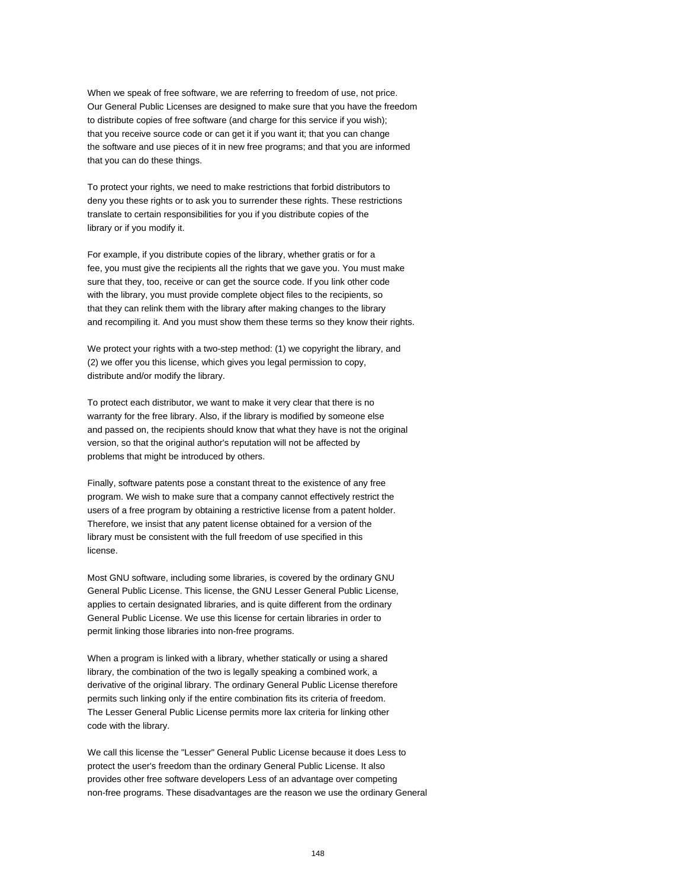When we speak of free software, we are referring to freedom of use, not price. Our General Public Licenses are designed to make sure that you have the freedom to distribute copies of free software (and charge for this service if you wish); that you receive source code or can get it if you want it; that you can change the software and use pieces of it in new free programs; and that you are informed that you can do these things.

To protect your rights, we need to make restrictions that forbid distributors to deny you these rights or to ask you to surrender these rights. These restrictions translate to certain responsibilities for you if you distribute copies of the library or if you modify it.

For example, if you distribute copies of the library, whether gratis or for a fee, you must give the recipients all the rights that we gave you. You must make sure that they, too, receive or can get the source code. If you link other code with the library, you must provide complete object files to the recipients, so that they can relink them with the library after making changes to the library and recompiling it. And you must show them these terms so they know their rights.

We protect your rights with a two-step method: (1) we copyright the library, and (2) we offer you this license, which gives you legal permission to copy, distribute and/or modify the library.

To protect each distributor, we want to make it very clear that there is no warranty for the free library. Also, if the library is modified by someone else and passed on, the recipients should know that what they have is not the original version, so that the original author's reputation will not be affected by problems that might be introduced by others.

Finally, software patents pose a constant threat to the existence of any free program. We wish to make sure that a company cannot effectively restrict the users of a free program by obtaining a restrictive license from a patent holder. Therefore, we insist that any patent license obtained for a version of the library must be consistent with the full freedom of use specified in this license.

Most GNU software, including some libraries, is covered by the ordinary GNU General Public License. This license, the GNU Lesser General Public License, applies to certain designated libraries, and is quite different from the ordinary General Public License. We use this license for certain libraries in order to permit linking those libraries into non-free programs.

When a program is linked with a library, whether statically or using a shared library, the combination of the two is legally speaking a combined work, a derivative of the original library. The ordinary General Public License therefore permits such linking only if the entire combination fits its criteria of freedom. The Lesser General Public License permits more lax criteria for linking other code with the library.

We call this license the "Lesser" General Public License because it does Less to protect the user's freedom than the ordinary General Public License. It also provides other free software developers Less of an advantage over competing non-free programs. These disadvantages are the reason we use the ordinary General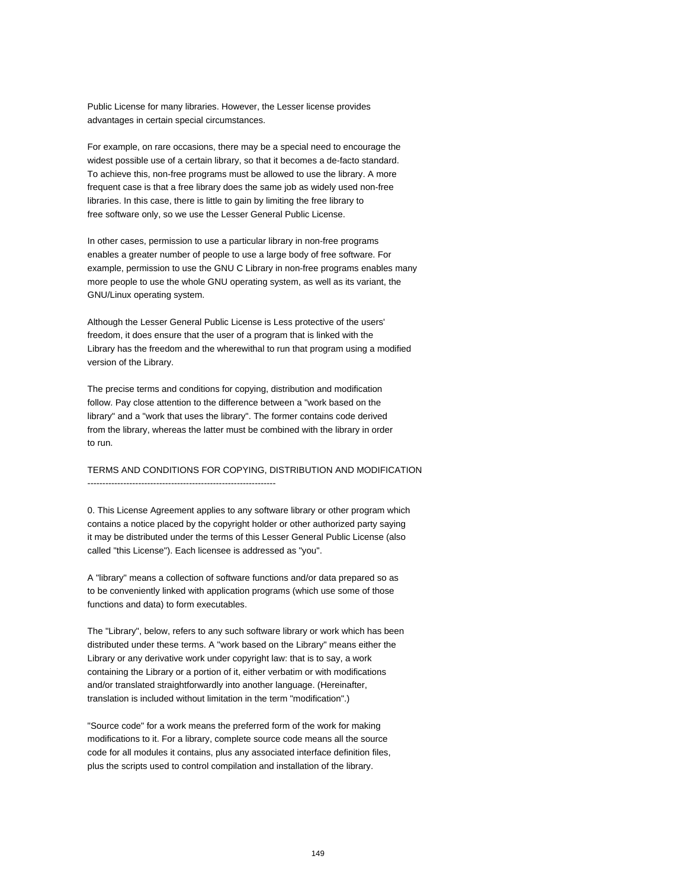Public License for many libraries. However, the Lesser license provides advantages in certain special circumstances.

For example, on rare occasions, there may be a special need to encourage the widest possible use of a certain library, so that it becomes a de-facto standard. To achieve this, non-free programs must be allowed to use the library. A more frequent case is that a free library does the same job as widely used non-free libraries. In this case, there is little to gain by limiting the free library to free software only, so we use the Lesser General Public License.

In other cases, permission to use a particular library in non-free programs enables a greater number of people to use a large body of free software. For example, permission to use the GNU C Library in non-free programs enables many more people to use the whole GNU operating system, as well as its variant, the GNU/Linux operating system.

Although the Lesser General Public License is Less protective of the users' freedom, it does ensure that the user of a program that is linked with the Library has the freedom and the wherewithal to run that program using a modified version of the Library.

The precise terms and conditions for copying, distribution and modification follow. Pay close attention to the difference between a "work based on the library" and a "work that uses the library". The former contains code derived from the library, whereas the latter must be combined with the library in order to run.

TERMS AND CONDITIONS FOR COPYING, DISTRIBUTION AND MODIFICATION ---------------------------------------------------------------

0. This License Agreement applies to any software library or other program which contains a notice placed by the copyright holder or other authorized party saying it may be distributed under the terms of this Lesser General Public License (also called "this License"). Each licensee is addressed as "you".

A "library" means a collection of software functions and/or data prepared so as to be conveniently linked with application programs (which use some of those functions and data) to form executables.

The "Library", below, refers to any such software library or work which has been distributed under these terms. A "work based on the Library" means either the Library or any derivative work under copyright law: that is to say, a work containing the Library or a portion of it, either verbatim or with modifications and/or translated straightforwardly into another language. (Hereinafter, translation is included without limitation in the term "modification".)

"Source code" for a work means the preferred form of the work for making modifications to it. For a library, complete source code means all the source code for all modules it contains, plus any associated interface definition files, plus the scripts used to control compilation and installation of the library.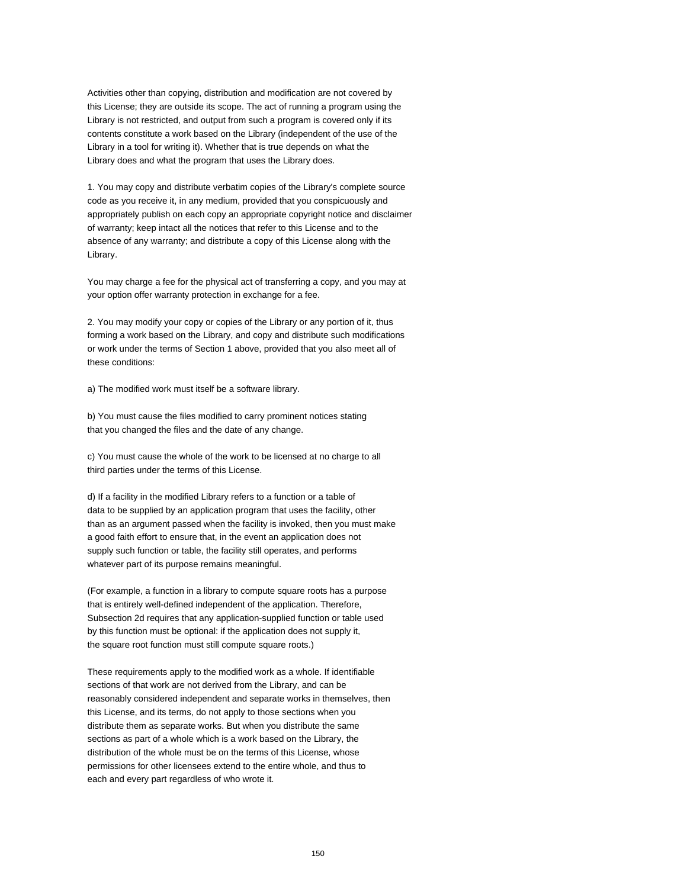Activities other than copying, distribution and modification are not covered by this License; they are outside its scope. The act of running a program using the Library is not restricted, and output from such a program is covered only if its contents constitute a work based on the Library (independent of the use of the Library in a tool for writing it). Whether that is true depends on what the Library does and what the program that uses the Library does.

1. You may copy and distribute verbatim copies of the Library's complete source code as you receive it, in any medium, provided that you conspicuously and appropriately publish on each copy an appropriate copyright notice and disclaimer of warranty; keep intact all the notices that refer to this License and to the absence of any warranty; and distribute a copy of this License along with the Library.

You may charge a fee for the physical act of transferring a copy, and you may at your option offer warranty protection in exchange for a fee.

2. You may modify your copy or copies of the Library or any portion of it, thus forming a work based on the Library, and copy and distribute such modifications or work under the terms of Section 1 above, provided that you also meet all of these conditions:

a) The modified work must itself be a software library.

b) You must cause the files modified to carry prominent notices stating that you changed the files and the date of any change.

c) You must cause the whole of the work to be licensed at no charge to all third parties under the terms of this License.

d) If a facility in the modified Library refers to a function or a table of data to be supplied by an application program that uses the facility, other than as an argument passed when the facility is invoked, then you must make a good faith effort to ensure that, in the event an application does not supply such function or table, the facility still operates, and performs whatever part of its purpose remains meaningful.

(For example, a function in a library to compute square roots has a purpose that is entirely well-defined independent of the application. Therefore, Subsection 2d requires that any application-supplied function or table used by this function must be optional: if the application does not supply it, the square root function must still compute square roots.)

These requirements apply to the modified work as a whole. If identifiable sections of that work are not derived from the Library, and can be reasonably considered independent and separate works in themselves, then this License, and its terms, do not apply to those sections when you distribute them as separate works. But when you distribute the same sections as part of a whole which is a work based on the Library, the distribution of the whole must be on the terms of this License, whose permissions for other licensees extend to the entire whole, and thus to each and every part regardless of who wrote it.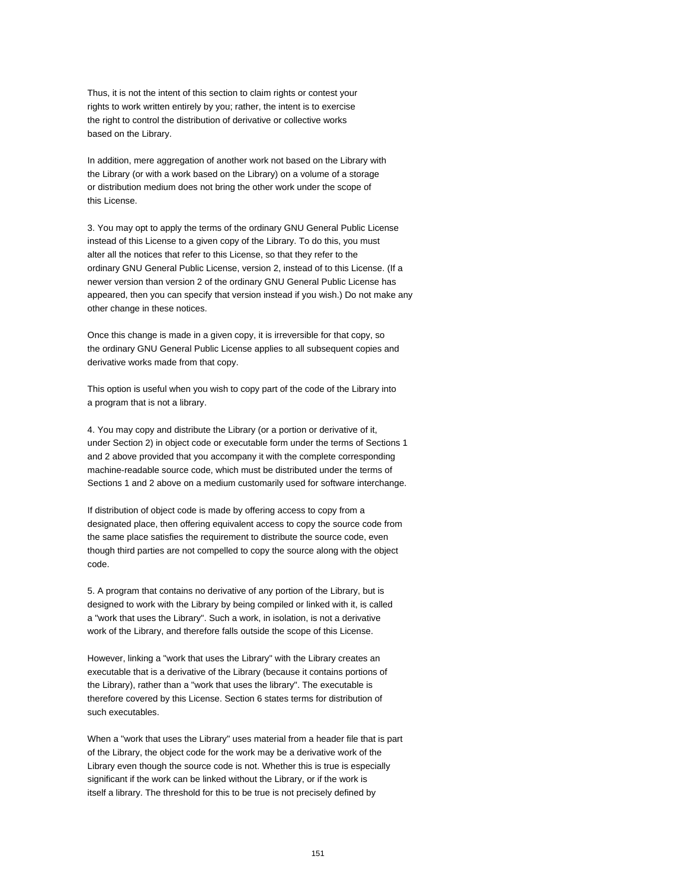Thus, it is not the intent of this section to claim rights or contest your rights to work written entirely by you; rather, the intent is to exercise the right to control the distribution of derivative or collective works based on the Library.

In addition, mere aggregation of another work not based on the Library with the Library (or with a work based on the Library) on a volume of a storage or distribution medium does not bring the other work under the scope of this License.

3. You may opt to apply the terms of the ordinary GNU General Public License instead of this License to a given copy of the Library. To do this, you must alter all the notices that refer to this License, so that they refer to the ordinary GNU General Public License, version 2, instead of to this License. (If a newer version than version 2 of the ordinary GNU General Public License has appeared, then you can specify that version instead if you wish.) Do not make any other change in these notices.

Once this change is made in a given copy, it is irreversible for that copy, so the ordinary GNU General Public License applies to all subsequent copies and derivative works made from that copy.

This option is useful when you wish to copy part of the code of the Library into a program that is not a library.

4. You may copy and distribute the Library (or a portion or derivative of it, under Section 2) in object code or executable form under the terms of Sections 1 and 2 above provided that you accompany it with the complete corresponding machine-readable source code, which must be distributed under the terms of Sections 1 and 2 above on a medium customarily used for software interchange.

If distribution of object code is made by offering access to copy from a designated place, then offering equivalent access to copy the source code from the same place satisfies the requirement to distribute the source code, even though third parties are not compelled to copy the source along with the object code.

5. A program that contains no derivative of any portion of the Library, but is designed to work with the Library by being compiled or linked with it, is called a "work that uses the Library". Such a work, in isolation, is not a derivative work of the Library, and therefore falls outside the scope of this License.

However, linking a "work that uses the Library" with the Library creates an executable that is a derivative of the Library (because it contains portions of the Library), rather than a "work that uses the library". The executable is therefore covered by this License. Section 6 states terms for distribution of such executables.

When a "work that uses the Library" uses material from a header file that is part of the Library, the object code for the work may be a derivative work of the Library even though the source code is not. Whether this is true is especially significant if the work can be linked without the Library, or if the work is itself a library. The threshold for this to be true is not precisely defined by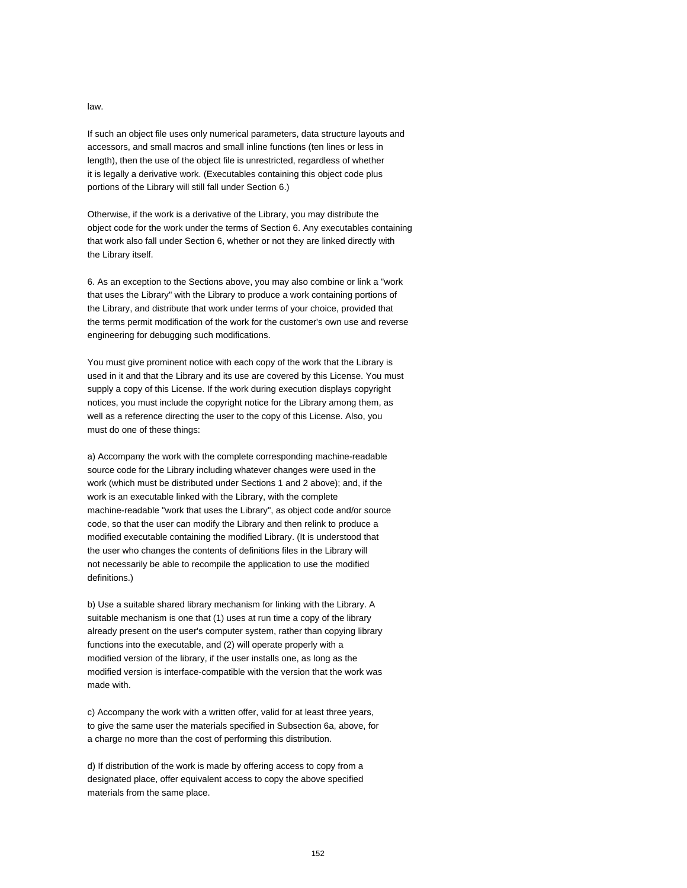#### law.

If such an object file uses only numerical parameters, data structure layouts and accessors, and small macros and small inline functions (ten lines or less in length), then the use of the object file is unrestricted, regardless of whether it is legally a derivative work. (Executables containing this object code plus portions of the Library will still fall under Section 6.)

Otherwise, if the work is a derivative of the Library, you may distribute the object code for the work under the terms of Section 6. Any executables containing that work also fall under Section 6, whether or not they are linked directly with the Library itself.

6. As an exception to the Sections above, you may also combine or link a "work that uses the Library" with the Library to produce a work containing portions of the Library, and distribute that work under terms of your choice, provided that the terms permit modification of the work for the customer's own use and reverse engineering for debugging such modifications.

You must give prominent notice with each copy of the work that the Library is used in it and that the Library and its use are covered by this License. You must supply a copy of this License. If the work during execution displays copyright notices, you must include the copyright notice for the Library among them, as well as a reference directing the user to the copy of this License. Also, you must do one of these things:

a) Accompany the work with the complete corresponding machine-readable source code for the Library including whatever changes were used in the work (which must be distributed under Sections 1 and 2 above); and, if the work is an executable linked with the Library, with the complete machine-readable "work that uses the Library", as object code and/or source code, so that the user can modify the Library and then relink to produce a modified executable containing the modified Library. (It is understood that the user who changes the contents of definitions files in the Library will not necessarily be able to recompile the application to use the modified definitions.)

b) Use a suitable shared library mechanism for linking with the Library. A suitable mechanism is one that (1) uses at run time a copy of the library already present on the user's computer system, rather than copying library functions into the executable, and (2) will operate properly with a modified version of the library, if the user installs one, as long as the modified version is interface-compatible with the version that the work was made with.

c) Accompany the work with a written offer, valid for at least three years, to give the same user the materials specified in Subsection 6a, above, for a charge no more than the cost of performing this distribution.

d) If distribution of the work is made by offering access to copy from a designated place, offer equivalent access to copy the above specified materials from the same place.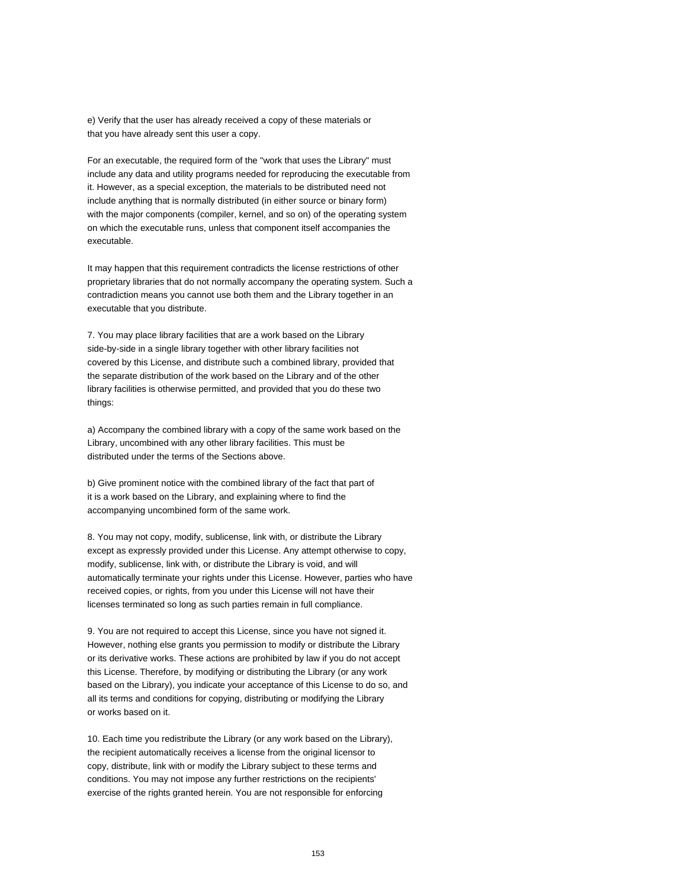e) Verify that the user has already received a copy of these materials or that you have already sent this user a copy.

For an executable, the required form of the "work that uses the Library" must include any data and utility programs needed for reproducing the executable from it. However, as a special exception, the materials to be distributed need not include anything that is normally distributed (in either source or binary form) with the major components (compiler, kernel, and so on) of the operating system on which the executable runs, unless that component itself accompanies the executable.

It may happen that this requirement contradicts the license restrictions of other proprietary libraries that do not normally accompany the operating system. Such a contradiction means you cannot use both them and the Library together in an executable that you distribute.

7. You may place library facilities that are a work based on the Library side-by-side in a single library together with other library facilities not covered by this License, and distribute such a combined library, provided that the separate distribution of the work based on the Library and of the other library facilities is otherwise permitted, and provided that you do these two things:

a) Accompany the combined library with a copy of the same work based on the Library, uncombined with any other library facilities. This must be distributed under the terms of the Sections above.

b) Give prominent notice with the combined library of the fact that part of it is a work based on the Library, and explaining where to find the accompanying uncombined form of the same work.

8. You may not copy, modify, sublicense, link with, or distribute the Library except as expressly provided under this License. Any attempt otherwise to copy, modify, sublicense, link with, or distribute the Library is void, and will automatically terminate your rights under this License. However, parties who have received copies, or rights, from you under this License will not have their licenses terminated so long as such parties remain in full compliance.

9. You are not required to accept this License, since you have not signed it. However, nothing else grants you permission to modify or distribute the Library or its derivative works. These actions are prohibited by law if you do not accept this License. Therefore, by modifying or distributing the Library (or any work based on the Library), you indicate your acceptance of this License to do so, and all its terms and conditions for copying, distributing or modifying the Library or works based on it.

10. Each time you redistribute the Library (or any work based on the Library), the recipient automatically receives a license from the original licensor to copy, distribute, link with or modify the Library subject to these terms and conditions. You may not impose any further restrictions on the recipients' exercise of the rights granted herein. You are not responsible for enforcing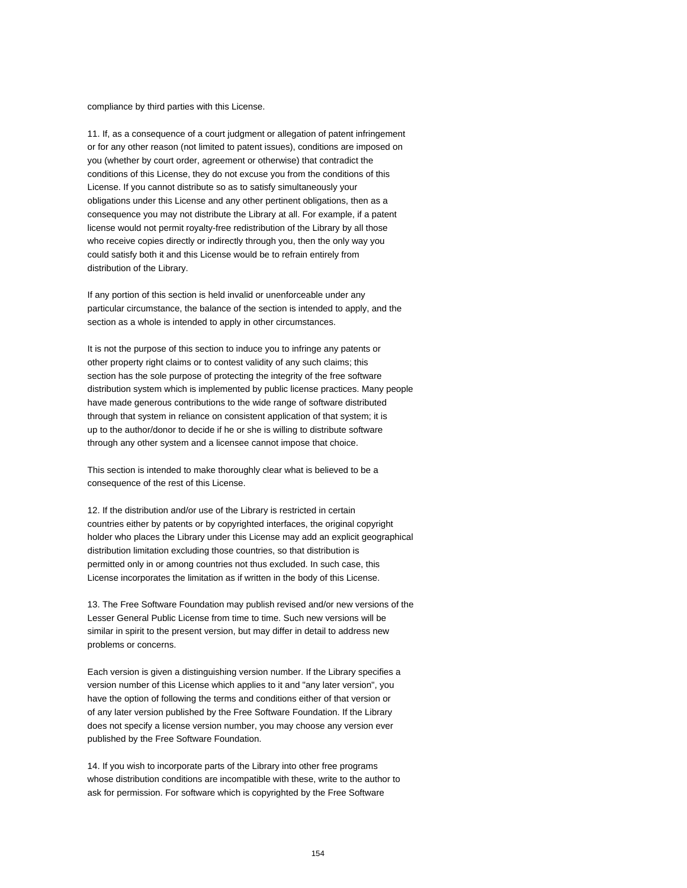compliance by third parties with this License.

11. If, as a consequence of a court judgment or allegation of patent infringement or for any other reason (not limited to patent issues), conditions are imposed on you (whether by court order, agreement or otherwise) that contradict the conditions of this License, they do not excuse you from the conditions of this License. If you cannot distribute so as to satisfy simultaneously your obligations under this License and any other pertinent obligations, then as a consequence you may not distribute the Library at all. For example, if a patent license would not permit royalty-free redistribution of the Library by all those who receive copies directly or indirectly through you, then the only way you could satisfy both it and this License would be to refrain entirely from distribution of the Library.

If any portion of this section is held invalid or unenforceable under any particular circumstance, the balance of the section is intended to apply, and the section as a whole is intended to apply in other circumstances.

It is not the purpose of this section to induce you to infringe any patents or other property right claims or to contest validity of any such claims; this section has the sole purpose of protecting the integrity of the free software distribution system which is implemented by public license practices. Many people have made generous contributions to the wide range of software distributed through that system in reliance on consistent application of that system; it is up to the author/donor to decide if he or she is willing to distribute software through any other system and a licensee cannot impose that choice.

This section is intended to make thoroughly clear what is believed to be a consequence of the rest of this License.

12. If the distribution and/or use of the Library is restricted in certain countries either by patents or by copyrighted interfaces, the original copyright holder who places the Library under this License may add an explicit geographical distribution limitation excluding those countries, so that distribution is permitted only in or among countries not thus excluded. In such case, this License incorporates the limitation as if written in the body of this License.

13. The Free Software Foundation may publish revised and/or new versions of the Lesser General Public License from time to time. Such new versions will be similar in spirit to the present version, but may differ in detail to address new problems or concerns.

Each version is given a distinguishing version number. If the Library specifies a version number of this License which applies to it and "any later version", you have the option of following the terms and conditions either of that version or of any later version published by the Free Software Foundation. If the Library does not specify a license version number, you may choose any version ever published by the Free Software Foundation.

14. If you wish to incorporate parts of the Library into other free programs whose distribution conditions are incompatible with these, write to the author to ask for permission. For software which is copyrighted by the Free Software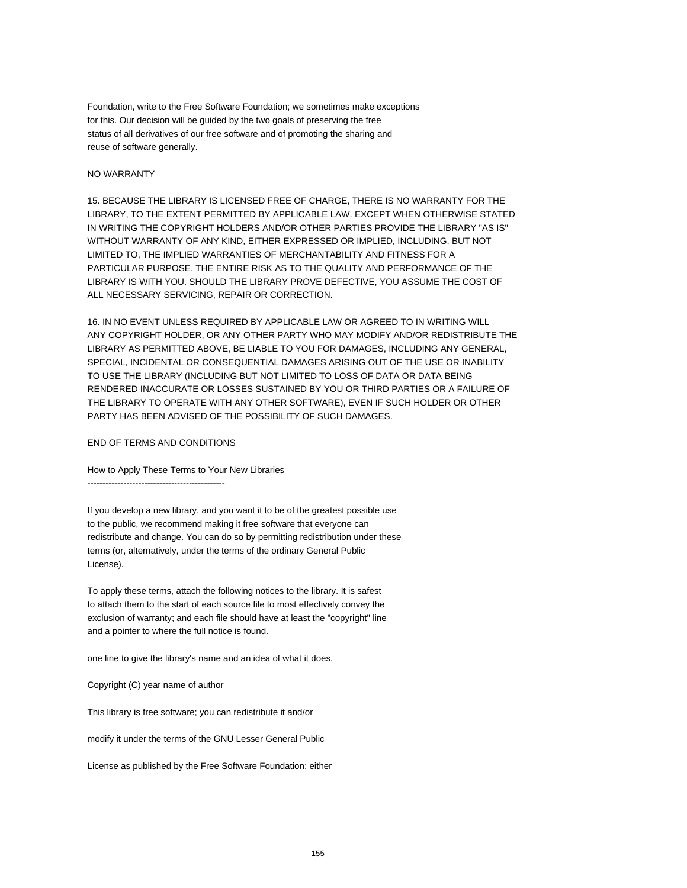Foundation, write to the Free Software Foundation; we sometimes make exceptions for this. Our decision will be guided by the two goals of preserving the free status of all derivatives of our free software and of promoting the sharing and reuse of software generally.

## NO WARRANTY

15. BECAUSE THE LIBRARY IS LICENSED FREE OF CHARGE, THERE IS NO WARRANTY FOR THE LIBRARY, TO THE EXTENT PERMITTED BY APPLICABLE LAW. EXCEPT WHEN OTHERWISE STATED IN WRITING THE COPYRIGHT HOLDERS AND/OR OTHER PARTIES PROVIDE THE LIBRARY "AS IS" WITHOUT WARRANTY OF ANY KIND, EITHER EXPRESSED OR IMPLIED, INCLUDING, BUT NOT LIMITED TO, THE IMPLIED WARRANTIES OF MERCHANTABILITY AND FITNESS FOR A PARTICULAR PURPOSE. THE ENTIRE RISK AS TO THE QUALITY AND PERFORMANCE OF THE LIBRARY IS WITH YOU. SHOULD THE LIBRARY PROVE DEFECTIVE, YOU ASSUME THE COST OF ALL NECESSARY SERVICING, REPAIR OR CORRECTION.

16. IN NO EVENT UNLESS REQUIRED BY APPLICABLE LAW OR AGREED TO IN WRITING WILL ANY COPYRIGHT HOLDER, OR ANY OTHER PARTY WHO MAY MODIFY AND/OR REDISTRIBUTE THE LIBRARY AS PERMITTED ABOVE, BE LIABLE TO YOU FOR DAMAGES, INCLUDING ANY GENERAL, SPECIAL, INCIDENTAL OR CONSEQUENTIAL DAMAGES ARISING OUT OF THE USE OR INABILITY TO USE THE LIBRARY (INCLUDING BUT NOT LIMITED TO LOSS OF DATA OR DATA BEING RENDERED INACCURATE OR LOSSES SUSTAINED BY YOU OR THIRD PARTIES OR A FAILURE OF THE LIBRARY TO OPERATE WITH ANY OTHER SOFTWARE), EVEN IF SUCH HOLDER OR OTHER PARTY HAS BEEN ADVISED OF THE POSSIBILITY OF SUCH DAMAGES.

## END OF TERMS AND CONDITIONS

How to Apply These Terms to Your New Libraries

----------------------------------------------

If you develop a new library, and you want it to be of the greatest possible use to the public, we recommend making it free software that everyone can redistribute and change. You can do so by permitting redistribution under these terms (or, alternatively, under the terms of the ordinary General Public License).

To apply these terms, attach the following notices to the library. It is safest to attach them to the start of each source file to most effectively convey the exclusion of warranty; and each file should have at least the "copyright" line and a pointer to where the full notice is found.

one line to give the library's name and an idea of what it does.

Copyright (C) year name of author

This library is free software; you can redistribute it and/or

modify it under the terms of the GNU Lesser General Public

License as published by the Free Software Foundation; either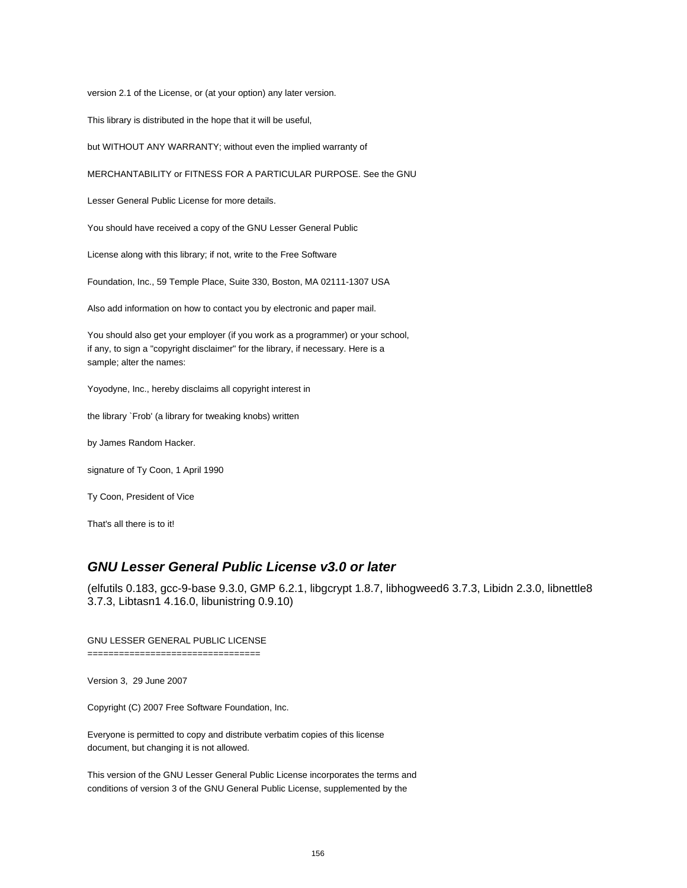version 2.1 of the License, or (at your option) any later version.

This library is distributed in the hope that it will be useful,

but WITHOUT ANY WARRANTY; without even the implied warranty of

MERCHANTABILITY or FITNESS FOR A PARTICULAR PURPOSE. See the GNU

Lesser General Public License for more details.

You should have received a copy of the GNU Lesser General Public

License along with this library; if not, write to the Free Software

Foundation, Inc., 59 Temple Place, Suite 330, Boston, MA 02111-1307 USA

Also add information on how to contact you by electronic and paper mail.

You should also get your employer (if you work as a programmer) or your school, if any, to sign a "copyright disclaimer" for the library, if necessary. Here is a sample; alter the names:

Yoyodyne, Inc., hereby disclaims all copyright interest in

the library `Frob' (a library for tweaking knobs) written

by James Random Hacker.

signature of Ty Coon, 1 April 1990

Ty Coon, President of Vice

That's all there is to it!

# **GNU Lesser General Public License v3.0 or later**

(elfutils 0.183, gcc-9-base 9.3.0, GMP 6.2.1, libgcrypt 1.8.7, libhogweed6 3.7.3, Libidn 2.3.0, libnettle8 3.7.3, Libtasn1 4.16.0, libunistring 0.9.10)

GNU LESSER GENERAL PUBLIC LICENSE

====================================

Version 3, 29 June 2007

Copyright (C) 2007 Free Software Foundation, Inc.

Everyone is permitted to copy and distribute verbatim copies of this license document, but changing it is not allowed.

This version of the GNU Lesser General Public License incorporates the terms and conditions of version 3 of the GNU General Public License, supplemented by the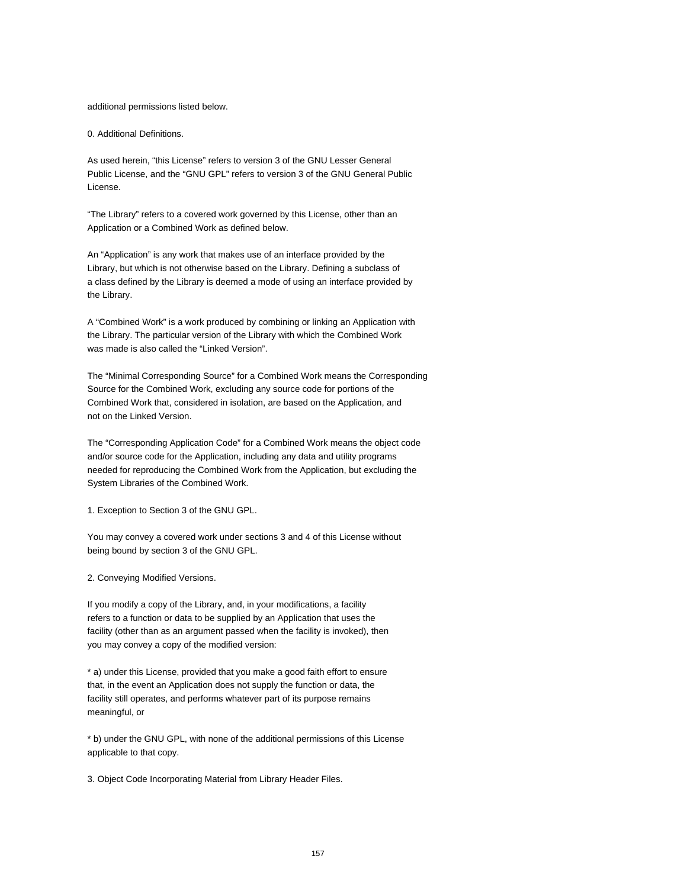additional permissions listed below.

0. Additional Definitions.

As used herein, "this License" refers to version 3 of the GNU Lesser General Public License, and the "GNU GPL" refers to version 3 of the GNU General Public License.

"The Library" refers to a covered work governed by this License, other than an Application or a Combined Work as defined below.

An "Application" is any work that makes use of an interface provided by the Library, but which is not otherwise based on the Library. Defining a subclass of a class defined by the Library is deemed a mode of using an interface provided by the Library.

A "Combined Work" is a work produced by combining or linking an Application with the Library. The particular version of the Library with which the Combined Work was made is also called the "Linked Version".

The "Minimal Corresponding Source" for a Combined Work means the Corresponding Source for the Combined Work, excluding any source code for portions of the Combined Work that, considered in isolation, are based on the Application, and not on the Linked Version.

The "Corresponding Application Code" for a Combined Work means the object code and/or source code for the Application, including any data and utility programs needed for reproducing the Combined Work from the Application, but excluding the System Libraries of the Combined Work.

1. Exception to Section 3 of the GNU GPL.

You may convey a covered work under sections 3 and 4 of this License without being bound by section 3 of the GNU GPL.

2. Conveying Modified Versions.

If you modify a copy of the Library, and, in your modifications, a facility refers to a function or data to be supplied by an Application that uses the facility (other than as an argument passed when the facility is invoked), then you may convey a copy of the modified version:

\* a) under this License, provided that you make a good faith effort to ensure that, in the event an Application does not supply the function or data, the facility still operates, and performs whatever part of its purpose remains meaningful, or

\* b) under the GNU GPL, with none of the additional permissions of this License applicable to that copy.

3. Object Code Incorporating Material from Library Header Files.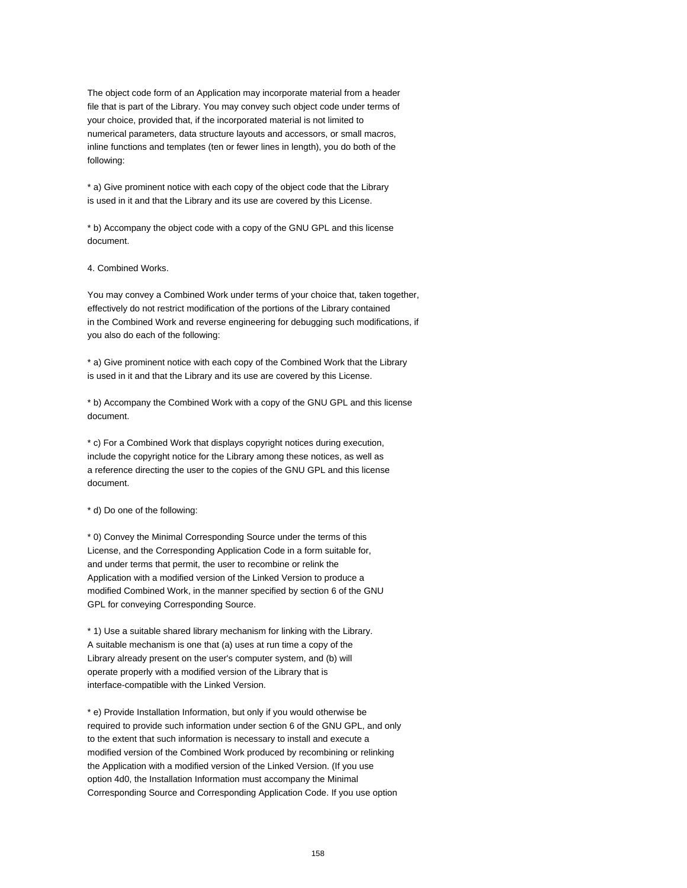The object code form of an Application may incorporate material from a header file that is part of the Library. You may convey such object code under terms of your choice, provided that, if the incorporated material is not limited to numerical parameters, data structure layouts and accessors, or small macros, inline functions and templates (ten or fewer lines in length), you do both of the following:

\* a) Give prominent notice with each copy of the object code that the Library is used in it and that the Library and its use are covered by this License.

\* b) Accompany the object code with a copy of the GNU GPL and this license document.

4. Combined Works.

You may convey a Combined Work under terms of your choice that, taken together, effectively do not restrict modification of the portions of the Library contained in the Combined Work and reverse engineering for debugging such modifications, if you also do each of the following:

\* a) Give prominent notice with each copy of the Combined Work that the Library is used in it and that the Library and its use are covered by this License.

\* b) Accompany the Combined Work with a copy of the GNU GPL and this license document.

\* c) For a Combined Work that displays copyright notices during execution, include the copyright notice for the Library among these notices, as well as a reference directing the user to the copies of the GNU GPL and this license document.

## \* d) Do one of the following:

\* 0) Convey the Minimal Corresponding Source under the terms of this License, and the Corresponding Application Code in a form suitable for, and under terms that permit, the user to recombine or relink the Application with a modified version of the Linked Version to produce a modified Combined Work, in the manner specified by section 6 of the GNU GPL for conveying Corresponding Source.

\* 1) Use a suitable shared library mechanism for linking with the Library. A suitable mechanism is one that (a) uses at run time a copy of the Library already present on the user's computer system, and (b) will operate properly with a modified version of the Library that is interface-compatible with the Linked Version.

\* e) Provide Installation Information, but only if you would otherwise be required to provide such information under section 6 of the GNU GPL, and only to the extent that such information is necessary to install and execute a modified version of the Combined Work produced by recombining or relinking the Application with a modified version of the Linked Version. (If you use option 4d0, the Installation Information must accompany the Minimal Corresponding Source and Corresponding Application Code. If you use option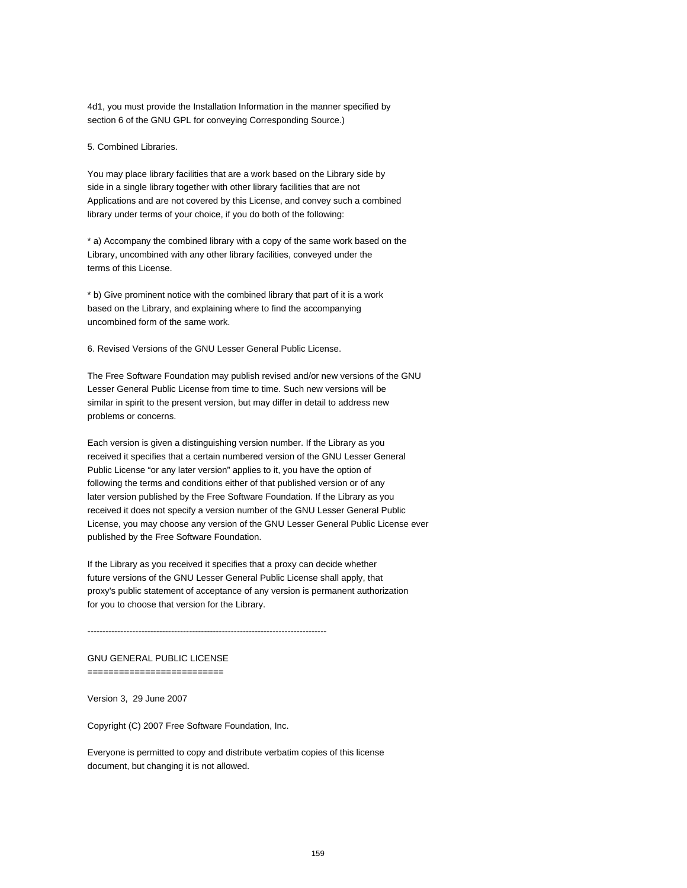4d1, you must provide the Installation Information in the manner specified by section 6 of the GNU GPL for conveying Corresponding Source.)

5. Combined Libraries.

You may place library facilities that are a work based on the Library side by side in a single library together with other library facilities that are not Applications and are not covered by this License, and convey such a combined library under terms of your choice, if you do both of the following:

\* a) Accompany the combined library with a copy of the same work based on the Library, uncombined with any other library facilities, conveyed under the terms of this License.

\* b) Give prominent notice with the combined library that part of it is a work based on the Library, and explaining where to find the accompanying uncombined form of the same work.

6. Revised Versions of the GNU Lesser General Public License.

The Free Software Foundation may publish revised and/or new versions of the GNU Lesser General Public License from time to time. Such new versions will be similar in spirit to the present version, but may differ in detail to address new problems or concerns.

Each version is given a distinguishing version number. If the Library as you received it specifies that a certain numbered version of the GNU Lesser General Public License "or any later version" applies to it, you have the option of following the terms and conditions either of that published version or of any later version published by the Free Software Foundation. If the Library as you received it does not specify a version number of the GNU Lesser General Public License, you may choose any version of the GNU Lesser General Public License ever published by the Free Software Foundation.

If the Library as you received it specifies that a proxy can decide whether future versions of the GNU Lesser General Public License shall apply, that proxy's public statement of acceptance of any version is permanent authorization for you to choose that version for the Library.

--------------------------------------------------------------------------------

GNU GENERAL PUBLIC LICENSE ==========================

Version 3, 29 June 2007

Copyright (C) 2007 Free Software Foundation, Inc.

Everyone is permitted to copy and distribute verbatim copies of this license document, but changing it is not allowed.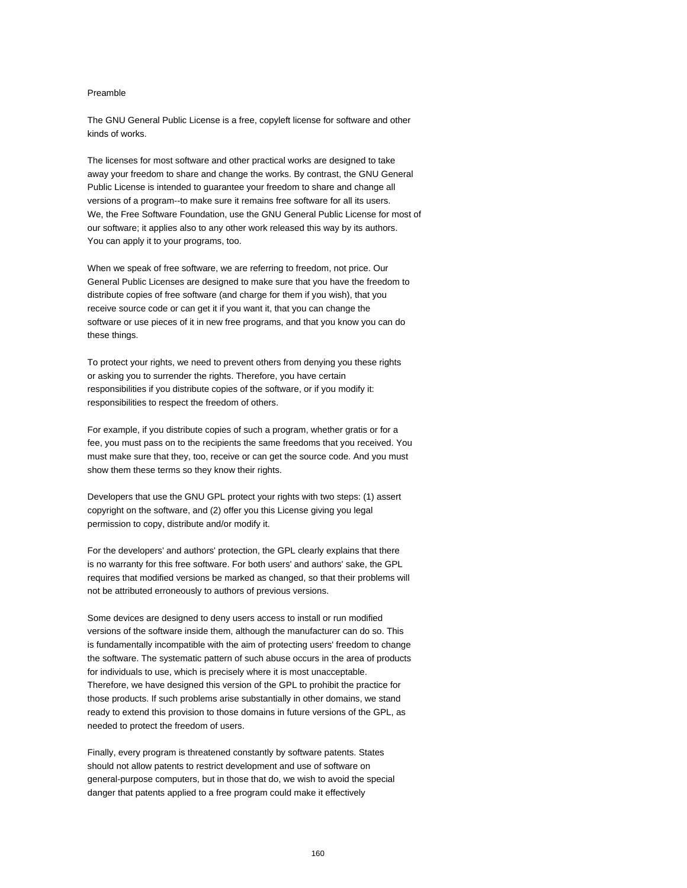## Preamble

The GNU General Public License is a free, copyleft license for software and other kinds of works.

The licenses for most software and other practical works are designed to take away your freedom to share and change the works. By contrast, the GNU General Public License is intended to guarantee your freedom to share and change all versions of a program--to make sure it remains free software for all its users. We, the Free Software Foundation, use the GNU General Public License for most of our software; it applies also to any other work released this way by its authors. You can apply it to your programs, too.

When we speak of free software, we are referring to freedom, not price. Our General Public Licenses are designed to make sure that you have the freedom to distribute copies of free software (and charge for them if you wish), that you receive source code or can get it if you want it, that you can change the software or use pieces of it in new free programs, and that you know you can do these things.

To protect your rights, we need to prevent others from denying you these rights or asking you to surrender the rights. Therefore, you have certain responsibilities if you distribute copies of the software, or if you modify it: responsibilities to respect the freedom of others.

For example, if you distribute copies of such a program, whether gratis or for a fee, you must pass on to the recipients the same freedoms that you received. You must make sure that they, too, receive or can get the source code. And you must show them these terms so they know their rights.

Developers that use the GNU GPL protect your rights with two steps: (1) assert copyright on the software, and (2) offer you this License giving you legal permission to copy, distribute and/or modify it.

For the developers' and authors' protection, the GPL clearly explains that there is no warranty for this free software. For both users' and authors' sake, the GPL requires that modified versions be marked as changed, so that their problems will not be attributed erroneously to authors of previous versions.

Some devices are designed to deny users access to install or run modified versions of the software inside them, although the manufacturer can do so. This is fundamentally incompatible with the aim of protecting users' freedom to change the software. The systematic pattern of such abuse occurs in the area of products for individuals to use, which is precisely where it is most unacceptable. Therefore, we have designed this version of the GPL to prohibit the practice for those products. If such problems arise substantially in other domains, we stand ready to extend this provision to those domains in future versions of the GPL, as needed to protect the freedom of users.

Finally, every program is threatened constantly by software patents. States should not allow patents to restrict development and use of software on general-purpose computers, but in those that do, we wish to avoid the special danger that patents applied to a free program could make it effectively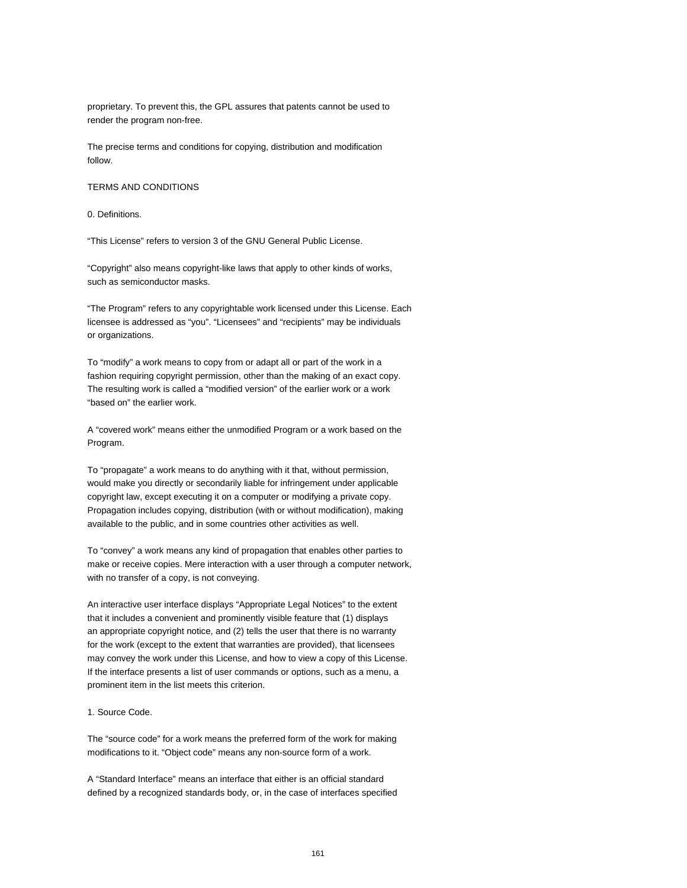proprietary. To prevent this, the GPL assures that patents cannot be used to render the program non-free.

The precise terms and conditions for copying, distribution and modification follow.

#### TERMS AND CONDITIONS

0. Definitions.

"This License" refers to version 3 of the GNU General Public License.

"Copyright" also means copyright-like laws that apply to other kinds of works, such as semiconductor masks.

"The Program" refers to any copyrightable work licensed under this License. Each licensee is addressed as "you". "Licensees" and "recipients" may be individuals or organizations.

To "modify" a work means to copy from or adapt all or part of the work in a fashion requiring copyright permission, other than the making of an exact copy. The resulting work is called a "modified version" of the earlier work or a work "based on" the earlier work.

A "covered work" means either the unmodified Program or a work based on the Program.

To "propagate" a work means to do anything with it that, without permission, would make you directly or secondarily liable for infringement under applicable copyright law, except executing it on a computer or modifying a private copy. Propagation includes copying, distribution (with or without modification), making available to the public, and in some countries other activities as well.

To "convey" a work means any kind of propagation that enables other parties to make or receive copies. Mere interaction with a user through a computer network, with no transfer of a copy, is not conveying.

An interactive user interface displays "Appropriate Legal Notices" to the extent that it includes a convenient and prominently visible feature that (1) displays an appropriate copyright notice, and (2) tells the user that there is no warranty for the work (except to the extent that warranties are provided), that licensees may convey the work under this License, and how to view a copy of this License. If the interface presents a list of user commands or options, such as a menu, a prominent item in the list meets this criterion.

#### 1. Source Code.

The "source code" for a work means the preferred form of the work for making modifications to it. "Object code" means any non-source form of a work.

A "Standard Interface" means an interface that either is an official standard defined by a recognized standards body, or, in the case of interfaces specified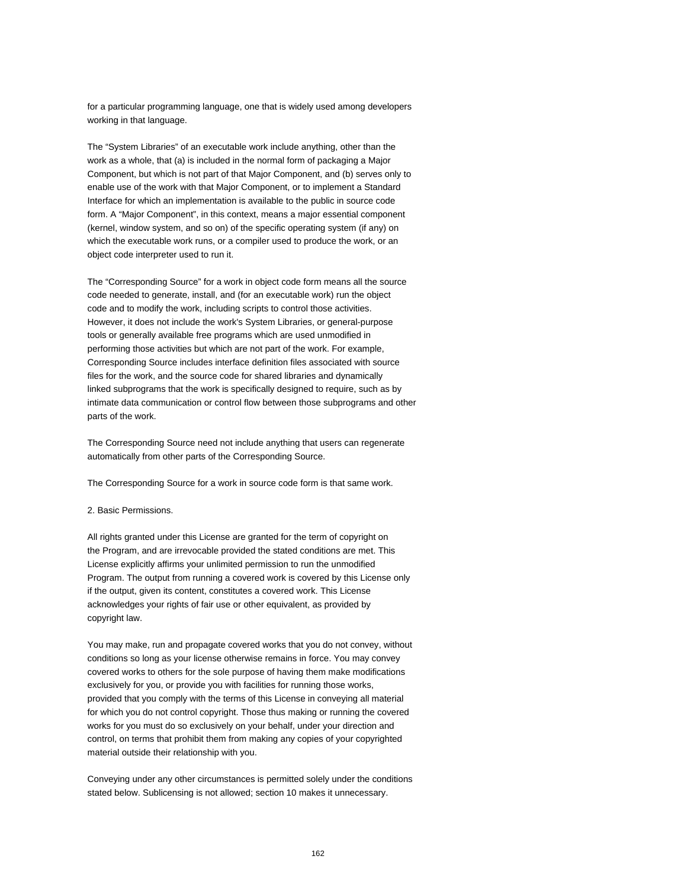for a particular programming language, one that is widely used among developers working in that language.

The "System Libraries" of an executable work include anything, other than the work as a whole, that (a) is included in the normal form of packaging a Major Component, but which is not part of that Major Component, and (b) serves only to enable use of the work with that Major Component, or to implement a Standard Interface for which an implementation is available to the public in source code form. A "Major Component", in this context, means a major essential component (kernel, window system, and so on) of the specific operating system (if any) on which the executable work runs, or a compiler used to produce the work, or an object code interpreter used to run it.

The "Corresponding Source" for a work in object code form means all the source code needed to generate, install, and (for an executable work) run the object code and to modify the work, including scripts to control those activities. However, it does not include the work's System Libraries, or general-purpose tools or generally available free programs which are used unmodified in performing those activities but which are not part of the work. For example, Corresponding Source includes interface definition files associated with source files for the work, and the source code for shared libraries and dynamically linked subprograms that the work is specifically designed to require, such as by intimate data communication or control flow between those subprograms and other parts of the work.

The Corresponding Source need not include anything that users can regenerate automatically from other parts of the Corresponding Source.

The Corresponding Source for a work in source code form is that same work.

## 2. Basic Permissions.

All rights granted under this License are granted for the term of copyright on the Program, and are irrevocable provided the stated conditions are met. This License explicitly affirms your unlimited permission to run the unmodified Program. The output from running a covered work is covered by this License only if the output, given its content, constitutes a covered work. This License acknowledges your rights of fair use or other equivalent, as provided by copyright law.

You may make, run and propagate covered works that you do not convey, without conditions so long as your license otherwise remains in force. You may convey covered works to others for the sole purpose of having them make modifications exclusively for you, or provide you with facilities for running those works, provided that you comply with the terms of this License in conveying all material for which you do not control copyright. Those thus making or running the covered works for you must do so exclusively on your behalf, under your direction and control, on terms that prohibit them from making any copies of your copyrighted material outside their relationship with you.

Conveying under any other circumstances is permitted solely under the conditions stated below. Sublicensing is not allowed; section 10 makes it unnecessary.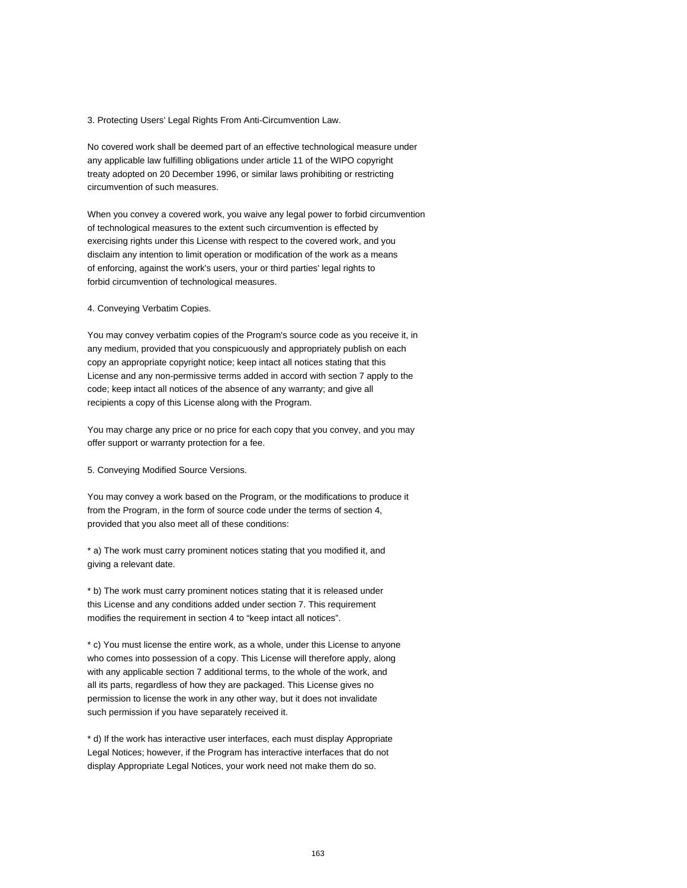3. Protecting Users' Legal Rights From Anti-Circumvention Law.

No covered work shall be deemed part of an effective technological measure under any applicable law fulfilling obligations under article 11 of the WIPO copyright treaty adopted on 20 December 1996, or similar laws prohibiting or restricting circumvention of such measures.

When you convey a covered work, you waive any legal power to forbid circumvention of technological measures to the extent such circumvention is effected by exercising rights under this License with respect to the covered work, and you disclaim any intention to limit operation or modification of the work as a means of enforcing, against the work's users, your or third parties' legal rights to forbid circumvention of technological measures.

4. Conveying Verbatim Copies.

You may convey verbatim copies of the Program's source code as you receive it, in any medium, provided that you conspicuously and appropriately publish on each copy an appropriate copyright notice; keep intact all notices stating that this License and any non-permissive terms added in accord with section 7 apply to the code; keep intact all notices of the absence of any warranty; and give all recipients a copy of this License along with the Program.

You may charge any price or no price for each copy that you convey, and you may offer support or warranty protection for a fee.

5. Conveying Modified Source Versions.

You may convey a work based on the Program, or the modifications to produce it from the Program, in the form of source code under the terms of section 4, provided that you also meet all of these conditions:

\* a) The work must carry prominent notices stating that you modified it, and giving a relevant date.

\* b) The work must carry prominent notices stating that it is released under this License and any conditions added under section 7. This requirement modifies the requirement in section 4 to "keep intact all notices".

\* c) You must license the entire work, as a whole, under this License to anyone who comes into possession of a copy. This License will therefore apply, along with any applicable section 7 additional terms, to the whole of the work, and all its parts, regardless of how they are packaged. This License gives no permission to license the work in any other way, but it does not invalidate such permission if you have separately received it.

\* d) If the work has interactive user interfaces, each must display Appropriate Legal Notices; however, if the Program has interactive interfaces that do not display Appropriate Legal Notices, your work need not make them do so.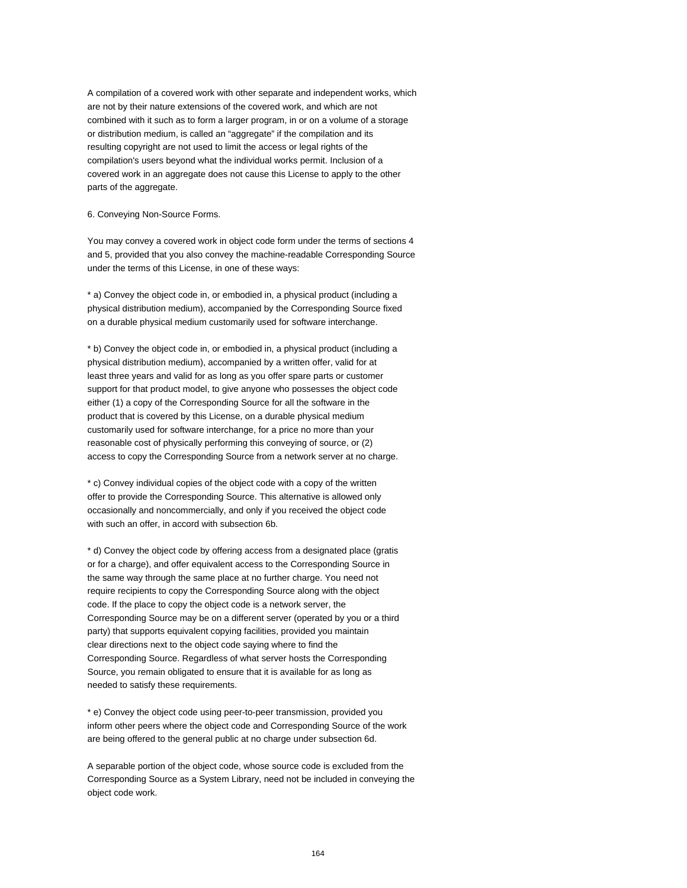A compilation of a covered work with other separate and independent works, which are not by their nature extensions of the covered work, and which are not combined with it such as to form a larger program, in or on a volume of a storage or distribution medium, is called an "aggregate" if the compilation and its resulting copyright are not used to limit the access or legal rights of the compilation's users beyond what the individual works permit. Inclusion of a covered work in an aggregate does not cause this License to apply to the other parts of the aggregate.

6. Conveying Non-Source Forms.

You may convey a covered work in object code form under the terms of sections 4 and 5, provided that you also convey the machine-readable Corresponding Source under the terms of this License, in one of these ways:

\* a) Convey the object code in, or embodied in, a physical product (including a physical distribution medium), accompanied by the Corresponding Source fixed on a durable physical medium customarily used for software interchange.

\* b) Convey the object code in, or embodied in, a physical product (including a physical distribution medium), accompanied by a written offer, valid for at least three years and valid for as long as you offer spare parts or customer support for that product model, to give anyone who possesses the object code either (1) a copy of the Corresponding Source for all the software in the product that is covered by this License, on a durable physical medium customarily used for software interchange, for a price no more than your reasonable cost of physically performing this conveying of source, or (2) access to copy the Corresponding Source from a network server at no charge.

\* c) Convey individual copies of the object code with a copy of the written offer to provide the Corresponding Source. This alternative is allowed only occasionally and noncommercially, and only if you received the object code with such an offer, in accord with subsection 6b.

\* d) Convey the object code by offering access from a designated place (gratis or for a charge), and offer equivalent access to the Corresponding Source in the same way through the same place at no further charge. You need not require recipients to copy the Corresponding Source along with the object code. If the place to copy the object code is a network server, the Corresponding Source may be on a different server (operated by you or a third party) that supports equivalent copying facilities, provided you maintain clear directions next to the object code saying where to find the Corresponding Source. Regardless of what server hosts the Corresponding Source, you remain obligated to ensure that it is available for as long as needed to satisfy these requirements.

\* e) Convey the object code using peer-to-peer transmission, provided you inform other peers where the object code and Corresponding Source of the work are being offered to the general public at no charge under subsection 6d.

A separable portion of the object code, whose source code is excluded from the Corresponding Source as a System Library, need not be included in conveying the object code work.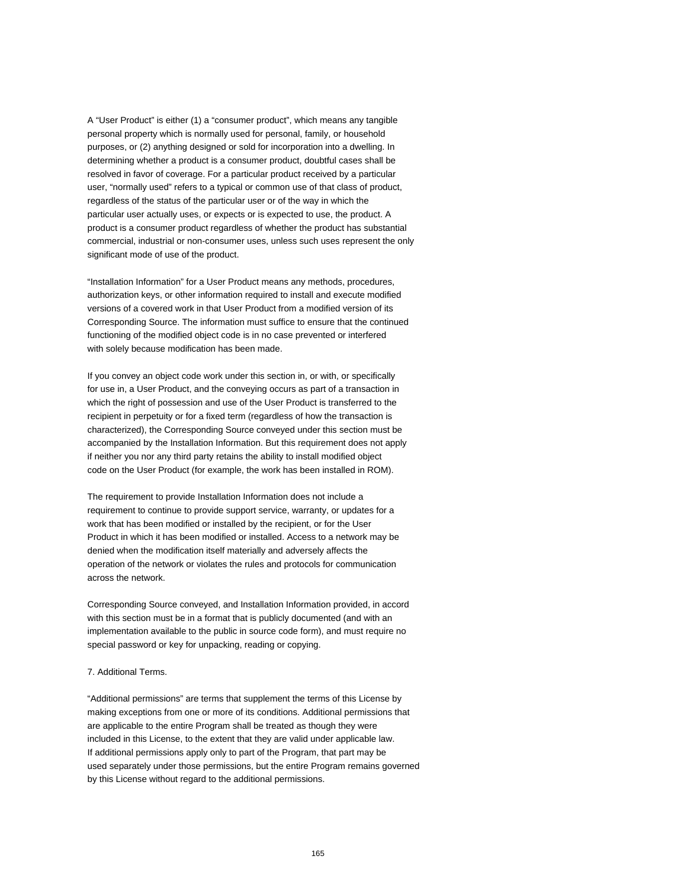A "User Product" is either (1) a "consumer product", which means any tangible personal property which is normally used for personal, family, or household purposes, or (2) anything designed or sold for incorporation into a dwelling. In determining whether a product is a consumer product, doubtful cases shall be resolved in favor of coverage. For a particular product received by a particular user, "normally used" refers to a typical or common use of that class of product, regardless of the status of the particular user or of the way in which the particular user actually uses, or expects or is expected to use, the product. A product is a consumer product regardless of whether the product has substantial commercial, industrial or non-consumer uses, unless such uses represent the only significant mode of use of the product.

"Installation Information" for a User Product means any methods, procedures, authorization keys, or other information required to install and execute modified versions of a covered work in that User Product from a modified version of its Corresponding Source. The information must suffice to ensure that the continued functioning of the modified object code is in no case prevented or interfered with solely because modification has been made.

If you convey an object code work under this section in, or with, or specifically for use in, a User Product, and the conveying occurs as part of a transaction in which the right of possession and use of the User Product is transferred to the recipient in perpetuity or for a fixed term (regardless of how the transaction is characterized), the Corresponding Source conveyed under this section must be accompanied by the Installation Information. But this requirement does not apply if neither you nor any third party retains the ability to install modified object code on the User Product (for example, the work has been installed in ROM).

The requirement to provide Installation Information does not include a requirement to continue to provide support service, warranty, or updates for a work that has been modified or installed by the recipient, or for the User Product in which it has been modified or installed. Access to a network may be denied when the modification itself materially and adversely affects the operation of the network or violates the rules and protocols for communication across the network.

Corresponding Source conveyed, and Installation Information provided, in accord with this section must be in a format that is publicly documented (and with an implementation available to the public in source code form), and must require no special password or key for unpacking, reading or copying.

## 7. Additional Terms.

"Additional permissions" are terms that supplement the terms of this License by making exceptions from one or more of its conditions. Additional permissions that are applicable to the entire Program shall be treated as though they were included in this License, to the extent that they are valid under applicable law. If additional permissions apply only to part of the Program, that part may be used separately under those permissions, but the entire Program remains governed by this License without regard to the additional permissions.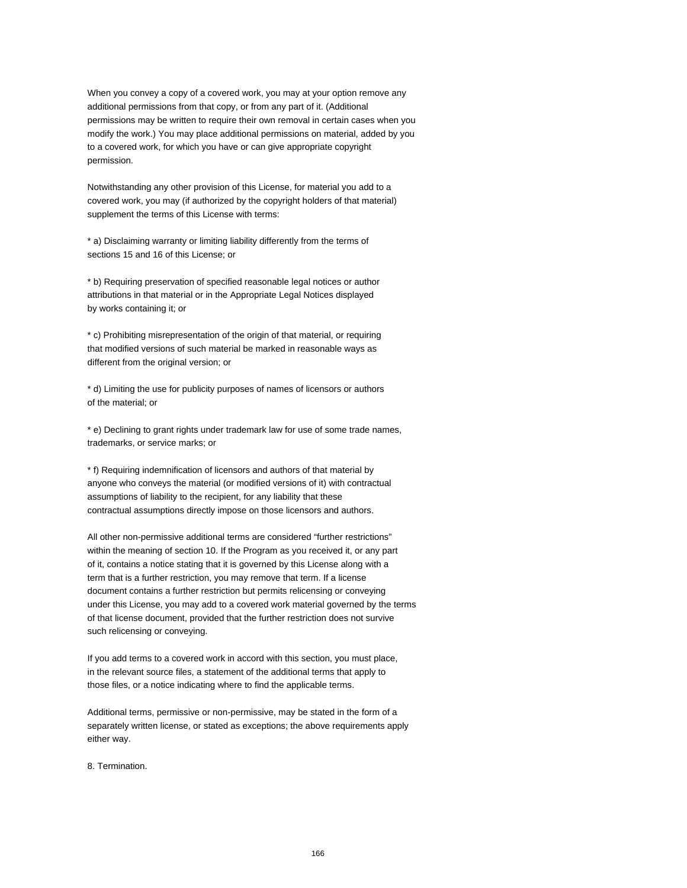When you convey a copy of a covered work, you may at your option remove any additional permissions from that copy, or from any part of it. (Additional permissions may be written to require their own removal in certain cases when you modify the work.) You may place additional permissions on material, added by you to a covered work, for which you have or can give appropriate copyright permission.

Notwithstanding any other provision of this License, for material you add to a covered work, you may (if authorized by the copyright holders of that material) supplement the terms of this License with terms:

\* a) Disclaiming warranty or limiting liability differently from the terms of sections 15 and 16 of this License; or

\* b) Requiring preservation of specified reasonable legal notices or author attributions in that material or in the Appropriate Legal Notices displayed by works containing it; or

\* c) Prohibiting misrepresentation of the origin of that material, or requiring that modified versions of such material be marked in reasonable ways as different from the original version; or

\* d) Limiting the use for publicity purposes of names of licensors or authors of the material; or

\* e) Declining to grant rights under trademark law for use of some trade names, trademarks, or service marks; or

\* f) Requiring indemnification of licensors and authors of that material by anyone who conveys the material (or modified versions of it) with contractual assumptions of liability to the recipient, for any liability that these contractual assumptions directly impose on those licensors and authors.

All other non-permissive additional terms are considered "further restrictions" within the meaning of section 10. If the Program as you received it, or any part of it, contains a notice stating that it is governed by this License along with a term that is a further restriction, you may remove that term. If a license document contains a further restriction but permits relicensing or conveying under this License, you may add to a covered work material governed by the terms of that license document, provided that the further restriction does not survive such relicensing or conveying.

If you add terms to a covered work in accord with this section, you must place, in the relevant source files, a statement of the additional terms that apply to those files, or a notice indicating where to find the applicable terms.

Additional terms, permissive or non-permissive, may be stated in the form of a separately written license, or stated as exceptions; the above requirements apply either way.

8. Termination.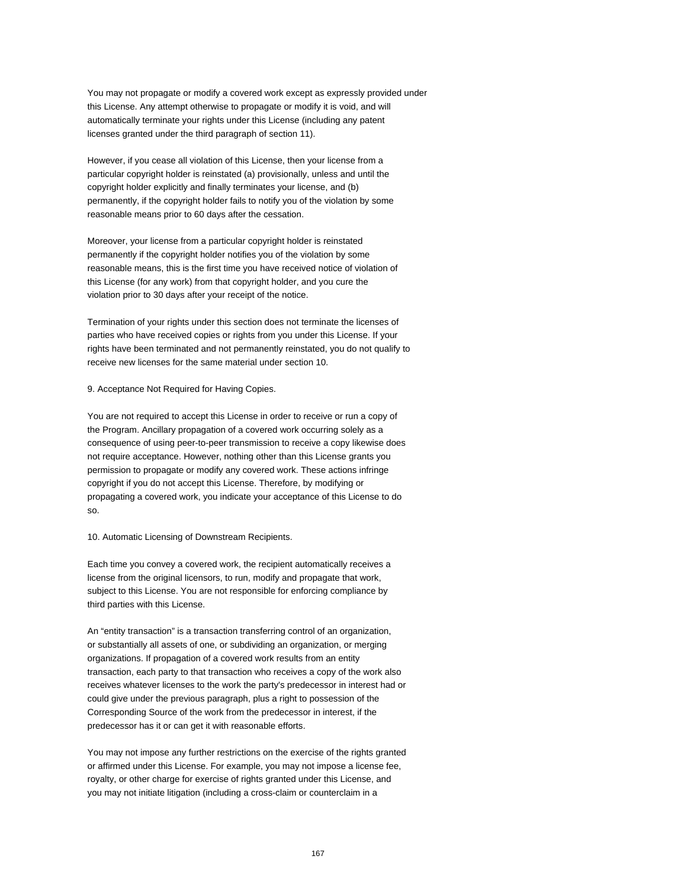You may not propagate or modify a covered work except as expressly provided under this License. Any attempt otherwise to propagate or modify it is void, and will automatically terminate your rights under this License (including any patent licenses granted under the third paragraph of section 11).

However, if you cease all violation of this License, then your license from a particular copyright holder is reinstated (a) provisionally, unless and until the copyright holder explicitly and finally terminates your license, and (b) permanently, if the copyright holder fails to notify you of the violation by some reasonable means prior to 60 days after the cessation.

Moreover, your license from a particular copyright holder is reinstated permanently if the copyright holder notifies you of the violation by some reasonable means, this is the first time you have received notice of violation of this License (for any work) from that copyright holder, and you cure the violation prior to 30 days after your receipt of the notice.

Termination of your rights under this section does not terminate the licenses of parties who have received copies or rights from you under this License. If your rights have been terminated and not permanently reinstated, you do not qualify to receive new licenses for the same material under section 10.

9. Acceptance Not Required for Having Copies.

You are not required to accept this License in order to receive or run a copy of the Program. Ancillary propagation of a covered work occurring solely as a consequence of using peer-to-peer transmission to receive a copy likewise does not require acceptance. However, nothing other than this License grants you permission to propagate or modify any covered work. These actions infringe copyright if you do not accept this License. Therefore, by modifying or propagating a covered work, you indicate your acceptance of this License to do so.

10. Automatic Licensing of Downstream Recipients.

Each time you convey a covered work, the recipient automatically receives a license from the original licensors, to run, modify and propagate that work, subject to this License. You are not responsible for enforcing compliance by third parties with this License.

An "entity transaction" is a transaction transferring control of an organization, or substantially all assets of one, or subdividing an organization, or merging organizations. If propagation of a covered work results from an entity transaction, each party to that transaction who receives a copy of the work also receives whatever licenses to the work the party's predecessor in interest had or could give under the previous paragraph, plus a right to possession of the Corresponding Source of the work from the predecessor in interest, if the predecessor has it or can get it with reasonable efforts.

You may not impose any further restrictions on the exercise of the rights granted or affirmed under this License. For example, you may not impose a license fee, royalty, or other charge for exercise of rights granted under this License, and you may not initiate litigation (including a cross-claim or counterclaim in a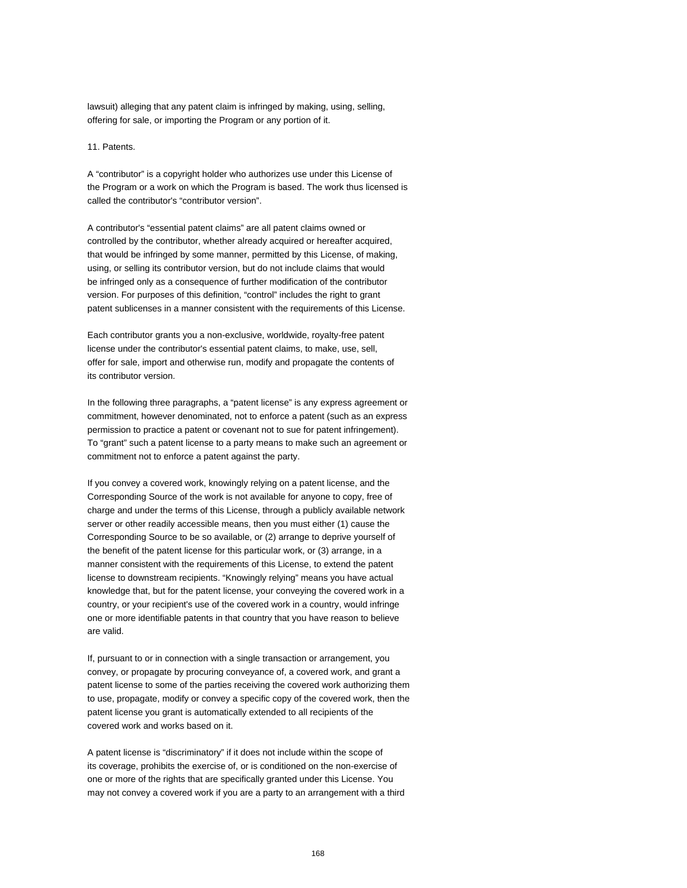lawsuit) alleging that any patent claim is infringed by making, using, selling, offering for sale, or importing the Program or any portion of it.

## 11. Patents.

A "contributor" is a copyright holder who authorizes use under this License of the Program or a work on which the Program is based. The work thus licensed is called the contributor's "contributor version".

A contributor's "essential patent claims" are all patent claims owned or controlled by the contributor, whether already acquired or hereafter acquired, that would be infringed by some manner, permitted by this License, of making, using, or selling its contributor version, but do not include claims that would be infringed only as a consequence of further modification of the contributor version. For purposes of this definition, "control" includes the right to grant patent sublicenses in a manner consistent with the requirements of this License.

Each contributor grants you a non-exclusive, worldwide, royalty-free patent license under the contributor's essential patent claims, to make, use, sell, offer for sale, import and otherwise run, modify and propagate the contents of its contributor version.

In the following three paragraphs, a "patent license" is any express agreement or commitment, however denominated, not to enforce a patent (such as an express permission to practice a patent or covenant not to sue for patent infringement). To "grant" such a patent license to a party means to make such an agreement or commitment not to enforce a patent against the party.

If you convey a covered work, knowingly relying on a patent license, and the Corresponding Source of the work is not available for anyone to copy, free of charge and under the terms of this License, through a publicly available network server or other readily accessible means, then you must either (1) cause the Corresponding Source to be so available, or (2) arrange to deprive yourself of the benefit of the patent license for this particular work, or (3) arrange, in a manner consistent with the requirements of this License, to extend the patent license to downstream recipients. "Knowingly relying" means you have actual knowledge that, but for the patent license, your conveying the covered work in a country, or your recipient's use of the covered work in a country, would infringe one or more identifiable patents in that country that you have reason to believe are valid.

If, pursuant to or in connection with a single transaction or arrangement, you convey, or propagate by procuring conveyance of, a covered work, and grant a patent license to some of the parties receiving the covered work authorizing them to use, propagate, modify or convey a specific copy of the covered work, then the patent license you grant is automatically extended to all recipients of the covered work and works based on it.

A patent license is "discriminatory" if it does not include within the scope of its coverage, prohibits the exercise of, or is conditioned on the non-exercise of one or more of the rights that are specifically granted under this License. You may not convey a covered work if you are a party to an arrangement with a third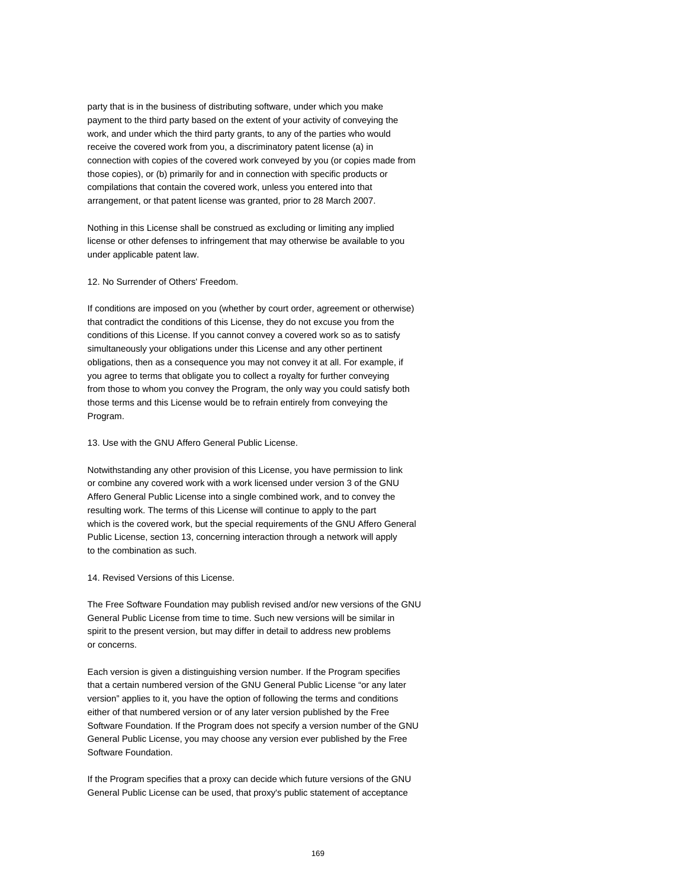party that is in the business of distributing software, under which you make payment to the third party based on the extent of your activity of conveying the work, and under which the third party grants, to any of the parties who would receive the covered work from you, a discriminatory patent license (a) in connection with copies of the covered work conveyed by you (or copies made from those copies), or (b) primarily for and in connection with specific products or compilations that contain the covered work, unless you entered into that arrangement, or that patent license was granted, prior to 28 March 2007.

Nothing in this License shall be construed as excluding or limiting any implied license or other defenses to infringement that may otherwise be available to you under applicable patent law.

12. No Surrender of Others' Freedom.

If conditions are imposed on you (whether by court order, agreement or otherwise) that contradict the conditions of this License, they do not excuse you from the conditions of this License. If you cannot convey a covered work so as to satisfy simultaneously your obligations under this License and any other pertinent obligations, then as a consequence you may not convey it at all. For example, if you agree to terms that obligate you to collect a royalty for further conveying from those to whom you convey the Program, the only way you could satisfy both those terms and this License would be to refrain entirely from conveying the Program.

13. Use with the GNU Affero General Public License.

Notwithstanding any other provision of this License, you have permission to link or combine any covered work with a work licensed under version 3 of the GNU Affero General Public License into a single combined work, and to convey the resulting work. The terms of this License will continue to apply to the part which is the covered work, but the special requirements of the GNU Affero General Public License, section 13, concerning interaction through a network will apply to the combination as such.

14. Revised Versions of this License.

The Free Software Foundation may publish revised and/or new versions of the GNU General Public License from time to time. Such new versions will be similar in spirit to the present version, but may differ in detail to address new problems or concerns.

Each version is given a distinguishing version number. If the Program specifies that a certain numbered version of the GNU General Public License "or any later version" applies to it, you have the option of following the terms and conditions either of that numbered version or of any later version published by the Free Software Foundation. If the Program does not specify a version number of the GNU General Public License, you may choose any version ever published by the Free Software Foundation.

If the Program specifies that a proxy can decide which future versions of the GNU General Public License can be used, that proxy's public statement of acceptance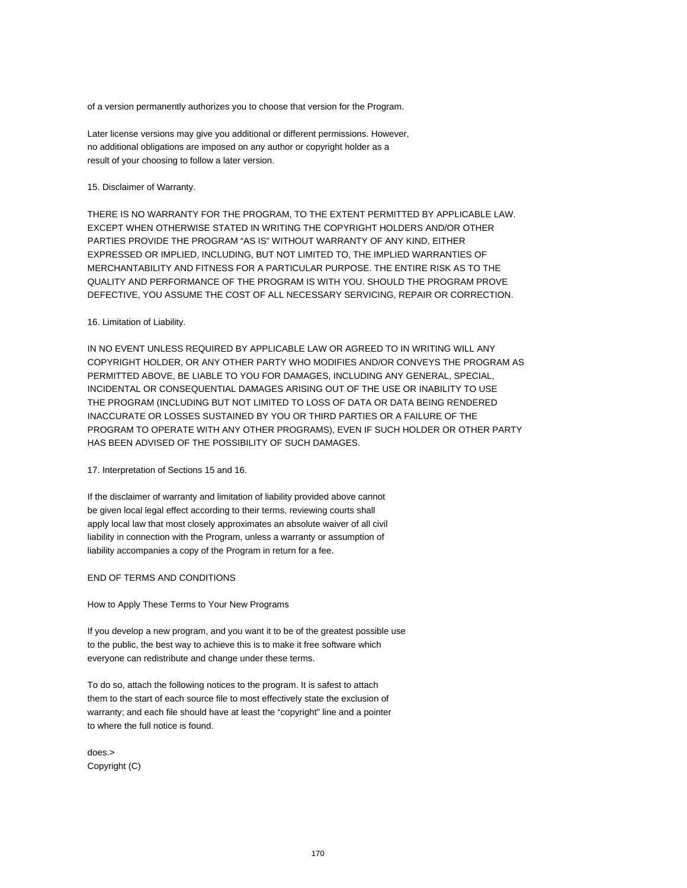of a version permanently authorizes you to choose that version for the Program.

Later license versions may give you additional or different permissions. However, no additional obligations are imposed on any author or copyright holder as a result of your choosing to follow a later version.

#### 15. Disclaimer of Warranty.

THERE IS NO WARRANTY FOR THE PROGRAM, TO THE EXTENT PERMITTED BY APPLICABLE LAW. EXCEPT WHEN OTHERWISE STATED IN WRITING THE COPYRIGHT HOLDERS AND/OR OTHER PARTIES PROVIDE THE PROGRAM "AS IS" WITHOUT WARRANTY OF ANY KIND, EITHER EXPRESSED OR IMPLIED, INCLUDING, BUT NOT LIMITED TO, THE IMPLIED WARRANTIES OF MERCHANTABILITY AND FITNESS FOR A PARTICULAR PURPOSE. THE ENTIRE RISK AS TO THE QUALITY AND PERFORMANCE OF THE PROGRAM IS WITH YOU. SHOULD THE PROGRAM PROVE DEFECTIVE, YOU ASSUME THE COST OF ALL NECESSARY SERVICING, REPAIR OR CORRECTION.

#### 16. Limitation of Liability.

IN NO EVENT UNLESS REQUIRED BY APPLICABLE LAW OR AGREED TO IN WRITING WILL ANY COPYRIGHT HOLDER, OR ANY OTHER PARTY WHO MODIFIES AND/OR CONVEYS THE PROGRAM AS PERMITTED ABOVE, BE LIABLE TO YOU FOR DAMAGES, INCLUDING ANY GENERAL, SPECIAL, INCIDENTAL OR CONSEQUENTIAL DAMAGES ARISING OUT OF THE USE OR INABILITY TO USE THE PROGRAM (INCLUDING BUT NOT LIMITED TO LOSS OF DATA OR DATA BEING RENDERED INACCURATE OR LOSSES SUSTAINED BY YOU OR THIRD PARTIES OR A FAILURE OF THE PROGRAM TO OPERATE WITH ANY OTHER PROGRAMS), EVEN IF SUCH HOLDER OR OTHER PARTY HAS BEEN ADVISED OF THE POSSIBILITY OF SUCH DAMAGES.

#### 17. Interpretation of Sections 15 and 16.

If the disclaimer of warranty and limitation of liability provided above cannot be given local legal effect according to their terms, reviewing courts shall apply local law that most closely approximates an absolute waiver of all civil liability in connection with the Program, unless a warranty or assumption of liability accompanies a copy of the Program in return for a fee.

## END OF TERMS AND CONDITIONS

How to Apply These Terms to Your New Programs

If you develop a new program, and you want it to be of the greatest possible use to the public, the best way to achieve this is to make it free software which everyone can redistribute and change under these terms.

To do so, attach the following notices to the program. It is safest to attach them to the start of each source file to most effectively state the exclusion of warranty; and each file should have at least the "copyright" line and a pointer to where the full notice is found.

does.> Copyright (C)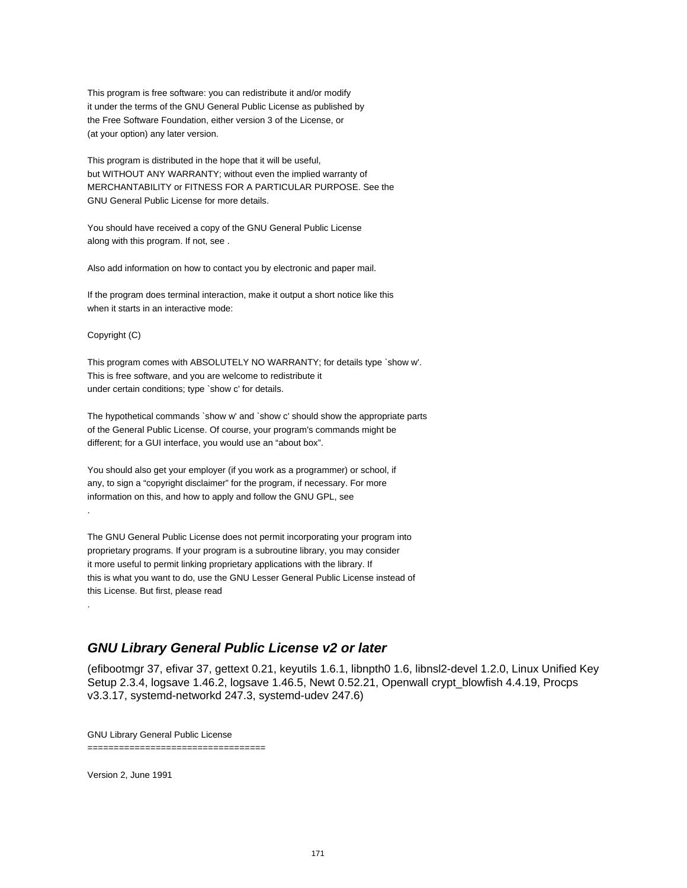This program is free software: you can redistribute it and/or modify it under the terms of the GNU General Public License as published by the Free Software Foundation, either version 3 of the License, or (at your option) any later version.

This program is distributed in the hope that it will be useful, but WITHOUT ANY WARRANTY; without even the implied warranty of MERCHANTABILITY or FITNESS FOR A PARTICULAR PURPOSE. See the GNU General Public License for more details.

You should have received a copy of the GNU General Public License along with this program. If not, see .

Also add information on how to contact you by electronic and paper mail.

If the program does terminal interaction, make it output a short notice like this when it starts in an interactive mode:

Copyright (C)

.

.

This program comes with ABSOLUTELY NO WARRANTY; for details type `show w'. This is free software, and you are welcome to redistribute it under certain conditions; type `show c' for details.

The hypothetical commands `show w' and `show c' should show the appropriate parts of the General Public License. Of course, your program's commands might be different; for a GUI interface, you would use an "about box".

You should also get your employer (if you work as a programmer) or school, if any, to sign a "copyright disclaimer" for the program, if necessary. For more information on this, and how to apply and follow the GNU GPL, see

The GNU General Public License does not permit incorporating your program into proprietary programs. If your program is a subroutine library, you may consider it more useful to permit linking proprietary applications with the library. If this is what you want to do, use the GNU Lesser General Public License instead of this License. But first, please read

# **GNU Library General Public License v2 or later**

(efibootmgr 37, efivar 37, gettext 0.21, keyutils 1.6.1, libnpth0 1.6, libnsl2-devel 1.2.0, Linux Unified Key Setup 2.3.4, logsave 1.46.2, logsave 1.46.5, Newt 0.52.21, Openwall crypt\_blowfish 4.4.19, Procps v3.3.17, systemd-networkd 247.3, systemd-udev 247.6)

GNU Library General Public License

==================================

Version 2, June 1991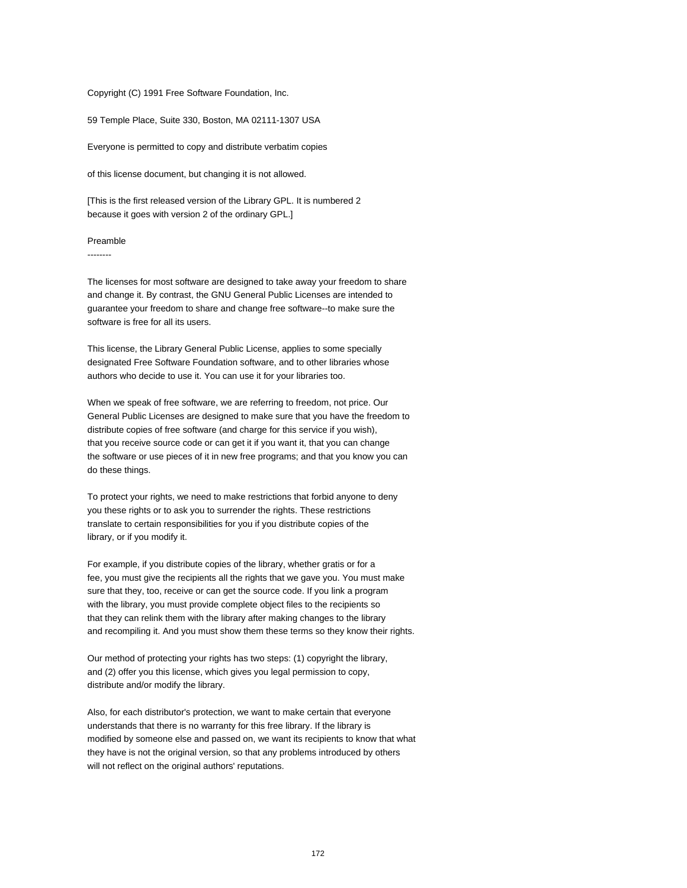#### Copyright (C) 1991 Free Software Foundation, Inc.

59 Temple Place, Suite 330, Boston, MA 02111-1307 USA

Everyone is permitted to copy and distribute verbatim copies

of this license document, but changing it is not allowed.

[This is the first released version of the Library GPL. It is numbered 2 because it goes with version 2 of the ordinary GPL.]

#### Preamble

--------

The licenses for most software are designed to take away your freedom to share and change it. By contrast, the GNU General Public Licenses are intended to guarantee your freedom to share and change free software--to make sure the software is free for all its users.

This license, the Library General Public License, applies to some specially designated Free Software Foundation software, and to other libraries whose authors who decide to use it. You can use it for your libraries too.

When we speak of free software, we are referring to freedom, not price. Our General Public Licenses are designed to make sure that you have the freedom to distribute copies of free software (and charge for this service if you wish), that you receive source code or can get it if you want it, that you can change the software or use pieces of it in new free programs; and that you know you can do these things.

To protect your rights, we need to make restrictions that forbid anyone to deny you these rights or to ask you to surrender the rights. These restrictions translate to certain responsibilities for you if you distribute copies of the library, or if you modify it.

For example, if you distribute copies of the library, whether gratis or for a fee, you must give the recipients all the rights that we gave you. You must make sure that they, too, receive or can get the source code. If you link a program with the library, you must provide complete object files to the recipients so that they can relink them with the library after making changes to the library and recompiling it. And you must show them these terms so they know their rights.

Our method of protecting your rights has two steps: (1) copyright the library, and (2) offer you this license, which gives you legal permission to copy, distribute and/or modify the library.

Also, for each distributor's protection, we want to make certain that everyone understands that there is no warranty for this free library. If the library is modified by someone else and passed on, we want its recipients to know that what they have is not the original version, so that any problems introduced by others will not reflect on the original authors' reputations.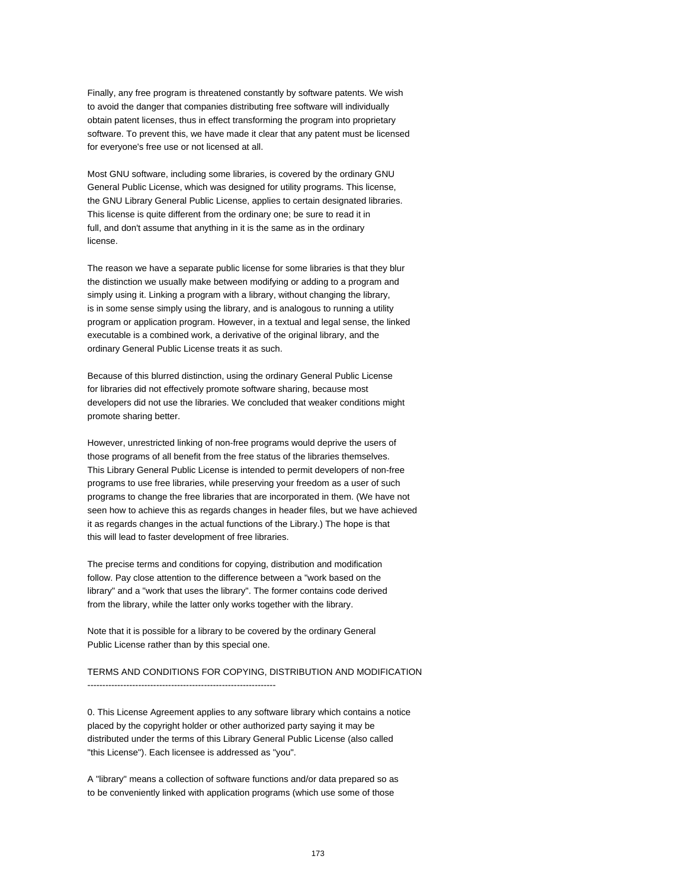Finally, any free program is threatened constantly by software patents. We wish to avoid the danger that companies distributing free software will individually obtain patent licenses, thus in effect transforming the program into proprietary software. To prevent this, we have made it clear that any patent must be licensed for everyone's free use or not licensed at all.

Most GNU software, including some libraries, is covered by the ordinary GNU General Public License, which was designed for utility programs. This license, the GNU Library General Public License, applies to certain designated libraries. This license is quite different from the ordinary one; be sure to read it in full, and don't assume that anything in it is the same as in the ordinary license.

The reason we have a separate public license for some libraries is that they blur the distinction we usually make between modifying or adding to a program and simply using it. Linking a program with a library, without changing the library, is in some sense simply using the library, and is analogous to running a utility program or application program. However, in a textual and legal sense, the linked executable is a combined work, a derivative of the original library, and the ordinary General Public License treats it as such.

Because of this blurred distinction, using the ordinary General Public License for libraries did not effectively promote software sharing, because most developers did not use the libraries. We concluded that weaker conditions might promote sharing better.

However, unrestricted linking of non-free programs would deprive the users of those programs of all benefit from the free status of the libraries themselves. This Library General Public License is intended to permit developers of non-free programs to use free libraries, while preserving your freedom as a user of such programs to change the free libraries that are incorporated in them. (We have not seen how to achieve this as regards changes in header files, but we have achieved it as regards changes in the actual functions of the Library.) The hope is that this will lead to faster development of free libraries.

The precise terms and conditions for copying, distribution and modification follow. Pay close attention to the difference between a "work based on the library" and a "work that uses the library". The former contains code derived from the library, while the latter only works together with the library.

Note that it is possible for a library to be covered by the ordinary General Public License rather than by this special one.

TERMS AND CONDITIONS FOR COPYING, DISTRIBUTION AND MODIFICATION ---------------------------------------------------------------

0. This License Agreement applies to any software library which contains a notice placed by the copyright holder or other authorized party saying it may be distributed under the terms of this Library General Public License (also called "this License"). Each licensee is addressed as "you".

A "library" means a collection of software functions and/or data prepared so as to be conveniently linked with application programs (which use some of those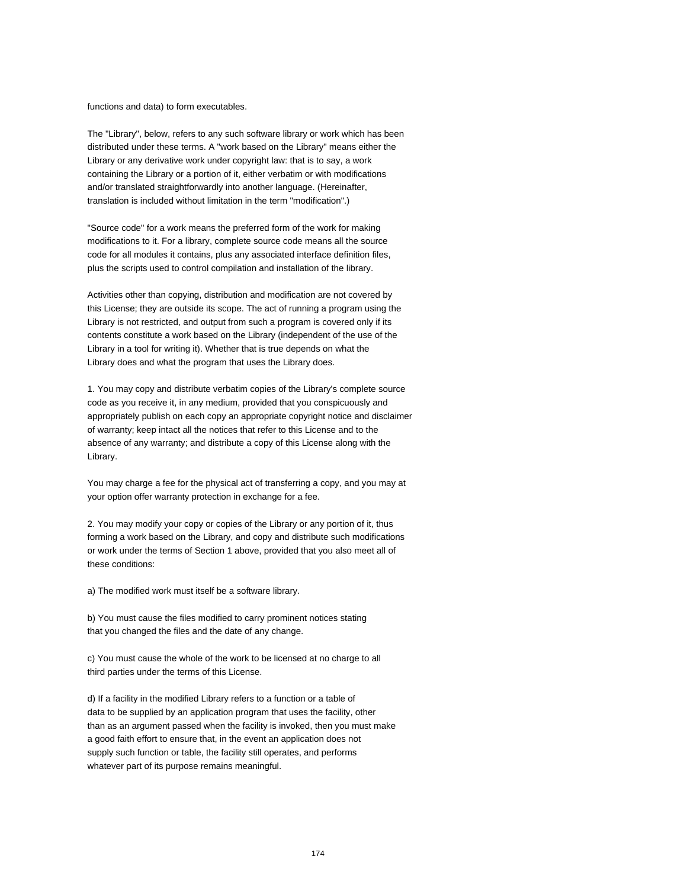functions and data) to form executables.

The "Library", below, refers to any such software library or work which has been distributed under these terms. A "work based on the Library" means either the Library or any derivative work under copyright law: that is to say, a work containing the Library or a portion of it, either verbatim or with modifications and/or translated straightforwardly into another language. (Hereinafter, translation is included without limitation in the term "modification".)

"Source code" for a work means the preferred form of the work for making modifications to it. For a library, complete source code means all the source code for all modules it contains, plus any associated interface definition files, plus the scripts used to control compilation and installation of the library.

Activities other than copying, distribution and modification are not covered by this License; they are outside its scope. The act of running a program using the Library is not restricted, and output from such a program is covered only if its contents constitute a work based on the Library (independent of the use of the Library in a tool for writing it). Whether that is true depends on what the Library does and what the program that uses the Library does.

1. You may copy and distribute verbatim copies of the Library's complete source code as you receive it, in any medium, provided that you conspicuously and appropriately publish on each copy an appropriate copyright notice and disclaimer of warranty; keep intact all the notices that refer to this License and to the absence of any warranty; and distribute a copy of this License along with the Library.

You may charge a fee for the physical act of transferring a copy, and you may at your option offer warranty protection in exchange for a fee.

2. You may modify your copy or copies of the Library or any portion of it, thus forming a work based on the Library, and copy and distribute such modifications or work under the terms of Section 1 above, provided that you also meet all of these conditions:

a) The modified work must itself be a software library.

b) You must cause the files modified to carry prominent notices stating that you changed the files and the date of any change.

c) You must cause the whole of the work to be licensed at no charge to all third parties under the terms of this License.

d) If a facility in the modified Library refers to a function or a table of data to be supplied by an application program that uses the facility, other than as an argument passed when the facility is invoked, then you must make a good faith effort to ensure that, in the event an application does not supply such function or table, the facility still operates, and performs whatever part of its purpose remains meaningful.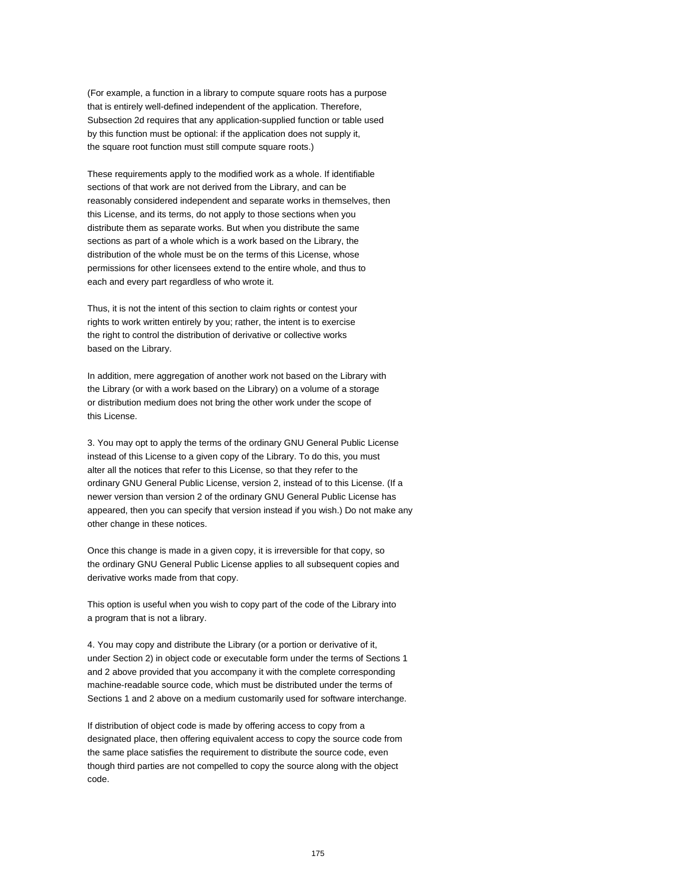(For example, a function in a library to compute square roots has a purpose that is entirely well-defined independent of the application. Therefore, Subsection 2d requires that any application-supplied function or table used by this function must be optional: if the application does not supply it, the square root function must still compute square roots.)

These requirements apply to the modified work as a whole. If identifiable sections of that work are not derived from the Library, and can be reasonably considered independent and separate works in themselves, then this License, and its terms, do not apply to those sections when you distribute them as separate works. But when you distribute the same sections as part of a whole which is a work based on the Library, the distribution of the whole must be on the terms of this License, whose permissions for other licensees extend to the entire whole, and thus to each and every part regardless of who wrote it.

Thus, it is not the intent of this section to claim rights or contest your rights to work written entirely by you; rather, the intent is to exercise the right to control the distribution of derivative or collective works based on the Library.

In addition, mere aggregation of another work not based on the Library with the Library (or with a work based on the Library) on a volume of a storage or distribution medium does not bring the other work under the scope of this License.

3. You may opt to apply the terms of the ordinary GNU General Public License instead of this License to a given copy of the Library. To do this, you must alter all the notices that refer to this License, so that they refer to the ordinary GNU General Public License, version 2, instead of to this License. (If a newer version than version 2 of the ordinary GNU General Public License has appeared, then you can specify that version instead if you wish.) Do not make any other change in these notices.

Once this change is made in a given copy, it is irreversible for that copy, so the ordinary GNU General Public License applies to all subsequent copies and derivative works made from that copy.

This option is useful when you wish to copy part of the code of the Library into a program that is not a library.

4. You may copy and distribute the Library (or a portion or derivative of it, under Section 2) in object code or executable form under the terms of Sections 1 and 2 above provided that you accompany it with the complete corresponding machine-readable source code, which must be distributed under the terms of Sections 1 and 2 above on a medium customarily used for software interchange.

If distribution of object code is made by offering access to copy from a designated place, then offering equivalent access to copy the source code from the same place satisfies the requirement to distribute the source code, even though third parties are not compelled to copy the source along with the object code.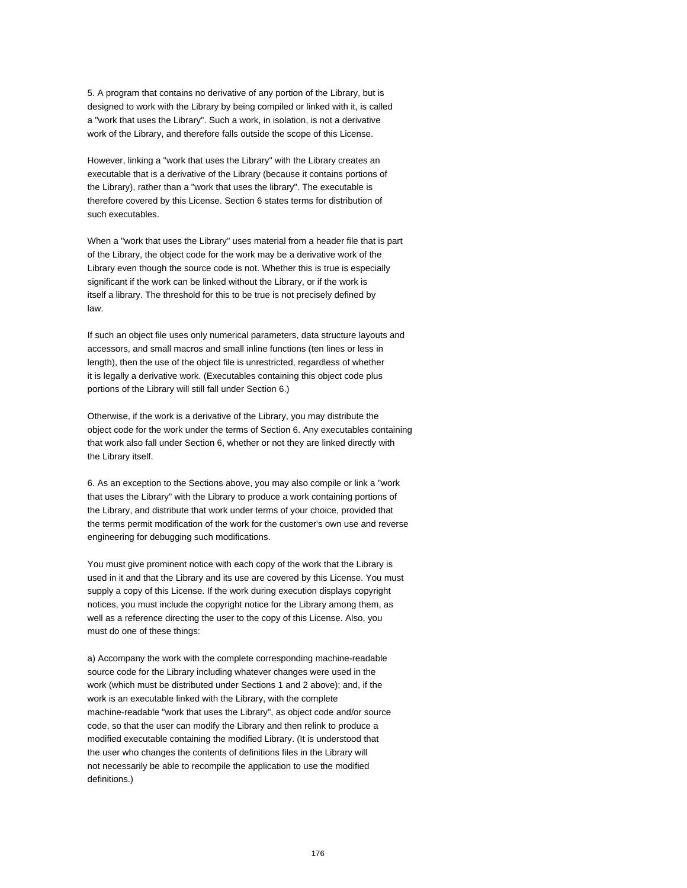5. A program that contains no derivative of any portion of the Library, but is designed to work with the Library by being compiled or linked with it, is called a "work that uses the Library". Such a work, in isolation, is not a derivative work of the Library, and therefore falls outside the scope of this License.

However, linking a "work that uses the Library" with the Library creates an executable that is a derivative of the Library (because it contains portions of the Library), rather than a "work that uses the library". The executable is therefore covered by this License. Section 6 states terms for distribution of such executables.

When a "work that uses the Library" uses material from a header file that is part of the Library, the object code for the work may be a derivative work of the Library even though the source code is not. Whether this is true is especially significant if the work can be linked without the Library, or if the work is itself a library. The threshold for this to be true is not precisely defined by law.

If such an object file uses only numerical parameters, data structure layouts and accessors, and small macros and small inline functions (ten lines or less in length), then the use of the object file is unrestricted, regardless of whether it is legally a derivative work. (Executables containing this object code plus portions of the Library will still fall under Section 6.)

Otherwise, if the work is a derivative of the Library, you may distribute the object code for the work under the terms of Section 6. Any executables containing that work also fall under Section 6, whether or not they are linked directly with the Library itself.

6. As an exception to the Sections above, you may also compile or link a "work that uses the Library" with the Library to produce a work containing portions of the Library, and distribute that work under terms of your choice, provided that the terms permit modification of the work for the customer's own use and reverse engineering for debugging such modifications.

You must give prominent notice with each copy of the work that the Library is used in it and that the Library and its use are covered by this License. You must supply a copy of this License. If the work during execution displays copyright notices, you must include the copyright notice for the Library among them, as well as a reference directing the user to the copy of this License. Also, you must do one of these things:

a) Accompany the work with the complete corresponding machine-readable source code for the Library including whatever changes were used in the work (which must be distributed under Sections 1 and 2 above); and, if the work is an executable linked with the Library, with the complete machine-readable "work that uses the Library", as object code and/or source code, so that the user can modify the Library and then relink to produce a modified executable containing the modified Library. (It is understood that the user who changes the contents of definitions files in the Library will not necessarily be able to recompile the application to use the modified definitions.)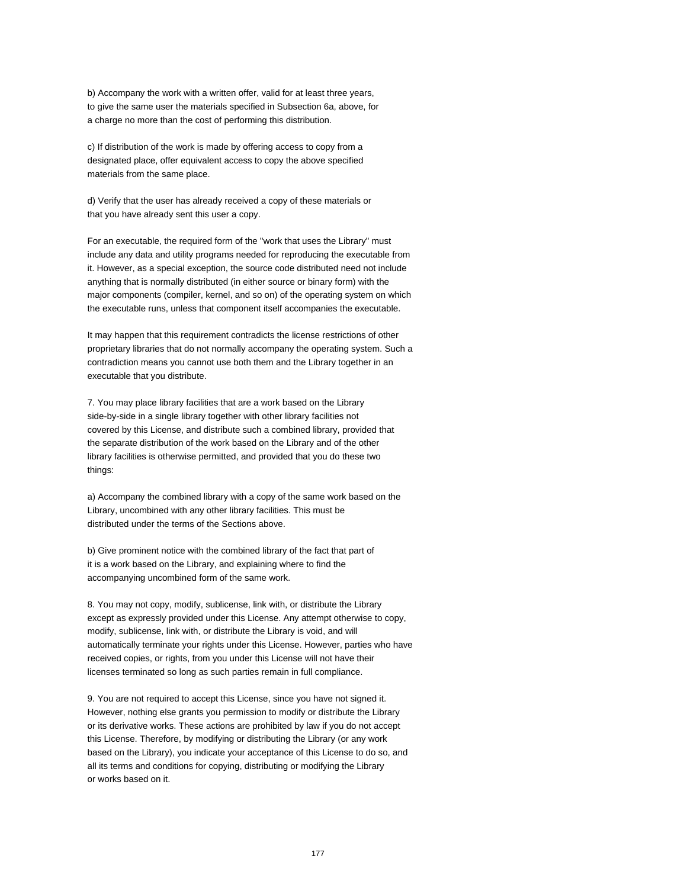b) Accompany the work with a written offer, valid for at least three years, to give the same user the materials specified in Subsection 6a, above, for a charge no more than the cost of performing this distribution.

c) If distribution of the work is made by offering access to copy from a designated place, offer equivalent access to copy the above specified materials from the same place.

d) Verify that the user has already received a copy of these materials or that you have already sent this user a copy.

For an executable, the required form of the "work that uses the Library" must include any data and utility programs needed for reproducing the executable from it. However, as a special exception, the source code distributed need not include anything that is normally distributed (in either source or binary form) with the major components (compiler, kernel, and so on) of the operating system on which the executable runs, unless that component itself accompanies the executable.

It may happen that this requirement contradicts the license restrictions of other proprietary libraries that do not normally accompany the operating system. Such a contradiction means you cannot use both them and the Library together in an executable that you distribute.

7. You may place library facilities that are a work based on the Library side-by-side in a single library together with other library facilities not covered by this License, and distribute such a combined library, provided that the separate distribution of the work based on the Library and of the other library facilities is otherwise permitted, and provided that you do these two things:

a) Accompany the combined library with a copy of the same work based on the Library, uncombined with any other library facilities. This must be distributed under the terms of the Sections above.

b) Give prominent notice with the combined library of the fact that part of it is a work based on the Library, and explaining where to find the accompanying uncombined form of the same work.

8. You may not copy, modify, sublicense, link with, or distribute the Library except as expressly provided under this License. Any attempt otherwise to copy, modify, sublicense, link with, or distribute the Library is void, and will automatically terminate your rights under this License. However, parties who have received copies, or rights, from you under this License will not have their licenses terminated so long as such parties remain in full compliance.

9. You are not required to accept this License, since you have not signed it. However, nothing else grants you permission to modify or distribute the Library or its derivative works. These actions are prohibited by law if you do not accept this License. Therefore, by modifying or distributing the Library (or any work based on the Library), you indicate your acceptance of this License to do so, and all its terms and conditions for copying, distributing or modifying the Library or works based on it.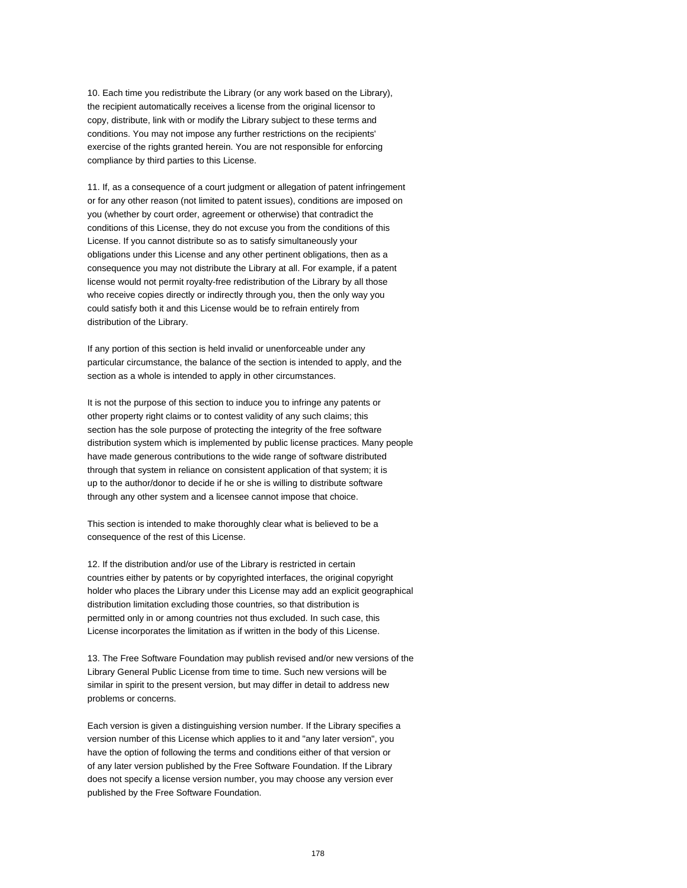10. Each time you redistribute the Library (or any work based on the Library), the recipient automatically receives a license from the original licensor to copy, distribute, link with or modify the Library subject to these terms and conditions. You may not impose any further restrictions on the recipients' exercise of the rights granted herein. You are not responsible for enforcing compliance by third parties to this License.

11. If, as a consequence of a court judgment or allegation of patent infringement or for any other reason (not limited to patent issues), conditions are imposed on you (whether by court order, agreement or otherwise) that contradict the conditions of this License, they do not excuse you from the conditions of this License. If you cannot distribute so as to satisfy simultaneously your obligations under this License and any other pertinent obligations, then as a consequence you may not distribute the Library at all. For example, if a patent license would not permit royalty-free redistribution of the Library by all those who receive copies directly or indirectly through you, then the only way you could satisfy both it and this License would be to refrain entirely from distribution of the Library.

If any portion of this section is held invalid or unenforceable under any particular circumstance, the balance of the section is intended to apply, and the section as a whole is intended to apply in other circumstances.

It is not the purpose of this section to induce you to infringe any patents or other property right claims or to contest validity of any such claims; this section has the sole purpose of protecting the integrity of the free software distribution system which is implemented by public license practices. Many people have made generous contributions to the wide range of software distributed through that system in reliance on consistent application of that system; it is up to the author/donor to decide if he or she is willing to distribute software through any other system and a licensee cannot impose that choice.

This section is intended to make thoroughly clear what is believed to be a consequence of the rest of this License.

12. If the distribution and/or use of the Library is restricted in certain countries either by patents or by copyrighted interfaces, the original copyright holder who places the Library under this License may add an explicit geographical distribution limitation excluding those countries, so that distribution is permitted only in or among countries not thus excluded. In such case, this License incorporates the limitation as if written in the body of this License.

13. The Free Software Foundation may publish revised and/or new versions of the Library General Public License from time to time. Such new versions will be similar in spirit to the present version, but may differ in detail to address new problems or concerns.

Each version is given a distinguishing version number. If the Library specifies a version number of this License which applies to it and "any later version", you have the option of following the terms and conditions either of that version or of any later version published by the Free Software Foundation. If the Library does not specify a license version number, you may choose any version ever published by the Free Software Foundation.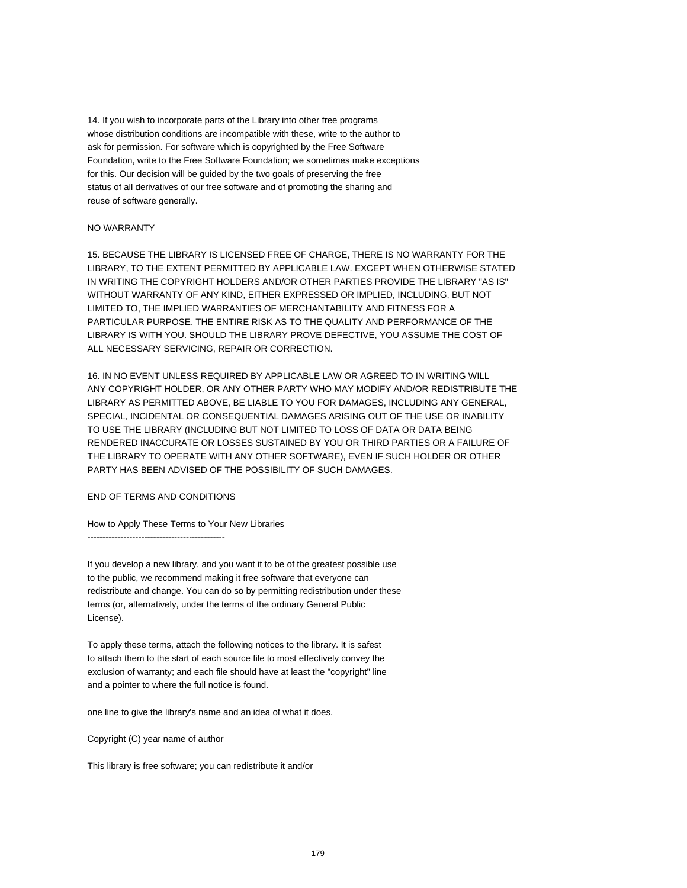14. If you wish to incorporate parts of the Library into other free programs whose distribution conditions are incompatible with these, write to the author to ask for permission. For software which is copyrighted by the Free Software Foundation, write to the Free Software Foundation; we sometimes make exceptions for this. Our decision will be guided by the two goals of preserving the free status of all derivatives of our free software and of promoting the sharing and reuse of software generally.

## NO WARRANTY

15. BECAUSE THE LIBRARY IS LICENSED FREE OF CHARGE, THERE IS NO WARRANTY FOR THE LIBRARY, TO THE EXTENT PERMITTED BY APPLICABLE LAW. EXCEPT WHEN OTHERWISE STATED IN WRITING THE COPYRIGHT HOLDERS AND/OR OTHER PARTIES PROVIDE THE LIBRARY "AS IS" WITHOUT WARRANTY OF ANY KIND, EITHER EXPRESSED OR IMPLIED, INCLUDING, BUT NOT LIMITED TO, THE IMPLIED WARRANTIES OF MERCHANTABILITY AND FITNESS FOR A PARTICULAR PURPOSE. THE ENTIRE RISK AS TO THE QUALITY AND PERFORMANCE OF THE LIBRARY IS WITH YOU. SHOULD THE LIBRARY PROVE DEFECTIVE, YOU ASSUME THE COST OF ALL NECESSARY SERVICING, REPAIR OR CORRECTION.

16. IN NO EVENT UNLESS REQUIRED BY APPLICABLE LAW OR AGREED TO IN WRITING WILL ANY COPYRIGHT HOLDER, OR ANY OTHER PARTY WHO MAY MODIFY AND/OR REDISTRIBUTE THE LIBRARY AS PERMITTED ABOVE, BE LIABLE TO YOU FOR DAMAGES, INCLUDING ANY GENERAL, SPECIAL, INCIDENTAL OR CONSEQUENTIAL DAMAGES ARISING OUT OF THE USE OR INABILITY TO USE THE LIBRARY (INCLUDING BUT NOT LIMITED TO LOSS OF DATA OR DATA BEING RENDERED INACCURATE OR LOSSES SUSTAINED BY YOU OR THIRD PARTIES OR A FAILURE OF THE LIBRARY TO OPERATE WITH ANY OTHER SOFTWARE), EVEN IF SUCH HOLDER OR OTHER PARTY HAS BEEN ADVISED OF THE POSSIBILITY OF SUCH DAMAGES.

#### END OF TERMS AND CONDITIONS

How to Apply These Terms to Your New Libraries ----------------------------------------------

If you develop a new library, and you want it to be of the greatest possible use to the public, we recommend making it free software that everyone can redistribute and change. You can do so by permitting redistribution under these terms (or, alternatively, under the terms of the ordinary General Public License).

To apply these terms, attach the following notices to the library. It is safest to attach them to the start of each source file to most effectively convey the exclusion of warranty; and each file should have at least the "copyright" line and a pointer to where the full notice is found.

one line to give the library's name and an idea of what it does.

Copyright (C) year name of author

This library is free software; you can redistribute it and/or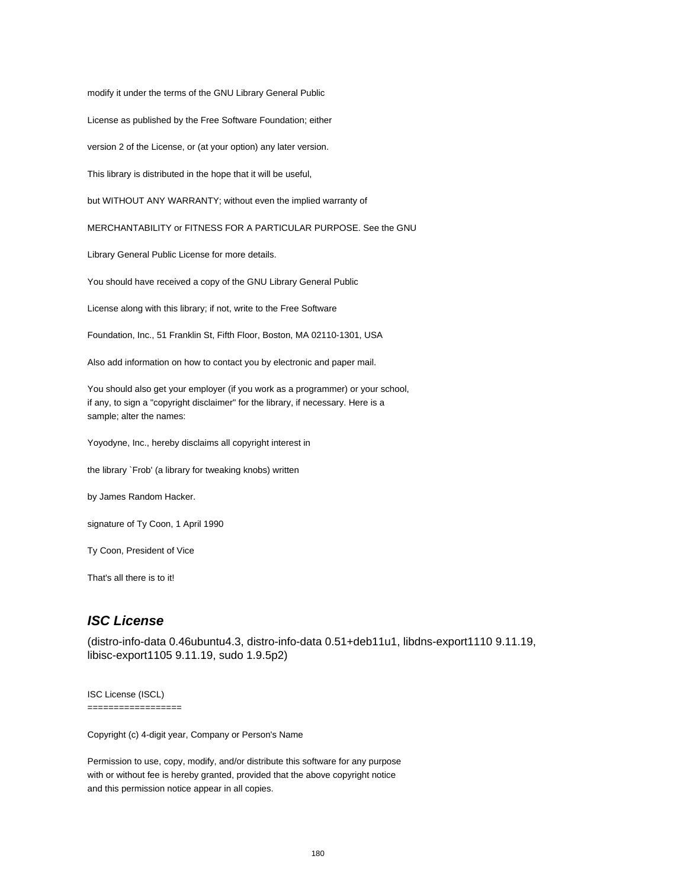modify it under the terms of the GNU Library General Public

License as published by the Free Software Foundation; either

version 2 of the License, or (at your option) any later version.

This library is distributed in the hope that it will be useful,

but WITHOUT ANY WARRANTY; without even the implied warranty of

MERCHANTABILITY or FITNESS FOR A PARTICULAR PURPOSE. See the GNU

Library General Public License for more details.

You should have received a copy of the GNU Library General Public

License along with this library; if not, write to the Free Software

Foundation, Inc., 51 Franklin St, Fifth Floor, Boston, MA 02110-1301, USA

Also add information on how to contact you by electronic and paper mail.

You should also get your employer (if you work as a programmer) or your school, if any, to sign a "copyright disclaimer" for the library, if necessary. Here is a sample; alter the names:

Yoyodyne, Inc., hereby disclaims all copyright interest in

the library `Frob' (a library for tweaking knobs) written

by James Random Hacker.

signature of Ty Coon, 1 April 1990

Ty Coon, President of Vice

That's all there is to it!

# **ISC License**

(distro-info-data 0.46ubuntu4.3, distro-info-data 0.51+deb11u1, libdns-export1110 9.11.19, libisc-export1105 9.11.19, sudo 1.9.5p2)

ISC License (ISCL)

==================

Copyright (c) 4-digit year, Company or Person's Name

Permission to use, copy, modify, and/or distribute this software for any purpose with or without fee is hereby granted, provided that the above copyright notice and this permission notice appear in all copies.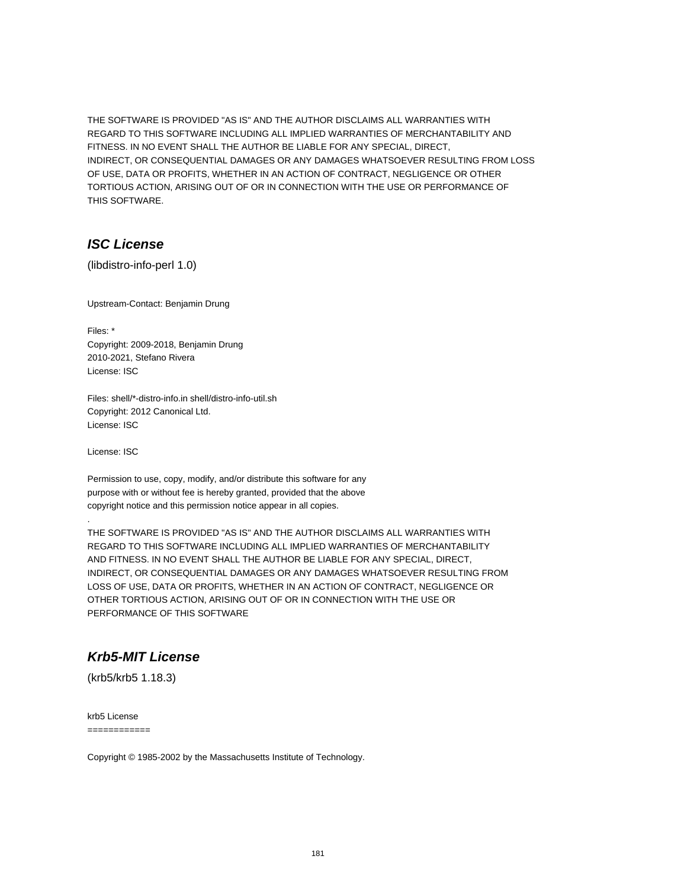THE SOFTWARE IS PROVIDED "AS IS" AND THE AUTHOR DISCLAIMS ALL WARRANTIES WITH REGARD TO THIS SOFTWARE INCLUDING ALL IMPLIED WARRANTIES OF MERCHANTABILITY AND FITNESS. IN NO EVENT SHALL THE AUTHOR BE LIABLE FOR ANY SPECIAL, DIRECT, INDIRECT, OR CONSEQUENTIAL DAMAGES OR ANY DAMAGES WHATSOEVER RESULTING FROM LOSS OF USE, DATA OR PROFITS, WHETHER IN AN ACTION OF CONTRACT, NEGLIGENCE OR OTHER TORTIOUS ACTION, ARISING OUT OF OR IN CONNECTION WITH THE USE OR PERFORMANCE OF THIS SOFTWARE.

## **ISC License**

(libdistro-info-perl 1.0)

Upstream-Contact: Benjamin Drung

Files: \* Copyright: 2009-2018, Benjamin Drung 2010-2021, Stefano Rivera License: ISC

Files: shell/\*-distro-info.in shell/distro-info-util.sh Copyright: 2012 Canonical Ltd. License: ISC

License: ISC

.

Permission to use, copy, modify, and/or distribute this software for any purpose with or without fee is hereby granted, provided that the above copyright notice and this permission notice appear in all copies.

THE SOFTWARE IS PROVIDED "AS IS" AND THE AUTHOR DISCLAIMS ALL WARRANTIES WITH REGARD TO THIS SOFTWARE INCLUDING ALL IMPLIED WARRANTIES OF MERCHANTABILITY AND FITNESS. IN NO EVENT SHALL THE AUTHOR BE LIABLE FOR ANY SPECIAL, DIRECT, INDIRECT, OR CONSEQUENTIAL DAMAGES OR ANY DAMAGES WHATSOEVER RESULTING FROM LOSS OF USE, DATA OR PROFITS, WHETHER IN AN ACTION OF CONTRACT, NEGLIGENCE OR OTHER TORTIOUS ACTION, ARISING OUT OF OR IN CONNECTION WITH THE USE OR PERFORMANCE OF THIS SOFTWARE

# **Krb5-MIT License**

(krb5/krb5 1.18.3)

krb5 License

============

Copyright © 1985-2002 by the Massachusetts Institute of Technology.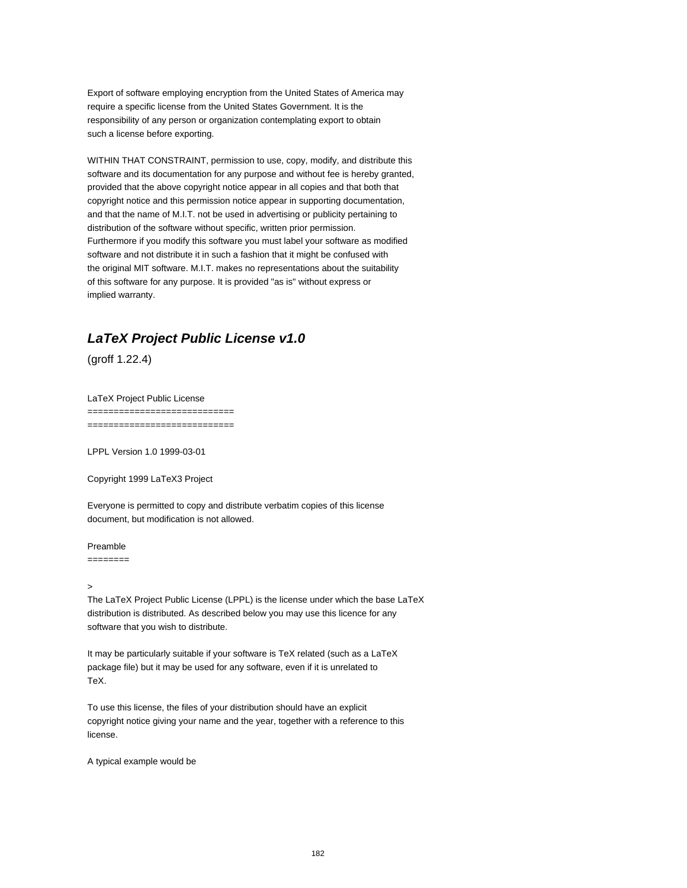Export of software employing encryption from the United States of America may require a specific license from the United States Government. It is the responsibility of any person or organization contemplating export to obtain such a license before exporting.

WITHIN THAT CONSTRAINT, permission to use, copy, modify, and distribute this software and its documentation for any purpose and without fee is hereby granted, provided that the above copyright notice appear in all copies and that both that copyright notice and this permission notice appear in supporting documentation, and that the name of M.I.T. not be used in advertising or publicity pertaining to distribution of the software without specific, written prior permission. Furthermore if you modify this software you must label your software as modified software and not distribute it in such a fashion that it might be confused with the original MIT software. M.I.T. makes no representations about the suitability of this software for any purpose. It is provided "as is" without express or implied warranty.

# **LaTeX Project Public License v1.0**

(groff 1.22.4)

LaTeX Project Public License ============================ ============================

LPPL Version 1.0 1999-03-01

Copyright 1999 LaTeX3 Project

Everyone is permitted to copy and distribute verbatim copies of this license document, but modification is not allowed.

## Preamble

========

### >

The LaTeX Project Public License (LPPL) is the license under which the base LaTeX distribution is distributed. As described below you may use this licence for any software that you wish to distribute.

It may be particularly suitable if your software is TeX related (such as a LaTeX package file) but it may be used for any software, even if it is unrelated to TeX.

To use this license, the files of your distribution should have an explicit copyright notice giving your name and the year, together with a reference to this license.

A typical example would be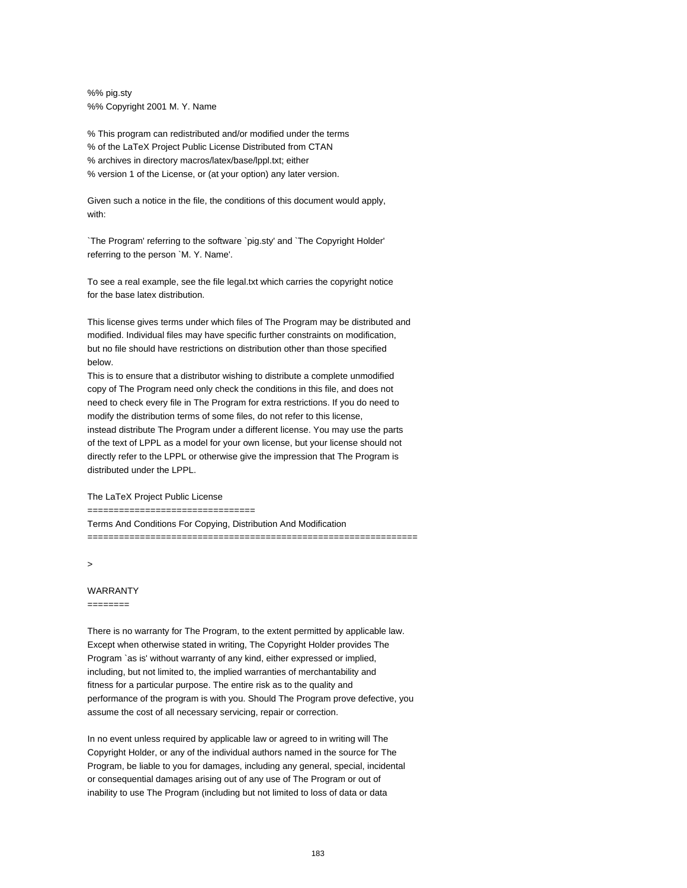%% pig.sty %% Copyright 2001 M. Y. Name

% This program can redistributed and/or modified under the terms % of the LaTeX Project Public License Distributed from CTAN % archives in directory macros/latex/base/lppl.txt; either % version 1 of the License, or (at your option) any later version.

Given such a notice in the file, the conditions of this document would apply, with:

`The Program' referring to the software `pig.sty' and `The Copyright Holder' referring to the person `M. Y. Name'.

To see a real example, see the file legal.txt which carries the copyright notice for the base latex distribution.

This license gives terms under which files of The Program may be distributed and modified. Individual files may have specific further constraints on modification, but no file should have restrictions on distribution other than those specified below.

This is to ensure that a distributor wishing to distribute a complete unmodified copy of The Program need only check the conditions in this file, and does not need to check every file in The Program for extra restrictions. If you do need to modify the distribution terms of some files, do not refer to this license, instead distribute The Program under a different license. You may use the parts of the text of LPPL as a model for your own license, but your license should not directly refer to the LPPL or otherwise give the impression that The Program is distributed under the LPPL.

The LaTeX Project Public License

==================================

Terms And Conditions For Copying, Distribution And Modification ===============================================================

>

### WARRANTY

 $=$ 

There is no warranty for The Program, to the extent permitted by applicable law. Except when otherwise stated in writing, The Copyright Holder provides The Program `as is' without warranty of any kind, either expressed or implied, including, but not limited to, the implied warranties of merchantability and fitness for a particular purpose. The entire risk as to the quality and performance of the program is with you. Should The Program prove defective, you assume the cost of all necessary servicing, repair or correction.

In no event unless required by applicable law or agreed to in writing will The Copyright Holder, or any of the individual authors named in the source for The Program, be liable to you for damages, including any general, special, incidental or consequential damages arising out of any use of The Program or out of inability to use The Program (including but not limited to loss of data or data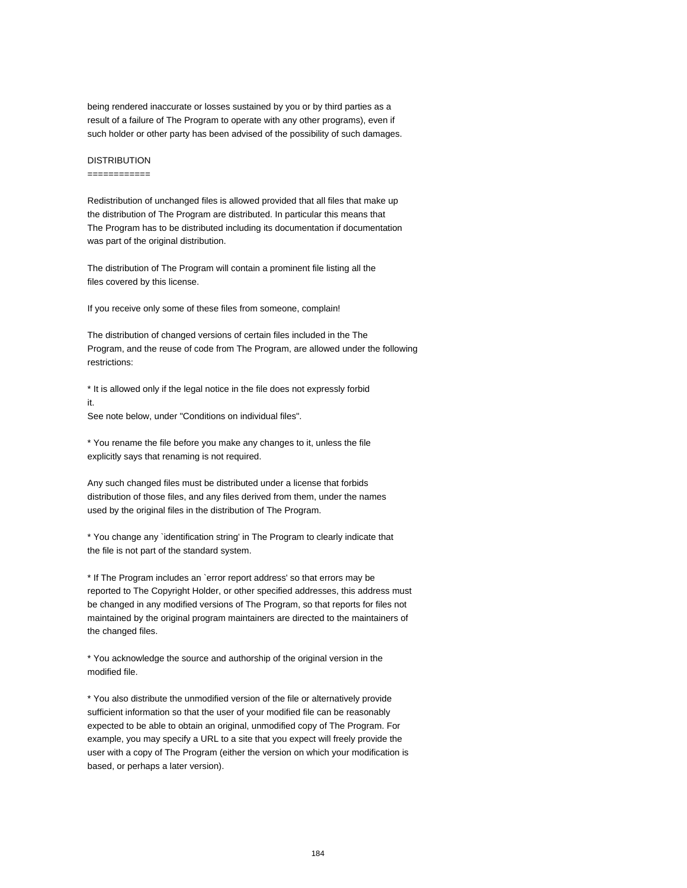being rendered inaccurate or losses sustained by you or by third parties as a result of a failure of The Program to operate with any other programs), even if such holder or other party has been advised of the possibility of such damages.

## DISTRIBUTION

#### ============

Redistribution of unchanged files is allowed provided that all files that make up the distribution of The Program are distributed. In particular this means that The Program has to be distributed including its documentation if documentation was part of the original distribution.

The distribution of The Program will contain a prominent file listing all the files covered by this license.

If you receive only some of these files from someone, complain!

The distribution of changed versions of certain files included in the The Program, and the reuse of code from The Program, are allowed under the following restrictions:

\* It is allowed only if the legal notice in the file does not expressly forbid it.

See note below, under "Conditions on individual files".

\* You rename the file before you make any changes to it, unless the file explicitly says that renaming is not required.

Any such changed files must be distributed under a license that forbids distribution of those files, and any files derived from them, under the names used by the original files in the distribution of The Program.

\* You change any `identification string' in The Program to clearly indicate that the file is not part of the standard system.

\* If The Program includes an `error report address' so that errors may be reported to The Copyright Holder, or other specified addresses, this address must be changed in any modified versions of The Program, so that reports for files not maintained by the original program maintainers are directed to the maintainers of the changed files.

\* You acknowledge the source and authorship of the original version in the modified file.

\* You also distribute the unmodified version of the file or alternatively provide sufficient information so that the user of your modified file can be reasonably expected to be able to obtain an original, unmodified copy of The Program. For example, you may specify a URL to a site that you expect will freely provide the user with a copy of The Program (either the version on which your modification is based, or perhaps a later version).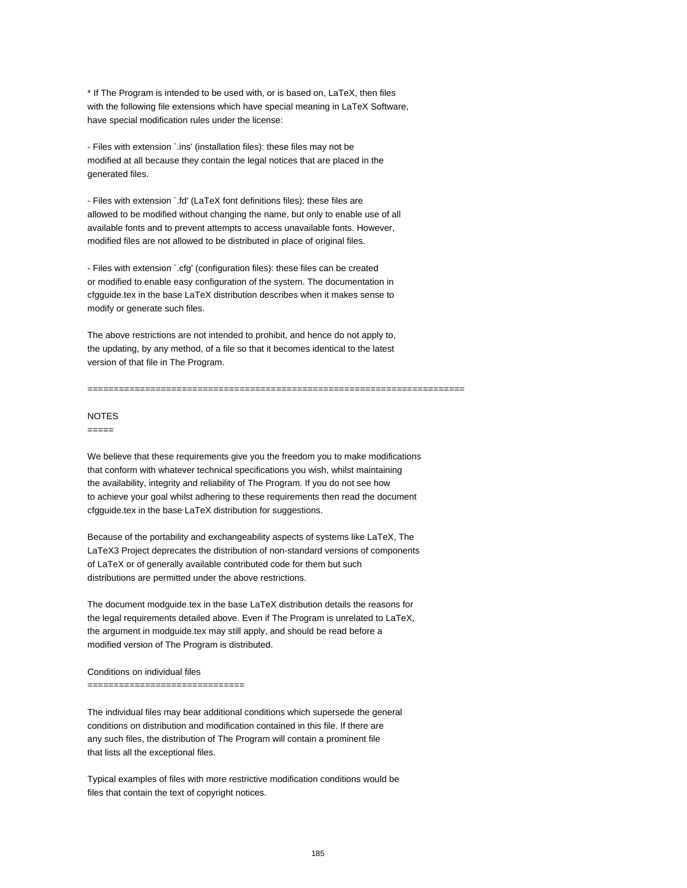\* If The Program is intended to be used with, or is based on, LaTeX, then files with the following file extensions which have special meaning in LaTeX Software, have special modification rules under the license:

- Files with extension `.ins' (installation files): these files may not be modified at all because they contain the legal notices that are placed in the generated files.

- Files with extension `.fd' (LaTeX font definitions files): these files are allowed to be modified without changing the name, but only to enable use of all available fonts and to prevent attempts to access unavailable fonts. However, modified files are not allowed to be distributed in place of original files.

- Files with extension `.cfg' (configuration files): these files can be created or modified to enable easy configuration of the system. The documentation in cfgguide.tex in the base LaTeX distribution describes when it makes sense to modify or generate such files.

The above restrictions are not intended to prohibit, and hence do not apply to, the updating, by any method, of a file so that it becomes identical to the latest version of that file in The Program.

#### NOTES

#### $=$

We believe that these requirements give you the freedom you to make modifications that conform with whatever technical specifications you wish, whilst maintaining the availability, integrity and reliability of The Program. If you do not see how to achieve your goal whilst adhering to these requirements then read the document cfgguide.tex in the base LaTeX distribution for suggestions.

========================================================================

Because of the portability and exchangeability aspects of systems like LaTeX, The LaTeX3 Project deprecates the distribution of non-standard versions of components of LaTeX or of generally available contributed code for them but such distributions are permitted under the above restrictions.

The document modguide.tex in the base LaTeX distribution details the reasons for the legal requirements detailed above. Even if The Program is unrelated to LaTeX, the argument in modguide.tex may still apply, and should be read before a modified version of The Program is distributed.

## Conditions on individual files

#### ==============================

The individual files may bear additional conditions which supersede the general conditions on distribution and modification contained in this file. If there are any such files, the distribution of The Program will contain a prominent file that lists all the exceptional files.

Typical examples of files with more restrictive modification conditions would be files that contain the text of copyright notices.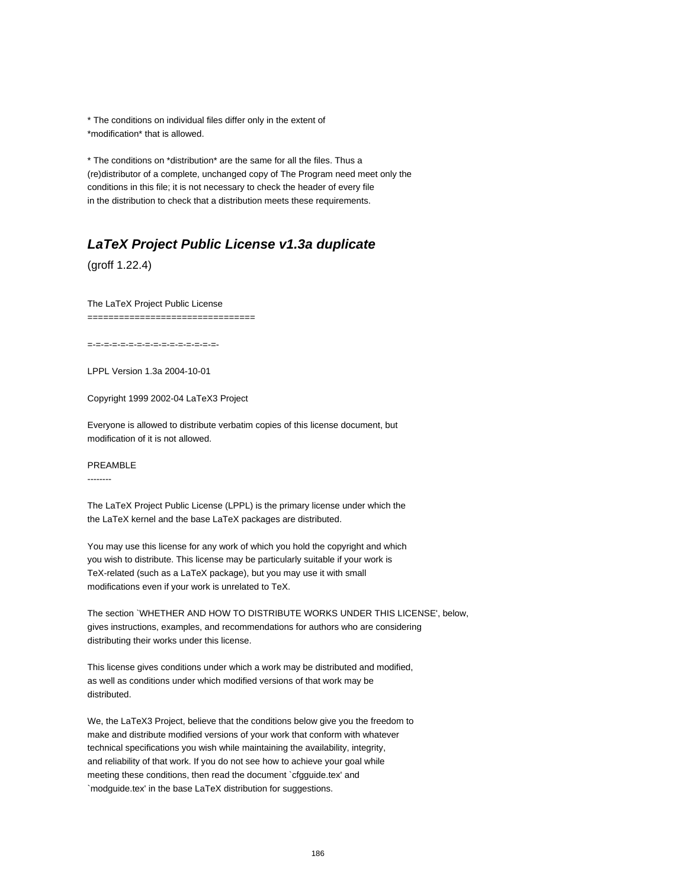\* The conditions on individual files differ only in the extent of \*modification\* that is allowed.

\* The conditions on \*distribution\* are the same for all the files. Thus a (re)distributor of a complete, unchanged copy of The Program need meet only the conditions in this file; it is not necessary to check the header of every file in the distribution to check that a distribution meets these requirements.

# **LaTeX Project Public License v1.3a duplicate**

(groff 1.22.4)

The LaTeX Project Public License ================================

=-=-=-=-=-=-=-=-=-=-=-=-=-=-=-=-

LPPL Version 1.3a 2004-10-01

Copyright 1999 2002-04 LaTeX3 Project

Everyone is allowed to distribute verbatim copies of this license document, but modification of it is not allowed.

PREAMBLE

--------

The LaTeX Project Public License (LPPL) is the primary license under which the the LaTeX kernel and the base LaTeX packages are distributed.

You may use this license for any work of which you hold the copyright and which you wish to distribute. This license may be particularly suitable if your work is TeX-related (such as a LaTeX package), but you may use it with small modifications even if your work is unrelated to TeX.

The section `WHETHER AND HOW TO DISTRIBUTE WORKS UNDER THIS LICENSE', below, gives instructions, examples, and recommendations for authors who are considering distributing their works under this license.

This license gives conditions under which a work may be distributed and modified, as well as conditions under which modified versions of that work may be distributed.

We, the LaTeX3 Project, believe that the conditions below give you the freedom to make and distribute modified versions of your work that conform with whatever technical specifications you wish while maintaining the availability, integrity, and reliability of that work. If you do not see how to achieve your goal while meeting these conditions, then read the document `cfgguide.tex' and `modguide.tex' in the base LaTeX distribution for suggestions.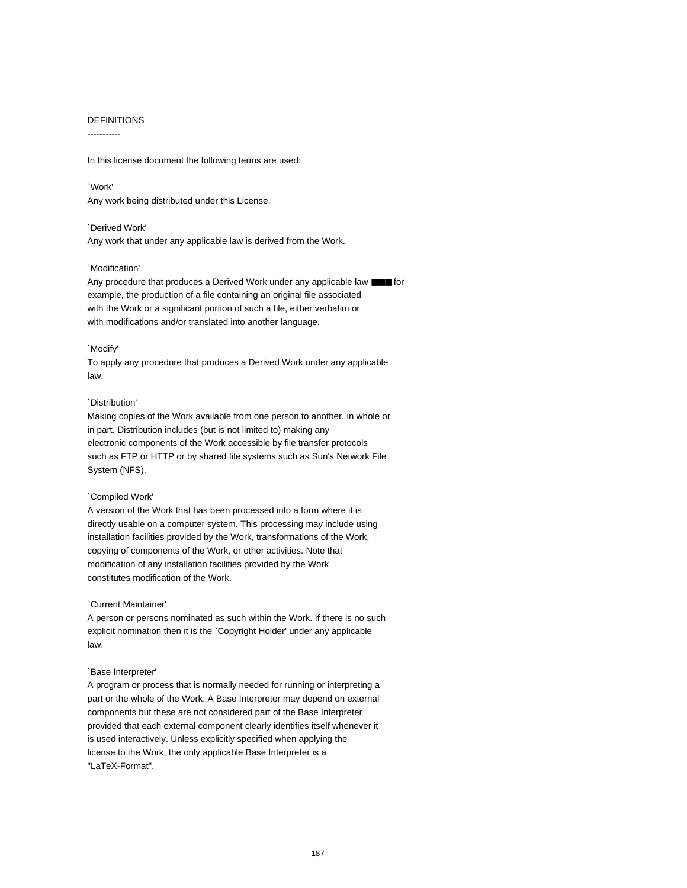## DEFINITIONS

-----------

In this license document the following terms are used:

`Work' Any work being distributed under this License.

`Derived Work' Any work that under any applicable law is derived from the Work.

### `Modification'

Any procedure that produces a Derived Work under any applicable law ■■■ for example, the production of a file containing an original file associated with the Work or a significant portion of such a file, either verbatim or with modifications and/or translated into another language.

### `Modify'

To apply any procedure that produces a Derived Work under any applicable law.

## `Distribution'

Making copies of the Work available from one person to another, in whole or in part. Distribution includes (but is not limited to) making any electronic components of the Work accessible by file transfer protocols such as FTP or HTTP or by shared file systems such as Sun's Network File System (NFS).

### `Compiled Work'

A version of the Work that has been processed into a form where it is directly usable on a computer system. This processing may include using installation facilities provided by the Work, transformations of the Work, copying of components of the Work, or other activities. Note that modification of any installation facilities provided by the Work constitutes modification of the Work.

## `Current Maintainer'

A person or persons nominated as such within the Work. If there is no such explicit nomination then it is the `Copyright Holder' under any applicable law.

## `Base Interpreter'

A program or process that is normally needed for running or interpreting a part or the whole of the Work. A Base Interpreter may depend on external components but these are not considered part of the Base Interpreter provided that each external component clearly identifies itself whenever it is used interactively. Unless explicitly specified when applying the license to the Work, the only applicable Base Interpreter is a "LaTeX-Format".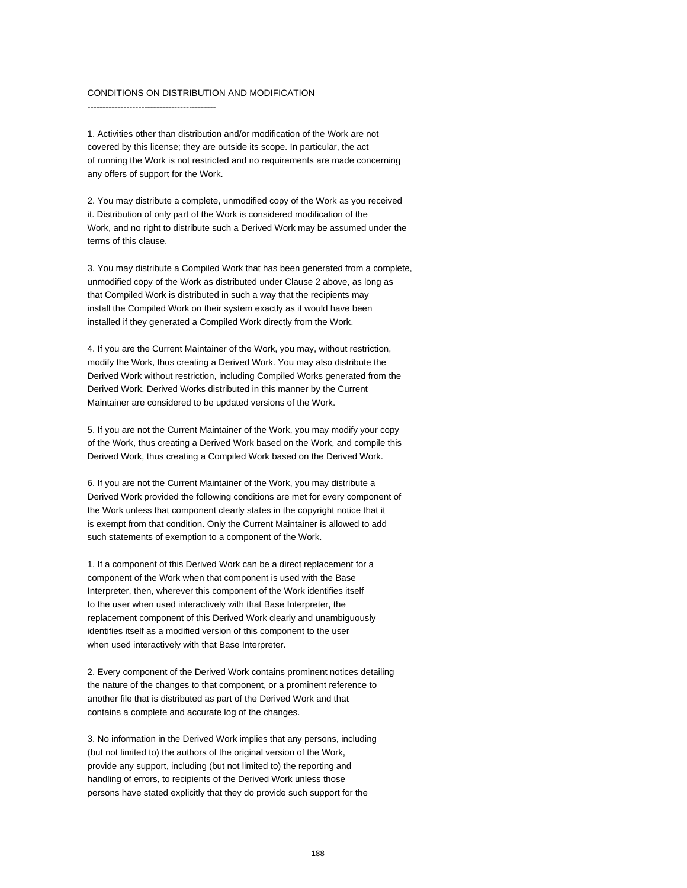## CONDITIONS ON DISTRIBUTION AND MODIFICATION

-------------------------------------------

1. Activities other than distribution and/or modification of the Work are not covered by this license; they are outside its scope. In particular, the act of running the Work is not restricted and no requirements are made concerning any offers of support for the Work.

2. You may distribute a complete, unmodified copy of the Work as you received it. Distribution of only part of the Work is considered modification of the Work, and no right to distribute such a Derived Work may be assumed under the terms of this clause.

3. You may distribute a Compiled Work that has been generated from a complete, unmodified copy of the Work as distributed under Clause 2 above, as long as that Compiled Work is distributed in such a way that the recipients may install the Compiled Work on their system exactly as it would have been installed if they generated a Compiled Work directly from the Work.

4. If you are the Current Maintainer of the Work, you may, without restriction, modify the Work, thus creating a Derived Work. You may also distribute the Derived Work without restriction, including Compiled Works generated from the Derived Work. Derived Works distributed in this manner by the Current Maintainer are considered to be updated versions of the Work.

5. If you are not the Current Maintainer of the Work, you may modify your copy of the Work, thus creating a Derived Work based on the Work, and compile this Derived Work, thus creating a Compiled Work based on the Derived Work.

6. If you are not the Current Maintainer of the Work, you may distribute a Derived Work provided the following conditions are met for every component of the Work unless that component clearly states in the copyright notice that it is exempt from that condition. Only the Current Maintainer is allowed to add such statements of exemption to a component of the Work.

1. If a component of this Derived Work can be a direct replacement for a component of the Work when that component is used with the Base Interpreter, then, wherever this component of the Work identifies itself to the user when used interactively with that Base Interpreter, the replacement component of this Derived Work clearly and unambiguously identifies itself as a modified version of this component to the user when used interactively with that Base Interpreter.

2. Every component of the Derived Work contains prominent notices detailing the nature of the changes to that component, or a prominent reference to another file that is distributed as part of the Derived Work and that contains a complete and accurate log of the changes.

3. No information in the Derived Work implies that any persons, including (but not limited to) the authors of the original version of the Work, provide any support, including (but not limited to) the reporting and handling of errors, to recipients of the Derived Work unless those persons have stated explicitly that they do provide such support for the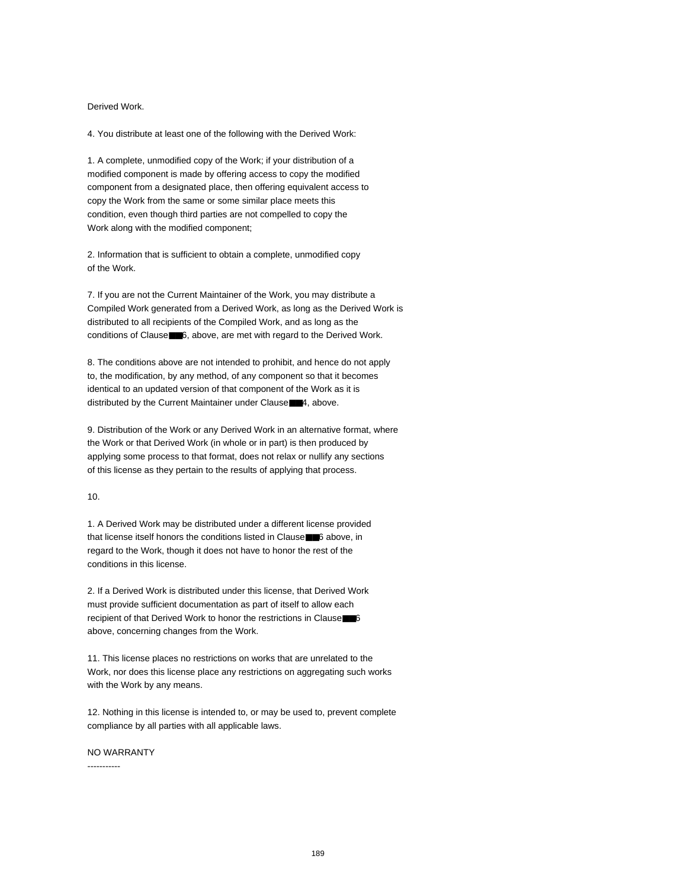## Derived Work.

4. You distribute at least one of the following with the Derived Work:

1. A complete, unmodified copy of the Work; if your distribution of a modified component is made by offering access to copy the modified component from a designated place, then offering equivalent access to copy the Work from the same or some similar place meets this condition, even though third parties are not compelled to copy the Work along with the modified component;

2. Information that is sufficient to obtain a complete, unmodified copy of the Work.

7. If you are not the Current Maintainer of the Work, you may distribute a Compiled Work generated from a Derived Work, as long as the Derived Work is distributed to all recipients of the Compiled Work, and as long as the conditions of Clause■■6, above, are met with regard to the Derived Work.

8. The conditions above are not intended to prohibit, and hence do not apply to, the modification, by any method, of any component so that it becomes identical to an updated version of that component of the Work as it is distributed by the Current Maintainer under Clause■■4, above.

9. Distribution of the Work or any Derived Work in an alternative format, where the Work or that Derived Work (in whole or in part) is then produced by applying some process to that format, does not relax or nullify any sections of this license as they pertain to the results of applying that process.

#### 10.

1. A Derived Work may be distributed under a different license provided that license itself honors the conditions listed in Clause■■6 above, in regard to the Work, though it does not have to honor the rest of the conditions in this license.

2. If a Derived Work is distributed under this license, that Derived Work must provide sufficient documentation as part of itself to allow each recipient of that Derived Work to honor the restrictions in Clause■■6 above, concerning changes from the Work.

11. This license places no restrictions on works that are unrelated to the Work, nor does this license place any restrictions on aggregating such works with the Work by any means.

12. Nothing in this license is intended to, or may be used to, prevent complete compliance by all parties with all applicable laws.

### NO WARRANTY -----------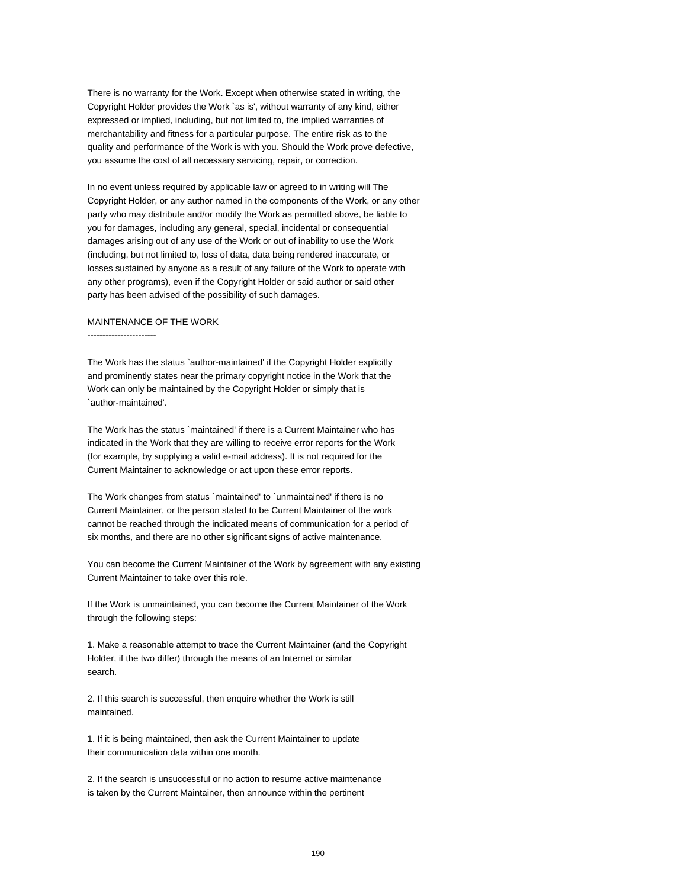There is no warranty for the Work. Except when otherwise stated in writing, the Copyright Holder provides the Work `as is', without warranty of any kind, either expressed or implied, including, but not limited to, the implied warranties of merchantability and fitness for a particular purpose. The entire risk as to the quality and performance of the Work is with you. Should the Work prove defective, you assume the cost of all necessary servicing, repair, or correction.

In no event unless required by applicable law or agreed to in writing will The Copyright Holder, or any author named in the components of the Work, or any other party who may distribute and/or modify the Work as permitted above, be liable to you for damages, including any general, special, incidental or consequential damages arising out of any use of the Work or out of inability to use the Work (including, but not limited to, loss of data, data being rendered inaccurate, or losses sustained by anyone as a result of any failure of the Work to operate with any other programs), even if the Copyright Holder or said author or said other party has been advised of the possibility of such damages.

MAINTENANCE OF THE WORK

-----------------------

The Work has the status `author-maintained' if the Copyright Holder explicitly and prominently states near the primary copyright notice in the Work that the Work can only be maintained by the Copyright Holder or simply that is `author-maintained'.

The Work has the status `maintained' if there is a Current Maintainer who has indicated in the Work that they are willing to receive error reports for the Work (for example, by supplying a valid e-mail address). It is not required for the Current Maintainer to acknowledge or act upon these error reports.

The Work changes from status `maintained' to `unmaintained' if there is no Current Maintainer, or the person stated to be Current Maintainer of the work cannot be reached through the indicated means of communication for a period of six months, and there are no other significant signs of active maintenance.

You can become the Current Maintainer of the Work by agreement with any existing Current Maintainer to take over this role.

If the Work is unmaintained, you can become the Current Maintainer of the Work through the following steps:

1. Make a reasonable attempt to trace the Current Maintainer (and the Copyright Holder, if the two differ) through the means of an Internet or similar search.

2. If this search is successful, then enquire whether the Work is still maintained.

1. If it is being maintained, then ask the Current Maintainer to update their communication data within one month.

2. If the search is unsuccessful or no action to resume active maintenance is taken by the Current Maintainer, then announce within the pertinent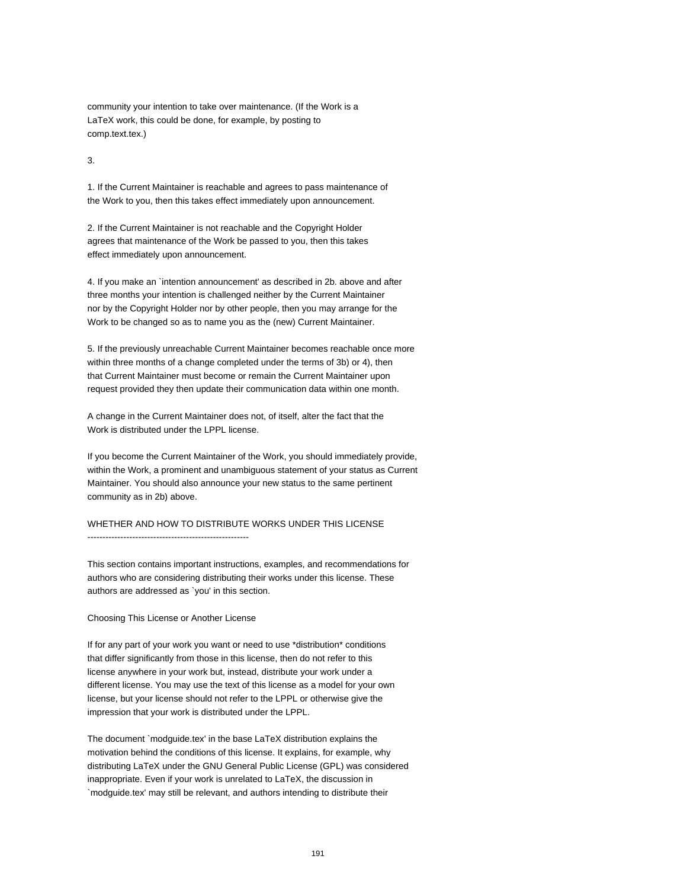community your intention to take over maintenance. (If the Work is a LaTeX work, this could be done, for example, by posting to comp.text.tex.)

3.

1. If the Current Maintainer is reachable and agrees to pass maintenance of the Work to you, then this takes effect immediately upon announcement.

2. If the Current Maintainer is not reachable and the Copyright Holder agrees that maintenance of the Work be passed to you, then this takes effect immediately upon announcement.

4. If you make an `intention announcement' as described in 2b. above and after three months your intention is challenged neither by the Current Maintainer nor by the Copyright Holder nor by other people, then you may arrange for the Work to be changed so as to name you as the (new) Current Maintainer.

5. If the previously unreachable Current Maintainer becomes reachable once more within three months of a change completed under the terms of 3b) or 4), then that Current Maintainer must become or remain the Current Maintainer upon request provided they then update their communication data within one month.

A change in the Current Maintainer does not, of itself, alter the fact that the Work is distributed under the LPPL license.

If you become the Current Maintainer of the Work, you should immediately provide, within the Work, a prominent and unambiguous statement of your status as Current Maintainer. You should also announce your new status to the same pertinent community as in 2b) above.

WHETHER AND HOW TO DISTRIBUTE WORKS UNDER THIS LICENSE ------------------------------------------------------

This section contains important instructions, examples, and recommendations for authors who are considering distributing their works under this license. These authors are addressed as `you' in this section.

Choosing This License or Another License

If for any part of your work you want or need to use \*distribution\* conditions that differ significantly from those in this license, then do not refer to this license anywhere in your work but, instead, distribute your work under a different license. You may use the text of this license as a model for your own license, but your license should not refer to the LPPL or otherwise give the impression that your work is distributed under the LPPL.

The document `modguide.tex' in the base LaTeX distribution explains the motivation behind the conditions of this license. It explains, for example, why distributing LaTeX under the GNU General Public License (GPL) was considered inappropriate. Even if your work is unrelated to LaTeX, the discussion in `modguide.tex' may still be relevant, and authors intending to distribute their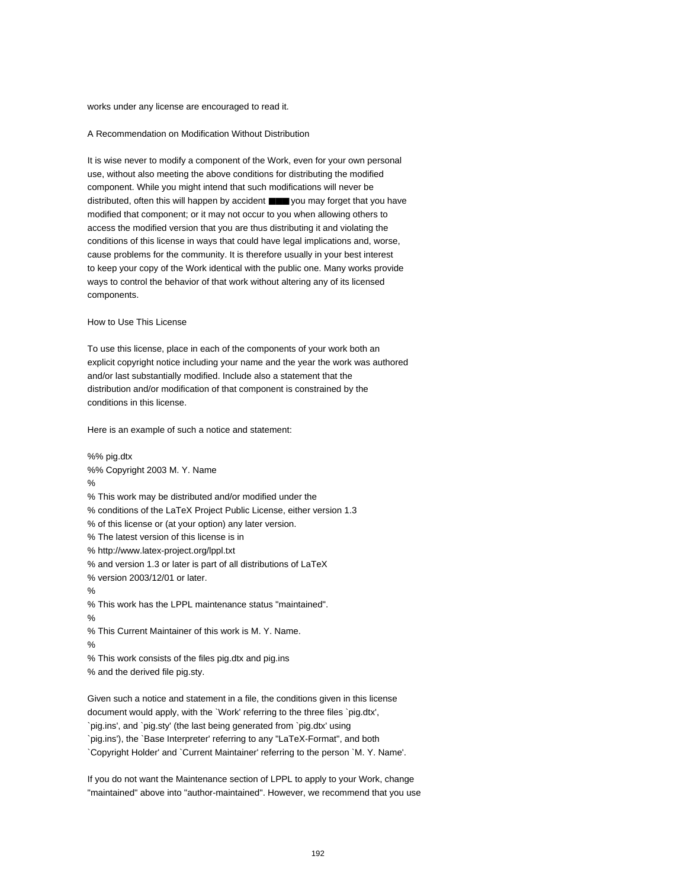works under any license are encouraged to read it.

A Recommendation on Modification Without Distribution

It is wise never to modify a component of the Work, even for your own personal use, without also meeting the above conditions for distributing the modified component. While you might intend that such modifications will never be distributed, often this will happen by accident ■■■ you may forget that you have modified that component; or it may not occur to you when allowing others to access the modified version that you are thus distributing it and violating the conditions of this license in ways that could have legal implications and, worse, cause problems for the community. It is therefore usually in your best interest to keep your copy of the Work identical with the public one. Many works provide ways to control the behavior of that work without altering any of its licensed components.

How to Use This License

To use this license, place in each of the components of your work both an explicit copyright notice including your name and the year the work was authored and/or last substantially modified. Include also a statement that the distribution and/or modification of that component is constrained by the conditions in this license.

Here is an example of such a notice and statement:

%% pig.dtx %% Copyright 2003 M. Y. Name % % This work may be distributed and/or modified under the % conditions of the LaTeX Project Public License, either version 1.3 % of this license or (at your option) any later version. % The latest version of this license is in % http://www.latex-project.org/lppl.txt % and version 1.3 or later is part of all distributions of LaTeX % version 2003/12/01 or later.  $\frac{0}{6}$ % This work has the LPPL maintenance status "maintained". % % This Current Maintainer of this work is M. Y. Name. % % This work consists of the files pig.dtx and pig.ins % and the derived file pig.sty.

Given such a notice and statement in a file, the conditions given in this license document would apply, with the `Work' referring to the three files `pig.dtx', `pig.ins', and `pig.sty' (the last being generated from `pig.dtx' using `pig.ins'), the `Base Interpreter' referring to any "LaTeX-Format", and both `Copyright Holder' and `Current Maintainer' referring to the person `M. Y. Name'.

If you do not want the Maintenance section of LPPL to apply to your Work, change "maintained" above into "author-maintained". However, we recommend that you use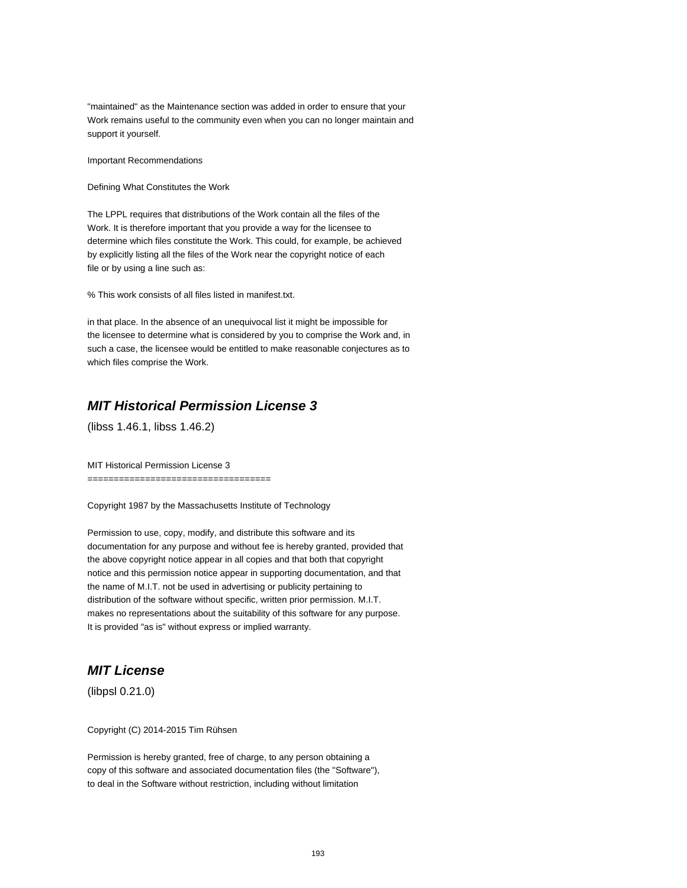"maintained" as the Maintenance section was added in order to ensure that your Work remains useful to the community even when you can no longer maintain and support it yourself.

Important Recommendations

Defining What Constitutes the Work

The LPPL requires that distributions of the Work contain all the files of the Work. It is therefore important that you provide a way for the licensee to determine which files constitute the Work. This could, for example, be achieved by explicitly listing all the files of the Work near the copyright notice of each file or by using a line such as:

% This work consists of all files listed in manifest.txt.

in that place. In the absence of an unequivocal list it might be impossible for the licensee to determine what is considered by you to comprise the Work and, in such a case, the licensee would be entitled to make reasonable conjectures as to which files comprise the Work.

# **MIT Historical Permission License 3**

(libss 1.46.1, libss 1.46.2)

MIT Historical Permission License 3

===================================

Copyright 1987 by the Massachusetts Institute of Technology

Permission to use, copy, modify, and distribute this software and its documentation for any purpose and without fee is hereby granted, provided that the above copyright notice appear in all copies and that both that copyright notice and this permission notice appear in supporting documentation, and that the name of M.I.T. not be used in advertising or publicity pertaining to distribution of the software without specific, written prior permission. M.I.T. makes no representations about the suitability of this software for any purpose. It is provided "as is" without express or implied warranty.

# **MIT License**

(libpsl 0.21.0)

Copyright (C) 2014-2015 Tim Rühsen

Permission is hereby granted, free of charge, to any person obtaining a copy of this software and associated documentation files (the "Software"), to deal in the Software without restriction, including without limitation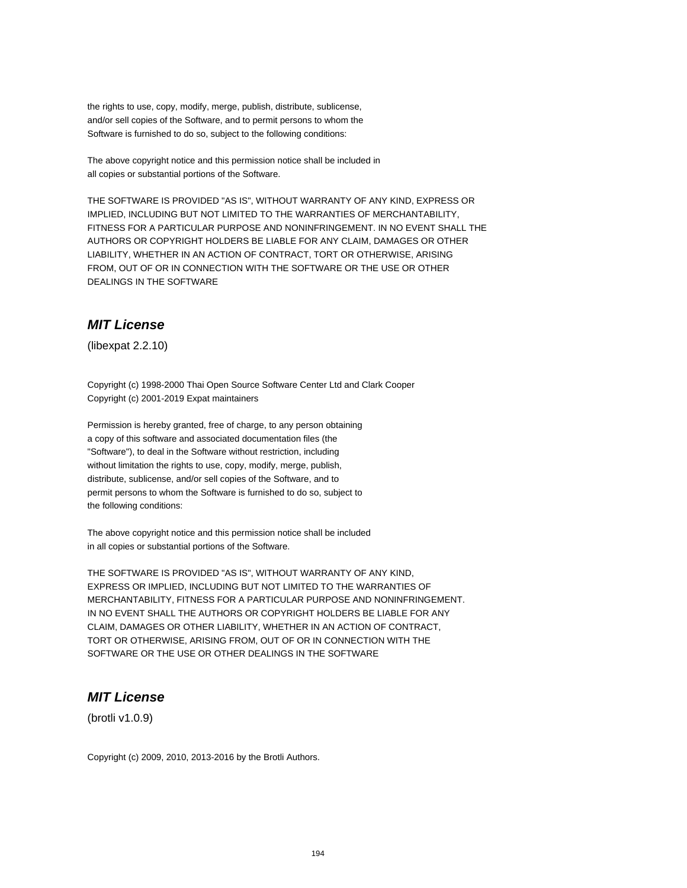the rights to use, copy, modify, merge, publish, distribute, sublicense, and/or sell copies of the Software, and to permit persons to whom the Software is furnished to do so, subject to the following conditions:

The above copyright notice and this permission notice shall be included in all copies or substantial portions of the Software.

THE SOFTWARE IS PROVIDED "AS IS", WITHOUT WARRANTY OF ANY KIND, EXPRESS OR IMPLIED, INCLUDING BUT NOT LIMITED TO THE WARRANTIES OF MERCHANTABILITY, FITNESS FOR A PARTICULAR PURPOSE AND NONINFRINGEMENT. IN NO EVENT SHALL THE AUTHORS OR COPYRIGHT HOLDERS BE LIABLE FOR ANY CLAIM, DAMAGES OR OTHER LIABILITY, WHETHER IN AN ACTION OF CONTRACT, TORT OR OTHERWISE, ARISING FROM, OUT OF OR IN CONNECTION WITH THE SOFTWARE OR THE USE OR OTHER DEALINGS IN THE SOFTWARE

## **MIT License**

(libexpat 2.2.10)

Copyright (c) 1998-2000 Thai Open Source Software Center Ltd and Clark Cooper Copyright (c) 2001-2019 Expat maintainers

Permission is hereby granted, free of charge, to any person obtaining a copy of this software and associated documentation files (the "Software"), to deal in the Software without restriction, including without limitation the rights to use, copy, modify, merge, publish, distribute, sublicense, and/or sell copies of the Software, and to permit persons to whom the Software is furnished to do so, subject to the following conditions:

The above copyright notice and this permission notice shall be included in all copies or substantial portions of the Software.

THE SOFTWARE IS PROVIDED "AS IS", WITHOUT WARRANTY OF ANY KIND, EXPRESS OR IMPLIED, INCLUDING BUT NOT LIMITED TO THE WARRANTIES OF MERCHANTABILITY, FITNESS FOR A PARTICULAR PURPOSE AND NONINFRINGEMENT. IN NO EVENT SHALL THE AUTHORS OR COPYRIGHT HOLDERS BE LIABLE FOR ANY CLAIM, DAMAGES OR OTHER LIABILITY, WHETHER IN AN ACTION OF CONTRACT, TORT OR OTHERWISE, ARISING FROM, OUT OF OR IN CONNECTION WITH THE SOFTWARE OR THE USE OR OTHER DEALINGS IN THE SOFTWARE

## **MIT License**

(brotli v1.0.9)

Copyright (c) 2009, 2010, 2013-2016 by the Brotli Authors.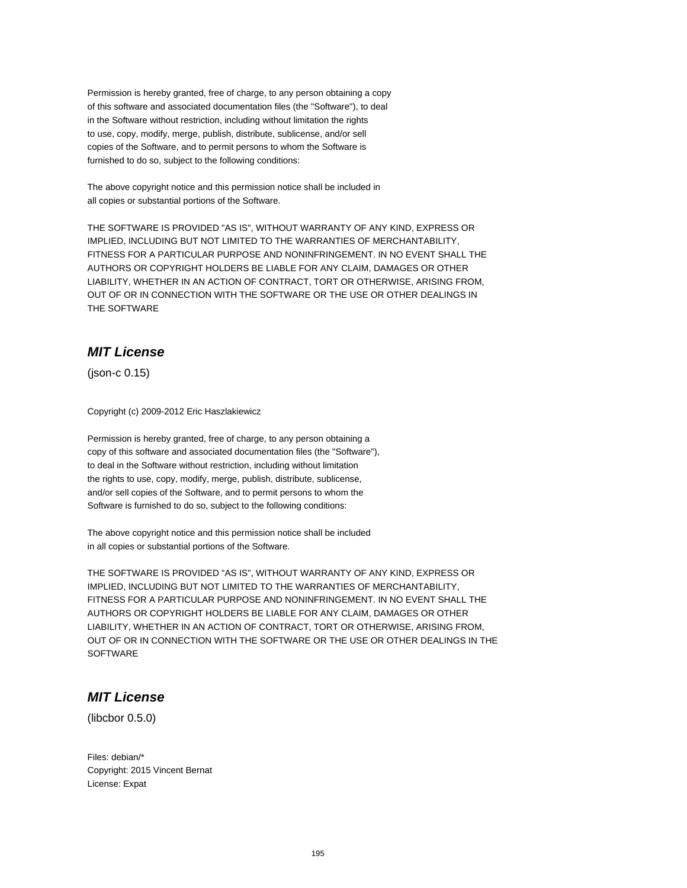Permission is hereby granted, free of charge, to any person obtaining a copy of this software and associated documentation files (the "Software"), to deal in the Software without restriction, including without limitation the rights to use, copy, modify, merge, publish, distribute, sublicense, and/or sell copies of the Software, and to permit persons to whom the Software is furnished to do so, subject to the following conditions:

The above copyright notice and this permission notice shall be included in all copies or substantial portions of the Software.

THE SOFTWARE IS PROVIDED "AS IS", WITHOUT WARRANTY OF ANY KIND, EXPRESS OR IMPLIED, INCLUDING BUT NOT LIMITED TO THE WARRANTIES OF MERCHANTABILITY, FITNESS FOR A PARTICULAR PURPOSE AND NONINFRINGEMENT. IN NO EVENT SHALL THE AUTHORS OR COPYRIGHT HOLDERS BE LIABLE FOR ANY CLAIM, DAMAGES OR OTHER LIABILITY, WHETHER IN AN ACTION OF CONTRACT, TORT OR OTHERWISE, ARISING FROM, OUT OF OR IN CONNECTION WITH THE SOFTWARE OR THE USE OR OTHER DEALINGS IN THE SOFTWARE

# **MIT License**

(json-c 0.15)

Copyright (c) 2009-2012 Eric Haszlakiewicz

Permission is hereby granted, free of charge, to any person obtaining a copy of this software and associated documentation files (the "Software"), to deal in the Software without restriction, including without limitation the rights to use, copy, modify, merge, publish, distribute, sublicense, and/or sell copies of the Software, and to permit persons to whom the Software is furnished to do so, subject to the following conditions:

The above copyright notice and this permission notice shall be included in all copies or substantial portions of the Software.

THE SOFTWARE IS PROVIDED "AS IS", WITHOUT WARRANTY OF ANY KIND, EXPRESS OR IMPLIED, INCLUDING BUT NOT LIMITED TO THE WARRANTIES OF MERCHANTABILITY, FITNESS FOR A PARTICULAR PURPOSE AND NONINFRINGEMENT. IN NO EVENT SHALL THE AUTHORS OR COPYRIGHT HOLDERS BE LIABLE FOR ANY CLAIM, DAMAGES OR OTHER LIABILITY, WHETHER IN AN ACTION OF CONTRACT, TORT OR OTHERWISE, ARISING FROM, OUT OF OR IN CONNECTION WITH THE SOFTWARE OR THE USE OR OTHER DEALINGS IN THE **SOFTWARE** 

## **MIT License**

(libcbor 0.5.0)

Files: debian/\* Copyright: 2015 Vincent Bernat License: Expat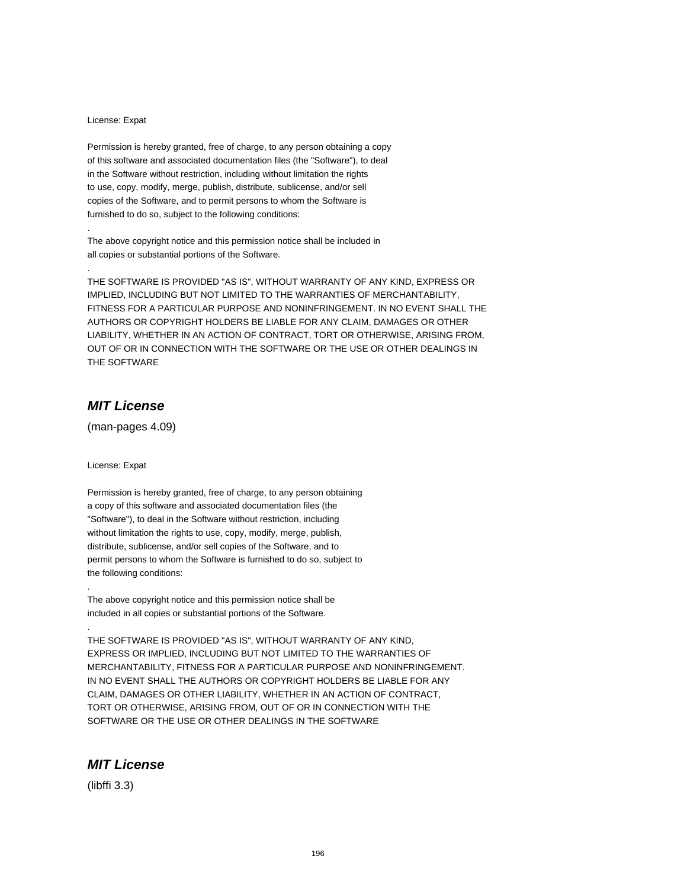### License: Expat

.

.

Permission is hereby granted, free of charge, to any person obtaining a copy of this software and associated documentation files (the "Software"), to deal in the Software without restriction, including without limitation the rights to use, copy, modify, merge, publish, distribute, sublicense, and/or sell copies of the Software, and to permit persons to whom the Software is furnished to do so, subject to the following conditions:

The above copyright notice and this permission notice shall be included in all copies or substantial portions of the Software.

THE SOFTWARE IS PROVIDED "AS IS", WITHOUT WARRANTY OF ANY KIND, EXPRESS OR IMPLIED, INCLUDING BUT NOT LIMITED TO THE WARRANTIES OF MERCHANTABILITY, FITNESS FOR A PARTICULAR PURPOSE AND NONINFRINGEMENT. IN NO EVENT SHALL THE AUTHORS OR COPYRIGHT HOLDERS BE LIABLE FOR ANY CLAIM, DAMAGES OR OTHER LIABILITY, WHETHER IN AN ACTION OF CONTRACT, TORT OR OTHERWISE, ARISING FROM, OUT OF OR IN CONNECTION WITH THE SOFTWARE OR THE USE OR OTHER DEALINGS IN THE SOFTWARE

# **MIT License**

(man-pages 4.09)

License: Expat

.

.

Permission is hereby granted, free of charge, to any person obtaining a copy of this software and associated documentation files (the "Software"), to deal in the Software without restriction, including without limitation the rights to use, copy, modify, merge, publish, distribute, sublicense, and/or sell copies of the Software, and to permit persons to whom the Software is furnished to do so, subject to the following conditions:

The above copyright notice and this permission notice shall be included in all copies or substantial portions of the Software.

THE SOFTWARE IS PROVIDED "AS IS", WITHOUT WARRANTY OF ANY KIND, EXPRESS OR IMPLIED, INCLUDING BUT NOT LIMITED TO THE WARRANTIES OF MERCHANTABILITY, FITNESS FOR A PARTICULAR PURPOSE AND NONINFRINGEMENT. IN NO EVENT SHALL THE AUTHORS OR COPYRIGHT HOLDERS BE LIABLE FOR ANY CLAIM, DAMAGES OR OTHER LIABILITY, WHETHER IN AN ACTION OF CONTRACT, TORT OR OTHERWISE, ARISING FROM, OUT OF OR IN CONNECTION WITH THE SOFTWARE OR THE USE OR OTHER DEALINGS IN THE SOFTWARE

## **MIT License**

(libffi 3.3)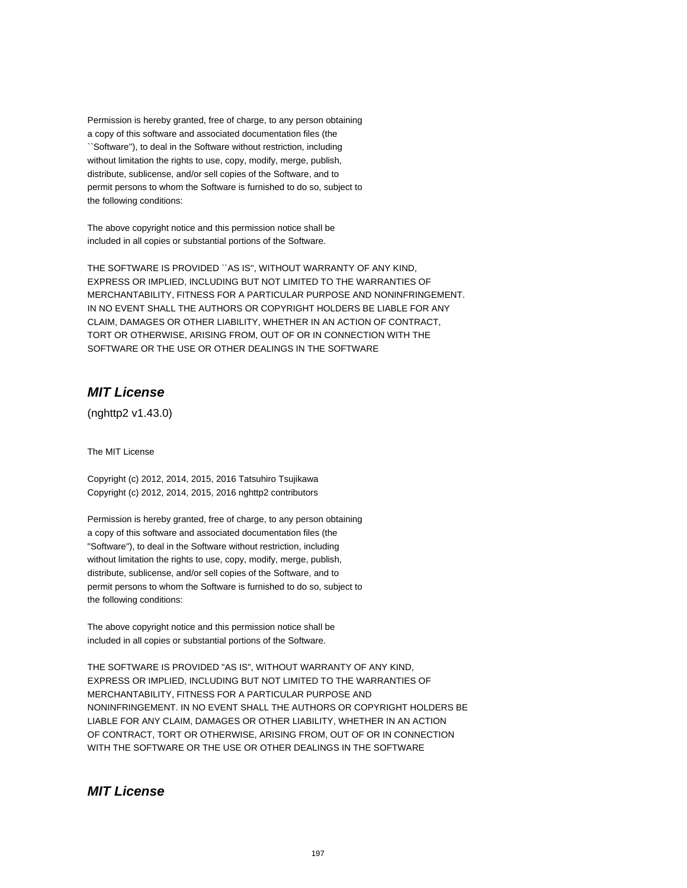Permission is hereby granted, free of charge, to any person obtaining a copy of this software and associated documentation files (the ``Software''), to deal in the Software without restriction, including without limitation the rights to use, copy, modify, merge, publish, distribute, sublicense, and/or sell copies of the Software, and to permit persons to whom the Software is furnished to do so, subject to the following conditions:

The above copyright notice and this permission notice shall be included in all copies or substantial portions of the Software.

THE SOFTWARE IS PROVIDED ``AS IS'', WITHOUT WARRANTY OF ANY KIND, EXPRESS OR IMPLIED, INCLUDING BUT NOT LIMITED TO THE WARRANTIES OF MERCHANTABILITY, FITNESS FOR A PARTICULAR PURPOSE AND NONINFRINGEMENT. IN NO EVENT SHALL THE AUTHORS OR COPYRIGHT HOLDERS BE LIABLE FOR ANY CLAIM, DAMAGES OR OTHER LIABILITY, WHETHER IN AN ACTION OF CONTRACT, TORT OR OTHERWISE, ARISING FROM, OUT OF OR IN CONNECTION WITH THE SOFTWARE OR THE USE OR OTHER DEALINGS IN THE SOFTWARE

## **MIT License**

(nghttp2 v1.43.0)

The MIT License

Copyright (c) 2012, 2014, 2015, 2016 Tatsuhiro Tsujikawa Copyright (c) 2012, 2014, 2015, 2016 nghttp2 contributors

Permission is hereby granted, free of charge, to any person obtaining a copy of this software and associated documentation files (the "Software"), to deal in the Software without restriction, including without limitation the rights to use, copy, modify, merge, publish, distribute, sublicense, and/or sell copies of the Software, and to permit persons to whom the Software is furnished to do so, subject to the following conditions:

The above copyright notice and this permission notice shall be included in all copies or substantial portions of the Software.

THE SOFTWARE IS PROVIDED "AS IS", WITHOUT WARRANTY OF ANY KIND, EXPRESS OR IMPLIED, INCLUDING BUT NOT LIMITED TO THE WARRANTIES OF MERCHANTABILITY, FITNESS FOR A PARTICULAR PURPOSE AND NONINFRINGEMENT. IN NO EVENT SHALL THE AUTHORS OR COPYRIGHT HOLDERS BE LIABLE FOR ANY CLAIM, DAMAGES OR OTHER LIABILITY, WHETHER IN AN ACTION OF CONTRACT, TORT OR OTHERWISE, ARISING FROM, OUT OF OR IN CONNECTION WITH THE SOFTWARE OR THE USE OR OTHER DEALINGS IN THE SOFTWARE

## **MIT License**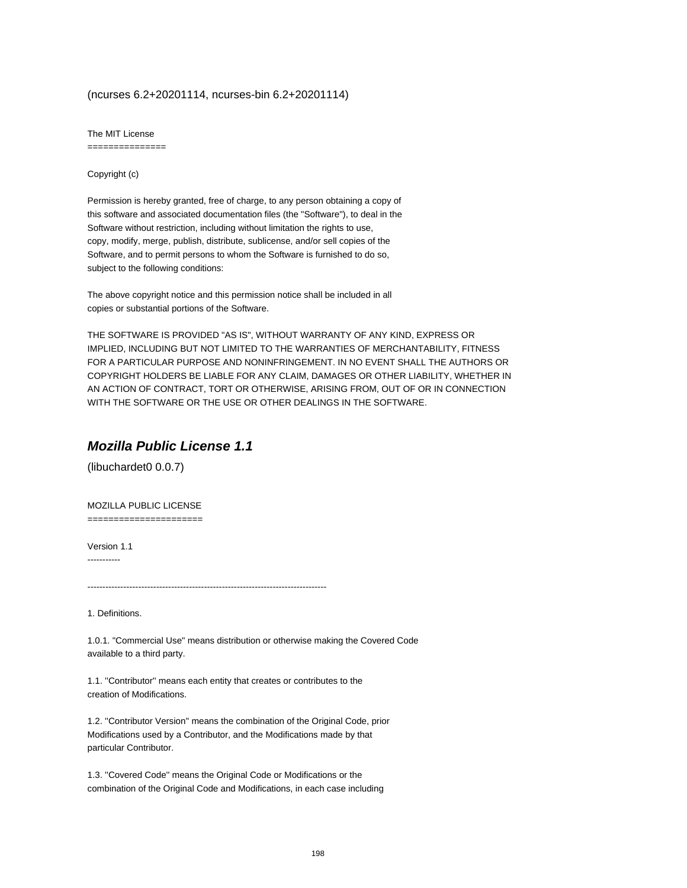## (ncurses 6.2+20201114, ncurses-bin 6.2+20201114)

The MIT License

===============

Copyright (c)

Permission is hereby granted, free of charge, to any person obtaining a copy of this software and associated documentation files (the "Software"), to deal in the Software without restriction, including without limitation the rights to use, copy, modify, merge, publish, distribute, sublicense, and/or sell copies of the Software, and to permit persons to whom the Software is furnished to do so, subject to the following conditions:

The above copyright notice and this permission notice shall be included in all copies or substantial portions of the Software.

THE SOFTWARE IS PROVIDED "AS IS", WITHOUT WARRANTY OF ANY KIND, EXPRESS OR IMPLIED, INCLUDING BUT NOT LIMITED TO THE WARRANTIES OF MERCHANTABILITY, FITNESS FOR A PARTICULAR PURPOSE AND NONINFRINGEMENT. IN NO EVENT SHALL THE AUTHORS OR COPYRIGHT HOLDERS BE LIABLE FOR ANY CLAIM, DAMAGES OR OTHER LIABILITY, WHETHER IN AN ACTION OF CONTRACT, TORT OR OTHERWISE, ARISING FROM, OUT OF OR IN CONNECTION WITH THE SOFTWARE OR THE USE OR OTHER DEALINGS IN THE SOFTWARE.

## **Mozilla Public License 1.1**

(libuchardet0 0.0.7)

MOZILLA PUBLIC LICENSE

======================

Version 1.1 -----------

--------------------------------------------------------------------------------

1. Definitions.

1.0.1. "Commercial Use" means distribution or otherwise making the Covered Code available to a third party.

1.1. ''Contributor'' means each entity that creates or contributes to the creation of Modifications.

1.2. ''Contributor Version'' means the combination of the Original Code, prior Modifications used by a Contributor, and the Modifications made by that particular Contributor.

1.3. ''Covered Code'' means the Original Code or Modifications or the combination of the Original Code and Modifications, in each case including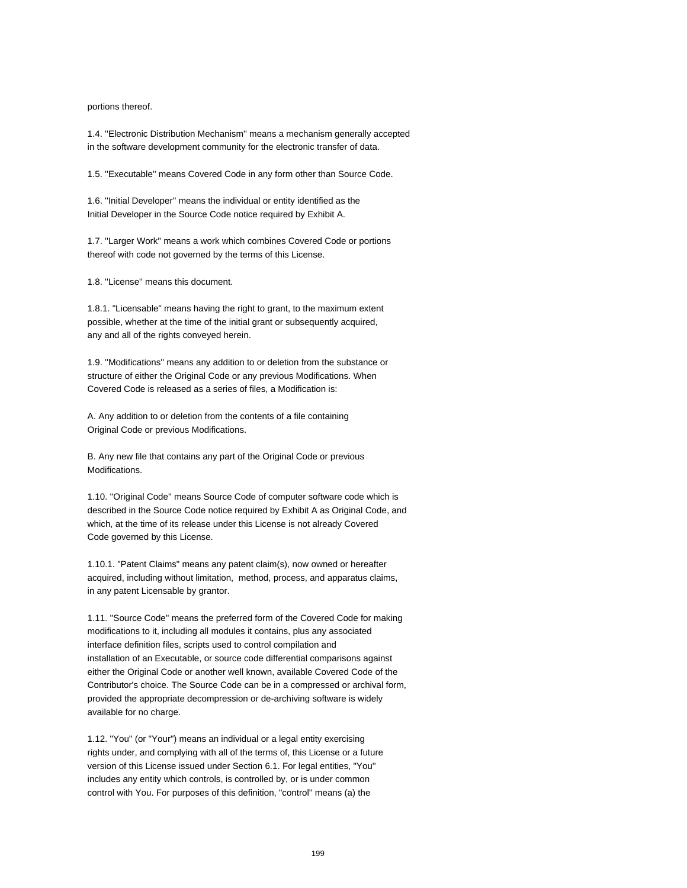portions thereof.

1.4. ''Electronic Distribution Mechanism'' means a mechanism generally accepted in the software development community for the electronic transfer of data.

1.5. ''Executable'' means Covered Code in any form other than Source Code.

1.6. ''Initial Developer'' means the individual or entity identified as the Initial Developer in the Source Code notice required by Exhibit A.

1.7. ''Larger Work'' means a work which combines Covered Code or portions thereof with code not governed by the terms of this License.

1.8. ''License'' means this document.

1.8.1. "Licensable" means having the right to grant, to the maximum extent possible, whether at the time of the initial grant or subsequently acquired, any and all of the rights conveyed herein.

1.9. ''Modifications'' means any addition to or deletion from the substance or structure of either the Original Code or any previous Modifications. When Covered Code is released as a series of files, a Modification is:

A. Any addition to or deletion from the contents of a file containing Original Code or previous Modifications.

B. Any new file that contains any part of the Original Code or previous Modifications.

1.10. ''Original Code'' means Source Code of computer software code which is described in the Source Code notice required by Exhibit A as Original Code, and which, at the time of its release under this License is not already Covered Code governed by this License.

1.10.1. "Patent Claims" means any patent claim(s), now owned or hereafter acquired, including without limitation, method, process, and apparatus claims, in any patent Licensable by grantor.

1.11. ''Source Code'' means the preferred form of the Covered Code for making modifications to it, including all modules it contains, plus any associated interface definition files, scripts used to control compilation and installation of an Executable, or source code differential comparisons against either the Original Code or another well known, available Covered Code of the Contributor's choice. The Source Code can be in a compressed or archival form, provided the appropriate decompression or de-archiving software is widely available for no charge.

1.12. "You'' (or "Your") means an individual or a legal entity exercising rights under, and complying with all of the terms of, this License or a future version of this License issued under Section 6.1. For legal entities, "You'' includes any entity which controls, is controlled by, or is under common control with You. For purposes of this definition, "control'' means (a) the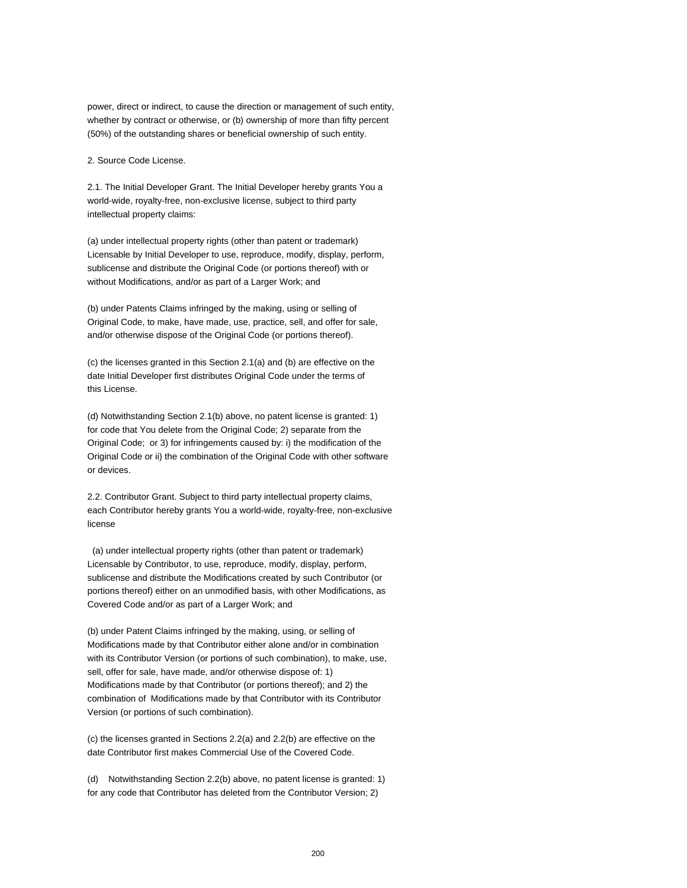power, direct or indirect, to cause the direction or management of such entity, whether by contract or otherwise, or (b) ownership of more than fifty percent (50%) of the outstanding shares or beneficial ownership of such entity.

2. Source Code License.

2.1. The Initial Developer Grant. The Initial Developer hereby grants You a world-wide, royalty-free, non-exclusive license, subject to third party intellectual property claims:

(a) under intellectual property rights (other than patent or trademark) Licensable by Initial Developer to use, reproduce, modify, display, perform, sublicense and distribute the Original Code (or portions thereof) with or without Modifications, and/or as part of a Larger Work; and

(b) under Patents Claims infringed by the making, using or selling of Original Code, to make, have made, use, practice, sell, and offer for sale, and/or otherwise dispose of the Original Code (or portions thereof).

(c) the licenses granted in this Section 2.1(a) and (b) are effective on the date Initial Developer first distributes Original Code under the terms of this License.

(d) Notwithstanding Section 2.1(b) above, no patent license is granted: 1) for code that You delete from the Original Code; 2) separate from the Original Code; or 3) for infringements caused by: i) the modification of the Original Code or ii) the combination of the Original Code with other software or devices.

2.2. Contributor Grant. Subject to third party intellectual property claims, each Contributor hereby grants You a world-wide, royalty-free, non-exclusive license

 (a) under intellectual property rights (other than patent or trademark) Licensable by Contributor, to use, reproduce, modify, display, perform, sublicense and distribute the Modifications created by such Contributor (or portions thereof) either on an unmodified basis, with other Modifications, as Covered Code and/or as part of a Larger Work; and

(b) under Patent Claims infringed by the making, using, or selling of Modifications made by that Contributor either alone and/or in combination with its Contributor Version (or portions of such combination), to make, use, sell, offer for sale, have made, and/or otherwise dispose of: 1) Modifications made by that Contributor (or portions thereof); and 2) the combination of Modifications made by that Contributor with its Contributor Version (or portions of such combination).

(c) the licenses granted in Sections 2.2(a) and 2.2(b) are effective on the date Contributor first makes Commercial Use of the Covered Code.

(d) Notwithstanding Section 2.2(b) above, no patent license is granted: 1) for any code that Contributor has deleted from the Contributor Version; 2)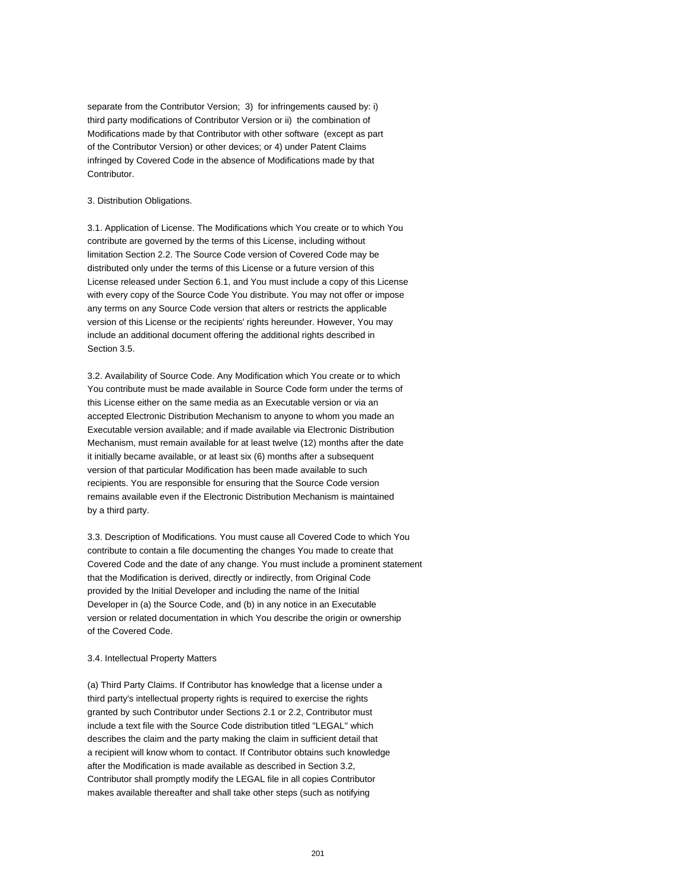separate from the Contributor Version; 3) for infringements caused by: i) third party modifications of Contributor Version or ii) the combination of Modifications made by that Contributor with other software (except as part of the Contributor Version) or other devices; or 4) under Patent Claims infringed by Covered Code in the absence of Modifications made by that Contributor.

3. Distribution Obligations.

3.1. Application of License. The Modifications which You create or to which You contribute are governed by the terms of this License, including without limitation Section 2.2. The Source Code version of Covered Code may be distributed only under the terms of this License or a future version of this License released under Section 6.1, and You must include a copy of this License with every copy of the Source Code You distribute. You may not offer or impose any terms on any Source Code version that alters or restricts the applicable version of this License or the recipients' rights hereunder. However, You may include an additional document offering the additional rights described in Section 3.5.

3.2. Availability of Source Code. Any Modification which You create or to which You contribute must be made available in Source Code form under the terms of this License either on the same media as an Executable version or via an accepted Electronic Distribution Mechanism to anyone to whom you made an Executable version available; and if made available via Electronic Distribution Mechanism, must remain available for at least twelve (12) months after the date it initially became available, or at least six (6) months after a subsequent version of that particular Modification has been made available to such recipients. You are responsible for ensuring that the Source Code version remains available even if the Electronic Distribution Mechanism is maintained by a third party.

3.3. Description of Modifications. You must cause all Covered Code to which You contribute to contain a file documenting the changes You made to create that Covered Code and the date of any change. You must include a prominent statement that the Modification is derived, directly or indirectly, from Original Code provided by the Initial Developer and including the name of the Initial Developer in (a) the Source Code, and (b) in any notice in an Executable version or related documentation in which You describe the origin or ownership of the Covered Code.

## 3.4. Intellectual Property Matters

(a) Third Party Claims. If Contributor has knowledge that a license under a third party's intellectual property rights is required to exercise the rights granted by such Contributor under Sections 2.1 or 2.2, Contributor must include a text file with the Source Code distribution titled "LEGAL'' which describes the claim and the party making the claim in sufficient detail that a recipient will know whom to contact. If Contributor obtains such knowledge after the Modification is made available as described in Section 3.2, Contributor shall promptly modify the LEGAL file in all copies Contributor makes available thereafter and shall take other steps (such as notifying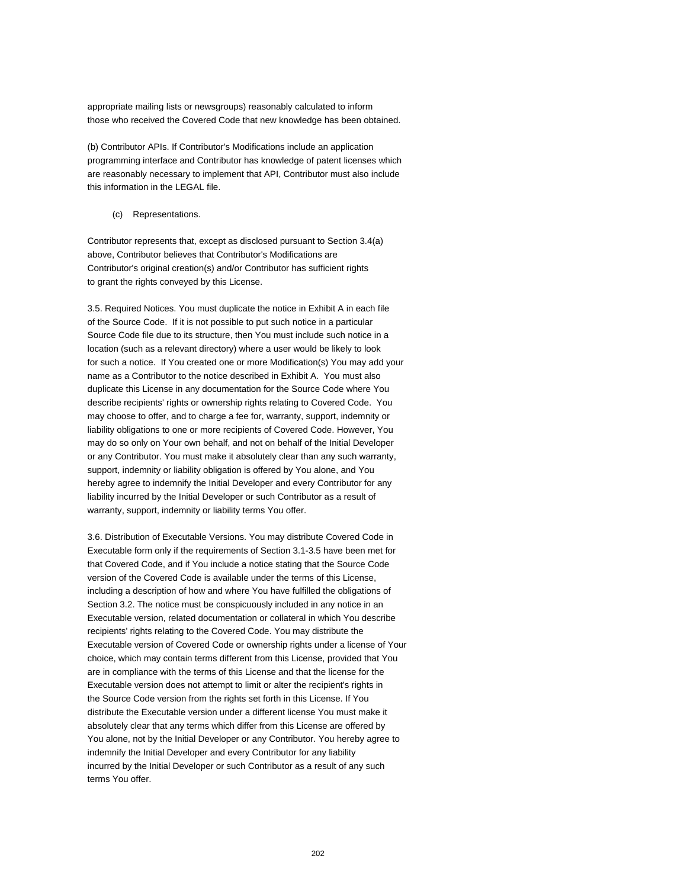appropriate mailing lists or newsgroups) reasonably calculated to inform those who received the Covered Code that new knowledge has been obtained.

(b) Contributor APIs. If Contributor's Modifications include an application programming interface and Contributor has knowledge of patent licenses which are reasonably necessary to implement that API, Contributor must also include this information in the LEGAL file.

(c) Representations.

Contributor represents that, except as disclosed pursuant to Section 3.4(a) above, Contributor believes that Contributor's Modifications are Contributor's original creation(s) and/or Contributor has sufficient rights to grant the rights conveyed by this License.

3.5. Required Notices. You must duplicate the notice in Exhibit A in each file of the Source Code. If it is not possible to put such notice in a particular Source Code file due to its structure, then You must include such notice in a location (such as a relevant directory) where a user would be likely to look for such a notice. If You created one or more Modification(s) You may add your name as a Contributor to the notice described in Exhibit A. You must also duplicate this License in any documentation for the Source Code where You describe recipients' rights or ownership rights relating to Covered Code. You may choose to offer, and to charge a fee for, warranty, support, indemnity or liability obligations to one or more recipients of Covered Code. However, You may do so only on Your own behalf, and not on behalf of the Initial Developer or any Contributor. You must make it absolutely clear than any such warranty, support, indemnity or liability obligation is offered by You alone, and You hereby agree to indemnify the Initial Developer and every Contributor for any liability incurred by the Initial Developer or such Contributor as a result of warranty, support, indemnity or liability terms You offer.

3.6. Distribution of Executable Versions. You may distribute Covered Code in Executable form only if the requirements of Section 3.1-3.5 have been met for that Covered Code, and if You include a notice stating that the Source Code version of the Covered Code is available under the terms of this License, including a description of how and where You have fulfilled the obligations of Section 3.2. The notice must be conspicuously included in any notice in an Executable version, related documentation or collateral in which You describe recipients' rights relating to the Covered Code. You may distribute the Executable version of Covered Code or ownership rights under a license of Your choice, which may contain terms different from this License, provided that You are in compliance with the terms of this License and that the license for the Executable version does not attempt to limit or alter the recipient's rights in the Source Code version from the rights set forth in this License. If You distribute the Executable version under a different license You must make it absolutely clear that any terms which differ from this License are offered by You alone, not by the Initial Developer or any Contributor. You hereby agree to indemnify the Initial Developer and every Contributor for any liability incurred by the Initial Developer or such Contributor as a result of any such terms You offer.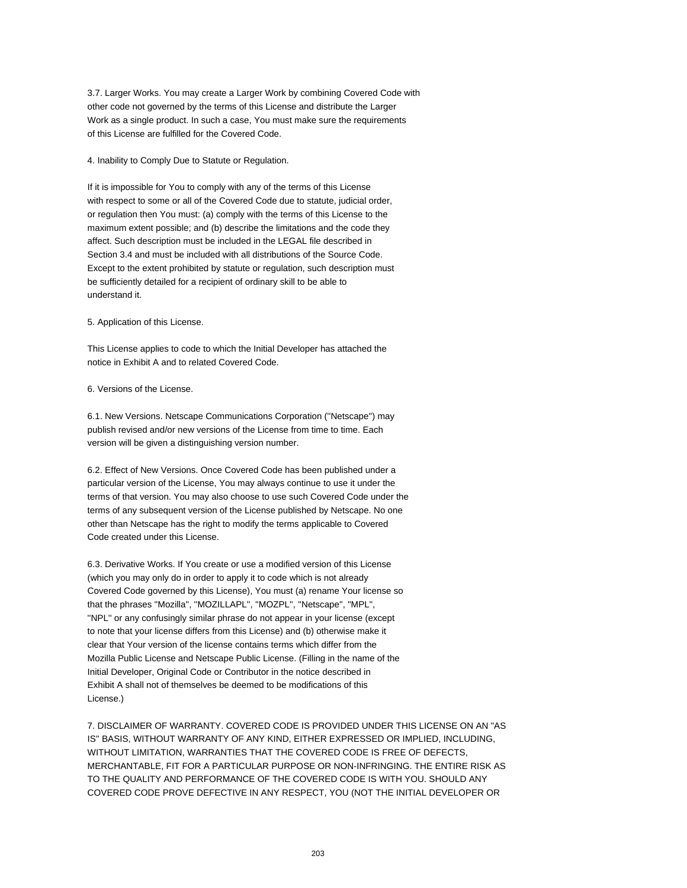3.7. Larger Works. You may create a Larger Work by combining Covered Code with other code not governed by the terms of this License and distribute the Larger Work as a single product. In such a case, You must make sure the requirements of this License are fulfilled for the Covered Code.

4. Inability to Comply Due to Statute or Regulation.

If it is impossible for You to comply with any of the terms of this License with respect to some or all of the Covered Code due to statute, judicial order, or regulation then You must: (a) comply with the terms of this License to the maximum extent possible; and (b) describe the limitations and the code they affect. Such description must be included in the LEGAL file described in Section 3.4 and must be included with all distributions of the Source Code. Except to the extent prohibited by statute or regulation, such description must be sufficiently detailed for a recipient of ordinary skill to be able to understand it.

5. Application of this License.

This License applies to code to which the Initial Developer has attached the notice in Exhibit A and to related Covered Code.

6. Versions of the License.

6.1. New Versions. Netscape Communications Corporation (''Netscape'') may publish revised and/or new versions of the License from time to time. Each version will be given a distinguishing version number.

6.2. Effect of New Versions. Once Covered Code has been published under a particular version of the License, You may always continue to use it under the terms of that version. You may also choose to use such Covered Code under the terms of any subsequent version of the License published by Netscape. No one other than Netscape has the right to modify the terms applicable to Covered Code created under this License.

6.3. Derivative Works. If You create or use a modified version of this License (which you may only do in order to apply it to code which is not already Covered Code governed by this License), You must (a) rename Your license so that the phrases ''Mozilla'', ''MOZILLAPL'', ''MOZPL'', ''Netscape'', "MPL", ''NPL'' or any confusingly similar phrase do not appear in your license (except to note that your license differs from this License) and (b) otherwise make it clear that Your version of the license contains terms which differ from the Mozilla Public License and Netscape Public License. (Filling in the name of the Initial Developer, Original Code or Contributor in the notice described in Exhibit A shall not of themselves be deemed to be modifications of this License.)

7. DISCLAIMER OF WARRANTY. COVERED CODE IS PROVIDED UNDER THIS LICENSE ON AN "AS IS'' BASIS, WITHOUT WARRANTY OF ANY KIND, EITHER EXPRESSED OR IMPLIED, INCLUDING, WITHOUT LIMITATION, WARRANTIES THAT THE COVERED CODE IS FREE OF DEFECTS, MERCHANTABLE, FIT FOR A PARTICULAR PURPOSE OR NON-INFRINGING. THE ENTIRE RISK AS TO THE QUALITY AND PERFORMANCE OF THE COVERED CODE IS WITH YOU. SHOULD ANY COVERED CODE PROVE DEFECTIVE IN ANY RESPECT, YOU (NOT THE INITIAL DEVELOPER OR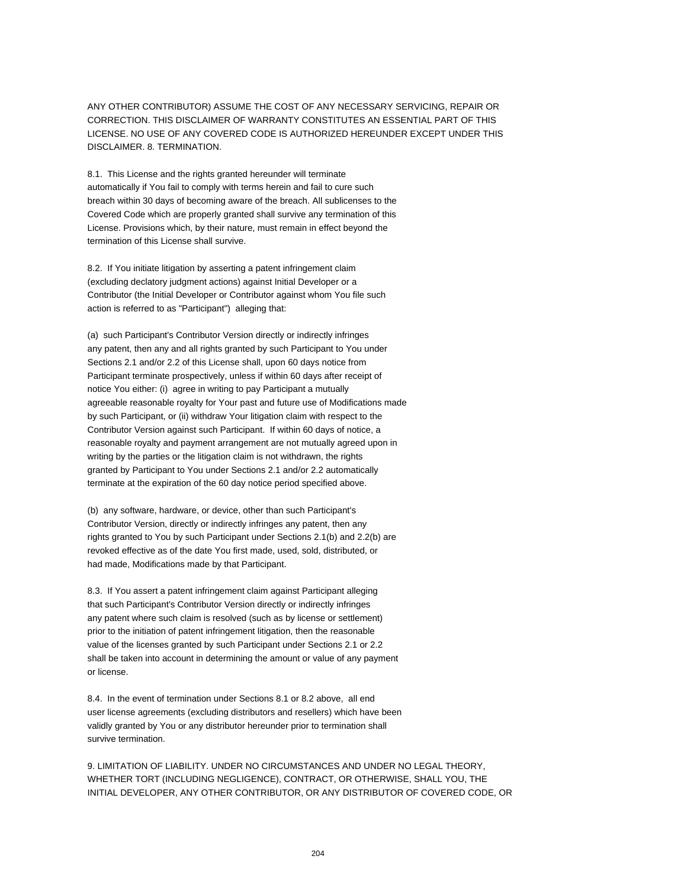ANY OTHER CONTRIBUTOR) ASSUME THE COST OF ANY NECESSARY SERVICING, REPAIR OR CORRECTION. THIS DISCLAIMER OF WARRANTY CONSTITUTES AN ESSENTIAL PART OF THIS LICENSE. NO USE OF ANY COVERED CODE IS AUTHORIZED HEREUNDER EXCEPT UNDER THIS DISCLAIMER. 8. TERMINATION.

8.1. This License and the rights granted hereunder will terminate automatically if You fail to comply with terms herein and fail to cure such breach within 30 days of becoming aware of the breach. All sublicenses to the Covered Code which are properly granted shall survive any termination of this License. Provisions which, by their nature, must remain in effect beyond the termination of this License shall survive.

8.2. If You initiate litigation by asserting a patent infringement claim (excluding declatory judgment actions) against Initial Developer or a Contributor (the Initial Developer or Contributor against whom You file such action is referred to as "Participant") alleging that:

(a) such Participant's Contributor Version directly or indirectly infringes any patent, then any and all rights granted by such Participant to You under Sections 2.1 and/or 2.2 of this License shall, upon 60 days notice from Participant terminate prospectively, unless if within 60 days after receipt of notice You either: (i) agree in writing to pay Participant a mutually agreeable reasonable royalty for Your past and future use of Modifications made by such Participant, or (ii) withdraw Your litigation claim with respect to the Contributor Version against such Participant. If within 60 days of notice, a reasonable royalty and payment arrangement are not mutually agreed upon in writing by the parties or the litigation claim is not withdrawn, the rights granted by Participant to You under Sections 2.1 and/or 2.2 automatically terminate at the expiration of the 60 day notice period specified above.

(b) any software, hardware, or device, other than such Participant's Contributor Version, directly or indirectly infringes any patent, then any rights granted to You by such Participant under Sections 2.1(b) and 2.2(b) are revoked effective as of the date You first made, used, sold, distributed, or had made, Modifications made by that Participant.

8.3. If You assert a patent infringement claim against Participant alleging that such Participant's Contributor Version directly or indirectly infringes any patent where such claim is resolved (such as by license or settlement) prior to the initiation of patent infringement litigation, then the reasonable value of the licenses granted by such Participant under Sections 2.1 or 2.2 shall be taken into account in determining the amount or value of any payment or license.

8.4. In the event of termination under Sections 8.1 or 8.2 above, all end user license agreements (excluding distributors and resellers) which have been validly granted by You or any distributor hereunder prior to termination shall survive termination.

9. LIMITATION OF LIABILITY. UNDER NO CIRCUMSTANCES AND UNDER NO LEGAL THEORY, WHETHER TORT (INCLUDING NEGLIGENCE), CONTRACT, OR OTHERWISE, SHALL YOU, THE INITIAL DEVELOPER, ANY OTHER CONTRIBUTOR, OR ANY DISTRIBUTOR OF COVERED CODE, OR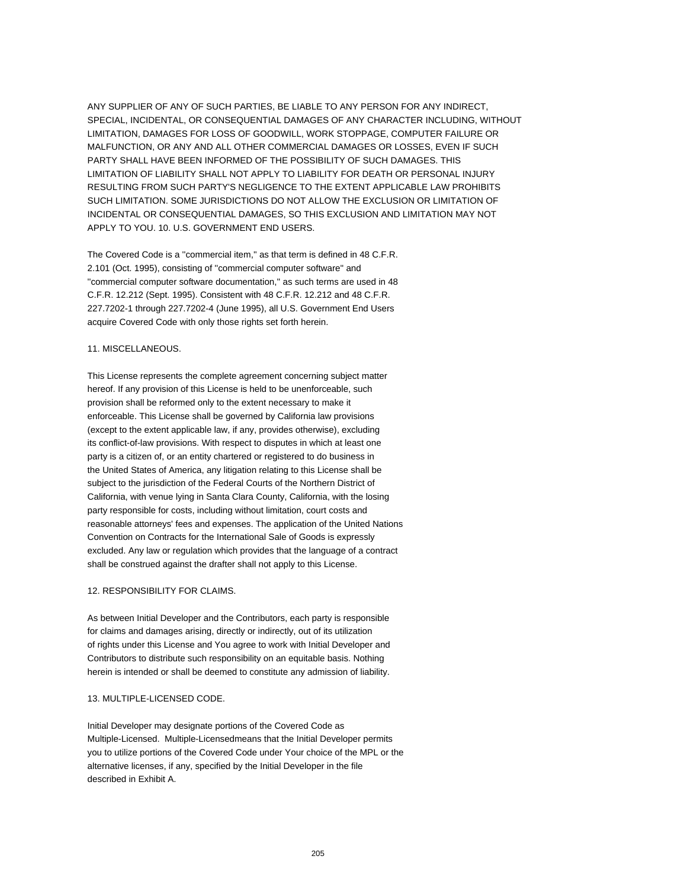ANY SUPPLIER OF ANY OF SUCH PARTIES, BE LIABLE TO ANY PERSON FOR ANY INDIRECT, SPECIAL, INCIDENTAL, OR CONSEQUENTIAL DAMAGES OF ANY CHARACTER INCLUDING, WITHOUT LIMITATION, DAMAGES FOR LOSS OF GOODWILL, WORK STOPPAGE, COMPUTER FAILURE OR MALFUNCTION, OR ANY AND ALL OTHER COMMERCIAL DAMAGES OR LOSSES, EVEN IF SUCH PARTY SHALL HAVE BEEN INFORMED OF THE POSSIBILITY OF SUCH DAMAGES. THIS LIMITATION OF LIABILITY SHALL NOT APPLY TO LIABILITY FOR DEATH OR PERSONAL INJURY RESULTING FROM SUCH PARTY'S NEGLIGENCE TO THE EXTENT APPLICABLE LAW PROHIBITS SUCH LIMITATION. SOME JURISDICTIONS DO NOT ALLOW THE EXCLUSION OR LIMITATION OF INCIDENTAL OR CONSEQUENTIAL DAMAGES, SO THIS EXCLUSION AND LIMITATION MAY NOT APPLY TO YOU. 10. U.S. GOVERNMENT END USERS.

The Covered Code is a ''commercial item,'' as that term is defined in 48 C.F.R. 2.101 (Oct. 1995), consisting of ''commercial computer software'' and ''commercial computer software documentation,'' as such terms are used in 48 C.F.R. 12.212 (Sept. 1995). Consistent with 48 C.F.R. 12.212 and 48 C.F.R. 227.7202-1 through 227.7202-4 (June 1995), all U.S. Government End Users acquire Covered Code with only those rights set forth herein.

### 11. MISCELLANEOUS.

This License represents the complete agreement concerning subject matter hereof. If any provision of this License is held to be unenforceable, such provision shall be reformed only to the extent necessary to make it enforceable. This License shall be governed by California law provisions (except to the extent applicable law, if any, provides otherwise), excluding its conflict-of-law provisions. With respect to disputes in which at least one party is a citizen of, or an entity chartered or registered to do business in the United States of America, any litigation relating to this License shall be subject to the jurisdiction of the Federal Courts of the Northern District of California, with venue lying in Santa Clara County, California, with the losing party responsible for costs, including without limitation, court costs and reasonable attorneys' fees and expenses. The application of the United Nations Convention on Contracts for the International Sale of Goods is expressly excluded. Any law or regulation which provides that the language of a contract shall be construed against the drafter shall not apply to this License.

## 12. RESPONSIBILITY FOR CLAIMS.

As between Initial Developer and the Contributors, each party is responsible for claims and damages arising, directly or indirectly, out of its utilization of rights under this License and You agree to work with Initial Developer and Contributors to distribute such responsibility on an equitable basis. Nothing herein is intended or shall be deemed to constitute any admission of liability.

## 13. MULTIPLE-LICENSED CODE.

Initial Developer may designate portions of the Covered Code as Multiple-Licensed. Multiple-Licensedmeans that the Initial Developer permits you to utilize portions of the Covered Code under Your choice of the MPL or the alternative licenses, if any, specified by the Initial Developer in the file described in Exhibit A.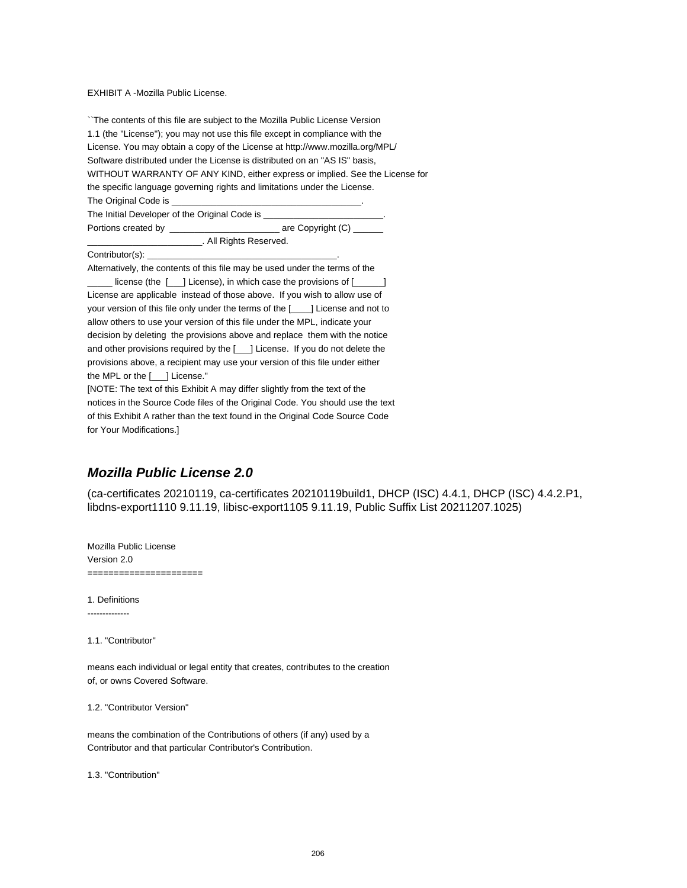EXHIBIT A -Mozilla Public License.

``The contents of this file are subject to the Mozilla Public License Version 1.1 (the "License"); you may not use this file except in compliance with the License. You may obtain a copy of the License at http://www.mozilla.org/MPL/ Software distributed under the License is distributed on an "AS IS" basis, WITHOUT WARRANTY OF ANY KIND, either express or implied. See the License for the specific language governing rights and limitations under the License. The Original Code is \_ The Initial Developer of the Original Code is \_ Portions created by \_\_\_\_\_\_\_\_\_\_\_\_\_\_\_\_\_\_\_\_\_\_\_\_\_\_\_\_\_\_\_ are Copyright (C) \_\_ \_\_\_\_\_\_\_\_\_\_\_\_\_\_\_\_\_\_\_\_\_\_\_. All Rights Reserved. Contributor(s):

Alternatively, the contents of this file may be used under the terms of the

license (the [\_\_\_] License), in which case the provisions of [\_\_\_\_\_] License are applicable instead of those above. If you wish to allow use of your version of this file only under the terms of the [\_\_\_\_] License and not to allow others to use your version of this file under the MPL, indicate your decision by deleting the provisions above and replace them with the notice and other provisions required by the [\_\_\_] License. If you do not delete the provisions above, a recipient may use your version of this file under either the MPL or the [\_\_\_] License."

[NOTE: The text of this Exhibit A may differ slightly from the text of the notices in the Source Code files of the Original Code. You should use the text of this Exhibit A rather than the text found in the Original Code Source Code for Your Modifications.]

# **Mozilla Public License 2.0**

(ca-certificates 20210119, ca-certificates 20210119build1, DHCP (ISC) 4.4.1, DHCP (ISC) 4.4.2.P1, libdns-export1110 9.11.19, libisc-export1105 9.11.19, Public Suffix List 20211207.1025)

Mozilla Public License Version 2.0 ======================

1. Definitions

--------------

1.1. "Contributor"

means each individual or legal entity that creates, contributes to the creation of, or owns Covered Software.

1.2. "Contributor Version"

means the combination of the Contributions of others (if any) used by a Contributor and that particular Contributor's Contribution.

1.3. "Contribution"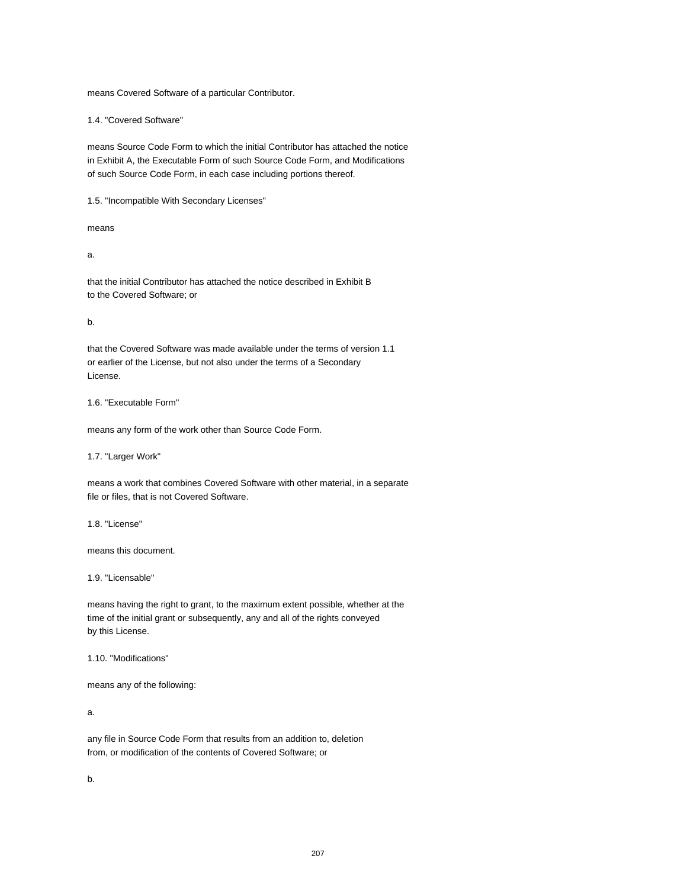means Covered Software of a particular Contributor.

1.4. "Covered Software"

means Source Code Form to which the initial Contributor has attached the notice in Exhibit A, the Executable Form of such Source Code Form, and Modifications of such Source Code Form, in each case including portions thereof.

1.5. "Incompatible With Secondary Licenses"

means

a.

that the initial Contributor has attached the notice described in Exhibit B to the Covered Software; or

b.

that the Covered Software was made available under the terms of version 1.1 or earlier of the License, but not also under the terms of a Secondary License.

1.6. "Executable Form"

means any form of the work other than Source Code Form.

1.7. "Larger Work"

means a work that combines Covered Software with other material, in a separate file or files, that is not Covered Software.

1.8. "License"

means this document.

1.9. "Licensable"

means having the right to grant, to the maximum extent possible, whether at the time of the initial grant or subsequently, any and all of the rights conveyed by this License.

1.10. "Modifications"

means any of the following:

a.

any file in Source Code Form that results from an addition to, deletion from, or modification of the contents of Covered Software; or

b.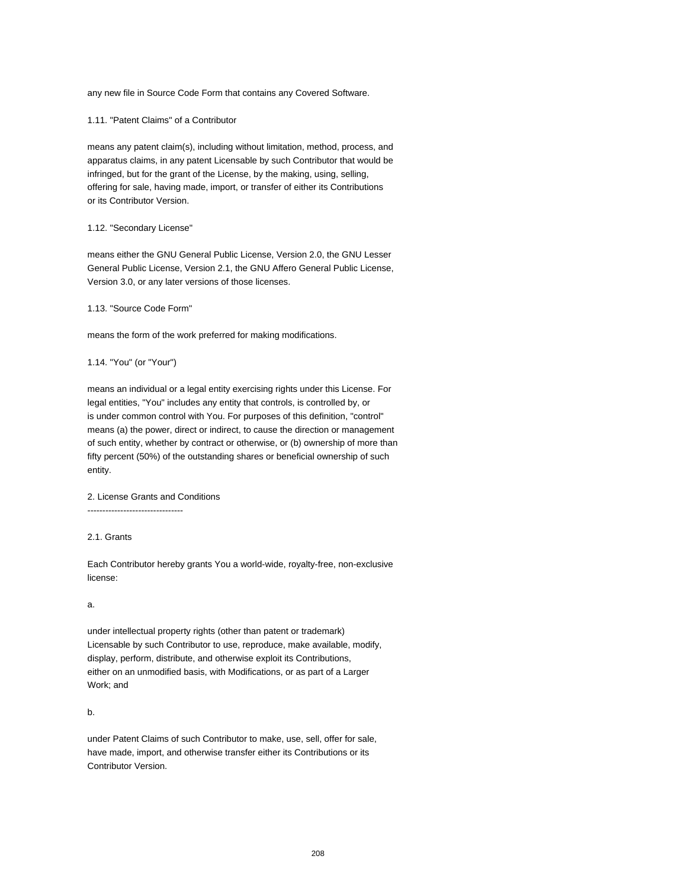any new file in Source Code Form that contains any Covered Software.

1.11. "Patent Claims" of a Contributor

means any patent claim(s), including without limitation, method, process, and apparatus claims, in any patent Licensable by such Contributor that would be infringed, but for the grant of the License, by the making, using, selling, offering for sale, having made, import, or transfer of either its Contributions or its Contributor Version.

1.12. "Secondary License"

means either the GNU General Public License, Version 2.0, the GNU Lesser General Public License, Version 2.1, the GNU Affero General Public License, Version 3.0, or any later versions of those licenses.

1.13. "Source Code Form"

means the form of the work preferred for making modifications.

1.14. "You" (or "Your")

means an individual or a legal entity exercising rights under this License. For legal entities, "You" includes any entity that controls, is controlled by, or is under common control with You. For purposes of this definition, "control" means (a) the power, direct or indirect, to cause the direction or management of such entity, whether by contract or otherwise, or (b) ownership of more than fifty percent (50%) of the outstanding shares or beneficial ownership of such entity.

2. License Grants and Conditions

--------------------------------

2.1. Grants

Each Contributor hereby grants You a world-wide, royalty-free, non-exclusive license:

a.

under intellectual property rights (other than patent or trademark) Licensable by such Contributor to use, reproduce, make available, modify, display, perform, distribute, and otherwise exploit its Contributions, either on an unmodified basis, with Modifications, or as part of a Larger Work; and

b.

under Patent Claims of such Contributor to make, use, sell, offer for sale, have made, import, and otherwise transfer either its Contributions or its Contributor Version.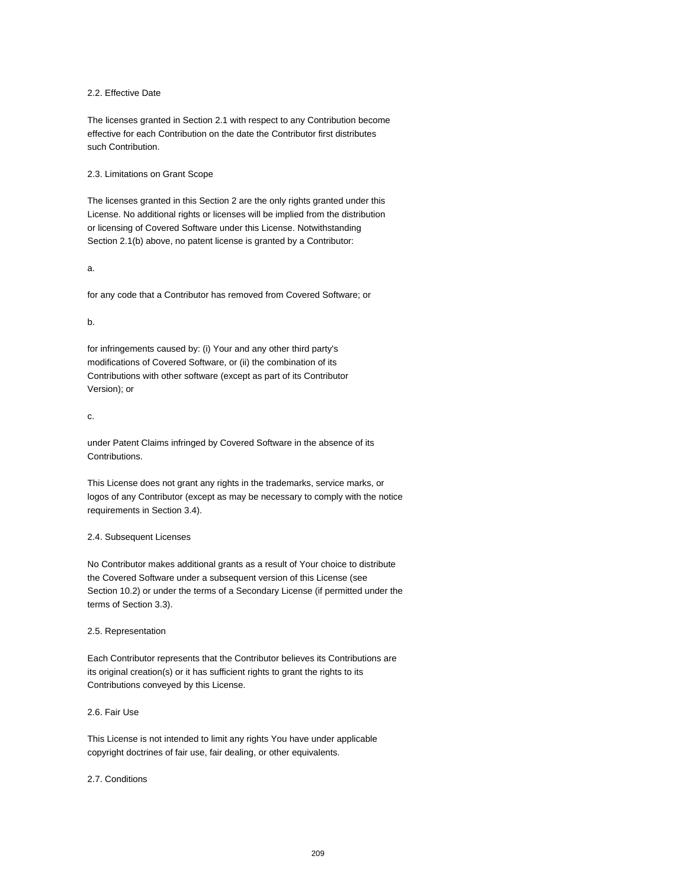## 2.2. Effective Date

The licenses granted in Section 2.1 with respect to any Contribution become effective for each Contribution on the date the Contributor first distributes such Contribution.

2.3. Limitations on Grant Scope

The licenses granted in this Section 2 are the only rights granted under this License. No additional rights or licenses will be implied from the distribution or licensing of Covered Software under this License. Notwithstanding Section 2.1(b) above, no patent license is granted by a Contributor:

a.

for any code that a Contributor has removed from Covered Software; or

### b.

for infringements caused by: (i) Your and any other third party's modifications of Covered Software, or (ii) the combination of its Contributions with other software (except as part of its Contributor Version); or

#### c.

under Patent Claims infringed by Covered Software in the absence of its Contributions.

This License does not grant any rights in the trademarks, service marks, or logos of any Contributor (except as may be necessary to comply with the notice requirements in Section 3.4).

#### 2.4. Subsequent Licenses

No Contributor makes additional grants as a result of Your choice to distribute the Covered Software under a subsequent version of this License (see Section 10.2) or under the terms of a Secondary License (if permitted under the terms of Section 3.3).

### 2.5. Representation

Each Contributor represents that the Contributor believes its Contributions are its original creation(s) or it has sufficient rights to grant the rights to its Contributions conveyed by this License.

## 2.6. Fair Use

This License is not intended to limit any rights You have under applicable copyright doctrines of fair use, fair dealing, or other equivalents.

### 2.7. Conditions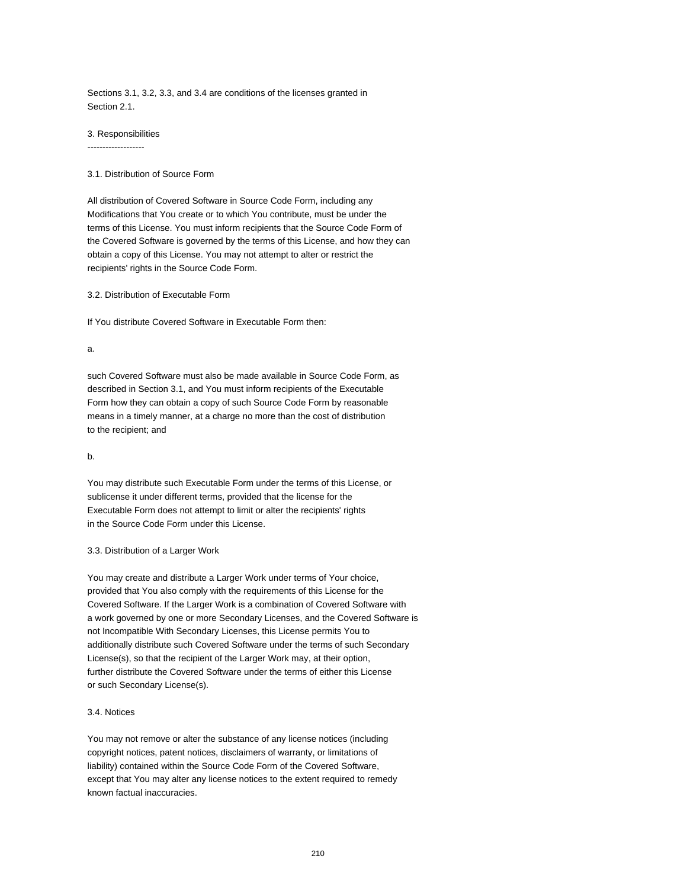Sections 3.1, 3.2, 3.3, and 3.4 are conditions of the licenses granted in Section 2.1.

3. Responsibilities

-------------------

### 3.1. Distribution of Source Form

All distribution of Covered Software in Source Code Form, including any Modifications that You create or to which You contribute, must be under the terms of this License. You must inform recipients that the Source Code Form of the Covered Software is governed by the terms of this License, and how they can obtain a copy of this License. You may not attempt to alter or restrict the recipients' rights in the Source Code Form.

3.2. Distribution of Executable Form

If You distribute Covered Software in Executable Form then:

### a.

such Covered Software must also be made available in Source Code Form, as described in Section 3.1, and You must inform recipients of the Executable Form how they can obtain a copy of such Source Code Form by reasonable means in a timely manner, at a charge no more than the cost of distribution to the recipient; and

b.

You may distribute such Executable Form under the terms of this License, or sublicense it under different terms, provided that the license for the Executable Form does not attempt to limit or alter the recipients' rights in the Source Code Form under this License.

### 3.3. Distribution of a Larger Work

You may create and distribute a Larger Work under terms of Your choice, provided that You also comply with the requirements of this License for the Covered Software. If the Larger Work is a combination of Covered Software with a work governed by one or more Secondary Licenses, and the Covered Software is not Incompatible With Secondary Licenses, this License permits You to additionally distribute such Covered Software under the terms of such Secondary License(s), so that the recipient of the Larger Work may, at their option, further distribute the Covered Software under the terms of either this License or such Secondary License(s).

## 3.4. Notices

You may not remove or alter the substance of any license notices (including copyright notices, patent notices, disclaimers of warranty, or limitations of liability) contained within the Source Code Form of the Covered Software, except that You may alter any license notices to the extent required to remedy known factual inaccuracies.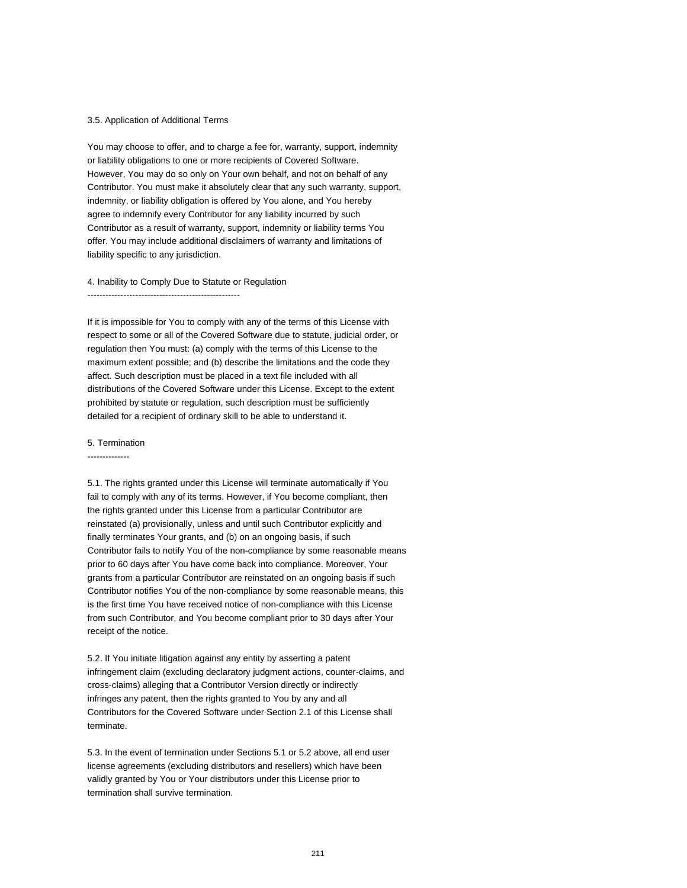#### 3.5. Application of Additional Terms

You may choose to offer, and to charge a fee for, warranty, support, indemnity or liability obligations to one or more recipients of Covered Software. However, You may do so only on Your own behalf, and not on behalf of any Contributor. You must make it absolutely clear that any such warranty, support, indemnity, or liability obligation is offered by You alone, and You hereby agree to indemnify every Contributor for any liability incurred by such Contributor as a result of warranty, support, indemnity or liability terms You offer. You may include additional disclaimers of warranty and limitations of liability specific to any jurisdiction.

## 4. Inability to Comply Due to Statute or Regulation

---------------------------------------------------

If it is impossible for You to comply with any of the terms of this License with respect to some or all of the Covered Software due to statute, judicial order, or regulation then You must: (a) comply with the terms of this License to the maximum extent possible; and (b) describe the limitations and the code they affect. Such description must be placed in a text file included with all distributions of the Covered Software under this License. Except to the extent prohibited by statute or regulation, such description must be sufficiently detailed for a recipient of ordinary skill to be able to understand it.

5. Termination

--------------

5.1. The rights granted under this License will terminate automatically if You fail to comply with any of its terms. However, if You become compliant, then the rights granted under this License from a particular Contributor are reinstated (a) provisionally, unless and until such Contributor explicitly and finally terminates Your grants, and (b) on an ongoing basis, if such Contributor fails to notify You of the non-compliance by some reasonable means prior to 60 days after You have come back into compliance. Moreover, Your grants from a particular Contributor are reinstated on an ongoing basis if such Contributor notifies You of the non-compliance by some reasonable means, this is the first time You have received notice of non-compliance with this License from such Contributor, and You become compliant prior to 30 days after Your receipt of the notice.

5.2. If You initiate litigation against any entity by asserting a patent infringement claim (excluding declaratory judgment actions, counter-claims, and cross-claims) alleging that a Contributor Version directly or indirectly infringes any patent, then the rights granted to You by any and all Contributors for the Covered Software under Section 2.1 of this License shall terminate.

5.3. In the event of termination under Sections 5.1 or 5.2 above, all end user license agreements (excluding distributors and resellers) which have been validly granted by You or Your distributors under this License prior to termination shall survive termination.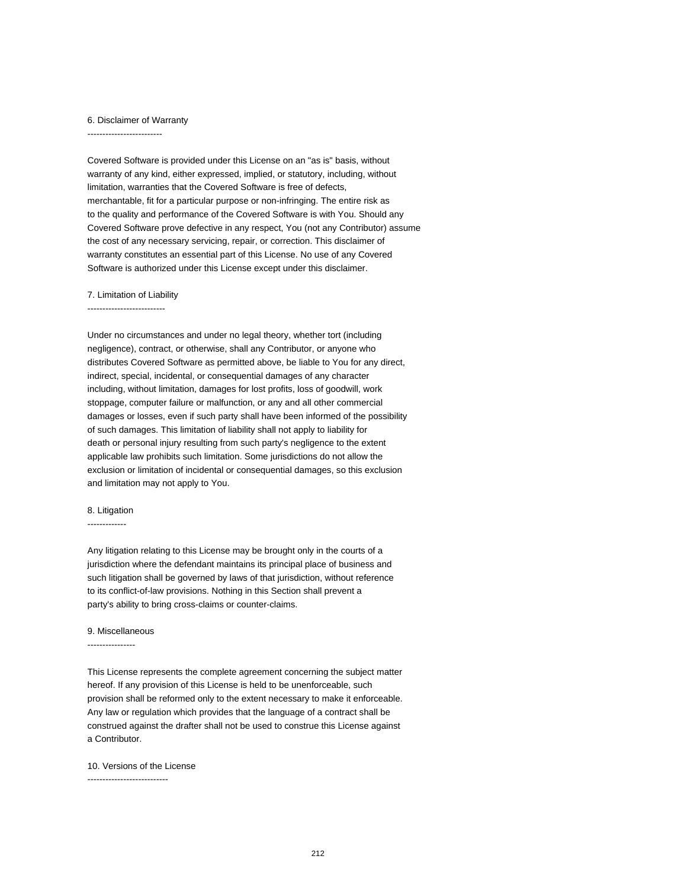#### 6. Disclaimer of Warranty

-------------------------

Covered Software is provided under this License on an "as is" basis, without warranty of any kind, either expressed, implied, or statutory, including, without limitation, warranties that the Covered Software is free of defects, merchantable, fit for a particular purpose or non-infringing. The entire risk as to the quality and performance of the Covered Software is with You. Should any Covered Software prove defective in any respect, You (not any Contributor) assume the cost of any necessary servicing, repair, or correction. This disclaimer of warranty constitutes an essential part of this License. No use of any Covered Software is authorized under this License except under this disclaimer.

7. Limitation of Liability

--------------------------

Under no circumstances and under no legal theory, whether tort (including negligence), contract, or otherwise, shall any Contributor, or anyone who distributes Covered Software as permitted above, be liable to You for any direct, indirect, special, incidental, or consequential damages of any character including, without limitation, damages for lost profits, loss of goodwill, work stoppage, computer failure or malfunction, or any and all other commercial damages or losses, even if such party shall have been informed of the possibility of such damages. This limitation of liability shall not apply to liability for death or personal injury resulting from such party's negligence to the extent applicable law prohibits such limitation. Some jurisdictions do not allow the exclusion or limitation of incidental or consequential damages, so this exclusion and limitation may not apply to You.

#### 8. Litigation

-------------

Any litigation relating to this License may be brought only in the courts of a jurisdiction where the defendant maintains its principal place of business and such litigation shall be governed by laws of that jurisdiction, without reference to its conflict-of-law provisions. Nothing in this Section shall prevent a party's ability to bring cross-claims or counter-claims.

#### 9. Miscellaneous

----------------

This License represents the complete agreement concerning the subject matter hereof. If any provision of this License is held to be unenforceable, such provision shall be reformed only to the extent necessary to make it enforceable. Any law or regulation which provides that the language of a contract shall be construed against the drafter shall not be used to construe this License against a Contributor.

10. Versions of the License

---------------------------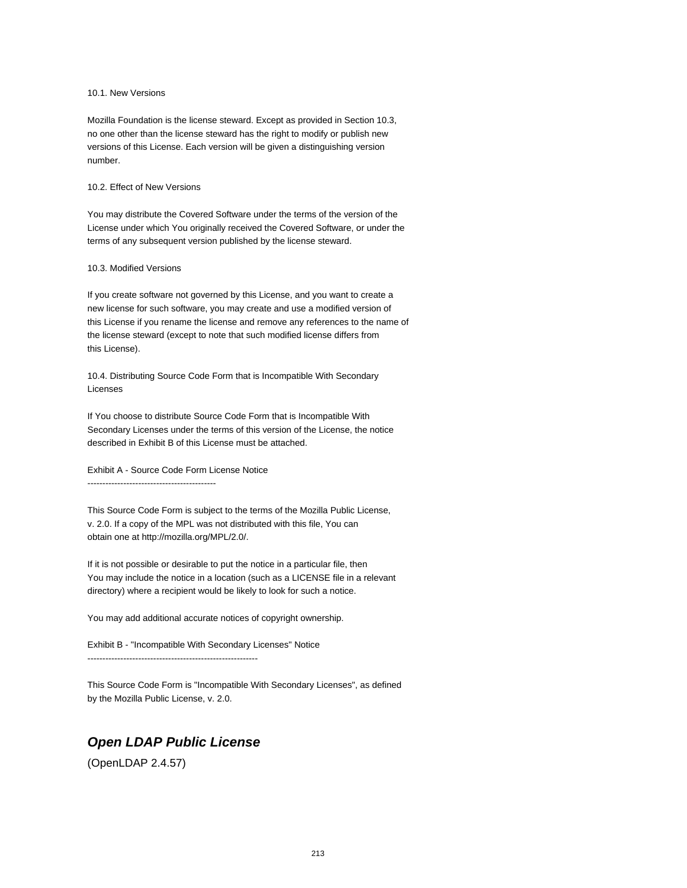## 10.1. New Versions

Mozilla Foundation is the license steward. Except as provided in Section 10.3, no one other than the license steward has the right to modify or publish new versions of this License. Each version will be given a distinguishing version number.

## 10.2. Effect of New Versions

You may distribute the Covered Software under the terms of the version of the License under which You originally received the Covered Software, or under the terms of any subsequent version published by the license steward.

#### 10.3. Modified Versions

If you create software not governed by this License, and you want to create a new license for such software, you may create and use a modified version of this License if you rename the license and remove any references to the name of the license steward (except to note that such modified license differs from this License).

10.4. Distributing Source Code Form that is Incompatible With Secondary Licenses

If You choose to distribute Source Code Form that is Incompatible With Secondary Licenses under the terms of this version of the License, the notice described in Exhibit B of this License must be attached.

Exhibit A - Source Code Form License Notice -------------------------------------------

This Source Code Form is subject to the terms of the Mozilla Public License, v. 2.0. If a copy of the MPL was not distributed with this file, You can obtain one at http://mozilla.org/MPL/2.0/.

If it is not possible or desirable to put the notice in a particular file, then You may include the notice in a location (such as a LICENSE file in a relevant directory) where a recipient would be likely to look for such a notice.

You may add additional accurate notices of copyright ownership.

Exhibit B - "Incompatible With Secondary Licenses" Notice ---------------------------------------------------------

This Source Code Form is "Incompatible With Secondary Licenses", as defined by the Mozilla Public License, v. 2.0.

# **Open LDAP Public License**

(OpenLDAP 2.4.57)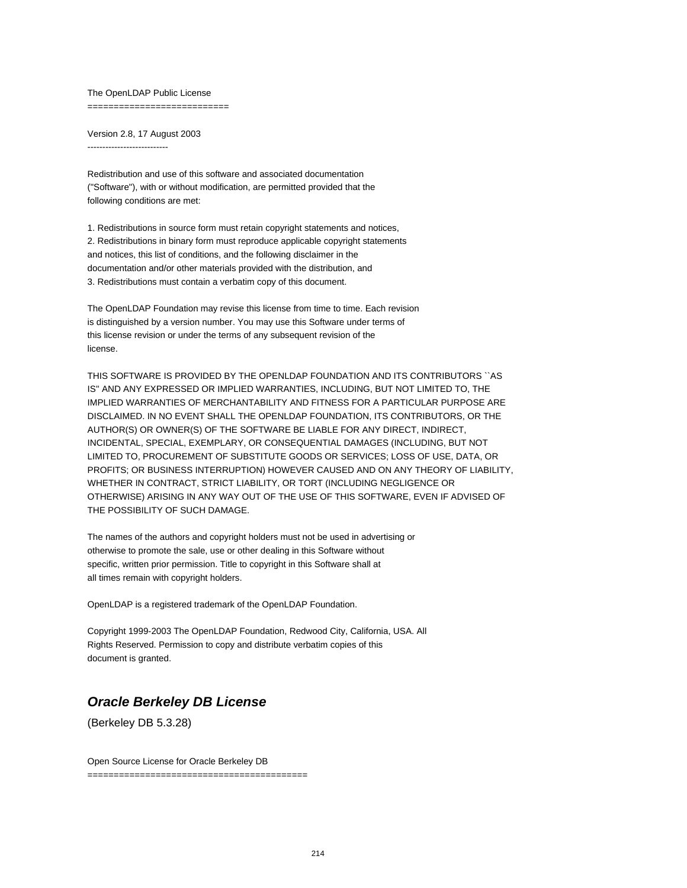### The OpenLDAP Public License

===========================

Version 2.8, 17 August 2003 ---------------------------

Redistribution and use of this software and associated documentation ("Software"), with or without modification, are permitted provided that the following conditions are met:

1. Redistributions in source form must retain copyright statements and notices, 2. Redistributions in binary form must reproduce applicable copyright statements and notices, this list of conditions, and the following disclaimer in the documentation and/or other materials provided with the distribution, and 3. Redistributions must contain a verbatim copy of this document.

The OpenLDAP Foundation may revise this license from time to time. Each revision is distinguished by a version number. You may use this Software under terms of this license revision or under the terms of any subsequent revision of the license.

THIS SOFTWARE IS PROVIDED BY THE OPENLDAP FOUNDATION AND ITS CONTRIBUTORS ``AS IS'' AND ANY EXPRESSED OR IMPLIED WARRANTIES, INCLUDING, BUT NOT LIMITED TO, THE IMPLIED WARRANTIES OF MERCHANTABILITY AND FITNESS FOR A PARTICULAR PURPOSE ARE DISCLAIMED. IN NO EVENT SHALL THE OPENLDAP FOUNDATION, ITS CONTRIBUTORS, OR THE AUTHOR(S) OR OWNER(S) OF THE SOFTWARE BE LIABLE FOR ANY DIRECT, INDIRECT, INCIDENTAL, SPECIAL, EXEMPLARY, OR CONSEQUENTIAL DAMAGES (INCLUDING, BUT NOT LIMITED TO, PROCUREMENT OF SUBSTITUTE GOODS OR SERVICES; LOSS OF USE, DATA, OR PROFITS; OR BUSINESS INTERRUPTION) HOWEVER CAUSED AND ON ANY THEORY OF LIABILITY, WHETHER IN CONTRACT, STRICT LIABILITY, OR TORT (INCLUDING NEGLIGENCE OR OTHERWISE) ARISING IN ANY WAY OUT OF THE USE OF THIS SOFTWARE, EVEN IF ADVISED OF THE POSSIBILITY OF SUCH DAMAGE.

The names of the authors and copyright holders must not be used in advertising or otherwise to promote the sale, use or other dealing in this Software without specific, written prior permission. Title to copyright in this Software shall at all times remain with copyright holders.

OpenLDAP is a registered trademark of the OpenLDAP Foundation.

Copyright 1999-2003 The OpenLDAP Foundation, Redwood City, California, USA. All Rights Reserved. Permission to copy and distribute verbatim copies of this document is granted.

# **Oracle Berkeley DB License**

(Berkeley DB 5.3.28)

Open Source License for Oracle Berkeley DB

==========================================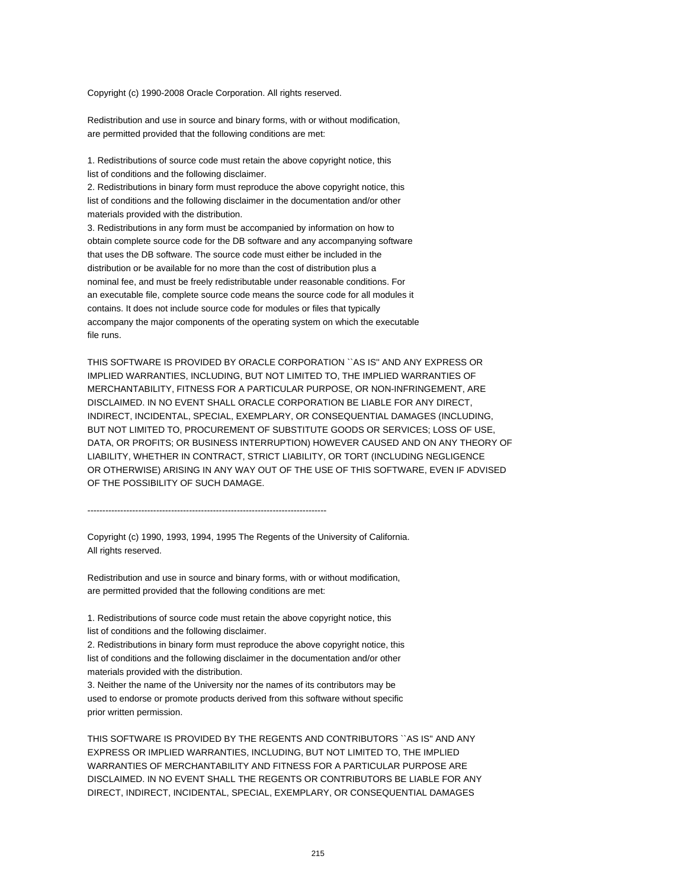Copyright (c) 1990-2008 Oracle Corporation. All rights reserved.

Redistribution and use in source and binary forms, with or without modification, are permitted provided that the following conditions are met:

1. Redistributions of source code must retain the above copyright notice, this list of conditions and the following disclaimer.

2. Redistributions in binary form must reproduce the above copyright notice, this list of conditions and the following disclaimer in the documentation and/or other materials provided with the distribution.

3. Redistributions in any form must be accompanied by information on how to obtain complete source code for the DB software and any accompanying software that uses the DB software. The source code must either be included in the distribution or be available for no more than the cost of distribution plus a nominal fee, and must be freely redistributable under reasonable conditions. For an executable file, complete source code means the source code for all modules it contains. It does not include source code for modules or files that typically accompany the major components of the operating system on which the executable file runs.

THIS SOFTWARE IS PROVIDED BY ORACLE CORPORATION ``AS IS'' AND ANY EXPRESS OR IMPLIED WARRANTIES, INCLUDING, BUT NOT LIMITED TO, THE IMPLIED WARRANTIES OF MERCHANTABILITY, FITNESS FOR A PARTICULAR PURPOSE, OR NON-INFRINGEMENT, ARE DISCLAIMED. IN NO EVENT SHALL ORACLE CORPORATION BE LIABLE FOR ANY DIRECT, INDIRECT, INCIDENTAL, SPECIAL, EXEMPLARY, OR CONSEQUENTIAL DAMAGES (INCLUDING, BUT NOT LIMITED TO, PROCUREMENT OF SUBSTITUTE GOODS OR SERVICES; LOSS OF USE, DATA, OR PROFITS; OR BUSINESS INTERRUPTION) HOWEVER CAUSED AND ON ANY THEORY OF LIABILITY, WHETHER IN CONTRACT, STRICT LIABILITY, OR TORT (INCLUDING NEGLIGENCE OR OTHERWISE) ARISING IN ANY WAY OUT OF THE USE OF THIS SOFTWARE, EVEN IF ADVISED OF THE POSSIBILITY OF SUCH DAMAGE.

--------------------------------------------------------------------------------

Copyright (c) 1990, 1993, 1994, 1995 The Regents of the University of California. All rights reserved.

Redistribution and use in source and binary forms, with or without modification, are permitted provided that the following conditions are met:

1. Redistributions of source code must retain the above copyright notice, this list of conditions and the following disclaimer.

2. Redistributions in binary form must reproduce the above copyright notice, this list of conditions and the following disclaimer in the documentation and/or other materials provided with the distribution.

3. Neither the name of the University nor the names of its contributors may be used to endorse or promote products derived from this software without specific prior written permission.

THIS SOFTWARE IS PROVIDED BY THE REGENTS AND CONTRIBUTORS ``AS IS'' AND ANY EXPRESS OR IMPLIED WARRANTIES, INCLUDING, BUT NOT LIMITED TO, THE IMPLIED WARRANTIES OF MERCHANTABILITY AND FITNESS FOR A PARTICULAR PURPOSE ARE DISCLAIMED. IN NO EVENT SHALL THE REGENTS OR CONTRIBUTORS BE LIABLE FOR ANY DIRECT, INDIRECT, INCIDENTAL, SPECIAL, EXEMPLARY, OR CONSEQUENTIAL DAMAGES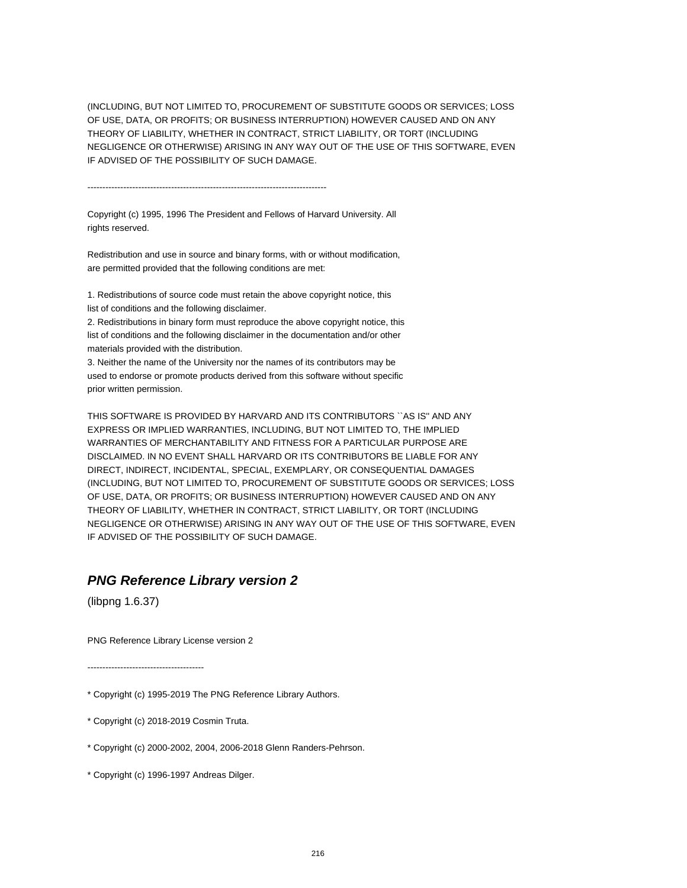(INCLUDING, BUT NOT LIMITED TO, PROCUREMENT OF SUBSTITUTE GOODS OR SERVICES; LOSS OF USE, DATA, OR PROFITS; OR BUSINESS INTERRUPTION) HOWEVER CAUSED AND ON ANY THEORY OF LIABILITY, WHETHER IN CONTRACT, STRICT LIABILITY, OR TORT (INCLUDING NEGLIGENCE OR OTHERWISE) ARISING IN ANY WAY OUT OF THE USE OF THIS SOFTWARE, EVEN IF ADVISED OF THE POSSIBILITY OF SUCH DAMAGE.

--------------------------------------------------------------------------------

Copyright (c) 1995, 1996 The President and Fellows of Harvard University. All rights reserved.

Redistribution and use in source and binary forms, with or without modification, are permitted provided that the following conditions are met:

1. Redistributions of source code must retain the above copyright notice, this list of conditions and the following disclaimer.

2. Redistributions in binary form must reproduce the above copyright notice, this list of conditions and the following disclaimer in the documentation and/or other materials provided with the distribution.

3. Neither the name of the University nor the names of its contributors may be used to endorse or promote products derived from this software without specific prior written permission.

THIS SOFTWARE IS PROVIDED BY HARVARD AND ITS CONTRIBUTORS ``AS IS'' AND ANY EXPRESS OR IMPLIED WARRANTIES, INCLUDING, BUT NOT LIMITED TO, THE IMPLIED WARRANTIES OF MERCHANTABILITY AND FITNESS FOR A PARTICULAR PURPOSE ARE DISCLAIMED. IN NO EVENT SHALL HARVARD OR ITS CONTRIBUTORS BE LIABLE FOR ANY DIRECT, INDIRECT, INCIDENTAL, SPECIAL, EXEMPLARY, OR CONSEQUENTIAL DAMAGES (INCLUDING, BUT NOT LIMITED TO, PROCUREMENT OF SUBSTITUTE GOODS OR SERVICES; LOSS OF USE, DATA, OR PROFITS; OR BUSINESS INTERRUPTION) HOWEVER CAUSED AND ON ANY THEORY OF LIABILITY, WHETHER IN CONTRACT, STRICT LIABILITY, OR TORT (INCLUDING NEGLIGENCE OR OTHERWISE) ARISING IN ANY WAY OUT OF THE USE OF THIS SOFTWARE, EVEN IF ADVISED OF THE POSSIBILITY OF SUCH DAMAGE.

## **PNG Reference Library version 2**

(libpng 1.6.37)

PNG Reference Library License version 2

---------------------------------------

\* Copyright (c) 1995-2019 The PNG Reference Library Authors.

\* Copyright (c) 2018-2019 Cosmin Truta.

\* Copyright (c) 2000-2002, 2004, 2006-2018 Glenn Randers-Pehrson.

\* Copyright (c) 1996-1997 Andreas Dilger.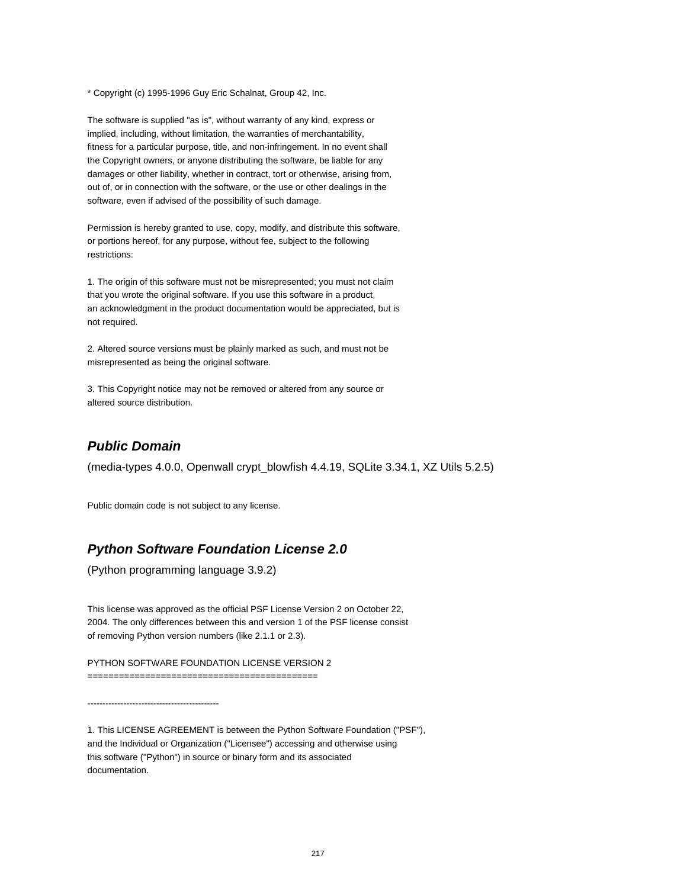\* Copyright (c) 1995-1996 Guy Eric Schalnat, Group 42, Inc.

The software is supplied "as is", without warranty of any kind, express or implied, including, without limitation, the warranties of merchantability, fitness for a particular purpose, title, and non-infringement. In no event shall the Copyright owners, or anyone distributing the software, be liable for any damages or other liability, whether in contract, tort or otherwise, arising from, out of, or in connection with the software, or the use or other dealings in the software, even if advised of the possibility of such damage.

Permission is hereby granted to use, copy, modify, and distribute this software, or portions hereof, for any purpose, without fee, subject to the following restrictions:

1. The origin of this software must not be misrepresented; you must not claim that you wrote the original software. If you use this software in a product, an acknowledgment in the product documentation would be appreciated, but is not required.

2. Altered source versions must be plainly marked as such, and must not be misrepresented as being the original software.

3. This Copyright notice may not be removed or altered from any source or altered source distribution.

## **Public Domain**

(media-types 4.0.0, Openwall crypt\_blowfish 4.4.19, SQLite 3.34.1, XZ Utils 5.2.5)

Public domain code is not subject to any license.

## **Python Software Foundation License 2.0**

(Python programming language 3.9.2)

This license was approved as the official PSF License Version 2 on October 22, 2004. The only differences between this and version 1 of the PSF license consist of removing Python version numbers (like 2.1.1 or 2.3).

PYTHON SOFTWARE FOUNDATION LICENSE VERSION 2

============================================

--------------------------------------------

1. This LICENSE AGREEMENT is between the Python Software Foundation ("PSF"), and the Individual or Organization ("Licensee") accessing and otherwise using this software ("Python") in source or binary form and its associated documentation.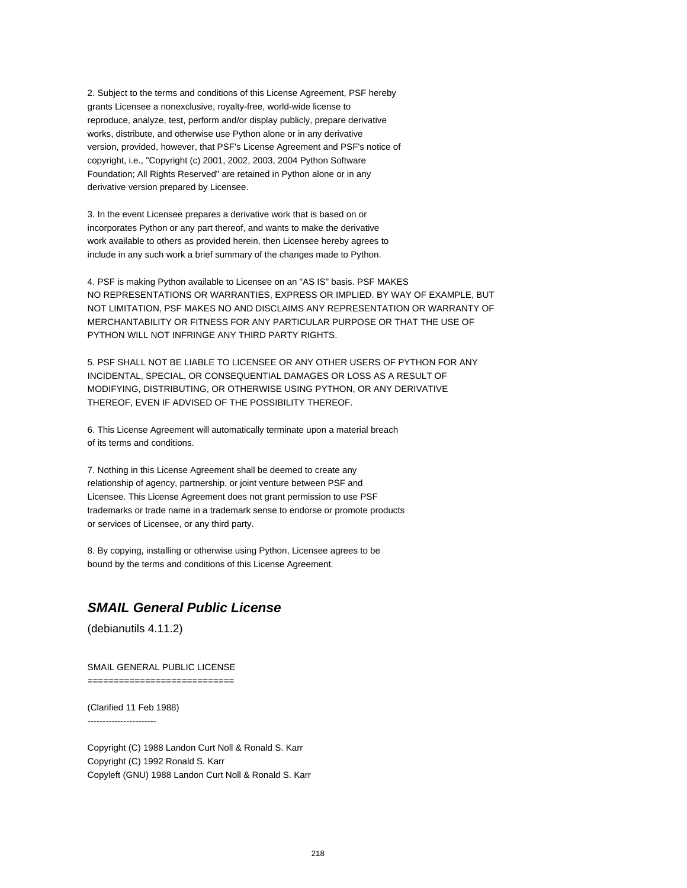2. Subject to the terms and conditions of this License Agreement, PSF hereby grants Licensee a nonexclusive, royalty-free, world-wide license to reproduce, analyze, test, perform and/or display publicly, prepare derivative works, distribute, and otherwise use Python alone or in any derivative version, provided, however, that PSF's License Agreement and PSF's notice of copyright, i.e., "Copyright (c) 2001, 2002, 2003, 2004 Python Software Foundation; All Rights Reserved" are retained in Python alone or in any derivative version prepared by Licensee.

3. In the event Licensee prepares a derivative work that is based on or incorporates Python or any part thereof, and wants to make the derivative work available to others as provided herein, then Licensee hereby agrees to include in any such work a brief summary of the changes made to Python.

4. PSF is making Python available to Licensee on an "AS IS" basis. PSF MAKES NO REPRESENTATIONS OR WARRANTIES, EXPRESS OR IMPLIED. BY WAY OF EXAMPLE, BUT NOT LIMITATION, PSF MAKES NO AND DISCLAIMS ANY REPRESENTATION OR WARRANTY OF MERCHANTABILITY OR FITNESS FOR ANY PARTICULAR PURPOSE OR THAT THE USE OF PYTHON WILL NOT INFRINGE ANY THIRD PARTY RIGHTS.

5. PSF SHALL NOT BE LIABLE TO LICENSEE OR ANY OTHER USERS OF PYTHON FOR ANY INCIDENTAL, SPECIAL, OR CONSEQUENTIAL DAMAGES OR LOSS AS A RESULT OF MODIFYING, DISTRIBUTING, OR OTHERWISE USING PYTHON, OR ANY DERIVATIVE THEREOF, EVEN IF ADVISED OF THE POSSIBILITY THEREOF.

6. This License Agreement will automatically terminate upon a material breach of its terms and conditions.

7. Nothing in this License Agreement shall be deemed to create any relationship of agency, partnership, or joint venture between PSF and Licensee. This License Agreement does not grant permission to use PSF trademarks or trade name in a trademark sense to endorse or promote products or services of Licensee, or any third party.

8. By copying, installing or otherwise using Python, Licensee agrees to be bound by the terms and conditions of this License Agreement.

## **SMAIL General Public License**

(debianutils 4.11.2)

SMAIL GENERAL PUBLIC LICENSE

============================

(Clarified 11 Feb 1988) -----------------------

Copyright (C) 1988 Landon Curt Noll & Ronald S. Karr Copyright (C) 1992 Ronald S. Karr Copyleft (GNU) 1988 Landon Curt Noll & Ronald S. Karr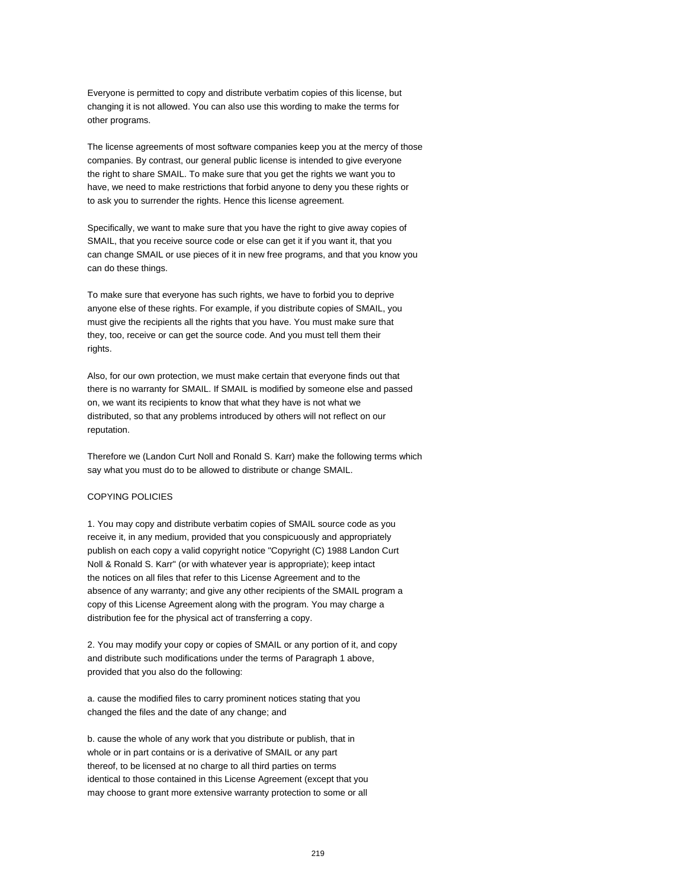Everyone is permitted to copy and distribute verbatim copies of this license, but changing it is not allowed. You can also use this wording to make the terms for other programs.

The license agreements of most software companies keep you at the mercy of those companies. By contrast, our general public license is intended to give everyone the right to share SMAIL. To make sure that you get the rights we want you to have, we need to make restrictions that forbid anyone to deny you these rights or to ask you to surrender the rights. Hence this license agreement.

Specifically, we want to make sure that you have the right to give away copies of SMAIL, that you receive source code or else can get it if you want it, that you can change SMAIL or use pieces of it in new free programs, and that you know you can do these things.

To make sure that everyone has such rights, we have to forbid you to deprive anyone else of these rights. For example, if you distribute copies of SMAIL, you must give the recipients all the rights that you have. You must make sure that they, too, receive or can get the source code. And you must tell them their rights.

Also, for our own protection, we must make certain that everyone finds out that there is no warranty for SMAIL. If SMAIL is modified by someone else and passed on, we want its recipients to know that what they have is not what we distributed, so that any problems introduced by others will not reflect on our reputation.

Therefore we (Landon Curt Noll and Ronald S. Karr) make the following terms which say what you must do to be allowed to distribute or change SMAIL.

#### COPYING POLICIES

1. You may copy and distribute verbatim copies of SMAIL source code as you receive it, in any medium, provided that you conspicuously and appropriately publish on each copy a valid copyright notice "Copyright (C) 1988 Landon Curt Noll & Ronald S. Karr" (or with whatever year is appropriate); keep intact the notices on all files that refer to this License Agreement and to the absence of any warranty; and give any other recipients of the SMAIL program a copy of this License Agreement along with the program. You may charge a distribution fee for the physical act of transferring a copy.

2. You may modify your copy or copies of SMAIL or any portion of it, and copy and distribute such modifications under the terms of Paragraph 1 above, provided that you also do the following:

a. cause the modified files to carry prominent notices stating that you changed the files and the date of any change; and

b. cause the whole of any work that you distribute or publish, that in whole or in part contains or is a derivative of SMAIL or any part thereof, to be licensed at no charge to all third parties on terms identical to those contained in this License Agreement (except that you may choose to grant more extensive warranty protection to some or all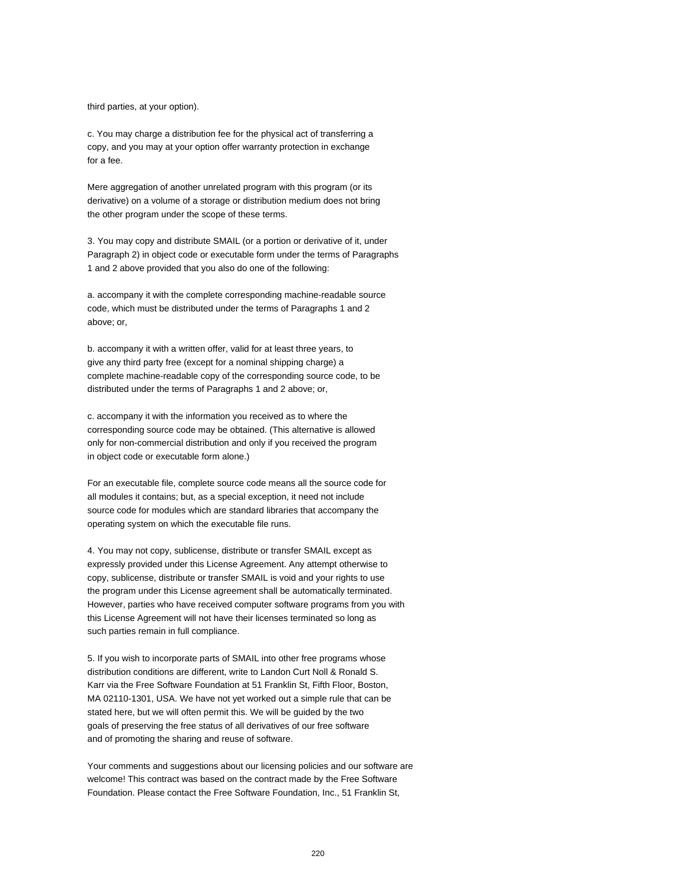third parties, at your option).

c. You may charge a distribution fee for the physical act of transferring a copy, and you may at your option offer warranty protection in exchange for a fee.

Mere aggregation of another unrelated program with this program (or its derivative) on a volume of a storage or distribution medium does not bring the other program under the scope of these terms.

3. You may copy and distribute SMAIL (or a portion or derivative of it, under Paragraph 2) in object code or executable form under the terms of Paragraphs 1 and 2 above provided that you also do one of the following:

a. accompany it with the complete corresponding machine-readable source code, which must be distributed under the terms of Paragraphs 1 and 2 above; or,

b. accompany it with a written offer, valid for at least three years, to give any third party free (except for a nominal shipping charge) a complete machine-readable copy of the corresponding source code, to be distributed under the terms of Paragraphs 1 and 2 above; or,

c. accompany it with the information you received as to where the corresponding source code may be obtained. (This alternative is allowed only for non-commercial distribution and only if you received the program in object code or executable form alone.)

For an executable file, complete source code means all the source code for all modules it contains; but, as a special exception, it need not include source code for modules which are standard libraries that accompany the operating system on which the executable file runs.

4. You may not copy, sublicense, distribute or transfer SMAIL except as expressly provided under this License Agreement. Any attempt otherwise to copy, sublicense, distribute or transfer SMAIL is void and your rights to use the program under this License agreement shall be automatically terminated. However, parties who have received computer software programs from you with this License Agreement will not have their licenses terminated so long as such parties remain in full compliance.

5. If you wish to incorporate parts of SMAIL into other free programs whose distribution conditions are different, write to Landon Curt Noll & Ronald S. Karr via the Free Software Foundation at 51 Franklin St, Fifth Floor, Boston, MA 02110-1301, USA. We have not yet worked out a simple rule that can be stated here, but we will often permit this. We will be guided by the two goals of preserving the free status of all derivatives of our free software and of promoting the sharing and reuse of software.

Your comments and suggestions about our licensing policies and our software are welcome! This contract was based on the contract made by the Free Software Foundation. Please contact the Free Software Foundation, Inc., 51 Franklin St,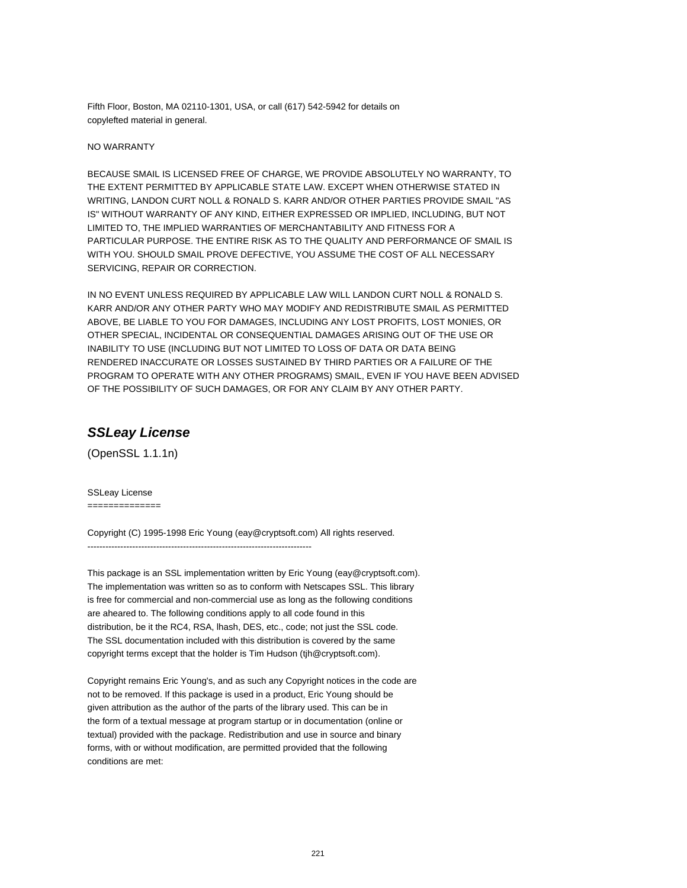Fifth Floor, Boston, MA 02110-1301, USA, or call (617) 542-5942 for details on copylefted material in general.

### NO WARRANTY

BECAUSE SMAIL IS LICENSED FREE OF CHARGE, WE PROVIDE ABSOLUTELY NO WARRANTY, TO THE EXTENT PERMITTED BY APPLICABLE STATE LAW. EXCEPT WHEN OTHERWISE STATED IN WRITING, LANDON CURT NOLL & RONALD S. KARR AND/OR OTHER PARTIES PROVIDE SMAIL "AS IS" WITHOUT WARRANTY OF ANY KIND, EITHER EXPRESSED OR IMPLIED, INCLUDING, BUT NOT LIMITED TO, THE IMPLIED WARRANTIES OF MERCHANTABILITY AND FITNESS FOR A PARTICULAR PURPOSE. THE ENTIRE RISK AS TO THE QUALITY AND PERFORMANCE OF SMAIL IS WITH YOU. SHOULD SMAIL PROVE DEFECTIVE, YOU ASSUME THE COST OF ALL NECESSARY SERVICING, REPAIR OR CORRECTION.

IN NO EVENT UNLESS REQUIRED BY APPLICABLE LAW WILL LANDON CURT NOLL & RONALD S. KARR AND/OR ANY OTHER PARTY WHO MAY MODIFY AND REDISTRIBUTE SMAIL AS PERMITTED ABOVE, BE LIABLE TO YOU FOR DAMAGES, INCLUDING ANY LOST PROFITS, LOST MONIES, OR OTHER SPECIAL, INCIDENTAL OR CONSEQUENTIAL DAMAGES ARISING OUT OF THE USE OR INABILITY TO USE (INCLUDING BUT NOT LIMITED TO LOSS OF DATA OR DATA BEING RENDERED INACCURATE OR LOSSES SUSTAINED BY THIRD PARTIES OR A FAILURE OF THE PROGRAM TO OPERATE WITH ANY OTHER PROGRAMS) SMAIL, EVEN IF YOU HAVE BEEN ADVISED OF THE POSSIBILITY OF SUCH DAMAGES, OR FOR ANY CLAIM BY ANY OTHER PARTY.

## **SSLeay License**

(OpenSSL 1.1.1n)

SSLeay License

==============

Copyright (C) 1995-1998 Eric Young (eay@cryptsoft.com) All rights reserved. ---------------------------------------------------------------------------

This package is an SSL implementation written by Eric Young (eay@cryptsoft.com). The implementation was written so as to conform with Netscapes SSL. This library is free for commercial and non-commercial use as long as the following conditions are aheared to. The following conditions apply to all code found in this distribution, be it the RC4, RSA, lhash, DES, etc., code; not just the SSL code. The SSL documentation included with this distribution is covered by the same copyright terms except that the holder is Tim Hudson (tjh@cryptsoft.com).

Copyright remains Eric Young's, and as such any Copyright notices in the code are not to be removed. If this package is used in a product, Eric Young should be given attribution as the author of the parts of the library used. This can be in the form of a textual message at program startup or in documentation (online or textual) provided with the package. Redistribution and use in source and binary forms, with or without modification, are permitted provided that the following conditions are met: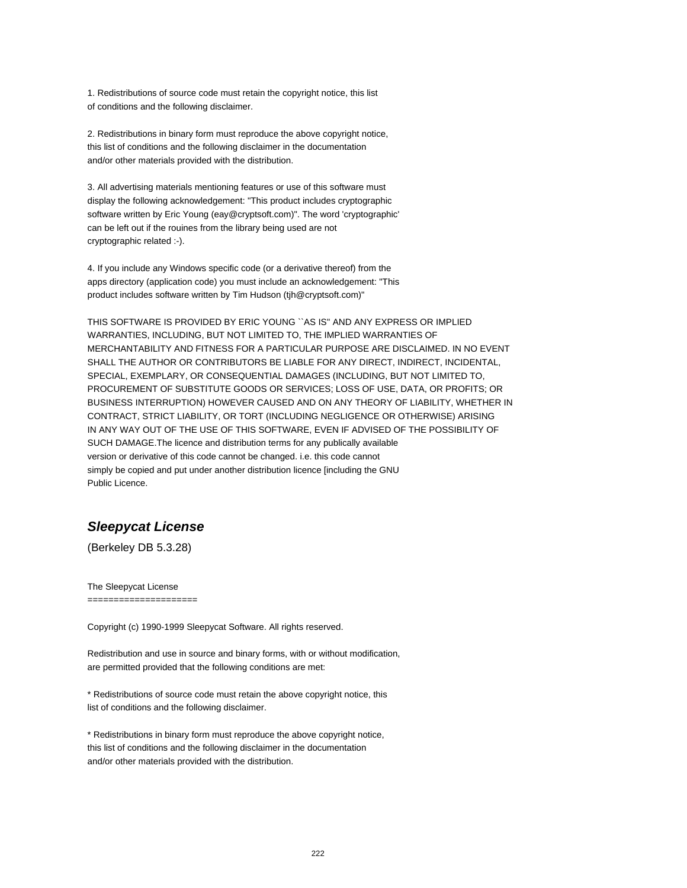1. Redistributions of source code must retain the copyright notice, this list of conditions and the following disclaimer.

2. Redistributions in binary form must reproduce the above copyright notice, this list of conditions and the following disclaimer in the documentation and/or other materials provided with the distribution.

3. All advertising materials mentioning features or use of this software must display the following acknowledgement: "This product includes cryptographic software written by Eric Young (eay@cryptsoft.com)". The word 'cryptographic' can be left out if the rouines from the library being used are not cryptographic related :-).

4. If you include any Windows specific code (or a derivative thereof) from the apps directory (application code) you must include an acknowledgement: "This product includes software written by Tim Hudson (tjh@cryptsoft.com)"

THIS SOFTWARE IS PROVIDED BY ERIC YOUNG ``AS IS'' AND ANY EXPRESS OR IMPLIED WARRANTIES, INCLUDING, BUT NOT LIMITED TO, THE IMPLIED WARRANTIES OF MERCHANTABILITY AND FITNESS FOR A PARTICULAR PURPOSE ARE DISCLAIMED. IN NO EVENT SHALL THE AUTHOR OR CONTRIBUTORS BE LIABLE FOR ANY DIRECT, INDIRECT, INCIDENTAL, SPECIAL, EXEMPLARY, OR CONSEQUENTIAL DAMAGES (INCLUDING, BUT NOT LIMITED TO, PROCUREMENT OF SUBSTITUTE GOODS OR SERVICES; LOSS OF USE, DATA, OR PROFITS; OR BUSINESS INTERRUPTION) HOWEVER CAUSED AND ON ANY THEORY OF LIABILITY, WHETHER IN CONTRACT, STRICT LIABILITY, OR TORT (INCLUDING NEGLIGENCE OR OTHERWISE) ARISING IN ANY WAY OUT OF THE USE OF THIS SOFTWARE, EVEN IF ADVISED OF THE POSSIBILITY OF SUCH DAMAGE.The licence and distribution terms for any publically available version or derivative of this code cannot be changed. i.e. this code cannot simply be copied and put under another distribution licence [including the GNU Public Licence.

## **Sleepycat License**

(Berkeley DB 5.3.28)

The Sleepycat License

=====================

Copyright (c) 1990-1999 Sleepycat Software. All rights reserved.

Redistribution and use in source and binary forms, with or without modification, are permitted provided that the following conditions are met:

\* Redistributions of source code must retain the above copyright notice, this list of conditions and the following disclaimer.

\* Redistributions in binary form must reproduce the above copyright notice, this list of conditions and the following disclaimer in the documentation and/or other materials provided with the distribution.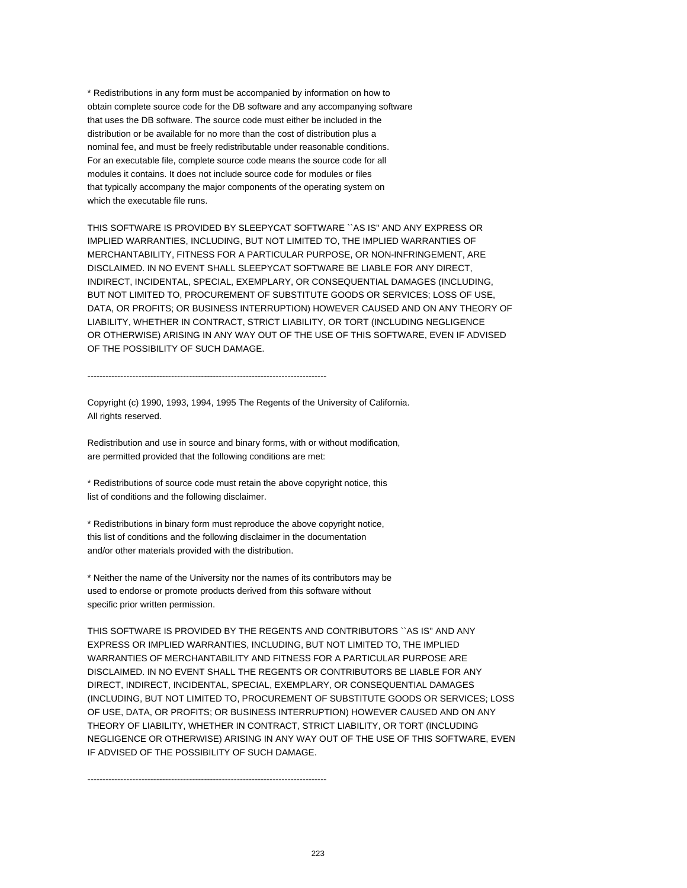\* Redistributions in any form must be accompanied by information on how to obtain complete source code for the DB software and any accompanying software that uses the DB software. The source code must either be included in the distribution or be available for no more than the cost of distribution plus a nominal fee, and must be freely redistributable under reasonable conditions. For an executable file, complete source code means the source code for all modules it contains. It does not include source code for modules or files that typically accompany the major components of the operating system on which the executable file runs.

THIS SOFTWARE IS PROVIDED BY SLEEPYCAT SOFTWARE ``AS IS'' AND ANY EXPRESS OR IMPLIED WARRANTIES, INCLUDING, BUT NOT LIMITED TO, THE IMPLIED WARRANTIES OF MERCHANTABILITY, FITNESS FOR A PARTICULAR PURPOSE, OR NON-INFRINGEMENT, ARE DISCLAIMED. IN NO EVENT SHALL SLEEPYCAT SOFTWARE BE LIABLE FOR ANY DIRECT, INDIRECT, INCIDENTAL, SPECIAL, EXEMPLARY, OR CONSEQUENTIAL DAMAGES (INCLUDING, BUT NOT LIMITED TO, PROCUREMENT OF SUBSTITUTE GOODS OR SERVICES; LOSS OF USE, DATA, OR PROFITS; OR BUSINESS INTERRUPTION) HOWEVER CAUSED AND ON ANY THEORY OF LIABILITY, WHETHER IN CONTRACT, STRICT LIABILITY, OR TORT (INCLUDING NEGLIGENCE OR OTHERWISE) ARISING IN ANY WAY OUT OF THE USE OF THIS SOFTWARE, EVEN IF ADVISED OF THE POSSIBILITY OF SUCH DAMAGE.

--------------------------------------------------------------------------------

Copyright (c) 1990, 1993, 1994, 1995 The Regents of the University of California. All rights reserved.

Redistribution and use in source and binary forms, with or without modification, are permitted provided that the following conditions are met:

\* Redistributions of source code must retain the above copyright notice, this list of conditions and the following disclaimer.

\* Redistributions in binary form must reproduce the above copyright notice, this list of conditions and the following disclaimer in the documentation and/or other materials provided with the distribution.

\* Neither the name of the University nor the names of its contributors may be used to endorse or promote products derived from this software without specific prior written permission.

THIS SOFTWARE IS PROVIDED BY THE REGENTS AND CONTRIBUTORS ``AS IS'' AND ANY EXPRESS OR IMPLIED WARRANTIES, INCLUDING, BUT NOT LIMITED TO, THE IMPLIED WARRANTIES OF MERCHANTABILITY AND FITNESS FOR A PARTICULAR PURPOSE ARE DISCLAIMED. IN NO EVENT SHALL THE REGENTS OR CONTRIBUTORS BE LIABLE FOR ANY DIRECT, INDIRECT, INCIDENTAL, SPECIAL, EXEMPLARY, OR CONSEQUENTIAL DAMAGES (INCLUDING, BUT NOT LIMITED TO, PROCUREMENT OF SUBSTITUTE GOODS OR SERVICES; LOSS OF USE, DATA, OR PROFITS; OR BUSINESS INTERRUPTION) HOWEVER CAUSED AND ON ANY THEORY OF LIABILITY, WHETHER IN CONTRACT, STRICT LIABILITY, OR TORT (INCLUDING NEGLIGENCE OR OTHERWISE) ARISING IN ANY WAY OUT OF THE USE OF THIS SOFTWARE, EVEN IF ADVISED OF THE POSSIBILITY OF SUCH DAMAGE.

--------------------------------------------------------------------------------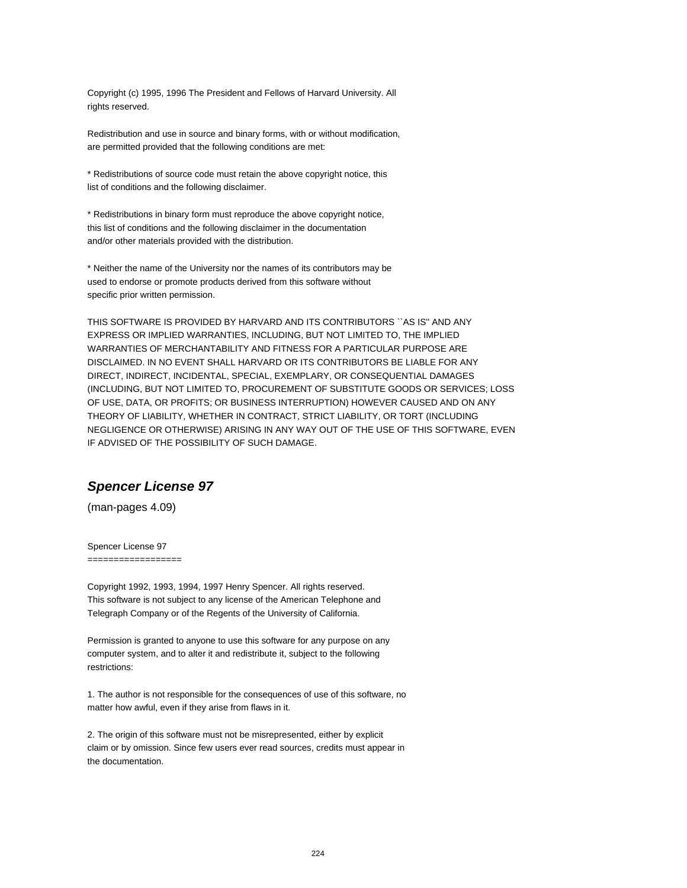Copyright (c) 1995, 1996 The President and Fellows of Harvard University. All rights reserved.

Redistribution and use in source and binary forms, with or without modification, are permitted provided that the following conditions are met:

\* Redistributions of source code must retain the above copyright notice, this list of conditions and the following disclaimer.

\* Redistributions in binary form must reproduce the above copyright notice, this list of conditions and the following disclaimer in the documentation and/or other materials provided with the distribution.

\* Neither the name of the University nor the names of its contributors may be used to endorse or promote products derived from this software without specific prior written permission.

THIS SOFTWARE IS PROVIDED BY HARVARD AND ITS CONTRIBUTORS ``AS IS'' AND ANY EXPRESS OR IMPLIED WARRANTIES, INCLUDING, BUT NOT LIMITED TO, THE IMPLIED WARRANTIES OF MERCHANTABILITY AND FITNESS FOR A PARTICULAR PURPOSE ARE DISCLAIMED. IN NO EVENT SHALL HARVARD OR ITS CONTRIBUTORS BE LIABLE FOR ANY DIRECT, INDIRECT, INCIDENTAL, SPECIAL, EXEMPLARY, OR CONSEQUENTIAL DAMAGES (INCLUDING, BUT NOT LIMITED TO, PROCUREMENT OF SUBSTITUTE GOODS OR SERVICES; LOSS OF USE, DATA, OR PROFITS; OR BUSINESS INTERRUPTION) HOWEVER CAUSED AND ON ANY THEORY OF LIABILITY, WHETHER IN CONTRACT, STRICT LIABILITY, OR TORT (INCLUDING NEGLIGENCE OR OTHERWISE) ARISING IN ANY WAY OUT OF THE USE OF THIS SOFTWARE, EVEN IF ADVISED OF THE POSSIBILITY OF SUCH DAMAGE.

## **Spencer License 97**

(man-pages 4.09)

Spencer License 97 ==================

Copyright 1992, 1993, 1994, 1997 Henry Spencer. All rights reserved. This software is not subject to any license of the American Telephone and Telegraph Company or of the Regents of the University of California.

Permission is granted to anyone to use this software for any purpose on any computer system, and to alter it and redistribute it, subject to the following restrictions:

1. The author is not responsible for the consequences of use of this software, no matter how awful, even if they arise from flaws in it.

2. The origin of this software must not be misrepresented, either by explicit claim or by omission. Since few users ever read sources, credits must appear in the documentation.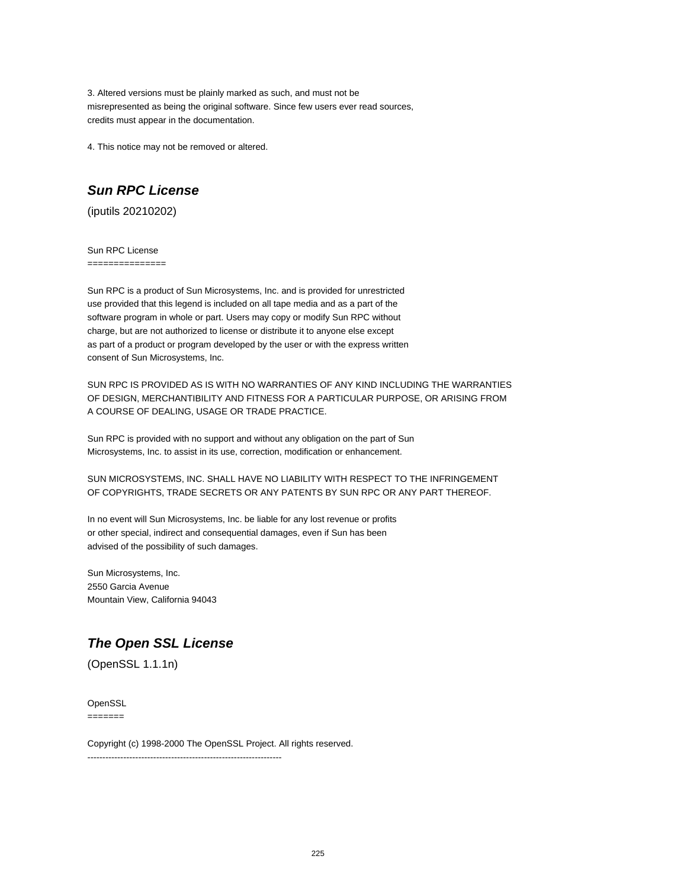3. Altered versions must be plainly marked as such, and must not be misrepresented as being the original software. Since few users ever read sources, credits must appear in the documentation.

4. This notice may not be removed or altered.

# **Sun RPC License**

(iputils 20210202)

Sun RPC License

===============

Sun RPC is a product of Sun Microsystems, Inc. and is provided for unrestricted use provided that this legend is included on all tape media and as a part of the software program in whole or part. Users may copy or modify Sun RPC without charge, but are not authorized to license or distribute it to anyone else except as part of a product or program developed by the user or with the express written consent of Sun Microsystems, Inc.

SUN RPC IS PROVIDED AS IS WITH NO WARRANTIES OF ANY KIND INCLUDING THE WARRANTIES OF DESIGN, MERCHANTIBILITY AND FITNESS FOR A PARTICULAR PURPOSE, OR ARISING FROM A COURSE OF DEALING, USAGE OR TRADE PRACTICE.

Sun RPC is provided with no support and without any obligation on the part of Sun Microsystems, Inc. to assist in its use, correction, modification or enhancement.

SUN MICROSYSTEMS, INC. SHALL HAVE NO LIABILITY WITH RESPECT TO THE INFRINGEMENT OF COPYRIGHTS, TRADE SECRETS OR ANY PATENTS BY SUN RPC OR ANY PART THEREOF.

In no event will Sun Microsystems, Inc. be liable for any lost revenue or profits or other special, indirect and consequential damages, even if Sun has been advised of the possibility of such damages.

Sun Microsystems, Inc. 2550 Garcia Avenue Mountain View, California 94043

# **The Open SSL License**

(OpenSSL 1.1.1n)

OpenSSL =======

Copyright (c) 1998-2000 The OpenSSL Project. All rights reserved.

-----------------------------------------------------------------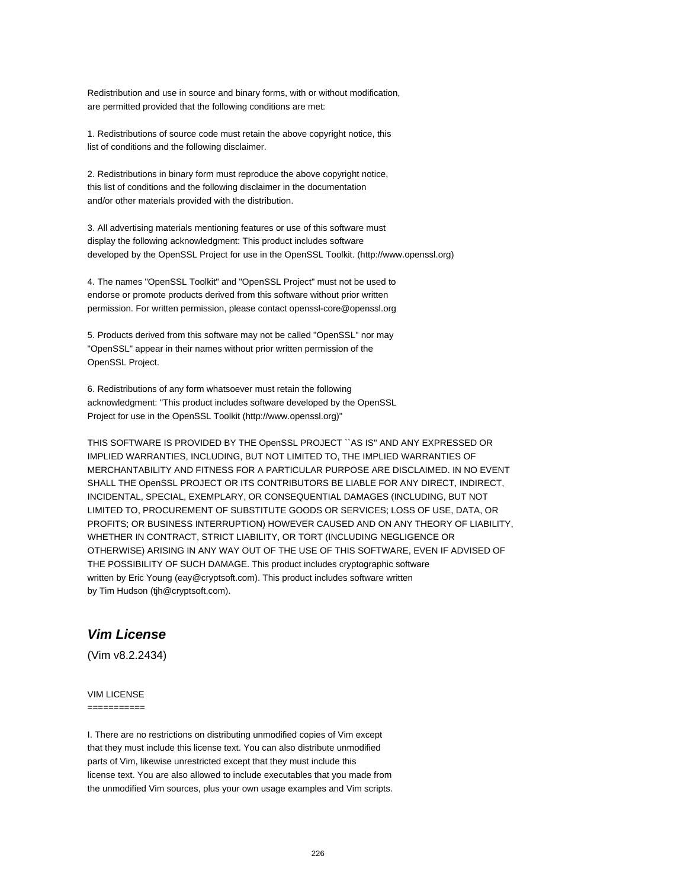Redistribution and use in source and binary forms, with or without modification, are permitted provided that the following conditions are met:

1. Redistributions of source code must retain the above copyright notice, this list of conditions and the following disclaimer.

2. Redistributions in binary form must reproduce the above copyright notice, this list of conditions and the following disclaimer in the documentation and/or other materials provided with the distribution.

3. All advertising materials mentioning features or use of this software must display the following acknowledgment: This product includes software developed by the OpenSSL Project for use in the OpenSSL Toolkit. (http://www.openssl.org)

4. The names "OpenSSL Toolkit" and "OpenSSL Project" must not be used to endorse or promote products derived from this software without prior written permission. For written permission, please contact openssl-core@openssl.org

5. Products derived from this software may not be called "OpenSSL" nor may "OpenSSL" appear in their names without prior written permission of the OpenSSL Project.

6. Redistributions of any form whatsoever must retain the following acknowledgment: "This product includes software developed by the OpenSSL Project for use in the OpenSSL Toolkit (http://www.openssl.org)"

THIS SOFTWARE IS PROVIDED BY THE OpenSSL PROJECT ``AS IS'' AND ANY EXPRESSED OR IMPLIED WARRANTIES, INCLUDING, BUT NOT LIMITED TO, THE IMPLIED WARRANTIES OF MERCHANTABILITY AND FITNESS FOR A PARTICULAR PURPOSE ARE DISCLAIMED. IN NO EVENT SHALL THE OpenSSL PROJECT OR ITS CONTRIBUTORS BE LIABLE FOR ANY DIRECT, INDIRECT, INCIDENTAL, SPECIAL, EXEMPLARY, OR CONSEQUENTIAL DAMAGES (INCLUDING, BUT NOT LIMITED TO, PROCUREMENT OF SUBSTITUTE GOODS OR SERVICES; LOSS OF USE, DATA, OR PROFITS; OR BUSINESS INTERRUPTION) HOWEVER CAUSED AND ON ANY THEORY OF LIABILITY, WHETHER IN CONTRACT, STRICT LIABILITY, OR TORT (INCLUDING NEGLIGENCE OR OTHERWISE) ARISING IN ANY WAY OUT OF THE USE OF THIS SOFTWARE, EVEN IF ADVISED OF THE POSSIBILITY OF SUCH DAMAGE. This product includes cryptographic software written by Eric Young (eay@cryptsoft.com). This product includes software written by Tim Hudson (tjh@cryptsoft.com).

### **Vim License**

(Vim v8.2.2434)

### VIM LICENSE

===========

I. There are no restrictions on distributing unmodified copies of Vim except that they must include this license text. You can also distribute unmodified parts of Vim, likewise unrestricted except that they must include this license text. You are also allowed to include executables that you made from the unmodified Vim sources, plus your own usage examples and Vim scripts.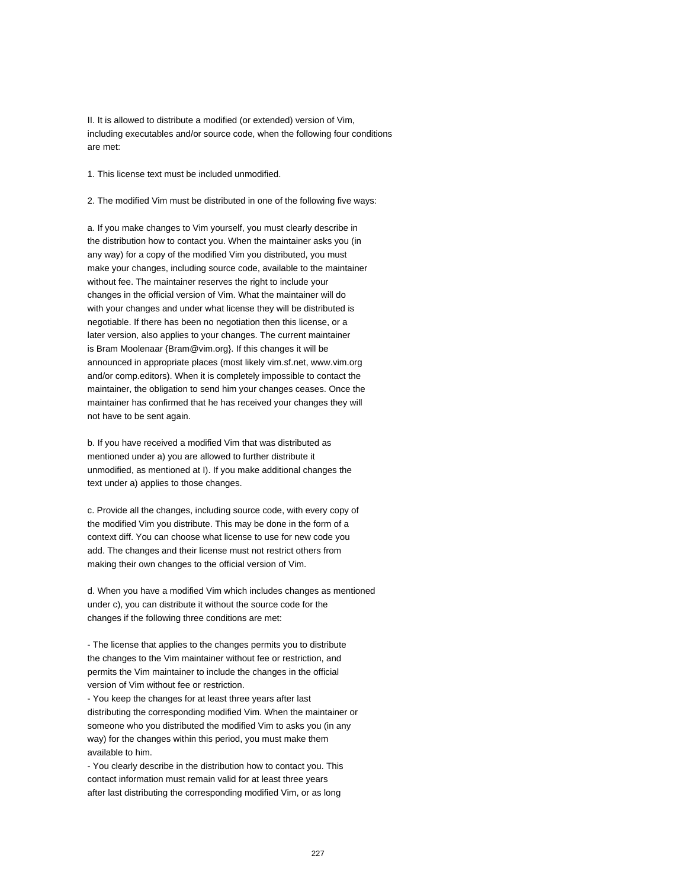II. It is allowed to distribute a modified (or extended) version of Vim, including executables and/or source code, when the following four conditions are met:

1. This license text must be included unmodified.

2. The modified Vim must be distributed in one of the following five ways:

a. If you make changes to Vim yourself, you must clearly describe in the distribution how to contact you. When the maintainer asks you (in any way) for a copy of the modified Vim you distributed, you must make your changes, including source code, available to the maintainer without fee. The maintainer reserves the right to include your changes in the official version of Vim. What the maintainer will do with your changes and under what license they will be distributed is negotiable. If there has been no negotiation then this license, or a later version, also applies to your changes. The current maintainer is Bram Moolenaar {Bram@vim.org}. If this changes it will be announced in appropriate places (most likely vim.sf.net, www.vim.org and/or comp.editors). When it is completely impossible to contact the maintainer, the obligation to send him your changes ceases. Once the maintainer has confirmed that he has received your changes they will not have to be sent again.

b. If you have received a modified Vim that was distributed as mentioned under a) you are allowed to further distribute it unmodified, as mentioned at I). If you make additional changes the text under a) applies to those changes.

c. Provide all the changes, including source code, with every copy of the modified Vim you distribute. This may be done in the form of a context diff. You can choose what license to use for new code you add. The changes and their license must not restrict others from making their own changes to the official version of Vim.

d. When you have a modified Vim which includes changes as mentioned under c), you can distribute it without the source code for the changes if the following three conditions are met:

- The license that applies to the changes permits you to distribute the changes to the Vim maintainer without fee or restriction, and permits the Vim maintainer to include the changes in the official version of Vim without fee or restriction.

- You keep the changes for at least three years after last distributing the corresponding modified Vim. When the maintainer or someone who you distributed the modified Vim to asks you (in any way) for the changes within this period, you must make them available to him.

- You clearly describe in the distribution how to contact you. This contact information must remain valid for at least three years after last distributing the corresponding modified Vim, or as long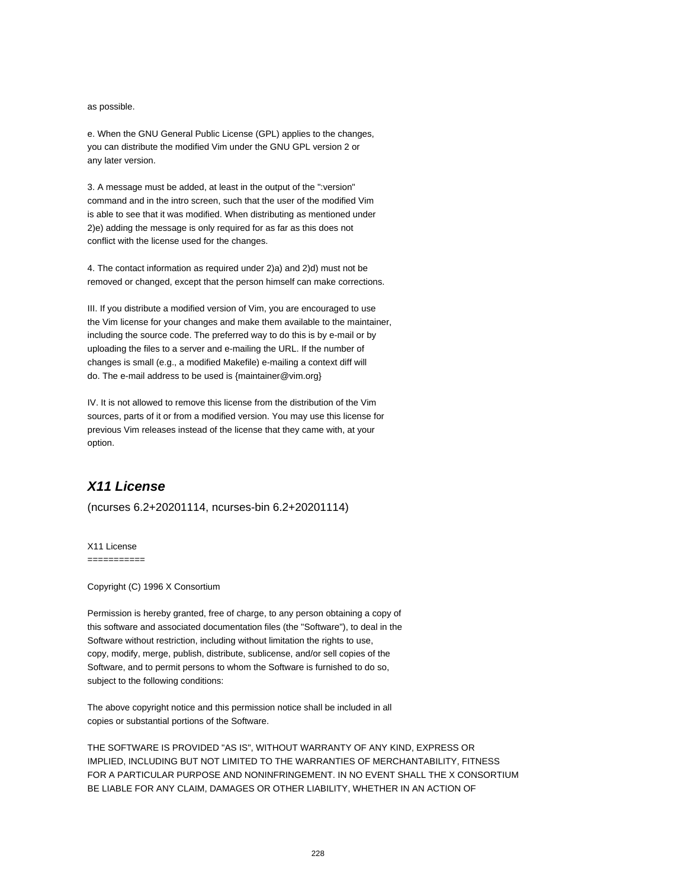#### as possible.

e. When the GNU General Public License (GPL) applies to the changes, you can distribute the modified Vim under the GNU GPL version 2 or any later version.

3. A message must be added, at least in the output of the ":version" command and in the intro screen, such that the user of the modified Vim is able to see that it was modified. When distributing as mentioned under 2)e) adding the message is only required for as far as this does not conflict with the license used for the changes.

4. The contact information as required under 2)a) and 2)d) must not be removed or changed, except that the person himself can make corrections.

III. If you distribute a modified version of Vim, you are encouraged to use the Vim license for your changes and make them available to the maintainer, including the source code. The preferred way to do this is by e-mail or by uploading the files to a server and e-mailing the URL. If the number of changes is small (e.g., a modified Makefile) e-mailing a context diff will do. The e-mail address to be used is {maintainer@vim.org}

IV. It is not allowed to remove this license from the distribution of the Vim sources, parts of it or from a modified version. You may use this license for previous Vim releases instead of the license that they came with, at your option.

# **X11 License**

(ncurses 6.2+20201114, ncurses-bin 6.2+20201114)

X11 License ===========

Copyright (C) 1996 X Consortium

Permission is hereby granted, free of charge, to any person obtaining a copy of this software and associated documentation files (the "Software"), to deal in the Software without restriction, including without limitation the rights to use, copy, modify, merge, publish, distribute, sublicense, and/or sell copies of the Software, and to permit persons to whom the Software is furnished to do so, subject to the following conditions:

The above copyright notice and this permission notice shall be included in all copies or substantial portions of the Software.

THE SOFTWARE IS PROVIDED "AS IS", WITHOUT WARRANTY OF ANY KIND, EXPRESS OR IMPLIED, INCLUDING BUT NOT LIMITED TO THE WARRANTIES OF MERCHANTABILITY, FITNESS FOR A PARTICULAR PURPOSE AND NONINFRINGEMENT. IN NO EVENT SHALL THE X CONSORTIUM BE LIABLE FOR ANY CLAIM, DAMAGES OR OTHER LIABILITY, WHETHER IN AN ACTION OF